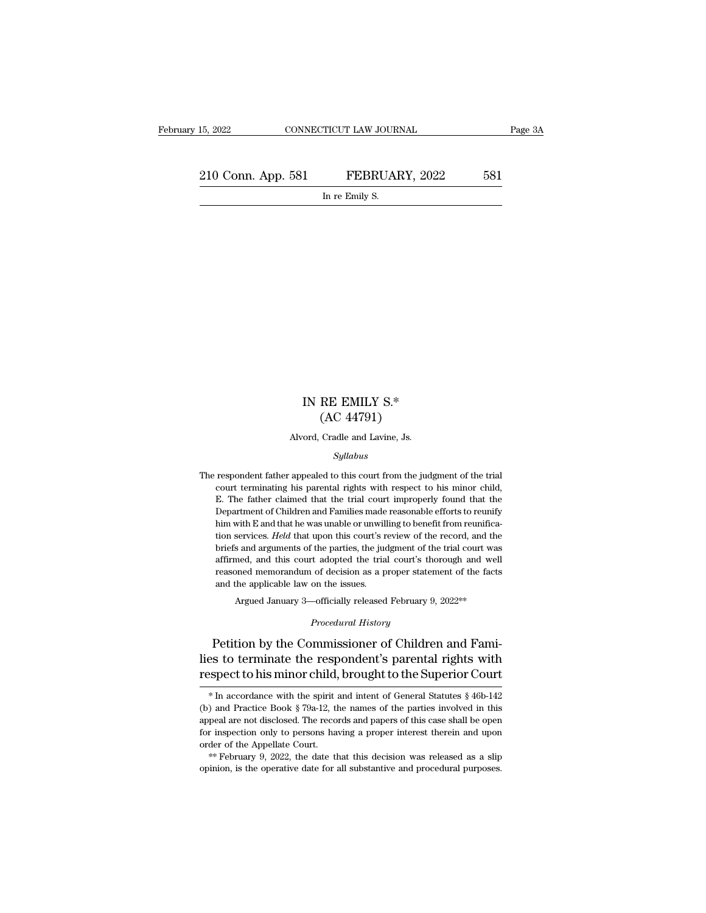15, 2022 CONNECTICUT LAW JOURNAL Page 3A<br>
210 Conn. App. 581 FEBRUARY, 2022 581<br>
In re Emily S. TICUT LAW JOUR.<br>FEBRUAI<br>In re Emily S.

### IN RE EMILY S.\* RE EMILY S.\*<br>(AC 44791)<br>Cradle and Lavine, Js. IN RE EMILY S.\*<br>(AC 44791)<br>Alvord, Cradle and Lavine, Js.<br>Sullabus

### *Syllabus*

The respondent father appealed to this court from the judgment of the trial<br>court terminating his parental rights with respect to his minor child,  $(AC 44181)$ <br>Alvord, Cradle and Lavine, Js.<br>Syllabus<br>respondent father appealed to this court from the judgment of the trial<br>court terminating his parental rights with respect to his minor child,<br>E. The father claimed that Alvord, Cradle and Lavine, Js.<br>
Syllabus<br>
E. The father appealed to this court from the judgment of the trial<br>
court terminating his parental rights with respect to his minor child,<br>
E. The father claimed that the trial co Syllabus<br>
Syllabus<br>
respondent father appealed to this court from the judgment of the trial<br>
court terminating his parental rights with respect to his minor child,<br>
E. The father claimed that the trial court improperly fou Syllabus<br>
him with Especial court from the judgment of the trial<br>
court terminating his parental rights with respect to his minor child,<br>
E. The father claimed that the trial court improperly found that the<br>
Department of respondent father appealed to this court from the judgment of the trial<br>court terminating his parental rights with respect to his minor child,<br>E. The father claimed that the trial court improperly found that the<br>Department court terminating his parental rights with respect to his minor child, E. The father claimed that the trial court improperly found that the Department of Children and Families made reasonable efforts to reunify him with E E. The father claimed that the trial court improperly found that the Department of Children and Families made reasonable efforts to reunify him with E and that he was unable or unwilling to benefit from reunification servi Experiment of Children and Families made reasonable efforts to reunify<br>him with E and that he was unable or unwilling to benefit from reunifica-<br>tion services. *Held* that upon this court's review of the record, and the<br>br bepared the and that he was unable or unwill<br>tim with E and that he was unable or unwill<br>tion services. *Held* that upon this court's r<br>briefs and arguments of the parties, the judent<br>affirmed, and this court adopted the t services. *Held* that upon this court's review of the record, and the s and arguments of the parties, the judgment of the trial court was med, and this court adopted the trial court's thorough and well oned memorandum of d *Procedural court's the of decision as a proper statem*<br> *Procedural History*<br> *Procedural History*<br> *Procedural History* bries and arguments of the parties, the judgment of the trial court was<br>affirmed, and this court adopted the trial court's thorough and well<br>reasoned memorandum of decision as a proper statement of the facts<br>and the applic

reasoned memorandum of decision as a proper statement of the facts<br>and the applicable law on the issues.<br>Argued January 3—officially released February 9, 2022\*\*<br>Procedural History<br>Petition by the Commissioner of Children a and the applicable law on the issues.<br>
Argued January 3—officially released February 9, 2022<sup>\*\*</sup><br>
Procedural History<br>
Petition by the Commissioner of Children and Fami-<br>
lies to terminate the respondent's parental rights w Petition by the Commissioner of Children and Fami-<br>es to terminate the respondent's parental rights with<br>spect to his minor child, brought to the Superior Court<br>\* In accordance with the spirit and intent of General Statut Petition by the Commissioner of Children and Fami-<br>lies to terminate the respondent's parental rights with<br>respect to his minor child, brought to the Superior Court<br> $*$  In accordance with the spirit and intent of General

lies to terminate the respondent's parental rights with<br>respect to his minor child, brought to the Superior Court<br> $*$  In accordance with the spirit and intent of General Statutes  $§ 46b-142$ <br>(b) and Practice Book  $§ 79a-1$ **For inspect to his minor child, brought to the Superior Court**  $*$  In accordance with the spirit and intent of General Statutes § 46b-142 (b) and Practice Book § 79a-12, the names of the parties involved in this appeal a Fespect to fils filmot Criticity, brought to the superfor Court.<br>  $*$  In accordance with the spirit and intent of General Statutes § 46b-142<br>
(b) and Practice Book § 79a-12, the names of the parties involved in this<br>
appe (b) and Practice Book § 79a-12, the names of the parties involved in this appeal are not disclosed. The records and papers of this case shall be open for inspection only to persons having a proper interest therein and upo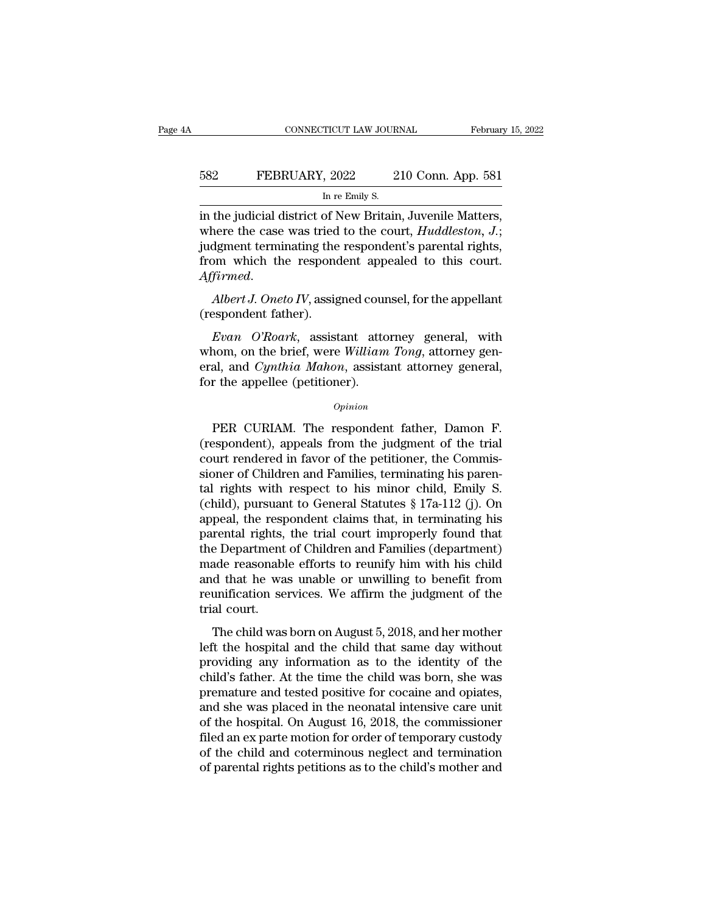# EXECUTE CONNECTICUT LAW JOURNAL February 15, 2022<br>582 FEBRUARY, 2022 210 Conn. App. 581<br>In re Emily S. TICUT LAW JOUR.<br>, 2022 2<br>In re Emily S.<br>of New Britain

CONNECTICUT LAW JOURNAL February 15, 2<br>
FEBRUARY, 2022 210 Conn. App. 581<br>
In re Emily S.<br>
in the judicial district of New Britain, Juvenile Matters,<br>
where the case was tried to the court, *Huddleston*, J.;<br>
independent t FEBRUARY, 2022 210 Conn. App. 581<br>
In re Emily S.<br>
in the judicial district of New Britain, Juvenile Matters,<br>
where the case was tried to the court, *Huddleston, J.*;<br>
judgment terminating the respondent's parental rights FEBRUARY, 2022 210 Conn. App. 581<br>
In re Emily S.<br>
in the judicial district of New Britain, Juvenile Matters,<br>
where the case was tried to the court, *Huddleston*, *J*.;<br>
judgment terminating the respondent's parental righ FEBRUARY, 2022 210 Conn. App. 581<br>In re Emily S.<br>in the judicial district of New Britain, Juvenile Matters,<br>where the case was tried to the court, *Huddleston*, *J*.;<br>judgment terminating the respondent's parental rights,<br> in the judicial district of New Britain, Juvenile Matters,<br>where the case was tried to the court, *Huddleston*, *J*.;<br>judgment terminating the respondent's parental rights,<br>from which the respondent appealed to this court. m the judicial district of the<br>where the case was tried<br>judgment terminating the<br>from which the respond<br>Affirmed.<br>Albert J. Oneto IV, assig<br>(respondent father).<br>Evan O'Roark, assist *Evan Which the respondent appealed to this court.*<br>
Firmed.<br> *Evan O'Roark*, assistant attorney general, with<br> *Evan O'Roark*, assistant attorney general, with<br>
ann, on the brief, were William Tong, attorney general and C

from which the respondent appealed to this court.<br>
Affirmed.<br>
Albert J. Oneto IV, assigned counsel, for the appellant<br>
(respondent father).<br>
Evan O'Roark, assistant attorney general, with<br>
whom, on the brief, were William Affirmed.<br>
Albert J. Oneto IV, assigned counsel, for the appellant<br>
(respondent father).<br>
Evan O'Roark, assistant attorney general, with<br>
whom, on the brief, were William Tong, attorney general,<br>
for the appellee (petition Albert J. Oneto IV, assigned cour<br>(respondent father).<br>Evan O'Roark, assistant attor<br>whom, on the brief, were William<br>eral, and Cynthia Mahon, assista<br>for the appellee (petitioner).<br>Opinion Evan O'Roark, assistant attorney general, with<br>nom, on the brief, were William Tong, attorney gen-<br>al, and Cynthia Mahon, assistant attorney general,<br>r the appellee (petitioner).<br>Opinion<br>PER CURIAM. The respondent father,

### *Opinion*

whom, on the brief, were William Tong, attorney general,<br>
eral, and Cynthia Mahon, assistant attorney general,<br>
for the appellee (petitioner).<br>
Opinion<br>
PER CURIAM. The respondent father, Damon F.<br>
(respondent), appeals fr eral, and *Cynthia Mahon*, assistant attorney general,<br>for the appellee (petitioner).<br>*Opinion*<br>PER CURIAM. The respondent father, Damon F.<br>(respondent), appeals from the judgment of the trial<br>court rendered in favor of th for the appellee (petitioner).<br>  $\phi_{pinion}$ <br>
PER CURIAM. The respondent father, Damon F.<br>
(respondent), appeals from the judgment of the trial<br>
court rendered in favor of the petitioner, the Commis-<br>
sioner of Children and F opinion<br>
PER CURIAM. The respondent father, Damon F.<br>
(respondent), appeals from the judgment of the trial<br>
court rendered in favor of the petitioner, the Commis-<br>
sioner of Children and Families, terminating his paren-<br> ER CURIAM. The respondent father, Damon F.<br>(respondent), appeals from the judgment of the trial<br>court rendered in favor of the petitioner, the Commis-<br>sioner of Children and Families, terminating his paren-<br>tal rights with PER CURIAM. The respondent father, Damon F.<br>(respondent), appeals from the judgment of the trial<br>court rendered in favor of the petitioner, the Commis-<br>sioner of Children and Families, terminating his paren-<br>tal rights wit (respondent), appeals from the judgment of the trial court rendered in favor of the petitioner, the Commissioner of Children and Families, terminating his parental rights with respect to his minor child, Emily S. (child), court rendered in favor of the petitioner, the Commissioner of Children and Families, terminating his parental rights with respect to his minor child, Emily S.<br>(child), pursuant to General Statutes § 17a-112 (j). On appeal sioner of Children and Families, terminating his parental rights with respect to his minor child, Emily S.<br>(child), pursuant to General Statutes § 17a-112 (j). On<br>appeal, the respondent claims that, in terminating his<br>pare tal rights with respect to his minor child, Emily S.<br>(child), pursuant to General Statutes § 17a-112 (j). On<br>appeal, the respondent claims that, in terminating his<br>parental rights, the trial court improperly found that<br>the (child), pursuant to General Statutes  $\S$  17a-112 (j). On<br>appeal, the respondent claims that, in terminating his<br>parental rights, the trial court improperly found that<br>the Department of Children and Families (department)<br> appeal, the resp<br>parental rights,<br>the Department<br>made reasonabl<br>and that he wa<br>reunification se<br>trial court.<br>The child was Fendar Hghts, the trial court improperty found that<br>a Department of Children and Families (department)<br>ade reasonable efforts to reunify him with his child<br>d that he was unable or unwilling to benefit from<br>unification serv and e reasonable efforts to reunify him with his child<br>and that he was unable or unwilling to benefit from<br>reunification services. We affirm the judgment of the<br>trial court.<br>The child was born on August 5, 2018, and her mo

made reasonable enotes to realing introduct and that he was unable or unwilling to benefit from<br>reunification services. We affirm the judgment of the<br>trial court.<br>The child was born on August 5, 2018, and her mother<br>left t reunification services. We affirm the judgment of the<br>trial court.<br>The child was born on August 5, 2018, and her mother<br>left the hospital and the child that same day without<br>providing any information as to the identity of Fremature and test vices. We all that spagned to the trial court.<br>The child was born on August 5, 2018, and her mother<br>left the hospital and the child that same day without<br>providing any information as to the identity of The child was born on August 5, 2018, and her mother<br>left the hospital and the child that same day without<br>providing any information as to the identity of the<br>child's father. At the time the child was born, she was<br>premat The child was born on August 5, 2018, and her mother<br>left the hospital and the child that same day without<br>providing any information as to the identity of the<br>child's father. At the time the child was born, she was<br>prematu left the hospital and the child that same day without<br>providing any information as to the identity of the<br>child's father. At the time the child was born, she was<br>premature and tested positive for cocaine and opiates,<br>and s providing any information as to the identity of the child's father. At the time the child was born, she was premature and tested positive for cocaine and opiates, and she was placed in the neonatal intensive care unit of t child's father. At the time the child was born, she was premature and tested positive for cocaine and opiates, and she was placed in the neonatal intensive care unit of the hospital. On August 16, 2018, the commissioner fi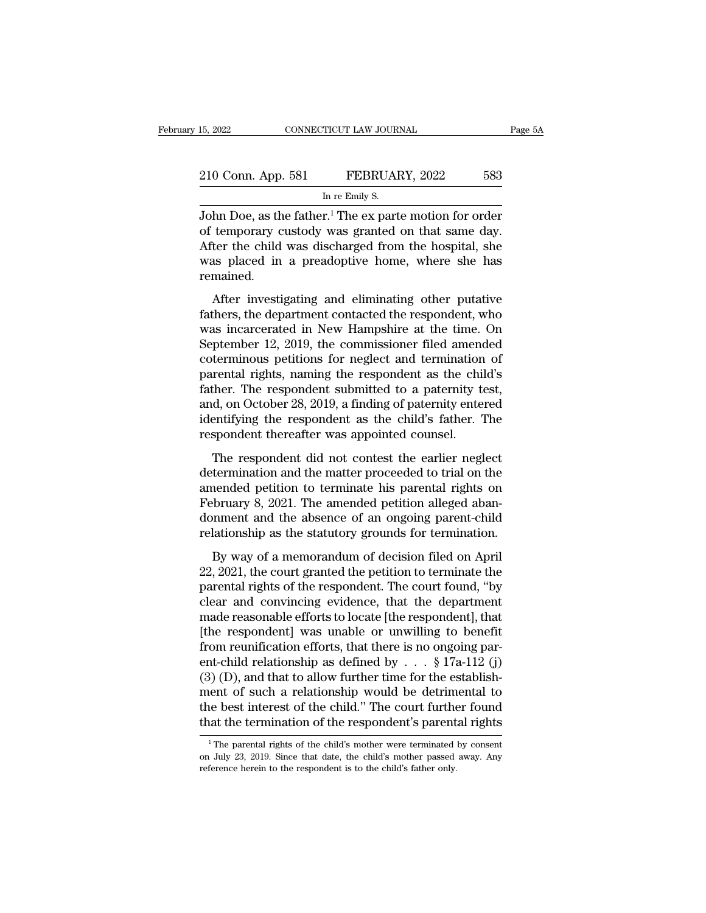| 15, 2022           | CONNECTICUT LAW JOURNAL                                    | Page 5A |
|--------------------|------------------------------------------------------------|---------|
|                    |                                                            |         |
| 210 Conn. App. 581 | FEBRUARY, 2022<br>583                                      |         |
|                    | In re Emily S.                                             |         |
|                    | John Doe, as the father $^1$ The ex parte motion for order |         |

THE 15, 2022<br>
15, 2022<br>
210 Conn. App. 581 FEBRUARY, 2022<br>
16 The Emily S.<br>
30 The Femily S.<br>
30 The exparte motion for order<br>
10 The exparte motion for order<br>
10 The exparted on that same day.<br>
4 The child was discharged 210 Conn. App. 581 FEBRUARY, 2022 583<br>
In re Emily S.<br>
John Doe, as the father.<sup>1</sup> The ex parte motion for order<br>
of temporary custody was granted on that same day.<br>
After the child was discharged from the hospital, she<br>
w 210 Conn. App. 581 FEBRUARY, 2022 583<br>
In re Emily S.<br>
John Doe, as the father.<sup>1</sup> The ex parte motion for order<br>
of temporary custody was granted on that same day.<br>
After the child was discharged from the hospital, she<br>
w 210 Conn. App. 581 FEBRUARY, 2022 583<br>
In re Emily S.<br>
John Doe, as the father.<sup>1</sup> The ex parte motion for order<br>
of temporary custody was granted on that same day.<br>
After the child was discharged from the hospital, she<br> remained. Im Doe, as the father.<sup>1</sup> The ex parte motion for order<br>temporary custody was granted on that same day.<br>There is the child was discharged from the hospital, she<br>as placed in a preadoptive home, where she has<br>mained.<br>After fathers, the department on that same day.<br>
After the child was discharged from the hospital, she<br>
was placed in a preadoptive home, where she has<br>
remained.<br>
After investigating and eliminating other putative<br>
fathers, the

or temporary castody was granted on that same day.<br>After the child was discharged from the hospital, she<br>was placed in a preadoptive home, where she has<br>remained.<br>After investigating and eliminating other putative<br>fathers, Finder the end was disentarged from the hospital, she<br>was placed in a preadoptive home, where she has<br>remained.<br>After investigating and eliminating other putative<br>fathers, the department contacted the respondent, who<br>was i mained.<br>
After investigating and eliminating other putative<br>
fathers, the department contacted the respondent, who<br>
was incarcerated in New Hampshire at the time. On<br>
September 12, 2019, the commissioner filed amended<br>
cot After investigating and eliminating other putative<br>fathers, the department contacted the respondent, who<br>was incarcerated in New Hampshire at the time. On<br>September 12, 2019, the commissioner filed amended<br>coterminous peti After investigating and eliminating other putative<br>fathers, the department contacted the respondent, who<br>was incarcerated in New Hampshire at the time. On<br>September 12, 2019, the commissioner filed amended<br>coterminous peti fathers, the department contacted the respondent, who<br>was incarcerated in New Hampshire at the time. On<br>September 12, 2019, the commissioner filed amended<br>coterminous petitions for neglect and termination of<br>parental right was incarcerated in New Hampshire at the time. On<br>September 12, 2019, the commissioner filed amended<br>coterminous petitions for neglect and termination of<br>parental rights, naming the respondent as the child's<br>father. The re September 12, 2019, the commissioner filed amend coterminous petitions for neglect and termination parental rights, naming the respondent as the chilfather. The respondent submitted to a paternity to and, on October 28, 20 restations for higher and committed to respondent as the child's<br>ther. The respondent submitted to a paternity test,<br>d, on October 28, 2019, a finding of paternity entered<br>entifying the respondent as the child's father. Th parental rights, naming the respondent as the ends of<br>father. The respondent submitted to a paternity test,<br>and, on October 28, 2019, a finding of paternity entered<br>identifying the respondent as the child's father. The<br>res

rainer. The Tespondent submided to a patentaly test,<br>and, on October 28, 2019, a finding of paternity entered<br>identifying the respondent as the child's father. The<br>respondent thereafter was appointed counsel.<br>The responden February 8, 2021. The amended petition as the child's father. The respondent thereafter was appointed counsel.<br>The respondent did not contest the earlier neglect determination and the matter proceeded to trial on the amend respondent thereafter was appointed counsel.<br>The respondent did not contest the earlier neglect<br>determination and the matter proceeded to trial on the<br>amended petition to terminate his parental rights on<br>February 8, 2021. relationship as the statutory grounds for termination and the matter proceeded to trial on the amended petition to terminate his parental rights on February 8, 2021. The amended petition alleged abandonment and the absence The responsion and the matter proceeded to trial on the<br>termination and the matter proceeded to trial on the<br>nended petition to terminate his parental rights on<br>bruary 8, 2021. The amended petition alleged aban-<br>nment and and a mended petition to terminate his parental rights on<br>February 8, 2021. The amended petition alleged aban-<br>donment and the absence of an ongoing parent-child<br>relationship as the statutory grounds for termination.<br>By wa

rebruary 8, 2021. The amended petition alleged abandonment and the absence of an ongoing parent-child relationship as the statutory grounds for termination.<br>By way of a memorandum of decision filed on April 22, 2021, the c condary o, 2021. The difference perform and good about<br>donment and the absence of an ongoing parent-child<br>relationship as the statutory grounds for termination.<br>By way of a memorandum of decision filed on April<br>22, 2021, t matrician and the ussence of an ongoing parent enhancement<br>relationship as the statutory grounds for termination.<br>By way of a memorandum of decision filed on April<br>22, 2021, the court granted the petition to terminate the<br> By way of a memorandum of decision filed on April<br>22, 2021, the court granted the petition to terminate the<br>parental rights of the respondent. The court found, "by<br>clear and convincing evidence, that the department<br>made r By way of a memorandum of decision filed on April 22, 2021, the court granted the petition to terminate the parental rights of the respondent. The court found, "by clear and convincing evidence, that the department made r 22, 2021, the court granted the petition to terminate the parental rights of the respondent. The court found, "by clear and convincing evidence, that the department made reasonable efforts to locate [the respondent], that parental rights of the respondent. The court found, "by<br>clear and convincing evidence, that the department<br>made reasonable efforts to locate [the respondent], that<br>[the respondent] was unable or unwilling to benefit<br>from clear and convincing evidence, that the department<br>made reasonable efforts to locate [the respondent], that<br>[the respondent] was unable or unwilling to benefit<br>from reunification efforts, that there is no ongoing par-<br>ent made reasonable efforts to locate [the respondent], that<br>[the respondent] was unable or unwilling to benefit<br>from reunification efforts, that there is no ongoing par-<br>ent-child relationship as defined by  $\ldots$  § 17a-112 ( [the respondent] was unable or unwilling to benefit<br>from reunification efforts, that there is no ongoing par-<br>ent-child relationship as defined by  $\ldots$  § 17a-112 (j)<br>(3) (D), and that to allow further time for the establ 1 The parental rights of the child's mother parental rights of the child." The court further found at the termination of the respondent's parental rights  $\frac{1}{1}$  The parental rights of the child's mother were terminated ment of such a relationship would be detrimental to<br>the best interest of the child." The court further found<br>that the termination of the respondent's parental rights<br> $\frac{1}{1}$  The parental rights of the child's mother wer the best interest of the child." The court further<br>that the termination of the respondent's parent<br> $\frac{1}{1}$ The parental rights of the child's mother were terminated<br>on July 23, 2019. Since that date, the child's mother p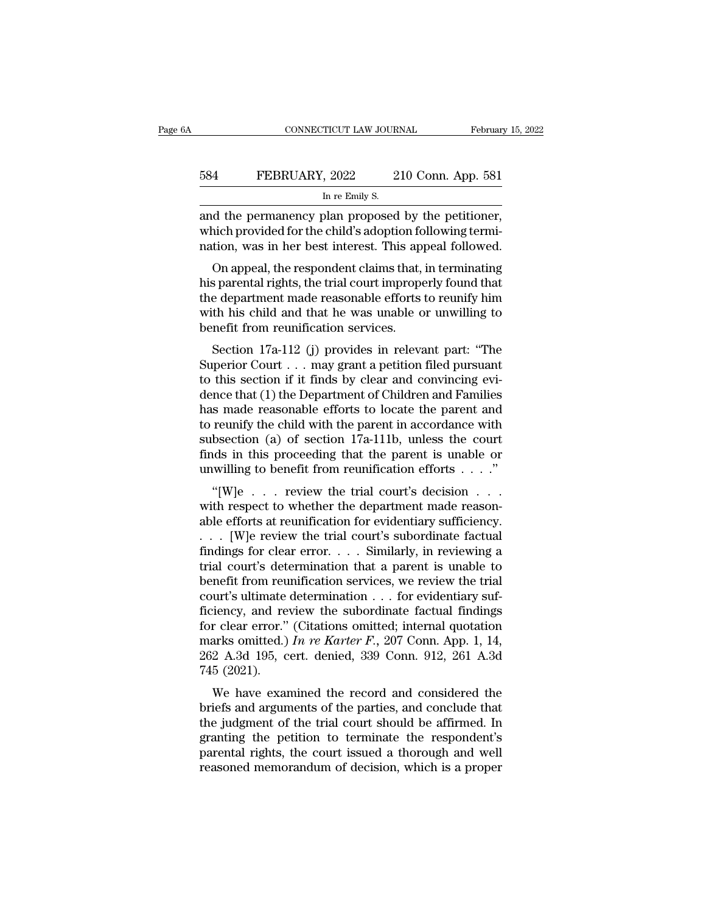|     | CONNECTICUT LAW JOURNAL                            | February 15, 2022  |
|-----|----------------------------------------------------|--------------------|
| 584 | FEBRUARY, 2022                                     | 210 Conn. App. 581 |
|     | In re Emily S.                                     |                    |
|     | and the nermanency plan proposed by the petitioner |                    |

CONNECTICUT LAW JOURNAL February 15, 2<br>
FEBRUARY, 2022 210 Conn. App. 581<br>
In re Emily S.<br>
and the permanency plan proposed by the petitioner,<br>
which provided for the child's adoption following termi-FEBRUARY, 2022 210 Conn. App. 581<br>
In re Emily S.<br>
and the permanency plan proposed by the petitioner,<br>
which provided for the child's adoption following termi-<br>
nation, was in her best interest. This appeal followed. FEBRUARY, 2022 210 Conn. App. 581<br>
In re Emily S.<br>
and the permanency plan proposed by the petitioner,<br>
which provided for the child's adoption following termi-<br>
nation, was in her best interest. This appeal followed.<br>
On  $\frac{4}{\text{FEBRUARY, 2022}}$  210 Conn. App. 581<br>  $\frac{1}{\text{FPE BRUARY, 2022}}$  210 Conn. App. 581<br>
d the permanency plan proposed by the petitioner,<br>
ich provided for the child's adoption following termi-<br>
tion, was in her best interes

In re Emily S.<br>
and the permanency plan proposed by the petitioner,<br>
which provided for the child's adoption following termi-<br>
nation, was in her best interest. This appeal followed.<br>
On appeal, the respondent claims that, and the permanency plan proposed by the petitioner,<br>which provided for the child's adoption following termi-<br>nation, was in her best interest. This appeal followed.<br>On appeal, the respondent claims that, in terminating<br>his and the permallency plain proposed by the permioner,<br>which provided for the child's adoption following termi-<br>nation, was in her best interest. This appeal followed.<br>On appeal, the respondent claims that, in terminating<br>hi which provided for the child s adoption relation, was in her best interest. This approximation, was in her best interest. This approximately the department made reasonable efforts with his child and that he was unable of b On appeal, the respondent claims that, in terminating<br>s parental rights, the trial court improperly found that<br>e department made reasonable efforts to reunify him<br>th his child and that he was unable or unwilling to<br>nefit f On appear, the respondent claims that, in terminating<br>his parental rights, the trial court improperly found that<br>the department made reasonable efforts to reunify him<br>with his child and that he was unable or unwilling to<br>

his parental rights, the trial court improperly found that<br>the department made reasonable efforts to reunify him<br>with his child and that he was unable or unwilling to<br>benefit from reunification services.<br>Section  $17a-112$ dence that (1) the Department of Children and Families<br>has made in the Department of Denetit from reunification services.<br>Section 17a-112 (j) provides in relevant part: "The<br>Superior Court . . . may grant a petition filed what his child and that he was unable of unwhing to<br>benefit from reunification services.<br>Section 17a-112 (j) provides in relevant part: "The<br>Superior Court . . . may grant a petition filed pursuant<br>to this section if it f benefit front reunification services.<br>Section 17a-112 (j) provides in relevant part: "The<br>Superior Court . . . may grant a petition filed pursuant<br>to this section if it finds by clear and convincing evi-<br>dence that (1) the Section 17a-112 (j) provides in relevant part: "The<br>Superior Court . . . may grant a petition filed pursuant<br>to this section if it finds by clear and convincing evi-<br>dence that (1) the Department of Children and Families<br> Superior Court . . . may grant a petition filed pursuant<br>to this section if it finds by clear and convincing evi-<br>dence that (1) the Department of Children and Families<br>has made reasonable efforts to locate the parent and to this section if it finds by clear and convincing evi-<br>dence that (1) the Department of Children and Families<br>has made reasonable efforts to locate the parent and<br>to reunify the child with the parent in accordance with<br> The trial court is made reasonable efforts to locate the parent and reanings smade reasonable efforts to locate the parent and reunify the child with the parent in accordance with bsection (a) of section 17a-111b, unless to reunify the child with the parent in accordance with<br>subsection (a) of section 17a-111b, unless the court<br>finds in this proceeding that the parent is unable or<br>unwilling to benefit from reunification efforts . . . ."<br>"

able efforts at reunification for evidentiary sufficiency.<br>
and the parent is unable or unwilling to benefit from reunification efforts  $\dots$ .<br>
"[W]e  $\dots$  review the trial court's decision  $\dots$  with respect to whether the subsection (a) or section 17a-111b, unless the court<br>finds in this proceeding that the parent is unable or<br>unwilling to benefit from reunification efforts . . . ."<br>"[W]e . . . review the trial court's decision . . .<br>with finds in this proceeding that the parent is unable of<br>unwilling to benefit from reunification efforts . . . ."<br>"[W]e . . . review the trial court's decision . . .<br>with respect to whether the department made reason-<br>able e trial court's decision  $\cdot \cdot \cdot$ .<br>
"[W]e  $\cdot \cdot \cdot$  review the trial court's decision  $\cdot \cdot \cdot$ <br>
with respect to whether the department made reason-<br>
able efforts at reunification for evidentiary sufficiency.<br>  $\cdot \cdot \cdot$  [W]e r "[W]e  $\ldots$  review the trial court's decision  $\ldots$ <br>with respect to whether the department made reason-<br>able efforts at reunification for evidentiary sufficiency.<br> $\ldots$  [W]e review the trial court's subordinate factual<br>fi with respect to whether the department made reasonable efforts at reunification for evidentiary sufficiency.<br>
. . . [W]e review the trial court's subordinate factual<br>
findings for clear error. . . . Similarly, in reviewin able efforts at reunification for evidentiary sufficiency.<br>  $\dots$  [W]e review the trial court's subordinate factual<br>
findings for clear error.  $\dots$  Similarly, in reviewing a<br>
trial court's determination that a parent is un ... [W]e review the trial court's subordinate factual findings for clear error.... Similarly, in reviewing a trial court's determination that a parent is unable to benefit from reunification services, we review the trial findings for clear error. . . . Similarly, in reviewing a<br>trial court's determination that a parent is unable to<br>benefit from reunification services, we review the trial<br>court's ultimate determination . . . for evidentiar trial court's determination that a parent is unable to<br>benefit from reunification services, we review the trial<br>court's ultimate determination . . . for evidentiary suf-<br>ficiency, and review the subordinate factual findin benefit from reu<br>court's ultimate<br>ficiency, and re<br>for clear error."<br>marks omitted.)<br>262 A.3d 195, c<br>745 (2021).<br>We have exan Fiency, and review the subordinate factual findings<br>r clear error." (Citations omitted; internal quotation<br>arks omitted.) In re Karter F., 207 Conn. App. 1, 14,<br>2 A.3d 195, cert. denied, 339 Conn. 912, 261 A.3d<br>5 (2021).<br> briefs and review the subordinate ractuar intents<br>for clear error." (Citations omitted; internal quotation<br>marks omitted.) In re Karter F., 207 Conn. App. 1, 14,<br>262 A.3d 195, cert. denied, 339 Conn. 912, 261 A.3d<br>745 (20

the judgment of the article, means a probably<br>marks omitted.) In re Karter F., 207 Conn. App. 1, 14,<br>262 A.3d 195, cert. denied, 339 Conn. 912, 261 A.3d<br>745 (2021).<br>We have examined the record and considered the<br>briefs an marks onlined.) *In re* Karler  $F$ ., 207 Colli. App. 1, 14, 262 A.3d 195, cert. denied, 339 Conn. 912, 261 A.3d 745 (2021).<br>We have examined the record and considered the briefs and arguments of the parties, and conclude  $202$  A.5d 155, Cert. defined,  $355$  Confi.  $512$ ,  $201$  A.5d  $745$  (2021).<br>We have examined the record and considered the briefs and arguments of the parties, and conclude that the judgment of the trial court should be a We have examined the record and considered the<br>briefs and arguments of the parties, and conclude that<br>the judgment of the trial court should be affirmed. In<br>granting the petition to terminate the respondent's<br>parental rig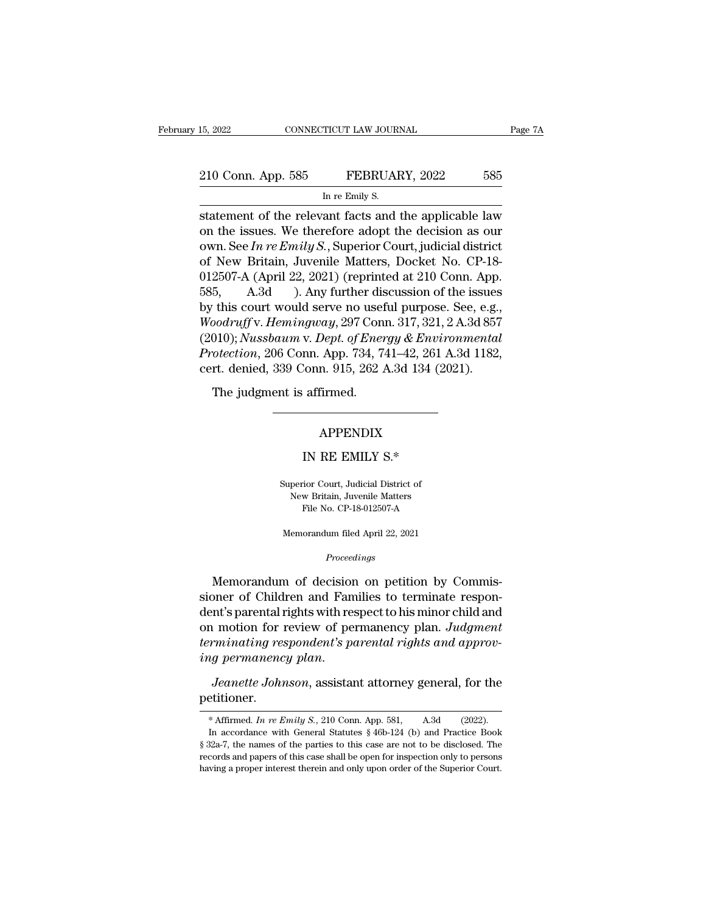| 15, 2022           | CONNECTICUT LAW JOURNAL                               | Page 7A |
|--------------------|-------------------------------------------------------|---------|
| 210 Conn. App. 585 | FEBRUARY, 2022                                        | 585     |
|                    | In re Emily S.                                        |         |
|                    | statement of the relevant facts and the annicable law |         |

statement of the relevant facts and the applicable law<br>
statement of the relevant facts and the applicable law<br>
on the issues. We therefore adopt the decision as our<br>
statement of the relevant facts and the applicable law<br> 210 Conn. App. 585 FEBRUARY, 2022 585<br>
In re Emily S.<br>
statement of the relevant facts and the applicable law<br>
on the issues. We therefore adopt the decision as our<br>
own. See *In re Emily S.*, Superior Court, judicial dist 210 Conn. App. 585 FEBRUARY, 2022 585<br>
In re Emily S.<br>
statement of the relevant facts and the applicable law<br>
on the issues. We therefore adopt the decision as our<br>
own. See *In re Emily S.*, Superior Court, judicial dist 210 Conn. App. 585 FEBRUARY, 2022 585<br>
In re Emily S.<br>
statement of the relevant facts and the applicable law<br>
on the issues. We therefore adopt the decision as our<br>
own. See In re Emily S., Superior Court, judicial distr In re Emily S.<br>
In re Emily S.<br>
statement of the relevant facts and the applicable law<br>
on the issues. We therefore adopt the decision as our<br>
own. See *In re Emily S.*, Superior Court, judicial district<br>
of New Britain, In re Emily S.<br>
Statement of the relevant facts and the applicable law<br>
on the issues. We therefore adopt the decision as our<br>
own. See *In re Emily S.*, Superior Court, judicial district<br>
of New Britain, Juvenile Matters statement of the relevant facts and the applicable law<br>on the issues. We therefore adopt the decision as our<br>own. See In re Emily S., Superior Court, judicial district<br>of New Britain, Juvenile Matters, Docket No. CP-18-<br>0 on the issues. We therefore adopt the decision as our<br>
own. See *In re Emily S*., Superior Court, judicial district<br>
of New Britain, Juvenile Matters, Docket No. CP-18-<br>
012507-A (April 22, 2021) (reprinted at 210 Conn. Ap own. See *In re Emily S.*, Superior Court, judicial district<br>of New Britain, Juvenile Matters, Docket No. CP-18-<br>012507-A (April 22, 2021) (reprinted at 210 Conn. App.<br>585, A.3d ). Any further discussion of the issues<br>by t of New Britain, Juvenile Matters, Docket No. CP-18-012507-A (April 22, 2021) (reprinted at 210 Conn. App. 585, A.3d ). Any further discussion of the issues by this court would serve no useful purpose. See, e.g., *Woodruff* 012507-A (April 22, 2021) (reprinted at 210 Conn. App. 585, A.3d ). Any further discussion of the issues by this court would serve no useful purpose. See, e.g., Woodruff v. Hemingway, 297 Conn. 317, 321, 2 A.3d 857 (2010) This court would serve no used<br>
bodruff v. Hemingway, 297 Con<br>
010); Nussbaum v. Dept. of Ener<br>
cotection, 206 Conn. App. 734, 7<br>
rt. denied, 339 Conn. 915, 262<br>
The judgment is affirmed. % Conn. 915, 262 A.3d 134 (20)<br>affirmed.<br>APPENDIX<br>IN RE EMILY S.\*<br>tior Court, Judicial District of

### APPENDIX

APPENDIX<br>IN RE EMILY S.\*<br>Superior Court, Judicial District of<br>New Britain, Juvenile Matters APPENDIX<br>IN RE EMILY S.\*<br>perior Court, Judicial District of<br>New Britain, Juvenile Matters<br>File No. CP-18-012507-A IN RE EMILY S.\*<br>
ior Court, Judicial District of<br>
w Britain, Juvenile Matters<br>
File No. CP-18-012507-A Superior Court, Judicial District of<br>New Britain, Juvenile Matters<br>File No. CP-18-012507-A<br>Memorandum filed April 22, 2021

### *Proceedings*

Memorandum of decision on petition by Commis-<br>
Memorandum of decision on petition by Commis-<br>
Memorandum of decision on petition by Commis-<br>
Demorandum of decision on petition by Commis-<br>
Demorandum of decision on petition File No. CP-18-012507-A<br>Memorandum filed April 22, 2021<br>*Proceedings*<br>Memorandum of decision on petition by Commissioner of Children and Families to terminate respon-<br>dent's parental rights with respect to his minor child Memorandum filed April 22, 2021<br>
Proceedings<br>
Memorandum of decision on petition by Commissioner of Children and Families to terminate respondent's parental rights with respect to his minor child and<br>
on motion for review Memorandum filed April 22, 2021<br> *Proceedings*<br>
Memorandum of decision on petition by Commissioner of Children and Families to terminate respondent's parental rights with respect to his minor child and<br>
on motion for revie *Proceedings*<br>Memorandum of decision on petition by Commissioner of Children and Families to terminate respondent's parental rights with respect to his minor child and<br>on motion for review of permanency plan. Judgment<br>term Memorandum of decision on petition by Commissioner of Children and Families to terminate respondent's parental rights with respect to his minor child and on motion for review of permanency plan. *Judgment* terminating resp

petitioner. *Ig permanency plan.*<br> *Jeanette Johnson*, assistant attorney general, for the etitioner.<br>
\* Affirmed. *In re Emily S.*, 210 Conn. App. 581, A.3d (2022).<br>
In accordance with General Statutes § 46b-124 (b) and Practice Book

*Jeanette Johnson*, assistant attorney general, for the etitioner.<br>\* Affirmed. In re Emily S., 210 Conn. App. 581, A.3d (2022).<br>In accordance with General Statutes § 46b-124 (b) and Practice Book 32a-7, the names of the p *Jeanette Johnson*, assistant attorney general, for the petitioner.<br>
\* Affirmed. In re Emily S., 210 Conn. App. 581, A.3d (2022).<br>
In accordance with General Statutes § 46b-124 (b) and Practice Book § 32a-7, the names of petitioner.<br>
\* Affirmed. *In re Emily S.*, 210 Conn. App. 581, A.3d (2022).<br>
In accordance with General Statutes § 46b-124 (b) and Practice Book<br>
§ 32a-7, the names of the parties to this case are not to be disclosed. The<br> \* Affirmed. *In re Emily S.*, 210 Conn. App. 581, A.3d (2022). In accordance with General Statutes § 46b-124 (b) and Practice Book § 32a-7, the names of the parties to this case are not to be disclosed. The records and pa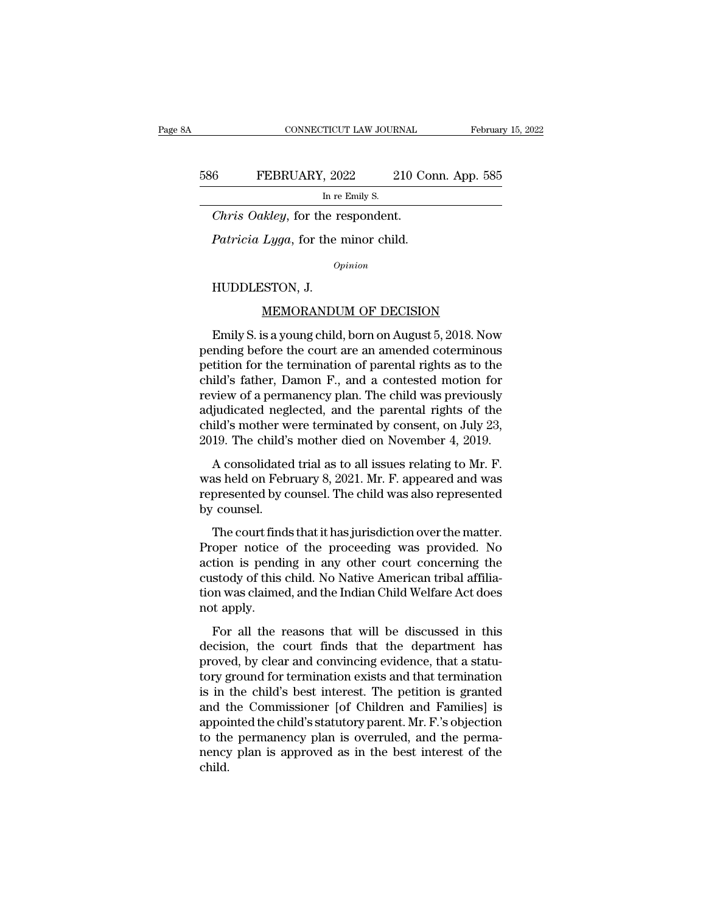### EXECUTE CONNECTICUT LAW JOURNAL February 15, 2022<br>586 FEBRUARY, 2022 210 Conn. App. 585<br>In re Emily S. TICUT LAW JOUR.<br>, 2022 2<br>In re Emily S.<br>ne respondent. *CONNECTICUT LAW JOURNAL*<br>
6 **FEBRUARY**, 2022 210 Contributes the respondent.<br> *Chris Oakley*, for the respondent.<br> *Patricia Lyga*, for the minor child. *P*EBRUARY, 2022 210 Con<br> *Patricia Coakley*, for the respondent.<br> *Patricia Lyga*, for the minor child.<br> *Patricia Lyga*, for the minor child.

 $\frac{f_{\text{In re}}}{f_{\text{In}}}}$  (*Chris Oakley*, for the r<br>*Patricia Lyga*, for the r<br>*OA*<br>HUDDLESTON, J.<br><u>MEMORANDU</u>

*Opinion*

*Lyga*, for the minor child.<br> *Lyga*, for the minor child.<br> *Opinion*<br>
ISTON, J.<br>
<u>MEMORANDUM OF DECISION</u><br>
s a young child, born on August 5, 2018. Now Patricia Lyga, for the filmor child.<br>
opinion<br>
HUDDLESTON, J.<br>
<u>MEMORANDUM OF DECISION</u><br>
Emily S. is a young child, born on August 5, 2018. Now<br>
inding before the court are an amended coterminous<br>
tition for the terminatio opinion<br>
HUDDLESTON, J.<br>
<u>MEMORANDUM OF DECISION</u><br>
Emily S. is a young child, born on August 5, 2018. Now<br>
pending before the court are an amended coterminous<br>
petition for the termination of parental rights as to the<br>
chi HUDDLESTON, J.<br>
<u>MEMORANDUM OF DECISION</u><br>
Emily S. is a young child, born on August 5, 2018. Now<br>
pending before the court are an amended coterminous<br>
petition for the termination of parental rights as to the<br>
child's fath HUDDLESTON, J.<br>
MEMORANDUM OF DECISION<br>
Emily S. is a young child, born on August 5, 2018. Now<br>
pending before the court are an amended coterminous<br>
petition for the termination of parental rights as to the<br>
child's father MEMORANDUM OF DECISION<br>Emily S. is a young child, born on August 5, 2018. Now<br>pending before the court are an amended coterminous<br>petition for the termination of parental rights as to the<br>child's father, Damon F., and a co Emily S. is a young child, born on August 5, 2018. Now<br>pending before the court are an amended coterminous<br>petition for the termination of parental rights as to the<br>child's father, Damon F., and a contested motion for<br>rev Emily S. is a young child, born on August 5, 2018. Now<br>pending before the court are an amended coterminous<br>petition for the termination of parental rights as to the<br>child's father, Damon F., and a contested motion for<br>revi pending before the court are an amended coterminous<br>petition for the termination of parental rights as to the<br>child's father, Damon F., and a contested motion for<br>review of a permanency plan. The child was previously<br>adjud ild's father, Damon F., and a contested motion for<br>ild's father, Damon F., and a contested motion for<br>view of a permanency plan. The child was previously<br>judicated neglected, and the parental rights of the<br>ild's mother wer end *B* radici, *Dallion 1*, and a concessed model for<br>review of a permanency plan. The child was previously<br>adjudicated neglected, and the parental rights of the<br>child's mother were terminated by consent, on July 23,<br>2019

review of a permancine, plant. The child was previously<br>adjudicated neglected, and the parental rights of the<br>child's mother were terminated by consent, on July 23,<br>2019. The child's mother died on November 4, 2019.<br>A cons dial and the counter whild's mother when<br>2019. The child's<br>A consolidated<br>was held on Febre<br>represented by counsel.<br>The court finds 19. The child's mother died on November 4, 2019.<br>A consolidated trial as to all issues relating to Mr. F.<br>as held on February 8, 2021. Mr. F. appeared and was<br>presented by counsel. The child was also represented<br>counsel.<br>T A consolidated trial as to all issues relating to Mr. F.<br>was held on February 8, 2021. Mr. F. appeared and was<br>represented by counsel. The child was also represented<br>by counsel.<br>The court finds that it has jurisdiction ove

reconstrained and as to an assaes relating to  $m$ . The was held on February 8, 2021. Mr. F. appeared and was represented by counsel.<br>The court finds that it has jurisdiction over the matter.<br>Proper notice of the proceeding mas herd on Festady of 2021. MET : appeared and was<br>represented by counsel. The child was also represented<br>by counsel.<br>The court finds that it has jurisdiction over the matter.<br>Proper notice of the proceeding was provided. the Court of Sourcest. The child was also represented<br>by counsel.<br>The court finds that it has jurisdiction over the matter.<br>Proper notice of the proceeding was provided. No<br>action is pending in any other court concerning t by coalser.<br>The court find<br>Proper notice<br>action is pendi<br>custody of this<br>tion was claime<br>not apply.<br>For all the 1 For all the reasons that will be discussed in this<br>control is pending in any other court concerning the<br>stody of this child. No Native American tribal affilia-<br>in was claimed, and the Indian Child Welfare Act does<br>to apply Troper holes of all proceeding was provided. To<br>action is pending in any other court concerning the<br>custody of this child. No Native American tribal affilia-<br>tion was claimed, and the Indian Child Welfare Act does<br>not appl

proved, by clear and the Indian Child Welfare Act does<br>not apply.<br>For all the reasons that will be discussed in this<br>decision, the court finds that the department has<br>proved, by clear and convincing evidence, that a statu-Eastody of all effinal. The Fuldre Finicipal distribution was claimed, and the Indian Child Welfare Act does<br>not apply.<br>For all the reasons that will be discussed in this<br>decision, the court finds that the department has<br>p For all the reasons that will be discussed in this<br>decision, the court finds that the department has<br>proved, by clear and convincing evidence, that a statu-<br>tory ground for termination exists and that termination<br>is in th For all the reasons that will be discussed in this<br>decision, the court finds that the department has<br>proved, by clear and convincing evidence, that a statu-<br>tory ground for termination exists and that termination<br>is in the For all the reasons that will be discussed in this<br>decision, the court finds that the department has<br>proved, by clear and convincing evidence, that a statu-<br>tory ground for termination exists and that termination<br>is in the decision, the court finds that the department has<br>proved, by clear and convincing evidence, that a statu-<br>tory ground for termination exists and that termination<br>is in the child's best interest. The petition is granted<br>and proved, by clear and convincing evidence, that a statu-<br>tory ground for termination exists and that termination<br>is in the child's best interest. The petition is granted<br>and the Commissioner [of Children and Families] is<br>ap child.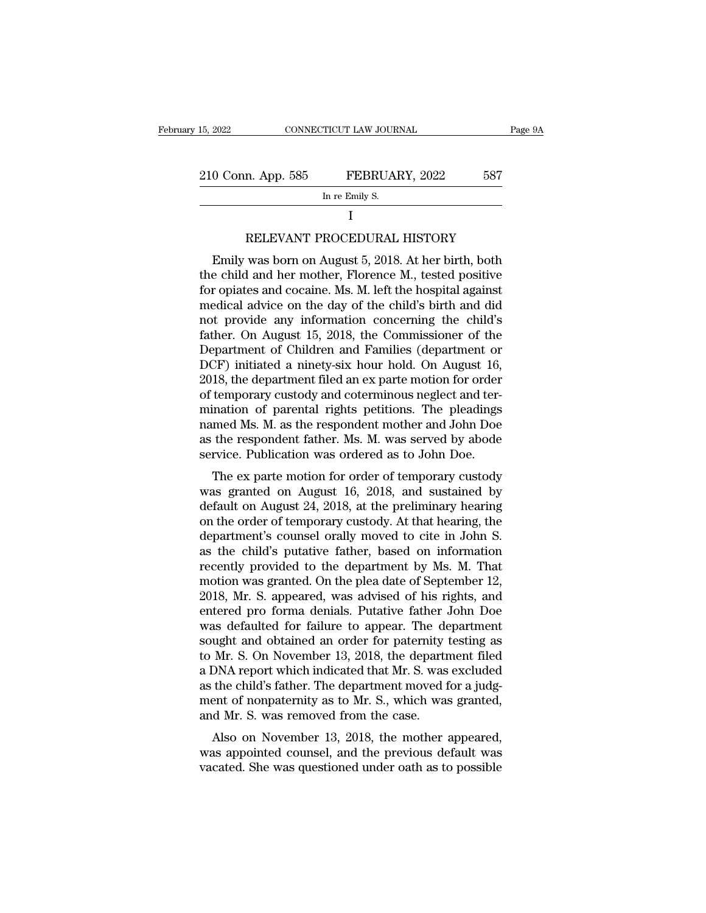| 15, 2022           | CONNECTICUT LAW JOURNAL                              |     | Page 9A |
|--------------------|------------------------------------------------------|-----|---------|
| 210 Conn. App. 585 | FEBRUARY, 2022                                       | 587 |         |
|                    | In re Emily S.                                       |     |         |
|                    |                                                      |     |         |
|                    | RELEVANT PROCEDURAL HISTORY                          |     |         |
|                    | Emily was born on August 5, 2018. At her birth, both |     |         |

### I and the set of  $\mathbf I$

0 Conn. App. 585 FEBRUARY, 2022 587<br>
In re Emily S.<br>
I<br>
RELEVANT PROCEDURAL HISTORY<br>
Emily was born on August 5, 2018. At her birth, both<br>
e child and her mother, Florence M., tested positive<br>
r onistes and cocaine Ms. M. IN THE COLUMBER 2022 THE CHILD AND THE CHILD AND THE EMILY S.<br>
I<br>
RELEVANT PROCEDURAL HISTORY<br>
Emily was born on August 5, 2018. At her birth, both<br>
the child and her mother, Florence M., tested positive<br>
for opiates and c In re Emily S.<br>
I<br>
RELEVANT PROCEDURAL HISTORY<br>
Emily was born on August 5, 2018. At her birth, both<br>
the child and her mother, Florence M., tested positive<br>
for opiates and cocaine. Ms. M. left the hospital against<br>
medic I<br>
RELEVANT PROCEDURAL HISTORY<br>
Emily was born on August 5, 2018. At her birth, both<br>
the child and her mother, Florence M., tested positive<br>
for opiates and cocaine. Ms. M. left the hospital against<br>
medical advice on the RELEVANT PROCEDURAL HISTORY<br>Emily was born on August 5, 2018. At her birth, both<br>the child and her mother, Florence M., tested positive<br>for opiates and cocaine. Ms. M. left the hospital against<br>medical advice on the day of Father. The CEDURAL HISTONT<br>Emily was born on August 5, 2018. At her birth, both<br>the child and her mother, Florence M., tested positive<br>for opiates and cocaine. Ms. M. left the hospital against<br>medical advice on the day of Emily was born on August 5, 2018. At her birth, both<br>the child and her mother, Florence M., tested positive<br>for opiates and cocaine. Ms. M. left the hospital against<br>medical advice on the day of the child's birth and did<br>n the child and her mother, Florence M., tested positive<br>for opiates and cocaine. Ms. M. left the hospital against<br>medical advice on the day of the child's birth and did<br>not provide any information concerning the child's<br>fat for opiates and cocaine. Ms. M. left the hospital against<br>medical advice on the day of the child's birth and did<br>not provide any information concerning the child's<br>father. On August 15, 2018, the Commissioner of the<br>Depart medical advice on the day of the child's birth and did<br>not provide any information concerning the child's<br>father. On August 15, 2018, the Commissioner of the<br>Department of Children and Families (department or<br>DCF) initiate not provide any information concerning the child's<br>father. On August 15, 2018, the Commissioner of the<br>Department of Children and Families (department or<br>DCF) initiated a ninety-six hour hold. On August 16,<br>2018, the depar father. On August 15, 2018, the Commissioner of the<br>Department of Children and Families (department or<br>DCF) initiated a ninety-six hour hold. On August 16,<br>2018, the department filed an ex parte motion for order<br>of tempora Department of Children and Families (department or<br>DCF) initiated a ninety-six hour hold. On August 16,<br>2018, the department filed an ex parte motion for order<br>of temporary custody and coterminous neglect and ter-<br>mination DCF) initiated a ninety-six hour hold. On August 16, 2018, the department filed an ex parte motion for order of temporary custody and coterminous neglect and termination of parental rights petitions. The pleadings named Ms The ex part in the state motion for order<br>temporary custody and coterminous neglect and ter-<br>ination of parental rights petitions. The pleadings<br>med Ms. M. as the respondent mother and John Doe<br>the respondent father. Ms. of temporary custody and coterninous negrect and tem-<br>mination of parental rights petitions. The pleadings<br>named Ms. M. as the respondent mother and John Doe<br>as the respondent father. Ms. M. was served by abode<br>service. Pu

mination of parental rights pettitions. The pleadings<br>named Ms. M. as the respondent mother and John Doe<br>as the respondent father. Ms. M. was served by abode<br>service. Publication was ordered as to John Doe.<br>The ex parte mo rained ms. M. as the respondent inother and John Doe<br>as the respondent father. Ms. M. was served by abode<br>service. Publication was ordered as to John Doe.<br>The ex parte motion for order of temporary custody<br>was granted on A as the respondent father. Ms. M. was served by abode<br>service. Publication was ordered as to John Doe.<br>The ex parte motion for order of temporary custody<br>was granted on August 16, 2018, and sustained by<br>default on August 24 Service. Tubincation was ordered as to John Doe.<br>The ex parte motion for order of temporary custody<br>was granted on August 16, 2018, and sustained by<br>default on August 24, 2018, at the preliminary hearing<br>on the order of te The ex parte motion for order of temporary custody<br>was granted on August 16, 2018, and sustained by<br>default on August 24, 2018, at the preliminary hearing<br>on the order of temporary custody. At that hearing, the<br>department' was granted on August 16, 2018, and sustained by<br>default on August 24, 2018, at the preliminary hearing<br>on the order of temporary custody. At that hearing, the<br>department's counsel orally moved to cite in John S.<br>as the ch default on August 24, 2018, at the preliminary hearing<br>on the order of temporary custody. At that hearing, the<br>department's counsel orally moved to cite in John S.<br>as the child's putative father, based on information<br>recen on the order of temporary custody. At that hearing, the department's counsel orally moved to cite in John S.<br>as the child's putative father, based on information recently provided to the department by Ms. M. That<br>motion wa department's counsel orally moved to cite in John S.<br>as the child's putative father, based on information<br>recently provided to the department by Ms. M. That<br>motion was granted. On the plea date of September 12,<br>2018, Mr. S as the child's putative father, based on information<br>recently provided to the department by Ms. M. That<br>motion was granted. On the plea date of September 12,<br>2018, Mr. S. appeared, was advised of his rights, and<br>entered pr recently provided to the department by Ms. M. That<br>motion was granted. On the plea date of September 12,<br>2018, Mr. S. appeared, was advised of his rights, and<br>entered pro forma denials. Putative father John Doe<br>was default motion was granted. On the plea date of September 12,<br>2018, Mr. S. appeared, was advised of his rights, and<br>entered pro forma denials. Putative father John Doe<br>was defaulted for failure to appear. The department<br>sought and 2018, Mr. S. appeared, was advised of his rights, and<br>entered pro forma denials. Putative father John Doe<br>was defaulted for failure to appear. The department<br>sought and obtained an order for paternity testing as<br>to Mr. S. entered pro forma denials. Putative father John Doe<br>was defaulted for failure to appear. The department<br>sought and obtained an order for paternity testing as<br>to Mr. S. On November 13, 2018, the department filed<br>a DNA repor was defaulted for failure to appear. The desought and obtained an order for paternity to Mr. S. On November 13, 2018, the depart<br>a DNA report which indicated that Mr. S. was as the child's father. The department moved f<br>me ught and obtained an otder for patentity testing as<br>Mr. S. On November 13, 2018, the department filed<br>DNA report which indicated that Mr. S. was excluded<br>the child's father. The department moved for a judg-<br>ent of nonpater was a DNA report which indicated that Mr. S. was excluded<br>as the child's father. The department moved for a judg-<br>ment of nonpaternity as to Mr. S., which was granted,<br>and Mr. S. was removed from the case.<br>Also on November a biva report which indicated that MI. S. was excluded<br>as the child's father. The department moved for a judg-<br>ment of nonpaternity as to Mr. S., which was granted,<br>and Mr. S. was removed from the case.<br>Also on November 13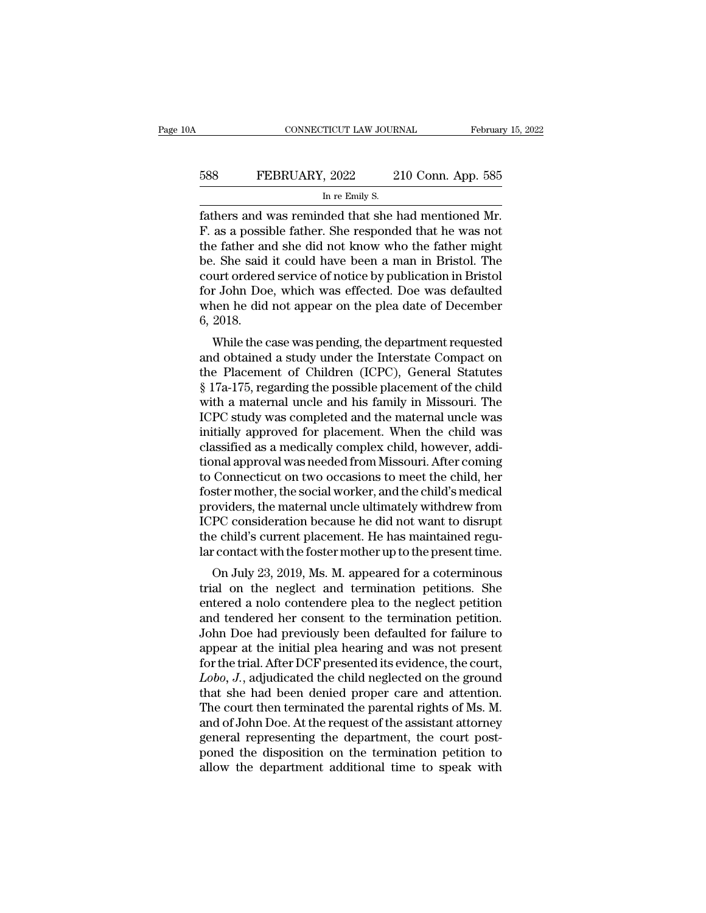# EXECUTE CONNECTICUT LAW JOURNAL February 15, 2022<br>588 FEBRUARY, 2022 210 Conn. App. 585<br>In re Emily S. TICUT LAW JOUR.<br>, 2022 2<br>In re Emily S.<br>Ided that she l

February 15, 2<br>
FEBRUARY, 2022 210 Conn. App. 585<br>
In re Emily S.<br>
Tathers and was reminded that she had mentioned Mr.<br>
F. as a possible father. She responded that he was not<br>
the father and she did not know who the father FEBRUARY, 2022 210 Conn. App. 585<br>
In re Emily S.<br>
Tathers and was reminded that she had mentioned Mr.<br>
F. as a possible father. She responded that he was not<br>
the father and she did not know who the father might<br>
he She s FEBRUARY, 2022 210 Conn. App. 585<br>
In re Emily S.<br>
Tathers and was reminded that she had mentioned Mr.<br>
F. as a possible father. She responded that he was not<br>
the father and she did not know who the father might<br>
be. She EBRUARY, 2022 210 Conn. App. 585<br>
In re Emily S.<br>
fathers and was reminded that she had mentioned Mr.<br>
F. as a possible father. She responded that he was not<br>
the father and she did not know who the father might<br>
be. She s In re Emily S.<br>
In re Emily S.<br>
Fathers and was reminded that she had mentioned Mr.<br>
F. as a possible father. She responded that he was not<br>
the father and she did not know who the father might<br>
be. She said it could have In re Emily S.<br>
fathers and was reminded that she had mentioned Mr.<br>
F. as a possible father. She responded that he was not<br>
the father and she did not know who the father might<br>
be. She said it could have been a man in Br fathers and was reminded that she had mentioned Mr.<br>F. as a possible father. She responded that he was not<br>the father and she did not know who the father might<br>be. She said it could have been a man in Bristol. The<br>court or F. as a possi<br>the father an<br>be. She said<br>court orderee<br>for John Doe<br>when he did<br>6, 2018.<br>While the c E rather and she did not know who the rather hight<br>
She said it could have been a man in Bristol. The<br>
urt ordered service of notice by publication in Bristol<br>
r John Doe, which was effected. Doe was defaulted<br>
nen he did be. She said it could have been a main in Bristol. The<br>court ordered service of notice by publication in Bristol<br>for John Doe, which was effected. Doe was defaulted<br>when he did not appear on the plea date of December<br>6, 20

For John Doe, which was effected. Doe was defaulted<br>when he did not appear on the plea date of December<br>6, 2018.<br>While the case was pending, the department requested<br>and obtained a study under the Interstate Compact on<br>the for John Doe, which was enected. Doe was detailed<br>when he did not appear on the plea date of December<br>6, 2018.<br>While the case was pending, the department requested<br>and obtained a study under the Interstate Compact on<br>the P when he did not appear on the piea date of December<br>6, 2018.<br>While the case was pending, the department requested<br>and obtained a study under the Interstate Compact on<br>the Placement of Children (ICPC), General Statutes<br>§ 17 United the case was pending, the department requested<br>and obtained a study under the Interstate Compact on<br>the Placement of Children (ICPC), General Statutes<br>§ 17a-175, regarding the possible placement of the child<br>with a While the case was pending, the department requested<br>and obtained a study under the Interstate Compact on<br>the Placement of Children (ICPC), General Statutes<br>§ 17a-175, regarding the possible placement of the child<br>with a m and obtained a study under the Interstate Compact on<br>the Placement of Children (ICPC), General Statutes<br>§ 17a-175, regarding the possible placement of the child<br>with a maternal uncle and his family in Missouri. The<br>ICPC st the Placement of Children (ICPC), General Statutes<br>§ 17a-175, regarding the possible placement of the child<br>with a maternal uncle and his family in Missouri. The<br>ICPC study was completed and the maternal uncle was<br>initiall § 17a-175, regarding the possible placement of the child<br>with a maternal uncle and his family in Missouri. The<br>ICPC study was completed and the maternal uncle was<br>initially approved for placement. When the child was<br>classi with a maternal uncle and his family in Missouri. The ICPC study was completed and the maternal uncle was<br>initially approved for placement. When the child was<br>classified as a medically complex child, however, addi-<br>tional ICPC study was completed and the maternal uncle was<br>initially approved for placement. When the child was<br>classified as a medically complex child, however, addi-<br>tional approval was needed from Missouri. After coming<br>to Con initially approved for placement. When the child was<br>classified as a medically complex child, however, addi-<br>tional approval was needed from Missouri. After coming<br>to Connecticut on two occasions to meet the child, her<br>fos classified as a medically complex child, however, additional approval was needed from Missouri. After coming to Connecticut on two occasions to meet the child, her foster mother, the social worker, and the child's medical tional approval was needed from Missouri. After coming<br>to Connecticut on two occasions to meet the child, her<br>foster mother, the social worker, and the child's medical<br>providers, the maternal uncle ultimately withdrew from Connecticut on two occasions to meet the child's medical<br>ster mother, the social worker, and the child's medical<br>oviders, the maternal uncle ultimately withdrew from<br>PC consideration because he did not want to disrupt<br>e ch trial on the maternal uncle ultimately withdrew from<br>ICPC consideration because he did not want to disrupt<br>the child's current placement. He has maintained regu-<br>lar contact with the foster mother up to the present time.<br>O

providers, the material diffice diffinately with<br>the child's current placement. He has maintained regular contact with the foster mother up to the present time.<br>On July 23, 2019, Ms. M. appeared for a coterminous<br>trial on For C consideration because he did not want to disrupt<br>the child's current placement. He has maintained regular<br>contact with the foster mother up to the present time.<br>On July 23, 2019, Ms. M. appeared for a coterminous<br>tri Iar contact with the foster mother up to the present time.<br>On July 23, 2019, Ms. M. appeared for a coterminous<br>trial on the neglect and termination petitions. She<br>entered a nolo contendere plea to the neglect petition<br>and an contact while foster mother up to the present three.<br>
On July 23, 2019, Ms. M. appeared for a coterminous<br>
trial on the neglect and termination petitions. She<br>
entered a nolo contendere plea to the neglect petition<br>
and On July 23, 2019, Ms. M. appeared for a coterminous<br>trial on the neglect and termination petitions. She<br>entered a nolo contendere plea to the neglect petition<br>and tendered her consent to the termination petition.<br>John Doe trial on the neglect and termination petitions. She<br>entered a nolo contendere plea to the neglect petition<br>and tendered her consent to the termination petition.<br>John Doe had previously been defaulted for failure to<br>appear entered a nolo contendere plea to the neglect petition<br>and tendered her consent to the termination petition.<br>John Doe had previously been defaulted for failure to<br>appear at the initial plea hearing and was not present<br>for and tendered her consent to the termination petition.<br>John Doe had previously been defaulted for failure to<br>appear at the initial plea hearing and was not present<br>for the trial. After DCF presented its evidence, the court, John Doe had previously been defaulted for failure to<br>appear at the initial plea hearing and was not present<br>for the trial. After DCF presented its evidence, the court,<br> $Lobo$ , J., adjudicated the child neglected on the grou appear at the initial plea hearing and was not present<br>for the trial. After DCF presented its evidence, the court,<br>*Lobo*, J., adjudicated the child neglected on the ground<br>that she had been denied proper care and attentio for the trial. After DCF presented its evidence, the court,<br>*Lobo*, J., adjudicated the child neglected on the ground<br>that she had been denied proper care and attention.<br>The court then terminated the parental rights of Ms. Lobo, J., adjudicated the child neglected on the ground<br>that she had been denied proper care and attention.<br>The court then terminated the parental rights of Ms. M.<br>and of John Doe. At the request of the assistant attorney<br>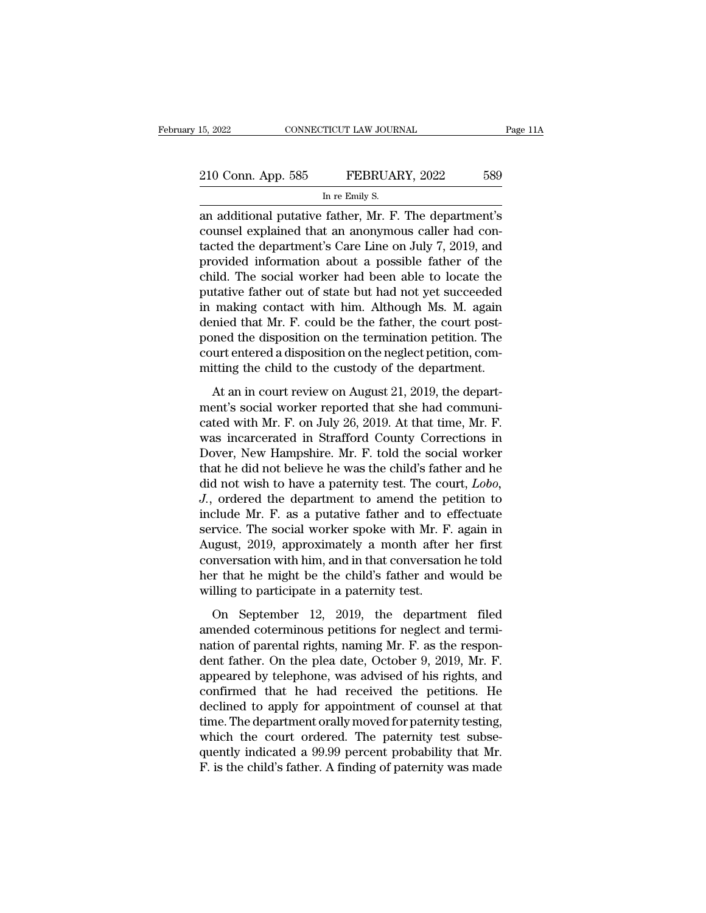| 15, 2022           | CONNECTICUT LAW JOURNAL                                | Page 11A |
|--------------------|--------------------------------------------------------|----------|
|                    |                                                        |          |
| 210 Conn. App. 585 | FEBRUARY, 2022                                         | 589      |
|                    | In re Emily S.                                         |          |
|                    | an additional putative father. Mr. F. The department's |          |

15, 2022 CONNECTICUT LAW JOURNAL Page 11A<br>
210 Conn. App. 585 FEBRUARY, 2022 589<br>
In re Emily S.<br>
an additional putative father, Mr. F. The department's<br>
counsel explained that an anonymous caller had con-210 Conn. App. 585 FEBRUARY, 2022 589<br>
In re Emily S.<br>
an additional putative father, Mr. F. The department's<br>
counsel explained that an anonymous caller had con-<br>
tacted the department's Care Line on July 7, 2019, and<br>
pr 210 Conn. App. 585 FEBRUARY, 2022 589<br>
In re Emily S.<br>
an additional putative father, Mr. F. The department's counsel explained that an anonymous caller had con-<br>
tacted the department's Care Line on July 7, 2019, and<br>
pro 210 Conn. App. 585 FEBRUARY, 2022 589<br>
In re Emily S.<br>
an additional putative father, Mr. F. The department's<br>
counsel explained that an anonymous caller had con-<br>
tacted the department's Care Line on July 7, 2019, and<br>
pr In re Emily S.<br>
In re Emily S.<br>
an additional putative father, Mr. F. The department's<br>
counsel explained that an anonymous caller had con-<br>
tacted the department's Care Line on July 7, 2019, and<br>
provided information abou In re Emily S.<br>
an additional putative father, Mr. F. The department's<br>
counsel explained that an anonymous caller had con-<br>
tacted the department's Care Line on July 7, 2019, and<br>
provided information about a possible fat an additional putative father, Mr. F. The department's<br>counsel explained that an anonymous caller had con-<br>tacted the department's Care Line on July 7, 2019, and<br>provided information about a possible father of the<br>child. T counsel explained that an anonymous caller had con-<br>tacted the department's Care Line on July 7, 2019, and<br>provided information about a possible father of the<br>child. The social worker had been able to locate the<br>putative f tacted the department's Care Line on July 7, 2019, and<br>provided information about a possible father of the<br>child. The social worker had been able to locate the<br>putative father out of state but had not yet succeeded<br>in maki provided information about a possible father of the child. The social worker had been able to locate the putative father out of state but had not yet succeeded in making contact with him. Although Ms. M. again denied that child. The social worker had been able to locate the<br>putative father out of state but had not yet succeeded<br>in making contact with him. Although Ms. M. again<br>denied that Mr. F. could be the father, the court post-<br>poned th making contact with him. Although Ms. M. again<br>mied that Mr. F. could be the father, the court post-<br>med the disposition on the termination petition. The<br>urt entered a disposition on the neglect petition, com-<br>itting the mented that Mr. F. could be the father, the court post-<br>poned the disposition on the termination petition. The<br>court entered a disposition on the neglect petition, com-<br>mitting the child to the custody of the department.<br>A

poned the disposition on the termination petition. The<br>court entered a disposition on the neglect petition, com-<br>mitting the child to the custody of the department.<br>At an in court review on August 21, 2019, the depart-<br>men Fraction court entered a disposition on the neglect petition, committing the child to the custody of the department.<br>At an in court review on August 21, 2019, the department's social worker reported that she had communicat mitting the child to the custody of the department.<br>At an in court review on August 21, 2019, the department's social worker reported that she had communicated with Mr. F. on July 26, 2019. At that time, Mr. F. was incarc At an in court review on August 21, 2019, the depart-<br>ment's social worker reported that she had communi-<br>cated with Mr. F. on July 26, 2019. At that time, Mr. F.<br>was incarcerated in Strafford County Corrections in<br>Dover, At an in court review on August 21, 2019, the depart-<br>ment's social worker reported that she had communi-<br>cated with Mr. F. on July 26, 2019. At that time, Mr. F.<br>was incarcerated in Strafford County Corrections in<br>Dover, ment's social worker reported that she had communicated with Mr. F. on July 26, 2019. At that time, Mr. F.<br>was incarcerated in Strafford County Corrections in<br>Dover, New Hampshire. Mr. F. told the social worker<br>that he did cated with Mr. F. on July 26, 2019. At that time, Mr. F.<br>was incarcerated in Strafford County Corrections in<br>Dover, New Hampshire. Mr. F. told the social worker<br>that he did not believe he was the child's father and he<br>did was incarcerated in Strafford County Corrections in<br>Dover, New Hampshire. Mr. F. told the social worker<br>that he did not believe he was the child's father and he<br>did not wish to have a paternity test. The court, *Lobo*,<br>*J.* Dover, New Hampshire. Mr. F. told the social worker<br>that he did not believe he was the child's father and he<br>did not wish to have a paternity test. The court, *Lobo*,<br>*J.*, ordered the department to amend the petition to<br>i that he did not believe he was the child's father and he<br>did not wish to have a paternity test. The court, *Lobo*,<br>*J.*, ordered the department to amend the petition to<br>include Mr. F. as a putative father and to effectuate did not wish to have a paternity test. The court,  $Lobo$ ,<br> $J$ ., ordered the department to amend the petition to<br>include Mr. F. as a putative father and to effectuate<br>service. The social worker spoke with Mr. F. again in<br>Aug J., ordered the department to amend the poinclude Mr. F. as a putative father and to eservice. The social worker spoke with Mr. F. August, 2019, approximately a month after conversation with him, and in that conversation rvice. The social worker spoke with Mr. F. again in<br>ugust, 2019, approximately a month after her first<br>nversation with him, and in that conversation he told<br>r that he might be the child's father and would be<br>lling to part August, 2019, approximately a month after her first<br>conversation with him, and in that conversation he told<br>her that he might be the child's father and would be<br>willing to participate in a paternity test.<br>On September 12,

nation of parental rights, and in that conversation he told<br>her that he might be the child's father and would be<br>willing to participate in a paternity test.<br>On September 12, 2019, the department filed<br>amended coterminous p her that he might be the child's father and would be<br>willing to participate in a paternity test.<br>On September 12, 2019, the department filed<br>amended coterminous petitions for neglect and termi-<br>nation of parental rights, n willing to participate in a paternity test.<br>
On September 12, 2019, the department filed<br>
amended coterminous petitions for neglect and termi-<br>
nation of parental rights, naming Mr. F. as the respon-<br>
dent father. On the p On September 12, 2019, the department filed<br>amended coterminous petitions for neglect and termi-<br>nation of parental rights, naming Mr. F. as the respon-<br>dent father. On the plea date, October 9, 2019, Mr. F.<br>appeared by t On September 12, 2019, the department filed<br>amended coterminous petitions for neglect and termi-<br>nation of parental rights, naming Mr. F. as the respon-<br>dent father. On the plea date, October 9, 2019, Mr. F.<br>appeared by t amended coterminous petitions for neglect and termination of parental rights, naming Mr. F. as the respondent father. On the plea date, October 9, 2019, Mr. F. appeared by telephone, was advised of his rights, and confirme nation of parental rights, naming Mr. F. as the respondent father. On the plea date, October 9, 2019, Mr. F. appeared by telephone, was advised of his rights, and confirmed that he had received the petitions. He declined t dent father. On the plea date, October 9, 2019, Mr. F.<br>appeared by telephone, was advised of his rights, and<br>confirmed that he had received the petitions. He<br>declined to apply for appointment of counsel at that<br>time. The d appeared by telephone, was advised of his rights, and confirmed that he had received the petitions. He declined to apply for appointment of counsel at that time. The department orally moved for paternity testing, which the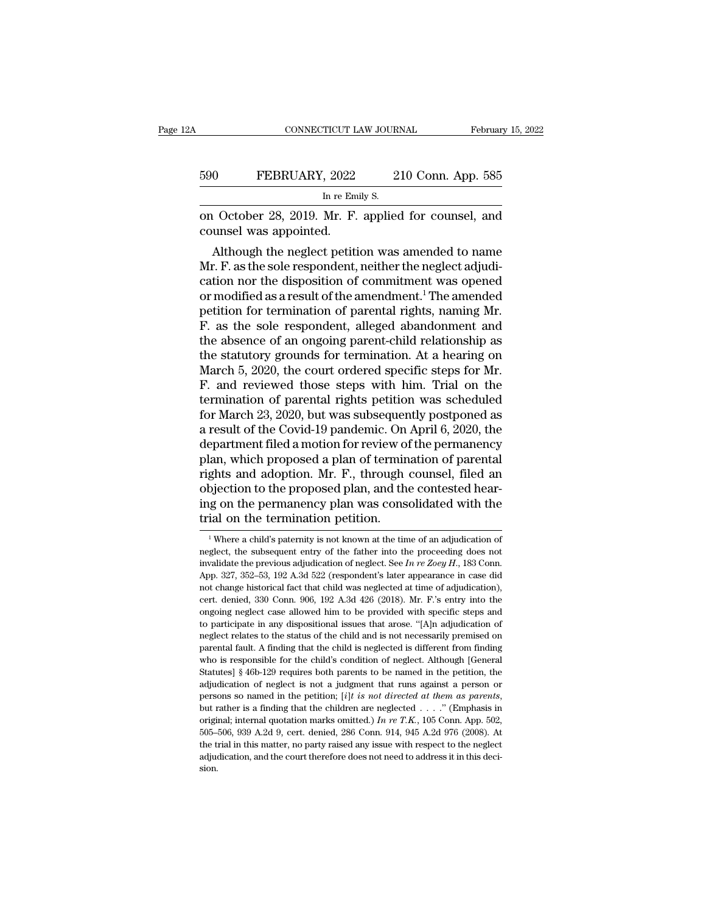|     | CONNECTICUT LAW JOURNAL                                                        | February 15, 2022  |
|-----|--------------------------------------------------------------------------------|--------------------|
| 590 | FEBRUARY, 2022                                                                 | 210 Conn. App. 585 |
|     | In re Emily S.                                                                 |                    |
|     | on October 28, 2019. Mr. F. applied for counsel, and<br>counsel was appointed. |                    |
|     | Although the neglect petition was amended to name                              |                    |

O FEBRUARY, 2022 210 Conn. App. 585<br>
In re Emily S.<br>
1 October 28, 2019. Mr. F. applied for counsel, and<br>
unsel was appointed.<br>
Although the neglect petition was amended to name<br>
r. F. as the sole respondent, neither the n  $590$  FEBRUARY, 2022 210 Conn. App. 585<br>
In re Emily S.<br>
on October 28, 2019. Mr. F. applied for counsel, and<br>
counsel was appointed.<br>
Although the neglect petition was amended to name<br>
Mr. F. as the sole respondent, neit In re Emily S.<br>
on October 28, 2019. Mr. F. applied for counsel, and<br>
counsel was appointed.<br>
Although the neglect petition was amended to name<br>
Mr. F. as the sole respondent, neither the neglect adjudi-<br>
cation nor the d on October 28, 2019. Mr. F. applied for counsel, and<br>counsel was appointed.<br>Although the neglect petition was amended to name<br>Mr. F. as the sole respondent, neither the neglect adjudi-<br>cation nor the disposition of commitm on October 28, 2019. Mr. F. applied for counsel, and<br>counsel was appointed.<br>Although the neglect petition was amended to name<br>Mr. F. as the sole respondent, neither the neglect adjudi-<br>cation nor the disposition of commitm counser was appointed.<br>
Although the neglect petition was amended to name<br>
Mr. F. as the sole respondent, neither the neglect adjudi-<br>
cation nor the disposition of commitment was opened<br>
or modified as a result of the ame Although the neglect petition was amended to name<br>Mr. F. as the sole respondent, neither the neglect adjudi-<br>cation nor the disposition of commitment was opened<br>or modified as a result of the amendment.<sup>1</sup> The amended<br>pet Mr. F. as the sole respondent, neither the neglect adjudication nor the disposition of commitment was opened<br>or modified as a result of the amendment.<sup>1</sup> The amended<br>petition for termination of parental rights, naming Mr.<br> cation nor the disposition of commitment was opened<br>or modified as a result of the amendment.<sup>1</sup> The amended<br>petition for termination of parental rights, naming Mr.<br>F. as the sole respondent, alleged abandonment and<br>the ab or modified as a result of the amendment.<sup>1</sup> The amended<br>petition for termination of parental rights, naming Mr.<br>F. as the sole respondent, alleged abandonment and<br>the absence of an ongoing parent-child relationship as<br>the petition for termination of parental rights, naming Mr.<br>F. as the sole respondent, alleged abandonment and<br>the absence of an ongoing parent-child relationship as<br>the statutory grounds for termination. At a hearing on<br>March F. as the sole respondent, alleged abandonment and<br>the absence of an ongoing parent-child relationship as<br>the statutory grounds for termination. At a hearing on<br>March 5, 2020, the court ordered specific steps for Mr.<br>F. an the absence of an ongoing parent-child relationship as<br>the statutory grounds for termination. At a hearing on<br>March 5, 2020, the court ordered specific steps for Mr.<br>F. and reviewed those steps with him. Trial on the<br>termi the statutory grounds for termination. At a hearing on<br>March 5, 2020, the court ordered specific steps for Mr.<br>F. and reviewed those steps with him. Trial on the<br>termination of parental rights petition was scheduled<br>for Ma March 5, 2020, the court ordered specific steps for Mr.<br>F. and reviewed those steps with him. Trial on the<br>termination of parental rights petition was scheduled<br>for March 23, 2020, but was subsequently postponed as<br>a resul F. and reviewed those steps with him. Trial on the<br>termination of parental rights petition was scheduled<br>for March 23, 2020, but was subsequently postponed as<br>a result of the Covid-19 pandemic. On April 6, 2020, the<br>depart termination of parental rights petition was scheduled<br>for March 23, 2020, but was subsequently postponed as<br>a result of the Covid-19 pandemic. On April 6, 2020, the<br>department filed a motion for review of the permanency<br>pl for March 23, 2020, but was subsequently postponed as<br>a result of the Covid-19 pandemic. On April 6, 2020, the<br>department filed a motion for review of the permanency<br>plan, which proposed a plan of termination of parental<br>r a result of the Covid-19 pandemic. On<br>department filed a motion for review of<br>plan, which proposed a plan of termin<br>rights and adoption. Mr. F., through<br>objection to the proposed plan, and the<br>ing on the permanency plan wa ghts and adoption. Mr. F., through counsel, filed an bjection to the proposed plan, and the contested hear-<br>g on the permanency plan was consolidated with the ial on the termination petition.<br><sup>1</sup>Where a child's paternity i objection to the proposed plan, and the contested hearing on the permanency plan was consolidated with the trial on the termination petition.<br> $\frac{1}{1}$  Where a child's paternity is not known at the time of an adjudication

ing on the permanency plan was consolidated with the<br>trial on the termination petition.<br><sup>1</sup>Where a child's paternity is not known at the time of an adjudication of<br>neglect, the subsequent entry of the father into the proce Apple 17 The termination petition.<br>
The termination petition.<br>
The state of an adjudication of neglect, the subsequent entry of the father into the proceeding does not invalidate the previous adjudication of neglect. See <sup>1</sup> Where a child's paternity is not known at the time of an adjudication of neglect, the subsequent entry of the father into the proceeding does not invalidate the previous adjudication of neglect. See *In re Zoey H.*, 1 <sup>1</sup> Where a child's paternity is not known at the time of an adjudication of neglect, the subsequent entry of the father into the proceeding does not invalidate the previous adjudication of neglect. See  $In re Zoey H$ , 183 Conn. neglect, the subsequent entry of the father into the proceeding does not<br>invalidate the previous adjudication of neglect. See *In re Zoey H.*, 183 Conn.<br>App. 327, 352–53, 192 A.3d 522 (respondent's later appearance in cas they dured the previous adjudication of neglect. See *In re Zoey H.*, 183 Conn.<br>App. 327, 352–53, 192 A.3d 522 (respondent's later appearance in case did<br>not change historical fact that child was neglected at time of adju App. 327, 352–53, 192 A.3d 522 (respondent's later appearance in case did<br>not change historical fact that child was neglected at time of adjudication),<br>cert. denied, 330 Conn. 906, 192 A.3d 426 (2018). Mr. F's entry into t reprise that fault and that child was neglected at time of adjudication), cert, denied, 330 Conn. 906, 192 A.3d 426 (2018). Mr. F.'s entry into the ongoing neglect case allowed him to be provided with specific steps and to cert. denied, 330 Conn. 906, 192 A.3d 426 (2018). Mr. F.'s entry into the ongoing neglect case allowed him to be provided with specific steps and to participate in any dispositional issues that arose. "[A]n adjudication of ongoing neglect case allowed him to be provided with specific steps and to participate in any dispositional issues that arose. "[A]n adjudication of neglect relates to the status of the child and is not necessarily premise ato participate in any dispositional issues that arose. "[A]n adjudication of neglect relates to the status of the child and is not necessarily premised on parental fault. A finding that the child is neglected is differen persons so named in the child and is not necessarily premised on parental fault. A finding that the child is neglected is different from finding who is responsible for the child's condition of neglect. Although [General St who is responsible for the child's condition of neglect. Although [General Statutes]  $\S$  46b-129 requires both parents to be named in the petition, the adjudication of neglect is not a judgment that runs against a person Statutes] § 46b-129 requires both parents to be named in the petition, the adjudication of neglect is not a judgment that runs against a person or persons so named in the petition; [*i*]*t is not directed at them as paren* adjudication of neglect is not a judgment that runs against a person or persons so named in the petition; [i]t is not directed at them as parents, sion.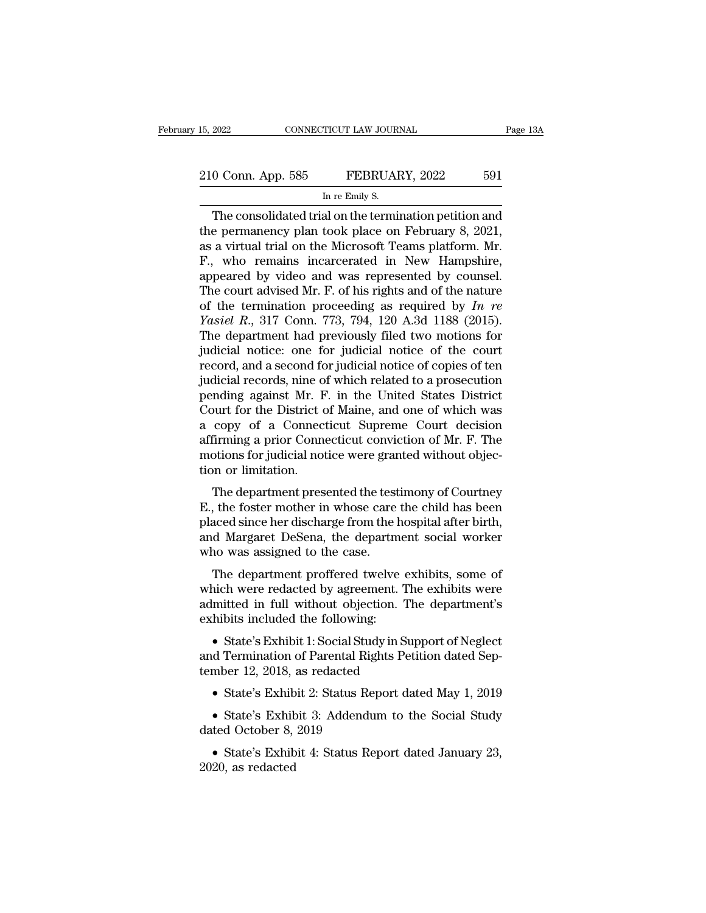The consolidated trial on the termination petition and<br>
The consolidated trial on the termination petition and<br>
The consolidated trial on the termination petition and<br>
the permanency plan took place on February 8, 2021,<br>
a 210 Conn. App. 585 FEBRUARY, 2022 591<br>
In re Emily S.<br>
The consolidated trial on the termination petition and<br>
the permanency plan took place on February 8, 2021,<br>
as a virtual trial on the Microsoft Teams platform. Mr. 210 Conn. App. 585 FEBRUARY, 2022 591<br>
In re Emily S.<br>
The consolidated trial on the termination petition and<br>
the permanency plan took place on February 8, 2021,<br>
as a virtual trial on the Microsoft Teams platform. Mr.<br>
F 210 Conn. App. 585 FEBRUARY, 2022 591<br>
In re Emily S.<br>
The consolidated trial on the termination petition and<br>
the permanency plan took place on February 8, 2021,<br>
as a virtual trial on the Microsoft Teams platform. Mr.<br> IN TRENDING TO SULTER THE SULTER TREET TO SULTER THE CONSIDENTS OF THE CONSIDERED AND THE PERMIT OF PERMIT AS a virtual trial on the Microsoft Teams platform. Mr.<br>F., who remains incarcerated in New Hampshire, appeared by The consolidated trial on the termination petition and<br>the permanency plan took place on February 8, 2021,<br>as a virtual trial on the Microsoft Teams platform. Mr.<br>F., who remains incarcerated in New Hampshire,<br>appeared by The consolidated trial on the termination petition and<br>the permanency plan took place on February 8, 2021,<br>as a virtual trial on the Microsoft Teams platform. Mr.<br>F., who remains incarcerated in New Hampshire,<br>appeared by the permanency plan took place on February 8, 2021,<br>as a virtual trial on the Microsoft Teams platform. Mr.<br>F., who remains incarcerated in New Hampshire,<br>appeared by video and was represented by counsel.<br>The court advised as a virtual trial on the Microsoft Teams platform. Mr.<br>F., who remains incarcerated in New Hampshire,<br>appeared by video and was represented by counsel.<br>The court advised Mr. F. of his rights and of the nature<br>of the term F., who remains incarcerated in New Hampshire,<br>appeared by video and was represented by counsel.<br>The court advised Mr. F. of his rights and of the nature<br>of the termination proceeding as required by  $In$  re<br>Yasiel R., 317 appeared by video and was represented by counsel.<br>The court advised Mr. F. of his rights and of the nature<br>of the termination proceeding as required by  $In$  re<br>Yasiel R., 317 Conn. 773, 794, 120 A.3d 1188 (2015).<br>The depar The court advised Mr. F. of his rights and of the nature<br>of the termination proceeding as required by  $In$  re<br> $Yasiel$   $R$ , 317 Conn. 773, 794, 120 A.3d 1188 (2015).<br>The department had previously filed two motions for<br>judicia of the termination proceeding as required by  $In$   $re$ <br>  $Yasiel$   $R$ , 317 Conn. 773, 794, 120 A.3d 1188 (2015).<br>
The department had previously filed two motions for<br>
judicial notice: one for judicial notice of the court<br>
recor *Yasiel R.*, 317 Conn. 773, 794, 120 A.3d 1188 (2015).<br>The department had previously filed two motions for<br>judicial notice: one for judicial notice of the court<br>record, and a second for judicial notice of copies of ten<br>ju The department had previously filed two motions for<br>judicial notice: one for judicial notice of the court<br>record, and a second for judicial notice of copies of ten<br>judicial records, nine of which related to a prosecution<br>p judicial notice: one for judicial notice of the court<br>record, and a second for judicial notice of copies of ten<br>judicial records, nine of which related to a prosecution<br>pending against Mr. F. in the United States District<br> record, and a second for judicial notice of copies of ten<br>judicial records, nine of which related to a prosecution<br>pending against Mr. F. in the United States District<br>Court for the District of Maine, and one of which was<br> judicial records, nine o<br>pending against Mr. F<br>Court for the District c<br>a copy of a Connec<br>affirming a prior Conne<br>motions for judicial not<br>tion or limitation.<br>The department pres The department presented the testimony of Court bases of the District of Maine, and one of which was copy of a Connecticut Supreme Court decision firming a prior Connecticut conviction of Mr. F. The otions for judicial not Court for the District of Malile, and one of Which was<br>a copy of a Connecticut Supreme Court decision<br>affirming a prior Connecticut conviction of Mr. F. The<br>motions for judicial notice were granted without objec-<br>tion or l

a copy of a connecticut supreme court decision<br>affirming a prior Connecticut conviction of Mr. F. The<br>motions for judicial notice were granted without objec-<br>tion or limitation.<br>The department presented the testimony of Co and Margaret DeSena, the department social worker who was assigned to the case.<br>The department presented the testimony of Courtney<br>E., the foster mother in whose care the child has been<br>placed since her discharge from the motions for judicial notice were grafion or limitation.<br>The department presented the test<br>E., the foster mother in whose care<br>placed since her discharge from the l<br>and Margaret DeSena, the departm<br>who was assigned to the c The department presented the testimony of Courtney<br>, the foster mother in whose care the child has been<br>aced since her discharge from the hospital after birth,<br>d Margaret DeSena, the department social worker<br>no was assigne The department presented the testimoly of Courtney<br>E., the foster mother in whose care the child has been<br>placed since her discharge from the hospital after birth,<br>and Margaret DeSena, the department social worker<br>who was

E., the foster mother in whose care the child has been<br>placed since her discharge from the hospital after birth,<br>and Margaret DeSena, the department social worker<br>who was assigned to the case.<br>The department proffered twel placed since her discharge from the hospital arter of thi,<br>and Margaret DeSena, the department social worker<br>who was assigned to the case.<br>The department proffered twelve exhibits, some of<br>which were redacted by agreement. The department proffered twelve exhibits, some of<br>which were redacted by agreement. The exhibits were<br>admitted in full without objection. The department's<br>exhibits included the following:<br>• State's Exhibit 1: Social Study The department profiered twerve exhibits which were redacted by agreement. The admitted in full without objection. The exhibits included the following:<br>• State's Exhibit 1: Social Study in Suppand Termination of Parental R

mitted in full without objection. The department's<br>
hibits included the following:<br>
• State's Exhibit 1: Social Study in Support of Neglect<br>
d Termination of Parental Rights Petition dated Sep-<br>
mber 12, 2018, as redacted<br> • State's Exhibit 1: Social Study in Support of Neglect<br>d Termination of Parental Rights Petition dated Sep-<br>mber 12, 2018, as redacted<br>• State's Exhibit 2: Status Report dated May 1, 2019<br>• State's Exhibit 3: Addendum to  $\begin{tabular}{ll} \bullet \quad \text{State's Exhibit 1: Social Stud} \\ \bullet \quad \text{Termination of Parental Rig} \\ \bullet \quad \text{State's Exhibit 2: Status Rep} \\ \bullet \quad \text{State's Exhibit 3: Addendu} \\ \bullet \quad \text{State's Exhibit 3: Addendu} \\ \bullet \quad \text{State's Exhibit 4: Status Rep} \\ \bullet \quad \text{State's Exhibit 4: Status Rep} \\ \end{tabular}$ 

Fernination of 1 afenda Rights 1 ention dated Sep-<br>
• State's Exhibit 2: Status Report dated May 1, 2019<br>
• State's Exhibit 3: Addendum to the Social Study<br>
ted October 8, 2019<br>
• State's Exhibit 4: Status Report dated Jan

• State's Exhib<br>• State's Exhib<br>dated October 8,<br>• State's Exhib<br>2020, as redacted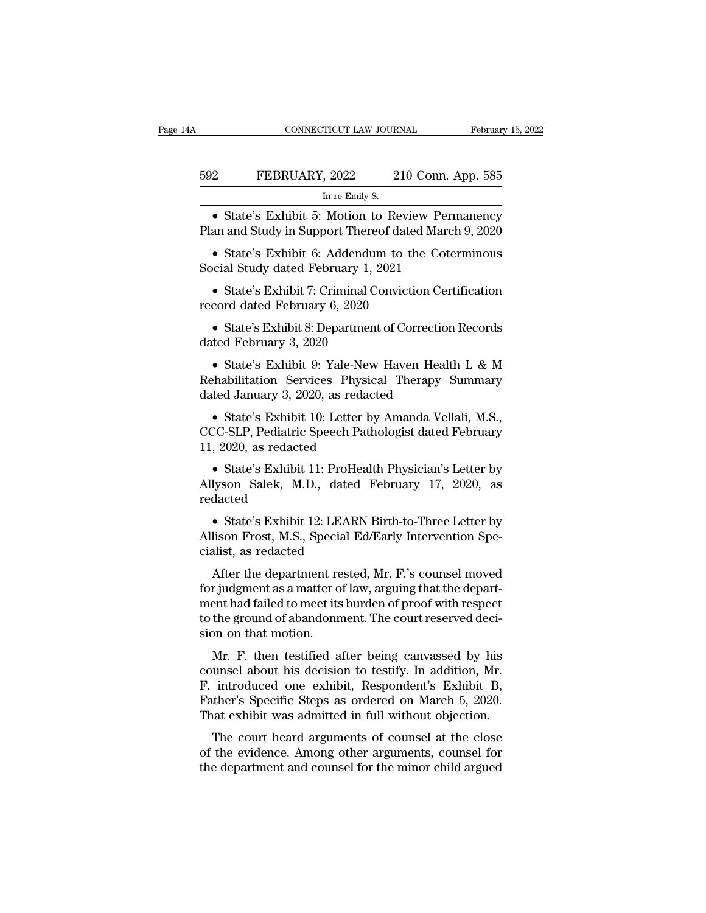| A   | CONNECTICUT LAW JOURNAL                                                                                   |                    | February 15, 2022 |
|-----|-----------------------------------------------------------------------------------------------------------|--------------------|-------------------|
| 592 | FEBRUARY, 2022                                                                                            | 210 Conn. App. 585 |                   |
|     | In re Emily S.                                                                                            |                    |                   |
|     | • State's Exhibit 5: Motion to Review Permanency<br>Plan and Study in Support Thereof dated March 9, 2020 |                    |                   |
|     | • State's Exhibit 6: Addendum to the Coterminous<br>Social Study dated February 1, 2021                   |                    |                   |
|     | • State's Exhibit $7:$ Criminal Conviction Certification                                                  |                    |                   |

In re Emily S.<br>
• State's Exhibit 5: Motion to Review Permanency<br>
an and Study in Support Thereof dated March 9, 2020<br>
• State's Exhibit 6: Addendum to the Coterminous<br>
ocial Study dated February 1, 2021<br>
• State's Exhibit • State's Exhibit 5: Motion to Review<br>Plan and Study in Support Thereof dated<br>• State's Exhibit 6: Addendum to the<br>Social Study dated February 1, 2021<br>• State's Exhibit 7: Criminal Conviction<br>record dated February 6, 2020

- State's Exhibit 6: Addendum<br>
Social Study dated February 1, 20<br>
- State's Exhibit 7: Criminal Co<br>
record dated February 6, 2020<br>
- State's Exhibit 8: Department dated February 3, 2020<br>
- State's Exhibit 9: Yale-New 1

• State's Exhibit 6: Addendum to the Coterminous<br>
cial Study dated February 1, 2021<br>
• State's Exhibit 7: Criminal Conviction Certification<br>
cord dated February 6, 2020<br>
• State's Exhibit 8: Department of Correction Recor

• State's Exhibit 7: Criminal Conviction Certification<br>
cord dated February 6, 2020<br>
• State's Exhibit 8: Department of Correction Records<br>
ted February 3, 2020<br>
• State's Exhibit 9: Yale-New Haven Health L & M<br>
habilitat • State's Exhibit 7: Criminal Conviction Certification<br>record dated February 6, 2020<br>• State's Exhibit 8: Department of Correction Records<br>dated February 3, 2020<br>• State's Exhibit 9: Yale-New Haven Health L & M<br>Rehabilita • State's Exhibit 8: Department of Correction<br>dated February 3, 2020<br>• State's Exhibit 9: Yale-New Haven Healt<br>Rehabilitation Services Physical Therapy S<br>dated January 3, 2020, as redacted<br>• State's Exhibit 10: Letter by A • State's Exhibit 8: Department of Correction Records<br>ted February 3, 2020<br>• State's Exhibit 9: Yale-New Haven Health L & M<br>habilitation Services Physical Therapy Summary<br>ted January 3, 2020, as redacted<br>• State's Exhibit dated February 3, 2020<br>
• State's Exhibit 9: Yale-New Haven Health L & M<br>
Rehabilitation Services Physical Therapy Summary<br>
dated January 3, 2020, as redacted<br>
• State's Exhibit 10: Letter by Amanda Vellali, M.S.,<br>
CCC-SLP • State's Exhibit 9: Yale-New<br>Rehabilitation Services Physics<br>dated January 3, 2020, as redact<br>• State's Exhibit 10: Letter by<br>CCC-SLP, Pediatric Speech Path<br>11, 2020, as redacted<br>• State's Exhibit 11: ProHealth

• State's Exhibit 10: Letter by Amanda Vellali, M.S.,<br>
• State's Exhibit 10: Letter by Amanda Vellali, M.S.,<br>
CC-SLP, Pediatric Speech Pathologist dated February<br>
• State's Exhibit 11: ProHealth Physician's Letter by<br>
Jyso

dated January 3, 2020, as redacted<br>
• State's Exhibit 10: Letter by Amanda Vellali, M.S.,<br>
CCC-SLP, Pediatric Speech Pathologist dated February<br>
11, 2020, as redacted<br>
• State's Exhibit 11: ProHealth Physician's Letter by<br> redacted CC-SLP, Pediatric Speech Pathologist dated February<br>
, 2020, as redacted<br>
• State's Exhibit 11: ProHealth Physician's Letter by<br>
lyson Salek, M.D., dated February 17, 2020, as<br>
dacted<br>
• State's Exhibit 12: LEARN Birth-to-

11, 2020, as redacted<br>
• State's Exhibit 11: ProHealth Physician's Letter by<br>
Allyson Salek, M.D., dated February 17, 2020, as<br>
redacted<br>
• State's Exhibit 12: LEARN Birth-to-Three Letter by<br>
Allison Frost, M.S., Special • State's Exhibit 11: ProHea<br>Allyson Salek, M.D., dated<br>redacted<br>• State's Exhibit 12: LEARN<br>Allison Frost, M.S., Special Ed<br>cialist, as redacted<br>After the department rested lyson Salek, M.D., dated February 17, 2020, as<br>dacted<br>• State's Exhibit 12: LEARN Birth-to-Three Letter by<br>lison Frost, M.S., Special Ed/Early Intervention Spe-<br>alist, as redacted<br>After the department rested, Mr. F.'s coun

redacted<br>
• State's Exhibit 12: LEARN Birth-to-Three Letter by<br>
Allison Frost, M.S., Special Ed/Early Intervention Specialist, as redacted<br>
After the department rested, Mr. F.'s counsel moved<br>
for judgment as a matter of l • State's Exhibit 12: LEARN Birth-to-Three Letter by<br>Allison Frost, M.S., Special Ed/Early Intervention Specialist, as redacted<br>After the department rested, Mr. F.'s counsel moved<br>for judgment as a matter of law, arguing t • State's Exhibit 12. EEARN Birli-to-Tifree Eetter by Allison Frost, M.S., Special Ed/Early Intervention Specialist, as redacted<br>After the department rested, Mr. F.'s counsel moved<br>for judgment as a matter of law, arguing Allison Prost, M.S., Specialist, as redacted<br>After the department refor judgment as a matter of<br>ment had failed to meet its<br>to the ground of abandonn<br>sion on that motion.<br>Mr. F. then testified a After the department rested, Mr. F.'s counsel moved<br>r judgment as a matter of law, arguing that the depart-<br>ent had failed to meet its burden of proof with respect<br>the ground of abandonment. The court reserved deci-<br>on on For judgment as a matter of law, arguing that the department had failed to meet its burden of proof with respect<br>to the ground of abandonment. The court reserved decision on that motion.<br>Mr. F. then testified after being c

For judgment as a matter of law, arguing that the department had failed to meet its burden of proof with respect<br>to the ground of abandonment. The court reserved decision on that motion.<br>Mr. F. then testified after being c Fracture of the ground of abandonment. The court reserved decision on that motion.<br>
Mr. F. then testified after being canvassed by his<br>
counsel about his decision to testify. In addition, Mr.<br>
F. introduced one exhibit, Re to the ground of abandomment. The court reserved decision on that motion.<br>
Mr. F. then testified after being canvassed by his<br>
counsel about his decision to testify. In addition, Mr.<br>
F. introduced one exhibit, Respondent' Mr. F. then testified after being canvassed by his<br>unsel about his decision to testify. In addition, Mr.<br>introduced one exhibit, Respondent's Exhibit B,<br>ther's Specific Steps as ordered on March 5, 2020.<br>at exhibit was adm MI. P. then testined after being canvassed by his<br>counsel about his decision to testify. In addition, Mr.<br>F. introduced one exhibit, Respondent's Exhibit B,<br>Father's Specific Steps as ordered on March 5, 2020.<br>That exhibit F. introduced one exhibit, Respondent's Exhibit B,<br>Father's Specific Steps as ordered on March 5, 2020.<br>That exhibit was admitted in full without objection.<br>The court heard arguments of counsel at the close<br>of the evidence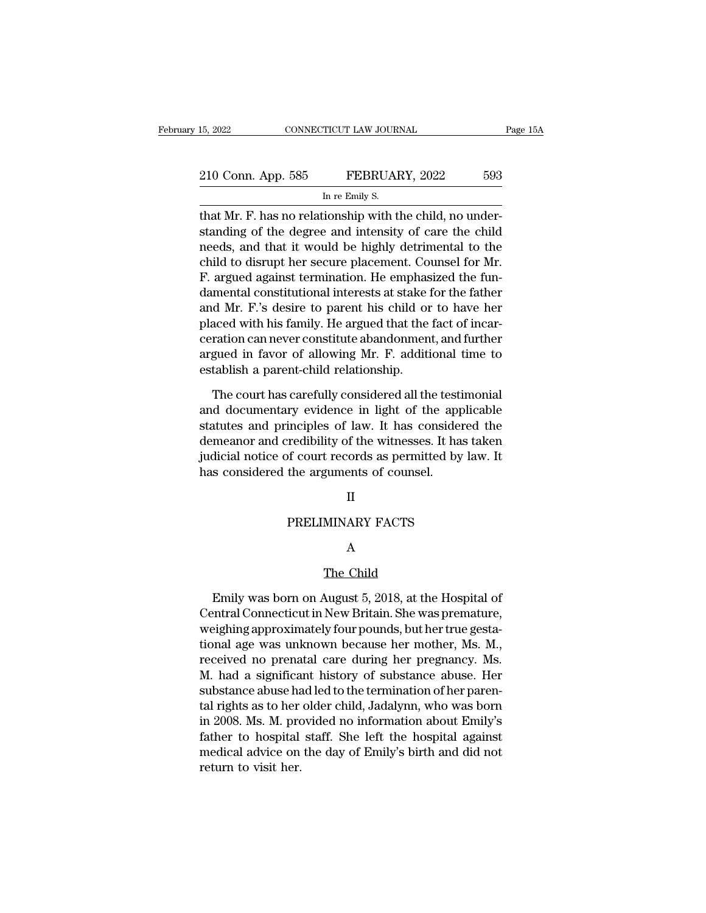| 15, 2022           | CONNECTICUT LAW JOURNAL                                | Page 15A |
|--------------------|--------------------------------------------------------|----------|
| 210 Conn. App. 585 | FEBRUARY, 2022                                         | 593      |
|                    | In re Emily S.                                         |          |
|                    | that Mr F has no relationship with the child no under- |          |

the 15, 2022<br>
16, 2022 CONNECTICUT LAW JOURNAL<br>
210 Conn. App. 585 FEBRUARY, 2022 593<br>
10 The Emily S.<br>
10 That Mr. F. has no relationship with the child, no under-<br>
10 Standing of the degree and intensity of care the chil 210 Conn. App. 585 FEBRUARY, 2022 593<br>
In re Emily S.<br>
that Mr. F. has no relationship with the child, no understanding of the degree and intensity of care the child<br>
needs, and that it would be highly detrimental to the<br> 210 Conn. App. 585 FEBRUARY, 2022 593<br>
In re Emily S.<br>
that Mr. F. has no relationship with the child, no understanding of the degree and intensity of care the child<br>
needs, and that it would be highly detrimental to the<br> 210 Conn. App. 585 FEBRUARY, 2022 593<br>
In re Emily S.<br>
that Mr. F. has no relationship with the child, no under-<br>
standing of the degree and intensity of care the child<br>
needs, and that it would be highly detrimental to th In re Emily S.<br>
In re Emily S.<br>
that Mr. F. has no relationship with the child, no under-<br>
standing of the degree and intensity of care the child<br>
needs, and that it would be highly detrimental to the<br>
child to disrupt he In re Enliny S.<br>
That Mr. F. has no relationship with the child, no understanding of the degree and intensity of care the child<br>
needs, and that it would be highly detrimental to the<br>
child to disrupt her secure placement. that Mr. F. has no relationship with the child, no understanding of the degree and intensity of care the child<br>needs, and that it would be highly detrimental to the<br>child to disrupt her secure placement. Counsel for Mr.<br>F. standing of the degree and intensity of care the child<br>needs, and that it would be highly detrimental to the<br>child to disrupt her secure placement. Counsel for Mr.<br>F. argued against termination. He emphasized the fun-<br>dame needs, and that it would be highly detrimental to the<br>child to disrupt her secure placement. Counsel for Mr.<br>F. argued against termination. He emphasized the fun-<br>damental constitutional interests at stake for the father<br>a child to disrupt her secure placement. Counsel for Mr.<br>F. argued against termination. He emphasized the fun-<br>damental constitutional interests at stake for the father<br>and Mr. F.'s desire to parent his child or to have her<br> F. argued against termination. He emphasedamental constitutional interests at stake is and Mr. F.'s desire to parent his child or placed with his family. He argued that the ceration can never constitute abandonmen argued i d Mr. F.'s desire to parent his child or to have her<br>aced with his family. He argued that the fact of incar-<br>ration can never constitute abandonment, and further<br>gued in favor of allowing Mr. F. additional time to<br>tablish placed with his family. He argued that the fact of incar-<br>ceration can never constitute abandonment, and further<br>argued in favor of allowing Mr. F. additional time to<br>establish a parent-child relationship.<br>The court has ca

ceration can never constitute abandonment, and further<br>argued in favor of allowing Mr. F. additional time to<br>establish a parent-child relationship.<br>The court has carefully considered all the testimonial<br>and documentary evi argued in favor of allowing Mr. F. additional time to<br>establish a parent-child relationship.<br>The court has carefully considered all the testimonial<br>and documentary evidence in light of the applicable<br>statutes and principle establish a parent-child relationship.<br>The court has carefully considered all the testimonial<br>and documentary evidence in light of the applicable<br>statutes and principles of law. It has considered the<br>demeanor and credibili The court has carefully considered all the test<br>and documentary evidence in light of the app<br>statutes and principles of law. It has conside<br>demeanor and credibility of the witnesses. It ha<br>judicial notice of court records methers of faw. It has considered<br>redibility of the witnesses. It has take of court records as permitted by la<br>the arguments of counsel.<br>II<br>PRELIMINARY FACTS

### II

### A

II<br>MINARY FACTS<br>A<br>The Child<br>August 5, 2018, at the PRELIMINARY FACTS<br>
A<br>
The Child<br>
Emily was born on August 5, 2018, at the Hospital of<br>
entral Connecticut in New Britain. She was premature,<br>
picking approximately four pounds, but bortwo gosts PRELIMINARY FACTS<br>
A<br>
The Child<br>
Emily was born on August 5, 2018, at the Hospital of<br>
Central Connecticut in New Britain. She was premature,<br>
weighing approximately four pounds, but her true gesta-<br>
tional age was unknown A<br>
The Child<br>
Emily was born on August 5, 2018, at the Hospital of<br>
Central Connecticut in New Britain. She was premature,<br>
weighing approximately four pounds, but her true gesta-<br>
tional age was unknown because her mother The Child<br>
The Child<br>
Emily was born on August 5, 2018, at the Hospital of<br>
Central Connecticut in New Britain. She was premature,<br>
weighing approximately four pounds, but her true gesta-<br>
tional age was unknown because he The Child<br>Emily was born on August 5, 2018, at the Hospital of<br>Central Connecticut in New Britain. She was premature,<br>weighing approximately four pounds, but her true gesta-<br>tional age was unknown because her mother, Ms. M Emily was born on August 5, 2018, at the Hospital of<br>Central Connecticut in New Britain. She was premature,<br>weighing approximately four pounds, but her true gesta-<br>tional age was unknown because her mother, Ms. M.,<br>receive Emily was born on August 5, 2018, at the Hospital of<br>Central Connecticut in New Britain. She was premature,<br>weighing approximately four pounds, but her true gesta-<br>tional age was unknown because her mother, Ms. M.,<br>receive Central Connecticut in New Britain. She was premature,<br>weighing approximately four pounds, but her true gesta-<br>tional age was unknown because her mother, Ms. M.,<br>received no prenatal care during her pregnancy. Ms.<br>M. had a weighing approximately four pounds, but her true gesta-<br>tional age was unknown because her mother, Ms. M.,<br>received no prenatal care during her pregnancy. Ms.<br>M. had a significant history of substance abuse. Her<br>substance tional age was unknown because her mother, Ms. M.,<br>received no prenatal care during her pregnancy. Ms.<br>M. had a significant history of substance abuse. Her<br>substance abuse had led to the termination of her paren-<br>tal right received no prenatal care during her pregnancy. Ms.<br>M. had a significant history of substance abuse. Her<br>substance abuse had led to the termination of her paren-<br>tal rights as to her older child, Jadalynn, who was born<br>in M. had a significa<br>substance abuse ha<br>tal rights as to her<br>in 2008. Ms. M. pro<br>father to hospital<br>medical advice on<br>return to visit her.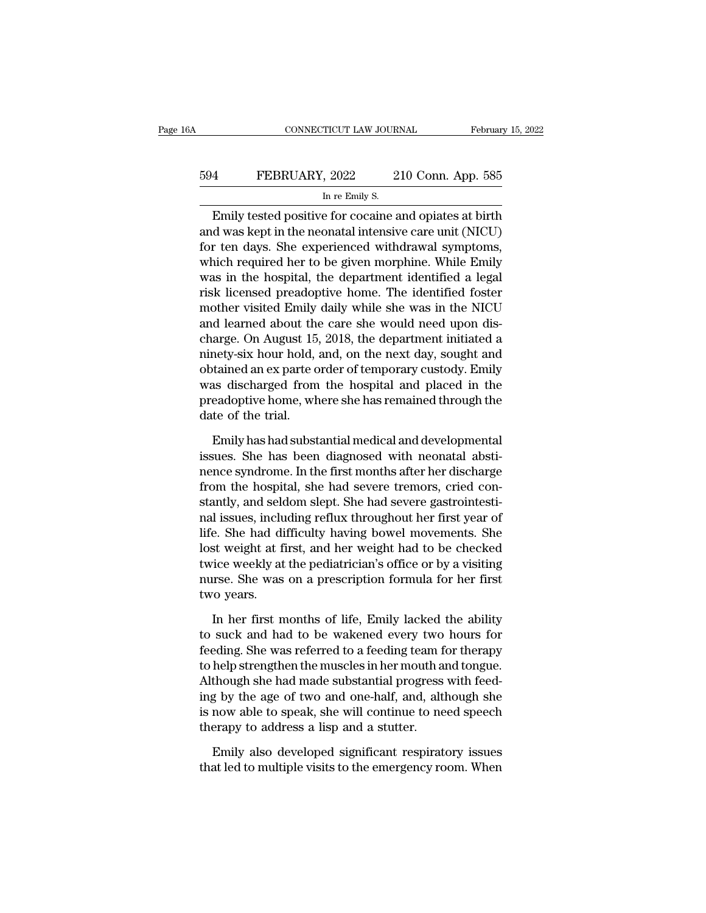# EXECUTE CONNECTICUT LAW JOURNAL February 15, 2022<br>594 FEBRUARY, 2022 210 Conn. App. 585<br>In re Emily S. TICUT LAW JOUR.<br>, 2022 2<br>In re Emily S.<br>e for cocaine a

CONNECTICUT LAW JOURNAL February 15, 2022<br>
FEBRUARY, 2022 210 Conn. App. 585<br>
In re Emily S.<br>
Emily tested positive for cocaine and opiates at birth<br>
d was kept in the neonatal intensive care unit (NICU)<br>
r top days. She a FEBRUARY, 2022 210 Conn. App. 585<br>
In re Emily S.<br>
Emily tested positive for cocaine and opiates at birth<br>
and was kept in the neonatal intensive care unit (NICU)<br>
for ten days. She experienced withdrawal symptoms,<br>
which  $594$  FEBRUARY, 2022 210 Conn. App. 585<br>  $\frac{\ln$  re Emily S.<br>
Emily tested positive for cocaine and opiates at birth<br>
and was kept in the neonatal intensive care unit (NICU)<br>
for ten days. She experienced withdrawal sympto FEBRUARY, 2022 210 Conn. App. 585<br>
In re Emily S.<br>
Emily tested positive for cocaine and opiates at birth<br>
and was kept in the neonatal intensive care unit (NICU)<br>
for ten days. She experienced withdrawal symptoms,<br>
which In re Emily S.<br>
In re Emily S.<br>
Emily tested positive for cocaine and opiates at birth<br>
and was kept in the neonatal intensive care unit (NICU)<br>
for ten days. She experienced withdrawal symptoms,<br>
which required her to be Emily tested positive for cocaine and opiates at birth<br>and was kept in the neonatal intensive care unit (NICU)<br>for ten days. She experienced withdrawal symptoms,<br>which required her to be given morphine. While Emily<br>was in Emily tested positive for cocaine and opiates at birth<br>and was kept in the neonatal intensive care unit (NICU)<br>for ten days. She experienced withdrawal symptoms,<br>which required her to be given morphine. While Emily<br>was in and was kept in the neonatal intensive care unit (NICU)<br>for ten days. She experienced withdrawal symptoms,<br>which required her to be given morphine. While Emily<br>was in the hospital, the department identified a legal<br>risk li for ten days. She experienced withdrawal symptoms,<br>which required her to be given morphine. While Emily<br>was in the hospital, the department identified a legal<br>risk licensed preadoptive home. The identified foster<br>mother vi which required her to be given morphine. While Emily<br>was in the hospital, the department identified a legal<br>risk licensed preadoptive home. The identified foster<br>mother visited Emily daily while she was in the NICU<br>and lea was in the hospital, the department identified a legal<br>risk licensed preadoptive home. The identified foster<br>mother visited Emily daily while she was in the NICU<br>and learned about the care she would need upon dis-<br>charge. risk licensed preadoptive home. The identified foster<br>mother visited Emily daily while she was in the NICU<br>and learned about the care she would need upon dis-<br>charge. On August 15, 2018, the department initiated a<br>ninety-s mother visited Emily daily while she was in the NICU<br>and learned about the care she would need upon dis-<br>charge. On August 15, 2018, the department initiated a<br>ninety-six hour hold, and, on the next day, sought and<br>obtaine and learned about the<br>charge. On August 15<br>ninety-six hour hold,<br>obtained an ex parte c<br>was discharged from<br>preadoptive home, wh<br>date of the trial.<br>Emily has had subst mety-six hour hold, and, on the next day, sought and<br>tained an ex parte order of temporary custody. Emily<br>as discharged from the hospital and placed in the<br>eadoptive home, where she has remained through the<br>te of the trial obtained an ex parte order of temporary custody. Emily<br>was discharged from the hospital and placed in the<br>preadoptive home, where she has remained through the<br>date of the trial.<br>Emily has had substantial medical and develo

was discharged from the hospital and placed in the<br>preadoptive home, where she has remained through the<br>date of the trial.<br>Emily has had substantial medical and developmental<br>issues. She has been diagnosed with neonatal ab preadoptive home, where she has remained through the<br>date of the trial.<br>Emily has had substantial medical and developmental<br>issues. She has been diagnosed with neonatal absti-<br>nence syndrome. In the first months after her date of the trial.<br>Emily has had substantial medical and developmental<br>issues. She has been diagnosed with neonatal absti-<br>nence syndrome. In the first months after her discharge<br>from the hospital, she had severe tremors, Emily has had substantial medical and developmental<br>issues. She has been diagnosed with neonatal absti-<br>nence syndrome. In the first months after her discharge<br>from the hospital, she had severe tremors, cried con-<br>stantly, Emily has had substantial medical and developmental<br>issues. She has been diagnosed with neonatal absti-<br>nence syndrome. In the first months after her discharge<br>from the hospital, she had severe tremors, cried con-<br>stantly, issues. She has been diagnosed with neonatal absti-<br>nence syndrome. In the first months after her discharge<br>from the hospital, she had severe tremors, cried con-<br>stantly, and seldom slept. She had severe gastrointesti-<br>nal nence syndrome. In the first months after her discharge<br>from the hospital, she had severe tremors, cried con-<br>stantly, and seldom slept. She had severe gastrointesti-<br>nal issues, including reflux throughout her first year from the hospital, she had severe tremors, cried constantly, and seldom slept. She had severe gastrointestinal issues, including reflux throughout her first year of life. She had difficulty having bowel movements. She lost stantly, and selo<br>nal issues, inclu<br>life. She had di<br>lost weight at fi<br>twice weekly at<br>nurse. She was<br>two years.<br>In her first n EXECT: The had difficulty having bowel movements. She<br>st weight at first, and her weight had to be checked<br>ice weekly at the pediatrician's office or by a visiting<br>irse. She was on a prescription formula for her first<br>ro y lost weight at first, and her weight had to be checked<br>twice weekly at the pediatrician's office or by a visiting<br>nurse. She was on a prescription formula for her first<br>two years.<br>In her first months of life, Emily lacked

twice weekly at the pediatrician's office or by a visiting<br>nurse. She was on a prescription formula for her first<br>two years.<br>In her first months of life, Emily lacked the ability<br>to suck and had to be wakened every two hou nurse. She was on a prescription formula for her first<br>two years.<br>In her first months of life, Emily lacked the ability<br>to suck and had to be wakened every two hours for<br>feeding. She was referred to a feeding team for ther two years.<br>
In her first months of life, Emily lacked the ability<br>
to suck and had to be wakened every two hours for<br>
feeding. She was referred to a feeding team for therapy<br>
to help strengthen the muscles in her mouth and In her first months of life, Emily lacked the ability<br>to suck and had to be wakened every two hours for<br>feeding. She was referred to a feeding team for therapy<br>to help strengthen the muscles in her mouth and tongue.<br>Althou In her first months of life, Emily lacked the ability<br>to suck and had to be wakened every two hours for<br>feeding. She was referred to a feeding team for therapy<br>to help strengthen the muscles in her mouth and tongue.<br>Althou to suck and had to be wakened every two<br>feeding. She was referred to a feeding team f<br>to help strengthen the muscles in her mouth a<br>Although she had made substantial progress<br>ing by the age of two and one-half, and, alt<br>is help strengthen the muscles in her mouth and tongue.<br>though she had made substantial progress with feed-<br>g by the age of two and one-half, and, although she<br>now able to speak, she will continue to need speech<br>erapy to addr Although she had made substantial progress with feeding by the age of two and one-half, and, although she is now able to speak, she will continue to need speech therapy to address a lisp and a stutter.<br>Emily also developed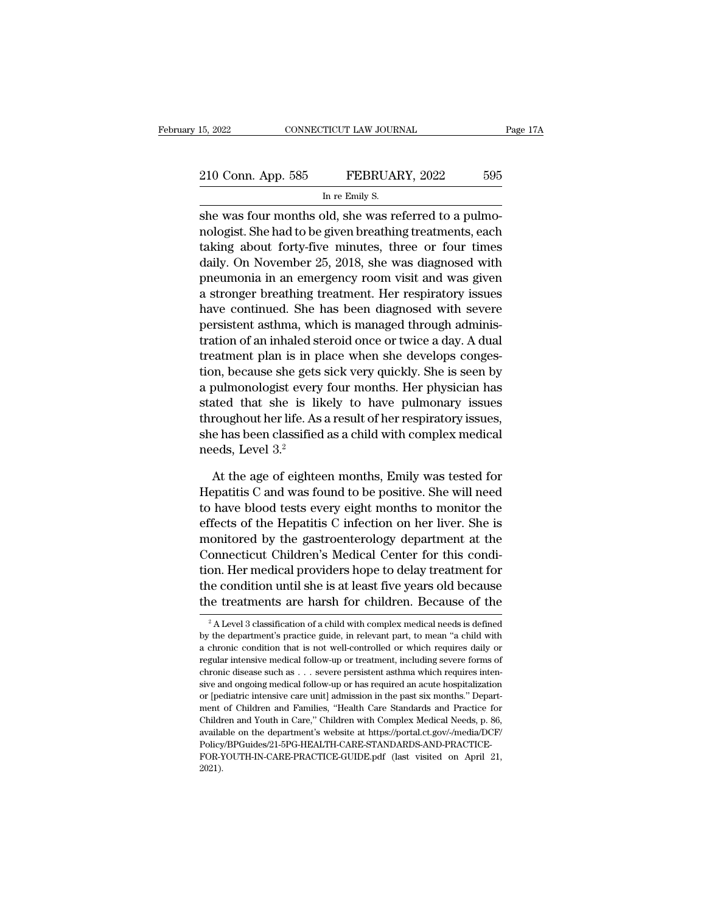she was four months old, she was referred to a pulmo-<br>three months old, she was referred to a pulmo-<br>toleral she was four months old, she was referred to a pulmo-<br>toleral sheet forty five minutes, three or four times 210 Conn. App. 585 FEBRUARY, 2022 595<br>
In re Emily S.<br>
She was four months old, she was referred to a pulmo-<br>
nologist. She had to be given breathing treatments, each<br>
taking about forty-five minutes, three or four times<br> 210 Conn. App. 585 FEBRUARY, 2022 595<br>
In re Emily S.<br>
she was four months old, she was referred to a pulmo-<br>
nologist. She had to be given breathing treatments, each<br>
taking about forty-five minutes, three or four times<br> 210 Conn. App. 585 FEBRUARY, 2022 595<br>
In re Emily S.<br>
She was four months old, she was referred to a pulmo-<br>
nologist. She had to be given breathing treatments, each<br>
taking about forty-five minutes, three or four times<br> In re Emily S.<br>
She was four months old, she was referred to a pulmo-<br>
nologist. She had to be given breathing treatments, each<br>
taking about forty-five minutes, three or four times<br>
daily. On November 25, 2018, she was di a strong met analys.<br>
She was four months old, she was referred to a pulmo-<br>
nologist. She had to be given breathing treatments, each<br>
taking about forty-five minutes, three or four times<br>
daily. On November 25, 2018, she she was four months old, she was referred to a pulmo-<br>nologist. She had to be given breathing treatments, each<br>taking about forty-five minutes, three or four times<br>daily. On November 25, 2018, she was diagnosed with<br>pneumo nologist. She had to be given breathing treatments, each taking about forty-five minutes, three or four times<br>daily. On November 25, 2018, she was diagnosed with<br>pneumonia in an emergency room visit and was given<br>a stronge taking about forty-five minutes, three or four times<br>daily. On November 25, 2018, she was diagnosed with<br>pneumonia in an emergency room visit and was given<br>a stronger breathing treatment. Her respiratory issues<br>have contin daily. On November 25, 2018, she was diagnosed with<br>pneumonia in an emergency room visit and was given<br>a stronger breathing treatment. Her respiratory issues<br>have continued. She has been diagnosed with severe<br>persistent as pneumonia in an emergency room visit and was given<br>a stronger breathing treatment. Her respiratory issues<br>have continued. She has been diagnosed with severe<br>persistent asthma, which is managed through adminis-<br>tration of a a stronger breathing treatment. Her respiratory issues<br>have continued. She has been diagnosed with severe<br>persistent asthma, which is managed through adminis-<br>tration of an inhaled steroid once or twice a day. A dual<br>treat have continued. She has been diagnosed with severe<br>persistent asthma, which is managed through adminis-<br>tration of an inhaled steroid once or twice a day. A dual<br>treatment plan is in place when she develops conges-<br>tion, b persistent asthma, which is managed through administration of an inhaled steroid once or twice a day. A dual treatment plan is in place when she develops congestion, because she gets sick very quickly. She is seen by a pul tration of an innated steroid once or twice a day. A dual<br>treatment plan is in place when she develops conges-<br>tion, because she gets sick very quickly. She is seen by<br>a pulmonologist every four months. Her physician has<br>s treatment plan is in p<br>tion, because she gets<br>a pulmonologist every<br>stated that she is li<br>throughout her life. As<br>she has been classified<br>needs, Level 3.<sup>2</sup><br>At the age of eighte pulmonologist every four months. Her physician has<br>ated that she is likely to have pulmonary issues<br>roughout her life. As a result of her respiratory issues,<br>e has been classified as a child with complex medical<br>eds, Level stated that she is likely to have pulmonary issues<br>throughout her life. As a result of her respiratory issues,<br>she has been classified as a child with complex medical<br>needs, Level 3.<sup>2</sup><br>At the age of eighteen months, Emily

throughout her life. As a result of her respiratory issues,<br>she has been classified as a child with complex medical<br>needs, Level 3.<sup>2</sup><br>At the age of eighteen months, Emily was tested for<br>Hepatitis C and was found to be pos she has been classified as a child with complex medical<br>needs, Level 3.<sup>2</sup><br>At the age of eighteen months, Emily was tested for<br>Hepatitis C and was found to be positive. She will need<br>to have blood tests every eight months monder and the age of eighteen months, Emily was tested for<br>Hepatitis C and was found to be positive. She will need<br>to have blood tests every eight months to monitor the<br>effects of the Hepatitis C infection on her liver. S At the age of eighteen months, Emily was tested for<br>Hepatitis C and was found to be positive. She will need<br>to have blood tests every eight months to monitor the<br>effects of the Hepatitis C infection on her liver. She is<br>mo At the age of eighteen months, Emily was tested for<br>Hepatitis C and was found to be positive. She will need<br>to have blood tests every eight months to monitor the<br>effects of the Hepatitis C infection on her liver. She is<br>mo Hepatitis C and was found to be positive. She will need<br>to have blood tests every eight months to monitor the<br>effects of the Hepatitis C infection on her liver. She is<br>monitored by the gastroenterology department at the<br>Co to have blood tests every eight months to monitor the<br>effects of the Hepatitis C infection on her liver. She is<br>monitored by the gastroenterology department at the<br>Connecticut Children's Medical Center for this condi-<br>tio Connecticut Children's Medical Center for this condition. Her medical providers hope to delay treatment for the condition until she is at least five years old because the treatments are harsh for children. Because of the tion. Her medical providers hope to delay treatment for<br>the condition until she is at least five years old because<br>the treatments are harsh for children. Because of the<br> $\frac{2}{3}$  A Level 3 classification of a child with c

the condition until she is at least five years old because<br>the treatments are harsh for children. Because of the<br> $\frac{1}{2}$ A Level 3 classification of a child with complex medical needs is defined<br>by the department's pract the treatments are harsh for children. Because of the  $\frac{1}{2}$ A Level 3 classification of a child with complex medical needs is defined by the department's practice guide, in relevant part, to mean "a child with a chroni <sup>2</sup> A Level 3 classification of a child with complex medical needs is defined<br><sup>2</sup> A Level 3 classification of a child with complex medical needs is defined<br>by the department's practice guide, in relevant part, to mean "a c <sup>2</sup> A Level 3 classification of a child with complex medical needs is defined by the department's practice guide, in relevant part, to mean "a child with a chronic condition that is not well-controlled or which requires d by the department's practice guide, in relevant part, to mean "a child with a chronic condition that is not well-controlled or which requires daily or regular intensive medical follow-up or treatment, including severe form  $\sigma$  are dependential fraction that is not well-controlled or which requires daily or regular intensive medical follow-up or treatment, including severe forms of chronic disease such as . . . severe persistent asthma whic regular intensive medical follow-up or treatment, including severe forms of chronic disease such as . . . severe persistent asthma which requires intensive and ongoing medical follow-up or has required an acute hospitaliza available on the department's website at https://portal.ct.gov/-/media/DCF/<br>chronic disease such as . . . severe persistent as than which requires inten-<br>sive and ongoing medical follow-up or has required an acute hospital Policy/BPGuides/21-5PG-HEALTH-CARE-STANDARDS-AND-PRACTICEor (pediatric intensive care unit] admission in the past six months." Department of Children and Families, "Health Care Standards and Practice for Children and Youth in Care," Children with Complex Medical Needs, p. 86, av 2021).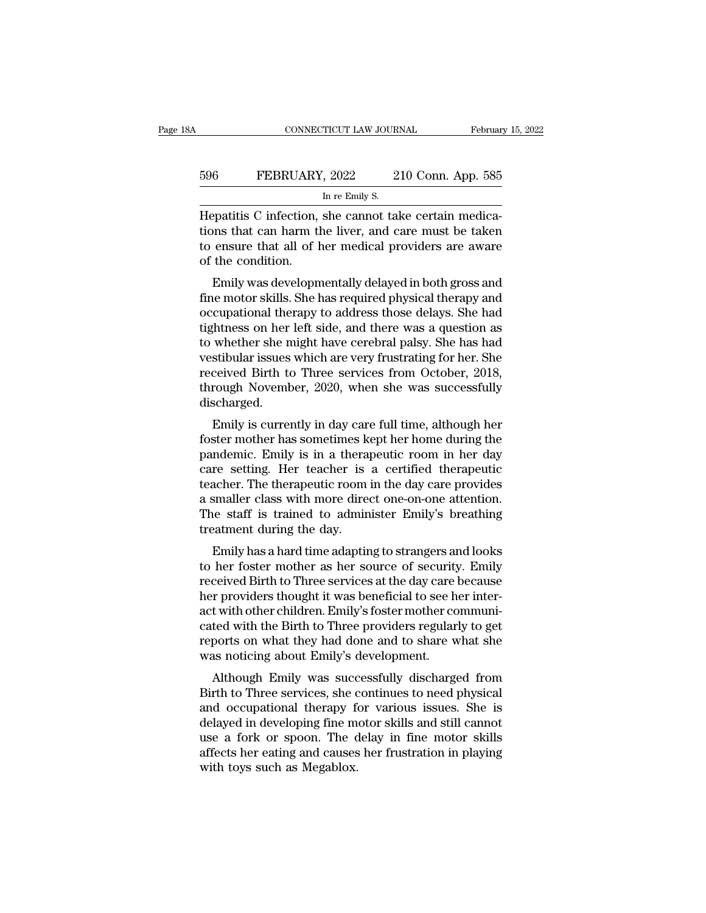# EXECUTE CONNECTICUT LAW JOURNAL February 15, 2022<br>596 FEBRUARY, 2022 210 Conn. App. 585<br>In re Emily S. TICUT LAW JOUR.<br>, 2022 2<br>In re Emily S.<br>she cannot tal

CONNECTICUT LAW JOURNAL Februar<br>
Februar<br>
FEBRUARY, 2022 210 Conn. App. 585<br>
In re Emily S.<br>
Hepatitis C infection, she cannot take certain medica-<br>
tions that can harm the liver, and care must be taken<br>
to ensure that all FEBRUARY, 2022 210 Conn. App. 585<br>
In re Emily S.<br>
Hepatitis C infection, she cannot take certain medications that can harm the liver, and care must be taken<br>
to ensure that all of her medical providers are aware<br>
of the c FEBRUARY, 2022 210 Conn. App. 585<br>
In re Emily S.<br>
Hepatitis C infection, she cannot take certain medications that can harm the liver, and care must be taken<br>
to ensure that all of her medical providers are aware<br>
of the c 596 FEBRUARY<br>
Hepatitis C infection,<br>
tions that can harm the<br>
to ensure that all of l<br>
of the condition.<br>
Emily was developn In re Emily S.<br>
Epatitis C infection, she cannot take certain medicaliens<br>
that can harm the liver, and care must be taken<br>
ensure that all of her medical providers are aware<br>
the condition.<br>
Emily was developmentally dela Hepatitis C infection, she cannot take certain medications that can harm the liver, and care must be taken<br>to ensure that all of her medical providers are aware<br>of the condition.<br>Emily was developmentally delayed in both g

The patrics C infection, she cannot take certain medications that can harm the liver, and care must be taken<br>to ensure that all of her medical providers are aware<br>of the condition.<br>Emily was developmentally delayed in both to ensure that all of her medical providers are aware<br>of the condition.<br>Emily was developmentally delayed in both gross and<br>fine motor skills. She has required physical therapy and<br>occupational therapy to address those del to ensure that an of her medical providers are aware<br>of the condition.<br>Emily was developmentally delayed in both gross and<br>fine motor skills. She has required physical therapy and<br>occupational therapy to address those dela Emily was developmentally delayed in both gross and<br>fine motor skills. She has required physical therapy and<br>occupational therapy to address those delays. She had<br>tightness on her left side, and there was a question as<br>to Emily was developmentally delayed in both gross and<br>fine motor skills. She has required physical therapy and<br>occupational therapy to address those delays. She had<br>tightness on her left side, and there was a question as<br>to fine motor skills. She has required physical therapy and<br>occupational therapy to address those delays. She had<br>tightness on her left side, and there was a question as<br>to whether she might have cerebral palsy. She has had<br>v discharged. Findness on her left side, and there was a question as<br>whether she might have cerebral palsy. She has had<br>stibular issues which are very frustrating for her. She<br>ceived Birth to Three services from October, 2018,<br>rough Nov for whether she hight have cerebial paisy. She has had<br>vestibular issues which are very frustrating for her. She<br>received Birth to Three services from October, 2018,<br>through November, 2020, when she was successfully<br>discha

parameter of Birth to Three services from October, 2018,<br>through November, 2020, when she was successfully<br>discharged.<br>Emily is currently in day care full time, although her<br>foster mother has sometimes kept her home during received Birth to Tifree services Hont October, 2016,<br>through November, 2020, when she was successfully<br>discharged.<br>Emily is currently in day care full time, although her<br>foster mother has sometimes kept her home during th through November, 2020, when she was successiumy<br>discharged.<br>Emily is currently in day care full time, although her<br>foster mother has sometimes kept her home during the<br>pandemic. Emily is in a therapeutic room in her day<br>c Emily is currently in day care full time, although her<br>foster mother has sometimes kept her home during the<br>pandemic. Emily is in a therapeutic room in her day<br>care setting. Her teacher is a certified therapeutic<br>teacher. Emily is currently in day care full time, although her<br>foster mother has sometimes kept her home during the<br>pandemic. Emily is in a therapeutic room in her day<br>care setting. Her teacher is a certified therapeutic<br>teacher. foster mother has sometimes k<br>pandemic. Emily is in a thera<br>care setting. Her teacher is<br>teacher. The therapeutic room<br>a smaller class with more dire<br>The staff is trained to admin<br>treatment during the day.<br>Emily has a hard Frame and the adapting to strangers and looks<br>acher. The therapeutic room in the day care provides<br>smaller class with more direct one-on-one attention.<br>the staff is trained to administer Emily's breathing<br>eatment during th care setting. Her teacher is a certified therapeute<br>teacher. The therapeutic room in the day care provides<br>a smaller class with more direct one-on-one attention.<br>The staff is trained to administer Emily's breathing<br>treatme

reacher. The therapeutic room in the day care provides<br>a smaller class with more direct one-on-one attention.<br>The staff is trained to administer Emily's breathing<br>treatment during the day.<br>Emily has a hard time adapting to a shialter class with indee unect one-on-one attention.<br>The staff is trained to administer Emily's breathing<br>treatment during the day.<br>Emily has a hard time adapting to strangers and looks<br>to her foster mother as her sourc The start is trained to administer Emily's breathing<br>treatment during the day.<br>Emily has a hard time adapting to strangers and looks<br>to her foster mother as her source of security. Emily<br>received Birth to Three services at Emily has a hard time adapting to strangers and looks<br>to her foster mother as her source of security. Emily<br>received Birth to Three services at the day care because<br>her providers thought it was beneficial to see her inter-Emily has a hard time adapting to strangers and looks<br>to her foster mother as her source of security. Emily<br>received Birth to Three services at the day care because<br>her providers thought it was beneficial to see her interto her foster mother as her source of security<br>received Birth to Three services at the day care her providers thought it was beneficial to see h<br>act with other children. Emily's foster mother co<br>cated with the Birth to Thr refluence but it of three services at the day care because<br>tr providers thought it was beneficial to see her inter-<br>t with other children. Emily's foster mother communi-<br>ted with the Birth to Three providers regularly to g Fract with other children. Emily's foster mother communicated with the Birth to Three providers regularly to get<br>reports on what they had done and to share what she<br>was noticing about Emily's development.<br>Although Emily wa

act with other children. Enlity stoster mother communi-<br>cated with the Birth to Three providers regularly to get<br>reports on what they had done and to share what she<br>was noticing about Emily's development.<br>Although Emily wa cated with the Briti to Tiffee providers regularly to get<br>reports on what they had done and to share what she<br>was noticing about Emily's development.<br>Although Emily was successfully discharged from<br>Birth to Three services, reports on what they had done and to share what she<br>was noticing about Emily's development.<br>Although Emily was successfully discharged from<br>Birth to Three services, she continues to need physical<br>and occupational therapy f was noticing about Entity's development.<br>
Although Emily was successfully discharged from<br>
Birth to Three services, she continues to need physical<br>
and occupational therapy for various issues. She is<br>
delayed in developing Although Emily was succe<br>Birth to Three services, she condoccupational therapy for<br>delayed in developing fine more a fork or spoon. The conditional causes<br>affects her eating and causes<br>with toys such as Megablox.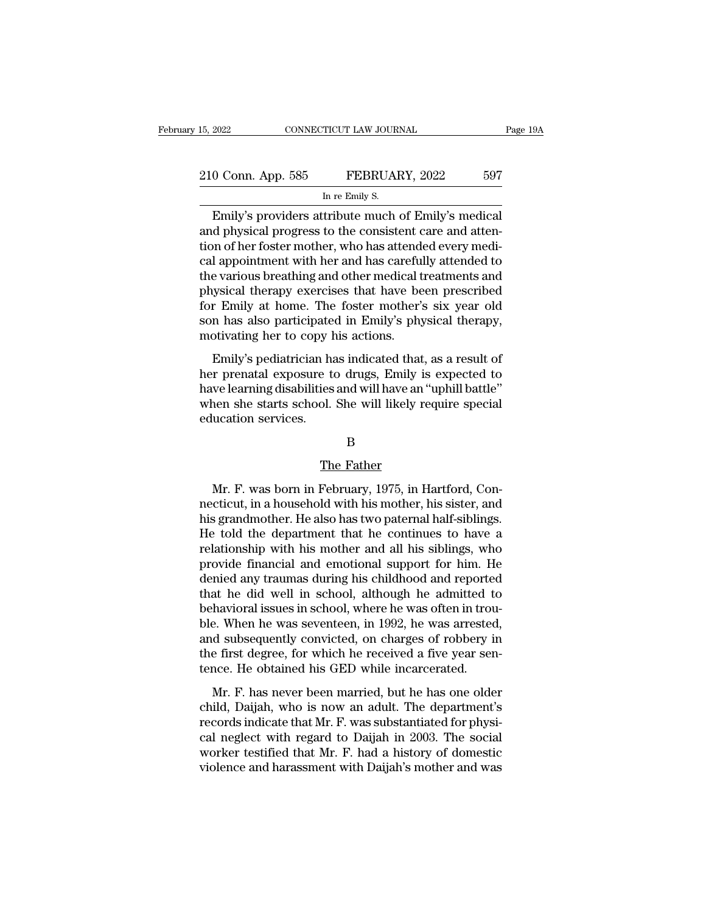| 15, 2022           | CONNECTICUT LAW JOURNAL                             | Page 19A |
|--------------------|-----------------------------------------------------|----------|
|                    |                                                     |          |
| 210 Conn. App. 585 | FEBRUARY, 2022                                      | 597      |
|                    | In re Emily S.                                      |          |
|                    | Emily's providers attribute much of Emily's medical |          |

EMILET 2022 2022 2022 2022<br>
Emily's providers attribute much of Emily's medical<br>
diphysical progress to the consistent care and attention of box foster methor, who has attended every medi-210 Conn. App. 585 FEBRUARY, 2022 597<br>
In re Emily S.<br>
Emily's providers attribute much of Emily's medical<br>
and physical progress to the consistent care and atten-<br>
tion of her foster mother, who has attended every medical 210 Conn. App. 585 FEBRUARY, 2022 597<br>
In re Emily S.<br>
Emily's providers attribute much of Emily's medical<br>
and physical progress to the consistent care and attention of her foster mother, who has attended every medi-<br>
cal 210 Conn. App. 585 FEBRUARY, 2022 597<br>
In re Emily S.<br>
Emily's providers attribute much of Emily's medical<br>
and physical progress to the consistent care and atten-<br>
tion of her foster mother, who has attended every medi-<br> INTERTITY 2022<br>In re Emily S.<br>Emily's providers attribute much of Emily's medical<br>and physical progress to the consistent care and atten-<br>tion of her foster mother, who has attended every medi-<br>cal appointment with her and m re Emily S.<br>
Emily's providers attribute much of Emily's medical<br>
and physical progress to the consistent care and atten-<br>
tion of her foster mother, who has attended every medi-<br>
cal appointment with her and has careful Emily's providers attribute much of Emily's medical<br>and physical progress to the consistent care and atten-<br>tion of her foster mother, who has attended every medi-<br>cal appointment with her and has carefully attended to<br>the and physical progress to the consistent care and attention of her foster mother, who has attended every medical appointment with her and has carefully attended to the various breathing and other medical treatments and phys tion of her foster mother, who has attend<br>cal appointment with her and has carefu<br>the various breathing and other medical t<br>physical therapy exercises that have be<br>for Emily at home. The foster mother':<br>son has also partic reponding with the and has calculary addressed to<br>e various breathing and other medical treatments and<br>ysical therapy exercises that have been prescribed<br>r Emily at home. The foster mother's six year old<br>n has also partici the various breaking and other included treatments and<br>physical therapy exercises that have been prescribed<br>for Emily at home. The foster mother's six year old<br>son has also participated in Emily's physical therapy,<br>motivat

Fright and the extended in Emily's physical discrete for Emily at home. The foster mother's six year old son has also participated in Emily's physical therapy, motivating her to copy his actions.<br>Emily's pediatrician has i For Emily at home. The foster moduer's star year of<br>son has also participated in Emily's physical therapy,<br>motivating her to copy his actions.<br>Emily's pediatrician has indicated that, as a result of<br>her prenatal exposure t Soon has also paracipate<br>motivating her to copy l<br>Emily's pediatrician ha<br>her prenatal exposure t<br>have learning disabilities<br>when she starts school.<br>education services. e to drugs, Emily is<br>ies and will have an<br>ol. She will likely r<br>B<br>The Father<br>February, 1975, in I

B

Mr. F. was born in February, 1975, in Hartford, Concricut, in a household with his mother, his sister, and<br>s grandmother Ho also bas two paternal half siblings nection services.<br>
B<br>
The Father<br>
Mr. F. was born in February, 1975, in Hartford, Connecticut, in a household with his mother, his sister, and<br>
his grandmother. He also has two paternal half-siblings.<br>
He told the departme B<br>
His grandmother. He also has two paternal half-siblings.<br>
He told the department that he continues to have a<br>
relationship with his mother and all his siblings who He Father<br>Mr. F. was born in February, 1975, in Hartford, Con-<br>necticut, in a household with his mother, his sister, and<br>his grandmother. He also has two paternal half-siblings.<br>He told the department that he continues to The Father<br>Mr. F. was born in February, 1975, in Hartford, Con-<br>necticut, in a household with his mother, his sister, and<br>his grandmother. He also has two paternal half-siblings.<br>He told the department that he continues to Mr. F. was born in February, 1975, in Hartford, Connecticut, in a household with his mother, his sister, and<br>his grandmother. He also has two paternal half-siblings.<br>He told the department that he continues to have a<br>relat Mr. F. was born in February, 1975, in Hartford, Connecticut, in a household with his mother, his sister, and<br>his grandmother. He also has two paternal half-siblings.<br>He told the department that he continues to have a<br>relat necticut, in a household with his mother, his sister, and<br>his grandmother. He also has two paternal half-siblings.<br>He told the department that he continues to have a<br>relationship with his mother and all his siblings, who<br>p his grandmother. He also has two paternal half-siblings.<br>He told the department that he continues to have a relationship with his mother and all his siblings, who provide financial and emotional support for him. He denied He told the department that he continues to have a<br>relationship with his mother and all his siblings, who<br>provide financial and emotional support for him. He<br>denied any traumas during his childhood and reported<br>that he did relationship with his mother and all his siblings, who<br>provide financial and emotional support for him. He<br>denied any traumas during his childhood and reported<br>that he did well in school, although he admitted to<br>behavioral provide financial and emotional support for him. He<br>denied any traumas during his childhood and reported<br>that he did well in school, although he admitted to<br>behavioral issues in school, where he was often in trou-<br>ble. Whe denied any traumas during his childhood and reporte<br>that he did well in school, although he admitted t<br>behavioral issues in school, where he was often in trou<br>ble. When he was seventeen, in 1992, he was arrested<br>and subseq Mr. F. has never been married, but he has one older<br>identication is sues in school, where he was often in trou-<br>e. When he was seventeen, in 1992, he was arrested,<br>d subsequently convicted, on charges of robbery in<br>e first ble. When he was seventeen, in 1992, he was arrested,<br>ble. When he was seventeen, in 1992, he was arrested,<br>and subsequently convicted, on charges of robbery in<br>the first degree, for which he received a five year sen-<br>tenc

records indicate that Mr. F. had a history of domestice<br>works to the first degree, for which he received a five year sen-<br>tence. He obtained his GED while incarcerated.<br>Mr. F. has never been married, but he has one older<br>c and sassequently convicted, on enalges of rossery in<br>the first degree, for which he received a five year sen-<br>tence. He obtained his GED while incarcerated.<br>Mr. F. has never been married, but he has one older<br>child, Daijah tence. He obtained his GED while incarcerated.<br>
Mr. F. has never been married, but he has one older<br>
child, Daijah, who is now an adult. The department's<br>
records indicate that Mr. F. was substantiated for physi-<br>
cal negl Mr. F. has never been married, but he has one older<br>child, Daijah, who is now an adult. The department's<br>records indicate that Mr. F. was substantiated for physi-<br>cal neglect with regard to Daijah in 2003. The social<br>worke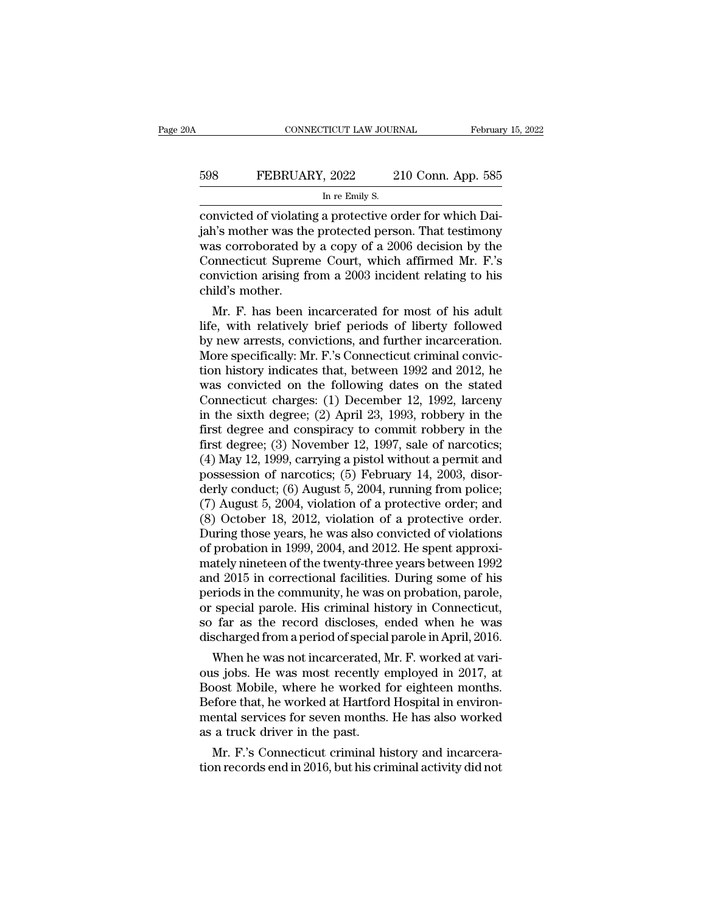| ۱A  | CONNECTICUT LAW JOURNAL                                  | February 15, 2022  |
|-----|----------------------------------------------------------|--------------------|
| 598 | FEBRUARY, 2022                                           | 210 Conn. App. 585 |
|     | In re Emily S.                                           |                    |
|     | convicted of violating a protective order for which Dai- |                    |

CONNECTICUT LAW JOURNAL Februar<br>
FEBRUARY, 2022 210 Conn. App. 585<br>
In re Emily S.<br>
convicted of violating a protective order for which Dai-<br>
jah's mother was the protected person. That testimony<br>
was corresponded by a cop FEBRUARY, 2022 210 Conn. App. 585<br>
In re Emily S.<br>
Convicted of violating a protective order for which Dai-<br>
jah's mother was the protected person. That testimony<br>
was corroborated by a copy of a 2006 decision by the<br>
Conn EBRUARY, 2022 210 Conn. App. 585<br>
In re Emily S.<br>
convicted of violating a protective order for which Dai-<br>
jah's mother was the protected person. That testimony<br>
was corroborated by a copy of a 2006 decision by the<br>
Conn FEBRUARY, 2022 210 Conn. App. 585<br>
In re Emily S.<br>
convicted of violating a protective order for which Dai-<br>
jah's mother was the protected person. That testimony<br>
was corroborated by a copy of a 2006 decision by the<br>
Conn INDERTICALLY, 2002 2003 COMM TYPP 333<br>
convicted of violating a protective order for which Dai-<br>
jah's mother was the protected person. That testimony<br>
was corroborated by a copy of a 2006 decision by the<br>
Connecticut Supr convicted of violatin<br>
jah's mother was the<br>
was corroborated by<br>
Connecticut Supren<br>
conviction arising fi<br>
child's mother.<br>
Mr. F. has been i mvicted or violating a protective order for which Dal-<br>n's mother was the protected person. That testimony<br>as corroborated by a copy of a 2006 decision by the<br>nmecticut Supreme Court, which affirmed Mr. F.'s<br>nviction arisi lian is mother was the protected person. That testimony<br>was corroborated by a copy of a 2006 decision by the<br>Connecticut Supreme Court, which affirmed Mr. F.'s<br>conviction arising from a 2003 incident relating to his<br>child'

was corroborated by a copy or a 2006 decision by the<br>Connecticut Supreme Court, which affirmed Mr. F.'s<br>conviction arising from a 2003 incident relating to his<br>child's mother.<br>Mr. F. has been incarcerated for most of his a Connecticut supreme Court, which affirmed Mr. F. s<br>conviction arising from a 2003 incident relating to his<br>child's mother.<br>Mr. F. has been incarcerated for most of his adult<br>life, with relatively brief periods of liberty f conviction arising from a 2003 incident relating to his<br>child's mother.<br>Mr. F. has been incarcerated for most of his adult<br>life, with relatively brief periods of liberty followed<br>by new arrests, convictions, and further in child s mother.<br>
Mr. F. has been incarcerated for most of his adult<br>
life, with relatively brief periods of liberty followed<br>
by new arrests, convictions, and further incarceration.<br>
More specifically: Mr. F.'s Connecticut Mr. F. has been incarcerated for most of his adult<br>life, with relatively brief periods of liberty followed<br>by new arrests, convictions, and further incarceration.<br>More specifically: Mr. F.'s Connecticut criminal convic-<br>ti life, with relatively brief periods of liberty followed<br>by new arrests, convictions, and further incarceration.<br>More specifically: Mr. F.'s Connecticut criminal convic-<br>tion history indicates that, between 1992 and 2012, h by new arrests, convictions, and further incarceration.<br>More specifically: Mr. F.'s Connecticut criminal conviction history indicates that, between 1992 and 2012, he<br>was convicted on the following dates on the stated<br>Conne More specifically: Mr. F.'s Connecticut criminal conviction history indicates that, between 1992 and 2012, he was convicted on the following dates on the stated Connecticut charges: (1) December 12, 1992, larceny in the s tion history indicates that, between 1992 and 2012, he<br>was convicted on the following dates on the stated<br>Connecticut charges: (1) December 12, 1992, larceny<br>in the sixth degree; (2) April 23, 1993, robbery in the<br>first d was convicted on the following dates on the stated<br>Connecticut charges: (1) December 12, 1992, larceny<br>in the sixth degree; (2) April 23, 1993, robbery in the<br>first degree and conspiracy to commit robbery in the<br>first deg Connecticut charges: (1) December 12, 1992, larceny<br>in the sixth degree; (2) April 23, 1993, robbery in the<br>first degree and conspiracy to commit robbery in the<br>first degree; (3) November 12, 1997, sale of narcotics;<br>(4) in the sixth degree; (2) April 23, 1993, robbery in the<br>first degree and conspiracy to commit robbery in the<br>first degree; (3) November 12, 1997, sale of narcotics;<br>(4) May 12, 1999, carrying a pistol without a permit and<br> first degree and conspiracy to commit robbery in the<br>first degree; (3) November 12, 1997, sale of narcotics;<br>(4) May 12, 1999, carrying a pistol without a permit and<br>possession of narcotics; (5) February 14, 2003, disor-<br> first degree; (3) November 12, 1997, sale of narcotics;<br>(4) May 12, 1999, carrying a pistol without a permit and<br>possession of narcotics; (5) February 14, 2003, disor-<br>derly conduct; (6) August 5, 2004, running from police (4) May 12, 1999, carrying a pistol without a permit and possession of narcotics; (5) February 14, 2003, disor-<br>derly conduct; (6) August 5, 2004, running from police;<br>(7) August 5, 2004, violation of a protective order; possession of narcotics; (5) February 14, 2003, disor-<br>derly conduct; (6) August 5, 2004, running from police;<br>(7) August 5, 2004, violation of a protective order; and<br>(8) October 18, 2012, violation of a protective order. derly conduct; (6) August 5, 2004, running from police;<br>(7) August 5, 2004, violation of a protective order; and<br>(8) October 18, 2012, violation of a protective order.<br>During those years, he was also convicted of violation (7) August 5, 2004, violation of a protective order; and (8) October 18, 2012, violation of a protective order.<br>During those years, he was also convicted of violations of probation in 1999, 2004, and 2012. He spent approx (8) October 18, 2012, violation of a protective order.<br>During those years, he was also convicted of violations<br>of probation in 1999, 2004, and 2012. He spent approxi-<br>mately nineteen of the twenty-three years between 1992 During those years, he was also convicted of violations<br>of probation in 1999, 2004, and 2012. He spent approxi-<br>mately nineteen of the twenty-three years between 1992<br>and 2015 in correctional facilities. During some of his of probation in 1999, 2004, and 2012. He spent approximately nineteen of the twenty-three years between 1992 and 2015 in correctional facilities. During some of his periods in the community, he was on probation, parole, or d 2015 in correctional facilities. During some of his<br>d 2015 in correctional facilities. During some of his<br>riods in the community, he was on probation, parole,<br>special parole. His criminal history in Connecticut,<br>far as t and 2015 in correctional racilities. During some of his<br>periods in the community, he was on probation, parole,<br>or special parole. His criminal history in Connecticut,<br>so far as the record discloses, ended when he was<br>disch

periods in the community, he was on probation, parole,<br>or special parole. His criminal history in Connecticut,<br>so far as the record discloses, ended when he was<br>discharged from a period of special parole in April, 2016.<br>Wh or special parole. His criminal nistory in Connecticut,<br>so far as the record discloses, ended when he was<br>discharged from a period of special parole in April, 2016.<br>When he was not incarcerated, Mr. F. worked at vari-<br>ous so far as the record discloses, ended when he was<br>discharged from a period of special parole in April, 2016.<br>When he was not incarcerated, Mr. F. worked at vari-<br>ous jobs. He was most recently employed in 2017, at<br>Boost Mo discharged from a period of special<br>When he was not incarcerated, N<br>ous jobs. He was most recently  $\epsilon$ <br>Boost Mobile, where he worked 1<br>Before that, he worked at Hartford<br>mental services for seven months.<br>as a truck driver when he was not incarcerated, Mr. F. worked at vari-<br>is jobs. He was most recently employed in 2017, at<br>post Mobile, where he worked for eighteen months.<br>fore that, he worked at Hartford Hospital in environ-<br>ental services ous jobs. He was most recently employed in 2017, at<br>Boost Mobile, where he worked for eighteen months.<br>Before that, he worked at Hartford Hospital in environ-<br>mental services for seven months. He has also worked<br>as a truck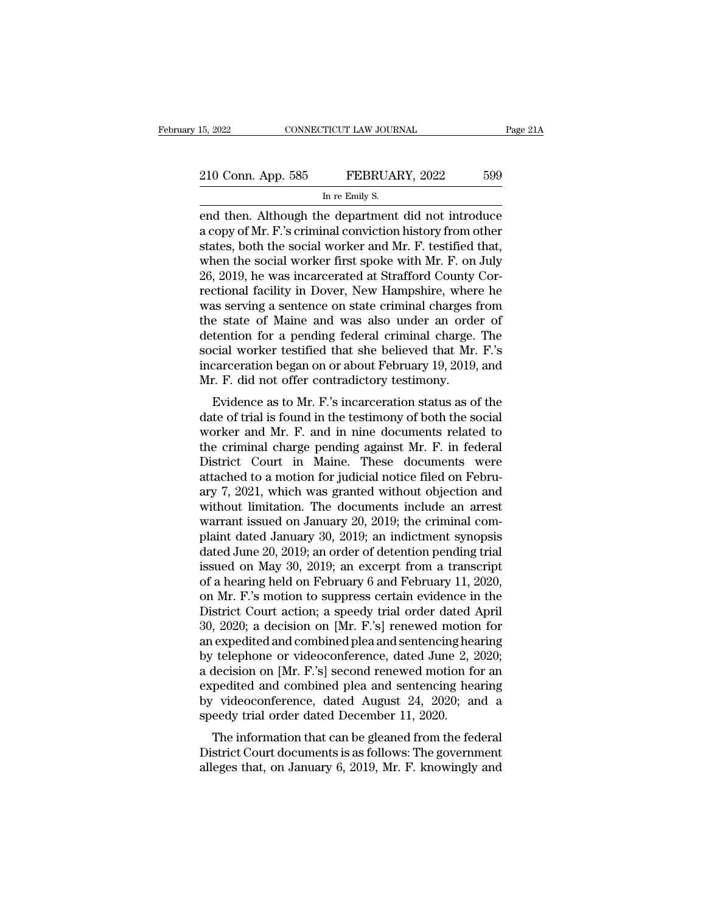end then. App. 585 FEBRUARY, 2022 599<br>
The Emily S.<br>
The department did not introduce<br>
a copy of Mr. F.'s criminal conviction history from other<br>
end then. Although the department did not introduce<br>
a copy of Mr. F.'s crim 210 Conn. App. 585 FEBRUARY, 2022 599<br>
In re Emily S.<br>
end then. Although the department did not introduce<br>
a copy of Mr. F.'s criminal conviction history from other<br>
states, both the social worker and Mr. F. testified tha 210 Conn. App. 585 FEBRUARY, 2022 599<br>
In re Emily S.<br>
end then. Although the department did not introduce<br>
a copy of Mr. F.'s criminal conviction history from other<br>
states, both the social worker and Mr. F. testified tha 210 Conn. App. 585 FEBRUARY, 2022 599<br>
In re Emily S.<br>
end then. Although the department did not introduce<br>
a copy of Mr. F.'s criminal conviction history from other<br>
states, both the social worker and Mr. F. testified tha In re Emily S.<br>
In re Emily S.<br>
end then. Although the department did not introduce<br>
a copy of Mr. F.'s criminal conviction history from other<br>
states, both the social worker and Mr. F. testified that,<br>
when the social wor In re Emily S.<br>
end then. Although the department did not introduce<br>
a copy of Mr. F.'s criminal conviction history from other<br>
states, both the social worker and Mr. F. testified that,<br>
when the social worker first spoke end then. Although the department did not introduce<br>a copy of Mr. F.'s criminal conviction history from other<br>states, both the social worker and Mr. F. testified that,<br>when the social worker first spoke with Mr. F. on July a copy of Mr. F.'s criminal conviction history from other<br>states, both the social worker and Mr. F. testified that,<br>when the social worker first spoke with Mr. F. on July<br>26, 2019, he was incarcerated at Strafford County C states, both the social worker and Mr. F. testified that,<br>when the social worker first spoke with Mr. F. on July<br>26, 2019, he was incarcerated at Strafford County Cor-<br>rectional facility in Dover, New Hampshire, where he<br>w when the social worker first spoke with Mr. F. on July 26, 2019, he was incarcerated at Strafford County Correctional facility in Dover, New Hampshire, where he was serving a sentence on state criminal charges from the sta 26, 2019, he was incarcerated at Strafford County Correctional facility in Dover, New Hampshire, where he was serving a sentence on state criminal charges from the state of Maine and was also under an order of detention fo rectional facility in Dover, New Hampshire, wher<br>was serving a sentence on state criminal charges 1<br>the state of Maine and was also under an orde<br>detention for a pending federal criminal charge.<br>social worker testified tha is serving a sentence on state criminal charges from<br>e state of Maine and was also under an order of<br>tention for a pending federal criminal charge. The<br>cial worker testified that she believed that Mr. F.'s<br>carceration bega detention for a pending federal criminal charge. The<br>social worker testified that she believed that Mr. F.'s<br>incarceration began on or about February 19, 2019, and<br>Mr. F. did not offer contradictory testimony.<br>Evidence as

detention for a pending rederar criminal charge. The<br>social worker testified that she believed that Mr. F.'s<br>incarceration began on or about February 19, 2019, and<br>Mr. F. did not offer contradictory testimony.<br>Evidence as social worker testined that site beneved that Mr. F. s<br>incarceration began on or about February 19, 2019, and<br>Mr. F. did not offer contradictory testimony.<br>Evidence as to Mr. F.'s incarceration status as of the<br>date of tri Incarceration began on or about February 19, 2019, and<br>Mr. F. did not offer contradictory testimony.<br>Evidence as to Mr. F.'s incarceration status as of the<br>date of trial is found in the testimony of both the social<br>worker Mr. F. did not oner contradictory testimony.<br>Evidence as to Mr. F.'s incarceration status as of the<br>date of trial is found in the testimony of both the social<br>worker and Mr. F. and in nine documents related to<br>the criminal Evidence as to Mr. F.'s incarceration status as of the<br>date of trial is found in the testimony of both the social<br>worker and Mr. F. and in nine documents related to<br>the criminal charge pending against Mr. F. in federal<br>Di date of trial is found in the testimony of both the social<br>worker and Mr. F. and in nine documents related to<br>the criminal charge pending against Mr. F. in federal<br>District Court in Maine. These documents were<br>attached to worker and Mr. F. and in nine documents related to<br>the criminal charge pending against Mr. F. in federal<br>District Court in Maine. These documents were<br>attached to a motion for judicial notice filed on Febru-<br>ary 7, 2021, w the criminal charge pending against Mr. F. in federal<br>District Court in Maine. These documents were<br>attached to a motion for judicial notice filed on Febru-<br>ary 7, 2021, which was granted without objection and<br>without limi District Court in Maine. These documents were<br>attached to a motion for judicial notice filed on Febru-<br>ary 7, 2021, which was granted without objection and<br>without limitation. The documents include an arrest<br>warrant issued attached to a motion for judicial notice filed on February 7, 2021, which was granted without objection and<br>without limitation. The documents include an arrest<br>warrant issued on January 20, 2019; the criminal com-<br>plaint d ary 7, 2021, which was granted without objection and<br>without limitation. The documents include an arrest<br>warrant issued on January 20, 2019; the criminal com-<br>plaint dated January 30, 2019; an indictment synopsis<br>dated Jun without limitation. The documents include an arrest<br>warrant issued on January 20, 2019; the criminal com-<br>plaint dated January 30, 2019; an indictment synopsis<br>dated June 20, 2019; an order of detention pending trial<br>issue warrant issued on January 20, 2019; the criminal complaint dated January 30, 2019; an indictment synopsis<br>dated June 20, 2019; an order of detention pending trial<br>issued on May 30, 2019; an excerpt from a transcript<br>of a h plaint dated January 30, 2019; an indictment synopsis<br>dated June 20, 2019; an order of detention pending trial<br>issued on May 30, 2019; an excerpt from a transcript<br>of a hearing held on February 6 and February 11, 2020,<br>on dated June 20, 2019; an order of detention pending trial<br>issued on May 30, 2019; an excerpt from a transcript<br>of a hearing held on February 6 and February 11, 2020,<br>on Mr. F.'s motion to suppress certain evidence in the<br>Di issued on May 30, 2019; an excerpt from a transcript<br>of a hearing held on February 6 and February 11, 2020,<br>on Mr. F.'s motion to suppress certain evidence in the<br>District Court action; a speedy trial order dated April<br>30, of a hearing held on February 6 and February 11, 2020,<br>on Mr. F.'s motion to suppress certain evidence in the<br>District Court action; a speedy trial order dated April<br>30, 2020; a decision on [Mr. F.'s] renewed motion for<br>a on Mr. F.'s motion to suppress certain evidence in the<br>District Court action; a speedy trial order dated April<br>30, 2020; a decision on [Mr. F.'s] renewed motion for<br>an expedited and combined plea and sentencing hearing<br>by District Court action; a speedy trial order dated April 30, 2020; a decision on [Mr. F.'s] renewed motion for an expedited and combined plea and sentencing hearing by telephone or videoconference, dated June 2, 2020; a dec 30, 2020; a decision on [Mr. F.'s] renewed motion<br>an expedited and combined plea and sentencing hea<br>by telephone or videoconference, dated June 2, 2<br>a decision on [Mr. F.'s] second renewed motion fo<br>expedited and combined The information that can be gleaned from the federal<br>The information of Mr. F.'s] second renewed motion for an<br>pedited and combined plea and sentencing hearing<br>Trive-videoconference, dated August 24, 2020; and a<br>eedy tria by telephole of videocomerence, dated Julie 2, 2020,<br>a decision on [Mr. F.'s] second renewed motion for an<br>expedited and combined plea and sentencing hearing<br>by videoconference, dated August 24, 2020; and a<br>speedy trial o a decision on [Mr. F. s] second renewed modon for an expedited and combined plea and sentencing hearing by videoconference, dated August 24, 2020; and a speedy trial order dated December 11, 2020.<br>The information that can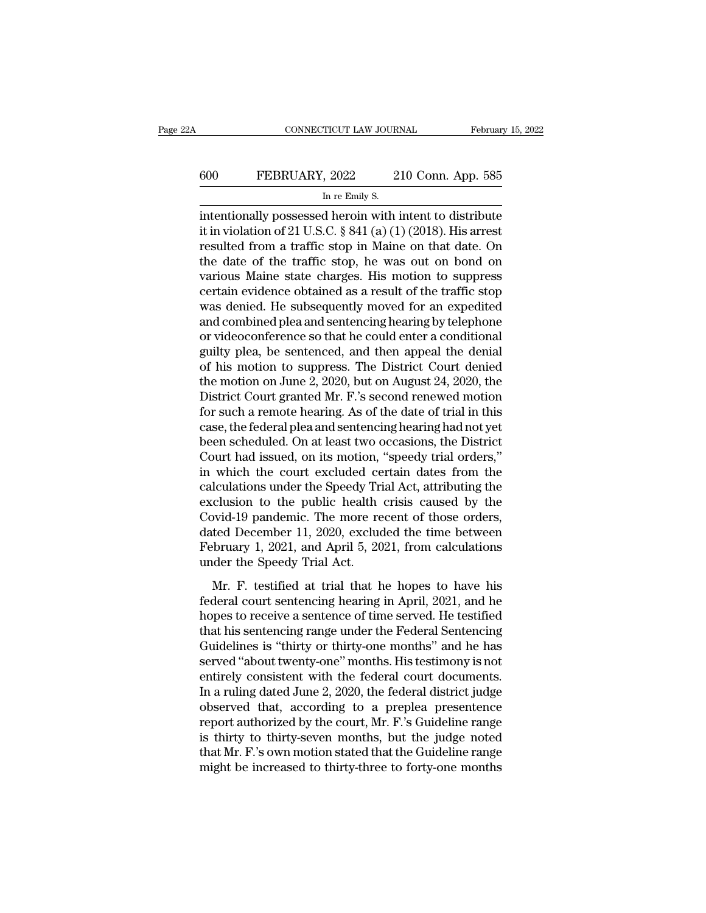# CONNECTICUT LAW JOURNAL February 15, 2022<br>600 FEBRUARY, 2022 210 Conn. App. 585<br>In re Emily S. TICUT LAW JOUR.<br>, 2022 2<br>In re Emily S.<br>d heroin with i

CONNECTICUT LAW JOURNAL February 15, 2022<br>
FEBRUARY, 2022 210 Conn. App. 585<br>
In re Emily S.<br>
intentionally possessed heroin with intent to distribute<br>
it in violation of 21 U.S.C. § 841 (a) (1) (2018). His arrest<br>
resulte FEBRUARY, 2022 210 Conn. App. 585<br>
In re Emily S.<br>
intentionally possessed heroin with intent to distribute<br>
it in violation of 21 U.S.C. § 841 (a) (1) (2018). His arrest<br>
resulted from a traffic stop in Maine on that date FEBRUARY, 2022 210 Conn. App. 585<br>
In re Emily S.<br>
intentionally possessed heroin with intent to distribute<br>
it in violation of 21 U.S.C.  $\S$  841 (a) (1) (2018). His arrest<br>
resulted from a traffic stop in Maine on that d FEBRUARY, 2022 210 Conn. App. 585<br>
In re Emily S.<br>
intentionally possessed heroin with intent to distribute<br>
it in violation of 21 U.S.C. § 841 (a) (1) (2018). His arrest<br>
resulted from a traffic stop in Maine on that dat In re Emily S.<br>
In re Emily S.<br>
intentionally possessed heroin with intent to distribute<br>
it in violation of 21 U.S.C. § 841 (a) (1) (2018). His arrest<br>
resulted from a traffic stop in Maine on that date. On<br>
the date of In re Emily S.<br>
intentionally possessed heroin with intent to distribute<br>
it in violation of 21 U.S.C. § 841 (a) (1) (2018). His arrest<br>
resulted from a traffic stop in Maine on that date. On<br>
the date of the traffic stop intentionally possessed heroin with intent to distribute<br>it in violation of 21 U.S.C. § 841 (a) (1) (2018). His arrest<br>resulted from a traffic stop in Maine on that date. On<br>the date of the traffic stop, he was out on bond it in violation of 21 U.S.C. § 841 (a) (1) (2018). His arrest<br>resulted from a traffic stop in Maine on that date. On<br>the date of the traffic stop, he was out on bond on<br>various Maine state charges. His motion to suppress<br>c resulted from a traffic stop in Maine on that date. On<br>the date of the traffic stop, he was out on bond on<br>various Maine state charges. His motion to suppress<br>certain evidence obtained as a result of the traffic stop<br>was d the date of the traffic stop, he was out on bond on<br>various Maine state charges. His motion to suppress<br>certain evidence obtained as a result of the traffic stop<br>was denied. He subsequently moved for an expedited<br>and comb various Maine state charges. His motion to suppress<br>certain evidence obtained as a result of the traffic stop<br>was denied. He subsequently moved for an expedited<br>and combined plea and sentencing hearing by telephone<br>or vide certain evidence obtained as a result of the traffic stop<br>was denied. He subsequently moved for an expedited<br>and combined plea and sentencing hearing by telephone<br>or videoconference so that he could enter a conditional<br>gui was denied. He subsequently moved for an expedited<br>and combined plea and sentencing hearing by telephone<br>or videoconference so that he could enter a conditional<br>guilty plea, be sentenced, and then appeal the denial<br>of his and combined plea and sentencing hearing by telephone<br>or videoconference so that he could enter a conditional<br>guilty plea, be sentenced, and then appeal the denial<br>of his motion to suppress. The District Court denied<br>the m or videoconference so that he could enter a conditional<br>guilty plea, be sentenced, and then appeal the denial<br>of his motion to suppress. The District Court denied<br>the motion on June 2, 2020, but on August 24, 2020, the<br>Dis guilty plea, be sentenced, and then appeal the denial<br>of his motion to suppress. The District Court denied<br>the motion on June 2, 2020, but on August 24, 2020, the<br>District Court granted Mr. F.'s second renewed motion<br>for s of his motion to suppress. The District Court denied<br>the motion on June 2, 2020, but on August 24, 2020, the<br>District Court granted Mr. F.'s second renewed motion<br>for such a remote hearing. As of the date of trial in this<br> the motion on June 2, 2020, but on August 24, 2020, the<br>District Court granted Mr. F.'s second renewed motion<br>for such a remote hearing. As of the date of trial in this<br>case, the federal plea and sentencing hearing had not District Court granted Mr. F.'s second renewed motion<br>for such a remote hearing. As of the date of trial in this<br>case, the federal plea and sentencing hearing had not yet<br>been scheduled. On at least two occasions, the Dist for such a remote hearing. As of the date of trial in this<br>case, the federal plea and sentencing hearing had not yet<br>been scheduled. On at least two occasions, the District<br>Court had issued, on its motion, "speedy trial or case, the federal plea and sentencing hearing had not yet<br>been scheduled. On at least two occasions, the District<br>Court had issued, on its motion, "speedy trial orders,"<br>in which the court excluded certain dates from the<br> been scheduled. On at least two occasions, the District<br>Court had issued, on its motion, "speedy trial orders,"<br>in which the court excluded certain dates from the<br>calculations under the Speedy Trial Act, attributing the<br>ex Court had issued, on its motion, "speedy trial orders,"<br>in which the court excluded certain dates from the<br>calculations under the Speedy Trial Act, attributing the<br>exclusion to the public health crisis caused by the<br>Covidin which the court excluded ce<br>calculations under the Speedy Tri<br>exclusion to the public health<br>Covid-19 pandemic. The more re<br>dated December 11, 2020, exclude<br>February 1, 2021, and April 5, 20<br>under the Speedy Trial Act.<br> reductions dider the speedy That Fie, darhoung the<br>clusion to the public health crisis caused by the<br>wid-19 pandemic. The more recent of those orders,<br>ted December 11, 2020, excluded the time between<br>bruary 1, 2021, and Ap Federal court sentencing. The more recent of those orders,<br>dated December 11, 2020, excluded the time between<br>February 1, 2021, and April 5, 2021, from calculations<br>under the Speedy Trial Act.<br>Mr. F. testified at trial th

For the Hore Technical of these orders,<br>dated December 11, 2020, excluded the time between<br>February 1, 2021, and April 5, 2021, from calculations<br>under the Speedy Trial Act.<br>Mr. F. testified at trial that he hopes to have The second of the sentence are the served.<br>
February 1, 2021, and April 5, 2021, from calculations<br>
under the Speedy Trial Act.<br>
Mr. F. testified at trial that he hopes to have his<br>
federal court sentencing hearing in Apri Forday 1, 2021, and 1.pm 0, 2021, from careadations<br>
under the Speedy Trial Act.<br>
Mr. F. testified at trial that he hopes to have his<br>
federal court sentencing hearing in April, 2021, and he<br>
hopes to receive a sentence of Mr. F. testified at trial that he hopes to have his<br>federal court sentencing hearing in April, 2021, and he<br>hopes to receive a sentence of time served. He testified<br>that his sentencing range under the Federal Sentencing<br>Gu Mr. F. testified at trial that he hopes to have his<br>federal court sentencing hearing in April, 2021, and he<br>hopes to receive a sentence of time served. He testified<br>that his sentencing range under the Federal Sentencing<br>Gu federal court sentencing hearing in April, 2021, and he<br>hopes to receive a sentence of time served. He testified<br>that his sentencing range under the Federal Sentencing<br>Guidelines is "thirty or thirty-one months" and he has hopes to receive a sentence of time served. He testified<br>that his sentencing range under the Federal Sentencing<br>Guidelines is "thirty or thirty-one months" and he has<br>served "about twenty-one" months. His testimony is not<br> that his sentencing range under the Federal Sentencing<br>Guidelines is "thirty or thirty-one months" and he has<br>served "about twenty-one" months. His testimony is not<br>entirely consistent with the federal court documents.<br>In Guidelines is "thirty or thirty-one months" and he has<br>served "about twenty-one" months. His testimony is not<br>entirely consistent with the federal court documents.<br>In a ruling dated June 2, 2020, the federal district judge served "about twenty-one" months. His testimony is not<br>entirely consistent with the federal court documents.<br>In a ruling dated June 2, 2020, the federal district judge<br>observed that, according to a preplea presentence<br>repo entirely consistent with the federal court documents.<br>In a ruling dated June 2, 2020, the federal district judge<br>observed that, according to a preplea presentence<br>report authorized by the court, Mr. F.'s Guideline range<br>is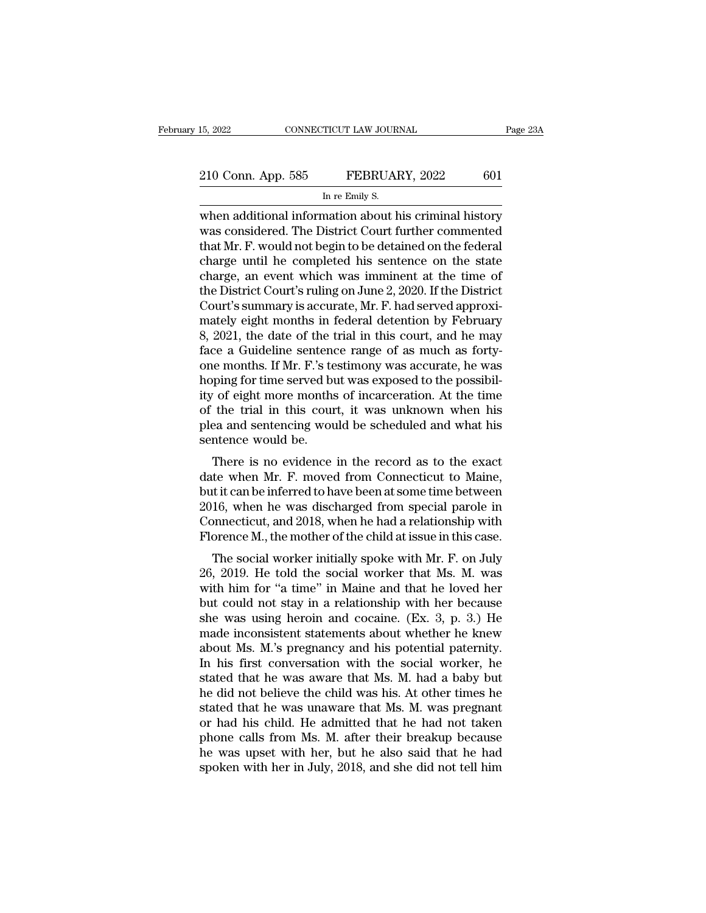EXECTE AN SOURNAL Page 23A<br>
210 Conn. App. 585 FEBRUARY, 2022 601<br>
In re Emily S.<br>
When additional information about his criminal history<br>
was considered. The District Court further commented<br>
that Mr. E. would not begin t 210 Conn. App. 585 FEBRUARY, 2022 601<br>
In re Emily S.<br>
when additional information about his criminal history<br>
was considered. The District Court further commented<br>
that Mr. F. would not begin to be detained on the federal 210 Conn. App. 585 FEBRUARY, 2022 601<br>
In re Emily S.<br>
when additional information about his criminal history<br>
was considered. The District Court further commented<br>
that Mr. F. would not begin to be detained on the federal 210 Conn. App. 585 FEBRUARY, 2022 601<br>
In re Emily S.<br>
when additional information about his criminal history<br>
was considered. The District Court further commented<br>
that Mr. F. would not begin to be detained on the federal IN TREASURE TO SULTER THE SULTER TRINING THE EMILY S.<br>
When additional information about his criminal history<br>
was considered. The District Court further commented<br>
that Mr. F. would not begin to be detained on the federa In re Emly S.<br>
When additional information about his criminal history<br>
was considered. The District Court further commented<br>
that Mr. F. would not begin to be detained on the federal<br>
charge until he completed his sentence when additional information about his criminal history<br>was considered. The District Court further commented<br>that Mr. F. would not begin to be detained on the federal<br>charge until he completed his sentence on the state<br>char was considered. The District Court further commented<br>that Mr. F. would not begin to be detained on the federal<br>charge until he completed his sentence on the state<br>charge, an event which was imminent at the time of<br>the Dist that Mr. F. would not begin to be detained on the federal<br>charge until he completed his sentence on the state<br>charge, an event which was imminent at the time of<br>the District Court's ruling on June 2, 2020. If the District<br> charge until he completed his sentence on the state<br>charge, an event which was imminent at the time of<br>the District Court's ruling on June 2, 2020. If the District<br>Court's summary is accurate, Mr. F. had served approxi-<br>ma charge, an event which was imminent at the time of<br>the District Court's ruling on June 2, 2020. If the District<br>Court's summary is accurate, Mr. F. had served approxi-<br>mately eight months in federal detention by February<br>8 the District Court's ruling on June 2, 2020. If the District Court's summary is accurate, Mr. F. had served approximately eight months in federal detention by February 8, 2021, the date of the trial in this court, and he m Court's summary is accurate, Mr. F. had served approximately eight months in federal detention by February<br>8, 2021, the date of the trial in this court, and he may<br>face a Guideline sentence range of as much as forty-<br>one m mately eight months in federal detention by February<br>8, 2021, the date of the trial in this court, and he may<br>face a Guideline sentence range of as much as forty-<br>one months. If Mr. F.'s testimony was accurate, he was<br>hopi 8, 2021, the date of the trial in this court, and he may<br>face a Guideline sentence range of as much as forty-<br>one months. If Mr. F.'s testimony was accurate, he was<br>hoping for time served but was exposed to the possibil-<br>i face a Guideline sentence<br>one months. If Mr. F.'s te<br>hoping for time served bu<br>ity of eight more months<br>of the trial in this cour<br>plea and sentencing wou<br>sentence would be.<br>There is no evidence For time served but was exposed to the possibil-<br>
There is no evident more months of incarceration. At the time<br>
the trial in this court, it was unknown when his<br>
ea and sentencing would be scheduled and what his<br>
intence hoping for thre served but was exposed to the possibility of eight more months of incarceration. At the time<br>of the trial in this court, it was unknown when his<br>plea and sentencing would be scheduled and what his<br>sentence

but it can be inferred to have been at some time between<br>plea and sentencing would be scheduled and what his<br>sentence would be.<br>There is no evidence in the record as to the exact<br>date when Mr. F. moved from Connecticut to of the trial in this court, it was unknown when his<br>plea and sentencing would be scheduled and what his<br>sentence would be.<br>There is no evidence in the record as to the exact<br>date when Mr. F. moved from Connecticut to Maine plea and sentencing would be scheduled and what his<br>sentence would be.<br>There is no evidence in the record as to the exact<br>date when Mr. F. moved from Connecticut to Maine,<br>but it can be inferred to have been at some time b There is no evidence in the record as to the exact<br>date when Mr. F. moved from Connecticut to Maine,<br>but it can be inferred to have been at some time between<br>2016, when he was discharged from special parole in<br>Connecticut, There is no evidence in the record as to the exact<br>te when Mr. F. moved from Connecticut to Maine,<br>it it can be inferred to have been at some time between<br>16, when he was discharged from special parole in<br>ponnecticut, and date when Mr. F. moved from Connecticut to Malle,<br>but it can be inferred to have been at some time between<br>2016, when he was discharged from special parole in<br>Connecticut, and 2018, when he had a relationship with<br>Florence

but it can be interfed to have been at some time between<br>2016, when he was discharged from special parole in<br>Connecticut, and 2018, when he had a relationship with<br>Florence M., the mother of the child at issue in this cas 2010, when he was uschaiged noth spectal parole in<br>Connecticut, and 2018, when he had a relationship with<br>Florence M., the mother of the child at issue in this case.<br>The social worker initially spoke with Mr. F. on July<br>26 Florence M., the mother of the child at issue in this case.<br>The social worker initially spoke with Mr. F. on July<br>26, 2019. He told the social worker that Ms. M. was<br>with him for "a time" in Maine and that he loved her<br>bu The social worker initially spoke with Mr. F. on July 26, 2019. He told the social worker that Ms. M. was with him for "a time" in Maine and that he loved her but could not stay in a relationship with her because she was The social worker initially spoke with Mr. F. on July 26, 2019. He told the social worker that Ms. M. was with him for "a time" in Maine and that he loved her but could not stay in a relationship with her because she was u 26, 2019. He told the social worker that Ms. M. was<br>with him for "a time" in Maine and that he loved her<br>but could not stay in a relationship with her because<br>she was using heroin and cocaine. (Ex. 3, p. 3.) He<br>made incons with him for "a time" in Maine and that he loved her<br>but could not stay in a relationship with her because<br>she was using heroin and cocaine. (Ex. 3, p. 3.) He<br>made inconsistent statements about whether he knew<br>about Ms. M. but could not stay in a relationship with her because<br>she was using heroin and cocaine. (Ex. 3, p. 3.) He<br>made inconsistent statements about whether he knew<br>about Ms. M.'s pregnancy and his potential paternity.<br>In his firs she was using heroin and cocaine. (Ex. 3, p. 3.) He<br>made inconsistent statements about whether he knew<br>about Ms. M.'s pregnancy and his potential paternity.<br>In his first conversation with the social worker, he<br>stated that made inconsistent statements about whether he knew<br>about Ms. M.'s pregnancy and his potential paternity.<br>In his first conversation with the social worker, he<br>stated that he was aware that Ms. M. had a baby but<br>he did not b about Ms. M.'s pregnancy and his potential paternity.<br>In his first conversation with the social worker, he<br>stated that he was aware that Ms. M. had a baby but<br>he did not believe the child was his. At other times he<br>stated In his first conversation with the social worker, he<br>stated that he was aware that Ms. M. had a baby but<br>he did not believe the child was his. At other times he<br>stated that he was unaware that Ms. M. was pregnant<br>or had hi stated that he was aware that Ms. M. had a baby but<br>he did not believe the child was his. At other times he<br>stated that he was unaware that Ms. M. was pregnant<br>or had his child. He admitted that he had not taken<br>phone call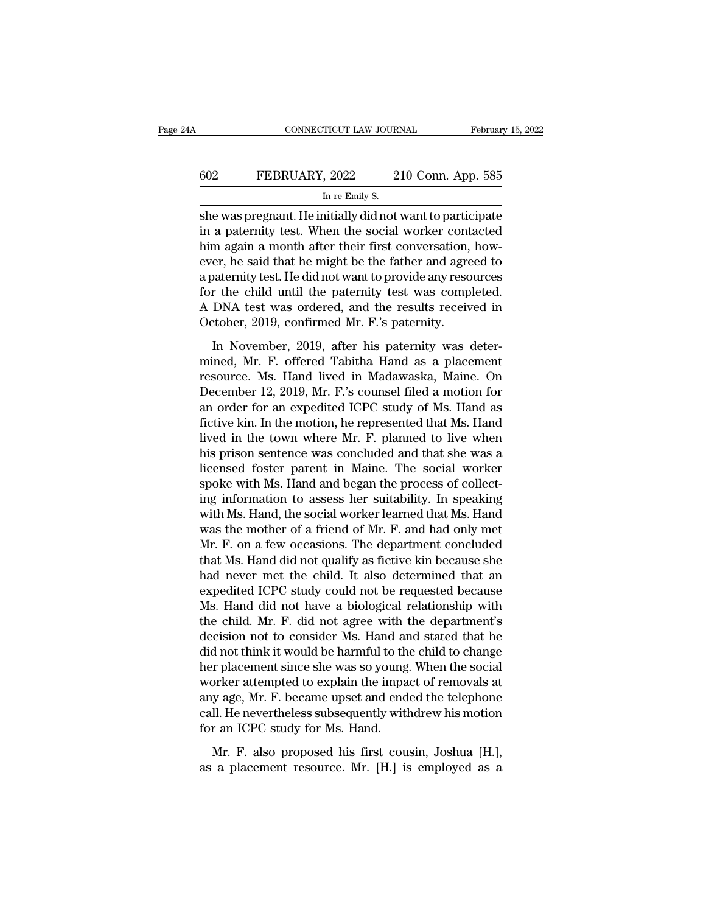# CONNECTICUT LAW JOURNAL February 15, 2022<br>602 FEBRUARY, 2022 210 Conn. App. 585<br>In re Emily S. TICUT LAW JOUR.<br>, 2022 2<br>In re Emily S.<br>nitially did not.

CONNECTICUT LAW JOURNAL February 15, 2022<br>
She Was pregnant. He initially did not want to participate<br>
FEBRUARY, 2022 210 Conn. App. 585<br>
She was pregnant. He initially did not want to participate<br>
in a paternity test. Whe FEBRUARY, 2022 210 Conn. App. 585<br>
In re Emily S.<br>
she was pregnant. He initially did not want to participate<br>
in a paternity test. When the social worker contacted<br>
him again a month after their first conversation, how-<br> FEBRUARY, 2022 210 Conn. App. 585<br>
In re Emily S.<br>
she was pregnant. He initially did not want to participate<br>
in a paternity test. When the social worker contacted<br>
him again a month after their first conversation, how-<br> EBRUARY, 2022 210 Conn. App. 585<br>
In re Emily S.<br>
she was pregnant. He initially did not want to participate<br>
in a paternity test. When the social worker contacted<br>
him again a month after their first conversation, how-<br> In re Emily S.<br>
She was pregnant. He initially did not want to participate<br>
in a paternity test. When the social worker contacted<br>
him again a month after their first conversation, how-<br>
ever, he said that he might be the  $\frac{1}{100}$  and  $\frac{1}{100}$  are  $\frac{1}{100}$  and  $\frac{1}{100}$  and  $\frac{1}{100}$  and  $\frac{1}{100}$  and  $\frac{1}{100}$  and  $\frac{1}{100}$  and  $\frac{1}{100}$  and  $\frac{1}{100}$  and  $\frac{1}{100}$  and  $\frac{1}{100}$  and  $\frac{1}{100}$  and  $\frac{1}{100}$  a she was pregnant. He initially did not want to participate<br>in a paternity test. When the social worker contacted<br>him again a month after their first conversation, how-<br>ever, he said that he might be the father and agreed t in a paternity test. When the social worker cont<br>him again a month after their first conversation,<br>ever, he said that he might be the father and agre<br>a paternity test. He did not want to provide any reso<br>for the child unti him again a month after their first conversation, however, he said that he might be the father and agreed to a paternity test. He did not want to provide any resources for the child until the paternity test was completed. may be the factor and agreed to a<br>paternity test. He did not want to provide any resources<br>for the child until the paternity test was completed.<br>A DNA test was ordered, and the results received in<br>October, 2019, confirmed

resource.<br>
for the child until the paternity test was completed.<br>
A DNA test was ordered, and the results received in<br>
October, 2019, confirmed Mr. F.'s paternity.<br>
In November, 2019, after his paternity was deter-<br>
mined, A DNA test was ordered, and the results received in<br>October, 2019, confirmed Mr. F.'s paternity.<br>In November, 2019, after his paternity was deter-<br>mined, Mr. F. offered Tabitha Hand as a placement<br>resource. Ms. Hand lived Corober, 2019, confirmed Mr. F.'s paternity.<br>
In November, 2019, after his paternity was deter-<br>
mined, Mr. F. offered Tabitha Hand as a placement<br>
resource. Ms. Hand lived in Madawaska, Maine. On<br>
December 12, 2019, Mr. In November, 2019, after his paternity was deter-<br>mined, Mr. F. offered Tabitha Hand as a placement<br>resource. Ms. Hand lived in Madawaska, Maine. On<br>December 12, 2019, Mr. F.'s counsel filed a motion for<br>an order for an ex In November, 2019, after his paternity was deter-<br>mined, Mr. F. offered Tabitha Hand as a placement<br>resource. Ms. Hand lived in Madawaska, Maine. On<br>December 12, 2019, Mr. F.'s counsel filed a motion for<br>an order for an ex mined, Mr. F. offered Tabitha Hand as a placement<br>resource. Ms. Hand lived in Madawaska, Maine. On<br>December 12, 2019, Mr. F.'s counsel filed a motion for<br>an order for an expedited ICPC study of Ms. Hand as<br>fictive kin. In resource. Ms. Hand lived in Madawaska, Maine. On<br>December 12, 2019, Mr. F.'s counsel filed a motion for<br>an order for an expedited ICPC study of Ms. Hand as<br>fictive kin. In the motion, he represented that Ms. Hand<br>lived in December 12, 2019, Mr. F.'s counsel filed a motion for<br>an order for an expedited ICPC study of Ms. Hand as<br>fictive kin. In the motion, he represented that Ms. Hand<br>lived in the town where Mr. F. planned to live when<br>his pr an order for an expedited ICPC study of Ms. Hand as<br>fictive kin. In the motion, he represented that Ms. Hand<br>lived in the town where Mr. F. planned to live when<br>his prison sentence was concluded and that she was a<br>licensed fictive kin. In the motion, he represented that Ms. Hand<br>lived in the town where Mr. F. planned to live when<br>his prison sentence was concluded and that she was a<br>licensed foster parent in Maine. The social worker<br>spoke wit lived in the town where Mr. F. planned to live when<br>his prison sentence was concluded and that she was a<br>licensed foster parent in Maine. The social worker<br>spoke with Ms. Hand and began the process of collect-<br>ing informat his prison sentence was concluded and that she was a<br>licensed foster parent in Maine. The social worker<br>spoke with Ms. Hand and began the process of collect-<br>ing information to assess her suitability. In speaking<br>with Ms. licensed foster parent in Maine. The social worker<br>spoke with Ms. Hand and began the process of collect-<br>ing information to assess her suitability. In speaking<br>with Ms. Hand, the social worker learned that Ms. Hand<br>was the spoke with Ms. Hand and began the process of collect-<br>ing information to assess her suitability. In speaking<br>with Ms. Hand, the social worker learned that Ms. Hand<br>was the mother of a friend of Mr. F. and had only met<br>Mr. ing information to assess her suitability. In speaking<br>with Ms. Hand, the social worker learned that Ms. Hand<br>was the mother of a friend of Mr. F. and had only met<br>Mr. F. on a few occasions. The department concluded<br>that with Ms. Hand, the social worker learned that Ms. Hand<br>was the mother of a friend of Mr. F. and had only met<br>Mr. F. on a few occasions. The department concluded<br>that Ms. Hand did not qualify as fictive kin because she<br>had was the mother of a friend of Mr. F. and had only met<br>Mr. F. on a few occasions. The department concluded<br>that Ms. Hand did not qualify as fictive kin because she<br>had never met the child. It also determined that an<br>expedit Mr. F. on a few occasions. The department concluded<br>that Ms. Hand did not qualify as fictive kin because she<br>had never met the child. It also determined that an<br>expedited ICPC study could not be requested because<br>Ms. Hand that Ms. Hand did not qualify as fictive kin because she<br>had never met the child. It also determined that an<br>expedited ICPC study could not be requested because<br>Ms. Hand did not have a biological relationship with<br>the chil had never met the child. It also determined that an expedited ICPC study could not be requested because Ms. Hand did not have a biological relationship with the child. Mr. F. did not agree with the department's decision n expedited ICPC study could not be requested because<br>Ms. Hand did not have a biological relationship with<br>the child. Mr. F. did not agree with the department's<br>decision not to consider Ms. Hand and stated that he<br>did not th Ms. Hand did not have a biological relationship with<br>the child. Mr. F. did not agree with the department's<br>decision not to consider Ms. Hand and stated that he<br>did not think it would be harmful to the child to change<br>her p the child. Mr. F. did not agree with the department's<br>decision not to consider Ms. Hand and stated that he<br>did not think it would be harmful to the child to change<br>her placement since she was so young. When the social<br>work decision not to consider Ms. Hand are did not think it would be harmful to the her placement since she was so young worker attempted to explain the impadany age, Mr. F. became upset and end call. He nevertheless subsequent r placement since she was so young. When the social<br>orker attempted to explain the impact of removals at<br>y age, Mr. F. became upset and ended the telephone<br>II. He nevertheless subsequently withdrew his motion<br>r an ICPC stu worker attempted to explain the impact of removals at any age, Mr. F. became upset and ended the telephone call. He nevertheless subsequently withdrew his motion for an ICPC study for Ms. Hand.<br>Mr. F. also proposed his fir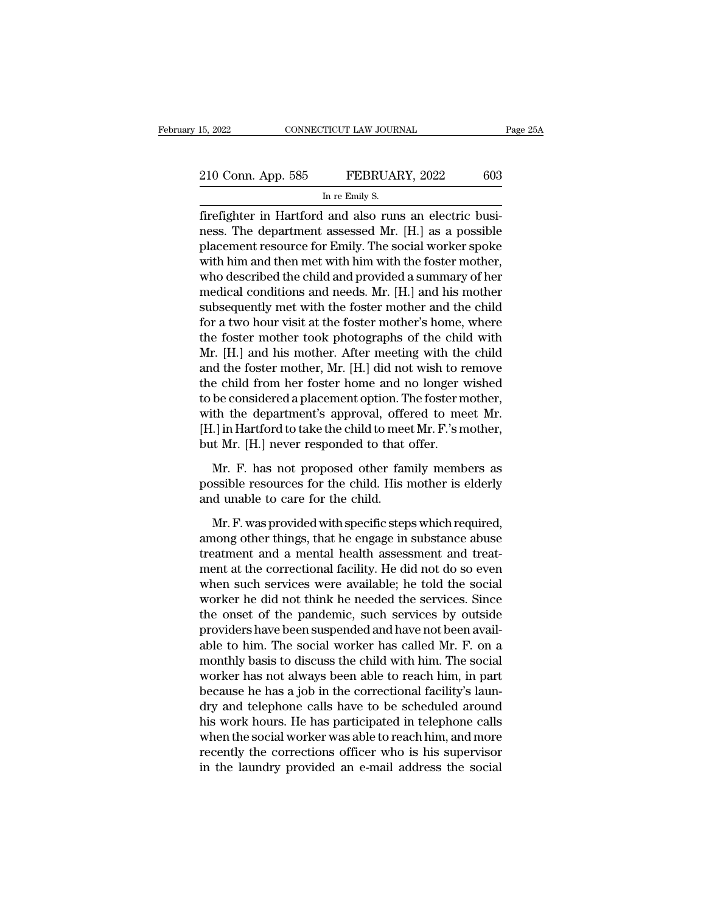| 15, 2022           | CONNECTICUT LAW JOURNAL                                 | Page 25A |
|--------------------|---------------------------------------------------------|----------|
|                    |                                                         |          |
| 210 Conn. App. 585 | FEBRUARY, 2022                                          | 603      |
|                    | In re Emily S.                                          |          |
|                    | firefighter in Hartford and also runs an electric busi- |          |

Firefighter in Hartford and also runs an electric busi-<br>
The Emily S.<br>
The Emily S.<br>
The department assessed Mr. [H.] as a possible<br>
The department assessed Mr. [H.] as a possible<br>
The social works makes 210 Conn. App. 585 FEBRUARY, 2022 603<br>
In re Emily S.<br>
firefighter in Hartford and also runs an electric business. The department assessed Mr. [H.] as a possible placement resource for Emily. The social worker spoke with h 210 Conn. App. 585 FEBRUARY, 2022 603<br>
In re Emily S.<br>
Firefighter in Hartford and also runs an electric busi-<br>
resons. The department assessed Mr. [H.] as a possible<br>
placement resource for Emily. The social worker spoke<br> 210 Conn. App. 585 FEBRUARY, 2022 603<br>
In re Emily S.<br>
firefighter in Hartford and also runs an electric busi-<br>
ness. The department assessed Mr. [H.] as a possible<br>
placement resource for Emily. The social worker spoke<br>
w IF THE CONSERVIES IN THE CONSERVANT IN THE CONSERVANT IN THE CHIRD THE CHIRD RESP. The department assessed Mr. [H.] as a possible placement resource for Emily. The social worker spoke with him and then met with him with th mediative and also runs an electric business. The department assessed Mr. [H.] as a possible placement resource for Emily. The social worker spoke with him and then met with him with the foster mother, who described the ch firefighter in Hartford and also runs an electric business. The department assessed Mr. [H.] as a possible placement resource for Emily. The social worker spoke with him and then met with him with the foster mother, who de ness. The department assessed Mr. [H.] as a possible<br>placement resource for Emily. The social worker spoke<br>with him and then met with him with the foster mother,<br>who described the child and provided a summary of her<br>medica placement resource for Emily. The social worker spoke<br>with him and then met with him with the foster mother,<br>who described the child and provided a summary of her<br>medical conditions and needs. Mr. [H.] and his mother<br>subse with him and then met with him with the foster mother,<br>who described the child and provided a summary of her<br>medical conditions and needs. Mr. [H.] and his mother<br>subsequently met with the foster mother and the child<br>for a who described the child and provided a summary of her<br>medical conditions and needs. Mr. [H.] and his mother<br>subsequently met with the foster mother and the child<br>for a two hour visit at the foster mother's home, where<br>the medical conditions and needs. Mr. [H.] and his mother<br>subsequently met with the foster mother and the child<br>for a two hour visit at the foster mother's home, where<br>the foster mother took photographs of the child with<br>Mr. [ subsequently met with the foster mother and the child<br>for a two hour visit at the foster mother's home, where<br>the foster mother took photographs of the child with<br>Mr. [H.] and his mother. After meeting with the child<br>and for a two hour visit at the foster mother's home, where<br>the foster mother took photographs of the child with<br>Mr. [H.] and his mother. After meeting with the child<br>and the foster mother, Mr. [H.] did not wish to remove<br>the the foster mother took photographs of the child with Mr. [H.] and his mother. After meeting with the child and the foster mother, Mr. [H.] did not wish to remove the child from her foster home and no longer wished to be co Mr. [H.] and his mother. After meeting with the<br>and the foster mother, Mr. [H.] did not wish to re<br>the child from her foster home and no longer v<br>to be considered a placement option. The foster m<br>with the department's appr e child from her foster home and no longer wished<br>be considered a placement option. The foster mother,<br>th the department's approval, offered to meet Mr.<br>I.] in Hartford to take the child to meet Mr. F.'s mother,<br>t Mr. [H.] to be considered a placement option. The foster mother,<br>with the department's approval, offered to meet Mr.<br>[H.] in Hartford to take the child to meet Mr. F.'s mother,<br>but Mr. [H.] never responded to that offer.<br>Mr. F. has with the department's approval, offe<br>
[H.] in Hartford to take the child to mee<br>
but Mr. [H.] never responded to that<br>
Mr. F. has not proposed other fan<br>
possible resources for the child. His n<br>
and unable to care for the

Note that the child to meet Mr. F. s mother,<br>it Mr. [H.] never responded to that offer.<br>Mr. F. has not proposed other family members as<br>sssible resources for the child.<br>His mother is elderly<br>d unable to care for the child.

but Mr. [H.] never responded to that offer.<br>
Mr. F. has not proposed other family members as<br>
possible resources for the child.<br>
His mother is elderly<br>
and unable to care for the child.<br>
Mr. F. was provided with specific s Mr. F. has not proposed other family members as<br>possible resources for the child. His mother is elderly<br>and unable to care for the child.<br>Mr. F. was provided with specific steps which required,<br>among other things, that he possible resources for the child. His mother is elderly<br>and unable to care for the child.<br>Mr. F. was provided with specific steps which required,<br>among other things, that he engage in substance abuse<br>treatment and a mental and unable to care for the child.<br>
Mr. F. was provided with specific steps which required,<br>
among other things, that he engage in substance abuse<br>
treatment and a mental health assessment and treat-<br>
ment at the correction Mr. F. was provided with specific steps which required,<br>among other things, that he engage in substance abuse<br>treatment and a mental health assessment and treat-<br>ment at the correctional facility. He did not do so even<br>whe Mr. F. was provided with specific steps which required,<br>among other things, that he engage in substance abuse<br>treatment and a mental health assessment and treat-<br>ment at the correctional facility. He did not do so even<br>wh among other things, that he engage in substance abuse<br>treatment and a mental health assessment and treat-<br>ment at the correctional facility. He did not do so even<br>when such services were available; he told the social<br>worke treatment and a mental health assessment and treat-<br>ment at the correctional facility. He did not do so even<br>when such services were available; he told the social<br>worker he did not think he needed the services. Since<br>the o ment at the correctional facility. He did not do so even<br>when such services were available; he told the social<br>worker he did not think he needed the services. Since<br>the onset of the pandemic, such services by outside<br>provi when such services were available; he told the social<br>worker he did not think he needed the services. Since<br>the onset of the pandemic, such services by outside<br>providers have been suspended and have not been avail-<br>able to worker he did not think he needed the services. Since<br>the onset of the pandemic, such services by outside<br>providers have been suspended and have not been avail-<br>able to him. The social worker has called Mr. F. on a<br>monthly the onset of the pandemic, such services by outside<br>providers have been suspended and have not been avail-<br>able to him. The social worker has called Mr. F. on a<br>monthly basis to discuss the child with him. The social<br>worke providers have been suspended and have not been available to him. The social worker has called Mr. F. on a monthly basis to discuss the child with him. The social worker has not always been able to reach him, in part becau able to him. The social worker has called Mr. F. on a<br>monthly basis to discuss the child with him. The social<br>worker has not always been able to reach him, in part<br>because he has a job in the correctional facility's laun-<br> monthly basis to discuss the child with him. The social<br>worker has not always been able to reach him, in part<br>because he has a job in the correctional facility's laun-<br>dry and telephone calls have to be scheduled around<br>hi worker has not always been able to reach him, in part<br>because he has a job in the correctional facility's laun-<br>dry and telephone calls have to be scheduled around<br>his work hours. He has participated in telephone calls<br>whe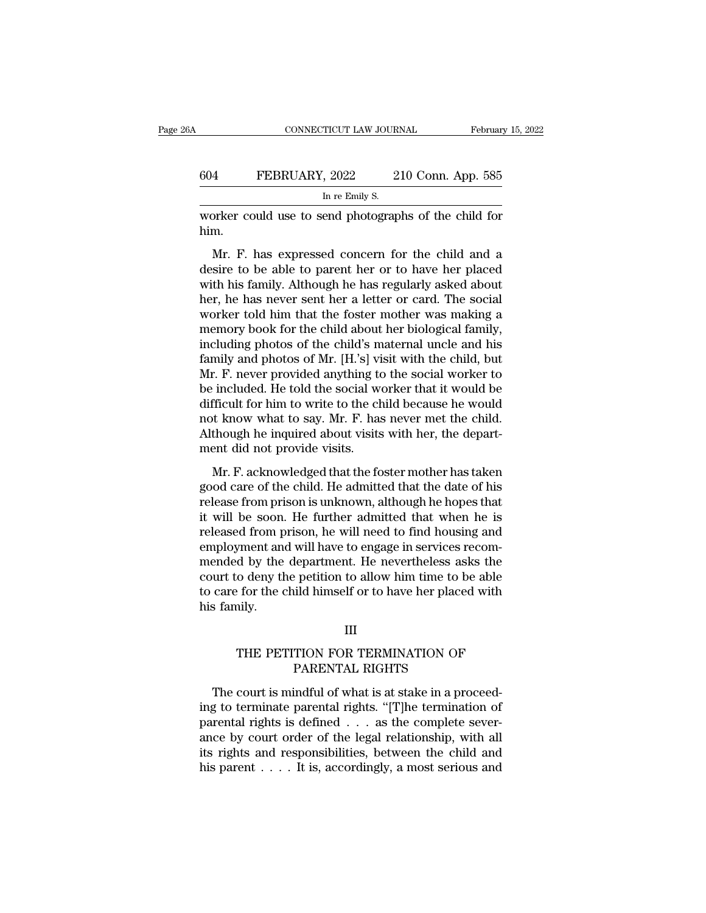## CONNECTICUT LAW JOURNAL February 15, 2022<br>604 FEBRUARY, 2022 210 Conn. App. 585<br>In re Emily S. TICUT LAW JOUR.<br>, 2022 2<br>In re Emily S.<br>end photograp CONNECTICUT LAW JOURNAL February 15, 2022<br>604 FEBRUARY, 2022 210 Conn. App. 585<br>In re Emily S.<br>Worker could use to send photographs of the child for<br>him.

him.

FEBRUARY, 2022 210 Conn. App. 585<br>
In re Emily S.<br>
Driver could use to send photographs of the child for<br>
Mr. F. has expressed concern for the child and a<br>
sire to be able to parent her or to have her placed<br>
th bis family  $\frac{604}{\text{In re Emily S.}}$ <br>  $\frac{604}{\text{In re Emily S.}}$ <br>
worker could use to send photographs of the child for<br>
him.<br>
Mr. F. has expressed concern for the child and a<br>
desire to be able to parent her or to have her placed<br>
with his family In re Emily S.<br>
worker could use to send photographs of the child for<br>
him.<br>
Mr. F. has expressed concern for the child and a<br>
desire to be able to parent her or to have her placed<br>
with his family. Although he has regular worker could use to send photographs of the child for<br>him.<br>Mr. F. has expressed concern for the child and a<br>desire to be able to parent her or to have her placed<br>with his family. Although he has regularly asked about<br>her, Worker todat ast to send photographs of are enhal to<br>him.<br>Mr. F. has expressed concern for the child and a<br>desire to be able to parent her or to have her placed<br>with his family. Although he has regularly asked about<br>her, h Mr. F. has expressed concern for the child and a desire to be able to parent her or to have her placed with his family. Although he has regularly asked about her, he has never sent her a letter or card. The social worker Mr. F. has expressed concern for the child and a<br>desire to be able to parent her or to have her placed<br>with his family. Although he has regularly asked about<br>her, he has never sent her a letter or card. The social<br>worker t desire to be able to parent her or to have her placed<br>with his family. Although he has regularly asked about<br>her, he has never sent her a letter or card. The social<br>worker told him that the foster mother was making a<br>memor with his family. Although he has regularly asked about<br>her, he has never sent her a letter or card. The social<br>worker told him that the foster mother was making a<br>memory book for the child about her biological family,<br>incl her, he has never sent her a letter or card. The social<br>worker told him that the foster mother was making a<br>memory book for the child about her biological family,<br>including photos of the child's maternal uncle and his<br>fami worker told him that the foster mother was making a<br>memory book for the child about her biological family,<br>including photos of the child's maternal uncle and his<br>family and photos of Mr. [H.'s] visit with the child, but<br>Mr memory book for the child about her biological family,<br>including photos of the child's maternal uncle and his<br>family and photos of Mr. [H.'s] visit with the child, but<br>Mr. F. never provided anything to the social worker to including photos of the child's maternal uncle and his<br>family and photos of Mr. [H.'s] visit with the child, but<br>Mr. F. never provided anything to the social worker to<br>be included. He told the social worker that it would b family and photos of Mr. [H.'s] vi<br>Mr. F. never provided anything to<br>be included. He told the social we<br>difficult for him to write to the ch<br>not know what to say. Mr. F. has<br>Although he inquired about visits<br>ment did not p  $\ddot{H}$ . F. acknowled anything to the social worker to included. He told the social worker that it would be fficult for him to write to the child because he would at know what to say. Mr. F. has never met the child. It h good care of the child worker and a women be difficult for him to write to the child because he would<br>not know what to say. Mr. F. has never met the child.<br>Although he inquired about visits with her, the depart-<br>ment did n

related for finit to write to the effided because he would<br>not know what to say. Mr. F. has never met the child.<br>Although he inquired about visits with her, the depart-<br>ment did not provide visits.<br>Mr. F. acknowledged that Although he inquired about visits with her, the department did not provide visits.<br>
Mr. F. acknowledged that the foster mother has taken<br>
good care of the child. He admitted that the date of his<br>
release from prison is un relationship in the matrice about visits with her, the department did not provide visits.<br>
Mr. F. acknowledged that the foster mother has taken<br>
good care of the child. He admitted that the date of his<br>
release from prison ment did not provide visits.<br>
Mr. F. acknowledged that the foster mother has taken<br>
good care of the child. He admitted that the date of his<br>
release from prison is unknown, although he hopes that<br>
it will be soon. He furt Mr. F. acknowledged that the foster mother has taken<br>good care of the child. He admitted that the date of his<br>release from prison is unknown, although he hopes that<br>it will be soon. He further admitted that when he is<br>rele good care of the child. He admitted that the date of his<br>release from prison is unknown, although he hopes that<br>it will be soon. He further admitted that when he is<br>released from prison, he will need to find housing and<br>em release from prison is unknown, although he hopes that<br>it will be soon. He further admitted that when he is<br>released from prison, he will need to find housing and<br>employment and will have to engage in services recom-<br>mende it will be soon.<br>released from p<br>employment an<br>mended by the<br>court to deny th<br>to care for the c<br>his family. d by the department. He nevertheless asks the<br>o deny the petition to allow him time to be able<br>et for the child himself or to have her placed with<br>nily.<br>III<br>THE PETITION FOR TERMINATION OF<br>PARENTAL RIGHTS e petition to allow him time to be<br>ild himself or to have her placed<br>III<br>TION FOR TERMINATION OF<br>PARENTAL RIGHTS<br>indful of what is at stake in a pro

### III

Framily.<br>
THE PETITION FOR TERMINATION OF<br>
PARENTAL RIGHTS<br>
The court is mindful of what is at stake in a proceed-<br>
g to terminate parental rights. "[T]he termination of<br>
rental rights is defined as the complete sever III<br>
THE PETITION FOR TERMINATION OF<br>
PARENTAL RIGHTS<br>
The court is mindful of what is at stake in a proceed-<br>
ing to terminate parental rights. "[T]he termination of<br>
parental rights is defined . . . as the complete sever III<br>THE PETITION FOR TERMINATION OF<br>PARENTAL RIGHTS<br>The court is mindful of what is at stake in a proceed-<br>ing to terminate parental rights. "[T]he termination of<br>parental rights is defined . . . as the complete sever-<br>anc THE PETITION FOR TERMINATION OF<br>PARENTAL RIGHTS<br>The court is mindful of what is at stake in a proceed-<br>ing to terminate parental rights. "[T]he termination of<br>parental rights is defined . . . as the complete sever-<br>ance by FARENTAL RIGHTS<br>The court is mindful of what is at stake in a proceed-<br>ing to terminate parental rights. "[T]he termination of<br>parental rights is defined . . . as the complete sever-<br>ance by court order of the legal relati THE RETTE MOILED THE COLLEGATE THE CONTROLLED THE CONTROLLED SURVEY OF PARTING IN SURVEY AND parental rights is defined . . . as the complete severance by court order of the legal relationship, with all its rights and res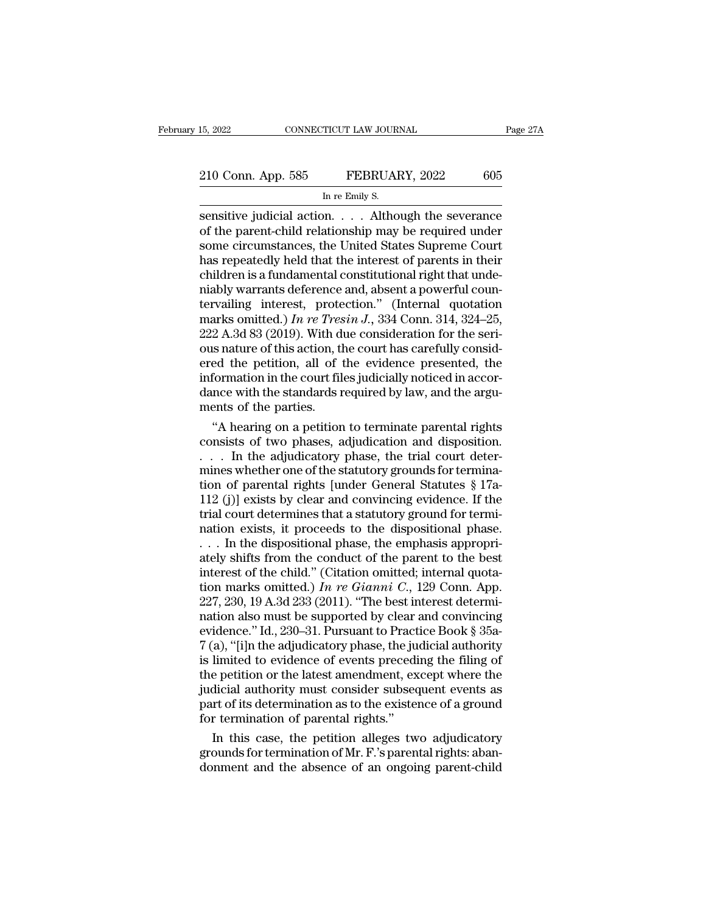# 15, 2022 CONNECTICUT LAW JOURNAL Page 27A<br>210 Conn. App. 585 FEBRUARY, 2022 605<br>In re Emily S. TICUT LAW JOUR.<br>FEBRUAI<br>In re Emily S.<br>M. Altho

sensitive judicial action. . . . . Although the severance<br>of the parent-child relationship may be required under<br>sensitive judicial action. . . . Although the severance<br>of the parent-child relationship may be required unde 210 Conn. App. 585 FEBRUARY, 2022 605<br>
In re Emily S.<br>
Sensitive judicial action. . . . Although the severance<br>
of the parent-child relationship may be required under<br>
some circumstances, the United States Supreme Court<br>
h 210 Conn. App. 585 FEBRUARY, 2022 605<br>
In re Emily S.<br>
Sensitive judicial action. . . . . Although the severance<br>
of the parent-child relationship may be required under<br>
some circumstances, the United States Supreme Court 210 Conn. App. 585 FEBRUARY, 2022 605<br>
In re Emily S.<br>
Sensitive judicial action. . . . Although the severance<br>
of the parent-child relationship may be required under<br>
some circumstances, the United States Supreme Court<br> In re Emily S.<br>
In re Emily S.<br>
Sensitive judicial action. . . . Although the severance<br>
of the parent-child relationship may be required under<br>
some circumstances, the United States Supreme Court<br>
has repeatedly held that In re Emily S.<br>
sensitive judicial action. . . . Although the severance<br>
of the parent-child relationship may be required under<br>
some circumstances, the United States Supreme Court<br>
has repeatedly held that the interest o sensitive judicial action. . . . Although the severance<br>of the parent-child relationship may be required under<br>some circumstances, the United States Supreme Court<br>has repeatedly held that the interest of parents in their<br> of the parent-child relationship may be required under<br>some circumstances, the United States Supreme Court<br>has repeatedly held that the interest of parents in their<br>children is a fundamental constitutional right that undesome circumstances, the United States Supreme Court<br>has repeatedly held that the interest of parents in their<br>children is a fundamental constitutional right that unde-<br>niably warrants deference and, absent a powerful coun has repeatedly held that the interest of parents in their children is a fundamental constitutional right that unde-<br>niably warrants deference and, absent a powerful coun-<br>tervailing interest, protection." (Internal quotat children is a fundamental constitutional right that unde-<br>niably warrants deference and, absent a powerful coun-<br>tervailing interest, protection." (Internal quotation<br>marks omitted.) In re Tresin J., 334 Conn. 314, 324–25 miably warrants deference and, absent a powerful countervailing interest, protection." (Internal quotation marks omitted.) In re Tresin J., 334 Conn. 314, 324–25, 222 A.3d 83 (2019). With due consideration for the serious tervailing interest, protection." (Internal quotation marks omitted.) *In re Tresin J.*, 334 Conn. 314, 324–25, 222 A.3d 83 (2019). With due consideration for the serious nature of this action, the court has carefully con marks omitted.) In re Tres<br>222 A.3d 83 (2019). With dous nature of this action, thered the petition, all of the petition, all of the parties.<br>dance with the standards reflection with the standards reflection.<br>"A hearing o 2 A.3d 83 (2019). With due consideration for the seri-<br>is nature of this action, the court has carefully consid-<br>ed the petition, all of the evidence presented, the<br>formation in the court files judicially noticed in accorous nature of this action, the court has carefully considered the petition, all of the evidence presented, the information in the court files judicially noticed in accordance with the standards required by law, and the arg

ered the petition, all of the evidence presented, the<br>information in the court files judicially noticed in accor-<br>dance with the standards required by law, and the argu-<br>ments of the parties.<br>"A hearing on a petition to te information in the court files judicially noticed in accordance with the standards required by law, and the arguments of the parties.<br>
"A hearing on a petition to terminate parental rights<br>
consists of two phases, adjudic dance with the standards required by law, and the arguments of the parties.<br>
"A hearing on a petition to terminate parental rights<br>
consists of two phases, adjudication and disposition.<br>  $\dots$  In the adjudicatory phase, th ments of the parties.<br>
"A hearing on a petition to terminate parental rights<br>
consists of two phases, adjudication and disposition.<br>  $\ldots$  In the adjudicatory phase, the trial court deter-<br>
mines whether one of the statut "A hearing on a petition to terminate parental rights<br>consists of two phases, adjudication and disposition.<br>... In the adjudicatory phase, the trial court deter-<br>mines whether one of the statutory grounds for termina-<br>tio consists of two phases, adjudication and disposition.<br>  $\dots$  In the adjudicatory phase, the trial court deter-<br>
mines whether one of the statutory grounds for termina-<br>
tion of parental rights [under General Statutes § 17a . . . . In the adjudicatory phase, the trial court determines whether one of the statutory grounds for termination of parental rights [under General Statutes  $\S 17a-112$  (j)] exists by clear and convincing evidence. If th mines whether one of the statutory grounds for termination of parental rights [under General Statutes § 17a-<br>112 (j)] exists by clear and convincing evidence. If the<br>trial court determines that a statutory ground for term tion of parental rights [under General Statutes § 17a-<br>112 (j)] exists by clear and convincing evidence. If the<br>trial court determines that a statutory ground for termi-<br>nation exists, it proceeds to the dispositional pha 112 (j)] exists by clear and convincing evidence. If the trial court determines that a statutory ground for termination exists, it proceeds to the dispositional phase.<br>  $\dots$  In the dispositional phase, the emphasis approp trial court determines that a statutory ground for termination exists, it proceeds to the dispositional phase.<br>  $\ldots$  In the dispositional phase, the emphasis appropriately shifts from the conduct of the parent to the bes nation exists, it proceeds to the dispositional phase.<br>
... In the dispositional phase, the emphasis appropriately shifts from the conduct of the parent to the best<br>
interest of the child." (Citation omitted; internal quo ... In the dispositional phase, the emphasis appropriately shifts from the conduct of the parent to the best interest of the child." (Citation omitted; internal quotation marks omitted.) In re Gianni C., 129 Conn. App. 22 ately shifts from the conduct of the parent to the best<br>interest of the child." (Citation omitted; internal quota-<br>tion marks omitted.) In re Gianni C., 129 Conn. App.<br>227, 230, 19 A.3d 233 (2011). "The best interest dete interest of the child." (Citation omitted; internal quotation marks omitted.) In re Gianni C., 129 Conn. App.<br>227, 230, 19 A.3d 233 (2011). "The best interest determination also must be supported by clear and convincing<br>e tion marks omitted.) In re Gianni C., 129 Conn. App.<br>227, 230, 19 A.3d 233 (2011). "The best interest determination also must be supported by clear and convincing<br>evidence." Id., 230–31. Pursuant to Practice Book § 35a-<br>7 227, 230, 19 A.3d 233 (2011). "The best interest determination also must be supported by clear and convincing<br>evidence." Id., 230–31. Pursuant to Practice Book § 35a-<br>7 (a), "[i]n the adjudicatory phase, the judicial autho nation also must be supported by clear and convincing<br>evidence." Id., 230–31. Pursuant to Practice Book § 35a-<br>7 (a), "[i]n the adjudicatory phase, the judicial authority<br>is limited to evidence of events preceding the fili evidence." Id., 230–31. Pursuant to Practice Book § 35a-7 (a), "[i]n the adjudicatory phase, the judicial authority is limited to evidence of events preceding the filing of the petition or the latest amendment, except whe a), "[i]n the adjudicatory phase, the judicial authority<br>limited to evidence of events preceding the filing of<br>e petition or the latest amendment, except where the<br>dicial authority must consider subsequent events as<br>x art is limited to evidence of events preceding the filing of<br>the petition or the latest amendment, except where the<br>judicial authority must consider subsequent events as<br>part of its determination as to the existence of a groun the petition or the latest amendment, except where the<br>judicial authority must consider subsequent events as<br>part of its determination as to the existence of a ground<br>for termination of parental rights."<br>In this case, the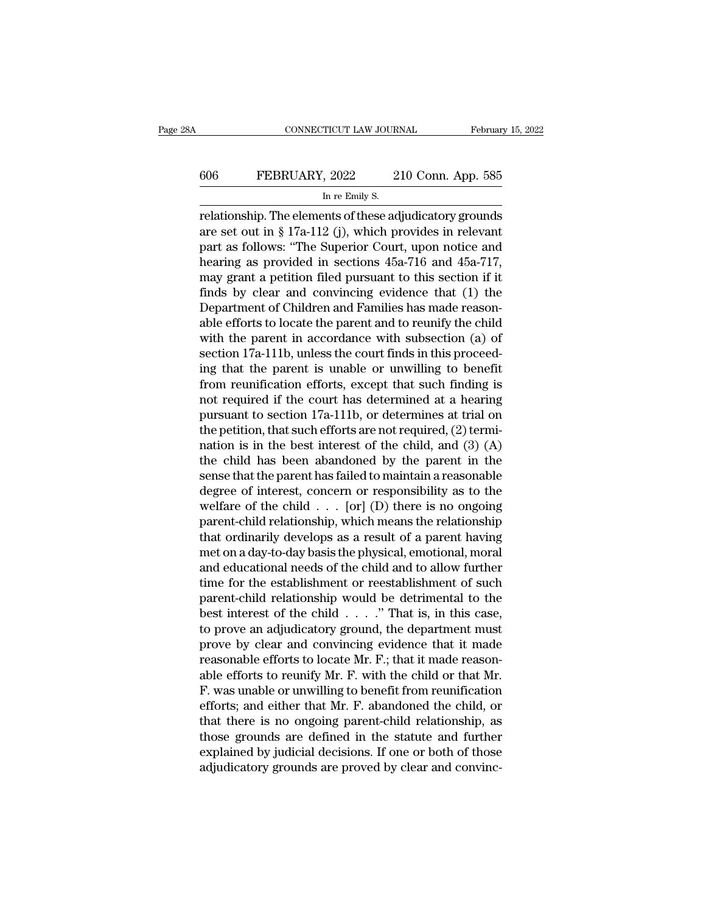# CONNECTICUT LAW JOURNAL February 15, 2022<br>606 FEBRUARY, 2022 210 Conn. App. 585<br>In re Emily S. TICUT LAW JOUR.<br>, 2022 2<br>In re Emily S.<br>ents of these ad

CONNECTICUT LAW JOURNAL February 15, 2022<br>
FEBRUARY, 2022 210 Conn. App. 585<br>
In re Emily S.<br>
Trelationship. The elements of these adjudicatory grounds<br>
are set out in § 17a-112 (j), which provides in relevant FEBRUARY, 2022 210 Conn. App. 585<br>
In re Emily S.<br>
Trelationship. The elements of these adjudicatory grounds<br>
are set out in § 17a-112 (j), which provides in relevant<br>
part as follows: "The Superior Court, upon notice and<br> FEBRUARY, 2022 210 Conn. App. 585<br>
In re Emily S.<br>
Trelationship. The elements of these adjudicatory grounds<br>
are set out in § 17a-112 (j), which provides in relevant<br>
part as follows: "The Superior Court, upon notice and 606 FEBRUARY, 2022 210 Conn. App. 585<br>
In re Emily S.<br>
Trelationship. The elements of these adjudicatory grounds<br>
are set out in § 17a-112 (j), which provides in relevant<br>
part as follows: "The Superior Court, upon notice In re Emily S.<br>
The elements of these adjudicatory grounds<br>
are set out in § 17a-112 (j), which provides in relevant<br>
part as follows: "The Superior Court, upon notice and<br>
hearing as provided in sections 45a-716 and 45a- $\frac{m \text{ Fe } \text{Euluy s.}}{m \text{ Fe } \text{Euluy s.}}$ <br>
Felationship. The elements of these adjudicatory grounds<br>
are set out in § 17a-112 (j), which provides in relevant<br>
part as follows: "The Superior Court, upon notice and<br>
hearing as p relationship. The elements of these adjudicatory grounds<br>are set out in § 17a-112 (j), which provides in relevant<br>part as follows: "The Superior Court, upon notice and<br>hearing as provided in sections 45a-716 and 45a-717,<br>m are set out in § 17a-112 (j), which provides in relevant<br>part as follows: "The Superior Court, upon notice and<br>hearing as provided in sections 45a-716 and 45a-717,<br>may grant a petition filed pursuant to this section if it part as follows: "The Superior Court, upon notice and<br>hearing as provided in sections 45a-716 and 45a-717,<br>may grant a petition filed pursuant to this section if it<br>finds by clear and convincing evidence that (1) the<br>Depar hearing as provided in sections 45a-716 and 45a-717, may grant a petition filed pursuant to this section if it finds by clear and convincing evidence that (1) the Department of Children and Families has made reasonable eff may grant a petition filed pursuant to this section if it<br>finds by clear and convincing evidence that (1) the<br>Department of Children and Families has made reason-<br>able efforts to locate the parent and to reunify the child<br> finds by clear and convincing evidence that  $(1)$  the<br>Department of Children and Families has made reason-<br>able efforts to locate the parent and to reunify the child<br>with the parent in accordance with subsection  $(a)$  of<br>s Department of Children and Families has made reasonable efforts to locate the parent and to reunify the child<br>with the parent in accordance with subsection (a) of<br>section 17a-111b, unless the court finds in this proceed-<br> able efforts to locate the parent and to reunify the child<br>with the parent in accordance with subsection (a) of<br>section 17a-111b, unless the court finds in this proceed-<br>ing that the parent is unable or unwilling to benef with the parent in accordance with subsection (a) of<br>section 17a-111b, unless the court finds in this proceed-<br>ing that the parent is unable or unwilling to benefit<br>from reunification efforts, except that such finding is<br> section 17a-111b, unless the court finds in this proceed-<br>ing that the parent is unable or unwilling to benefit<br>from reunification efforts, except that such finding is<br>not required if the court has determined at a hearing<br> ing that the parent is unable or unwilling to benefit<br>from reunification efforts, except that such finding is<br>not required if the court has determined at a hearing<br>pursuant to section 17a-111b, or determines at trial on<br>t from reunification efforts, except that such finding is<br>not required if the court has determined at a hearing<br>pursuant to section 17a-111b, or determines at trial on<br>the petition, that such efforts are not required, (2) t not required if the court has determined at a hearing<br>pursuant to section 17a-111b, or determines at trial on<br>the petition, that such efforts are not required, (2) termi-<br>nation is in the best interest of the child, and ( pursuant to section 17a-111b, or determines at trial on<br>the petition, that such efforts are not required, (2) termi-<br>nation is in the best interest of the child, and (3) (A)<br>the child has been abandoned by the parent in th the petition, that such efforts are not required, (2) termi-<br>nation is in the best interest of the child, and (3) (A)<br>the child has been abandoned by the parent in the<br>sense that the parent has failed to maintain a reason nation is in the best interest of the child, and  $(3)$  (A)<br>the child has been abandoned by the parent in the<br>sense that the parent has failed to maintain a reasonable<br>degree of interest, concern or responsibility as to th the child has been abandoned by the parent in the<br>sense that the parent has failed to maintain a reasonable<br>degree of interest, concern or responsibility as to the<br>welfare of the child . . . [or] (D) there is no ongoing<br>pa sense that the parent has failed to maintain a reasonable<br>degree of interest, concern or responsibility as to the<br>welfare of the child  $\ldots$  [or] (D) there is no ongoing<br>parent-child relationship, which means the relation degree of interest, concern or responsibility as to the<br>welfare of the child  $\ldots$  [or] (D) there is no ongoing<br>parent-child relationship, which means the relationship<br>that ordinarily develops as a result of a parent havi welfare of the child  $\ldots$  [or] (D) there is no ongoing<br>parent-child relationship, which means the relationship<br>that ordinarily develops as a result of a parent having<br>met on a day-to-day basis the physical, emotional, mo parent-child relationship, which means the relationship<br>that ordinarily develops as a result of a parent having<br>met on a day-to-day basis the physical, emotional, moral<br>and educational needs of the child and to allow furth that ordinarily develops as a result of a parent having<br>met on a day-to-day basis the physical, emotional, moral<br>and educational needs of the child and to allow further<br>time for the establishment or reestablishment of suc met on a day-to-day basis the physical, emotional, moral<br>and educational needs of the child and to allow further<br>time for the establishment or reestablishment of such<br>parent-child relationship would be detrimental to the<br> and educational needs of the child and to allow further<br>time for the establishment or reestablishment of such<br>parent-child relationship would be detrimental to the<br>best interest of the child  $\ldots$ . "That is, in this case, time for the establishment or reestablishment of such<br>parent-child relationship would be detrimental to the<br>best interest of the child  $\ldots$ ." That is, in this case,<br>to prove an adjudicatory ground, the department must<br>pr parent-child relationship would be detrimental to the<br>best interest of the child  $\ldots$ ." That is, in this case,<br>to prove an adjudicatory ground, the department must<br>prove by clear and convincing evidence that it made<br>reas best interest of the child  $\ldots$ ." That is, in this case,<br>to prove an adjudicatory ground, the department must<br>prove by clear and convincing evidence that it made<br>reasonable efforts to reunify Mr. F. with the child or tha to prove an adjudicatory ground, the department must<br>prove by clear and convincing evidence that it made<br>reasonable efforts to locate Mr. F.; that it made reason-<br>able efforts to reunify Mr. F. with the child or that Mr.<br>F prove by clear and convincing evidence that it made<br>reasonable efforts to locate Mr. F.; that it made reason-<br>able efforts to reunify Mr. F. with the child or that Mr.<br>F. was unable or unwilling to benefit from reunificati reasonable efforts to locate Mr. F.; that it made reasonable efforts to reunify Mr. F. with the child or that Mr. F. was unable or unwilling to benefit from reunification efforts; and either that Mr. F. abandoned the child able efforts to reunify Mr. F. with the child or that Mr. F. was unable or unwilling to benefit from reunification<br>efforts; and either that Mr. F. abandoned the child, or<br>that there is no ongoing parent-child relationship,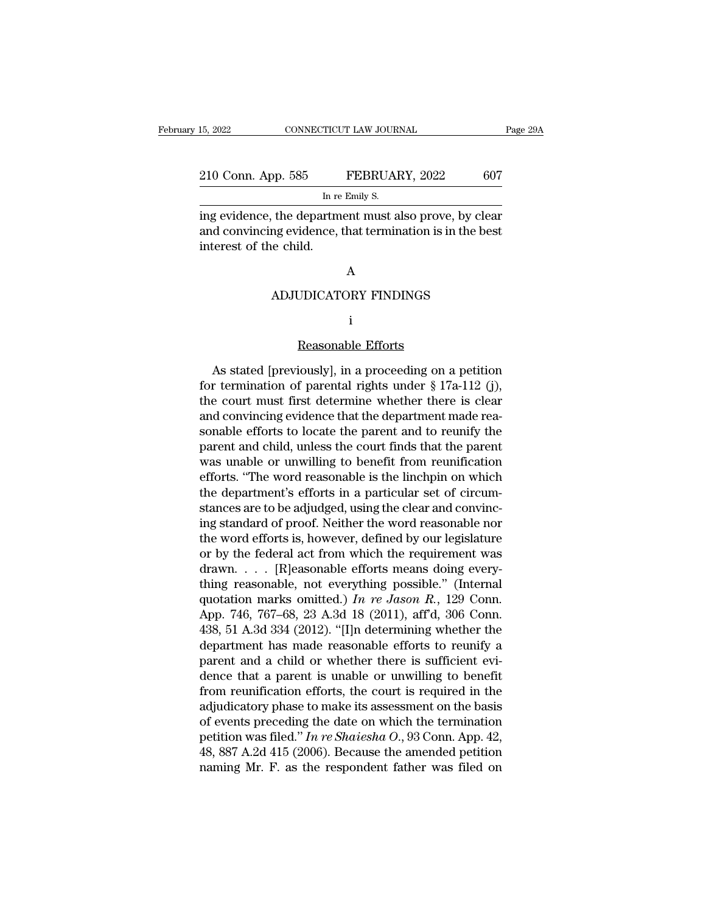# 15, 2022 CONNECTICUT LAW JOURNAL Page 29A<br>210 Conn. App. 585 FEBRUARY, 2022 607<br>In re Emily S. TICUT LAW JOUR.<br>FEBRUAI<br>In re Emily S.<br>Trment must a

<sup>15, 2022</sup> CONNECTICUT LAW JOURNAL Page 29A<br>
210 Conn. App. 585 FEBRUARY, 2022 607<br>
In re Emily S.<br>
ing evidence, the department must also prove, by clear<br>
and convincing evidence, that termination is in the best<br>
interest 210 Conn. App. 585 FEBRUARY, 2022 607<br>
In re Emily S.<br>
ing evidence, the department must also prove, by clear<br>
and convincing evidence, that termination is in the best<br>
interest of the child. 210 Conn. App. 585<br>
interest of the departm<br>
interest of the child. the department must also prove, by clear<br>ang evidence, that termination is in the bear<br>e child.<br>A<br>ADJUDICATORY FINDINGS

### A

### i

A<br>DICATORY FINDINGS<br>i<br>Reasonable Efforts<br>iously], in a proceeding on a ADJUDICATORY FINDINGS<br>
i<br>
Reasonable Efforts<br>
As stated [previously], in a proceeding on a petition<br>
r termination of parental rights under § 17a-112 (j),<br>
a court must first determine whether there is alsor ADJUDICATORY FINDINGS<br>  $\rm i$ <br>
Reasonable Efforts<br>
As stated [previously], in a proceeding on a petition<br>
for termination of parental rights under § 17a-112 (j),<br>
the court must first determine whether there is clear<br>
and i<br>
Reasonable Efforts<br>
As stated [previously], in a proceeding on a petition<br>
for termination of parental rights under § 17a-112 (j),<br>
the court must first determine whether there is clear<br>
and convincing evidence that the  $\begin{array}{c} \text{Reasonable Efforts} \\ \text{As stated [previously], in a proceeding on apetition} \\ \text{for termination of parental rights under § 17a-112 (j),} \\ \text{the court must first determine whether there is clear} \\ \text{and convincing evidence that the department made reasonable efforts to locate the parent and to reunity the} \\ \text{parent and child unless the court finds that the parent.} \end{array}$ Reasonable Efforts<br>As stated [previously], in a proceeding on a petition<br>for termination of parental rights under  $\S 17a-112$  (j),<br>the court must first determine whether there is clear<br>and convincing evidence that the dep As stated [previously], in a proceeding on a petition<br>for termination of parental rights under  $\S 17a-112$  (j),<br>the court must first determine whether there is clear<br>and convincing evidence that the department made rea-<br>s As stated [previously], in a proceeding on a petition<br>for termination of parental rights under  $\S 17a-112$  (j),<br>the court must first determine whether there is clear<br>and convincing evidence that the department made rea-<br>s for termination of parental rights under  $\S$  17a-112 (j),<br>the court must first determine whether there is clear<br>and convincing evidence that the department made rea-<br>sonable efforts to locate the parent and to reunify the the court must first determine whether there is clear<br>and convincing evidence that the department made rea-<br>sonable efforts to locate the parent and to reunify the<br>parent and child, unless the court finds that the parent<br>w and convincing evidence that the department made reasonable efforts to locate the parent and to reunify the parent and child, unless the court finds that the parent was unable or unwilling to benefit from reunification eff sonable efforts to locate the parent and to reunify the<br>parent and child, unless the court finds that the parent<br>was unable or unwilling to benefit from reunification<br>efforts. "The word reasonable is the linchpin on which<br> parent and child, unless the court finds that the parent<br>was unable or unwilling to benefit from reunification<br>efforts. "The word reasonable is the linchpin on which<br>the department's efforts in a particular set of circum-<br> was unable or unwilling to benefit from reunification<br>efforts. "The word reasonable is the linchpin on which<br>the department's efforts in a particular set of circum-<br>stances are to be adjudged, using the clear and convinc-<br> efforts. "The word reasonable is the linchpin on which<br>the department's efforts in a particular set of circum-<br>stances are to be adjudged, using the clear and convinc-<br>ing standard of proof. Neither the word reasonable no the department's efforts in a particular set of circum-<br>stances are to be adjudged, using the clear and convinc-<br>ing standard of proof. Neither the word reasonable nor<br>the word efforts is, however, defined by our legislat stances are to be adjudged, using the clear and convincing standard of proof. Neither the word reasonable nor<br>the word efforts is, however, defined by our legislature<br>or by the federal act from which the requirement was<br>dr ing standard of proof. Neither the word reasonable nor<br>the word efforts is, however, defined by our legislature<br>or by the federal act from which the requirement was<br>drawn.... [R]easonable efforts means doing every-<br>thing the word efforts is, however, defined by our legislature<br>or by the federal act from which the requirement was<br>drawn.... [R]easonable efforts means doing every-<br>thing reasonable, not everything possible." (Internal<br>quotati or by the federal act from which the requirement was<br>drawn.... [R]easonable efforts means doing every-<br>thing reasonable, not everything possible." (Internal<br>quotation marks omitted.) In re Jason R., 129 Conn.<br>App. 746, 76 drawn. . . . [R]easonable efforts means doing every-<br>thing reasonable, not everything possible." (Internal<br>quotation marks omitted.) In re Jason R., 129 Conn.<br>App. 746, 767–68, 23 A.3d 18 (2011), aff'd, 306 Conn.<br>438, 51 thing reasonable, not everything possible." (Internal<br>quotation marks omitted.) In re Jason R., 129 Conn.<br>App. 746, 767–68, 23 A.3d 18 (2011), aff'd, 306 Conn.<br>438, 51 A.3d 334 (2012). "[I]n determining whether the<br>depart quotation marks omitted.) In re Jason R., 129 Conn.<br>App. 746, 767–68, 23 A.3d 18 (2011), aff'd, 306 Conn.<br>438, 51 A.3d 334 (2012). "[I]n determining whether the<br>department has made reasonable efforts to reunify a<br>parent a App. 746, 767–68, 23 A.3d 18 (2011), aff'd, 306 Conn.<br>438, 51 A.3d 334 (2012). "[I]n determining whether the<br>department has made reasonable efforts to reunify a<br>parent and a child or whether there is sufficient evi-<br>dence 438, 51 A.3d 334 (2012). "[I]n determining whether the<br>department has made reasonable efforts to reunify a<br>parent and a child or whether there is sufficient evi-<br>dence that a parent is unable or unwilling to benefit<br>from department has made reasonable efforts to reunify a<br>parent and a child or whether there is sufficient evi-<br>dence that a parent is unable or unwilling to benefit<br>from reunification efforts, the court is required in the<br>adju parent and a child or whether there is sufficient evidence that a parent is unable or unwilling to benefit from reunification efforts, the court is required in the adjudicatory phase to make its assessment on the basis of dence that a parent is unable or unwilling to benefit<br>from reunification efforts, the court is required in the<br>adjudicatory phase to make its assessment on the basis<br>of events preceding the date on which the termination<br>p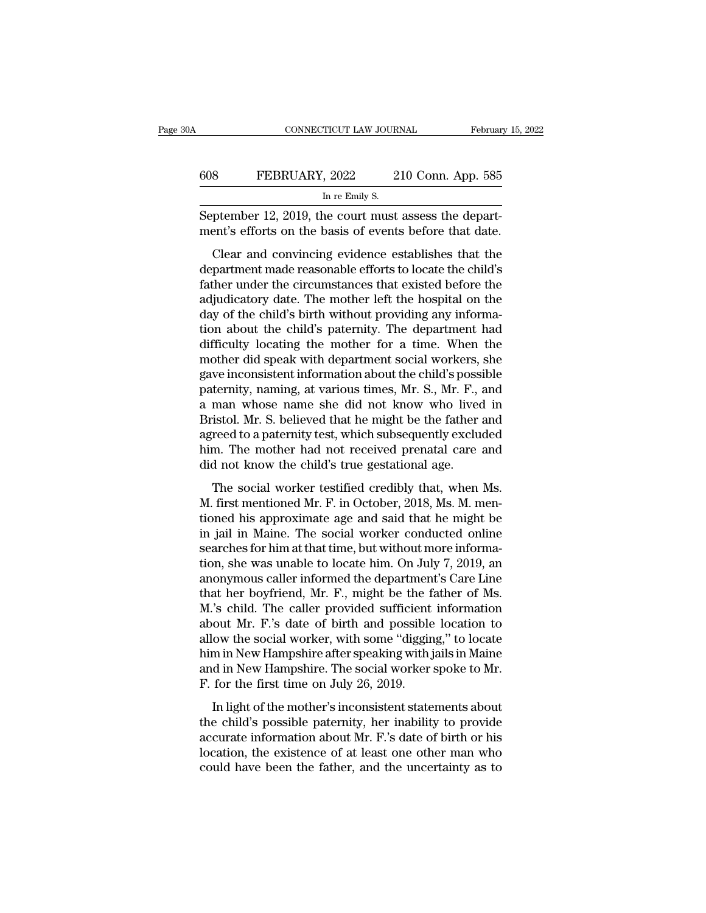| A   | CONNECTICUT LAW JOURNAL                                                                                          |                    | February 15, 2022 |
|-----|------------------------------------------------------------------------------------------------------------------|--------------------|-------------------|
|     |                                                                                                                  |                    |                   |
| 608 | FEBRUARY, 2022                                                                                                   | 210 Conn. App. 585 |                   |
|     | In re Emily S.                                                                                                   |                    |                   |
|     | September 12, 2019, the court must assess the depart-<br>ment's efforts on the basis of events before that date. |                    |                   |
|     | Clear and convincing evidence establishes that the                                                               |                    |                   |
|     | department made reasonable efforts to locate the child's                                                         |                    |                   |
|     | father under the circumstances that existed before the                                                           |                    |                   |

 $\frac{1}{200}$  FEBRUARY, 2022 210 Conn. App. 585<br>
In re Emily S.<br>
September 12, 2019, the court must assess the depart-<br>
ment's efforts on the basis of events before that date.<br>
Clear and convincing evidence establishes that In re Emily S.<br>September 12, 2019, the court must assess the depart-<br>ment's efforts on the basis of events before that date.<br>Clear and convincing evidence establishes that the<br>department made reasonable efforts to locate t September 12, 2019, the court must assess the department's efforts on the basis of events before that date.<br>Clear and convincing evidence establishes that the department made reasonable efforts to locate the child's father dependent 12, 2019, the court must assess the department's efforts on the basis of events before that date.<br>Clear and convincing evidence establishes that the<br>department made reasonable efforts to locate the child's<br>father Clear and convincing evidence establishes that the<br>department made reasonable efforts to locate the child's<br>father under the circumstances that existed before the<br>adjudicatory date. The mother left the hospital on the<br>day Clear and convincing evidence establishes that the<br>department made reasonable efforts to locate the child's<br>father under the circumstances that existed before the<br>adjudicatory date. The mother left the hospital on the<br>day department made reasonable efforts to locate the child's<br>father under the circumstances that existed before the<br>adjudicatory date. The mother left the hospital on the<br>day of the child's birth without providing any informafather under the circumstances that existed before the adjudicatory date. The mother left the hospital on the day of the child's birth without providing any information about the child's paternity. The department had diffi adjudicatory date. The mother left the hospital on the<br>day of the child's birth without providing any informa-<br>tion about the child's paternity. The department had<br>difficulty locating the mother for a time. When the<br>mother day of the child's birth without providing any information about the child's paternity. The department had difficulty locating the mother for a time. When the mother did speak with department social workers, she gave incon tion about the child's paternity. The department had<br>difficulty locating the mother for a time. When the<br>mother did speak with department social workers, she<br>gave inconsistent information about the child's possible<br>paterni difficulty locating the mother for a time. When the<br>mother did speak with department social workers, she<br>gave inconsistent information about the child's possible<br>paternity, naming, at various times, Mr. S., Mr. F., and<br>a m mother did speak with department social workers, she<br>gave inconsistent information about the child's possible<br>paternity, naming, at various times, Mr. S., Mr. F., and<br>a man whose name she did not know who lived in<br>Bristol. gave inconsistent information about the child's poss<br>paternity, naming, at various times, Mr. S., Mr. F.,<br>a man whose name she did not know who lived<br>Bristol. Mr. S. believed that he might be the father<br>agreed to a paterni Exerting, maning, at various antest,  $m$ . i.e.,  $m$ . 1, and<br>man whose name she did not know who lived in<br>istol. Mr. S. believed that he might be the father and<br>reed to a paternity test, which subsequently excluded<br>m. The m a man whose name she and not has write free in<br>Bristol. Mr. S. believed that he might be the father and<br>agreed to a paternity test, which subsequently excluded<br>him. The mother had not received prenatal care and<br>did not kno

Erisson: Int. S. Scheved and Ite Inghis Se are nation and<br>agreed to a paternity test, which subsequently excluded<br>him. The mother had not received prenatal care and<br>did not know the child's true gestational age.<br>The social in The mother had not received prenatal care and<br>did not know the child's true gestational age.<br>The social worker testified credibly that, when Ms.<br>M. first mentioned Mr. F. in October, 2018, Ms. M. men-<br>tioned his approx search that the received prenatal calc and<br>did not know the child's true gestational age.<br>The social worker testified credibly that, when Ms.<br>M. first mentioned Mr. F. in October, 2018, Ms. M. men-<br>tioned his approximate a The social worker testified credibly that, when Ms.<br>M. first mentioned Mr. F. in October, 2018, Ms. M. mentioned his approximate age and said that he might be<br>in jail in Maine. The social worker conducted online<br>searches The social worker testified credibly that, when Ms.<br>M. first mentioned Mr. F. in October, 2018, Ms. M. mentioned his approximate age and said that he might be<br>in jail in Maine. The social worker conducted online<br>searches f M. first mentioned Mr. F. in October, 2018, Ms. M. mentioned his approximate age and said that he might be in jail in Maine. The social worker conducted online searches for him at that time, but without more information, s tioned his approximate age and said that he might be<br>in jail in Maine. The social worker conducted online<br>searches for him at that time, but without more informa-<br>tion, she was unable to locate him. On July 7, 2019, an<br>ano in jail in Maine. The social worker conducted online<br>searches for him at that time, but without more informa-<br>tion, she was unable to locate him. On July 7, 2019, an<br>anonymous caller informed the department's Care Line<br>tha searches for him at that time, but without more information, she was unable to locate him. On July 7, 2019, an<br>anonymous caller informed the department's Care Line<br>that her boyfriend, Mr. F., might be the father of Ms.<br>M.' tion, she was unable to locate him. On July 7, 2019, an<br>anonymous caller informed the department's Care Line<br>that her boyfriend, Mr. F., might be the father of Ms.<br>M.'s child. The caller provided sufficient information<br>ab anonymous caller informed the department's Care Line<br>that her boyfriend, Mr. F., might be the father of Ms.<br>M.'s child. The caller provided sufficient information<br>about Mr. F.'s date of birth and possible location to<br>allow that her boyfriend, Mr. F., might be the f.<br>M.'s child. The caller provided sufficient<br>about Mr. F.'s date of birth and possible<br>allow the social worker, with some "diggin<br>him in New Hampshire after speaking with j<br>and in In light of the mother's inconsistent statements about Mr. F.'s date of birth and possible location to ow the social worker, with some "digging," to locate m in New Hampshire after speaking with jails in Maine d in New Ha about interest of shart and possible focation to<br>allow the social worker, with some "digging," to locate<br>him in New Hampshire after speaking with jails in Maine<br>and in New Hampshire. The social worker spoke to Mr.<br>F. for t

allow are social worker, wan some digging, to focale<br>him in New Hampshire after speaking with jails in Maine<br>and in New Hampshire. The social worker spoke to Mr.<br>F. for the first time on July 26, 2019.<br>In light of the moth and in New Hampshire and potally what, and in Mew Hampshire. The social worker spoke to Mr.<br>F. for the first time on July 26, 2019.<br>In light of the mother's inconsistent statements about<br>the child's possible paternity, her F. for the first time on July 26, 2019.<br>In light of the mother's inconsistent statements about<br>the child's possible paternity, her inability to provide<br>accurate information about Mr. F.'s date of birth or his<br>location, th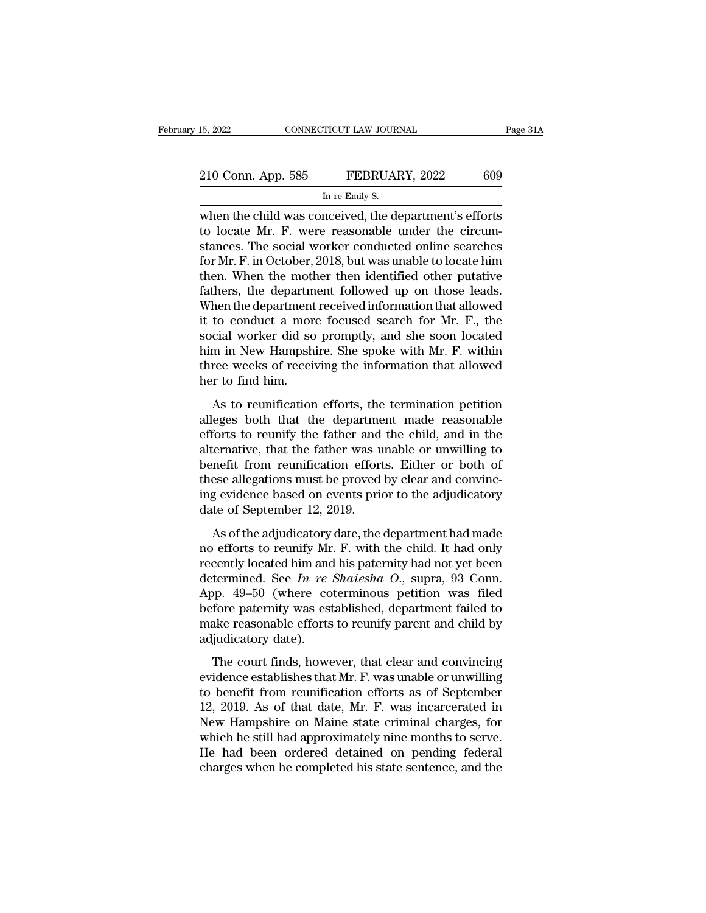| 15, 2022           | CONNECTICUT LAW JOURNAL                               |     |
|--------------------|-------------------------------------------------------|-----|
| 210 Conn. App. 585 | FEBRUARY, 2022                                        | 609 |
|                    | In re Emily S.                                        |     |
|                    | when the child was conceived the department's efforts |     |

EVALUARY, 2022 ENDINE CONNECTICUT LAW JOURNAL Page 31A<br>
210 Conn. App. 585 FEBRUARY, 2022 609<br>
In re Emily S.<br>
When the child was conceived, the department's efforts<br>
to locate Mr. F. were reasonable under the circum-210 Conn. App. 585 FEBRUARY, 2022 609<br>
In re Emily S.<br>
when the child was conceived, the department's efforts<br>
to locate Mr. F. were reasonable under the circum-<br>
stances. The social worker conducted online searches<br>
for M 210 Conn. App. 585 FEBRUARY, 2022 609<br>
In re Emily S.<br>
when the child was conceived, the department's efforts<br>
to locate Mr. F. were reasonable under the circum-<br>
stances. The social worker conducted online searches<br>
for M 210 Conn. App. 585 FEBRUARY, 2022 609<br>
In re Emily S.<br>
when the child was conceived, the department's efforts<br>
to locate Mr. F. were reasonable under the circum-<br>
stances. The social worker conducted online searches<br>
for In re Emily S.<br>
In re Emily S.<br>
When the child was conceived, the department's efforts<br>
to locate Mr. F. were reasonable under the circum-<br>
stances. The social worker conducted online searches<br>
for Mr. F. in October, 2018, In re Emily S.<br>
when the child was conceived, the department's efforts<br>
to locate Mr. F. were reasonable under the circum-<br>
stances. The social worker conducted online searches<br>
for Mr. F. in October, 2018, but was unable when the child was conceived, the department's efforts<br>to locate Mr. F. were reasonable under the circum-<br>stances. The social worker conducted online searches<br>for Mr. F. in October, 2018, but was unable to locate him<br>then. to locate Mr. F. were reasonable under the circum-<br>stances. The social worker conducted online searches<br>for Mr. F. in October, 2018, but was unable to locate him<br>then. When the mother then identified other putative<br>father stances. The social worker conducted online searches<br>for Mr. F. in October, 2018, but was unable to locate him<br>then. When the mother then identified other putative<br>fathers, the department followed up on those leads.<br>When t for Mr. F. in October, 2018, but was unable to locate him<br>then. When the mother then identified other putative<br>fathers, the department followed up on those leads.<br>When the department received information that allowed<br>it to then. When the mother then identified other putative<br>fathers, the department followed up on those leads.<br>When the department received information that allowed<br>it to conduct a more focused search for Mr. F., the<br>social work fathers, the department<br>When the department<br>it to conduct a mor<br>social worker did so<br>him in New Hampsh<br>three weeks of recei<br>her to find him.<br>As to reunification to conduct a more focused search for Mr. F., the<br>cial worker did so promptly, and she soon located<br>m in New Hampshire. She spoke with Mr. F. within<br>ree weeks of receiving the information that allowed<br>r to find him.<br>As to r alleges both that the department made reasonable<br>exceed worker did so promptly, and she soon located<br>him in New Hampshire. She spoke with Mr. F. within<br>three weeks of receiving the information that allowed<br>her to find him.

Exercis worker that so prompary, and she soon located<br>him in New Hampshire. She spoke with Mr. F. within<br>three weeks of receiving the information that allowed<br>her to find him.<br>As to reunification efforts, the termination p Find at New Hampshine. She spoke what M. 1. what<br>three weeks of receiving the information that allowed<br>her to find him.<br>As to reunification efforts, the termination petition<br>alleges both that the department made reasonable her to find him.<br>As to reunification efforts, the termination petition<br>alleges both that the department made reasonable<br>efforts to reunify the father and the child, and in the<br>alternative, that the father was unable or unw As to reunification efforts, the termination petition<br>alleges both that the department made reasonable<br>efforts to reunify the father and the child, and in the<br>alternative, that the father was unable or unwilling to<br>benefit As to reunification efforts, the termination petition<br>alleges both that the department made reasonable<br>efforts to reunify the father and the child, and in the<br>alternative, that the father was unable or unwilling to<br>benefit alleges both that the departme<br>efforts to reunify the father and<br>alternative, that the father was u<br>benefit from reunification effort<br>these allegations must be proved<br>ing evidence based on events prio<br>date of September 12, Forts to reality are ratact and are erind, and in the derivative, that the father was unable or unwilling to mefit from reunification efforts. Either or both of ese allegations must be proved by clear and convinceg evidenc discributely, and the ratical was thus the child. Benefit from reunification efforts. Either or both of these allegations must be proved by clear and convincing evidence based on events prior to the adjudicatory date of S

these allegations must be proved by clear and convincing evidence based on events prior to the adjudicatory<br>date of September 12, 2019.<br>As of the adjudicatory date, the department had made<br>no efforts to reunify Mr. F. wit detect and see *In gevidence* based on events prior to the adjudicatory<br>date of September 12, 2019.<br>As of the adjudicatory date, the department had made<br>no efforts to reunify Mr. F. with the child. It had only<br>recently loc App. 13–49–50 (where coterminous performance and additional and the department had made<br>no efforts to reunify Mr. F. with the child. It had only<br>recently located him and his paternity had not yet been<br>determined. See *In* As of the adjudicatory date, the department had made<br>no efforts to reunify Mr. F. with the child. It had only<br>recently located him and his paternity had not yet been<br>determined. See In re Shaiesha O., supra, 93 Conn.<br>App. As of the adjudicatory date, the department had made<br>no efforts to reunify Mr. F. with the child. It had only<br>recently located him and his paternity had not yet been<br>determined. See In re Shaiesha O., supra, 93 Conn.<br>App. no efforts to reunify Mr<br>recently located him and<br>determined. See  $In re$ <br>App. 49–50 (where co<br>before paternity was est<br>make reasonable efforts<br>adjudicatory date).<br>The court finds, howe termined. See *In re Shaiesha O.*, supra, 93 Conn.<br>pp. 49–50 (where coterminous petition was filed<br>fore paternity was established, department failed to<br>ake reasonable efforts to reunify parent and child by<br>judicatory date App. 49–50 (where coterminous petition was filed<br>before paternity was established, department failed to<br>make reasonable efforts to reunify parent and child by<br>adjudicatory date).<br>The court finds, however, that clear and c

Tapp. 18 33 (where esternalistical peritori was filed to<br>before paternity was established, department failed to<br>make reasonable efforts to reunify parent and child by<br>adjudicatory date).<br>The court finds, however, that clea before patentaly was established, department falled to<br>make reasonable efforts to reunify parent and child by<br>adjudicatory date).<br>The court finds, however, that clear and convincing<br>evidence establishes that Mr. F. was una Make Feasonable choris to Feurnity parent and enhances<br>adjudicatory date).<br>The court finds, however, that clear and convincing<br>evidence establishes that Mr. F. was unable or unwilling<br>to benefit from reunification efforts The court finds, however, that clear and convincing<br>evidence establishes that Mr. F. was unable or unwilling<br>to benefit from reunification efforts as of September<br>12, 2019. As of that date, Mr. F. was incarcerated in<br>New H The court finds, however, that clear and convincing<br>evidence establishes that Mr. F. was unable or unwilling<br>to benefit from reunification efforts as of September<br>12, 2019. As of that date, Mr. F. was incarcerated in<br>New H evidence establishes that Mr. F. was unable or unwilling<br>to benefit from reunification efforts as of September<br>12, 2019. As of that date, Mr. F. was incarcerated in<br>New Hampshire on Maine state criminal charges, for<br>which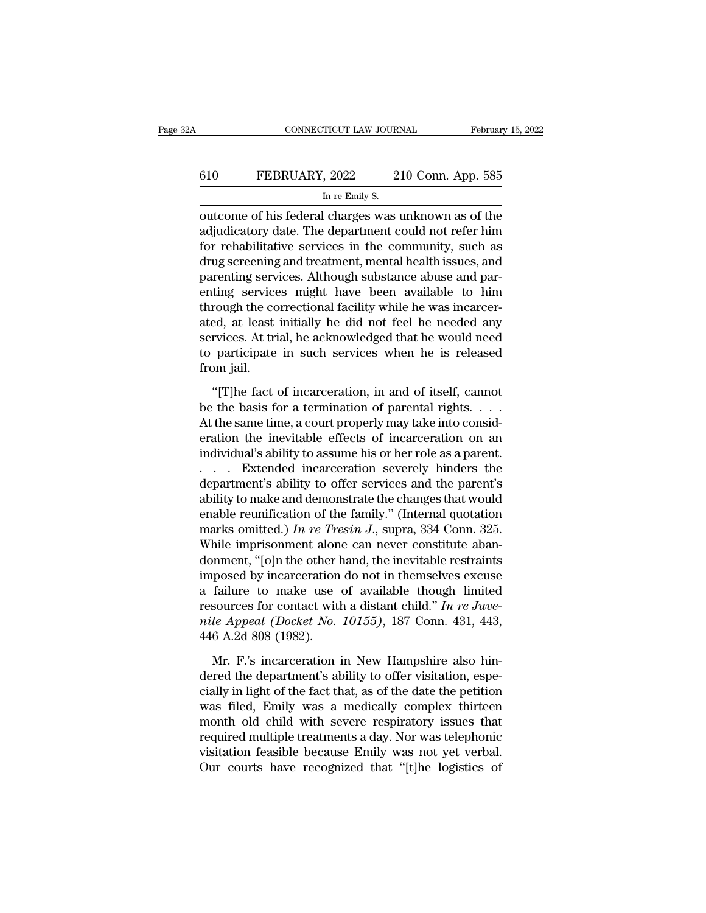# CONNECTICUT LAW JOURNAL February 15, 2022<br>610 FEBRUARY, 2022 210 Conn. App. 585<br>In re Emily S. TICUT LAW JOUR.<br>, 2022 2<br>In re Emily S.<br>| charges was

CONNECTICUT LAW JOURNAL February 15, 2022<br>
FEBRUARY, 2022 210 Conn. App. 585<br>
In re Emily S.<br>
Outcome of his federal charges was unknown as of the<br>
adjudicatory date. The department could not refer him FEBRUARY, 2022 210 Conn. App. 585<br>
In re Emily S.<br>
The department could not refer him<br>
adjudicatory date. The department could not refer him<br>
for rehabilitative services in the community, such as<br>
drug seroping and treatme  $f_{\text{in re}}$   $\frac{610}{\text{In re}}$   $\frac{FEBRUARY, 2022}{\text{In re}}$   $\frac{210}{\text{Conn}}$ . App. 585<br>
outcome of his federal charges was unknown as of the<br>
adjudicatory date. The department could not refer him<br>
for rehabilitative services in the c  $\frac{610}{\text{In re Emily s.}}$  and  $\frac{610}{\text{In re Emily s.}}$ <br>The Emily S.<br>The Emily S.<br>adjudicatory date. The department could not refer him<br>for rehabilitative services in the community, such as<br>drug screening and treatment, mental health i In re Emily S.<br>
In re Emily S.<br>
outcome of his federal charges was unknown as of the<br>
adjudicatory date. The department could not refer him<br>
for rehabilitative services in the community, such as<br>
drug screening and treatme In re Enlity S.<br>
In re Enlity S.<br>
adjudicatory date. The department could not refer him<br>
for rehabilitative services in the community, such as<br>
drug screening and treatment, mental health issues, and<br>
parenting services. A outcome of his federal charges was unknown as of the adjudicatory date. The department could not refer him for rehabilitative services in the community, such as drug screening and treatment, mental health issues, and paren adjudicatory date. The department could not refer him<br>for rehabilitative services in the community, such as<br>drug screening and treatment, mental health issues, and<br>parenting services. Although substance abuse and par-<br>enti for rehabilitative services in the community, such as<br>drug screening and treatment, mental health issues, and<br>parenting services. Although substance abuse and par-<br>enting services might have been available to him<br>through t drug screening and treatment, mental health issues, and<br>parenting services. Although substance abuse and par-<br>enting services might have been available to him<br>through the correctional facility while he was incarcer-<br>ated, parenting service<br>enting service<br>through the co<br>ated, at least<br>services. At tri<br>to participate<br>from jail.<br>"[T]he fact The fact of incarceration, in and of itself, cannot the same impact of the same incarcer-<br>
"Tells at least initially he did not feel he needed any<br>
rvices. At trial, he acknowledged that he would need<br>
participate in such be the basis for a termination of parental rights. . . .

services. At trial, he acknowledged that he would need<br>to participate in such services when he is released<br>from jail.<br>"[T]he fact of incarceration, in and of itself, cannot<br>be the basis for a termination of parental right to participate in such services when he is released<br>from jail.<br>"[T]he fact of incarceration, in and of itself, cannot<br>be the basis for a termination of parental rights.  $\dots$ .<br>At the same time, a court properly may take in from jail.<br>
"[T]he fact of incarceration, in and of itself, cannot<br>
be the basis for a termination of parental rights. . . .<br>
At the same time, a court properly may take into consideration the inevitable effects of incarce "[T]he fact of incarceration, in and of itself, cannot<br>be the basis for a termination of parental rights.  $\dots$  .<br>At the same time, a court properly may take into consideration the inevitable effects of incarceration on an "[T]he fact of incarceration, in and of itself, cannot<br>be the basis for a termination of parental rights. . . .<br>At the same time, a court properly may take into consid-<br>eration the inevitable effects of incarceration on a be the basis for a termination of parental rights.  $\dots$ <br>At the same time, a court properly may take into consideration the inevitable effects of incarceration on an<br>individual's ability to assume his or her role as a pare At the same time, a court properly may take into consideration the inevitable effects of incarceration on an individual's ability to assume his or her role as a parent.<br>  $\ldots$  Extended incarceration severely hinders the d eration the inevitable effects of incarceration on an individual's ability to assume his or her role as a parent.<br>  $\ldots$  Extended incarceration severely hinders the department's ability to offer services and the parent's individual's ability to assume his or her role as a parent.<br>  $\ldots$  Extended incarceration severely hinders the<br>
department's ability to offer services and the parent's<br>
ability to make and demonstrate the changes that wou ... Extended incarceration severely hinders the<br>department's ability to offer services and the parent's<br>ability to make and demonstrate the changes that would<br>enable reunification of the family." (Internal quotation<br>marks department's ability to offer services and the parent's<br>ability to make and demonstrate the changes that would<br>enable reunification of the family." (Internal quotation<br>marks omitted.) In re Tresin J., supra, 334 Conn. 325 ability to make and demonstrate the changes that would<br>enable reunification of the family." (Internal quotation<br>marks omitted.) In re Tresin J., supra, 334 Conn. 325.<br>While imprisonment alone can never constitute aban-<br>do enable reunification of the family." (Internal quotation<br>marks omitted.) *In re Tresin J.*, supra, 334 Conn. 325.<br>While imprisonment alone can never constitute aban-<br>donment, "[o]n the other hand, the inevitable restraints marks omitted.) *In re Tresin J.*, supra, 334 Conn. 325.<br>While imprisonment alone can never constitute aban-<br>donment, "[o]n the other hand, the inevitable restraints<br>imposed by incarceration do not in themselves excuse<br>a f While imprisonment alon<br>donment, "[o]n the other l<br>imposed by incarceration<br>a failure to make use<br>resources for contact with<br>mile Appeal (Docket No.<br>446 A.2d 808 (1982).<br>Mr. F.'s incarceration i posed by incarceration do not in themselves excuse<br>failure to make use of available though limited<br>sources for contact with a distant child." In re Juve-<br>le Appeal (Docket No. 10155), 187 Conn. 431, 443,<br>6 A.2d 808 (1982) a failure to make use of available though limited<br>resources for contact with a distant child." In re Juve-<br>nile Appeal (Docket No. 10155), 187 Conn. 431, 443,<br>446 A.2d 808 (1982).<br>Mr. F.'s incarceration in New Hampshire a

resources for contact with a distant child." In re Juve-<br>nile Appeal (Docket No. 10155), 187 Conn. 431, 443,<br>446 A.2d 808 (1982).<br>Mr. F.'s incarceration in New Hampshire also hin-<br>dered the department's ability to offer v mile Appeal (Docket No. 10155), 187 Conn. 431, 443,<br>446 A.2d 808 (1982).<br>Mr. F.'s incarceration in New Hampshire also hin-<br>dered the department's ability to offer visitation, espe-<br>cially in light of the fact that, as of t 446 A.2d 808 (1982).<br>
Mr. F.'s incarceration in New Hampshire also hin-<br>
dered the department's ability to offer visitation, espe-<br>
cially in light of the fact that, as of the date the petition<br>
was filed, Emily was a med Mr. F.'s incarceration in New Hampshire also hin-<br>dered the department's ability to offer visitation, espe-<br>cially in light of the fact that, as of the date the petition<br>was filed, Emily was a medically complex thirteen<br>mo Mr. F.'s incarceration in New Hampshire also hin-<br>dered the department's ability to offer visitation, espe-<br>cially in light of the fact that, as of the date the petition<br>was filed, Emily was a medically complex thirteen<br>mo dered the department's ability to offer visitation, especially in light of the fact that, as of the date the petition was filed, Emily was a medically complex thirteen month old child with severe respiratory issues that re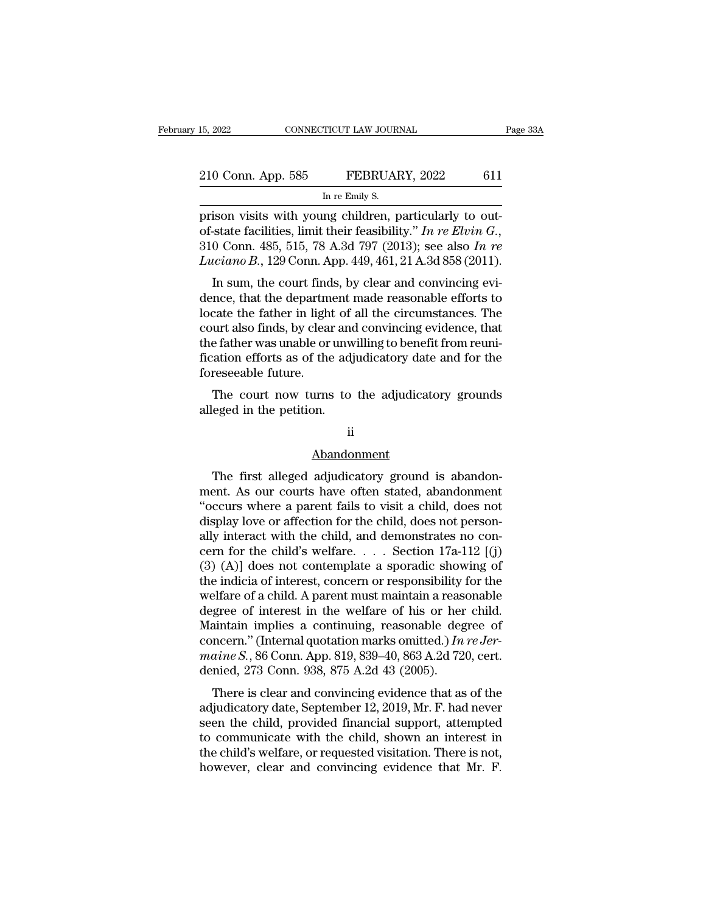| 15, 2022           | CONNECTICUT LAW JOURNAL                                |     |
|--------------------|--------------------------------------------------------|-----|
| 210 Conn. App. 585 | FEBRUARY, 2022                                         | 611 |
|                    | In re Emily S.                                         |     |
|                    | orison visits with voung children particularly to out- |     |

15, 2022 CONNECTICUT LAW JOURNAL<br>
210 Conn. App. 585 FEBRUARY, 2022 611<br>
In re Emily S.<br>
prison visits with young children, particularly to out-<br>
of-state facilities, limit their feasibility." In re Elvin G.,<br>
210 Conn. 48 <sup>210</sup> Conn. App. 585 FEBRUARY, 2022 611<br>
In re Emily S.<br>
prison visits with young children, particularly to out-<br>
of-state facilities, limit their feasibility." *In re Elvin G.*,<br>
310 Conn. 485, 515, 78 A.3d 797 (2013); se 210 Conn. App. 585 FEBRUARY, 2022 611<br>
In re Emily S.<br>
prison visits with young children, particularly to out-<br>
of-state facilities, limit their feasibility." In re Elvin G.,<br>
310 Conn. 485, 515, 78 A.3d 797 (2013); see al <sup>210</sup> Conn. App. 585 **FEBRUARY**, 2022 611<br>
In re Emily S.<br>
prison visits with young children, particularly to out-<br>
of-state facilities, limit their feasibility." *In re Elvin G*.,<br>
310 Conn. 485, 515, 78 A.3d 797 (2013); In re Emily S.<br>
ison visits with young children, particularly to out-<br>
state facilities, limit their feasibility." In re Elvin G.,<br>
0 Conn. 485, 515, 78 A.3d 797 (2013); see also In re<br>
iciano B., 129 Conn. App. 449, 461, prison visits with young children, particularly to out-<br>of-state facilities, limit their feasibility." In re Elvin G.,<br>310 Conn. 485, 515, 78 A.3d 797 (2013); see also In re<br>Luciano B., 129 Conn. App. 449, 461, 21 A.3d 85

prison visits with young children, particularly to out-<br>of-state facilities, limit their feasibility." In re Elvin G.,<br>310 Conn. 485, 515, 78 A.3d 797 (2013); see also In re<br>Luciano B., 129 Conn. App. 449, 461, 21 A.3d 85 court also finds, by clear and convincing evidence, that the department made reasonable efforts to locate the father in light of all the circumstances. The court also finds, by clear and convincing evidence, that the depa Luciano B., 129 Conn. App. 449, 461, 21 A.3d 858 (2011).<br>
In sum, the court finds, by clear and convincing evi-<br>
dence, that the department made reasonable efforts to<br>
locate the father in light of all the circumstances. Lation D., 125 Collicton, 1449, 401, 21 A.50056 (2011).<br>In sum, the court finds, by clear and convincing evidence, that the department made reasonable efforts to<br>locate the father in light of all the circumstances. The<br>co In sum, the court find<br>dence, that the departm<br>locate the father in light<br>court also finds, by clear<br>the father was unable or<br>fication efforts as of the<br>foreseeable future.<br>The court now turns Fraction and the department made reasonable enorts to<br>cate the father in light of all the circumstances. The<br>urt also finds, by clear and convincing evidence, that<br>e father was unable or unwilling to benefit from reuni-<br>at Figure 1.1 and the father in fight of<br>court also finds, by clear and<br>the father was unable or unw<br>fication efforts as of the adj<br>foreseeable future.<br>The court now turns to<br>alleged in the petition.

### ii

### Abandonment

The court now turns to the adjudicatory grounds<br>eged in the petition.<br>ii<br>Abandonment<br>The first alleged adjudicatory ground is abandon-<br>ent. As our courts have often stated, abandonment<br>cours where a parent fails to visit a ment. As our courts to the adjudicatory grounds<br>alleged in the petition.<br>ii<br>Abandonment<br>The first alleged adjudicatory ground is abandon-<br>ment. As our courts have often stated, abandonment<br>"occurs where a parent fails to v <sup>ii</sup><br>Abandonment<br>I'vecurs where a parent fails to visit a child, does not<br>display love or affection for the child, does not person-<br>ally interact with the child, and demonstrates no.con ii<br> **display display displand**<br>
The first alleged adjudicatory ground is abandon-<br>
ment. As our courts have often stated, abandonment<br>
"occurs where a parent fails to visit a child, does not<br>
display love or affection for Abandonment<br>The first alleged adjudicatory ground is abandon-<br>ment. As our courts have often stated, abandonment<br>"occurs where a parent fails to visit a child, does not<br>display love or affection for the child, does not pe Example in the first alleged adjudicatory ground is abandon-<br>ment. As our courts have often stated, abandonment<br>"occurs where a parent fails to visit a child, does not<br>display love or affection for the child, does not pers The first alleged adjudicatory ground is abandon-<br>ment. As our courts have often stated, abandonment<br>"occurs where a parent fails to visit a child, does not<br>display love or affection for the child, does not person-<br>ally i ment. As our courts have often stated, abandonment<br>
"occurs where a parent fails to visit a child, does not<br>
display love or affection for the child, does not person-<br>
ally interact with the child, and demonstrates no con "occurs where a parent fails to visit a child, does not display love or affection for the child, does not personally interact with the child, and demonstrates no concern for the child's welfare.  $\ldots$  Section 17a-112 [(j) display love or affection for the child, does not person-<br>ally interact with the child, and demonstrates no con-<br>cern for the child's welfare.... Section 17a-112 [(j)<br>(3) (A)] does not contemplate a sporadic showing of<br>th ally interact with the child, and demonstrates no concern for the child's welfare. . . . Section 17a-112 [(j) (3) (A)] does not contemplate a sporadic showing of the indicia of interest, concern or responsibility for the cern for the child's welfare..... Section 17a-112 [(j) (3) (A)] does not contemplate a sporadic showing of the indicia of interest, concern or responsibility for the welfare of a child. A parent must maintain a reasonable (3) (A)] does not contemplate a sporadic showing of the indicia of interest, concern or responsibility for the welfare of a child. A parent must maintain a reasonable degree of interest in the welfare of his or her child. the indicia of interest, concern or responsibility welfare of a child. A parent must maintain a rease degree of interest in the welfare of his or her Maintain implies a continuing, reasonable deg concern." (Internal quota enate of a child. A patent must maintain a reasonable<br>gree of interest in the welfare of his or her child.<br>aintain implies a continuing, reasonable degree of<br>ncern." (Internal quotation marks omitted.) In  $re\,Jer\,Jaine\,S$ . Maintain implies a continuing, reasonable degree of<br>concern." (Internal quotation marks omitted.) In reJer-<br>maine S., 86 Conn. App. 819, 839–40, 863 A.2d 720, cert.<br>denied, 273 Conn. 938, 875 A.2d 43 (2005).<br>There is clea

maintain implies a continuity, reasonable degree of<br>concern." (Internal quotation marks omitted.) In re Jer-<br>maine S., 86 Conn. App. 819, 839–40, 863 A.2d 720, cert.<br>denied, 273 Conn. 938, 875 A.2d 43 (2005).<br>There is cle to concern. (Internal quotation marks omitted.) *In reser-<br>maine S.*, 86 Conn. App. 819, 839–40, 863 A.2d 720, cert.<br>denied, 273 Conn. 938, 875 A.2d 43 (2005).<br>There is clear and convincing evidence that as of the<br>adjudic mathe s., so Colum. App. 019, 039–40, 003 A.2d 720, Cert.<br>denied, 273 Conn. 938, 875 A.2d 43 (2005).<br>There is clear and convincing evidence that as of the<br>adjudicatory date, September 12, 2019, Mr. F. had never<br>seen the c There is clear and convincing evidence that as of the adjudicatory date, September 12, 2019, Mr. F. had never<br>seen the child, provided financial support, attempted<br>to communicate with the child, shown an interest in<br>the ch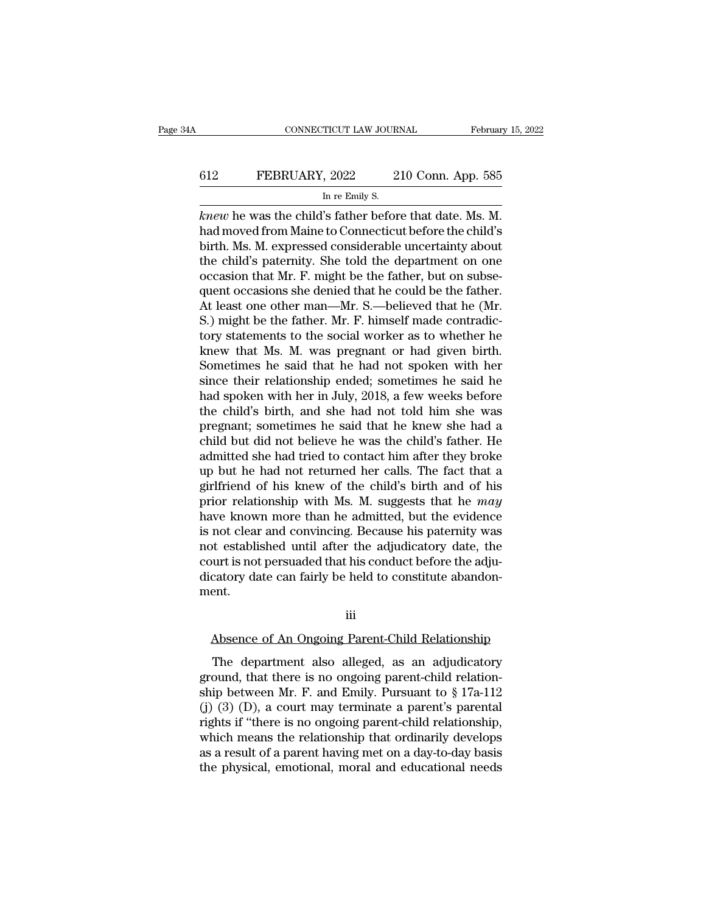# CONNECTICUT LAW JOURNAL February 15, 2022<br>612 FEBRUARY, 2022 210 Conn. App. 585<br>In re Emily S. TICUT LAW JOUR.<br>, 2022 2<br>In re Emily S.<br>'s father befor

CONNECTICUT LAW JOURNAL February 15, 2<br> **knew** he was the child's father before that date. Ms. M.<br>
had moved from Maine to Connecticut before the child's<br>
hirth Ms. M. oxpressed considerable uncertainty about FEBRUARY, 2022 210 Conn. App. 585<br>
In re Emily S.<br> *knew* he was the child's father before that date. Ms. M.<br>
had moved from Maine to Connecticut before the child's<br>
birth. Ms. M. expressed considerable uncertainty about<br> 612 FEBRUARY, 2022 210 Conn. App. 585<br>
In re Emily S.<br>
knew he was the child's father before that date. Ms. M.<br>
had moved from Maine to Connecticut before the child's<br>
birth. Ms. M. expressed considerable uncertainty abou FEBRUARY, 2022 210 Conn. App. 585<br>
In re Emily S.<br> *knew* he was the child's father before that date. Ms. M.<br>
had moved from Maine to Connecticut before the child's<br>
birth. Ms. M. expressed considerable uncertainty about<br> In re Emily S.<br>
In re Emily S.<br> *knew* he was the child's father before that date. Ms. M.<br>
had moved from Maine to Connecticut before the child's<br>
birth. Ms. M. expressed considerable uncertainty about<br>
the child's paterni In re Emily S.<br>
Knew he was the child's father before that date. Ms. M.<br>
had moved from Maine to Connecticut before the child's<br>
birth. Ms. M. expressed considerable uncertainty about<br>
the child's paternity. She told the knew he was the child's father before that date. Ms. M.<br>had moved from Maine to Connecticut before the child's<br>birth. Ms. M. expressed considerable uncertainty about<br>the child's paternity. She told the department on one<br>oc had moved from Maine to Connecticut before the child's<br>birth. Ms. M. expressed considerable uncertainty about<br>the child's paternity. She told the department on one<br>occasion that Mr. F. might be the father, but on subse-<br>qu birth. Ms. M. expressed considerable uncertainty about<br>the child's paternity. She told the department on one<br>occasion that Mr. F. might be the father, but on subse-<br>quent occasions she denied that he could be the father.<br>A the child's paternity. She told the department on one occasion that Mr. F. might be the father, but on subsequent occasions she denied that he could be the father.<br>At least one other man—Mr. S.—believed that he (Mr. S.) mi occasion that Mr. F. might be the father, but on subsequent occasions she denied that he could be the father.<br>At least one other man—Mr. S.—believed that he (Mr.<br>S.) might be the father. Mr. F. himself made contradic-<br>tory quent occasions she denied that he could be the father.<br>At least one other man—Mr. S.—believed that he (Mr.<br>S.) might be the father. Mr. F. himself made contradic-<br>tory statements to the social worker as to whether he<br>knew At least one other man—Mr. S.—believed that he (Mr. S.) might be the father. Mr. F. himself made contradictory statements to the social worker as to whether he knew that Ms. M. was pregnant or had given birth. Sometimes he S.) might be the father. Mr. F. himself made contradictory statements to the social worker as to whether he knew that Ms. M. was pregnant or had given birth. Sometimes he said that he had not spoken with her since their re tory statements to the social worker as to whether he<br>knew that Ms. M. was pregnant or had given birth.<br>Sometimes he said that he had not spoken with her<br>since their relationship ended; sometimes he said he<br>had spoken with knew that Ms. M. was pregnant or had given birth.<br>Sometimes he said that he had not spoken with her<br>since their relationship ended; sometimes he said he<br>had spoken with her in July, 2018, a few weeks before<br>the child's bir Sometimes he said that he had not spoken with her<br>since their relationship ended; sometimes he said he<br>had spoken with her in July, 2018, a few weeks before<br>the child's birth, and she had not told him she was<br>pregnant; som since their relationship ended; sometimes he said he<br>had spoken with her in July, 2018, a few weeks before<br>the child's birth, and she had not told him she was<br>pregnant; sometimes he said that he knew she had a<br>child but di had spoken with her in July, 2018, a few weeks before<br>the child's birth, and she had not told him she was<br>pregnant; sometimes he said that he knew she had a<br>child but did not believe he was the child's father. He<br>admitted the child's birth, and she had not told him she was<br>pregnant; sometimes he said that he knew she had a<br>child but did not believe he was the child's father. He<br>admitted she had tried to contact him after they broke<br>up but h pregnant; sometimes he said that he knew she had a<br>child but did not believe he was the child's father. He<br>admitted she had tried to contact him after they broke<br>up but he had not returned her calls. The fact that a<br>girlfr child but did not believe he was the child's father. He admitted she had tried to contact him after they broke up but he had not returned her calls. The fact that a girlfriend of his knew of the child's birth and of his pr admitted she had tried to contact him after they broke<br>up but he had not returned her calls. The fact that a<br>girlfriend of his knew of the child's birth and of his<br>prior relationship with Ms. M. suggests that he *may*<br>have up but he had not returned her calls. The fact that a<br>girlfriend of his knew of the child's birth and of his<br>prior relationship with Ms. M. suggests that he *may*<br>have known more than he admitted, but the evidence<br>is not c girlfriend of his knew of the child's birth and of his<br>prior relationship with Ms. M. suggests that he *may*<br>have known more than he admitted, but the evidence<br>is not clear and convincing. Because his paternity was<br>not est ment. of established until after the adjudicatory date, the<br>purt is not persuaded that his conduct before the adju-<br>catory date can fairly be held to constitute abandon-<br>ent.<br>iii<br>Absence of An Ongoing Parent-Child Relationship<br>T

iii

Example 12 can fairly be held to constitute abandon-<br>
The department also alleged, as an adjudicatory<br>
The department also alleged, as an adjudicatory<br>
pound, that there is no ongoing parent-child relation-<br>
in between  $\$ ment.<br>
iii<br>
Absence of An Ongoing Parent-Child Relationship<br>
The department also alleged, as an adjudicatory<br>
ground, that there is no ongoing parent-child relation-<br>
ship between Mr. F. and Emily. Pursuant to § 17a-112<br> iii<br>Absence of An Ongoing Parent-Child Relationship<br>The department also alleged, as an adjudicatory<br>ground, that there is no ongoing parent-child relation-<br>ship between Mr. F. and Emily. Pursuant to § 17a-112<br>(j) (3) (D), iii<br>
(4) Absence of An Ongoing Parent-Child Relationship<br>
The department also alleged, as an adjudicatory<br>
ground, that there is no ongoing parent-child relation-<br>
ship between Mr. F. and Emily. Pursuant to § 17a-112<br>
(j) Absence of An Ongoing Parent-Child Relationship<br>The department also alleged, as an adjudicatory<br>ground, that there is no ongoing parent-child relation-<br>ship between Mr. F. and Emily. Pursuant to  $\S 17a-112$ <br>(j) (3) (D), a The department also alleged, as an adjudicatory<br>ground, that there is no ongoing parent-child relation-<br>ship between Mr. F. and Emily. Pursuant to  $\S 17a-112$ <br>(j) (3) (D), a court may terminate a parent's parental<br>rights The department also alleged, as an adjudicatory<br>ground, that there is no ongoing parent-child relation-<br>ship between Mr. F. and Emily. Pursuant to  $\S 17a-112$ <br>(j) (3) (D), a court may terminate a parent's parental<br>rights ground, that there is no ongoing parent-child relation-<br>ship between Mr. F. and Emily. Pursuant to  $\S 17a-112$ <br>(j) (3) (D), a court may terminate a parent's parental<br>rights if "there is no ongoing parent-child relationshi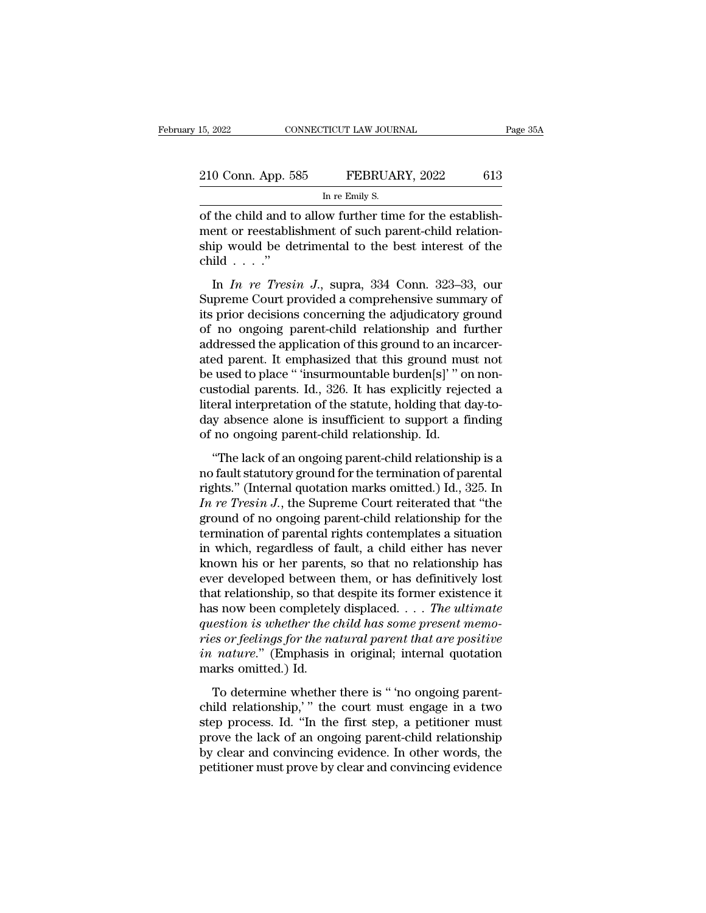| 15, 2022           | CONNECTICUT LAW JOURNAL                                   |     |
|--------------------|-----------------------------------------------------------|-----|
| 210 Conn. App. 585 | FEBRUARY, 2022                                            | 613 |
|                    | In re Emily S.                                            |     |
|                    | of the child and to allow further time for the establish- |     |

of the child and to allow further time for the establishment or reestablishment of such parent-child relation-<br>the child and to allow further time for the establishment or reestablishment of such parent-child relation-<br>thi 210 Conn. App. 585 FEBRUARY, 2022 613<br>
In re Emily S.<br>
of the child and to allow further time for the establishment or reestablishment of such parent-child relation-<br>
ship would be detrimental to the best interest of the 210 Conn. App. 585 FEBRUARY, 2022 613<br>
In re Emily S.<br>
of the child and to allow further time for the establishment or reestablishment of such parent-child relationship would be detrimental to the best interest of the chi  $\begin{array}{c} \textcolor{red}{210}\ \textcolor{red}{\text{Conn. App. 5}}\\ \textcolor{red}{\text{of the child and t}}\\ \textcolor{red}{\text{ment or reestablishi}}\\ \textcolor{red}{\text{ship would be de}}\\ \textcolor{red}{\text{child . . . .'}}\\ \textcolor{red}{\text{In In re Tresi}} \end{array}$ In re Emily S.<br> **In re Emily S.**<br> **In chief connect that Interest of the establishment or reestablishment of such parent-child relation-<br>
ip would be detrimental to the best interest of the<br>
ild . . . ."<br>
In** *In re Tresin* of the child and to allow further time for the establishment or reestablishment of such parent-child relation-<br>ship would be detrimental to the best interest of the<br>child . . . ."<br>In *In re Tresin J.*, supra, 334 Conn. 32

of the child and to allow further time for the establishment or reestablishment of such parent-child relation-<br>ship would be detrimental to the best interest of the<br>child  $\ldots$ ."<br>In *In re Tresin J.*, supra, 334 Conn. 323 ship would be detrimental to the best interest of the<br>child  $\ldots$ ."<br>In *In re Tresin J*., supra, 334 Conn. 323–33, our<br>Supreme Court provided a comprehensive summary of<br>its prior decisions concerning the adjudicatory grou and would be definited to the best interest of the<br>child . . . ."<br>In *In re Tresin J.*, supra, 334 Conn. 323–33, our<br>Supreme Court provided a comprehensive summary of<br>its prior decisions concerning the adjudicatory ground In *In re Tresin J.*, supra, 334 Conn. 323–33, our<br>Supreme Court provided a comprehensive summary of<br>its prior decisions concerning the adjudicatory ground<br>of no ongoing parent-child relationship and further<br>addressed the In *In re Tresin J.*, supra, 334 Conn. 323–33, our<br>Supreme Court provided a comprehensive summary of<br>its prior decisions concerning the adjudicatory ground<br>of no ongoing parent-child relationship and further<br>addressed the Supreme Court provided a comprehensive summary of<br>its prior decisions concerning the adjudicatory ground<br>of no ongoing parent-child relationship and further<br>addressed the application of this ground to an incarcer-<br>ated par its prior decisions concerning the adjudicatory ground<br>of no ongoing parent-child relationship and further<br>addressed the application of this ground to an incarcer-<br>ated parent. It emphasized that this ground must not<br>be us of no ongoing parent-child relationship and further<br>addressed the application of this ground to an incarcer-<br>ated parent. It emphasized that this ground must not<br>be used to place " 'insurmountable burden[s]' " on non-<br>cust addressed the application of this ground to an inc<br>ated parent. It emphasized that this ground mu<br>be used to place " 'insurmountable burden[s]' " or<br>custodial parents. Id., 326. It has explicitly rejec<br>literal interpretati be used to place. The engineeration and subsequently in one-<br>stodial parents. Id., 326. It has explicitly rejected a<br>eral interpretation of the statute, holding that day-to-<br>y absence alone is insufficient to support a fi custodial parents. Id., 326. It has explicitly rejected a<br>literal interpretation of the statute, holding that day-to-<br>day absence alone is insufficient to support a finding<br>of no ongoing parent-child relationship. Id.<br>"Th

relational parents. Tal., 526. It has explored a diteral interpretation of the statute, holding that day-to-<br>day absence alone is insufficient to support a finding<br>of no ongoing parent-child relationship. Id.<br>"The lack of *Intera Interpretation of the statute, holding that day to*<br> *Iday absence alone is insufficient to support a finding*<br> *In ongoing parent-child relationship is a*<br> *In fights."* (Internal quotation marks omitted.) Id., 32 ground of no ongoing parent-child relationship. Id.<br>
"The lack of an ongoing parent-child relationship is a<br>
no fault statutory ground for the termination of parental<br>
rights." (Internal quotation marks omitted.) Id., 325 The lack of an ongoing parent-child relationship is a<br>mo fault statutory ground for the termination of parental<br>rights." (Internal quotation marks omitted.) Id., 325. In<br> $In\;re\;Tresin\;J$ , the Supreme Court reiterated that " "The lack of an ongoing parent-child relationship is a<br>no fault statutory ground for the termination of parental<br>rights." (Internal quotation marks omitted.) Id., 325. In<br>In re Tresin J., the Supreme Court reiterated that no fault statutory ground for the termination of parental<br>rights." (Internal quotation marks omitted.) Id., 325. In<br>In re Tresin J., the Supreme Court reiterated that "the<br>ground of no ongoing parent-child relationship for rights." (Internal quotation marks omitted.) Id., 325. In *In re Tresin J*., the Supreme Court reiterated that "the ground of no ongoing parent-child relationship for the termination of parental rights contemplates a situ In re Tresin J., the Supreme Court reiterated that "the ground of no ongoing parent-child relationship for the termination of parental rights contemplates a situation in which, regardless of fault, a child either has neve ground of no ongoing parent-child relationship for the<br>termination of parental rights contemplates a situation<br>in which, regardless of fault, a child either has never<br>known his or her parents, so that no relationship has<br>e *dermination of parental rights contemplates a situation*<br>in which, regardless of fault, a child either has never<br>known his or her parents, so that no relationship has<br>ever developed between them, or has definitively lost<br> in which, regardless of fault, a child either has never<br>known his or her parents, so that no relationship has<br>ever developed between them, or has definitively lost<br>that relationship, so that despite its former existence it known his or her parents, so that no relationship has<br>ever developed between them, or has definitively lost<br>that relationship, so that despite its former existence it<br>has now been completely displaced. . . . *The ultimate<br>* ever developed between<br>that relationship, so that<br>has now been completely<br>*question is whether the c<br>ries or feelings for the no<br>in nature.*" (Emphasis i<br>marks omitted.) Id.<br>To determine whether that relationship, so that despite its former existence it<br>has now been completely displaced. . . . The ultimate<br>question is whether the child has some present memo-<br>ries or feelings for the natural parent that are positi child relationship and the first scheme that are positive<br>
in nature." (Emphasis in original; internal quotation<br>
marks omitted.) Id.<br>
To determine whether there is " 'no ongoing parent-<br>
child relationship," " the court

First step process. In the first step, a petition of the matural parent that are positive<br>in nature." (Emphasis in original; internal quotation<br>marks omitted.) Id.<br>To determine whether there is " no ongoing parent-<br>child r prove the lack of an original; internal quotation<br>marks omitted.) Id.<br>To determine whether there is " 'no ongoing parent-<br>child relationship,' " the court must engage in a two<br>step process. Id. "In the first step, a petiti by clear and convincing evidence.<br>
To determine whether there is " no ongoing parent-<br>
child relationship," the court must engage in a two<br>
step process. Id. "In the first step, a petitioner must<br>
prove the lack of an ongo child relationship," the court must engage in a two<br>step process. Id. "In the first step, a petitioner must<br>prove the lack of an ongoing parent-child relationship<br>by clear and convincing evidence. In other words, the<br>petit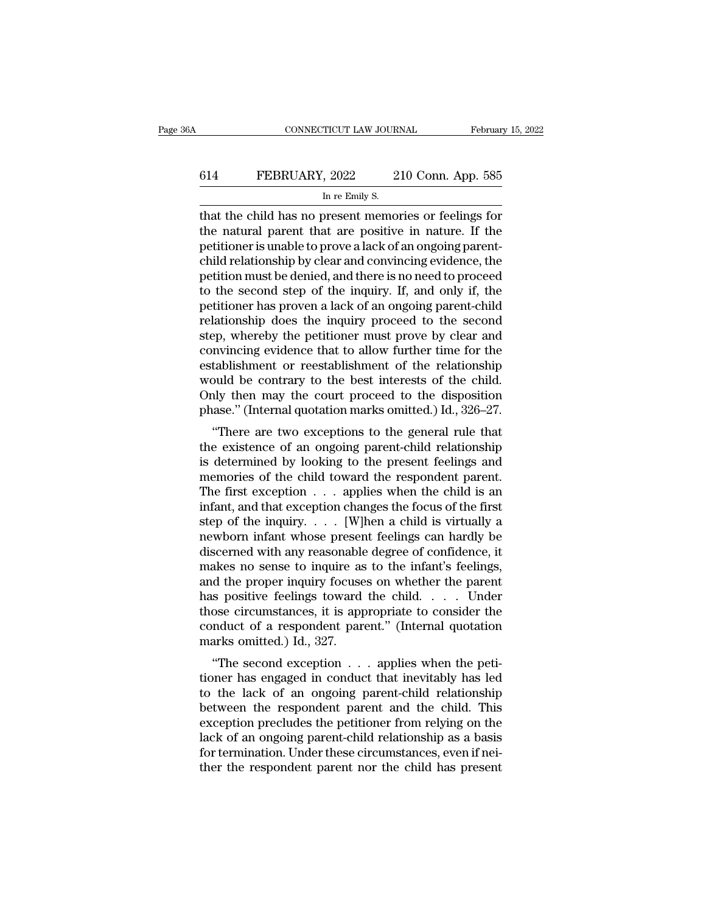# CONNECTICUT LAW JOURNAL February 15, 2022<br>614 FEBRUARY, 2022 210 Conn. App. 585<br>In re Emily S. TICUT LAW JOUR.<br>, 2022 2<br>In re Emily S.<br>present memo

CONNECTICUT LAW JOURNAL February 15, 2022<br>
February 15, 2022<br>
The child has no present memories or feelings for<br>
the natural parent that are positive in nature. If the<br>
metitioneris unable to prove a lack of an option pare FEBRUARY, 2022 210 Conn. App. 585<br>
In re Emily S.<br>
that the child has no present memories or feelings for<br>
the natural parent that are positive in nature. If the<br>
petitioner is unable to prove a lack of an ongoing parent-<br> FEBRUARY, 2022 210 Conn. App. 585<br>
In re Emily S.<br>
that the child has no present memories or feelings for<br>
the natural parent that are positive in nature. If the<br>
petitioner is unable to prove a lack of an ongoing parent-EGRUARY, 2022 210 Conn. App. 585<br>
In re Emily S.<br>
that the child has no present memories or feelings for<br>
the natural parent that are positive in nature. If the<br>
petitioner is unable to prove a lack of an ongoing parent-<br> In re Emily S.<br>
In re Emily S.<br>
that the child has no present memories or feelings for<br>
the natural parent that are positive in nature. If the<br>
petitioner is unable to prove a lack of an ongoing parent-<br>
child relationshi In re Emily S.<br>
that the child has no present memories or feelings for<br>
the natural parent that are positive in nature. If the<br>
petitioner is unable to prove a lack of an ongoing parent-<br>
child relationship by clear and co that the child has no present memories or feelings for<br>the natural parent that are positive in nature. If the<br>petitioner is unable to prove a lack of an ongoing parent-<br>child relationship by clear and convincing evidence, the natural parent that are positive in nature. If the petitioner is unable to prove a lack of an ongoing parent-<br>child relationship by clear and convincing evidence, the petition must be denied, and there is no need to pr petitioner is unable to prove a lack of an ongoing parent-<br>child relationship by clear and convincing evidence, the<br>petition must be denied, and there is no need to proceed<br>to the second step of the inquiry. If, and only i child relationship by clear and convincing evidence, the petition must be denied, and there is no need to proceed to the second step of the inquiry. If, and only if, the petitioner has proven a lack of an ongoing parent-ch petition must be denied, and there is no need to proceed<br>to the second step of the inquiry. If, and only if, the<br>petitioner has proven a lack of an ongoing parent-child<br>relationship does the inquiry proceed to the second<br>s to the second step of the inquiry. If, and only if, the petitioner has proven a lack of an ongoing parent-child relationship does the inquiry proceed to the second step, whereby the petitioner must prove by clear and conv petitioner has proven a lack of an ongoing parent-child<br>relationship does the inquiry proceed to the second<br>step, whereby the petitioner must prove by clear and<br>convincing evidence that to allow further time for the<br>establ relationship does the inquiry proceed to the second<br>step, whereby the petitioner must prove by clear and<br>convincing evidence that to allow further time for the<br>establishment or reestablishment of the relationship<br>would be Fp, whereby the petholer must prove by clear and<br>
mvincing evidence that to allow further time for the<br>
tablishment or reestablishment of the relationship<br>
build be contrary to the best interests of the child.<br>
ly then may convincing evidence that to allow further time for the<br>establishment or reestablishment of the relationship<br>would be contrary to the best interests of the child.<br>Only then may the court proceed to the disposition<br>phase." (

Examismment of reestablishment of the Felationship<br>would be contrary to the best interests of the child.<br>Only then may the court proceed to the disposition<br>phase." (Internal quotation marks omitted.) Id., 326–27.<br>"There ar would be contrary to the best interests of the child.<br>Only then may the court proceed to the disposition<br>phase." (Internal quotation marks omitted.) Id., 326–27.<br>"There are two exceptions to the general rule that<br>the exis The first exception was somitted.) Id., 326–27.<br>
"There are two exceptions to the general rule that<br>
the existence of an ongoing parent-child relationship<br>
is determined by looking to the present feelings and<br>
memories of phase. (Internal quotation marks omitted.) id.,  $320-27$ .<br>
"There are two exceptions to the general rule that<br>
the existence of an ongoing parent-child relationship<br>
is determined by looking to the present feelings and<br>
m "There are two exceptions to the general rule that<br>the existence of an ongoing parent-child relationship<br>is determined by looking to the present feelings and<br>memories of the child toward the respondent parent.<br>The first e the existence of an ongoing parent-child relationship<br>is determined by looking to the present feelings and<br>memories of the child toward the respondent parent.<br>The first exception  $\ldots$  applies when the child is an<br>infant, is determined by looking to the present feelings and<br>memories of the child toward the respondent parent.<br>The first exception  $\ldots$  applies when the child is an<br>infant, and that exception changes the focus of the first<br>ste memories of the child toward the respondent parent.<br>The first exception  $\ldots$  applies when the child is an<br>infant, and that exception changes the focus of the first<br>step of the inquiry  $\ldots$  [W]hen a child is virtually a<br> The first exception  $\ldots$  applies when the child is an infant, and that exception changes the focus of the first step of the inquiry  $\ldots$  [W]hen a child is virtually a newborn infant whose present feelings can hardly be infant, and that exception changes the focus of the first<br>step of the inquiry. . . . [W]hen a child is virtually a<br>newborn infant whose present feelings can hardly be<br>discerned with any reasonable degree of confidence, it step of the inquiry. . . . . [W]hen a child is virtually a<br>newborn infant whose present feelings can hardly be<br>discerned with any reasonable degree of confidence, it<br>makes no sense to inquire as to the infant's feelings,<br> newborn infant whose present feelings can hardly be<br>discerned with any reasonable degree of confidence, it<br>makes no sense to inquire as to the infant's feelings,<br>and the proper inquiry focuses on whether the parent<br>has pos discerned with any reasonable degree of confidence, it makes no sense to inquire as to the infant's feelings, and the proper inquiry focuses on whether the parent has positive feelings toward the child.  $\dots$  Under those c ''The second exception . . . applies when the petiand the proper inquiry focuses on whether the parent<br>has positive feelings toward the child. . . . Under<br>those circumstances, it is appropriate to consider the<br>conduct of a respondent parent." (Internal quotation<br>marks om

those circumstances, it is appropriate to consider the<br>conduct of a respondent parent." (Internal quotation<br>marks omitted.) Id., 327.<br>"The second exception  $\ldots$  applies when the peti-<br>tioner has engaged in conduct that i those circuitstances, it is appropriate to consider the<br>conduct of a respondent parent." (Internal quotation<br>marks omitted.) Id., 327.<br>"The second exception  $\ldots$  applies when the peti-<br>tioner has engaged in conduct that exception parameteric internal quotation<br>marks omitted.) Id., 327.<br>"The second exception  $\ldots$  applies when the petitioner has engaged in conduct that inevitably has led<br>to the lack of an ongoing parent-child relationship lack of an ongoing parent-child relationship<br>tioner has engaged in conduct that inevitably has led<br>to the lack of an ongoing parent-child relationship<br>between the respondent parent and the child. This<br>exception precludes "The second exception  $\ldots$  applies when the petitioner has engaged in conduct that inevitably has led to the lack of an ongoing parent-child relationship between the respondent parent and the child. This exception preclu tioner has engaged in conduct that inevitably has led<br>to the lack of an ongoing parent-child relationship<br>between the respondent parent and the child. This<br>exception precludes the petitioner from relying on the<br>lack of an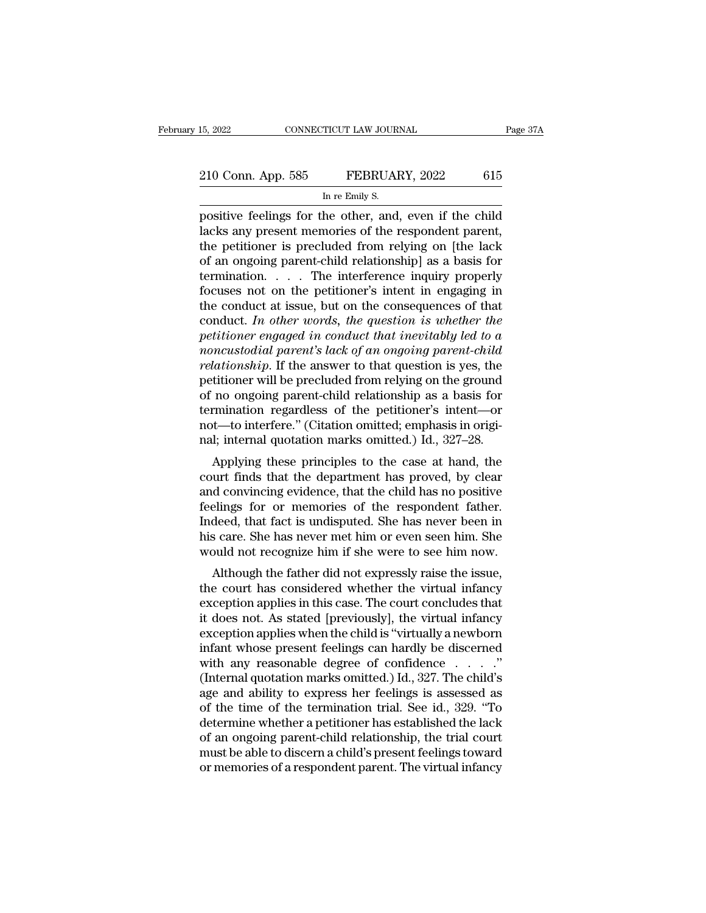# 15, 2022 CONNECTICUT LAW JOURNAL Page 37A<br>210 Conn. App. 585 FEBRUARY, 2022 615<br>In re Emily S. TICUT LAW JOUR.<br>FEBRUAI<br>In re Emily S.<br>be other and

positive feelings for the other, and, even if the child<br>acks any present memories of the respondent parent,<br>the positive is precluded from relying on the lacks and positive is precluded from relying on the lacks 210 Conn. App. 585 FEBRUARY, 2022 615<br>
In re Emily S.<br>
positive feelings for the other, and, even if the child<br>
lacks any present memories of the respondent parent,<br>
the petitioner is precluded from relying on [the lack 210 Conn. App. 585 FEBRUARY, 2022 615<br>
In re Emily S.<br>
positive feelings for the other, and, even if the child<br>
lacks any present memories of the respondent parent,<br>
the petitioner is precluded from relying on [the lack<br>
o 210 Conn. App. 585 FEBRUARY, 2022 615<br>
In re Emily S.<br>
positive feelings for the other, and, even if the child<br>
lacks any present memories of the respondent parent,<br>
the petitioner is precluded from relying on [the lack<br>
o In re Emily S.<br>
In re Emily S.<br>
positive feelings for the other, and, even if the child<br>
lacks any present memories of the respondent parent,<br>
the petitioner is precluded from relying on [the lack<br>
of an ongoing parent-chi In re Emily S.<br>
positive feelings for the other, and, even if the child<br>
lacks any present memories of the respondent parent,<br>
the petitioner is precluded from relying on [the lack<br>
of an ongoing parent-child relationship positive feelings for the other, and, even if the child<br>lacks any present memories of the respondent parent,<br>the petitioner is precluded from relying on [the lack<br>of an ongoing parent-child relationship] as a basis for<br>te lacks any present memories of the respondent parent,<br>the petitioner is precluded from relying on [the lack<br>of an ongoing parent-child relationship] as a basis for<br>termination. . . . . The interference inquiry properly<br>focu the petitioner is precluded from relying on [the lack<br>of an ongoing parent-child relationship] as a basis for<br>termination. . . . The interference inquiry properly<br>focuses not on the petitioner's intent in engaging in<br>the c of an ongoing parent-child relationship] as a basis for<br>termination. . . . The interference inquiry properly<br>focuses not on the petitioner's intent in engaging in<br>the conduct at issue, but on the consequences of that<br>condu *remination.* . . . The interference inquiry properly focuses not on the petitioner's intent in engaging in the conduct at issue, but on the consequences of that conduct. In other words, the question is whether the petitio focuses not on the petitioner's intent in engaging in<br>the conduct at issue, but on the consequences of that<br>conduct. In other words, the question is whether the<br>petitioner engaged in conduct that inevitably led to a<br>noncus the conduct at issue, but on the consequences of that<br>conduct. In other words, the question is whether the<br>petitioner engaged in conduct that inevitably led to a<br>noncustodial parent's lack of an ongoing parent-child<br>relat conduct. In other words, the question is whether the<br>petitioner engaged in conduct that inevitably led to a<br>noncustodial parent's lack of an ongoing parent-child<br>relationship. If the answer to that question is yes, the<br>pe petitioner engaged in conduct that inevitably led to a<br>noncustodial parent's lack of an ongoing parent-child<br>relationship. If the answer to that question is yes, the<br>petitioner will be precluded from relying on the ground<br> noncustodial parent's lack of an ongoing parent-child<br>relationship. If the answer to that question is yes, the<br>petitioner will be precluded from relying on the ground<br>of no ongoing parent-child relationship as a basis for<br> Mutionship. If the answer to that question is yes, the<br>titioner will be precluded from relying on the ground<br>no ongoing parent-child relationship as a basis for<br>rmination regardless of the petitioner's intent—or<br>t—to inter petitioner will be precided front felying on the ground<br>of no ongoing parent-child relationship as a basis for<br>termination regardless of the petitioner's intent—or<br>not—to interfere." (Citation omitted, emphasis in origi-<br>n

or no ongoing parent-child relationship as a basis for<br>termination regardless of the petitioner's intent—or<br>not—to interfere." (Citation omitted; emphasis in origi-<br>nal; internal quotation marks omitted.) Id., 327–28.<br>Appl fernimation regardiess of the petitioner's internation-or<br>not—to interfere." (Citation omitted; emphasis in origi-<br>nal; internal quotation marks omitted.) Id., 327–28.<br>Applying these principles to the case at hand, the<br>cou Indeed, that fact is undisputed. She has never been implying these principles to the case at hand, the court finds that the department has proved, by clear and convincing evidence, that the child has no positive feelings f Hall, internal quotation manks omitted.) id.,  $327-28$ .<br>Applying these principles to the case at hand, the<br>court finds that the department has proved, by clear<br>and convincing evidence, that the child has no positive<br>feeli Applying these principles to the case at hand, the court finds that the department has proved, by clear and convincing evidence, that the child has no positive feelings for or memories of the respondent father. Indeed, tha although the father did not expressly raise the issue,<br>and convincing evidence, that the child has no positive<br>elings for or memories of the respondent father.<br>deed, that fact is undisputed. She has never been in<br>scare. Sh and convincing evidence, that the child has no positive<br>feelings for or memories of the respondent father.<br>Indeed, that fact is undisputed. She has never been in<br>his care. She has never met him or even seen him. She<br>would

reemigs for or memories or the respondent rather.<br>Indeed, that fact is undisputed. She has never been in<br>his care. She has never met him or even seen him. She<br>would not recognize him if she were to see him now.<br>Although th indeed, that fact is undisputed. She has hever been in<br>his care. She has never met him or even seen him. She<br>would not recognize him if she were to see him now.<br>Although the father did not expressly raise the issue,<br>the co Ins care. She has hever hier film of even seen film. She<br>would not recognize him if she were to see him now.<br>Although the father did not expressly raise the issue,<br>the court has considered whether the virtual infancy<br>excep Modula not recognize finit if she were to see finit now.<br>
Although the father did not expressly raise the issue,<br>
the court has considered whether the virtual infancy<br>
exception applies in this case. The court concludes t Although the father did not expressly raise the issue,<br>the court has considered whether the virtual infancy<br>exception applies in this case. The court concludes that<br>it does not. As stated [previously], the virtual infancy the court has considered whether the virtual infancy<br>exception applies in this case. The court concludes that<br>it does not. As stated [previously], the virtual infancy<br>exception applies when the child is "virtually a newbo exception applies in this case. The court concludes that<br>it does not. As stated [previously], the virtual infancy<br>exception applies when the child is "virtually a newborn<br>infant whose present feelings can hardly be discer it does not. As stated [previously], the virtual infancy<br>exception applies when the child is "virtually a newborn<br>infant whose present feelings can hardly be discerned<br>with any reasonable degree of confidence . . . ."<br>(Int exception applies when the child is "virtually a newborn<br>infant whose present feelings can hardly be discerned<br>with any reasonable degree of confidence  $\dots$ ."<br>(Internal quotation marks omitted.) Id., 327. The child's<br>age infant whose present feelings can hardly be discerned<br>with any reasonable degree of confidence  $\dots$ . "<br>(Internal quotation marks omitted.) Id., 327. The child's<br>age and ability to express her feelings is assessed as<br>of th with any reasonable degree of confidence  $\dots$  . . ."<br>(Internal quotation marks omitted.) Id., 327. The child's<br>age and ability to express her feelings is assessed as<br>of the time of the termination trial. See id., 329. "To (Internal quotation marks omitted.) Id., 327. The child's<br>age and ability to express her feelings is assessed as<br>of the time of the termination trial. See id., 329. "To<br>determine whether a petitioner has established the la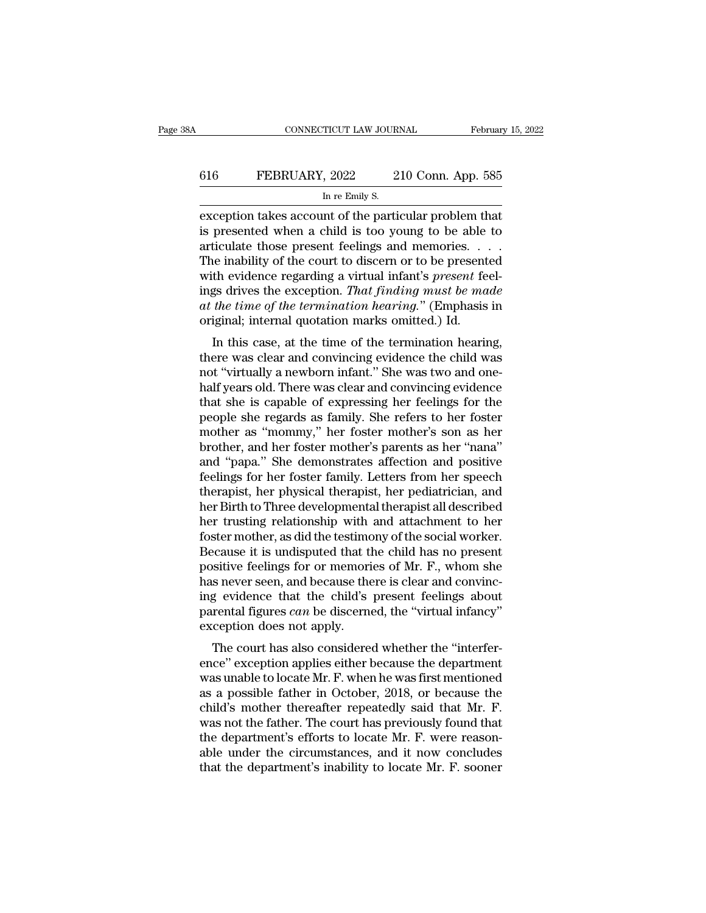# CONNECTICUT LAW JOURNAL February 15, 2022<br>616 FEBRUARY, 2022 210 Conn. App. 585<br>In re Emily S. TICUT LAW JOUR.<br>, 2022 2<br>In re Emily S.<br>nt of the parti

EXECUTE CONNECTICUT LAW JOURNAL February 15, 2023<br>
EXCEPTION THE PART OF THE PART OF THE PART OF THE PART OF THE PART OF THE PART OF THE PART OF THE PART OF THE PART OF THE PART OF THE PART OF THE PART OF THE PART OF THE P FEBRUARY, 2022 210 Conn. App. 585<br>
In re Emily S.<br>
Exception takes account of the particular problem that<br>
is presented when a child is too young to be able to<br>
articulate those present feelings and memories. . . .<br>
The in 616 FEBRUARY, 2022 210 Conn. App. 585<br>
In re Emily S.<br>
exception takes account of the particular problem that<br>
is presented when a child is too young to be able to<br>
articulate those present feelings and memories. . . .<br>
T FEBRUARY, 2022 210 Conn. App. 585<br>
In re Emily S.<br>
exception takes account of the particular problem that<br>
is presented when a child is too young to be able to<br>
articulate those present feelings and memories. . . .<br>
The i In re Emily S.<br>
In re Emily S.<br>
exception takes account of the particular problem that<br>
is presented when a child is too young to be able to<br>
articulate those present feelings and memories. . . .<br>
The inability of the cour In re Emily S.<br>
exception takes account of the particular problem that<br>
is presented when a child is too young to be able to<br>
articulate those present feelings and memories. . . .<br>
The inability of the court to discern or exception takes account of the particular problem that<br>is presented when a child is too young to be able to<br>articulate those present feelings and memories. . . .<br>The inability of the court to discern or to be presented<br>wit is presented when a child is too young to be able articulate those present feelings and memories. The inability of the court to discern or to be present with evidence regarding a virtual infant's *present* feings drives t In this case, at the time of the termination hearing and the time of the court to discern or to be presented<br>th evidence regarding a virtual infant's *present* feel-<br>gs drives the exception. *That finding must be made<br>the* The mability of the court to uscern of to be presented<br>with evidence regarding a virtual infant's *present* feel-<br>ings drives the exception. *That finding must be made*<br>at the time of the termination hearing." (Emphasis in

with evidence regarding a virtual miant s *present* reel-<br>ings drives the exception. That finding must be made<br>at the time of the termination hearing." (Emphasis in<br>original; internal quotation marks omitted.) Id.<br>In this mgs urves the exception. That finally mast be made<br>at the time of the termination hearing." (Emphasis in<br>original; internal quotation marks omitted.) Id.<br>In this case, at the time of the termination hearing,<br>there was clea at the time of the termination hearing. (Emphasis in<br>original; internal quotation marks omitted.) Id.<br>In this case, at the time of the termination hearing,<br>there was clear and convincing evidence the child was<br>not "virtual In this case, at the time of the termination hearing,<br>there was clear and convincing evidence the child was<br>not "virtually a newborn infant." She was two and one-<br>half years old. There was clear and convincing evidence<br>tha In this case, at the time of the termination hearing,<br>there was clear and convincing evidence the child was<br>not "virtually a newborn infant." She was two and one-<br>half years old. There was clear and convincing evidence<br>tha there was clear and convincing evidence the child was<br>not "virtually a newborn infant." She was two and one-<br>half years old. There was clear and convincing evidence<br>that she is capable of expressing her feelings for the<br>pe not "virtually a newborn infant." She was two and one-<br>half years old. There was clear and convincing evidence<br>that she is capable of expressing her feelings for the<br>people she regards as family. She refers to her foster<br>m half years old. There was clear and convincing evidence<br>that she is capable of expressing her feelings for the<br>people she regards as family. She refers to her foster<br>mother as "mommy," her foster mother's son as her<br>brothe that she is capable of expressing her feelings for the<br>people she regards as family. She refers to her foster<br>mother as "mommy," her foster mother's son as her<br>brother, and her foster mother's parents as her "nana"<br>and "pa people she regards as family. She refers to her foster<br>mother as "mommy," her foster mother's son as her<br>brother, and her foster mother's parents as her "nana"<br>and "papa." She demonstrates affection and positive<br>feelings f mother as "mommy," her foster mother's son as her brother, and her foster mother's parents as her "nana" and "papa." She demonstrates affection and positive feelings for her foster family. Letters from her speech therapist brother, and her foster mother's parents as her "nana"<br>and "papa." She demonstrates affection and positive<br>feelings for her foster family. Letters from her speech<br>therapist, her physical therapist, her pediatrician, and<br>he and "papa." She demonstrates affection and positive<br>feelings for her foster family. Letters from her speech<br>therapist, her physical therapist, her pediatrician, and<br>her Birth to Three developmental therapist all described<br> feelings for her foster family. Letters from her speech<br>therapist, her physical therapist, her pediatrician, and<br>her Birth to Three developmental therapist all described<br>her trusting relationship with and attachment to her therapist, her physical therapist, her pediatrician, and<br>her Birth to Three developmental therapist all described<br>her trusting relationship with and attachment to her<br>foster mother, as did the testimony of the social worke her Birth to Three developmental therapist all described<br>her trusting relationship with and attachment to her<br>foster mother, as did the testimony of the social worker.<br>Because it is undisputed that the child has no present her trusting relationship with and attachment to her foster mother, as did the testimony of the social worker.<br>Because it is undisputed that the child has no present positive feelings for or memories of Mr. F., whom she ha foster mother, as did the testime<br>Because it is undisputed that the<br>positive feelings for or memori<br>has never seen, and because the<br>ing evidence that the child's<br>parental figures *can* be discerne<br>exception does not apply. Example that the child has no present<br>sitive feelings for or memories of Mr. F., whom she<br>s never seen, and because there is clear and convinc-<br>g evidence that the child's present feelings about<br>rental figures *can* be di positive reemigs for or memories of Mr. F., wholft site<br>has never seen, and because there is clear and convinc-<br>ing evidence that the child's present feelings about<br>parental figures *can* be discerned, the "virtual infancy

ras never seen, and because there is clear and convinci-<br>ing evidence that the child's present feelings about<br>parental figures *can* be discerned, the "virtual infancy"<br>exception does not apply.<br>The court has also conside mg evidence that the child's present reemigs about<br>parental figures *can* be discerned, the "virtual infancy"<br>exception does not apply.<br>The court has also considered whether the "interfer-<br>ence" exception applies either b parental rightes *can* be discerned, the virtual miancy<br>exception does not apply.<br>The court has also considered whether the "interfer-<br>ence" exception applies either because the department<br>was unable to locate Mr. F. when Exception does not apply.<br>The court has also considered whether the "interfer-<br>ence" exception applies either because the department<br>was unable to locate Mr. F. when he was first mentioned<br>as a possible father in October, The court has also considered whether the "interference" exception applies either because the department was unable to locate Mr. F. when he was first mentioned as a possible father in October, 2018, or because the child' ence" exception applies either because the department<br>was unable to locate Mr. F. when he was first mentioned<br>as a possible father in October, 2018, or because the<br>child's mother thereafter repeatedly said that Mr. F.<br>was was unable to locate Mr. F. when he was first mentioned<br>as a possible father in October, 2018, or because the<br>child's mother thereafter repeatedly said that Mr. F.<br>was not the father. The court has previously found that<br>th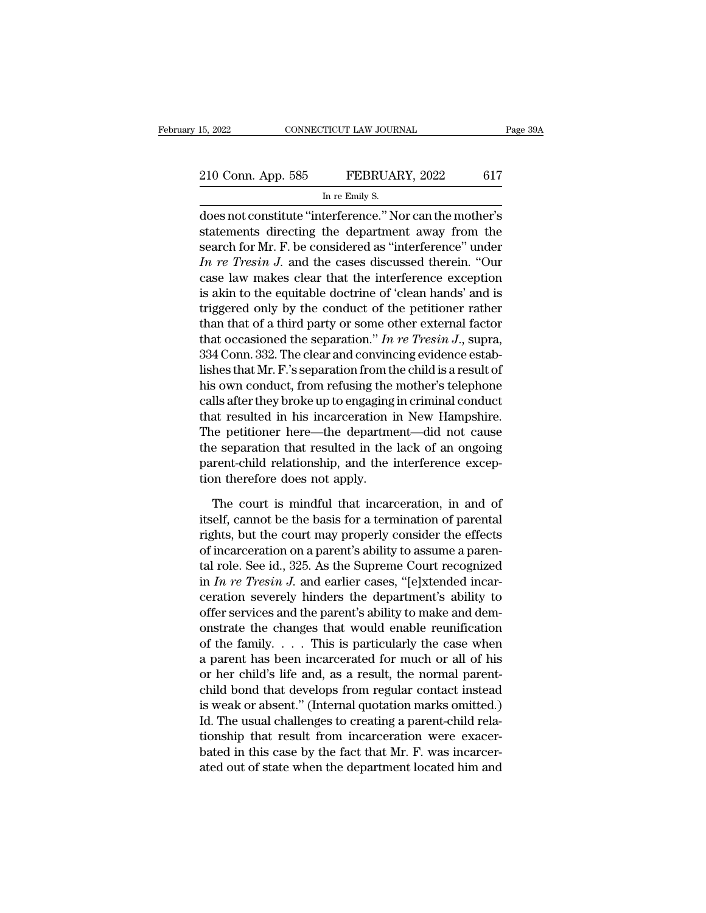### 15, 2022 CONNECTICUT LAW JOURNAL Page 39A<br>
210 Conn. App. 585 FEBRUARY, 2022 617<br>
In re Emily S. TICUT LAW JOUR.<br>FEBRUAI<br>In re Emily S.<br>terference '' Ne

15, 2022 CONNECTICUT LAW JOURNAL Page 39A<br>
210 Conn. App. 585 FEBRUARY, 2022 617<br>
In re Emily S.<br>
does not constitute "interference." Nor can the mother's<br>
statements directing the department away from the 210 Conn. App. 585 FEBRUARY, 2022 617<br>
In re Emily S.<br>
does not constitute "interference." Nor can the mother's<br>
statements directing the department away from the<br>
search for Mr. F. be considered as "interference" under<br>
L 210 Conn. App. 585 FEBRUARY, 2022 617<br>
In re Emily S.<br>
does not constitute "interference." Nor can the mother's<br>
statements directing the department away from the<br>
search for Mr. F. be considered as "interference" under<br>
I 210 Conn. App. 585 FEBRUARY, 2022 617<br>
In re Emily S.<br>
does not constitute "interference." Nor can the mother's<br>
statements directing the department away from the<br>
search for Mr. F. be considered as "interference" under<br> In re Emily S.<br>
does not constitute "interference." Nor can the mother's<br>
statements directing the department away from the<br>
search for Mr. F. be considered as "interference" under<br>
In re Tresin J. and the cases discussed if the Emay s.<br>
does not constitute "interference." Nor can the mother's<br>
statements directing the department away from the<br>
search for Mr. F. be considered as "interference" under<br>
In re Tresin J. and the cases discussed does not constitute "interference." Nor can the mother's<br>statements directing the department away from the<br>search for Mr. F. be considered as "interference" under<br> $In re Tresin J$ . and the cases discussed therein. "Our<br>case law m statements directing the department away from the<br>search for Mr. F. be considered as "interference" under<br>*In re Tresin J*. and the cases discussed therein. "Our<br>case law makes clear that the interference exception<br>is aki search for Mr. F. be considered as "interference" under<br> *In re Tresin J*. and the cases discussed therein. "Our<br>
case law makes clear that the interference exception<br>
is akin to the equitable doctrine of 'clean hands' an *In re Tresin J.* and the cases discussed therein. "Our case law makes clear that the interference exception is akin to the equitable doctrine of 'clean hands' and is triggered only by the conduct of the petitioner rather case law makes clear that the interference exception<br>is akin to the equitable doctrine of 'clean hands' and is<br>triggered only by the conduct of the petitioner rather<br>than that of a third party or some other external facto is akin to the equitable doctrine of 'clean hands' and is<br>triggered only by the conduct of the petitioner rather<br>than that of a third party or some other external factor<br>that occasioned the separation." In re Tresin J., s triggered only by the conduct of the petitioner rather<br>than that of a third party or some other external factor<br>that occasioned the separation." In re Tresin J., supra,<br>334 Conn. 332. The clear and convincing evidence esta than that of a third party or some other external factor<br>that occasioned the separation." In re Tresin J., supra,<br>334 Conn. 332. The clear and convincing evidence estab-<br>lishes that Mr. F.'s separation from the child is a that occasioned the separation." In re Tresin J., supra,<br>334 Conn. 332. The clear and convincing evidence estab-<br>lishes that Mr. F.'s separation from the child is a result of<br>his own conduct, from refusing the mother's te 334 Conn. 332. The clear and convincing evidence estab-<br>lishes that Mr. F.'s separation from the child is a result of<br>his own conduct, from refusing the mother's telephone<br>calls after they broke up to engaging in criminal lishes that Mr. F.'.'s separation from the child is a result of<br>his own conduct, from refusing the mother's telephone<br>calls after they broke up to engaging in criminal conduct<br>that resulted in his incarceration in New Hamp his own conduct, from refusing the<br>calls after they broke up to engaging<br>that resulted in his incarceration i<br>The petitioner here—the departme<br>the separation that resulted in the<br>parent-child relationship, and the i<br>tion t at resulted in his incarceration in New Hampshire.<br>
i.e petitioner here—the department—did not cause<br>
e separation that resulted in the lack of an ongoing<br>
rent-child relationship, and the interference excep-<br>
in therefore The petitioner here—the department—did not cause<br>the separation that resulted in the lack of an ongoing<br>parent-child relationship, and the interference excep-<br>tion therefore does not apply.<br>The court is mindful that incarc

the separation that resulted in the lack of an ongoing<br>parent-child relationship, and the interference excep-<br>tion therefore does not apply.<br>The court is mindful that incarceration, in and of<br>itself, cannot be the basis fo parent-child relationship, and the interference exception therefore does not apply.<br>The court is mindful that incarceration, in and of itself, cannot be the basis for a termination of parental rights, but the court may pro tion therefore does not apply.<br>The court is mindful that incarceration, in and of itself, cannot be the basis for a termination of parental<br>rights, but the court may properly consider the effects<br>of incarceration on a par The court is mindful that incarceration, in and of<br>itself, cannot be the basis for a termination of parental<br>rights, but the court may properly consider the effects<br>of incarceration on a parent's ability to assume a paren-The court is mindful that incarceration, in and of<br>itself, cannot be the basis for a termination of parental<br>rights, but the court may properly consider the effects<br>of incarceration on a parent's ability to assume a paren itself, cannot be the basis for a termination of parental<br>rights, but the court may properly consider the effects<br>of incarceration on a parent's ability to assume a paren-<br>tal role. See id., 325. As the Supreme Court reco rights, but the court may properly consider the effects<br>of incarceration on a parent's ability to assume a paren-<br>tal role. See id., 325. As the Supreme Court recognized<br>in *In re Tresin J*. and earlier cases, "[e]xtended of incarceration on a parent's ability to assume a parental role. See id., 325. As the Supreme Court recognized<br>in *In re Tresin J*. and earlier cases, "[e]xtended incar-<br>ceration severely hinders the department's ability tal role. See id., 325. As the Supreme Court recognized<br>in *In re Tresin J*. and earlier cases, "[e]xtended incar-<br>ceration severely hinders the department's ability to<br>offer services and the parent's ability to make and in *In re Tresin J*. and earlier cases, "[e]xtended incar-<br>ceration severely hinders the department's ability to<br>offer services and the parent's ability to make and dem-<br>onstrate the changes that would enable reunificatio ceration severely hinders the department's ability to<br>offer services and the parent's ability to make and dem-<br>onstrate the changes that would enable reunification<br>of the family. . . . This is particularly the case when<br>a offer services and the parent's ability to make and demonstrate the changes that would enable reunification of the family. . . . This is particularly the case when a parent has been incarcerated for much or all of his or h onstrate the changes that would enable reunification<br>of the family. . . . This is particularly the case when<br>a parent-has been incarcerated for much or all of his<br>or her child's life and, as a result, the normal parent-<br>c of the family. . . . . This is particularly the case when<br>a parent has been incarcerated for much or all of his<br>or her child's life and, as a result, the normal parent-<br>child bond that develops from regular contact instea a parent has been incarcerated for much or all of his<br>or her child's life and, as a result, the normal parent-<br>child bond that develops from regular contact instead<br>is weak or absent." (Internal quotation marks omitted.)<br>I or her child's life and, as a result, the normal parent-child bond that develops from regular contact instead<br>is weak or absent." (Internal quotation marks omitted.)<br>Id. The usual challenges to creating a parent-child rela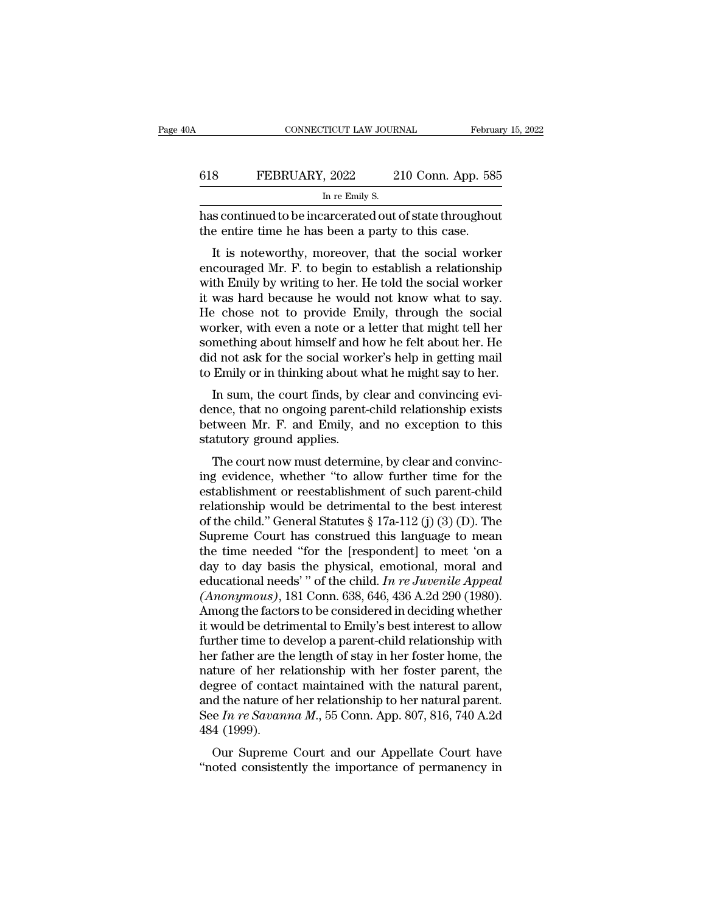|     | CONNECTICUT LAW JOURNAL                                                                                       | February 15, 2022  |
|-----|---------------------------------------------------------------------------------------------------------------|--------------------|
| 618 | FEBRUARY, 2022                                                                                                | 210 Conn. App. 585 |
|     | In re Emily S.                                                                                                |                    |
|     | has continued to be incarcerated out of state throughout<br>the entire time he has been a party to this case. |                    |
|     | It is noteworthy, moreover, that the social worker                                                            |                    |

FEBRUARY, 2022 210 Conn. App. 585<br>
In re Emily S.<br>
s continued to be incarcerated out of state throughout<br>
e entire time he has been a party to this case.<br>
It is noteworthy, moreover, that the social worker<br>
couraged Mr. F EEBRUARY, 2022 210 Conn. App. 585<br>
In re Emily S.<br>
has continued to be incarcerated out of state throughout<br>
the entire time he has been a party to this case.<br>
It is noteworthy, moreover, that the social worker<br>
encourage In re Emily S.<br>
has continued to be incarcerated out of state throughout<br>
the entire time he has been a party to this case.<br>
It is noteworthy, moreover, that the social worker<br>
encouraged Mr. F. to begin to establish a rel has continued to be incarcerated out of state throughout<br>the entire time he has been a party to this case.<br>It is noteworthy, moreover, that the social worker<br>encouraged Mr. F. to begin to establish a relationship<br>with Emil Has continued to be incarcerated out of state throughout<br>the entire time he has been a party to this case.<br>It is noteworthy, moreover, that the social worker<br>encouraged Mr. F. to begin to establish a relationship<br>with Emil It is noteworthy, moreover, that the social worker<br>encouraged Mr. F. to begin to establish a relationship<br>with Emily by writing to her. He told the social worker<br>it was hard because he would not know what to say.<br>He chose It is noteworthy, moreover, that the social worker<br>encouraged Mr. F. to begin to establish a relationship<br>with Emily by writing to her. He told the social worker<br>it was hard because he would not know what to say.<br>He chose encouraged Mr. F. to begin to establish a relationship<br>with Emily by writing to her. He told the social worker<br>it was hard because he would not know what to say.<br>He chose not to provide Emily, through the social<br>worker, wi with Emily by writing to her. He told the social worker<br>it was hard because he would not know what to say.<br>He chose not to provide Emily, through the social<br>worker, with even a note or a letter that might tell her<br>somethin was hard because he would not know what to say.<br>  $\epsilon$  chose not to provide Emily, through the social<br>
price, with even a note or a letter that might tell her<br>
mething about himself and how he felt about her. He<br>
d not ask The chose not to provide Entity, through the social<br>worker, with even a note or a letter that might tell her<br>something about himself and how he felt about her. He<br>did not ask for the social worker's help in getting mail<br>to

worker, while verilatiote of a fetter that hight ten her<br>something about himself and how he felt about her. He<br>did not ask for the social worker's help in getting mail<br>to Emily or in thinking about what he might say to her something about finisen and in<br>did not ask for the social worl<br>to Emily or in thinking about w<br>In sum, the court finds, by c<br>dence, that no ongoing parent-<br>between Mr. F. and Emily, a<br>statutory ground applies.<br>The court no Emily or in thinking about what he might say to her.<br>In sum, the court finds, by clear and convincing evi-<br>nce, that no ongoing parent-child relationship exists<br>tween Mr. F. and Emily, and no exception to this<br>atutory grou In sum, the court finds, by clear and convincing evidence, that no ongoing parent-child relationship exists<br>between Mr. F. and Emily, and no exception to this<br>statutory ground applies.<br>The court now must determine, by clea

In sunt, the court mids, by clear and convincing evidence, that no ongoing parent-child relationship exists<br>between Mr. F. and Emily, and no exception to this<br>statutory ground applies.<br>The court now must determine, by cle between Mr. F. and Emily, and no exception to this<br>statutory ground applies.<br>The court now must determine, by clear and convinc-<br>ing evidence, whether "to allow further time for the<br>establishment or reestablishment of suc between M. F. and Enlity, and no exception to this<br>statutory ground applies.<br>The court now must determine, by clear and convinc-<br>ing evidence, whether "to allow further time for the<br>establishment or reestablishment of such Statutory ground appnes.<br>
The court now must determine, by clear and convincing<br>
evidence, whether "to allow further time for the<br>
establishment or reestablishment of such parent-child<br>
relationship would be detrimental t The court now must determine, by clear and convincing evidence, whether "to allow further time for the establishment or reestablishment of such parent-child relationship would be detrimental to the best interest of the ch ing evidence, whether "to allow further time for the establishment or reestablishment of such parent-child relationship would be detrimental to the best interest of the child." General Statutes § 17a-112 (j) (3) (D). The establishment or reestablishment of such parent-child<br>relationship would be detrimental to the best interest<br>of the child." General Statutes § 17a-112 (j) (3) (D). The<br>Supreme Court has construed this language to mean<br>the relationship would be detrimental to the best interest<br>of the child." General Statutes § 17a-112 (j) (3) (D). The<br>Supreme Court has construed this language to mean<br>the time needed "for the [respondent] to meet 'on a<br>day to of the child." General Statutes  $\S 17a-112$  (j) (3) (D). The<br>Supreme Court has construed this language to mean<br>the time needed "for the [respondent] to meet 'on a<br>day to day basis the physical, emotional, moral and<br>educat Supreme Court has construed this language to mean<br>the time needed "for the [respondent] to meet 'on a<br>day to day basis the physical, emotional, moral and<br>educational needs' " of the child. In re Juvenile Appeal<br>(Anonymous) the time needed "for the [respondent] to meet 'on a<br>day to day basis the physical, emotional, moral and<br>educational needs' " of the child. In re Juvenile Appeal<br>(Anonymous), 181 Conn. 638, 646, 436 A.2d 290 (1980).<br>Among day to day basis the physical, emotional, moral and<br>educational needs'" of the child. In re Juvenile Appeal<br>(Anonymous), 181 Conn. 638, 646, 436 A.2d 290 (1980).<br>Among the factors to be considered in deciding whether<br>it wo educational needs'" of the child. In re Juvenile Appeal (Anonymous), 181 Conn. 638, 646, 436 A.2d 290 (1980).<br>Among the factors to be considered in deciding whether<br>it would be detrimental to Emily's best interest to allow (*Anonymous*), 181 Conn. 638, 646, 436 A.2d 290 (1980).<br>Among the factors to be considered in deciding whether<br>it would be detrimental to Emily's best interest to allow<br>further time to develop a parent-child relationship Among the factors to be considered in deciding whether<br>it would be detrimental to Emily's best interest to allow<br>further time to develop a parent-child relationship with<br>her father are the length of stay in her foster hom it would be detrimental to Emily's best interest to allow<br>further time to develop a parent-child relationship with<br>her father are the length of stay in her foster home, the<br>nature of her relationship with her foster parent further time to d<br>her father are th<br>nature of her re<br>degree of conta<br>and the nature o<br>See In re Savana<br>484 (1999).<br>Our Supreme Tradier are the length of stay in her foster home, the<br>ture of her relationship with her foster parent, the<br>gree of contact maintained with the natural parent,<br>d the nature of her relationship to her natural parent.<br>e  $In re$ Fractive of the Telationship with her foster parent, the degree of contact maintained with the natural parent, and the nature of her relationship to her natural parent.<br>See *In re Savanna M*., 55 Conn. App. 807, 816, 740 A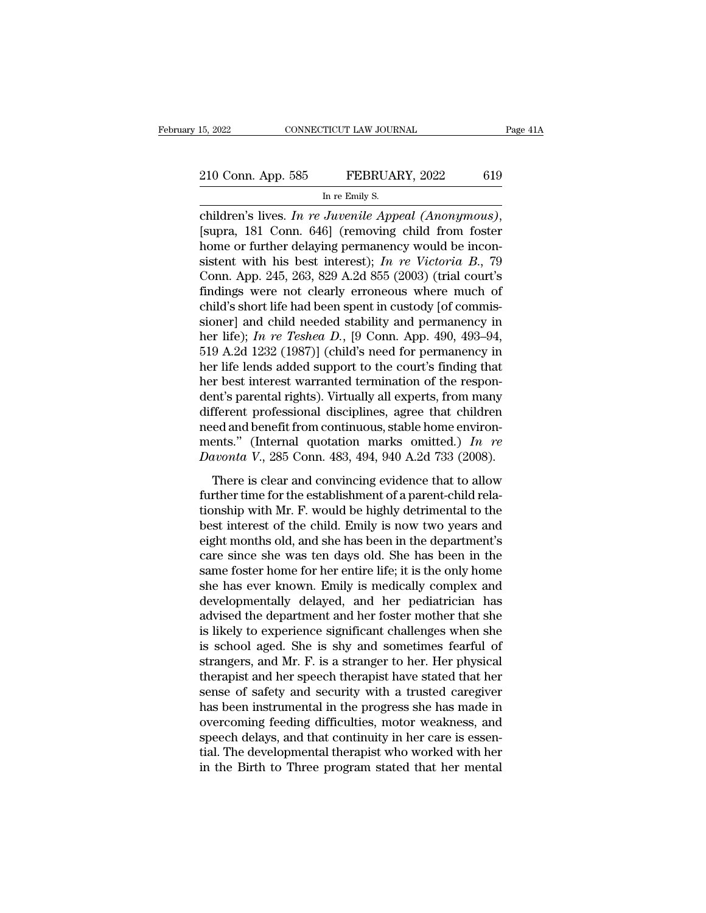connecticut LAW JOURNAL Page 41A<br>
210 Conn. App. 585 **FEBRUARY**, 2022 619<br>
In re Emily S.<br>
children's lives. *In re Juvenile Appeal (Anonymous)*, [supra, 181 Conn. 646] (removing child from foster home or further delaying 210 Conn. App. 585 FEBRUARY, 2022 619<br>
In re Emily S.<br>
children's lives. In re Juvenile Appeal (Anonymous),<br>
[supra, 181 Conn. 646] (removing child from foster<br>
home or further delaying permanency would be incon-<br>
sistent Sistem W. App. 585 FEBRUARY, 2022 619<br>
In re Emily S.<br>
children's lives. *In re Juvenile Appeal (Anonymous)*,<br>
[supra, 181 Conn. 646] (removing child from foster<br>
home or further delaying permanency would be incon-<br>
sisten In re Emily S.<br>
In re Emily S.<br>
Children's lives. *In re Juvenile Appeal (Anonymous)*,<br>
[supra, 181 Conn. 646] (removing child from foster<br>
home or further delaying permanency would be incon-<br>
sistent with his best interes m re Emily S.<br>
children's lives. In re Juvenile Appeal (Anonymous),<br>
[supra, 181 Conn. 646] (removing child from foster<br>
home or further delaying permanency would be incon-<br>
sistent with his best interest); In re Victoria children's lives. In re Juvenile Appeal (Anonymous),<br>[supra, 181 Conn. 646] (removing child from foster<br>home or further delaying permanency would be incon-<br>sistent with his best interest); In re Victoria B., 79<br>Conn. App. [supra, 181 Conn. 646] (removing child from foster<br>home or further delaying permanency would be incon-<br>sistent with his best interest); *In re Victoria B.*, 79<br>Conn. App. 245, 263, 829 A.2d 855 (2003) (trial court's<br>findi home or further delaying permanency would be inconsistent with his best interest); *In re Victoria B.*, 79 Conn. App. 245, 263, 829 A.2d 855 (2003) (trial court's findings were not clearly erroneous where much of child's s sistent with his best interest); *In re Victoria B.*, 79<br>Conn. App. 245, 263, 829 A.2d 855 (2003) (trial court's<br>findings were not clearly erroneous where much of<br>child's short life had been spent in custody [of commis-<br>s Conn. App. 245, 263, 829 A.2d 855 (2003) (trial court's findings were not clearly erroneous where much of child's short life had been spent in custody [of commissioner] and child needed stability and permanency in her lif findings were not clearly erroneous where much of<br>child's short life had been spent in custody [of commis-<br>sioner] and child needed stability and permanency in<br>her life); In re Teshea D., [9 Conn. App. 490, 493–94,<br>519 A. child's short life had been spent in custody [of commissioner] and child needed stability and permanency in<br>her life); *In re Teshea D*., [9 Conn. App. 490, 493–94,<br>519 A.2d 1232 (1987)] (child's need for permanency in<br>her sioner] and child needed stability and permanency in<br>her life); *In re Teshea D*., [9 Conn. App. 490, 493–94,<br>519 A.2d 1232 (1987)] (child's need for permanency in<br>her life lends added support to the court's finding that<br> her life); *In re Teshea D.*, [9 Conn. App. 490, 493–94, 519 A.2d 1232 (1987)] (child's need for permanency in her life lends added support to the court's finding that her best interest warranted termination of the respon 519 A.2d 1232 (1987)] (child's need for permanency in<br>her life lends added support to the court's finding that<br>her best interest warranted termination of the respon-<br>dent's parental rights). Virtually all experts, from ma her life lends added support to the court's finding that<br>her best interest warranted termination of the respon-<br>dent's parental rights). Virtually all experts, from many<br>different professional disciplines, agree that child There is parameters walking and experts, from many<br>fferent professional disciplines, agree that children<br>ed and benefit from continuous, stable home environ-<br>ents." (Internal quotation marks omitted.) In re<br>*uvonta V.*, 2 different professional disciplines, agree that children<br>need and benefit from continuous, stable home environ-<br>ments." (Internal quotation marks omitted.) In re<br>Davonta V., 285 Conn. 483, 494, 940 A.2d 733 (2008).<br>There i

tinction processional disciplines, agree and enhancements." (Internal quotation marks omitted.) In re<br>Davonta V., 285 Conn. 483, 494, 940 A.2d 733 (2008).<br>There is clear and convincing evidence that to allow<br>further time ments." (Internal quotation marks omitted.) In re<br>Davonta V., 285 Conn. 483, 494, 940 A.2d 733 (2008).<br>There is clear and convincing evidence that to allow<br>further time for the establishment of a parent-child rela-<br>tionsh Davonta V., 285 Conn. 483, 494, 940 A.2d 733 (2008).<br>There is clear and convincing evidence that to allow<br>further time for the establishment of a parent-child rela-<br>tionship with Mr. F. would be highly detrimental to the<br> There is clear and convincing evidence that to allow<br>further time for the establishment of a parent-child rela-<br>tionship with Mr. F. would be highly detrimental to the<br>best interest of the child. Emily is now two years an There is clear and convincing evidence that to allow<br>further time for the establishment of a parent-child rela-<br>tionship with Mr. F. would be highly detrimental to the<br>best interest of the child. Emily is now two years and further time for the establishment of a parent-child rela-<br>tionship with Mr. F. would be highly detrimental to the<br>best interest of the child. Emily is now two years and<br>eight months old, and she has been in the department tionship with Mr. F. would be highly detrimental to the<br>best interest of the child. Emily is now two years and<br>eight months old, and she has been in the department's<br>care since she was ten days old. She has been in the<br>sam best interest of the child. Emily is now two years and<br>eight months old, and she has been in the department's<br>care since she was ten days old. She has been in the<br>same foster home for her entire life; it is the only home<br>s eight months old, and she has been in the department's<br>care since she was ten days old. She has been in the<br>same foster home for her entire life; it is the only home<br>she has ever known. Emily is medically complex and<br>devel care since she was ten days old. She has been in the<br>same foster home for her entire life; it is the only home<br>she has ever known. Emily is medically complex and<br>developmentally delayed, and her pediatrician has<br>advised th same foster home for her entire life; it is the only home<br>she has ever known. Emily is medically complex and<br>developmentally delayed, and her pediatrician has<br>advised the department and her foster mother that she<br>is likely she has ever known. Emily is medically complex and<br>developmentally delayed, and her pediatrician has<br>advised the department and her foster mother that she<br>is likely to experience significant challenges when she<br>is school a developmentally delayed, and her pediatrician has<br>advised the department and her foster mother that she<br>is likely to experience significant challenges when she<br>is school aged. She is shy and sometimes fearful of<br>strangers, advised the department and her foster mother that she<br>is likely to experience significant challenges when she<br>is school aged. She is shy and sometimes fearful of<br>strangers, and Mr. F. is a stranger to her. Her physical<br>the is likely to experience significant challenges when she<br>is school aged. She is shy and sometimes fearful of<br>strangers, and Mr. F. is a stranger to her. Her physical<br>therapist and her speech therapist have stated that her<br>s is school aged. She is shy and sometimes fearful of strangers, and Mr. F. is a stranger to her. Her physical therapist and her speech therapist have stated that her sense of safety and security with a trusted caregiver has strangers, and Mr. F. is a stranger to her. Her physical<br>therapist and her speech therapist have stated that her<br>sense of safety and security with a trusted caregiver<br>has been instrumental in the progress she has made in<br>o therapist and her speech therapist have stated that her sense of safety and security with a trusted caregiver has been instrumental in the progress she has made in overcoming feeding difficulties, motor weakness, and speec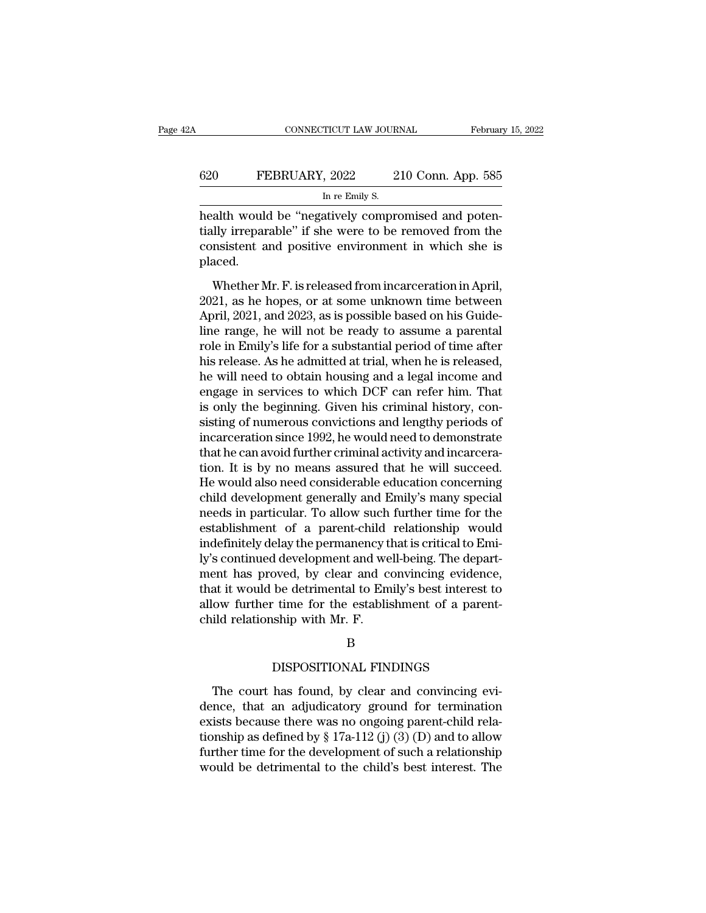### CONNECTICUT LAW JOURNAL February 15, 2022<br>620 FEBRUARY, 2022 210 Conn. App. 585<br>In re Emily S. TICUT LAW JOUR.<br>, 2022 2<br>In re Emily S.<br>atively compre

CONNECTICUT LAW JOURNAL Februar<br>
620 FEBRUARY, 2022 210 Conn. App. 585<br>
In re Emily S.<br>
health would be "negatively compromised and poten-<br>
tially irreparable" if she were to be removed from the FEBRUARY, 2022 210 Conn. App. 585<br>
In re Emily S.<br>
health would be "negatively compromised and potentially irreparable" if she were to be removed from the<br>
consistent and positive environment in which she is<br>
placed 620 FEBRUARY, 2022 210 Conn. App. 585<br>
In re Emily S.<br>
health would be "negatively compromised and potentially irreparable" if she were to be removed from the consistent and positive environment in which she is placed. placed. In re Emily S.<br>
alth would be "negatively compromised and poten-<br>
Illy irreparable" if she were to be removed from the<br>
nsistent and positive environment in which she is<br>
aced.<br>
Whether Mr. F. is released from incarceratio health would be "negatively compromised and potentially irreparable" if she were to be removed from the consistent and positive environment in which she is placed.<br>Whether Mr. F. is released from incarceration in April, 20

Apple in the consistent and positive environment in which she is<br>placed.<br>Whether Mr. F. is released from incarceration in April,<br>2021, as he hopes, or at some unknown time between<br>April, 2021, and 2023, as is possible base range, and positive environment in which she is<br>placed.<br>Whether Mr. F. is released from incarceration in April,<br>2021, as he hopes, or at some unknown time between<br>April, 2021, and 2023, as is possible based on his Guide-<br>l placed.<br>
Whether Mr. F. is released from incarceration in April,<br>
2021, as he hopes, or at some unknown time between<br>
April, 2021, and 2023, as is possible based on his Guide-<br>
line range, he will not be ready to assume a Whether Mr. F. is released from incarceration in April,<br>2021, as he hopes, or at some unknown time between<br>April, 2021, and 2023, as is possible based on his Guide-<br>line range, he will not be ready to assume a parental<br>ro Whether Mr. F. is released from incarceration in April,<br>2021, as he hopes, or at some unknown time between<br>April, 2021, and 2023, as is possible based on his Guide-<br>line range, he will not be ready to assume a parental<br>rol 2021, as he hopes, or at some unknown time between<br>April, 2021, and 2023, as is possible based on his Guide-<br>line range, he will not be ready to assume a parental<br>role in Emily's life for a substantial period of time after April, 2021, and 2023, as is possible based on his Guideline range, he will not be ready to assume a parental<br>role in Emily's life for a substantial period of time after<br>his release. As he admitted at trial, when he is rel line range, he will not be ready to assume a parental<br>role in Emily's life for a substantial period of time after<br>his release. As he admitted at trial, when he is released,<br>he will need to obtain housing and a legal income role in Emily's life for a substantial period of time after<br>his release. As he admitted at trial, when he is released,<br>he will need to obtain housing and a legal income and<br>engage in services to which DCF can refer him. Th his release. As he admitted at trial, when he is released,<br>he will need to obtain housing and a legal income and<br>engage in services to which DCF can refer him. That<br>is only the beginning. Given his criminal history, con-<br>s he will need to obtain housing and a legal income and<br>engage in services to which DCF can refer him. That<br>is only the beginning. Given his criminal history, con-<br>sisting of numerous convictions and lengthy periods of<br>incar engage in services to which DCF can refer him. That<br>is only the beginning. Given his criminal history, con-<br>sisting of numerous convictions and lengthy periods of<br>incarceration since 1992, he would need to demonstrate<br>that is only the beginning. Given his criminal history, consisting of numerous convictions and lengthy periods of incarceration since 1992, he would need to demonstrate that he can avoid further criminal activity and incarcerat sisting of numerous convictions and lengthy periods of<br>incarceration since 1992, he would need to demonstrate<br>that he can avoid further criminal activity and incarcera-<br>tion. It is by no means assured that he will succeed. incarceration since 1992, he would need to demonstrate<br>that he can avoid further criminal activity and incarcera-<br>tion. It is by no means assured that he will succeed.<br>He would also need considerable education concerning<br>c that he can avoid further criminal activity and incarceration. It is by no means assured that he will succeed.<br>He would also need considerable education concerning<br>child development generally and Emily's many special<br>needs tion. It is by no means assured that he will succeed.<br>He would also need considerable education concerning<br>child development generally and Emily's many special<br>needs in particular. To allow such further time for the<br>establ He would also need considerable education concerning<br>child development generally and Emily's many special<br>needs in particular. To allow such further time for the<br>establishment of a parent-child relationship would<br>indefinit child development generally and Emily's many special<br>needs in particular. To allow such further time for the<br>establishment of a parent-child relationship would<br>indefinitely delay the permanency that is critical to Emi-<br>ly' needs in particular. To allow such further time for the establishment of a parent-child relationship would indefinitely delay the permanency that is critical to Emily's continued development and well-being. The department establishment of a parent-child<br>indefinitely delay the permanency tl<br>ly's continued development and we<br>ment has proved, by clear and co<br>that it would be detrimental to Em<br>allow further time for the establis<br>child relations by clear and convincing evidence<br>
be detrimental to Emily's best interest to<br>
time for the establishment of a parent<br>
ship with Mr. F.<br>
B<br>
DISPOSITIONAL FINDINGS<br>
has found, by clear and convincing ev

### B

ow further time for the establishment of a parent-<br>
ild relationship with Mr. F.<br>
B<br>
DISPOSITIONAL FINDINGS<br>
The court has found, by clear and convincing evi-<br>
nce, that an adjudicatory ground for termination<br>
ists because child relationship with Mr. F.<br>
B<br>
DISPOSITIONAL FINDINGS<br>
The court has found, by clear and convincing evi-<br>
dence, that an adjudicatory ground for termination<br>
exists because there was no ongoing parent-child rela-<br>
tio B<br>
B<br>
DISPOSITIONAL FINDINGS<br>
The court has found, by clear and convincing evi-<br>
dence, that an adjudicatory ground for termination<br>
exists because there was no ongoing parent-child rela-<br>
tionship as defined by § 17a-112 B<br>
DISPOSITIONAL FINDINGS<br>
The court has found, by clear and convincing evi-<br>
dence, that an adjudicatory ground for termination<br>
exists because there was no ongoing parent-child rela-<br>
tionship as defined by § 17a-112 (j DISPOSITIONAL FINDINGS<br>The court has found, by clear and convincing evi-<br>dence, that an adjudicatory ground for termination<br>exists because there was no ongoing parent-child rela-<br>tionship as defined by  $\S 17a-112$  (j) (3) The court has found, by clear and convincing evi-<br>dence, that an adjudicatory ground for termination<br>exists because there was no ongoing parent-child rela-<br>tionship as defined by  $\S 17a-112(j)(3)(D)$  and to allow<br>further tim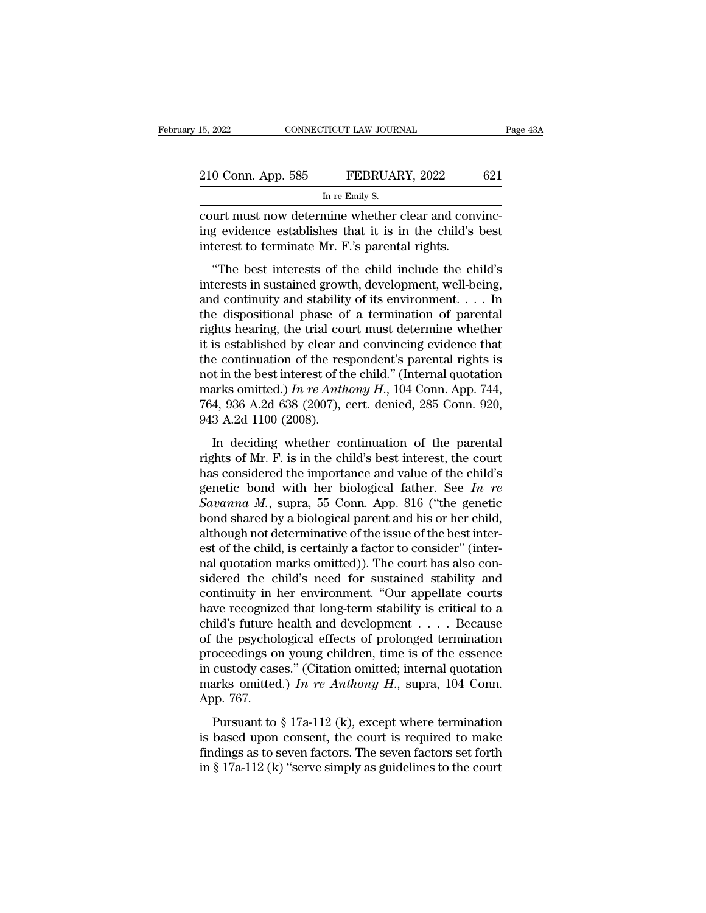| 15, 2022           | CONNECTICUT LAW JOURNAL                             | Page 43A |
|--------------------|-----------------------------------------------------|----------|
| 210 Conn. App. 585 | FEBRUARY, 2022                                      | 621      |
|                    | In re Emily S.                                      |          |
|                    | court must now determine whether clear and convinc- |          |

connectricut LAW JOURNAL<br>
210 Conn. App. 585 FEBRUARY, 2022 621<br>
In re Emily S.<br>
court must now determine whether clear and convinc-<br>
ing evidence establishes that it is in the child's best<br>
interest to terminate Mr. F's p 210 Conn. App. 585 FEBRUARY, 2022 621<br>
In re Emily S.<br>
court must now determine whether clear and convincing evidence establishes that it is in the child's best<br>
interest to terminate Mr. F.'s parental rights. 210 Conn. App. 585 FEBRUARY, 2022<br>
In re Emily S.<br>
court must now determine whether clear and conving evidence establishes that it is in the child's interest to terminate Mr. F.'s parental rights.<br>
"The best interests of t  $\frac{1}{\ln \text{re}\text{ Emily S}}$ <br>
In re Emily S.<br>
The registed the child include the child's best<br>
terest to terminate Mr. F.'s parental rights.<br>
"The best interests of the child include the child's<br>
terests in sustained growth, devel

In re Emily S.<br>
court must now determine whether clear and convincing<br>
evidence establishes that it is in the child's best<br>
interest to terminate Mr. F.'s parental rights.<br>
"The best interests of the child include the chil court must now determine whether clear and convincing<br>ing evidence establishes that it is in the child's best<br>interest to terminate Mr. F.'s parental rights.<br>"The best interests of the child include the child's<br>interests i the disposition of a terminal phase of a termination of parental rights.<br>
"The best interests of the child include the child's<br>
"The best interests of the child include the child's<br>
interests in sustained growth, developm rights that the trial court of the composition of the composition of the continuity and stability of its environment. . . . In the dispositional phase of a termination of parental rights hearing, the trial court must deter "The best interests of the child include the child's<br>interests in sustained growth, development, well-being,<br>and continuity and stability of its environment.... In<br>the dispositional phase of a termination of parental<br>righ "The best interests of the child include the child's<br>interests in sustained growth, development, well-being,<br>and continuity and stability of its environment. . . . In<br>the dispositional phase of a termination of parental<br>r interests in sustained growth, development, well-being,<br>and continuity and stability of its environment. . . . In<br>the dispositional phase of a termination of parental<br>rights hearing, the trial court must determine whether and continuity and stability of its environment. . . . In<br>the dispositional phase of a termination of parental<br>rights hearing, the trial court must determine whether<br>it is established by clear and convincing evidence that the dispositional phase of a termination of parental rights hearing, the trial court must determine whether it is established by clear and convincing evidence that the continuation of the respondent's parental rights is n rights hearing, the trial countil is established by clear and<br>the continuation of the resent in the best interest of the<br>marks omitted.) In re Anther 764, 936 A.2d 638 (2007), 0<br>943 A.2d 1100 (2008).<br>In deciding whether c is established by electrical and convincing evidence and<br>e continuation of the respondent's parental rights is<br>t in the best interest of the child." (Internal quotation<br>arks omitted.) In re Anthony H., 104 Conn. App. 744, are commutation of the responseries parental rights is<br>not in the best interest of the child." (Internal quotation<br>marks omitted.) In re Anthony H., 104 Conn. App. 744,<br>764, 936 A.2d 638 (2007), cert. denied, 285 Conn. 92

marks omitted.) In re Anthony H., 104 Conn. App. 744,<br>764, 936 A.2d 638 (2007), cert. denied, 285 Conn. 920,<br>943 A.2d 1100 (2008).<br>In deciding whether continuation of the parental<br>rights of Mr. F. is in the child's best i Fig. 336 A.2d 638 (2007), cert. denied, 285 Conn. 920, 943 A.2d 1100 (2008).<br>In deciding whether continuation of the parental<br>rights of Mr. F. is in the child's best interest, the court<br>has considered the importance and v 1943 A.2d 1100 (2008).<br> **Savanna M. F.** is in the child's best interest, the court<br>
has considered the importance and value of the child's<br>
genetic bond with her biological father. See *In re*<br> *Savanna M.*, supra, 55 Con In deciding whether continuation of the parental<br>rights of Mr. F. is in the child's best interest, the court<br>has considered the importance and value of the child's<br>genetic bond with her biological father. See In re<br>Savann In deciding whether continuation of the parental<br>rights of Mr. F. is in the child's best interest, the court<br>has considered the importance and value of the child's<br>genetic bond with her biological father. See In re<br>Savann rights of Mr. F. is in the child's best interest, the court<br>has considered the importance and value of the child's<br>genetic bond with her biological father. See In re<br>Savanna M., supra, 55 Conn. App. 816 ("the genetic<br>bond has considered the importance and value of the child's<br>genetic bond with her biological father. See In re<br>Savanna M., supra, 55 Conn. App. 816 ("the genetic<br>bond shared by a biological parent and his or her child,<br>althoug genetic bond with her biological father. See In re<br>
Savanna M., supra, 55 Conn. App. 816 ("the genetic<br>
bond shared by a biological parent and his or her child,<br>
although not determinative of the issue of the best inter-<br> Savanna M., supra, 55 Conn. App. 816 ("the genetic<br>bond shared by a biological parent and his or her child,<br>although not determinative of the issue of the best inter-<br>est of the child, is certainly a factor to consider" ( bond shared by a biological parent and his or her child,<br>although not determinative of the issue of the best inter-<br>est of the child, is certainly a factor to consider" (inter-<br>nal quotation marks omitted)). The court has although not determinative of the issue of the best interest of the child, is certainly a factor to consider" (inter-<br>nal quotation marks omitted)). The court has also considered the child's need for sustained stability an est of the child, is certainly a factor to consider" (inter-<br>nal quotation marks omitted)). The court has also con-<br>sidered the child's need for sustained stability and<br>continuity in her environment. "Our appellate courts<br> nal quotation marks omitted)). The court has also considered the child's need for sustained stability and continuity in her environment. "Our appellate courts have recognized that long-term stability is critical to a chil sidered the child's need for sustained stability and<br>continuity in her environment. "Our appellate courts<br>have recognized that long-term stability is critical to a<br>child's future health and development . . . . Because<br>of continuity in her environment. "Our appellate courts<br>have recognized that long-term stability is critical to a<br>child's future health and development  $\dots$ . Because<br>of the psychological effects of prolonged termination<br>proc have recognize<br>child's future l<br>of the psychol<br>proceedings on<br>in custody case<br>marks omitted<br>App. 767.<br>Pursuant to the psychological effects of prolonged termination<br>oceedings on young children, time is of the essence<br>custody cases." (Citation omitted; internal quotation<br>arks omitted.) In re Anthony H., supra, 104 Conn.<br>pp. 767.<br>Pursu proceedings on young children, time is of the essence<br>in custody cases." (Citation omitted; internal quotation<br>marks omitted.) In re Anthony H., supra, 104 Conn.<br>App. 767.<br>Pursuant to § 17a-112 (k), except where terminati

froecourigs on young emanch, the is of the essence<br>in custody cases." (Citation omitted; internal quotation<br>marks omitted.) In re Anthony H., supra, 104 Conn.<br>App. 767.<br>Pursuant to § 17a-112 (k), except where termination<br> marks omitted.) In re Anthony H., supra, 104 Conn.<br>App. 767.<br>Pursuant to § 17a-112 (k), except where termination<br>is based upon consent, the court is required to make<br>findings as to seven factors. The seven factors set for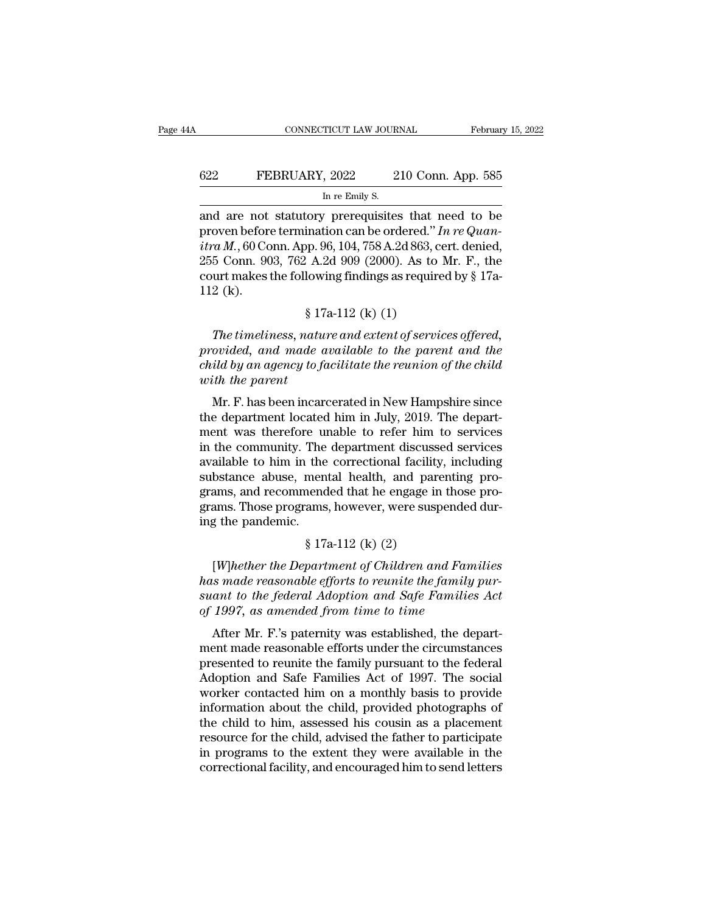### EXECUTE CONNECTICUT LAW JOURNAL February 15, 2022<br>622 FEBRUARY, 2022 210 Conn. App. 585<br>In re Emily S. TICUT LAW JOUR.<br>, 2022 2<br>In re Emily S.<br>, prerequisites

cONNECTICUT LAW JOURNAL February 15, 2022<br> **622** FEBRUARY, 2022 210 Conn. App. 585<br>
In re Emily S.<br>
and are not statutory prerequisites that need to be<br>
proven before termination can be ordered." In re Quan-<br>
stra M 60 Con FEBRUARY, 2022 210 Conn. App. 585<br>
In re Emily S.<br>
and are not statutory prerequisites that need to be<br>
proven before termination can be ordered.'' *In re Quan-*<br> *itra M.*, 60 Conn. App. 96, 104, 758 A.2d 863, cert. denie *in re Emily S.*<br> *in re Emily S.*<br> *in re Emily S.*<br> **in re Emily S.**<br> **in re Emily S.**<br> **in re Connection Can be ordered.**<br> *itra M.*, 60 Conn. App. 96, 104, 758 A.2d 863, cert. denied,<br>
255 Conn. 903, 762 A.2d 909 (20 EBRUARY, 2022 210 Conn. App. 585<br>
In re Emily S.<br>
and are not statutory prerequisites that need to be<br>
proven before termination can be ordered." In re Quan-<br>
itra M., 60 Conn. App. 96, 104, 758 A.2d 863, cert. denied,<br>
2 In re Emily S.<br>
In re Emily S.<br>
and are not statutory prerequisites that need to be<br>
proven before termination can be ordered." In re Quan-<br>
itra M., 60 Conn. App. 96, 104, 758 A.2d 863, cert. denied,<br>
255 Conn. 903, 762 and are not<br>proven before<br>*itra M*., 60 Cc<br>255 Conn. 90<br>court makes<br>112 (k). for prefequisities that if<br>ination can be ordered."  $l$ <br>pp. 96, 104, 758 A.2d 863, c<br> $l$  A.2d 909 (2000). As to<br>lowing findings as require<br> $\$  17a-112 (k) (1)<br>aature and extent of servi *The time 10 Conn. App.* 96, 104, 758 A.2d 863, cert. denied,<br>
5 Conn. 903, 762 A.2d 909 (2000). As to Mr. F., the<br>
urt makes the following findings as required by § 17a-<br>
2 (k).<br>
§ 17a-112 (k) (1)<br> *The timeliness, nature* 

255 Conn. 903, 762 A.2d 909 (2000). As to Mr. F., the<br>court makes the following findings as required by § 17a-<br>112 (k).<br>§ 17a-112 (k) (1)<br>*The timeliness, nature and extent of services offered,*<br>provided, and made availabl required by § 17a-112 (k).<br>
<sup>§</sup> 17a-112 (k) (1)<br> *Fhe timeliness, nature and extent of services offered,*<br> *provided, and made available to the parent and the*<br> *child by an agency to facilitate the reunion of the child*<br> <sup>§</sup> 17<br>*The timeliness, natu*<br>*provided, and made c<br>child by an agency to fo<br>with the parent*<br>Mr. F. has been incar  $$ 17a-112 (k) (1)$ <br>The timeliness, nature and extent of services offered,<br>ovided, and made available to the parent and the<br>id by an agency to facilitate the reunion of the child<br>th the parent<br>Mr. F. has been incarcerated i The timeliness, nature and extent of services offered,<br>provided, and made available to the parent and the<br>child by an agency to facilitate the reunion of the child<br>with the parent<br>Mr. F. has been incarcerated in New Hampsh

The timetiness, nature and extent of services offered,<br>provided, and made available to the parent and the<br>child by an agency to facilitate the reunion of the child<br>with the parent<br>Mr. F. has been incarcerated in New Hampsh provided, and made available to the parent and the<br>child by an agency to facilitate the reunion of the child<br>with the parent<br>Mr. F. has been incarcerated in New Hampshire since<br>the department located him in July, 2019. The and the parameteristic the relation of the child<br>with the parent<br>Mr. F. has been incarcerated in New Hampshire since<br>the department located him in July, 2019. The depart-<br>ment was therefore unable to refer him to services Mr. F. has been incarcerated in New Hampshire since<br>the department located him in July, 2019. The depart-<br>ment was therefore unable to refer him to services<br>in the community. The department discussed services<br>available to Mr. F. has been incarcerated in New Hampshire since<br>the department located him in July, 2019. The depart-<br>ment was therefore unable to refer him to services<br>in the community. The department discussed services<br>available to the department located him in July, 2019. The department was therefore unable to refer him to services<br>in the community. The department discussed services<br>available to him in the correctional facility, including<br>substance ment was therefore unit the community. The available to him in the substance abuse, men grams, and recommend grams. Those programs ing the pandemic.  $\frac{1}{3}$  17. The department discussed<br>the correctional facility<br>mental health, and pare<br>nended that he engage in<br>ams, however, were susp<br>\$ 17a-112 (k) (2)<br>partment of Children an bstance abuse, mental health, and parenting pro-<br>ams, and recommended that he engage in those pro-<br>ams. Those programs, however, were suspended dur-<br>g the pandemic.<br> $$ 17a-112 (k) (2)$ <br>[*W*]hether the Department of Children

grams, and recommended that he engage in those programs. Those programs, however, were suspended during the pandemic.<br>
§ 17a-112 (k) (2)<br>
[W]hether the Department of Children and Families<br>
has made reasonable efforts to re grams. Those programs, however, were suspended during the pandemic.<br>  $\frac{8}{17a-112}$  (k) (2)<br>
[W]hether the Department of Children and Families<br>
has made reasonable efforts to reunite the family pur-<br>
suant to the federal ing the pandemic.<br>
§ 17a-112 (k) (2)<br> *[W]hether the Department of Children and Fam*<br>
has made reasonable efforts to reunite the family<br>
suant to the federal Adoption and Safe Familie.<br>
of 1997, as amended from time to tim  $\S$  17a-112 (k) (2)<br>[W]hether the Department of Children and Families<br>is made reasonable efforts to reunite the family pur-<br>ant to the federal Adoption and Safe Families Act<br>1997, as amended from time to time<br>After Mr. F. [W]hether the Department of Children and Families<br>has made reasonable efforts to reunite the family pur-<br>suant to the federal Adoption and Safe Families Act<br>of 1997, as amended from time to time<br>After Mr. F.'s paternity w

presented to reunite the family pursuant to the federal Adoption and Safe Families Act of 1997, as amended from time to time<br>After Mr. F.'s paternity was established, the department made reasonable efforts under the circu mas made reasonable efforts to retaille the families Act<br>of 1997, as amended from time to time<br>After Mr. F.'s paternity was established, the depart-<br>ment made reasonable efforts under the circumstances<br>presented to reunite siant to the jetteral Adoption and Suje Families Act<br>of 1997, as amended from time to time<br>After Mr. F.'s paternity was established, the depart-<br>ment made reasonable efforts under the circumstances<br>presented to reunite th information about the child advised the father to participate<br>
above the child advised to remit and Safe Families Act of 1997. The social<br>
Adoption and Safe Families Act of 1997. The social<br>
worker contacted him on a month After Mr. F.'s paternity was established, the department made reasonable efforts under the circumstances presented to reunite the family pursuant to the federal Adoption and Safe Families Act of 1997. The social worker con ment made reasonable efforts under the circumstances<br>presented to reunite the family pursuant to the federal<br>Adoption and Safe Families Act of 1997. The social<br>worker contacted him on a monthly basis to provide<br>information presented to reunite the family pursuant to the federal<br>Adoption and Safe Families Act of 1997. The social<br>worker contacted him on a monthly basis to provide<br>information about the child, provided photographs of<br>the child t Adoption and Safe Families Act of 1997. The social worker contacted him on a monthly basis to provide information about the child, provided photographs of the child to him, assessed his cousin as a placement resource for t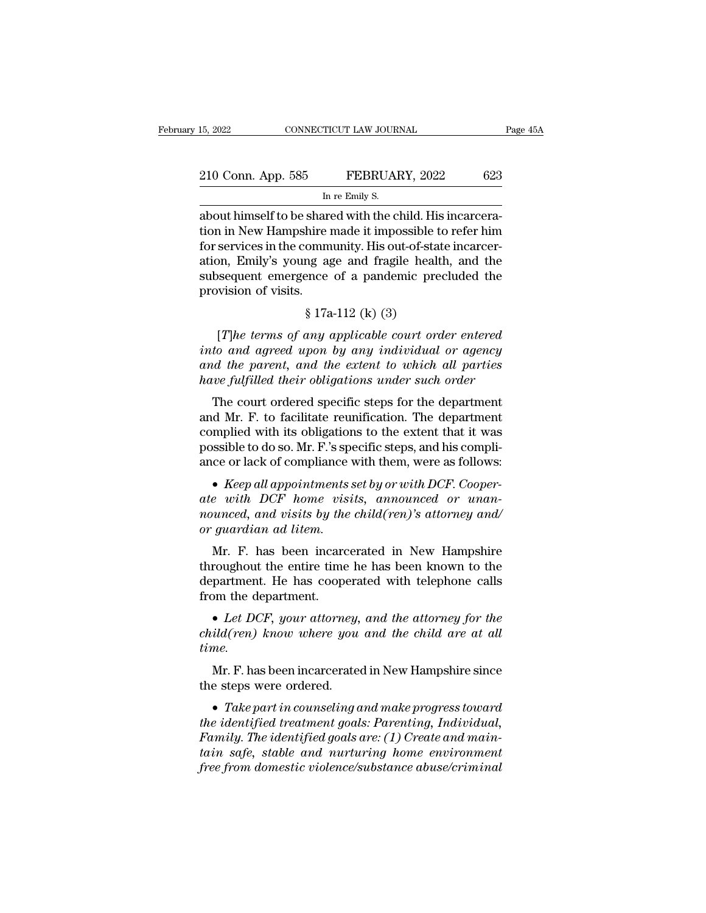| 15, 2022           | CONNECTICUT LAW JOURNAL                                   | Page 45A |
|--------------------|-----------------------------------------------------------|----------|
| 210 Conn. App. 585 | FEBRUARY, 2022                                            | 623      |
|                    | In re Emily S.                                            |          |
|                    | about himself to be shared with the child. His incarcera- |          |

15, 2022 CONNECTICUT LAW JOURNAL<br>
210 Conn. App. 585 FEBRUARY, 2022 623<br>
In re Emily S.<br>
about himself to be shared with the child. His incarcera-<br>
tion in New Hampshire made it impossible to refer him 210 Conn. App. 585 FEBRUARY, 2022 623<br>
In re Emily S.<br>
about himself to be shared with the child. His incarcera-<br>
tion in New Hampshire made it impossible to refer him<br>
for services in the community. His out-of-state incar 210 Conn. App. 585 FEBRUARY, 2022 623<br>
In re Emily S.<br>
about himself to be shared with the child. His incarcera-<br>
tion in New Hampshire made it impossible to refer him<br>
for services in the community. His out-of-state incar 210 Conn. App. 585 FEBRUARY, 2022 623<br>
In re Emily S.<br>
about himself to be shared with the child. His incarcera-<br>
tion in New Hampshire made it impossible to refer him<br>
for services in the community. His out-of-state incar In re Emily S.<br>
In re Emily S.<br>
about himself to be shared with the child. His incarcera-<br>
tion in New Hampshire made it impossible to refer him<br>
for services in the community. His out-of-state incarcer-<br>
ation, Emily's yo m<br>about himself to be shartion in New Hampshire<br>for services in the comm<br>ation, Emily's young as<br>subsequent emergence<br>provision of visits.<br>§ 17a shared with the child. This<br>hire made it impossible t<br>ommunity. His out-of-stang<br>age and fragile healt<br>ence of a pandemic pre<br>\$ 17a-112 (k) (3)<br>any applicable court ord services in the community. His out-of-state incarcer-<br> *T*), Emily's young age and fragile health, and the<br>
sequent emergence of a pandemic precluded the<br>
wision of visits.<br>
§ 17a-112 (k) (3)<br>
[*T*]*he terms of any applica* 

ation, Emily's young age and fragile health, and the<br>subsequent emergence of a pandemic precluded the<br>provision of visits.<br> $\S 17a-112$  (k) (3)<br>[*T*]he terms of any applicable court order entered<br>into and agreed upon by any *and the provision of visits.*<br>  $\S 17a-112 (k) (3)$ <br>
[The terms of any applicable court order entered<br>
into and agreed upon by any individual or agency<br>
and the parent, and the extent to which all parties<br>
have fulfilled th *have fulfilled their sits.*<br> *have fulfilled their optay applicable court order entered*<br> *into and agreed upon by any individual or agency*<br> *and the parent, and the extent to which all parties*<br> *have fulfilled their ob*  $$17a-112$  (k) (3)<br>[T]he terms of any applicable court order entered<br>to and agreed upon by any individual or agency<br>at the parent, and the extent to which all parties<br>we fulfilled their obligations under such order<br>The co [*T*]he terms of any applicable court order entered<br>into and agreed upon by any individual or agency<br>and the parent, and the extent to which all parties<br>have fulfilled their obligations under such order<br>The court ordered

The terms of any application coard order entered<br>into and agreed upon by any individual or agency<br>and the parent, and the extent to which all parties<br>have fulfilled their obligations under such order<br>The court ordered spe into and agreed upon by any individual or agency<br>and the parent, and the extent to which all parties<br>have fulfilled their obligations under such order<br>The court ordered specific steps for the department<br>and Mr. F. to faci and the parent, and the extent to antich all parties<br>have fulfilled their obligations under such order<br>The court ordered specific steps for the department<br>and Mr. F. to facilitate reunification. The department<br>complied wit Ine court ordered specific steps for the department<br>and Mr. F. to facilitate reunification. The department<br>complied with its obligations to the extent that it was<br>possible to do so. Mr. F.'s specific steps, and his compli-

and Mr. F. to factuate retunitation. The department complied with its obligations to the extent that it was possible to do so. Mr. F.'s specific steps, and his compliance or lack of compliance with them, were as follows:<br> *complied with its obligation*<br>possible to do so. Mr. F.'s spe<br>ance or lack of compliance v<br>• Keep all appointments s<br>ate with DCF home visit<br>nounced, and visits by the or guardian ad litem.<br>Mr. F. has been incarce ce or lack of compliance with them, were as follows:<br>
• Keep all appointments set by or with DCF. Cooper-<br>  $e$  with DCF home visits, announced or unan-<br>
unced, and visits by the child(ren)'s attorney and/<br>
guardian ad lit • Keep all appointments set by or with DCF. Cooper-<br>ate with DCF home visits, announced or unan-<br>nounced, and visits by the child(ren)'s attorney and/<br>or guardian ad litem.<br>Mr. F. has been incarcerated in New Hampshire<br>th

The parameters set by or with DCF. Cooperate with DCF home visits, announced or unan-<br>nounced, and visits by the child (ren)'s attorney and/<br>or guardian ad litem.<br>Mr. F. has been incarcerated in New Hampshire<br>throughout t from the department.<br> *Let with DCF home visits, annoanced or anan-*<br> *nounced, and visits by the child(ren)'s attorney and/*<br> *or guardian ad litem.*<br> **Mr.** F. has been incarcerated in New Hampshire<br>
throughout the entire Mr. F. has been incarcerated in New Hampshire<br>throughout the entire time he has been known to the<br>department. He has cooperated with telephone calls<br>from the department.<br>• Let DCF, your attorney, and the attorney for the<br>c

*time.* partment. He has cooperated with telephone calls<br>
im the department.<br>
• Let DCF, your attorney, and the attorney for the<br>
ild(ren) know where you and the child are at all<br>
me.<br>
Mr. F. has been incarcerated in New Hampshire **•** *Let DCF, your attorney, and the attorney for the child(ren) know where you and the child are at all time.*<br>Mr. F. has been incarcerated in New Hampshire since the steps were ordered.<br>• *Take part in counseling and ma* 

*child(ren) know where you and the child are at all<br>time.*<br>Mr. F. has been incarcerated in New Hampshire since<br>the steps were ordered.<br>• Take part in counseling and make progress toward<br>the identified treatment goals: Pare *Family. F.* has been incarcerated in New Hampshire since<br>
the steps were ordered.<br>
• *Take part in counseling and make progress toward<br>
the identified treatment goals: Parenting, Individual,<br>
Family. The identified goals Mr. F. has been incarcerated in New Hampshire since*<br>the steps were ordered.<br>• *Take part in counseling and make progress toward*<br>*the identified treatment goals: Parenting, Individual,<br>Family. The identified goals are: ( free from domestic violence/substance abuse/criminal*<br>*free from domesting and make progress toward*<br>*free identified treatment goals: Parenting, Individual,*<br>*Family. The identified goals are: (1) Create and maintain saf*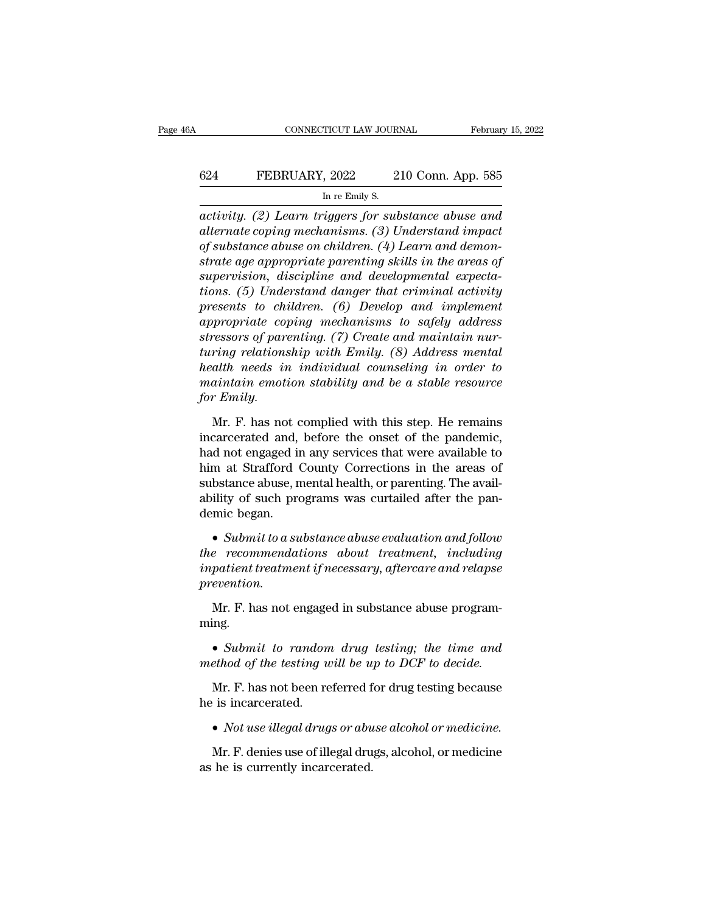### CONNECTICUT LAW JOURNAL February 15, 2022<br>624 FEBRUARY, 2022 210 Conn. App. 585<br>In re Emily S. TICUT LAW JOUR.<br>, 2022 2<br>In re Emily S.<br>*Angers for sub*

*CONNECTICUT LAW JOURNAL* February 15, 2022<br> **activity.** (2) Learn triggers for substance abuse and<br> *activity.* (2) Learn triggers for substance abuse and<br> *atternate coping mechanisms.* (3) Understand impact<br>
of substanc *alternate coping mechanisms. (3) Understand impactivity. (2) Learn triggers for substance abuse and alternate coping mechanisms. (3) Understand impact of substance abuse on children. (4) Learn and demonstrate are ammunita of the FEBRUARY, 2022 of substance abuse on children. (4) Learn triggers for substance abuse and alternate coping mechanisms. (3) Understand impact of substance abuse on children. (4) Learn and demonstrate age appropria strate age appropriate and developmental expectations* (5) *Learn triggers for substance abuse and*<br>alternate coping mechanisms. (3) *Understand impact*<br>of substance abuse on children. (4) *Learn and demonstrate age appro* In re Emily S.<br> **Supervision, 2018** and the remains and the remains and the remains and the remains and the reduced of substance abuse on children. (4) Learn and demonstrate age appropriate parenting skills in the areas of In re Emily S.<br>
activity. (2) Learn triggers for substance abuse and<br>
alternate coping mechanisms. (3) Understand impact<br>
of substance abuse on children. (4) Learn and demon-<br>
strate age appropriate parenting skills in the *activity.* (2) Learn triggers for substance abuse and<br>alternate coping mechanisms. (3) Understand impact<br>of substance abuse on children. (4) Learn and demon-<br>strate age appropriate parenting skills in the areas of<br>supervi *alternate coping mechanisms.* (3) Understand impact<br>of substance abuse on children. (4) Learn and demon-<br>strate age appropriate parenting skills in the areas of<br>supervision, discipline and developmental expecta-<br>tions. (5 *strate age appropriate parenting skills in the areas of* supervision, discipline and developmental expectations. (5) Understand danger that criminal activity presents to children. (6) Develop and implement appropriate cop *terations, discipline parenting skills in the areas of*<br>*tupervision, discipline and developmental expecta-<br>tions.* (5) Understand danger that criminal activity<br>presents to children. (6) Develop and implement<br>appropriate *supervision, discipline and developmental expectations.* (5) Understand danger that criminal activity<br>presents to children. (6) Develop and implement<br>appropriate coping mechanisms to safely address<br>stressors of parenting. *tions.* (5) Understand danger that criminal activity<br>presents to children. (6) Develop and implement<br>appropriate coping mechanisms to safely address<br>stressors of parenting. (7) Create and maintain nur-<br>turing relationship *for presents to chi*<br>*dappropriate constressors of pare<br><i>turing relations*<br>*health needs im<br>maintain emoti*<br>*for Emily.*<br>Mr. F. has not ressors of parenting. (7) Create and maintain nur-<br>ring relationship with Emily. (8) Address mental<br>alth needs in individual counseling in order to<br>aintain emotion stability and be a stable resource<br>r Emily.<br>Mr. F. has not turing relationship with Emily. (8) Address mental<br>health needs in individual counseling in order to<br>maintain emotion stability and be a stable resource<br>for Emily.<br>Mr. F. has not complied with this step. He remains<br>incarce

health needs in individual counseling in order to<br>maintain emotion stability and be a stable resource<br>for Emily.<br>Mr. F. has not complied with this step. He remains<br>incarcerated and, before the onset of the pandemic,<br>had no maintain emotion stability and be a stable resource<br>for Emily.<br>Mr. F. has not complied with this step. He remains<br>incarcerated and, before the onset of the pandemic,<br>had not engaged in any services that were available to<br>h for Emily.<br>Mr. F. has not complied with this step. He remains<br>incarcerated and, before the onset of the pandemic,<br>had not engaged in any services that were available to<br>him at Strafford County Corrections in the areas of<br>s Mr. F. has not complied with this step. He remains<br>incarcerated and, before the onset of the pandemic,<br>had not engaged in any services that were available to<br>him at Strafford County Corrections in the areas of<br>substance ab Mr. F. has not complied with this step. He remains<br>incarcerated and, before the onset of the pandemic,<br>had not engaged in any services that were available to<br>him at Strafford County Corrections in the areas of<br>substance ab **the recommendations about the recommendations**<br>**the recommendations in the areas of**<br>substance abuse, mental health, or parenting. The availability of such programs was curtailed after the pan-<br>demic began.<br>• *Submit to a* 

**Example 18 and 2011** and health, or parenting. The availability of such programs was curtailed after the pandemic began.<br>
• *Submit to a substance abuse evaluation and follow*<br> *the recommendations about treatment, includ prevention.* mic began.<br>• Submit to a substance abuse evaluation and follow<br>e recommendations about treatment, including<br>patient treatment if necessary, aftercare and relapse<br>evention.<br>Mr. F. has not engaged in substance abuse programrecommenaations about treatment, incluaing<br>patient treatment if necessary, aftercare and relapse<br>evention.<br>Mr. F. has not engaged in substance abuse program-<br>ing.<br>• *Submit to random drug testing; the time and*<br>ethod of th

ming.

*mpatient treatment if necessary, aftercare and relapse*<br>*prevention.*<br>Mr. F. has not engaged in substance abuse program-<br>ming.<br>• Submit to random drug testing; the time and<br>*method of the testing will be up to DCF to deci* Mr. F. has not engaged in substance abuse programing.<br>
• Submit to random drug testing; the time and ethod of the testing will be up to DCF to decide.<br>
Mr. F. has not been referred for drug testing because is incarcerated. Mr. F. has not engaged in substance abuse programming.<br>
• *Submit to random drug testing; the time and* method of the testing will be up to DCF to decide.<br>
Mr. F. has not been referred for drug testing because<br>
he is incar

ethod of the testing will be up to DCF to decide.<br>Mr. F. has not been referred for drug testing because<br>is incarcerated.<br>• Not use illegal drugs or abuse alcohol or medicine.<br>Mr. F. denies use of illegal drugs, alcohol, or Mr. F. has not been referred f<br>he is incarcerated.<br>• *Not use illegal drugs or abu*<br>Mr. F. denies use of illegal dru<br>as he is currently incarcerated.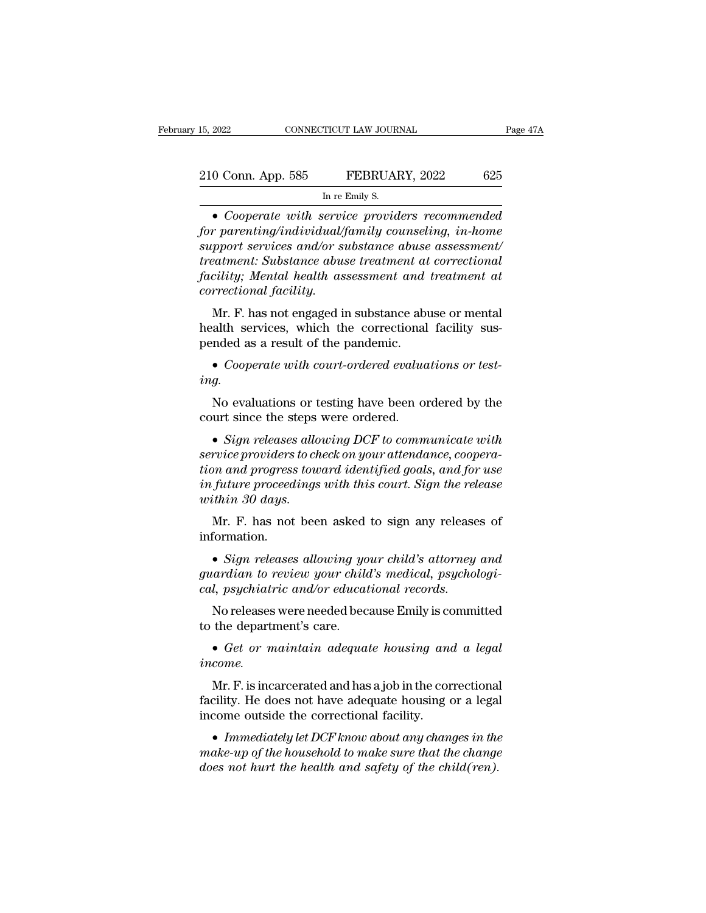| 15, 2022           | CONNECTICUT LAW JOURNAL | Page 47A |
|--------------------|-------------------------|----------|
|                    |                         |          |
|                    |                         |          |
| 210 Conn. App. 585 | FEBRUARY, 2022          | 625      |
|                    | In re Emily S.          |          |

In re Emily S.<br> **Cooperate with service providers recommended**<br> **Cooperate with service providers recommended**<br> **PACE 10 Cooperate with service providers recommended**<br> **PACE 10 Cooperate with service providers recommen** *for parenting/individual/family counseling, in-home*<br>*for parenting/individual/family counseling, in-home*<br>*support services and/or substance abuse assessment/*<br>*treatment: Substance abuse treatment at correctional support serial isomate in the Emily S.*<br> **b** *service providers recommended*<br> **o** *Cooperate with service providers recommended*<br> *support services and/or substance abuse assessment/*<br> *treatment: Substance abuse treatmen treatment: Substance abuse treatment: Substance abuse treatment: Substance abuse treatment: Substance abuse treatment facility; Mental health assessment and treatment at correctional facility; Mental health assessment and Factor Collar Hyp. 303*<br> *Factor LEDECTRY, 2022*<br> *Face Emily S.*<br> **Facility:** Cooperate with service providers recommended<br>
for parenting/individual/family counseling, in-home<br>
support services and/or substance abuse ass Im re H<br>
• Cooperate with service of the service of the services and/or support services and/or support services and/or support<br>
facility; Mental health ass<br>
correctional facility.<br>
Mr. F. has not engaged in • Cooperate with service providers recommended<br>r parenting/individual/family counseling, in-home<br>pport services and/or substance abuse assessment/<br>eatment: Substance abuse treatment at correctional<br>cility; Mental health as For parenting intertatally conserving, in-nome<br>support services and/or substance abuse assessment/<br>treatment: Substance abuse treatment at correctional<br>facility; Mental health assessment and treatment at<br>correctional facil pended as a result of the pandemic.<br> **Example 2018** assessment and treatment at correctional facility.<br>
Mr. F. has not engaged in substance abuse or mental<br>
health services, which the correctional facility sus-<br>
pended as

Mr. F. has not engaged in substance abuse or mental<br>alth services, which the correctional facility sus-<br>nded as a result of the pandemic.<br>• Cooperate with court-ordered evaluations or test-<br>g.<br>No evaluations or testing hav

*ing.*

dealth services, which the correctional facility sus-<br>
pended as a result of the pandemic.<br>
• *Cooperate with court-ordered evaluations or test-*<br> *ing.*<br>
No evaluations or testing have been ordered by the<br>
court since the • *Cooperate with court-ordered evaluations or test-*<br> *service providers or testing have been ordered by the*<br>
court since the steps were ordered.<br>
• *Sign releases allowing DCF to communicate with*<br> *service providers to the*<br> **the court since the steps were ordered.**<br>
• *Sign releases allowing DCF to communicate with*<br> *service providers to check on your attendance, cooperation and progress toward identified goals, and for use*<br> *in futu* No evaluations or testing have been ordered by the<br>court since the steps were ordered.<br>• *Sign releases allowing DCF to communicate with*<br>*service providers to check on your attendance, coopera-*<br>*tion and progress toward we examine the steps*<br> **with 30 days.**<br> **within 30 days.**<br>
Mr. F. has not been • Sign releases allowing DCF to communicate with<br>rvice providers to check on your attendance, coopera-<br>on and progress toward identified goals, and for use<br>future proceedings with this court. Sign the release<br>thin 30 days % and progress toward identified goals, and for use<br>future proceedings with this court. Sign the release<br>thin 30 days.<br>Mr. F. has not been asked to sign any releases of<br>formation.<br>• *Sign releases allowing your child's att* 

information.

*in future proceedings with this court. Sign the release*<br>*within 30 days.*<br>Mr. F. has not been asked to sign any releases of<br>information.<br>• *Sign releases allowing your child's attorney and*<br>*guardian to review your chil caling 30 days.*<br> *calyon Mr. F. has not been asked to sign any release:*<br> *cal, psychiatric and/or educational records.*<br> **cal, psychiatric and/or educational records.**<br>
No releases were needed because Emily is committin Mr. F. has not been asked to sign any releases of<br>formation.<br>• *Sign releases allowing your child's attorney and*<br>ardian to review your child's medical, psychologi-<br>l, psychiatric and/or educational records.<br>No releases we the department of the department of the department of the department's care.<br>
• *Get or maintain adequate housing and a legal*<br>
• *Get or maintain adequate housing and a legal*<br> *income.* 

*income.*

*d*, *psychiatric and/or* educational records.<br>
No releases were needed because Emily is committed<br>
the department's care.<br>
• Get or maintain adequate housing and a legal<br>
come.<br>
Mr. F. is incarcerated and has a job in the No releases were needed because Emily is committed<br>to the department's care.<br> $\bullet$  *Get or maintain adequate housing and a legal<br>income.*<br>Mr. F. is incarcerated and has a job in the correctional<br>facility. He does not have **↓ 6** to the department's care.<br>
● *Get or maintain adequate housing and a legal*<br>
income.<br>
Mr. F. is incarcerated and has a job in the correctional<br>
facility. He does not have adequate housing or a legal<br>
income outside

*income.*<br> *Mr. F.* is incarcerated and has a job in the correctional facility. He does not have adequate housing or a legal<br>
income outside the correctional facility.<br>
• *Immediately let DCF know about any changes in the Mr. F.* is incarcerated and has a job in the correctional facility. He does not have adequate housing or a legal income outside the correctional facility.<br>• *Immediately let DCF know about any changes in the make-up of th*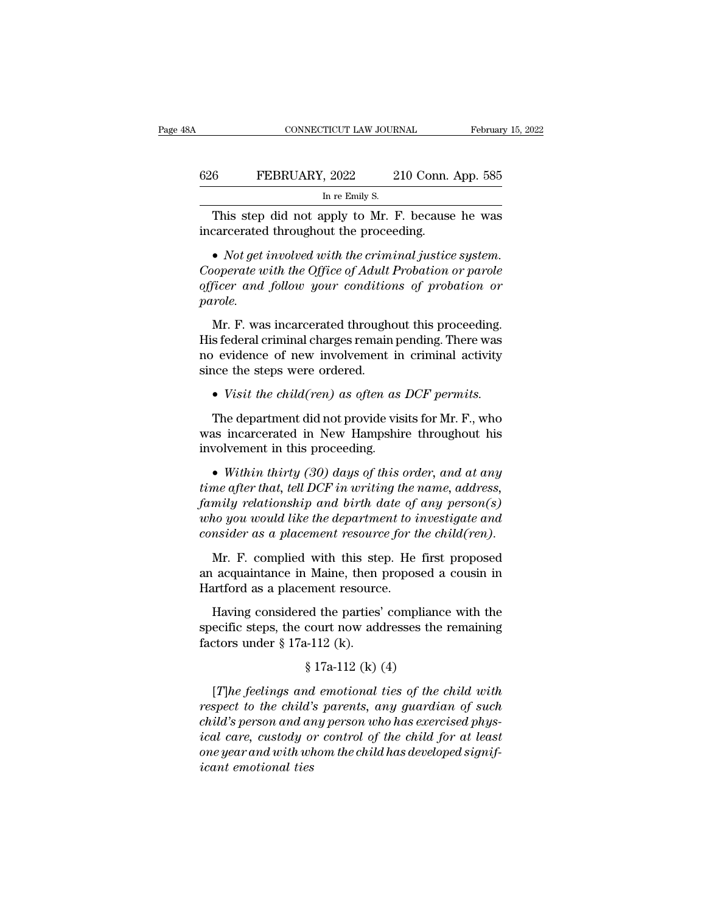|     | CONNECTICUT LAW JOURNAL                                                                     |                    | February 15, 2022 |
|-----|---------------------------------------------------------------------------------------------|--------------------|-------------------|
|     |                                                                                             |                    |                   |
| 626 | FEBRUARY, 2022                                                                              | 210 Conn. App. 585 |                   |
|     | In re Emily S.                                                                              |                    |                   |
|     | This step did not apply to Mr. F. because he was<br>incarcerated throughout the proceeding. |                    |                   |

FEBRUARY, 2022 210 Conn. App. 585<br>
In re Emily S.<br>
This step did not apply to Mr. F. because he was<br>
incarcerated throughout the proceeding.<br>
• *Not get involved with the criminal justice system.*<br>
Cooperate with the Offic <sup>Co</sup> FEBRUARY, 2022 210 Conn. App. 585<br>
In re Emily S.<br> **Cooperated throughout the proceeding.**<br>
• Not get involved with the criminal justice system.<br>
Cooperate with the Office of Adult Probation or parole<br>
officer and fol In re Emily S.<br> **officer and follow in the conditional follow your conditions of probation or parole.**<br> **officer and follow your conditions of probation or parole.**<br> **cooperate with the Office of Adult Probation or parole** *parole.* • *Not get involved with the criminal justice system.*<br>• *Not get involved with the criminal justice system.*<br>poperate with the Office of Adult Probation or parole<br>ficer and follow your conditions of probation or<br>role.<br>Mr. • Not get involved with the criminal justice system.<br>Cooperate with the Office of Adult Probation or parole<br>officer and follow your conditions of probation or<br>parole.<br>Mr. F. was incarcerated throughout this proceeding.<br>Hi

Cooperate with the Office of Adult Probation or parole officer and follow your conditions of probation or parole.<br>
Mr. F. was incarcerated throughout this proceeding.<br>
His federal criminal charges remain pending. There wa since the steps were ordered.<br>Suppose the steps of probation or<br>parole.<br>Mr. F. was incarcerated throughout this proceeding.<br>His federal criminal charges remain pending. There was<br>no evidence of new involvement in criminal Mr. F. was incarcerated throughout this proceeding.<br>
s federal criminal charges remain pending. There was<br>
evidence of new involvement in criminal activity<br>
ice the steps were ordered.<br>
• *Visit the child(ren) as often as* 

His federal criminal charges remain pending. There was<br>no evidence of new involvement in criminal activity<br>since the steps were ordered.<br>• *Visit the child(ren)* as often as DCF permits.<br>The department did not provide visi ince the steps were ordered.<br>
• *Visit the child(ren) as often as DCF permits.*<br>
The department did not provide visits for Mr. F., who<br>
was incarcerated in New Hampshire throughout his<br>
involvement in this proceeding.<br>
•

• *Visit the child(ren) as often as DCF permits.*<br>The department did not provide visits for Mr. F., who<br>was incarcerated in New Hampshire throughout his<br>involvement in this proceeding.<br>• Within thirty (30) days of this ord The department did not provide visits for Mr. F., who<br>was incarcerated in New Hampshire throughout his<br>involvement in this proceeding.<br>• Within thirty (30) days of this order, and at any<br>time after that, tell DCF in writin *was incarcerated in New Hampshire throughout his*<br>involvement in this proceeding.<br>• Within thirty (30) days of this order, and at any<br>time after that, tell DCF in writing the name, address,<br>family relationship and birth d *consideration in the child-pairs an englemental*<br> **consider as Within thirty** (30) days of this order, and at any<br> *consider that, tell DCF in writing the name, address,*<br> *family relationship and birth date of any person* • Within thirty (30) days of this order, and at any<br>me after that, tell DCF in writing the name, address,<br>mily relationship and birth date of any person(s)<br>ho you would like the department to investigate and<br>msider as a p time after that, tell DCF in writing the name, address,<br>family relationship and birth date of any person(s)<br>who you would like the department to investigate and<br>consider as a placement resource for the child(ren).<br>Mr. F. family relationship and birth date of<br>who you would like the department to i<br>consider as a placement resource for ti<br>Mr. F. complied with this step. He<br>an acquaintance in Maine, then propos<br>Hartford as a placement resource

*no you would like the department to investigate and*<br>msider as a placement resource for the child(ren).<br>Mr. F. complied with this step. He first proposed<br>acquaintance in Maine, then proposed a cousin in<br>artford as a plac consider as a placement resource for the child (ren).<br>
Mr. F. complied with this step. He first proposed<br>
an acquaintance in Maine, then proposed a cousin in<br>
Hartford as a placement resource.<br>
Having considered the parti Mr. F. complied with this ste<br>an acquaintance in Maine, then<br>Hartford as a placement resourc<br>Having considered the parties'<br>specific steps, the court now add<br>factors under  $\S 17a-112$  (k).<br> $\S 17a-112$  (k)

For all manner, then proposed<br>ferment resource.<br>Each the parties' compliand<br>court now addresses the<br> $h$ -112 (k).<br> $\$  17a-112 (k) (4)<br>ad emotional ties of the Having considered the parties' compliance with the<br>ecific steps, the court now addresses the remaining<br>ctors under  $\S 17a-112$  (k).<br> $\S 17a-112$  (k) (4)<br>[*T*]he feelings and emotional ties of the child with<br>spect to the ch

*respectific steps, the court now addresses the remaining*<br> *factors under* § 17a-112 (k).<br>
§ 17a-112 (k) (4)<br> *Fine feelings and emotional ties of the child with*<br> *respect to the child's parents, any guardian of such*<br> specific steps, the court now addresses the remaining<br>factors under § 17a-112 (k).<br>§ 17a-112 (k) (4)<br>[*T]he feelings and emotional ties of the child with*<br>respect to the child's parents, any guardian of such<br>child's person *ical care, s* is in the child with<br> *i* and *ical care, s* in the child is and emotional ties of the child with<br> *ical care, custody or control of the child for at least*<br> *one year and with whom the child has developed s* <sup>§</sup> 17a-112 (k) (4)<br>
[*T*]he feelings and emotional ties of the child with<br>
respect to the child's parents, any guardian of such<br>
child's person and any person who has exercised phys-<br>
ical care, custody or control of the <sup>7</sup><br>*ical respect to the child's*<br>*child's person and arical care, custody of*<br>*ical care, custody of*<br>*icant emotional ties*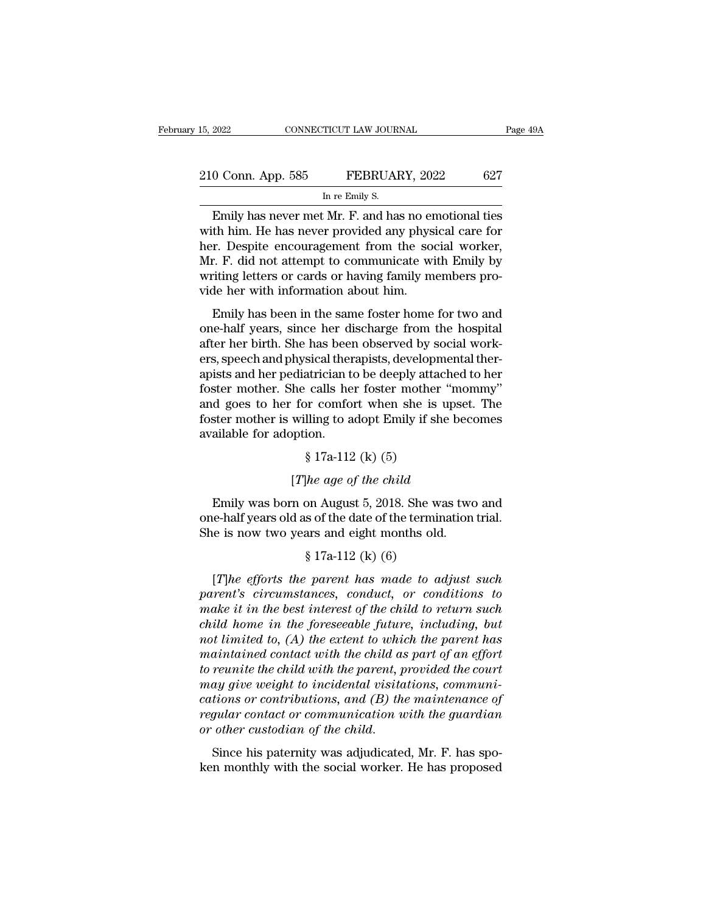| 15, 2022           | CONNECTICUT LAW JOURNAL                             |     | Page 49A |
|--------------------|-----------------------------------------------------|-----|----------|
|                    |                                                     |     |          |
| 210 Conn. App. 585 | FEBRUARY, 2022                                      | 627 |          |
|                    | In re Emily S.                                      |     |          |
|                    | Emily has never met $MrF$ and has no emotional ties |     |          |

Emily has never met Mr. F. and has no emotional ties<br>
The FEBRUARY, 2022 627<br>
The Emily S.<br>
Emily has never met Mr. F. and has no emotional ties<br>
th him. He has never provided any physical care for<br>
The position of the soc 210 Conn. App. 585 FEBRUARY, 2022 627<br>
In re Emily S.<br>
Emily has never met Mr. F. and has no emotional ties<br>
with him. He has never provided any physical care for<br>
her. Despite encouragement from the social worker,<br>
Mr. E. 210 Conn. App. 585 FEBRUARY, 2022 627<br>
In re Emily S.<br>
Emily has never met Mr. F. and has no emotional ties<br>
with him. He has never provided any physical care for<br>
her. Despite encouragement from the social worker,<br>
Mr. F. 210 Conn. App. 585 FEBRUARY, 2022 627<br>
In re Emily S.<br>
Emily has never met Mr. F. and has no emotional ties<br>
with him. He has never provided any physical care for<br>
her. Despite encouragement from the social worker,<br>
Mr. F. INCRETE TRENCESSERVIES TO SERVICE THE CONDUCTS OF THE EMILY S.<br>
Emily has never met Mr. F. and has no emotional ties<br>
with him. He has never provided any physical care for<br>
her. Despite encouragement from the social worker In re Emily S.<br>
Emily has never met Mr. F. and has no er<br>
with him. He has never provided any phys<br>
her. Despite encouragement from the soo<br>
Mr. F. did not attempt to communicate wi<br>
writing letters or cards or having fami Emily has hever lifet Mr. 1: and has ho chiodonal des<br>th him. He has never provided any physical care for<br>r. Despite encouragement from the social worker,<br>r. F. did not attempt to communicate with Emily by<br>iting letters or one. Despite encouragement from the social worker,<br>her. Despite encouragement from the social worker,<br>Mr. F. did not attempt to communicate with Emily by<br>writing letters or cards or having family members pro-<br>vide her with

Fig. Despite encouragement from the social worker,<br>Mr. F. did not attempt to communicate with Emily by<br>writing letters or cards or having family members pro-<br>vide her with information about him.<br>Emily has been in the same ers, speech and physical therapists, developmental therapists and her proton and one-half years, since her discharge from the hospital after her birth. She has been observed by social workers, speech and physical therapist whing retters of eards of having rannly includers provide her with information about him.<br>
Emily has been in the same foster home for two and<br>
one-half years, since her discharge from the hospital<br>
after her birth. She has Finally has been in the same foster home for two and<br>one-half years, since her discharge from the hospital<br>after her birth. She has been observed by social work-<br>ers, speech and physical therapists, developmental ther-<br>api Emily has been in the same foster home for two and<br>one-half years, since her discharge from the hospital<br>after her birth. She has been observed by social work-<br>ers, speech and physical therapists, developmental ther-<br>apist one-half years, since her discharge from the hospital<br>after her birth. She has been observed by social work-<br>ers, speech and physical therapists, developmental ther-<br>apists and her pediatrician to be deeply attached to her after her birth. She has been<br>ers, speech and physical ther<br>apists and her pediatrician t<br>foster mother. She calls he<br>and goes to her for comfo<br>foster mother is willing to a<br>available for adoption.<br>§ 17a-112 sical dictaphass, acvelopment<br>atrician to be deeply attaced<br>calls her foster mother<br>or comfort when she is<br>lling to adopt Emily if sh<br>ion.<br>§ 17a-112 (k) (5)<br>lhe age of the child he calls her foster mother "mon<br>for comfort when she is upset.<br>willing to adopt Emily if she beco<br>pption.<br>§ 17a-112 (k) (5)<br>[*T*]*he age of the child*<br>n on August 5, 2018. She was two

Emily was born on August 5, 2018. She was two and<br>e-half years old as of the date of the termination trial.<br>See it was two and<br>e-half years old as of the date of the termination trial. available for adoption.<br>  $\S 17a-112$  (k) (5)<br>
[*T*]*he age of the child*<br>
Emily was born on August 5, 2018. She was two and<br>
one-half years old as of the date of the termination trial.<br>
She is now two years and eight mon She is now two years and eight months old.<br>She is now two years and eight months old.<br>She is now two years and eight months old.<br>She is now two years and eight months old.<br>She is now two years and eight months old.<br>She is Fig. 112 (k) (6)<br>  $[he\ age\ of\ the\ child\$ <br>
so f the date of the terminars and eight months old<br>
s 17a-112 (k) (6)<br>  $[parent\ has\ made\ to\ a$ Emily was born on August 5, 2018. She was two and<br>e-half years old as of the date of the termination trial.<br>le is now two years and eight months old.<br> $$ 17a-112$  (k) (6)<br>[*T*]*he efforts the parent has made to adjust such* 

Emily was born on August 5, 2018. She was two and<br>
one-half years old as of the date of the termination trial.<br>
She is now two years and eight months old.<br>  $\S 17a-112$  (k) (6)<br>
[*T*]he efforts the parent has made to adjus one-half years old as of the date of the termination trial.<br>
She is now two years and eight months old.<br>  $\S 17a-112$  (k) (6)<br>
[*T*]*he efforts the parent has made to adjust such*<br>
parent's circumstances, conduct, or cond She is now two years and eight months old.<br>
§ 17a-112 (k) (6)<br> *child home in the parent has made to adjust such*<br> *child home in the best interest of the child to return such*<br> *child home in the foreseeable future, inclu*  $$17a-112$  (k) (6)<br>[*T*]he efforts the parent has made to adjust such<br>parent's circumstances, conduct, or conditions to<br>make it in the best interest of the child to return such<br>child home in the foreseeable future, includ *maintained contact with the parent has made to adjust such parent's circumstances, conduct, or conditions to* make it in the best interest of the child to return such child home in the foreseeable future, including, but [T]he efforts the parent has made to adjust such<br>parent's circumstances, conduct, or conditions to<br>make it in the best interest of the child to return such<br>child home in the foreseeable future, including, but<br>not limited parent's circumstances, conduct, or conditions to<br>make it in the best interest of the child to return such<br>child home in the foreseeable future, including, but<br>not limited to, (A) the extent to which the parent has<br>maintai make it in the best interest of the child to return such child home in the foreseeable future, including, but not limited to,  $(A)$  the extent to which the parent has maintained contact with the child as part of an effort *child home in the foreseeable future, including, but*<br>not limited to, (A) the extent to which the parent has<br>maintained contact with the child as part of an effort<br>to reunite the child with the parent, provided the court<br> *not limited to, (A) the extent to which the parent has*<br>*maintained contact with the child as part of an effort*<br>*to reunite the child with the parent, provided the court*<br>*may give weight to incidental visitations, commu* ke relative the ends with the parent, proclude the education<br>may give weight to incidental visitations, communi-<br>cations or contributions, and (B) the maintenance of<br>regular contact or communication with the guardian<br>or ot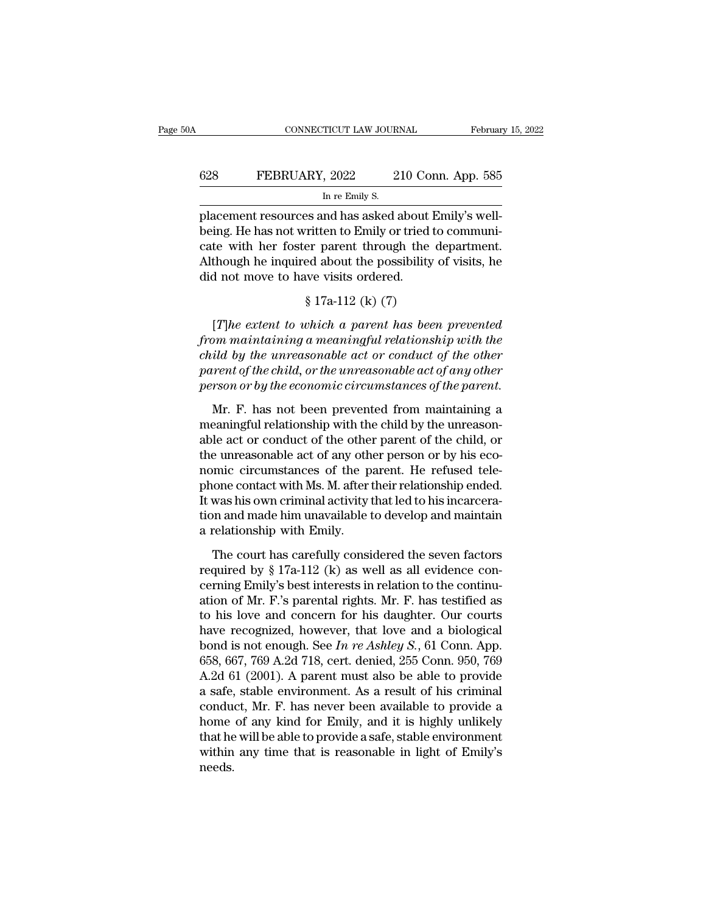### CONNECTICUT LAW JOURNAL February 15, 2022<br>628 FEBRUARY, 2022 210 Conn. App. 585<br>In re Emily S. TICUT LAW JOUR.<br>, 2022 2<br>In re Emily S.<br>nd has asked :

Februar<br>
Februar<br>
628 FEBRUARY, 2022 210 Conn. App. 585<br>
In re Emily S.<br>
placement resources and has asked about Emily's well-<br>
being. He has not written to Emily or tried to communi-<br>
aster with her fester parant, through 628 FEBRUARY, 2022 210 Conn. App. 585<br>
In re Emily S.<br>
placement resources and has asked about Emily's well-<br>
being. He has not written to Emily or tried to communi-<br>
cate with her foster parent through the department.<br>
Al 628 FEBRUARY, 2022 210 Conn. App. 585<br>
In re Emily S.<br>
placement resources and has asked about Emily's well-<br>
being. He has not written to Emily or tried to communicate<br>
with her foster parent through the department.<br>
Alt FEBRUARY, 2022 210 Conn. App. 585<br>
In re Emily S.<br>
placement resources and has asked about Emily's well-<br>
being. He has not written to Emily or tried to communi-<br>
cate with her foster parent through the department.<br>
Althou  $\frac{1}{2}$  In re Emily S.<br>
placement resources and has asked about<br>
being. He has not written to Emily or tried<br>
cate with her foster parent through the<br>
Although he inquired about the possibility<br>
did not move to have vis es and has asked about Exerciten to Emily or tried to<br>er parent through the d<br>eed about the possibility of<br>we visits ordered.<br>§ 17a-112 (k) (7)<br>which a parent has been ing. He has not written to Emily or tried to communi-<br>te with her foster parent through the department.<br>though he inquired about the possibility of visits, he<br>d not move to have visits ordered.<br> $$ 17a-112$  (k) (7)<br>[*T*]he

cate with her foster parent through the department.<br> *Although he inquired about the possibility of visits, he*<br> *fid not move to have visits ordered.*<br>  $\frac{8}{17a-112}$  (k) (7)<br>
[*T]he extent to which a parent has been pre* Although he inquired about the possibility of visits, he<br>did not move to have visits ordered.<br> $\S 17a-112$  (k) (7)<br>[*T*]he extent to which a parent has been prevented<br>from maintaining a meaningful relationship with the<br>chil did not move to have visits ordered.<br>  $\S$  17a-112 (k) (7)<br>
[*T*]he extent to which a parent has been prevented<br>
from maintaining a meaningful relationship with the<br>
child by the unreasonable act or conduct of the other<br>
pa <sup>§</sup> 17a-112 (k) (7)<br> *person that the parent has been prevented*<br> *from maintaining a meaningful relationship with the*<br> *child by the unreasonable act or conduct of the other*<br> *parent of the child, or the unreasonable ac* [*T*]he extent to which a parent has been prevented<br>om maintaining a meaningful relationship with the<br>ild by the unreasonable act or conduct of the other<br>rent of the child, or the unreasonable act of any other<br>rson or by from maintaining a meaningful relationship with the<br>child by the unreasonable act or conduct of the other<br>parent of the child, or the unreasonable act of any other<br>person or by the economic circumstances of the parent.<br>Mr

child by the unreasonable act or conduct of the other<br>parent of the child, or the unreasonable act of any other<br>person or by the economic circumstances of the parent.<br>Mr. F. has not been prevented from maintaining a<br>meani parent of the child, or the unreasonable act of any other<br>person or by the economic circumstances of the parent.<br>Mr. F. has not been prevented from maintaining a<br>meaningful relationship with the child by the unreason-<br>abl person or by the economic circumstances of the parent.<br>Mr. F. has not been prevented from maintaining a<br>meaningful relationship with the child by the unreason-<br>able act or conduct of the other parent of the child, or<br>the u Mr. F. has not been prevented from maintaining a<br>meaningful relationship with the child by the unreason-<br>able act or conduct of the other parent of the child, or<br>the unreasonable act of any other person or by his eco-<br>nomi Mr. F. has not been prevented from maintaining a<br>meaningful relationship with the child by the unreason-<br>able act or conduct of the other parent of the child, or<br>the unreasonable act of any other person or by his eco-<br>nomi meaningful relationship with the child by the unreason-<br>able act or conduct of the other parent of the child, or<br>the unreasonable act of any other person or by his eco-<br>nomic circumstances of the parent. He refused tele-<br>p able act or conduct of the other<br>the unreasonable act of any oth<br>nomic circumstances of the p<br>phone contact with Ms. M. after if<br>t was his own criminal activity t<br>tion and made him unavailable t<br>a relationship with Emily.<br> The circumstances of the parent. He refused tele-<br>one contact with Ms. M. after their relationship ended.<br>was his own criminal activity that led to his incarcera-<br>on and made him unavailable to develop and maintain<br>relati phone contact with Ms. M. after their relationship ended.<br>It was his own criminal activity that led to his incarceration and made him unavailable to develop and maintain<br>a relationship with Emily.<br>The court has carefully

Freedom and made him unavailable to develop and maintain<br>a relationship with Emily.<br>The court has carefully considered the seven factors<br>required by § 17a-112 (k) as well as all evidence con-<br>cerning Emily's best interests ation and made him unavailable to develop and maintain<br>a relationship with Emily.<br>The court has carefully considered the seven factors<br>required by § 17a-112 (k) as well as all evidence con-<br>cerning Emily's best interests i a relationship with Emily.<br>
The court has carefully considered the seven factors<br>
required by § 17a-112 (k) as well as all evidence con-<br>
cerning Emily's best interests in relation to the continu-<br>
ation of Mr. F.'s paren The court has carefully considered the seven factors<br>required by § 17a-112 (k) as well as all evidence con-<br>cerning Emily's best interests in relation to the continu-<br>ation of Mr. F.'s parental rights. Mr. F. has testifie The court has carefully considered the seven factors<br>required by § 17a-112 (k) as well as all evidence con-<br>cerning Emily's best interests in relation to the continu-<br>ation of Mr. F.'s parental rights. Mr. F. has testifie required by § 17a-112 (k) as well as all evidence concerning Emily's best interests in relation to the continuation of Mr. F.'s parental rights. Mr. F. has testified as to his love and concern for his daughter. Our courts cerning Emily's best interests in relation to the continuation of Mr. F.'s parental rights. Mr. F. has testified as<br>to his love and concern for his daughter. Our courts<br>have recognized, however, that love and a biological ation of Mr. F.'s parental rights. Mr. F. has testified as<br>to his love and concern for his daughter. Our courts<br>have recognized, however, that love and a biological<br>bond is not enough. See *In re Ashley S.*, 61 Conn. App. to his love and concern for his daughter. Our courts<br>have recognized, however, that love and a biological<br>bond is not enough. See *In re Ashley S.*, 61 Conn. App.<br>658, 667, 769 A.2d 718, cert. denied, 255 Conn. 950, 769<br>A have recognized, however, that love and a biological<br>bond is not enough. See *In re Ashley S.*, 61 Conn. App.<br>658, 667, 769 A.2d 718, cert. denied, 255 Conn. 950, 769<br>A.2d 61 (2001). A parent must also be able to provide<br> bond is not enough. See *In re Ashley S.*, 61 Conn. App. 658, 667, 769 A.2d 718, cert. denied, 255 Conn. 950, 769 A.2d 61 (2001). A parent must also be able to provide a safe, stable environment. As a result of his crimin 658, 667, 769 A.2d 718, cert. denied, 255 Conn. 950, 769<br>A.2d 61 (2001). A parent must also be able to provide<br>a safe, stable environment. As a result of his criminal<br>conduct, Mr. F. has never been available to provide a<br>h needs.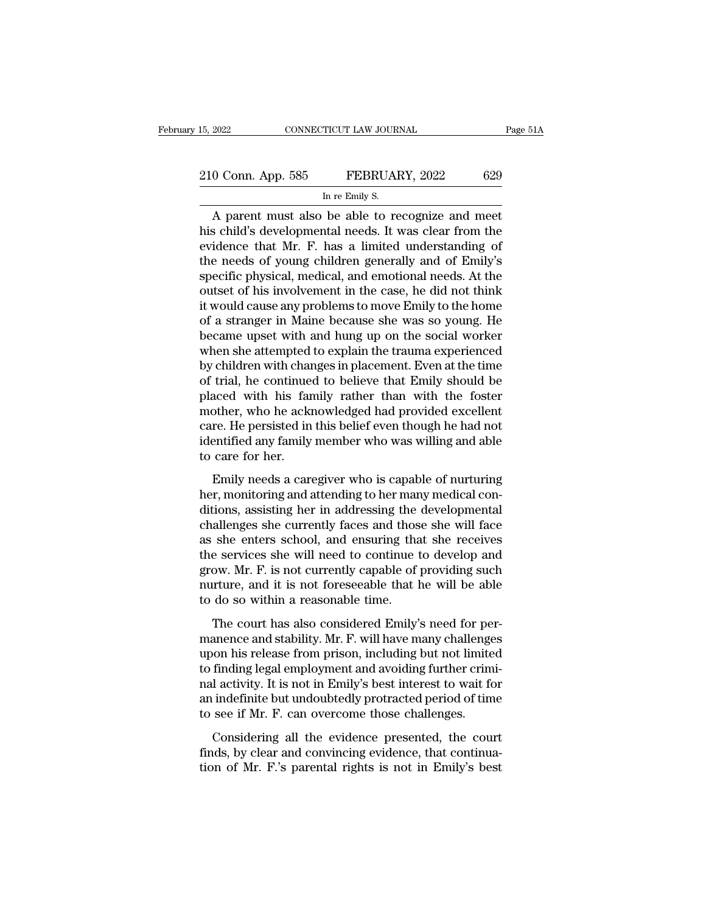| 15, 2022           | CONNECTICUT LAW JOURNAL                        | Page 51A |
|--------------------|------------------------------------------------|----------|
|                    |                                                |          |
| 210 Conn. App. 585 | FEBRUARY, 2022                                 | 629      |
|                    | In re Emily S.                                 |          |
|                    | narent must also be able to recognize and meet |          |

CONNECTICUT LAW JOURNAL Page 51.<br>
0 Conn. App. 585 FEBRUARY, 2022 629<br>
In re Emily S.<br>
A parent must also be able to recognize and meet<br>
is child's developmental needs. It was clear from the<br>
idence that Mr. E has a limite 210 Conn. App. 585 FEBRUARY, 2022 629<br>
In re Emily S.<br>
A parent must also be able to recognize and meet<br>
his child's developmental needs. It was clear from the<br>
evidence that Mr. F. has a limited understanding of<br>
the need 210 Conn. App. 585 FEBRUARY, 2022 629<br>
In re Emily S.<br>
A parent must also be able to recognize and meet<br>
his child's developmental needs. It was clear from the<br>
evidence that Mr. F. has a limited understanding of<br>
the need 210 Conn. App. 585 FEBRUARY, 2022 629<br>
In re Emily S.<br>
A parent must also be able to recognize and meet<br>
his child's developmental needs. It was clear from the<br>
evidence that Mr. F. has a limited understanding of<br>
the need In re Emily S.<br>
A parent must also be able to recognize and meet<br>
his child's developmental needs. It was clear from the<br>
evidence that Mr. F. has a limited understanding of<br>
the needs of young children generally and of Em In re Emily S.<br>
A parent must also be able to recognize and meet<br>
his child's developmental needs. It was clear from the<br>
evidence that Mr. F. has a limited understanding of<br>
the needs of young children generally and of Em A parent must also be able to recognize and meet<br>his child's developmental needs. It was clear from the<br>evidence that Mr. F. has a limited understanding of<br>the needs of young children generally and of Emily's<br>specific phys his child's developmental needs. It was clear from the evidence that Mr. F. has a limited understanding of the needs of young children generally and of Emily's specific physical, medical, and emotional needs. At the outset evidence that Mr. F. has a limited understanding of<br>the needs of young children generally and of Emily's<br>specific physical, medical, and emotional needs. At the<br>outset of his involvement in the case, he did not think<br>it wo the needs of young children generally and of Emily's<br>specific physical, medical, and emotional needs. At the<br>outset of his involvement in the case, he did not think<br>it would cause any problems to move Emily to the home<br>of specific physical, medical, and emotional needs. At the outset of his involvement in the case, he did not think<br>it would cause any problems to move Emily to the home<br>of a stranger in Maine because she was so young. He<br>beca outset of his involvement in the case, he did not think<br>it would cause any problems to move Emily to the home<br>of a stranger in Maine because she was so young. He<br>became upset with and hung up on the social worker<br>when she it would cause any problems to move Emily to the home<br>of a stranger in Maine because she was so young. He<br>became upset with and hung up on the social worker<br>when she attempted to explain the trauma experienced<br>by children of a stranger in Maine because she was so young. He<br>became upset with and hung up on the social worker<br>when she attempted to explain the trauma experienced<br>by children with changes in placement. Even at the time<br>of trial, became upset with and hung up on the social worker<br>when she attempted to explain the trauma experienced<br>by children with changes in placement. Even at the time<br>of trial, he continued to believe that Emily should be<br>placed when she attempted to explain the trauma experienced<br>by children with changes in placement. Even at the time<br>of trial, he continued to believe that Emily should be<br>placed with his family rather than with the foster<br>mother, by children with char<br>of trial, he continue<br>placed with his far<br>mother, who he ack<br>care. He persisted in<br>identified any family<br>to care for her.<br>Emily needs a care and, he continued to befieve that Emily should be<br>aced with his family rather than with the foster<br>other, who he acknowledged had provided excellent<br>re. He persisted in this belief even though he had not<br>entified any famil placed with his handy hands had with the foster<br>mother, who he acknowledged had provided excellent<br>care. He persisted in this belief even though he had not<br>identified any family member who was willing and able<br>to care for

modici, who he defined mediate independent care. He persisted in this belief even though he had not identified any family member who was willing and able to care for her.<br>Emily needs a caregiver who is capable of nurturing care. He persisted in all scher even along the had not<br>identified any family member who was willing and able<br>to care for her.<br>Emily needs a caregiver who is capable of nurturing<br>her, monitoring and attending to her many me as she enters school, and ensuring that she receives<br>to care for her.<br>Emily needs a caregiver who is capable of nurturing<br>her, monitoring and attending to her many medical con-<br>ditions, assisting her in addressing the deve the services a caregiver who is capable of nurturing<br>her, monitoring and attending to her many medical con-<br>ditions, assisting her in addressing the developmental<br>challenges she currently faces and those she will face<br>as s Emily needs a caregiver who is capable of nurturing<br>her, monitoring and attending to her many medical con-<br>ditions, assisting her in addressing the developmental<br>challenges she currently faces and those she will face<br>as sh her, monitoring and attending to her many medical conditions, assisting her in addressing the developmental challenges she currently faces and those she will face as she enters school, and ensuring that she receives the se ditions, assisting her in addressing the challenges she currently faces and thos<br>as she enters school, and ensuring tha<br>the services she will need to continue t<br>grow. Mr. F. is not currently capable of<br>nurture, and it is n She enters school, and ensuring that she receives<br>she enters school, and ensuring that she receives<br>e services she will need to continue to develop and<br>ow. Mr. F. is not currently capable of providing such<br>trure, and it is as are enters sensor, and ensuring and site receives<br>the services she will need to continue to develop and<br>grow. Mr. F. is not currently capable of providing such<br>nurture, and it is not foreseeable that he will be able<br>to

are services she win heed to containte to develop that<br>grow. Mr. F. is not currently capable of providing such<br>nurture, and it is not foreseeable that he will be able<br>to do so within a reasonable time.<br>The court has also c the finding legal employment and it is not foreseeable that he will be able<br>to do so within a reasonable time.<br>The court has also considered Emily's need for per-<br>manence and stability. Mr. F. will have many challenges<br>upo The court has also considered Emily's need for per-<br>manence and stability. Mr. F. will have many challenges<br>upon his release from prison, including but not limited<br>to finding legal employment and avoiding further crimi-<br>n are the court has also considered Emily's need for per-<br>manence and stability. Mr. F. will have many challenges<br>upon his release from prison, including but not limited<br>to finding legal employment and avoiding further crimi The court has also considered Emily's need for pe<br>manence and stability. Mr. F. will have many challenge<br>upon his release from prison, including but not limite<br>to finding legal employment and avoiding further crim<br>nal acti Considering all the evidence presented, the court from the recesse from prison, including but not immed<br>to finding legal employment and avoiding further crimi-<br>nal activity. It is not in Emily's best interest to wait for<br>an indefinite but undoubtedly protracted period of the main set of Mr. It is not in Emily's best interest to wait for an indefinite but undoubtedly protracted period of time to see if Mr. F. can overcome those challenges.<br>Considering all the evidence presented, the court f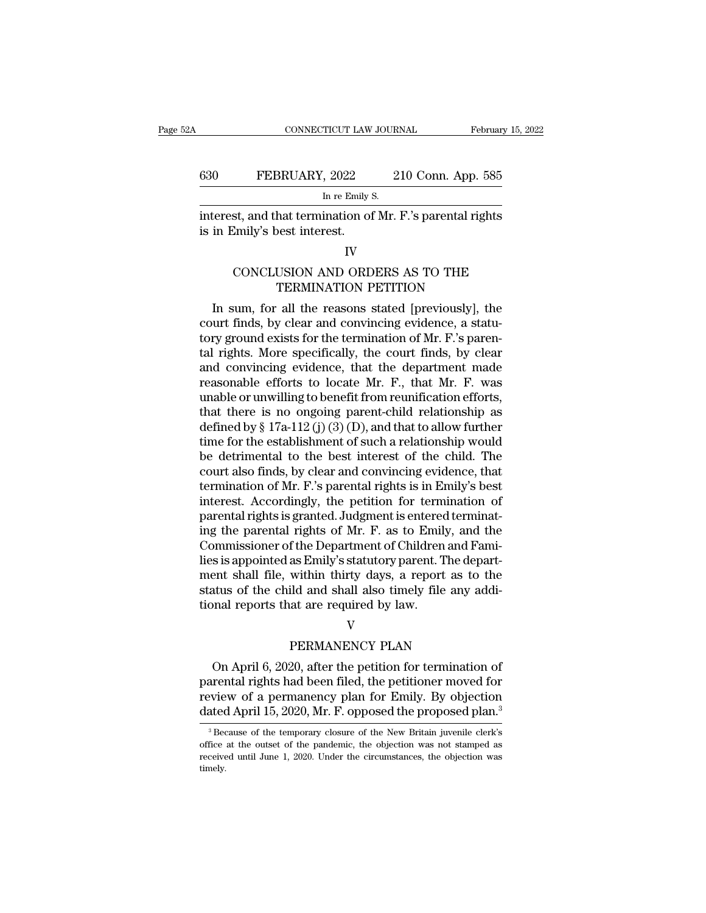### CONNECTICUT LAW JOURNAL February 15, 2022<br>630 FEBRUARY, 2022 210 Conn. App. 585<br>In re Emily S. TICUT LAW JOUR.<br>, 2022 2<br>In re Emily S.<br>ination of Mr CONNECTICUT LAW JOURNAL February 15, 2022<br>
FEBRUARY, 2022 210 Conn. App. 585<br>
In re Emily S.<br>
Interest, and that termination of Mr. F.'s parental rights<br>
is in Emily's best interest. 630 FEBRUARY, 2022<br>
In re Emily s<br>
interest, and that termination of<br>
is in Emily's best interest. FEBROART, 2022 210 COIL App. 363<br>
In re Emily S.<br>
st, and that termination of Mr. F.'s parental rights<br>
Emily's best interest.<br>
IV<br>
CONCLUSION AND ORDERS AS TO THE<br>
TERMINATION PETITION

In re Emily S.<br>
hat termination of Mr. F.'s parental rights<br>
best interest.<br>
IV<br>
USION AND ORDERS AS TO THE<br>
TERMINATION PETITION<br>
all the reasons stated [previously], the

### IV

Exercist, and that termination of Mr. F.'s parental rights<br>
in Emily's best interest.<br>
IV<br>
CONCLUSION AND ORDERS AS TO THE<br>
TERMINATION PETITION<br>
In sum, for all the reasons stated [previously], the<br>
urt finds, by clear an is in Emily's best interest.<br>
IV<br>
CONCLUSION AND ORDERS AS TO THE<br>
TERMINATION PETITION<br>
In sum, for all the reasons stated [previously], the<br>
court finds, by clear and convincing evidence, a statu-<br>
tory ground exists for IV<br>CONCLUSION AND ORDERS AS TO THE<br>TERMINATION PETITION<br>In sum, for all the reasons stated [previously], the<br>court finds, by clear and convincing evidence, a statu-<br>tory ground exists for the termination of Mr. F.'s paren-CONCLUSION AND ORDERS AS TO THE<br>TERMINATION PETITION<br>In sum, for all the reasons stated [previously], the<br>court finds, by clear and convincing evidence, a statu-<br>tory ground exists for the termination of Mr. F.'s paren-<br>t CONCLOSION AND ORDERS AS TO THE<br>
TERMINATION PETITION<br>
In sum, for all the reasons stated [previously], the<br>
court finds, by clear and convincing evidence, a statu-<br>
tory ground exists for the termination of Mr. F.'s paren reasons stated [previously], the<br>court finds, by clear and convincing evidence, a statu-<br>tory ground exists for the termination of Mr. F.'s paren-<br>tal rights. More specifically, the court finds, by clear<br>and convincing evi In sum, for all the reasons stated [previously], the<br>court finds, by clear and convincing evidence, a statu-<br>tory ground exists for the termination of Mr. F.'s paren-<br>tal rights. More specifically, the court finds, by cle court finds, by clear and convincing evidence, a statu-<br>tory ground exists for the termination of Mr. F.'s paren-<br>tal rights. More specifically, the court finds, by clear<br>and convincing evidence, that the department made<br>r tory ground exists for the termination of Mr. F.'s parental rights. More specifically, the court finds, by clear<br>and convincing evidence, that the department made<br>reasonable efforts to locate Mr. F., that Mr. F. was<br>unable tal rights. More specifically, the court finds, by clear<br>and convincing evidence, that the department made<br>reasonable efforts to locate Mr. F., that Mr. F. was<br>unable or unwilling to benefit from reunification efforts,<br>th and convincing evidence, that the department made<br>reasonable efforts to locate Mr. F., that Mr. F. was<br>unable or unwilling to benefit from reunification efforts,<br>that there is no ongoing parent-child relationship as<br>defin reasonable efforts to locate Mr. F., that Mr. F. was<br>unable or unwilling to benefit from reunification efforts,<br>that there is no ongoing parent-child relationship as<br>defined by § 17a-112 (j) (3) (D), and that to allow fur unable or unwilling to benefit from reunification efforts,<br>that there is no ongoing parent-child relationship as<br>defined by § 17a-112 (j) (3) (D), and that to allow further<br>time for the establishment of such a relationshi that there is no ongoing parent-child relationship as<br>defined by § 17a-112 (j) (3) (D), and that to allow further<br>time for the establishment of such a relationship would<br>be detrimental to the best interest of the child. T defined by § 17a-112 (j) (3) (D), and that to allow further<br>time for the establishment of such a relationship would<br>be detrimental to the best interest of the child. The<br>court also finds, by clear and convincing evidence, time for the establishment of such a relationship would<br>be detrimental to the best interest of the child. The<br>court also finds, by clear and convincing evidence, that<br>termination of Mr. F.'s parental rights is in Emily's b be detrimental to the best interest of the child. The court also finds, by clear and convincing evidence, that termination of Mr. F.'s parental rights is in Emily's best interest. Accordingly, the petition for termination court also finds, by clear and convincing evidence, that<br>termination of Mr. F.'s parental rights is in Emily's best<br>interest. Accordingly, the petition for termination of<br>parental rights is granted. Judgment is entered ter termination of Mr. F.'s parental rights is in Emily's best<br>interest. Accordingly, the petition for termination of<br>parental rights is granted. Judgment is entered terminat-<br>ing the parental rights of Mr. F. as to Emily, and interest. Accordingly, the petition for termination of parental rights is granted. Judgment is entered terminating the parental rights of Mr. F. as to Emily, and the Commissioner of the Department of Children and Families parental rights is granted. Judgment is entereding the parental rights of Mr. F. as to Emily Commissioner of the Department of Children lies is appointed as Emily's statutory parent. Then the shall file, within thirty days as Emily's statutory parent. The depare<br>within thirty days, a report as to the<br>ild and shall also timely file any add<br>at are required by law.<br>V<br>PERMANENCY PLAN<br>20, after the petition for termination of ent shall file, within thirty days, a report as to the<br>atus of the child and shall also timely file any addi-<br>nal reports that are required by law.<br>V<br>PERMANENCY PLAN<br>On April 6, 2020, after the petition for termination of<br>

### V

status of the child and shall also timely file any additional reports that are required by law.<br>
V<br>
PERMANENCY PLAN<br>
On April 6, 2020, after the petition for termination of<br>
parental rights had been filed, the petitioner m reports that are required by law.<br>
V<br>
PERMANENCY PLAN<br>
On April 6, 2020, after the petition for termination of<br>
parental rights had been filed, the petitioner moved for<br>
review of a permanency plan for Emily. By objection<br> V<br>
Data April 6, 2020, after the petition for termination of<br>
parental rights had been filed, the petitioner moved for<br>
review of a permanency plan for Emily. By objection<br>
dated April 15, 2020, Mr. F. opposed the proposed On April 6, 2020, after the petition for termination of<br>arental rights had been filed, the petitioner moved for<br>eview of a permanency plan for Emily. By objection<br>ated April 15, 2020, Mr. F. opposed the proposed plan.<sup>3</sup><br><sup></sup> parental rights had been filed, the petitioner moved for<br>review of a permanency plan for Emily. By objection<br>dated April 15, 2020, Mr. F. opposed the proposed plan.<sup>3</sup><br><sup>3</sup> Because of the temporary closure of the New Brita

review of a permanency plan for Emily. By objection dated April 15, 2020, Mr. F. opposed the proposed plan.<sup>3</sup> Because of the temporary closure of the New Britain juvenile clerk's office at the outset of the pandemic, the timely.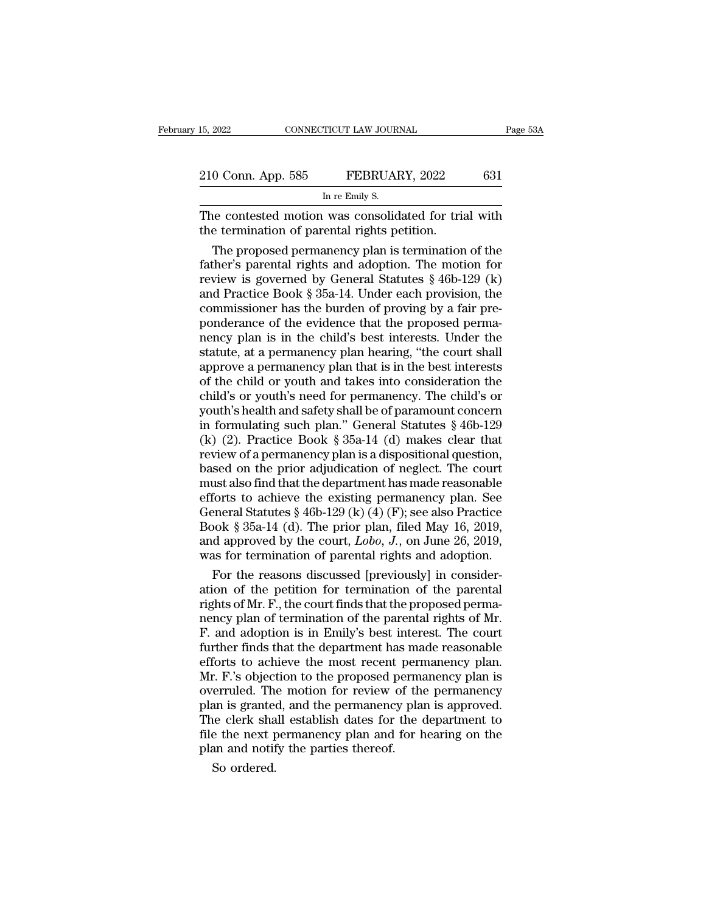| 15, 2022           | CONNECTICUT LAW JOURNAL                              | Page 53A |
|--------------------|------------------------------------------------------|----------|
|                    |                                                      |          |
| 210 Conn. App. 585 | FEBRUARY, 2022                                       | 631      |
|                    | In re Emily S.                                       |          |
|                    | The contested motion was consolidated for trial with |          |

The contested motion was consolidated for trial with<br>The contested motion was consolidated for trial with<br>the termination of parental rights petition. 210 Conn. App. 585 FEBRUARY, 2022<br>
In re Emily S.<br>
The contested motion was consolidated for triation<br>
the termination of parental rights petition.<br>
The proposed permanency plan is termination

 $\frac{0 \text{ Conn. App. 585} \qquad \text{FEBRUARY, 2022} \qquad 631}{\text{In re Emily s.}}$ <br>
He contested motion was consolidated for trial with<br>
the termination of parental rights petition.<br>
The proposed permanency plan is termination of the<br>
ther's parental 210 Conn. App. 585 FEBRUARY, 2022 631<br>
In re Emily S.<br>
The contested motion was consolidated for trial with<br>
the termination of parental rights petition.<br>
The proposed permanency plan is termination of the<br>
father's paren In re Emily S.<br>The contested motion was consolidated for trial with<br>the termination of parental rights petition.<br>The proposed permanency plan is termination of the<br>father's parental rights and adoption. The motion for<br>rev and on the ERRIC of the contested motion was consolidated for trial with<br>the termination of parental rights petition.<br>The proposed permanency plan is termination of the<br>father's parental rights and adoption. The motion for The contested motion was consolidated for trial with<br>the termination of parental rights petition.<br>The proposed permanency plan is termination of the<br>father's parental rights and adoption. The motion for<br>review is governed the termination of parental rights petition.<br>The proposed permanency plan is termination of the<br>father's parental rights and adoption. The motion for<br>review is governed by General Statutes § 46b-129 (k)<br>and Practice Book § The proposed permanency plan is termination of the<br>father's parental rights and adoption. The motion for<br>review is governed by General Statutes  $\S 46b-129$  (k)<br>and Practice Book  $\S 35a-14$ . Under each provision, the<br>commi father's parental rights and adoption. The motion for<br>review is governed by General Statutes  $\S$  46b-129 (k)<br>and Practice Book  $\S$  35a-14. Under each provision, the<br>commissioner has the burden of proving by a fair pre-<br>po review is governed by General Statutes § 46b-129 (k)<br>and Practice Book § 35a-14. Under each provision, the<br>commissioner has the burden of proving by a fair pre-<br>ponderance of the evidence that the proposed perma-<br>nency pla and Practice Book § 35a-14. Under each provision, the<br>commissioner has the burden of proving by a fair pre-<br>ponderance of the evidence that the proposed perma-<br>nency plan is in the child's best interests. Under the<br>statute commissioner has the burden of proving by a fair pre-<br>ponderance of the evidence that the proposed perma-<br>nency plan is in the child's best interests. Under the<br>statute, at a permanency plan hearing, "the court shall<br>appro ponderance of the evidence that the proposed perma-<br>nency plan is in the child's best interests. Under the<br>statute, at a permanency plan hearing, "the court shall<br>approve a permanency plan that is in the best interests<br>of nency plan is in the child's best interests. Under the<br>statute, at a permanency plan hearing, "the court shall<br>approve a permanency plan that is in the best interests<br>of the child or youth and takes into consideration the<br> statute, at a permanency plan hearing, "the court shall<br>approve a permanency plan that is in the best interests<br>of the child or youth and takes into consideration the<br>child's or youth's need for permanency. The child's or<br> approve a permanency plan that is in the best interests<br>of the child or youth and takes into consideration the<br>child's or youth's need for permanency. The child's or<br>youth's health and safety shall be of paramount concern<br> of the child or youth and takes into consideration the child's or youth's need for permanency. The child's or youth's health and safety shall be of paramount concern<br>in formulating such plan." General Statutes  $\S$  46b-129 child's or youth's need for permanency. The child's or<br>youth's health and safety shall be of paramount concern<br>in formulating such plan." General Statutes § 46b-129<br>(k) (2). Practice Book § 35a-14 (d) makes clear that<br>rev youth's health and safety shall be of paramount concern<br>in formulating such plan." General Statutes § 46b-129<br>(k) (2). Practice Book § 35a-14 (d) makes clear that<br>review of a permanency plan is a dispositional question,<br>b in formulating such plan." General Statutes § 46b-129 (k) (2). Practice Book § 35a-14 (d) makes clear that review of a permanency plan is a dispositional question, based on the prior adjudication of neglect. The court mus (k) (2). Practice Book § 35a-14 (d) makes clear that<br>review of a permanency plan is a dispositional question,<br>based on the prior adjudication of neglect. The court<br>must also find that the department has made reasonable<br>ef review of a permanency plan is a dispositional question,<br>based on the prior adjudication of neglect. The court<br>must also find that the department has made reasonable<br>efforts to achieve the existing permanency plan. See<br>Gen based on the prior adjudication of neglect. The court<br>must also find that the department has made reasonable<br>efforts to achieve the existing permanency plan. See<br>General Statutes § 46b-129 (k) (4) (F); see also Practice<br>B ust also find that the department has made reasonable<br>forts to achieve the existing permanency plan. See<br>eneral Statutes § 46b-129 (k) (4) (F); see also Practice<br>ook § 35a-14 (d). The prior plan, filed May 16, 2019,<br>d app efforts to achieve the existing permanency plan. See<br>General Statutes § 46b-129 (k) (4) (F); see also Practice<br>Book § 35a-14 (d). The prior plan, filed May 16, 2019,<br>and approved by the court, *Lobo*, *J*., on June 26, 20

General Statutes § 46b-129 (k) (4) (F); see also Practice<br>Book § 35a-14 (d). The prior plan, filed May 16, 2019,<br>and approved by the court, *Lobo*, *J*., on June 26, 2019,<br>was for termination of parental rights and adopti Book § 35a-14 (d). The prior plan, filed May 16, 2019,<br>and approved by the court, *Lobo*, *J*., on June 26, 2019,<br>was for termination of parental rights and adoption.<br>For the reasons discussed [previously] in consider-<br>ati and approved by the court,  $Lobo$ ,  $J$ ., on June 26, 2019,<br>was for termination of parental rights and adoption.<br>For the reasons discussed [previously] in consider-<br>ation of the petition for termination of the parental<br>right was for termination of parental rights and adoption.<br>For the reasons discussed [previously] in consideration of the petition for termination of the parental<br>rights of Mr. F., the court finds that the proposed perma-<br>nency For the reasons discussed [previously] in consideration of the petition for termination of the parental rights of Mr. F., the court finds that the proposed permanency plan of termination of the parental rights of Mr. F. an ation of the petition for termination of the parental<br>rights of Mr. F., the court finds that the proposed perma-<br>nency plan of termination of the parental rights of Mr.<br>F. and adoption is in Emily's best interest. The cour rights of Mr. F., the court finds that the proposed perma-<br>nency plan of termination of the parental rights of Mr.<br>F. and adoption is in Emily's best interest. The court<br>further finds that the department has made reasonabl nency plan of termination of the parental rights of Mr.<br>F. and adoption is in Emily's best interest. The court<br>further finds that the department has made reasonable<br>efforts to achieve the most recent permanency plan.<br>Mr. F F. and adoption is in Emily's best interest. The court<br>further finds that the department has made reasonable<br>efforts to achieve the most recent permanency plan.<br>Mr. F.'s objection to the proposed permanency plan is<br>overrul further finds that the department has made reasonable<br>efforts to achieve the most recent permanency plan.<br>Mr. F.'s objection to the proposed permanency plan is<br>overruled. The motion for review of the permanency<br>plan is gra efforts to achieve the most recent pern<br>Mr. F.'s objection to the proposed perma<br>overruled. The motion for review of the<br>plan is granted, and the permanency pla<br>The clerk shall establish dates for the<br>file the next permane r. F.'s object<br>erruled. The<br>an is grante<br>e clerk sha<br>e the next p<br>an and notif<br>So ordered.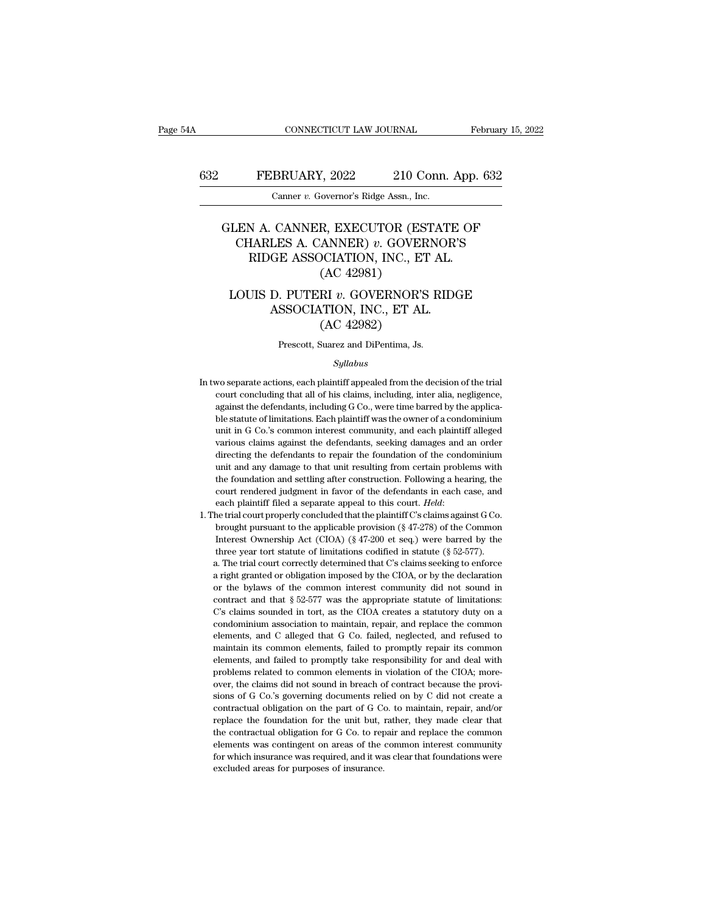### CONNECTICUT LAW JOURNAL February 15, 2022<br>632 FEBRUARY, 2022 210 Conn. App. 632<br>Canner v. Governor's Ridge Assn., Inc. CONNECTICUT LAW JOURNAL<br>BRUARY, 2022 210 Conn.<br>Canner *v.* Governor's Ridge Assn., Inc.

### FEBRUARY, 2022 210 Conn. App. 632<br>
Canner v. Governor's Ridge Assn., Inc.<br>
GLEN A. CANNER, EXECUTOR (ESTATE OF<br>
CHARLES A. CANNER) v. GOVERNOR'S<br>
PIDGE ASSOCIATION INC. FT AL FEBRUARY, 2022 210 Conn. App. 632<br>
Canner v. Governor's Ridge Assn., Inc.<br>
LEN A. CANNER, EXECUTOR (ESTATE OF<br>
CHARLES A. CANNER) v. GOVERNOR'S<br>
RIDGE ASSOCIATION, INC., ET AL. FEBRUARY, 2022 210 Conn. App.<br>
Canner v. Governor's Ridge Assn., Inc.<br>
N A. CANNER, EXECUTOR (ESTATE OF HARLES A. CANNER) v. GOVERNOR'S<br>
RIDGE ASSOCIATION, INC., ET AL. (AC 42981) (AC 42981)<br>
Kovernor's Ridge Assn., Inc.<br>
R, EXECUTOR (ES<br>
ANNER) v. GOVEF<br>
DCIATION, INC., ET<br>
(AC 42981)<br>
RI v. GOVERNOR'S LEN A. CANNER, EXECUTOR (ESTATE OF CHARLES A. CANNER) *v*. GOVERNOR'S<br>RIDGE ASSOCIATION, INC., ET AL. (AC 42981)<br>LOUIS D. PUTERI *v*. GOVERNOR'S RIDGE ASSOCIATION, INC., ET AL. CANNER, EXECUTOR (ESTATE<br>
LES A. CANNER)  $v$ . GOVERNOR'<br>
GE ASSOCIATION, INC., ET AL.<br>
(AC 42981)<br>
D. PUTERI  $v$ . GOVERNOR'S RIDC<br>
ASSOCIATION, INC., ET AL.<br>
(AC 42982) R, EXECUTOR (ES<br>ANNER) v. GOVEF<br>DCIATION, INC., ET<br>(AC 42981)<br>RI v. GOVERNOR'S<br>TION, INC., ET AL<br>(AC 42982)<br>Suarez and DiPentima, Js.

# (AC 42981)<br>
LOUIS D. PUTERI  $v$ . GOVERNOR'S RIDGE<br>
ASSOCIATION, INC., ET AL.<br>
(AC 42982)<br>
Prescott, Suarez and DiPentima, Js.

### *Syllabus*

- $(AC 42982)$ <br>Prescott, Suarez and DiPentima, Js.<br> $Syllabus$ <br>In two separate actions, each plaintiff appealed from the decision of the trial<br>court concluding that all of his claims, including, inter alia, negligence, (AC 42302)<br>Prescott, Suarez and DiPentima, Js.<br>Syllabus<br>wo separate actions, each plaintiff appealed from the decision of the trial<br>court concluding that all of his claims, including, inter alia, negligence,<br>against the de In two separate actions, each plaintiff appealed from the decision of the trial<br>court concluding that all of his claims, including, inter alia, negligence,<br>against the defendants, including G Co., were time barred by the a Syllabus<br>
statute of limits of his claims, including, inter alia, negligence,<br>
against the defendants, including G Co., were time barred by the applica-<br>
ble statute of limitations. Each plaintiff was the owner of a condom *Syllabus*<br>wo separate actions, each plaintiff appealed from the decision of the trial<br>court concluding that all of his claims, including, inter alia, negligence,<br>against the defendants, including G Co., were time barred b wo separate actions, each plaintiff appealed from the decision of the trial<br>court concluding that all of his claims, including, inter alia, negligence,<br>against the defendants, including G Co., were time barred by the appli court concluding that all of his claims, including, inter alia, negligence, against the defendants, including G Co., were time barred by the applicable statute of limitations. Each plaintiff was the owner of a condominium against the defendants, including G Co., were time barred by the applica-<br>ble statute of limitations. Each plaintiff was the owner of a condominium<br>unit in G Co.'s common interest community, and each plaintiff alleged<br>vari ble statute of limitations. Each plaintiff was the owner of a condomium unit in G Co.'s common interest community, and each plaintiff alleged various claims against the defendants, seeking damages and an order directing th unit in G Co.'s common interest community, and each plaintiff alleged<br>various claims against the defendants, seeking damages and an order<br>directing the defendants to repair the foundation of the condominium<br>unit and any da extraintiff filed a separate appeal to this court. *Held*: the trial court properly concluded that unit resulting from certain problems with the foundation and settling after construction. Following a hearing, the court re unit and any damage to that unit resulting from certain problems with<br>the foundation and settling after construction. Following a hearing, the<br>court rendered judgment in favor of the defendants in each case, and<br>each plai
	- the foundation and settling after construction. Following a hearing, the court rendered judgment in favor of the defendants in each case, and each plaintiff filed a separate appeal to this court. *Held*: the trial court pr court rendered judgment in favor of the defendants in each case, and each plaintiff filed a separate appeal to this court. *Held*:<br>he trial court properly concluded that the plaintiff C's claims against G Co.<br>brought pursu each plaintiff filed a separate appeal to this court. *Held*:<br>he trial court properly concluded that the plaintiff C's claims against G Co.<br>brought pursuant to the applicable provision (§ 47-278) of the Common<br>Interest Ow he trial court properly concluded that the plaintiff C's claims against G Co.<br>brought pursuant to the applicable provision (§ 47-278) of the Common<br>Interest Ownership Act (CIOA) (§ 47-200 et seq.) were barred by the<br>three From the bylaws of the common interest common interest common interest common interest common and the common interest common interest common interest common interest common interest of limitations codified in statute (§ 5 Extreme to whereship Act (CIOA) (§ 47-200 et seq.) were barred by the three year tort statute of limitations codified in statute (§ 52-577).<br>a. The trial court correctly determined that C's claims seeking to enforce a rig The example in the statute of limitations codified in statute (§ 52-577).<br>
	A. The trial court correctly determined that C's claims seeking to enforce<br>
	a right granted or obligation imposed by the CIOA, or by the declarati a. The trial court correctly determined that C's claims seeking to enforce a right granted or obligation imposed by the CIOA, or by the declaration or the bylaws of the common interest community did not sound in contract a right granted or obligation imposed by the CIOA, or by the declaration or the bylaws of the common interest community did not sound in contract and that  $\S 52-577$  was the appropriate statute of limitations: C's claims is the bylaws of the common interest community did not sound in<br>contract and that § 52-577 was the appropriate statute of limitations:<br>C's claims sounded in tort, as the CIOA creates a statutory duty on a<br>condominium assoc elements, and that \$52-577 was the appropriate statute of limitations:<br>C's claims sounded in tort, as the CIOA creates a statutory duty on a<br>condominium association to maintain, repair, and replace the common<br>elements, and C's claims sounded in tort, as the CIOA creates a statutory duty on a condominium association to maintain, repair, and replace the common elements, and C alleged that G Co. failed, neglected, and refused to maintain its co condominium association to maintain, repair, and replace the common elements, and C alleged that G Co. failed, neglected, and refused to maintain its common elements, failed to promptly repair its common elements, and fail elements, and C alleged that G Co. failed, neglected, and refused to maintain its common elements, failed to promptly repair its common elements, and failed to promptly take responsibility for and deal with problems relate maintain its common elements, failed to promptly repair its common<br>elements, and failed to promptly take responsibility for and deal with<br>problems related to common elements in violation of the CIOA; more-<br>over, the claims relations, and failed to promptly take responsibility for and deal with problems related to common elements in violation of the CIOA; moreover, the claims did not sound in breach of contract because the provisions of G Co. problems related to common elements in violation of the CIOA; more-<br>over, the claims did not sound in breach of contract because the provi-<br>sions of G Co.'s governing documents relied on by C did not create a<br>contractual o power, the claims did not sound in breach of contract because the provisions of G Co.'s governing documents relied on by C did not create a contractual obligation on the part of G Co. to maintain, repair, and/or replace th sions of G Co.'s governing documents relied on by C did not create a contractual obligation on the part of G Co. to maintain, repair, and/or replace the foundation for the unit but, rather, they made clear that the contra sions of G Co.'s governing documents relied on by C did not create a contractual obligation on the part of G Co. to maintain, repair, and/or replace the foundation for the unit but, rather, they made clear that the contra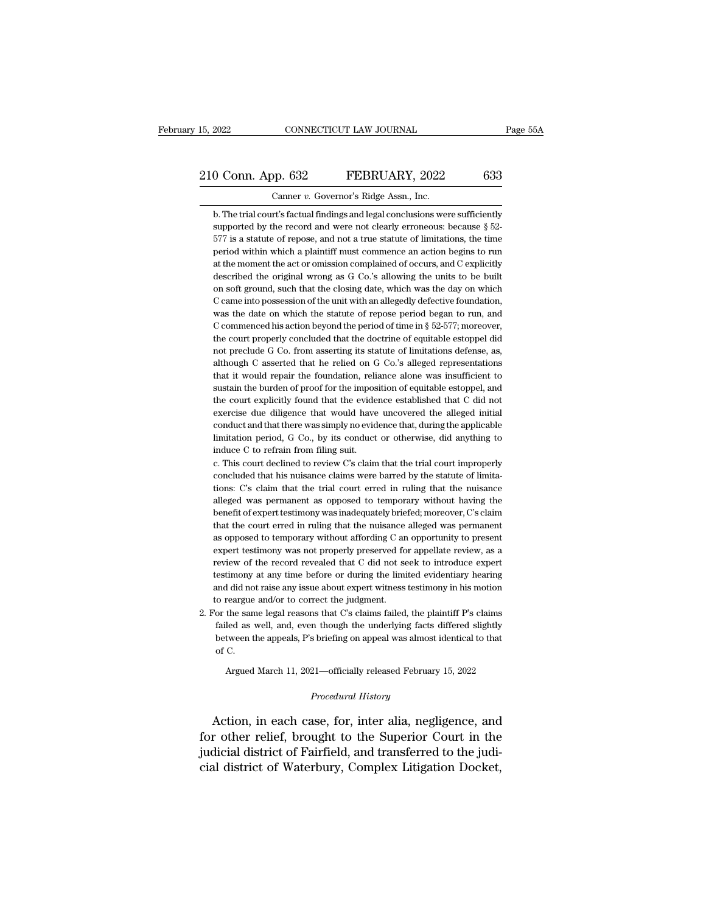### 15, 2022 CONNECTICUT LAW JOURNAL Page 55A<br>
210 Conn. App. 632 FEBRUARY, 2022 633<br>
Canner v. Governor's Ridge Assn., Inc. 15, 2022 CONNECTICUT LAW JOURNAL<br>
210 Conn. App. 632 FEBRUARY, 2022 633<br>
Canner *v.* Governor's Ridge Assn., Inc.<br>
b. The trial court's factual findings and legal conclusions were sufficiently

**b. Columber 1941** Connection Connection Connection Connection Connection Connection Connection Connection Connection Connection Connection Connection Connection Connection Connection Connection Connection Connection Conn Supported by the record and were not clearly erroneous: because § 52-577 is a statute of repose, and not a true statute of limitations, the time 577 is a statute of repose, and not a true statute of limitations, the time Canner  $v$ . Governor's Ridge Assn., Inc.<br>
b. The trial court's factual findings and legal conclusions were sufficiently<br>
supported by the record and were not clearly erroneous: because  $\S 52-577$  is a statute of repose, a Canner v. Governor's Ridge Assn., Inc.<br>
b. The trial court's factual findings and legal conclusions were sufficiently<br>
supported by the record and were not clearly erroneous: because § 52-<br>
577 is a statute of repose, and b. The trial court's factual findings and legal conclusions were sufficiently supported by the record and were not clearly erroneous: because  $\S$  52-577 is a statute of repose, and not a true statute of limitations, the t supported by the record and were not clearly erroneous: because  $\S$  52-577 is a statute of repose, and not a true statute of limitations, the time period within which a plaintiff must commence an action begins to run at t 577 is a statute of repose, and not a true statute of limitations, the time<br>period within which a plaintiff must commence an action begins to run<br>at the moment the act or omission complained of occurs, and C explicitly<br>de period within which a plaintiff must commence an action begins to run<br>at the moment the act or omission complained of occurs, and C explicitly<br>described the original wrong as G Co.'s allowing the units to be built<br>on soft at the moment the act or omission complained of occurs, and C explicitly described the original wrong as G Co.'s allowing the units to be built on soft ground, such that the closing date, which was the day on which C came described the original wrong as G Co.'s allowing the units to be built<br>on soft ground, such that the closing date, which was the day on which<br>C came into possession of the unit with an allegedly defective foundation,<br>was t on soft ground, such that the closing date, which was the day on which C came into possession of the unit with an allegedly defective foundation, was the date on which the statute of repose period began to run, and C comm C came into possession of the unit with an allegedly defective foundation, was the date on which the statute of repose period began to run, and C commenced his action beyond the period of time in  $\S$  52-577; moreover, the was the date on which the statute of repose period began to run, and C commenced his action beyond the period of time in  $\S$  52-577; moreover, the court properly concluded that the doctrine of equitable estoppel did not p C commenced his action beyond the period of time in  $\S$  52-577; moreover, the court properly concluded that the doctrine of equitable estoppel did not preclude G Co. from asserting its statute of limitations defense, as, the court properly concluded that the doctrine of equitable estoppel did<br>not preclude G Co. from asserting its statute of limitations defense, as,<br>although C asserted that he relied on G Co.'s alleged representations<br>that not preclude G Co. from asserting its statute of limitations defense, as, although C asserted that he relied on G Co.'s alleged representations that it would repair the foundation, reliance alone was insufficient to sustai although C asserted that he relied on G Co.'s alleged representations<br>that it would repair the foundation, reliance alone was insufficient to<br>sustain the burden of proof for the imposition of equitable estoppel, and<br>the co that it would repair the foundation, reliance alone was insufficient to sustain the burden of proof for the imposition of equitable estoppel, and the court explicitly found that the evidence established that C did not exer sustain the burden of proof for the impos<br>the court explicitly found that the evide<br>exercise due diligence that would have<br>conduct and that there was simply no evid<br>limitation period, G Co., by its conduct<br>induce C to refr the court explicitly found that the evidence established that C did not exercise due diligence that would have uncovered the alleged initial conduct and that there was simply no evidence that, during the applicable limitat exercise due diligence that would have uncovered the alleged initial<br>conduct and that there was simply no evidence that, during the applicable<br>limitation period, G Co., by its conduct or otherwise, did anything to<br>induce C

conduct and that there was simply no evidence that, during the applicable<br>limitation period, G Co., by its conduct or otherwise, did anything to<br>induce C to refrain from filing suit.<br>c. This court declined to review C's cl limitation period, G Co., by its conduct or otherwise, did anything to induce C to refrain from filing suit.<br>c. This court declined to review C's claim that the trial court improperly concluded that his nuisance claims wer induce C to refrain from filing suit.<br>c. This court declined to review C's claim that the trial court improperly<br>concluded that his nuisance claims were barred by the statute of limita-<br>tions: C's claim that the trial cour c. This court declined to review C's claim that the trial court improperly concluded that his nuisance claims were barred by the statute of limitations: C's claim that the trial court erred in ruling that the nuisance alle concluded that his nuisance claims were barred by the statute of limitations: C's claim that the trial court erred in ruling that the nuisance alleged was permanent as opposed to temporary without having the benefit of exp tions: C's claim that the trial court erred in ruling that the nuisance alleged was permanent as opposed to temporary without having the benefit of expert testimony was inadequately briefed; moreover, C's claim that the co alleged was permanent as opposed to temporary without having the benefit of expert testimony was inadequately briefed; moreover, C's claim that the court erred in ruling that the nuisance alleged was permanent as opposed t benefit of expert testimony was inadequately briefed; moreover, C's claim<br>that the court erred in ruling that the nuisance alleged was permanent<br>as opposed to temporary without affording C an opportunity to present<br>expert that the court erred in ruling that the nuisance alleged was permanent as opposed to temporary without affording C an opportunity to present expert testimony was not properly preserved for appellate review, as a review of as opposed to temporary without affording C an<br>expert testimony was not properly preserved fo<br>review of the record revealed that C did not se<br>testimony at any time before or during the limi<br>and did not raise any issue abou expert testimony was not properly preserved for appellate review, as a review of the record revealed that C did not seek to introduce expert testimony at any time before or during the limited evidentiary hearing and did n failed as well, and the record revealed that C did not seek to introduce expert estimony at any time before or during the limited evidentiary hearing and did not raise any issue about expert witness testimony in his motion

estimony at any time before or during the limited evidentiary hearing<br>and did not raise any issue about expert witness testimony in his motion<br>o reargue and/or to correct the judgment.<br>or the same legal reasons that C's cl and did no<br>co reargue<br>or the sam<br>failed as v<br>between ti<br>of C.<br>Argued the same legal reasons that C's claims failed, the plaintiff P's claims<br>led as well, and, even though the underlying facts differed slightly<br>tween the appeals, P's briefing on appeal was almost identical to that<br>C.<br>Argued failed as well, and, even though the underlying facts differed slightly<br>between the appeals, P's briefing on appeal was almost identical to that<br>of C.<br>Argued March 11, 2021—officially released February 15, 2022<br>*Procedural* 

France as wen, and, even though the underlying facts dinered signly<br>between the appeals, P's briefing on appeal was almost identical to that<br>of C.<br>Argued March 11, 2021—officially released February 15, 2022<br>*Procedural His* For other and appears, brought to the Superior Court in the sum of C.<br>Argued March 11, 2021—officially released February 15, 2022<br>*Procedural History*<br>Action, in each case, for, inter alia, negligence, and<br>for other relief Argued March 11, 2021—officially released February 15, 2022<br> *Procedural History*<br>
Action, in each case, for, inter alia, negligence, and<br>
for other relief, brought to the Superior Court in the<br>
judicial district of Fairfi Algued Match 11, 2021—officially released Pebruary 15, 2022<br>
Procedural History<br>
Action, in each case, for, inter alia, negligence, and<br>
for other relief, brought to the Superior Court in the<br>
judicial district of Fairfiel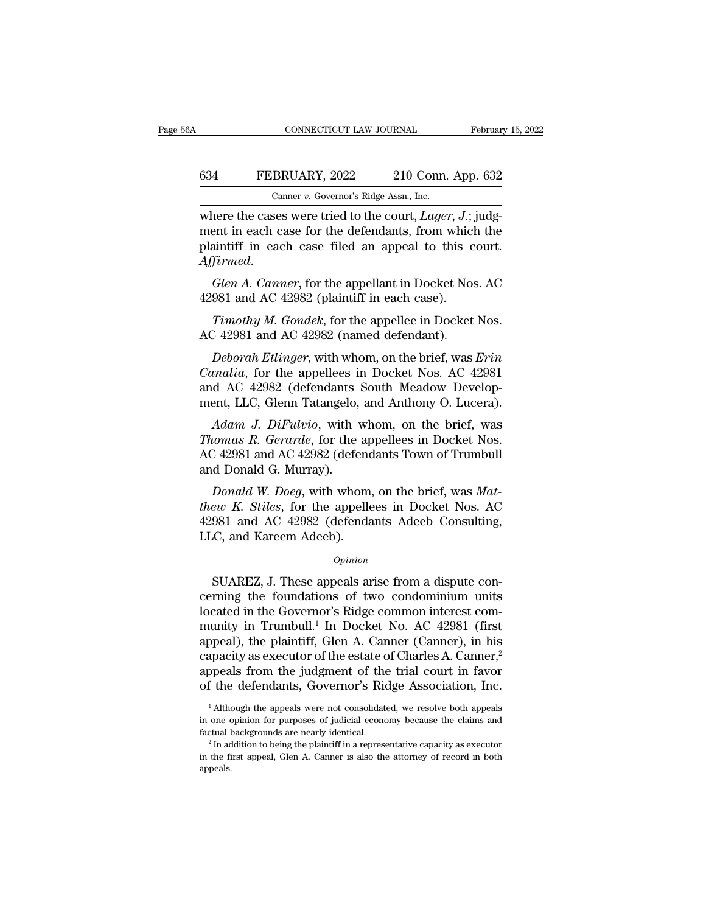### CONNECTICUT LAW JOURNAL February 15, 2022<br>634 FEBRUARY, 2022 210 Conn. App. 632<br>Canner v. Governor's Ridge Assn., Inc. CONNECTICUT LAW JOURNAL<br>BRUARY, 2022 210 Conn.<br>Canner *v.* Governor's Ridge Assn., Inc.<br>Sess were tried to the court *Lager*

CONNECTICUT LAW JOURNAL Februar<br>
FEBRUARY, 2022 210 Conn. App. 632<br>
Canner v. Governor's Ridge Assn., Inc.<br>
where the cases were tried to the court, *Lager*, *J.*; judg-<br>
ment in each case for the defendants, from which th 634 FEBRUARY, 2022 210 Conn. App. 632<br>
Canner v. Governor's Ridge Assn., Inc.<br>
where the cases were tried to the court, *Lager*, *J*.; judg-<br>
ment in each case for the defendants, from which the<br>
plaintiff in each case fil FEBRUARY, 2022 210 Conn. App. 632<br>
Canner v. Governor's Ridge Assn., Inc.<br>
where the cases were tried to the court, *Lager*, *J*.; judg-<br>
ment in each case for the defendants, from which the<br>
plaintiff in each case filed *Canner v. Governor's Ridge Assn., Inc.*<br> **Affirmed** and case for the defendants, from which the<br>
plaintiff in each case filed an appeal to this court.<br> *Affirmed.*<br> *Glen A. Canner*, for the appellant in Docket Nos. AC<br>
4 where the cases were tried to the court, *Lager*,  $J_{\cdot}$ ;<br>ment in each case for the defendants, from which<br>plaintiff in each case filed an appeal to this c<br>Affirmed.<br>*Glen A. Canner*, for the appellant in Docket Nos<br>4298 ent in each case for the defendants, from which the<br> *Tirmed.*<br> *Glen A. Canner*, for the appellant in Docket Nos. AC<br>
981 and AC 42982 (plaintiff in each case).<br> *Timothy M. Gondek*, for the appellee in Docket Nos.<br>
7. 42 plaintiff in each case filed an appeal to this c<br>Affirmed.<br>Glen A. Canner, for the appellant in Docket Nos<br>42981 and AC 42982 (plaintiff in each case).<br>Timothy M. Gondek, for the appellee in Docket<br>AC 42981 and AC 42982 (n

*Glen A. Canner*, for the appellant in Docket Nos. AC<br>981 and AC 42982 (plaintiff in each case).<br>*Timothy M. Gondek*, for the appellee in Docket Nos.<br>2 42981 and AC 42982 (named defendant).<br>*Deborah Etlinger*, with whom, o *Glen A. Canner*, for the appellant in Docket Nos. AC<br>42981 and AC 42982 (plaintiff in each case).<br>*Timothy M. Gondek*, for the appellee in Docket Nos.<br>AC 42981 and AC 42982 (named defendant).<br>*Deborah Etlinger*, with whom 42981 and AC 42982 (plaintiff in each case).<br> *Timothy M. Gondek*, for the appellee in Docket Nos.<br>
AC 42981 and AC 42982 (named defendant).<br> *Deborah Etlinger*, with whom, on the brief, was *Erin*<br> *Canalia*, for the app Timothy M. Gondek, for the appellee in Docket Nos.<br>AC 42981 and AC 42982 (named defendant).<br>Deborah Ettinger, with whom, on the brief, was Erin<br>Canalia, for the appellees in Docket Nos. AC 42981<br>and AC 42982 (defendants So *Adam J. Deborah Ettinger*, with whom, on the brief, was *Erin*<br>*Adam J.* Or the appellees in Docket Nos. AC 42981<br>*AC 42982* (defendants South Meadow Develop-<br>*Adam J. DiFulvio*, with whom, on the brief, was<br>*Adam J. DiFu Deborah Etlinger*, with whom, on the brief, was *Erin Canalia*, for the appellees in Docket Nos. AC 42981 and AC 42982 (defendants South Meadow Development, LLC, Glenn Tatangelo, and Anthony O. Lucera).<br>Adam J. DiFulvio

*Canalia*, for the appellees in Docket Nos. AC 42981<br>and AC 42982 (defendants South Meadow Development, LLC, Glenn Tatangelo, and Anthony O. Lucera).<br>Adam J. DiFulvio, with whom, on the brief, was<br>Thomas R. Gerarde, for th Canata, for the appenees in<br>and AC 42982 (defendants<br>ment, LLC, Glenn Tatangelo,<br>*Adam J. DiFulvio*, with *Thomas R. Gerarde*, for the<br>AC 42981 and AC 42982 (defe<br>and Donald G. Murray).<br>*Donald W. Doeg*, with who *Posician M. DiFulvio,* with whom, on the brief, was<br>*Domas R. Gerarde*, for the appellees in Docket Nos.<br>*Donald G. Murray*).<br>*Donald W. Doeg,* with whom, on the brief, was *Mat-*<br>*Ponald W. Doeg,* with whom, on the brief *Adam J. DiFulvio*, with whom, on the brief, was<br>*Thomas R. Gerarde*, for the appellees in Docket Nos.<br>AC 42981 and AC 42982 (defendants Town of Trumbull<br>and Donald G. Murray).<br>*Donald W. Doeg*, with whom, on the brief, wa

Hall *J. Diratoo*, whit whold, on the brief, was<br>Thomas R. Gerarde, for the appellees in Docket Nos.<br>AC 42981 and AC 42982 (defendants Town of Trumbull<br>and Donald G. Murray).<br>Donald W. Doeg, with whom, on the brief, was Ma Fromas R. Gerarae, for the apple AC 42981 and AC 42982 (defend<br>and Donald G. Murray).<br>Donald W. Doeg, with whom<br>thew K. Stiles, for the appelle<br>42981 and AC 42982 (defenda<br>LLC, and Kareem Adeeb). Donald W. Doeg, with whom, on the brief, was Mateur K. Stiles, for the appellees in Docket Nos. AC<br>981 and AC 42982 (defendants Adeeb Consulting,<br>0, and Kareem Adeeb).<br>0pinion<br>SUAREZ, J. These appeals arise from a dispute

*Opinion*

*thew K. Stiles*, for the appellees in Docket Nos. AC<br>42981 and AC 42982 (defendants Adeeb Consulting,<br>LLC, and Kareem Adeeb).<br> $opinion$ <br>SUAREZ, J. These appeals arise from a dispute con-<br>cerning the foundations of two condomi 42981 and AC 42982 (defendants Adeeb Consulting,<br>LLC, and Kareem Adeeb).<br> $\frac{opinion}{opinion}$ <br>SUAREZ, J. These appeals arise from a dispute con-<br>cerning the foundations of two condominium units<br>located in the Governor's Ridge comm LLC, and Kareem Adeeb).<br>  $\qquad$   $\qquad$   $\qquad$   $\qquad$   $\qquad$   $\qquad$   $\qquad$   $\qquad$   $\qquad$   $\qquad$   $\qquad$   $\qquad$   $\qquad$   $\qquad$   $\qquad$   $\qquad$   $\qquad$   $\qquad$   $\qquad$   $\qquad$   $\qquad$   $\qquad$   $\qquad$   $\qquad$   $\qquad$   $\qquad$   $\qquad$   $\qquad$   $\qquad$   $\qquad$   $\qquad$   $\qquad$   $\qquad$ *Opinion*<br>
SUAREZ, J. These appeals arise from a dispute concerning the foundations of two condominium units<br>
located in the Governor's Ridge common interest com-<br>
munity in Trumbull.<sup>1</sup> In Docket No. AC 42981 (first<br>
app SUAREZ, J. These appeals arise from a dispute concerning the foundations of two condominium units located in the Governor's Ridge common interest community in Trumbull.<sup>1</sup> In Docket No. AC 42981 (first appeal), the plaint SUAREZ, J. These appeals arise from a dispute concerning the foundations of two condominium units located in the Governor's Ridge common interest community in Trumbull.<sup>1</sup> In Docket No. AC 42981 (first appeal), the plaint cerning the foundations of two condominium units<br>located in the Governor's Ridge common interest com-<br>munity in Trumbull.<sup>1</sup> In Docket No. AC 42981 (first<br>appeal), the plaintiff, Glen A. Canner (Canner), in his<br>capacity as ppeal), the plaintiff, Glen A. Canner (Canner), in his apacity as executor of the estate of Charles A. Canner,<sup>2</sup> ppeals from the judgment of the trial court in favor f the defendants, Governor's Ridge Association, Inc.<br><sup>1</sup> capacity as executor of the estate of Charles A. Canner,<sup>2</sup> appeals from the judgment of the trial court in favor of the defendants, Governor's Ridge Association, Inc.<br> $\frac{1}{1}$ Although the appeals were not consolidated,

appeals from the judgment of the trial court in favor<br>of the defendants, Governor's Ridge Association, Inc.<br> $\frac{1}{1}$ Although the appeals were not consolidated, we resolve both appeals<br>in one opinion for purposes of judic of the defendants, Governor's Ridge Association, Inc.<br>
<sup>1</sup> Although the appeals were not consolidated, we resolve both appeals<br>
in one opinion for purposes of judicial economy because the claims and<br>
factual backgrounds a

appeals.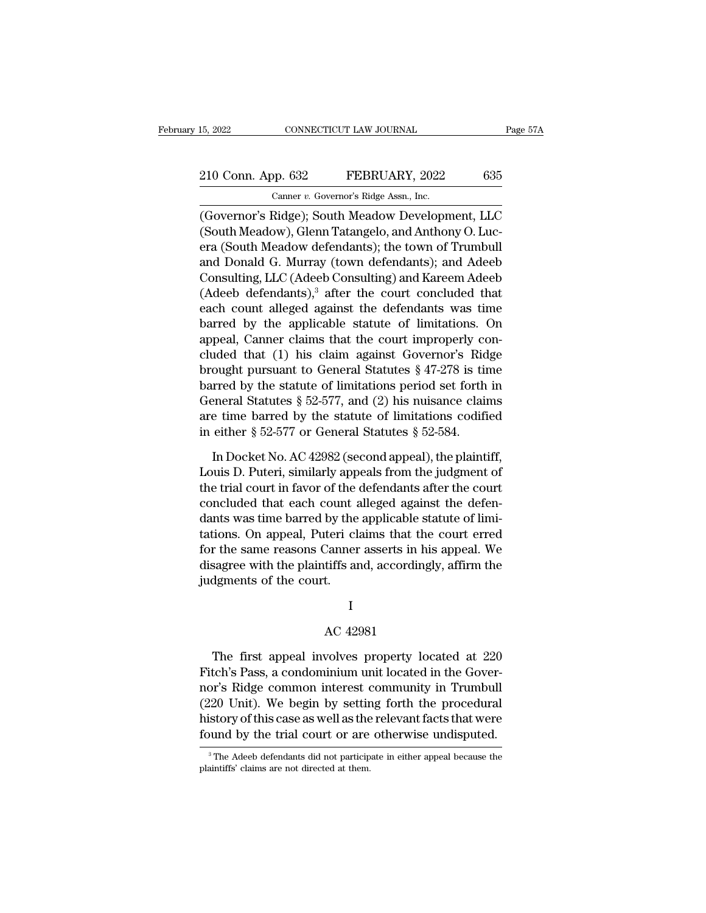# 15, 2022 CONNECTICUT LAW JOURNAL Page 57A<br>
210 Conn. App. 632 FEBRUARY, 2022 635<br>
Canner v. Governor's Ridge Assn., Inc.

15, 2022 CONNECTICUT LAW JOURNAL<br>
210 Conn. App. 632 FEBRUARY, 2022 635<br>
Canner *v.* Governor's Ridge Assn., Inc.<br>
(Governor's Ridge); South Meadow Development, LLC (Governor's Ridge); South Meadow Development, LLC<br>
(Governor's Ridge); South Meadow Development, LLC<br>
(Governor's Ridge); South Meadow Development, LLC<br>
(South Meadow), Glenn Tatangelo, and Anthony O. Lucano (South Meadow) 210 Conn. App. 632 FEBRUARY, 2022 635<br>
Canner v. Governor's Ridge Assn., Inc.<br>
(Governor's Ridge); South Meadow Development, LLC<br>
(South Meadow), Glenn Tatangelo, and Anthony O. Luc-<br>
era (South Meadow defendants); the tow 210 Conn. App. 632 FEBRUARY, 2022 635<br>
Canner v. Governor's Ridge Assn., Inc.<br>
(Governor's Ridge); South Meadow Development, LLC<br>
(South Meadow), Glenn Tatangelo, and Anthony O. Luc-<br>
era (South Meadow defendants); the tow 210 Conn. App. 632 FEBRUARY, 2022 635<br>
Canner v. Governor's Ridge Assn., Inc.<br>
(Governor's Ridge); South Meadow Development, LLC<br>
(South Meadow), Glenn Tatangelo, and Anthony O. Luc-<br>
era (South Meadow defendants); the tow Canner v. Governor's Ridge Assn., Inc.<br>
(Governor's Ridge); South Meadow Development, LLC<br>
(South Meadow), Glenn Tatangelo, and Anthony O. Luc-<br>
era (South Meadow defendants); the town of Trumbull<br>
and Donald G. Murray (t Covernor's Ridge); South Meadow Development, LLC<br>(South Meadow), Glenn Tatangelo, and Anthony O. Luc-<br>era (South Meadow defendants); the town of Trumbull<br>and Donald G. Murray (town defendants); and Adeeb<br>Consulting, LLC (A (Governor's Ridge); South Meadow Development, LLC<br>(South Meadow), Glenn Tatangelo, and Anthony O. Luc-<br>era (South Meadow defendants); the town of Trumbull<br>and Donald G. Murray (town defendants); and Adeeb<br>Consulting, LLC ( (South Meadow), Glenn Tatangelo, and Anthony O. Luc-<br>era (South Meadow defendants); the town of Trumbull<br>and Donald G. Murray (town defendants); and Adeeb<br>Consulting, LLC (Adeeb Consulting) and Kareem Adeeb<br>(Adeeb defenda era (South Meadow defendants); the town of Trumbull<br>and Donald G. Murray (town defendants); and Adeeb<br>Consulting, LLC (Adeeb Consulting) and Kareem Adeeb<br>(Adeeb defendants),<sup>3</sup> after the court concluded that<br>each count al and Donald G. Murray (town defendants); and Adeeb<br>Consulting, LLC (Adeeb Consulting) and Kareem Adeeb<br>(Adeeb defendants),<sup>3</sup> after the court concluded that<br>each count alleged against the defendants was time<br>barred by the Consulting, LLC (Adeeb Consulting) and Kareem Adeeb<br>
(Adeeb defendants),<sup>3</sup> after the court concluded that<br>
each count alleged against the defendants was time<br>
barred by the applicable statute of limitations. On<br>
appeal, (Adeeb defendants),<sup>3</sup> after the court concluded that<br>each count alleged against the defendants was time<br>barred by the applicable statute of limitations. On<br>appeal, Canner claims that the court improperly con-<br>cluded that each count alleged against the defendants was time<br>barred by the applicable statute of limitations. On<br>appeal, Canner claims that the court improperly con-<br>cluded that (1) his claim against Governor's Ridge<br>brought pursua barred by the applicable statute of limitations. On appeal, Canner claims that the court improperly concluded that (1) his claim against Governor's Ridge brought pursuant to General Statutes  $\S 47-278$  is time barred by t appeal, Canner claims that the court improperly coluded that (1) his claim against Governor's Rid<br>brought pursuant to General Statutes § 47-278 is tire<br>barred by the statute of limitations period set forth<br>General Statutes ought pursuant to General Statutes  $\S$  47-278 is time<br>
rred by the statute of limitations period set forth in<br>
eneral Statutes  $\S$  52-577, and (2) his nuisance claims<br>
e time barred by the statute of limitations codified<br> barred by the statute of limitations period set forth in<br>General Statutes  $\S$  52-577, and (2) his nuisance claims<br>are time barred by the statute of limitations codified<br>in either  $\S$  52-577 or General Statutes  $\S$  52-584.

General Statutes § 52-577, and (2) his nuisance claims<br>are time barred by the statute of limitations codified<br>in either § 52-577 or General Statutes § 52-584.<br>In Docket No. AC 42982 (second appeal), the plaintiff,<br>Louis D are time barred by the statute of limitations codified<br>in either  $\S 52-577$  or General Statutes  $\S 52-584$ .<br>In Docket No. AC 42982 (second appeal), the plaintiff,<br>Louis D. Puteri, similarly appeals from the judgment of<br>th in either  $\S$  52-577 or General Statutes  $\S$  52-584.<br>In Docket No. AC 42982 (second appeal), the plaintiff,<br>Louis D. Puteri, similarly appeals from the judgment of<br>the trial court in favor of the defendants after the cour In Docket No. AC 42982 (second appeal), the plaintiff,<br>Louis D. Puteri, similarly appeals from the judgment of<br>the trial court in favor of the defendants after the court<br>concluded that each count alleged against the defen-In Docket No. AC 42982 (second appeal), the plaintiff,<br>Louis D. Puteri, similarly appeals from the judgment of<br>the trial court in favor of the defendants after the court<br>concluded that each count alleged against the defen-Louis D. Puteri, similarly appeals from the judgment of<br>the trial court in favor of the defendants after the court<br>concluded that each count alleged against the defen-<br>dants was time barred by the applicable statute of lim the trial court in favor of the<br>concluded that each count a<br>dants was time barred by the<br>tations. On appeal, Puteri cl<br>for the same reasons Canner<br>disagree with the plaintiffs ar<br>judgments of the court. Canner asserts in his<br>Canner asserts in his<br>tiffs and, accordingly<br>t.<br>I<br>AC 42981<br>volves property loc

### I

sagree with the plaintiffs and, accordingly, affirm the<br>dgments of the court.<br>I<br>AC 42981<br>The first appeal involves property located at 220<br>tch's Pass, a condominium unit located in the Gover-<br>ris Pidse common interest comm judgments of the court.<br>
I<br>
AC 42981<br>
The first appeal involves property located at 220<br>
Fitch's Pass, a condominium unit located in the Gover-<br>
nor's Ridge common interest community in Trumbull<br>
(220 Unit). We hadin by at I<br>AC 42981<br>The first appeal involves property located at 220<br>Fitch's Pass, a condominium unit located in the Gover-<br>nor's Ridge common interest community in Trumbull<br>(220 Unit). We begin by setting forth the procedural<br>his AC 42981<br>
The first appeal involves property located at 220<br>
Fitch's Pass, a condominium unit located in the Gover-<br>
nor's Ridge common interest community in Trumbull<br>
(220 Unit). We begin by setting forth the procedural<br> AC 42981<br>The first appeal involves property located at 220<br>Fitch's Pass, a condominium unit located in the Gover-<br>nor's Ridge common interest community in Trumbull<br>(220 Unit). We begin by setting forth the procedural<br>histo The first appeal involves property located at 220<br>Fitch's Pass, a condominium unit located in the Gover-<br>nor's Ridge common interest community in Trumbull<br>(220 Unit). We begin by setting forth the procedural<br>history of thi nor's Ridge common interest community in Trumbull (220 Unit). We begin by setting forth the procedural history of this case as well as the relevant facts that were found by the trial court or are otherwise undisputed.<br><sup>3</sup> history of this case as well as the relevant facts that were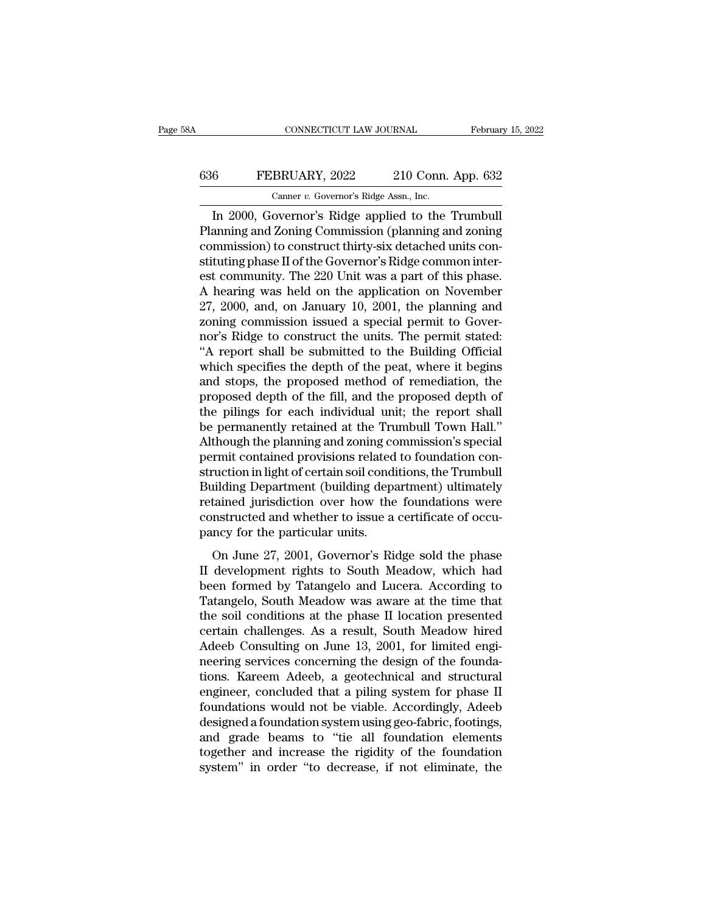## CONNECTICUT LAW JOURNAL February 15, 2022<br>636 FEBRUARY, 2022 210 Conn. App. 632<br>Canner v. Governor's Ridge Assn., Inc. CONNECTICUT LAW JOURNAL Februar<br>
FEBRUARY, 2022 210 Conn. App. 632<br>
Canner *v.* Governor's Ridge Assn., Inc.<br>
In 2000, Governor's Ridge applied to the Trumbull

CONNECTICUT LAW JOURNAL February 15, 20<br>
FEBRUARY, 2022 210 Conn. App. 632<br>
Canner v. Governor's Ridge Assn., Inc.<br>
In 2000, Governor's Ridge applied to the Trumbull<br>
anning and Zoning Commission (planning and zoning<br>
mmis FEBRUARY, 2022 210 Conn. App. 632<br>
Canner v. Governor's Ridge Assn., Inc.<br>
In 2000, Governor's Ridge applied to the Trumbull<br>
Planning and Zoning Commission (planning and zoning<br>
commission) to construct thirty-six detache 636 FEBRUARY, 2022 210 Conn. App. 632<br>Camer v. Governor's Ridge Assn., Inc.<br>In 2000, Governor's Ridge applied to the Trumbull<br>Planning and Zoning Commission (planning and zoning<br>commission) to construct thirty-six detached  $\begin{tabular}{l} \hline \textbf{636} & \textbf{FEBRUARY, 2022} & \textbf{210 Conn. App. 632} \\ \hline \textbf{Canner } v. \textbf{Government's Ridge Assn., Inc.} \\ \hline \textbf{In 2000, Governor's Ridge applied to the Trumbull} \\ \textbf{Planning and Zoning Commission (planning and zoning commission) to construct thirty-six detached units constituting phase II of the Governor's Ridge common interest community. The 220 Unit was a part of this phase. \\ \hline \textbf{A bearing was hold on the application on Novombor} \\ \hline \end{tabular}$ Canner v. Governor's Ridge Assn., Inc.<br>
In 2000, Governor's Ridge applied to the Trumbull<br>
Planning and Zoning Commission (planning and zoning<br>
commission) to construct thirty-six detached units con-<br>
stituting phase II of Canner v. Governor's Ridge Assn., inc.<br>
In 2000, Governor's Ridge applied to the Trumbull<br>
Planning and Zoning Commission (planning and zoning<br>
commission) to construct thirty-six detached units con-<br>
stituting phase II o In 2000, Governor's Ridge applied to the Trumbull<br>Planning and Zoning Commission (planning and zoning<br>commission) to construct thirty-six detached units con-<br>stituting phase II of the Governor's Ridge common inter-<br>est com Planning and Zoning Commission (planning and zoning<br>commission) to construct thirty-six detached units con-<br>stituting phase II of the Governor's Ridge common inter-<br>est community. The 220 Unit was a part of this phase.<br>A h commission) to construct thirty-six detached units constituting phase II of the Governor's Ridge common interest community. The 220 Unit was a part of this phase.<br>A hearing was held on the application on November 27, 2000, stituting phase II of the Governor's Ridge common interest community. The 220 Unit was a part of this phase.<br>A hearing was held on the application on November 27, 2000, and, on January 10, 2001, the planning and zoning com est community. The 220 Unit was a part of this phase.<br>A hearing was held on the application on November<br>27, 2000, and, on January 10, 2001, the planning and<br>zoning commission issued a special permit to Gover-<br>nor's Ridge t A hearing was held on the application on November<br>27, 2000, and, on January 10, 2001, the planning and<br>zoning commission issued a special permit to Gover-<br>nor's Ridge to construct the units. The permit stated:<br>"A report sh 27, 2000, and, on January 10, 2001, the planning and<br>zoning commission issued a special permit to Gover-<br>nor's Ridge to construct the units. The permit stated:<br>"A report shall be submitted to the Building Official<br>which sp zoning commission issued a special permit to Governor's Ridge to construct the units. The permit stated:<br>"A report shall be submitted to the Building Official<br>which specifies the depth of the peat, where it begins<br>and stop nor's Ridge to construct the units. The permit stated:<br>"A report shall be submitted to the Building Official<br>which specifies the depth of the peat, where it begins<br>and stops, the proposed method of remediation, the<br>propose "A report shall be submitted to the Building Official<br>which specifies the depth of the peat, where it begins<br>and stops, the proposed method of remediation, the<br>proposed depth of the fill, and the proposed depth of<br>the pil which specifies the depth of the peat, where it begins<br>and stops, the proposed method of remediation, the<br>proposed depth of the fill, and the proposed depth of<br>the pilings for each individual unit; the report shall<br>be perm and stops, the proposed method of remediation, the proposed depth of the fill, and the proposed depth of the pilings for each individual unit; the report shall be permanently retained at the Trumbull Town Hall."<br>Although t proposed depth of the fill, and the proposed depth of<br>the pilings for each individual unit; the report shall<br>be permanently retained at the Trumbull Town Hall."<br>Although the planning and zoning commission's special<br>permit the pilings for each individual unit; the report shall<br>be permanently retained at the Trumbull Town Hall."<br>Although the planning and zoning commission's special<br>permit contained provisions related to foundation con-<br>struct be permanently retained at the Trumbull Town Hall."<br>Although the planning and zoning commission's special<br>permit contained provisions related to foundation con-<br>struction in light of certain soil conditions, the Trumbull<br>B Although the planning and zoning co<br>permit contained provisions related<br>struction in light of certain soil cond:<br>Building Department (building departained jurisdiction over how the<br>constructed and whether to issue a<br>pancy The condition is contained to contraded to control of the metallical conditions, the Trumbull illding Department (building department) ultimately tained jurisdiction over how the foundations were nstructed and whether to i Building Department (building department) ultimately<br>retained jurisdiction over how the foundations were<br>constructed and whether to issue a certificate of occu-<br>pancy for the particular units.<br>On June 27, 2001, Governor's

Bunding Deparation (bunding deparation) diamately<br>retained jurisdiction over how the foundations were<br>constructed and whether to issue a certificate of occu-<br>pancy for the particular units.<br>On June 27, 2001, Governor's Rid Framea Januarion over now are foundations were<br>constructed and whether to issue a certificate of occu-<br>pancy for the particular units.<br>On June 27, 2001, Governor's Ridge sold the phase<br>II development rights to South Meadow pancy for the particular units.<br>
On June 27, 2001, Governor's Ridge sold the phase<br>
II development rights to South Meadow, which had<br>
been formed by Tatangelo and Lucera. According to<br>
Tatangelo, South Meadow was aware at on June 27, 2001, Governor's Ridge sold the phase<br>II development rights to South Meadow, which had<br>been formed by Tatangelo and Lucera. According to<br>Tatangelo, South Meadow was aware at the time that<br>the soil conditions at On June 27, 2001, Governor's Ridge sold the phase<br>II development rights to South Meadow, which had<br>been formed by Tatangelo and Lucera. According to<br>Tatangelo, South Meadow was aware at the time that<br>the soil conditions at II development rights to South Meadow, which had<br>been formed by Tatangelo and Lucera. According to<br>Tatangelo, South Meadow was aware at the time that<br>the soil conditions at the phase II location presented<br>certain challenge been formed by Tatangelo and Lucera. According to<br>Tatangelo, South Meadow was aware at the time that<br>the soil conditions at the phase II location presented<br>certain challenges. As a result, South Meadow hired<br>Adeeb Consulti Tatangelo, South Meadow was aware at the time that<br>the soil conditions at the phase II location presented<br>certain challenges. As a result, South Meadow hired<br>Adeeb Consulting on June 13, 2001, for limited engi-<br>neering ser the soil conditions at the phase II location presented<br>certain challenges. As a result, South Meadow hired<br>Adeeb Consulting on June 13, 2001, for limited engi-<br>neering services concerning the design of the founda-<br>tions. K certain challenges. As a result, South Meadow hired<br>Adeeb Consulting on June 13, 2001, for limited engi-<br>neering services concerning the design of the founda-<br>tions. Kareem Adeeb, a geotechnical and structural<br>engineer, co Adeeb Consulting on June 13, 2001, for limited engi-<br>neering services concerning the design of the founda-<br>tions. Kareem Adeeb, a geotechnical and structural<br>engineer, concluded that a piling system for phase II<br>foundation neering services concerning the design of the foundations. Kareem Adeeb, a geotechnical and structural<br>engineer, concluded that a piling system for phase II<br>foundations would not be viable. Accordingly, Adeeb<br>designed a fo tions. Kareem Adeeb, a geotechnical and structural<br>engineer, concluded that a piling system for phase II<br>foundations would not be viable. Accordingly, Adeeb<br>designed a foundation system using geo-fabric, footings,<br>and grad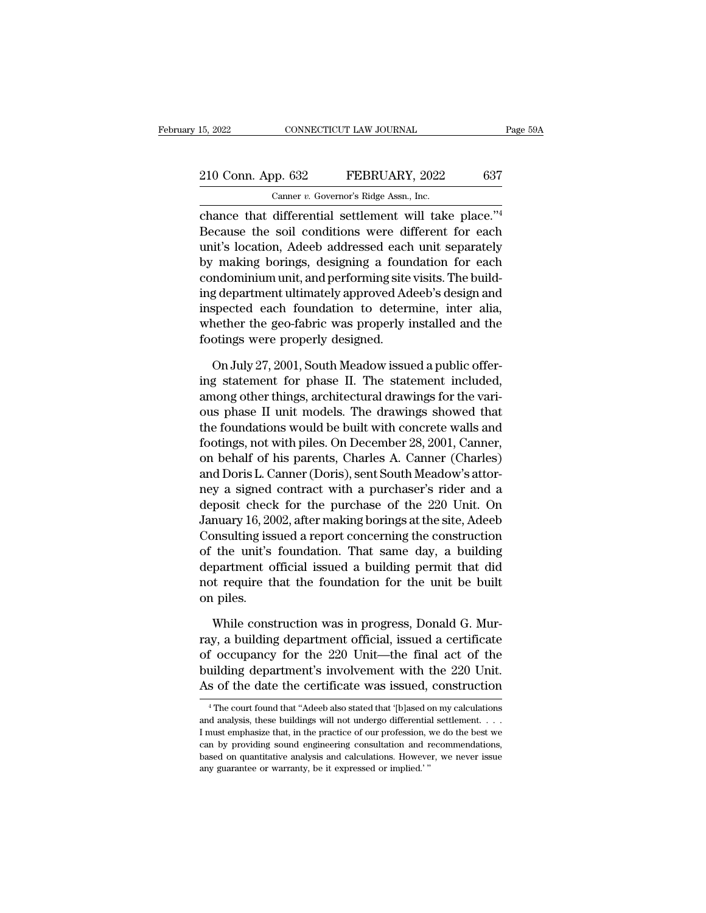# 15, 2022 CONNECTICUT LAW JOURNAL Page 59A<br>
210 Conn. App. 632 FEBRUARY, 2022 637<br>
Canner v. Governor's Ridge Assn., Inc.

EXERUARY, 2022<br>
CANNECTICUT LAW JOURNAL<br>
CANNECTICUT LAW JOURNAL<br>
CANNECTICUT LAW JOURNAL<br>
CANNECTICUT LAW JOURNAL<br>
CANNECTICUT LAW JOURNAL<br>
CANNECTICUT CANNECTIC PASSES CONTROLS CANNECTIC CANNECTIC PASSES CONTROLS CANNECT 210 Conn. App. 632 FEBRUARY, 2022 637<br>
Canner v. Governor's Ridge Assn., Inc.<br>
chance that differential settlement will take place."<sup>4</sup><br>
Because the soil conditions were different for each<br>
unit's location, Adeeb addresse 210 Conn. App. 632 FEBRUARY, 2022 637<br>
Canner v. Governor's Ridge Assn., Inc.<br>
chance that differential settlement will take place."<sup>4</sup><br>
Because the soil conditions were different for each<br>
unit's location, Adeeb addresse 210 Conn. App. 632 FEBRUARY, 2022 637<br>
Canner v. Governor's Ridge Assn., Inc.<br>
chance that differential settlement will take place."<sup>4</sup><br>
Because the soil conditions were different for each<br>
unit's location, Adeeb addresse Canner *v.* Governor's Ridge Assn., Inc.<br>
chance that differential settlement will take place."<sup>4</sup><br>
Because the soil conditions were different for each<br>
unit's location, Adeeb addressed each unit separately<br>
by making bor Camer *i*. Governor's hage assn., me.<br>
chance that differential settlement will take place."<sup>4</sup><br>
Because the soil conditions were different for each<br>
unit's location, Adeeb addressed each unit separately<br>
by making borings chance that differential settlement will take place."<sup>4</sup><br>Because the soil conditions were different for each<br>unit's location, Adeeb addressed each unit separately<br>by making borings, designing a foundation for each<br>condomin Because the soil conditions were different for each<br>unit's location, Adeeb addressed each unit separately<br>by making borings, designing a foundation for each<br>condominium unit, and performing site visits. The build-<br>ing depa unit's location, Adeeb addressed each<br>by making borings, designing a foun<br>condominium unit, and performing site<br>ing department ultimately approved Ad<br>inspected each foundation to deterr<br>whether the geo-fabric was properly ndominium unit, and performing site visits. The build-<br>g department ultimately approved Adeeb's design and<br>spected each foundation to determine, inter-alia,<br>nether the geo-fabric was properly installed and the<br>otings were ing department ultimately approved Adeeb's design and<br>inspected each foundation to determine, inter alia,<br>whether the geo-fabric was properly installed and the<br>footings were properly designed.<br>On July 27, 2001, South Meado

inspected each foundation to determine, inter alia,<br>whether the geo-fabric was properly installed and the<br>footings were properly designed.<br>On July 27, 2001, South Meadow issued a public offer-<br>ing statement for phase II. T whether the geo-fabric was properly installed and the<br>footings were properly designed.<br>On July 27, 2001, South Meadow issued a public offer-<br>ing statement for phase II. The statement included,<br>among other things, architect footings were properly designed.<br>
On July 27, 2001, South Meadow issued a public offer-<br>
ing statement for phase II. The statement included,<br>
among other things, architectural drawings for the vari-<br>
ous phase II unit mode On July 27, 2001, South Meadow issued a public offer-<br>ing statement for phase II. The statement included,<br>among other things, architectural drawings for the vari-<br>ous phase II unit models. The drawings showed that<br>the foun On July 27, 2001, South Meadow issued a public offering statement for phase II. The statement included, among other things, architectural drawings for the various phase II unit models. The drawings showed that the foundati ing statement for phase II. The statement included,<br>among other things, architectural drawings for the vari-<br>ous phase II unit models. The drawings showed that<br>the foundations would be built with concrete walls and<br>footing among other things, architectural drawings for the vari-<br>ous phase II unit models. The drawings showed that<br>the foundations would be built with concrete walls and<br>footings, not with piles. On December 28, 2001, Canner,<br>on ous phase II unit models. The drawings showed that<br>the foundations would be built with concrete walls and<br>footings, not with piles. On December 28, 2001, Canner,<br>on behalf of his parents, Charles A. Canner (Charles)<br>and Do the foundations would be built with concrete walls and<br>footings, not with piles. On December 28, 2001, Canner,<br>on behalf of his parents, Charles A. Canner (Charles)<br>and Doris L. Canner (Doris), sent South Meadow's attor-<br>n footings, not with piles. On December 28, 2001, Canner,<br>on behalf of his parents, Charles A. Canner (Charles)<br>and Doris L. Canner (Doris), sent South Meadow's attor-<br>ney a signed contract with a purchaser's rider and a<br>dep on behalf of his parents, Charles A. Canner (Charles)<br>and Doris L. Canner (Doris), sent South Meadow's attor-<br>ney a signed contract with a purchaser's rider and a<br>deposit check for the purchase of the 220 Unit. On<br>January and Doris L. Canner (Doris), sent South Meadow's attor-<br>ney a signed contract with a purchaser's rider and a<br>deposit check for the purchase of the 220 Unit. On<br>January 16, 2002, after making borings at the site, Adeeb<br>Cons ney a signed contract with a purchaser's rider and a deposit check for the purchase of the 220 Unit. On January 16, 2002, after making borings at the site, Adeeb Consulting issued a report concerning the construction of th deposit checl<br>January 16, 20<br>Consulting iss<br>of the unit's<br>department o<br>not require tl<br>on piles.<br>While const be unity issued a report concerning the construction<br>the unit's foundation. That same day, a building<br>partment official issued a building permit that did<br>t require that the foundation for the unit be built<br>piles.<br>While co of the unit's foundation. That same day, a building<br>department official issued a building permit that did<br>not require that the foundation for the unit be built<br>on piles.<br>While construction was in progress, Donald G. Mur-<br>r

department official issued a building permit that did<br>not require that the foundation for the unit be built<br>on piles.<br>While construction was in progress, Donald G. Mur-<br>ray, a building department official, issued a certifi not require that the foundation for the unit be built<br>on piles.<br>While construction was in progress, Donald G. Mur-<br>ray, a building department official, issued a certificate<br>of occupancy for the 220 Unit—the final act of th on piles.<br>
While construction was in progress, Donald G. Mur-<br>
ray, a building department official, issued a certificate<br>
of occupancy for the 220 Unit—the final act of the<br>
building department's involvement with the 220 U ray, a building department official, issued a certificate of occupancy for the 220 Unit—the final act of the building department's involvement with the 220 Unit. As of the date the certificate was issued, construction  $\over$ % of occupancy for the 220 Unit—the final act of the building department's involvement with the 220 Unit.<br>As of the date the certificate was issued, construction<br> $^{4}$ The court found that "Adeeb also stated that '[b]ased

building department's involvement with the 220 Unit.<br>As of the date the certificate was issued, construction<br><sup>4</sup>The court found that "Adeeb also stated that '[b]ased on my calculations<br>and analysis, these buildings will no As of the date the certificate was issued, construction<br>
<sup>4</sup> The court found that "Adeeb also stated that '[b]ased on my calculations<br>
and analysis, these buildings will not undergo differential settlement....<br>
I must emph As Of the tate the certificate was issued, construction<br>
<sup>4</sup> The court found that "Adeeb also stated that "[b]ased on my calculations<br>
and analysis, these buildings will not undergo differential settlement....<br>
I must emph  $^\circ$  The court found that "Adeeb also stated that '[b]ased or and analysis, these buildings will not undergo differential I must emphasize that, in the practice of our profession, v can by providing sound engineering cons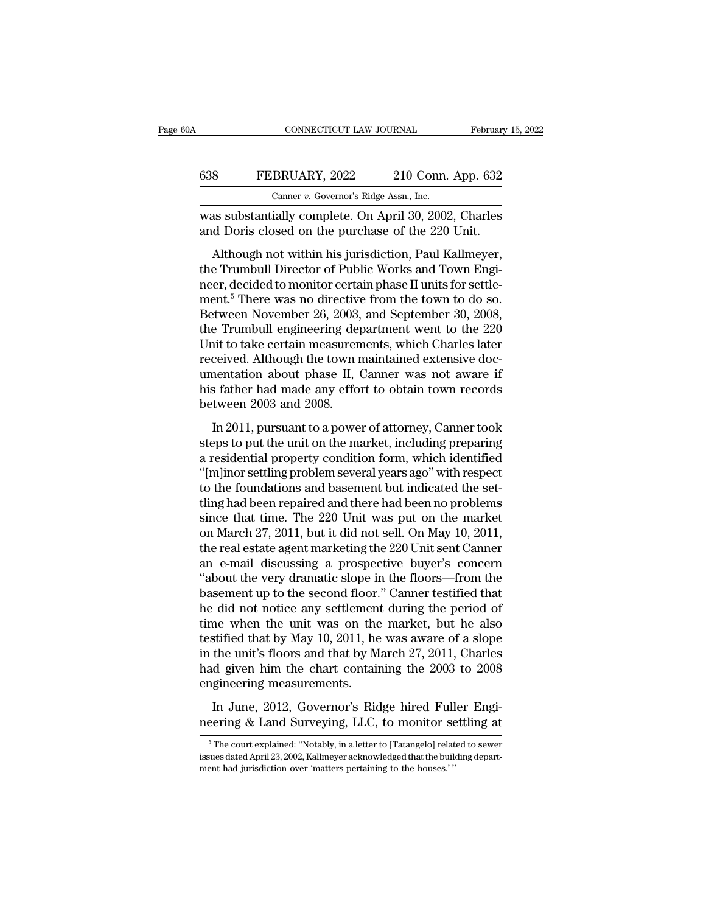| A   | CONNECTICUT LAW JOURNAL                                                                                     | February 15, 2022  |
|-----|-------------------------------------------------------------------------------------------------------------|--------------------|
| 638 | FEBRUARY, 2022                                                                                              | 210 Conn. App. 632 |
|     | Canner v. Governor's Ridge Assn., Inc.                                                                      |                    |
|     | was substantially complete. On April 30, 2002, Charles<br>and Doris closed on the purchase of the 220 Unit. |                    |
|     | Although not within his jurisdiction, Paul Kallmeyer,                                                       |                    |

FEBRUARY, 2022 210 Conn. App. 632<br>
Canner v. Governor's Ridge Assn., Inc.<br>
as substantially complete. On April 30, 2002, Charles<br>
d Doris closed on the purchase of the 220 Unit.<br>
Although not within his jurisdiction, Paul 638 FEBRUARY, 2022 210 Conn. App. 632<br>Canner v. Governor's Ridge Assn., Inc.<br>was substantially complete. On April 30, 2002, Charles<br>and Doris closed on the purchase of the 220 Unit.<br>Although not within his jurisdiction, P Canner v. Governor's Ridge Assn., Inc.<br>
was substantially complete. On April 30, 2002, Charles<br>
and Doris closed on the purchase of the 220 Unit.<br>
Although not within his jurisdiction, Paul Kallmeyer,<br>
the Trumbull Direct was substantially complete. On April 30, 2002, Charles<br>and Doris closed on the purchase of the 220 Unit.<br>Although not within his jurisdiction, Paul Kallmeyer,<br>the Trumbull Director of Public Works and Town Engi-<br>neer, deci was substantiany complete. On April 60, 2002, Charles<br>and Doris closed on the purchase of the 220 Unit.<br>Although not within his jurisdiction, Paul Kallmeyer,<br>the Trumbull Director of Public Works and Town Engi-<br>neer, decid Although not within his jurisdiction, Paul Kallmeyer,<br>the Trumbull Director of Public Works and Town Engi-<br>neer, decided to monitor certain phase II units for settle-<br>ment.<sup>5</sup> There was no directive from the town to do so. Although not within his jurisdiction, Paul Kallmeyer,<br>the Trumbull Director of Public Works and Town Engi-<br>neer, decided to monitor certain phase II units for settle-<br>ment.<sup>5</sup> There was no directive from the town to do so. the Trumbull Director of Public Works and Town Engineer, decided to monitor certain phase II units for settlement.<sup>5</sup> There was no directive from the town to do so.<br>Between November 26, 2003, and September 30, 2008, the Tr neer, decided to monitor certain phase II units for settlement.<sup>5</sup> There was no directive from the town to do so.<br>Between November 26, 2003, and September 30, 2008, the Trumbull engineering department went to the 220 Unit ment.<sup>5</sup> There was no directive from the town to do so.<br>Between November 26, 2003, and September 30, 2008,<br>the Trumbull engineering department went to the 220<br>Unit to take certain measurements, which Charles later<br>received Between November 26, 2003,<br>the Trumbull engineering dep<br>Unit to take certain measuren<br>received. Although the town r<br>umentation about phase II, (<br>his father had made any effo<br>between 2003 and 2008.<br>In 2011, pursuant to a po In 2011, pursuant to a power of attorney, Canner took the state ceived. Although the town maintained extensive doc-<br>nentation about phase II, Canner was not aware if<br>s father had made any effort to obtain town records<br>twee Free ived. Although the town maintained extensive documentation about phase II, Canner was not aware if<br>his father had made any effort to obtain town records<br>between 2003 and 2008.<br>In 2011, pursuant to a power of attorney,

received: individual property Canner was not aware if<br>this father had made any effort to obtain town records<br>between 2003 and 2008.<br>In 2011, pursuant to a power of attorney, Canner took<br>steps to put the unit on the market, this father had made any effort to obtain town records<br>between 2003 and 2008.<br>In 2011, pursuant to a power of attorney, Canner took<br>steps to put the unit on the market, including preparing<br>a residential property condition the fault and the foundations and 2008.<br>In 2011, pursuant to a power of attorney, Canner took<br>steps to put the unit on the market, including preparing<br>a residential property condition form, which identified<br>"[m]inor settli In 2011, pursuant to a power of attorney, Canner took<br>steps to put the unit on the market, including preparing<br>a residential property condition form, which identified<br>"[m]inor settling problem several years ago" with resp In 2011, pursuant to a power of attorney, Canner took<br>steps to put the unit on the market, including preparing<br>a residential property condition form, which identified<br>"(m]inor settling problem several years ago" with resp steps to put the unit on the market, including preparing<br>a residential property condition form, which identified<br>"[m]inor settling problem several years ago" with respect<br>to the foundations and basement but indicated the s a residential property condition form, which identified<br>"[m]inor settling problem several years ago" with respect<br>to the foundations and basement but indicated the set-<br>tling had been repaired and there had been no problem "[m]inor settling problem several years ago" with respect<br>to the foundations and basement but indicated the set-<br>tling had been repaired and there had been no problems<br>since that time. The 220 Unit was put on the market<br>o to the foundations and basement but indicated the set-<br>tling had been repaired and there had been no problems<br>since that time. The 220 Unit was put on the market<br>on March 27, 2011, but it did not sell. On May 10, 2011,<br>the tling had been repaired and there had been no problems<br>since that time. The 220 Unit was put on the market<br>on March 27, 2011, but it did not sell. On May 10, 2011,<br>the real estate agent marketing the 220 Unit sent Canner<br>a since that time. The 220 Unit was put on the market<br>on March 27, 2011, but it did not sell. On May 10, 2011,<br>the real estate agent marketing the 220 Unit sent Canner<br>an e-mail discussing a prospective buyer's concern<br>"abou on March 27, 2011, but it did not sell. On May 10, 2011,<br>the real estate agent marketing the 220 Unit sent Canner<br>an e-mail discussing a prospective buyer's concern<br>"about the very dramatic slope in the floors—from the<br>bas the real estate agent marketing the 220 Unit sent Canner<br>an e-mail discussing a prospective buyer's concern<br>"about the very dramatic slope in the floors—from the<br>basement up to the second floor." Canner testified that<br>he d an e-mail discussing a prospective buyer's concern<br>"about the very dramatic slope in the floors—from the<br>basement up to the second floor." Canner testified that<br>he did not notice any settlement during the period of<br>time wh "about the very dramatic slope in the floors—from the basement up to the second floor." Canner testified that he did not notice any settlement during the period of time when the unit was on the market, but he also testifi basement up to the second floor.<br>he did not notice any settlement<br>time when the unit was on the<br>testified that by May 10, 2011, he<br>in the unit's floors and that by M<br>had given him the chart contain<br>engineering measurements In June, 2012, Governor's Ridge hired Fuller Engi-<br>In June, 2012, Governor's Ridge hired Fuller Engi-<br>In June, 2012, Governor's Ridge hired Fuller Engi-<br>In June, 2012, Governor's Ridge hired Fuller Engi-<br>In June, 2012, Gov testified that by May 10, 2011, he was aware of a slope<br>in the unit's floors and that by March 27, 2011, Charles<br>had given him the chart containing the 2003 to 2008<br>engineering measurements.<br>In June, 2012, Governor's Ridg

1 The court explained: ''Notably, in a letter to [Tatangelo] related to sewer westerd April 23, 2002, Kallmeyer acknowledged that the building depart-

In June, 2012, Governor's Ridge hired Fuller Engi-<br>neering & Land Surveying, LLC, to monitor settling at<br><sup>5</sup> The court explained: "Notably, in a letter to [Tatangelo] related to sewer<br>issues dated April 23, 2002, Kallmeyer In June, 2012, Governor's Ridge hired Full<br>neering & Land Surveying, LLC, to monitor se<br><sup>5</sup>The court explained: "Notably, in a letter to [Tatangelo] relat<br>issues dated April 23, 2002, Kallmeyer acknowledged that the build<br>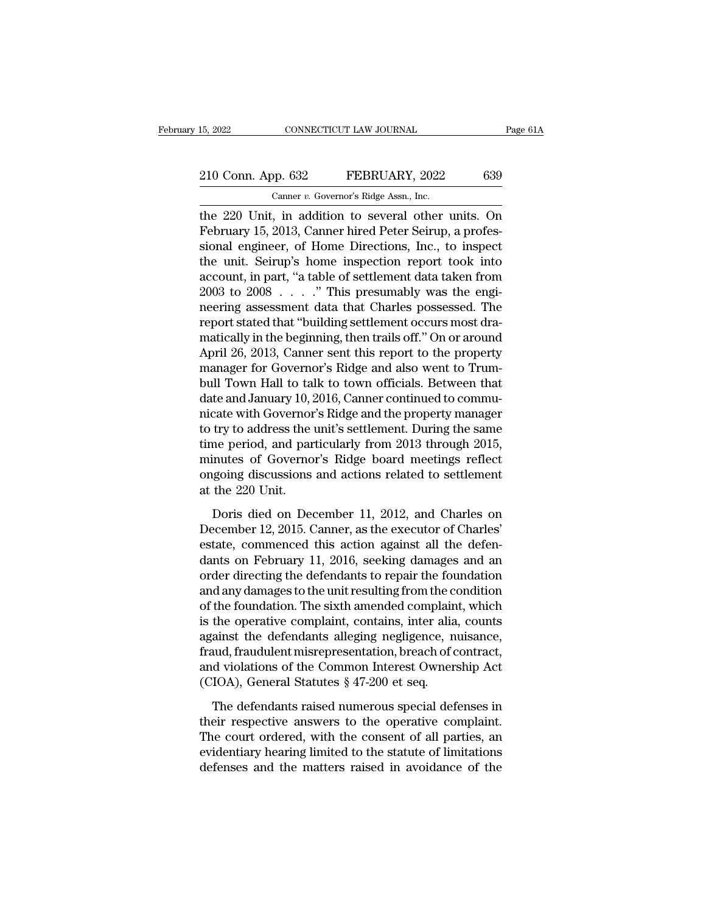# 15, 2022 CONNECTICUT LAW JOURNAL Page 61A<br>
210 Conn. App. 632 FEBRUARY, 2022 639<br>
Canner v. Governor's Ridge Assn., Inc.

15, 2022 CONNECTICUT LAW JOURNAL<br>
210 Conn. App. 632 FEBRUARY, 2022 639<br>
Canner *v.* Governor's Ridge Assn., Inc.<br>
the 220 Unit, in addition to several other units. On 15, 2022 CONNECTICUT LAW JOURNAL Page 61A<br>
210 Conn. App. 632 FEBRUARY, 2022 639<br>
Canner v. Governor's Ridge Assn., Inc.<br>
the 220 Unit, in addition to several other units. On<br>
February 15, 2013, Canner hired Peter Seirup, 210 Conn. App. 632 FEBRUARY, 2022 639<br>
Canner v. Governor's Ridge Assn., Inc.<br>
the 220 Unit, in addition to several other units. On<br>
February 15, 2013, Canner hired Peter Seirup, a profes-<br>
sional engineer, of Home Directi 210 Conn. App. 632 FEBRUARY, 2022 639<br>
Camer v. Governor's Ridge Assn., Inc.<br>
the 220 Unit, in addition to several other units. On<br>
February 15, 2013, Canner hired Peter Seirup, a profes-<br>
sional engineer, of Home Directi 210 Conn. App. 632 FEBRUARY, 2022 639<br>
Canner v. Governor's Ridge Assn., Inc.<br>
the 220 Unit, in addition to several other units. On<br>
February 15, 2013, Canner hired Peter Seirup, a profes-<br>
sional engineer, of Home Direct Canner v. Governor's Ridge Assn., Inc.<br>
the 220 Unit, in addition to several other units. On<br>
February 15, 2013, Canner hired Peter Seirup, a profes-<br>
sional engineer, of Home Directions, Inc., to inspect<br>
the unit. Seiru Camer *v*. Governors range Assn., mc.<br>
the 220 Unit, in addition to several other units. On<br>
February 15, 2013, Canner hired Peter Seirup, a profes-<br>
sional engineer, of Home Directions, Inc., to inspect<br>
the unit. Seirup the 220 Unit, in addition to several other units. On<br>February 15, 2013, Canner hired Peter Seirup, a profes-<br>sional engineer, of Home Directions, Inc., to inspect<br>the unit. Seirup's home inspection report took into<br>account February 15, 2013, Canner hired Peter Seirup, a professional engineer, of Home Directions, Inc., to inspect<br>the unit. Seirup's home inspection report took into<br>account, in part, "a table of settlement data taken from<br>2003 sional engineer, of Home Directions, Inc., to inspect<br>the unit. Seirup's home inspection report took into<br>account, in part, "a table of settlement data taken from<br>2003 to 2008 . . . . ." This presumably was the engi-<br>neeri the unit. Seirup's home inspection report took into<br>account, in part, "a table of settlement data taken from<br>2003 to 2008 . . . . ." This presumably was the engi-<br>neering assessment data that Charles possessed. The<br>report account, in part, "a table of settlement data taken from<br>2003 to 2008 . . . . " This presumably was the engi-<br>neering assessment data that Charles possessed. The<br>report stated that "building settlement occurs most dra-<br>mat 2003 to 2008  $\ldots$  ." This presumably was the engi-<br>neering assessment data that Charles possessed. The<br>report stated that "building settlement occurs most dra-<br>matically in the beginning, then trails off." On or around<br>A neering assessment data that Charles possessed. The<br>report stated that "building settlement occurs most dra-<br>matically in the beginning, then trails off." On or around<br>April 26, 2013, Canner sent this report to the propert report stated that "building settlement occurs most dramatically in the beginning, then trails off." On or around April 26, 2013, Canner sent this report to the property manager for Governor's Ridge and also went to Trumbu matically in the beginning, then trails off." On or around<br>April 26, 2013, Canner sent this report to the property<br>manager for Governor's Ridge and also went to Trum-<br>bull Town Hall to talk to town officials. Between that<br> April 26, 2013, Canner sent this report to the property<br>manager for Governor's Ridge and also went to Trum-<br>bull Town Hall to talk to town officials. Between that<br>date and January 10, 2016, Canner continued to commu-<br>nicat manager for Governor's Ridge and also went to Trum-<br>bull Town Hall to talk to town officials. Between that<br>date and January 10, 2016, Canner continued to commu-<br>nicate with Governor's Ridge and the property manager<br>to try bull Town Hall to talk to town officials. Between that<br>date and January 10, 2016, Canner continued to commu-<br>nicate with Governor's Ridge and the property manager<br>to try to address the unit's settlement. During the same<br>ti date and January 10, 2<br>nicate with Governor<br>to try to address the<br>time period, and par<br>minutes of Governo<br>ongoing discussions<br>at the 220 Unit.<br>Doris died on Dec try to address the unit's settlement. During the same<br>me period, and particularly from 2013 through 2015,<br>inutes of Governor's Ridge board meetings reflect<br>going discussions and actions related to settlement<br>the 220 Unit.<br> time period, and particularly from 2013 through 2015,<br>minutes of Governor's Ridge board meetings reflect<br>ongoing discussions and actions related to settlement<br>at the 220 Unit.<br>Doris died on December 11, 2012, and Charles o

minutes of Governor's Ridge board meetings reflect<br>ongoing discussions and actions related to settlement<br>at the 220 Unit.<br>Doris died on December 11, 2012, and Charles on<br>December 12, 2015. Canner, as the executor of Charle ongoing discussions and actions related to settlement<br>at the 220 Unit.<br>Doris died on December 11, 2012, and Charles on<br>December 12, 2015. Canner, as the executor of Charles'<br>estate, commenced this action against all the de at the 220 Unit.<br>
Doris died on December 11, 2012, and Charles on<br>
December 12, 2015. Canner, as the executor of Charles'<br>
estate, commenced this action against all the defen-<br>
dants on February 11, 2016, seeking damages a Doris died on December 11, 2012, and Charles on<br>December 12, 2015. Canner, as the executor of Charles'<br>estate, commenced this action against all the defen-<br>dants on February 11, 2016, seeking damages and an<br>order directing Doris died on December 11, 2012, and Charles on<br>December 12, 2015. Canner, as the executor of Charles'<br>estate, commenced this action against all the defen-<br>dants on February 11, 2016, seeking damages and an<br>order directing December 12, 2015. Canner, as the executor of Charles'<br>estate, commenced this action against all the defen-<br>dants on February 11, 2016, seeking damages and an<br>order directing the defendants to repair the foundation<br>and any estate, commenced this action against all the defendants on February 11, 2016, seeking damages and an order directing the defendants to repair the foundation and any damages to the unit resulting from the condition of the dants on February 11, 2016, seeking damages and an order directing the defendants to repair the foundation and any damages to the unit resulting from the condition of the foundation. The sixth amended complaint, which is order directing the defendants to repair the foundation<br>and any damages to the unit resulting from the condition<br>of the foundation. The sixth amended complaint, which<br>is the operative complaint, contains, inter alia, count and any damages to the unit resulting from the complain<br>of the foundation. The sixth amended complain<br>is the operative complaint, contains, inter alia<br>against the defendants alleging negligence, n<br>fraud, fraudulent misrepr the operative complaint, contains, inter alia, counts<br>ainst the defendants alleging negligence, nuisance,<br>aud, fraudulent misrepresentation, breach of contract,<br>d violations of the Common Interest Ownership Act<br>IOA), Gene against the defendants alleging negligence, nuisance,<br>fraud, fraudulent misrepresentation, breach of contract,<br>and violations of the Common Interest Ownership Act<br>(CIOA), General Statutes § 47-200 et seq.<br>The defendants ra

fraud, fraudulent misrepresentation, breach of contract,<br>and violations of the Common Interest Ownership Act<br>(CIOA), General Statutes  $\S$  47-200 et seq.<br>The defendants raised numerous special defenses in<br>their respective and violations of the Common Interest Ownership Act (CIOA), General Statutes  $\S$  47-200 et seq.<br>The defendants raised numerous special defenses in their respective answers to the operative complaint.<br>The court ordered, wi (CIOA), General Statutes  $\S$  47-200 et seq.<br>The defendants raised numerous special defenses in<br>their respective answers to the operative complaint.<br>The court ordered, with the consent of all parties, an<br>evidentiary hearin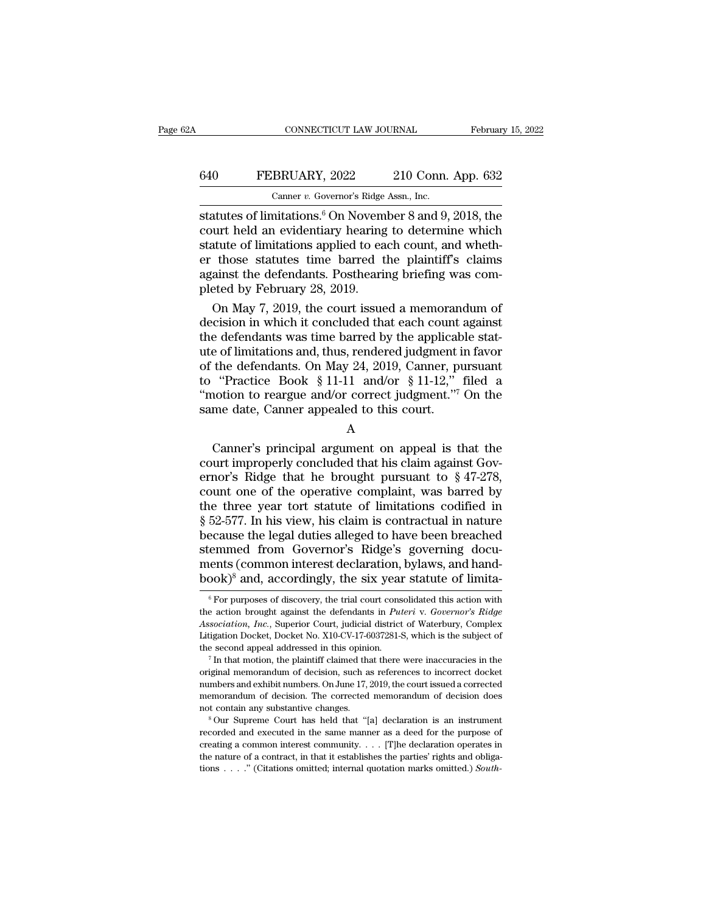## CONNECTICUT LAW JOURNAL February 15, 2022<br>640 FEBRUARY, 2022 210 Conn. App. 632<br>Canner v. Governor's Ridge Assn., Inc. CONNECTICUT LAW JOURNAL Februar<br>
Februar<br>
640 FEBRUARY, 2022 210 Conn. App. 632<br>
Canner *v.* Governor's Ridge Assn., Inc.<br>
statutes of limitations.<sup>6</sup> On November 8 and 9, 2018, the

CONNECTICUT LAW JOURNAL February 15, 2022<br>
Statutes of limitations.<sup>6</sup> On November 8 and 9, 2018, the<br>
court held an evidentiary hearing to determine which<br>
Statutes of limitations.<sup>6</sup> On November 8 and 9, 2018, the<br>
statu EXEMPLARY, 2022 210 Conn. App. 632<br>
Canner v. Governor's Ridge Assn., Inc.<br>
Statutes of limitations.<sup>6</sup> On November 8 and 9, 2018, the<br>
court held an evidentiary hearing to determine which<br>
statute of limitations applied 640 FEBRUARY, 2022 210 Conn. App. 632<br>
Canner v. Governor's Ridge Assn., Inc.<br>
statutes of limitations.<sup>6</sup> On November 8 and 9, 2018, the<br>
court held an evidentiary hearing to determine which<br>
statute of limitations appli ERRUARY, 2022 210 Conn. App. 632<br>
Canner v. Governor's Ridge Assn., Inc.<br>
statutes of limitations.<sup>6</sup> On November 8 and 9, 2018, the<br>
court held an evidentiary hearing to determine which<br>
statute of limitations applied to Canner v. Governor's Ridge Assn., Inc.<br>
statutes of limitations.<sup>6</sup> On November 8 and 9, 2018, the<br>
court held an evidentiary hearing to determine which<br>
statute of limitations applied to each count, and wheth-<br>
er those Canner v. Governor's Ridge<br>statutes of limitations.<sup>6</sup> On Novem<br>court held an evidentiary hearing<br>statute of limitations applied to ea<br>er those statutes time barred t<br>against the defendants. Posthearin<br>pleted by February atutes of limitations.<sup>6</sup> On November 8 and 9, 2018, the<br>urt held an evidentiary hearing to determine which<br>atute of limitations applied to each count, and wheth-<br>those statutes time barred the plaintiff's claims<br>ainst the court held an evidentiary hearing to determine which<br>statute of limitations applied to each count, and wheth-<br>er those statutes time barred the plaintiff's claims<br>against the defendants. Posthearing briefing was com-<br>plete

statute of limitations applied to each count, and whether<br>those statutes time barred the plaintiff's claims<br>against the defendants. Posthearing briefing was com-<br>pleted by February 28, 2019.<br>On May 7, 2019, the court issu er those statutes time barred the plaintiff's claims<br>against the defendants. Posthearing briefing was com-<br>pleted by February 28, 2019.<br>On May 7, 2019, the court issued a memorandum of<br>decision in which it concluded that e against the defendants. Posthearing briefing was completed by February 28, 2019.<br>
On May 7, 2019, the court issued a memorandum of<br>
decision in which it concluded that each count against<br>
the defendants was time barred by pleted by February 28, 2019.<br>
On May 7, 2019, the court issued a memorandum of<br>
decision in which it concluded that each count against<br>
the defendants was time barred by the applicable stat-<br>
ute of limitations and, thus, On May 7, 2019, the court issued a memorandum of<br>decision in which it concluded that each count against<br>the defendants was time barred by the applicable stat-<br>ute of limitations and, thus, rendered judgment in favor<br>of th decision in which it concluded that each count<br>the defendants was time barred by the applicab<br>ute of limitations and, thus, rendered judgment i<br>of the defendants. On May 24, 2019, Canner, pi<br>to "Practice Book § 11-11 and/ For initiations and, thus, rendered judgment in ravor<br>the defendants. On May 24, 2019, Canner, pursuant<br>"Practice Book § 11-11 and/or § 11-12," filed a<br>notion to reargue and/or correct judgment."<sup>7</sup> On the<br>me date, Canner

A

of the defendants. On May 24, 2019, Canner, pursuant<br>to "Practice Book § 11-11 and/or § 11-12," filed a<br>"motion to reargue and/or correct judgment."<sup>7</sup> On the<br>same date, Canner appealed to this court.<br>A<br>Canner's principal Fractice Book § 11-11 and/or § 11-12, filed a<br>
"motion to reargue and/or correct judgment."<sup>7</sup> On the<br>
same date, Canner appealed to this court.<br>
A<br>
Canner's principal argument on appeal is that the<br>
court improperly conc Exame date, Canner appealed to this court.<br>
A<br>
Canner's principal argument on appeal is that the<br>
court improperly concluded that his claim against Gov-<br>
ernor's Ridge that he brought pursuant to § 47-278,<br>
count one of t A<br>
Canner's principal argument on appeal is that the<br>
court improperly concluded that his claim against Gov-<br>
ernor's Ridge that he brought pursuant to  $\S 47-278$ ,<br>
count one of the operative complaint, was barred by<br>
the A<br>
Canner's principal argument on appeal is that the<br>
court improperly concluded that his claim against Gov-<br>
ernor's Ridge that he brought pursuant to § 47-278,<br>
count one of the operative complaint, was barred by<br>
the t Canner's principal argument on appeal is that the<br>court improperly concluded that his claim against Gov-<br>ernor's Ridge that he brought pursuant to  $\S 47-278$ ,<br>count one of the operative complaint, was barred by<br>the three court improperly concluded that his claim against Governor's Ridge that he brought pursuant to § 47-278, count one of the operative complaint, was barred by the three year tort statute of limitations codified in § 52-577. ernor's Ridge that he brought pursuant to § 47-278, count one of the operative complaint, was barred by the three year tort statute of limitations codified in § 52-577. In his view, his claim is contractual in nature beca count one of the operative complaint, was barred by<br>the three year tort statute of limitations codified in<br>§ 52-577. In his view, his claim is contractual in nature<br>because the legal duties alleged to have been breached<br>s ecause the legal duties alleged to have been breached<br>emmed from Governor's Ridge's governing docu-<br>ents (common interest declaration, bylaws, and hand-<br> $100 \text{K}$ <sup>8</sup> and, accordingly, the six year statute of limita-<br> $10^{$ stemmed from Governor's Ridge's governing documents (common interest declaration, bylaws, and hand-<br>book)<sup>8</sup> and, accordingly, the six year statute of limita-<br><sup>6</sup> For purposes of discovery, the trial court consolidated thi

**Association, Inc., Superior Court, inc.**, Superior Court, Dividend Mand-Book)<sup>8</sup> and, accordingly, the six year statute of limita-<br>
<sup>®</sup> For purposes of discovery, the trial court consolidated this action with the action b book)<sup>8</sup> and, accordingly, the six year statute of limita-<br>
<sup>6</sup> For purposes of discovery, the trial court consolidated this action with the action brought against the defendants in *Puteri* v. *Governor's Ridge Associati*  $\frac{1}{1000 \text{ K}}$  and, accordingly, the six year statute of initia-<br>  $\frac{1}{1000 \text{ K}}$  for purposes of discovery, the trial court consolidated this action with<br>
the action brought against the defendants in *Puteri* v. *Gove* the action brought against the defendants in *Puteri* v. *Governor's Ridge*<br>Association, *Inc.*, Superior Court, judicial district of Waterbury, Complex<br>Litigation Docket, Docket No. X10-CV-17-6037281-S, which is the subje

Association, *Inc.*, Superior Court, judicial district of Waterbury, Complex Litigation Docket, Docket No. X10-CV-17-6037281-S, which is the subject of the second appeal addressed in this opinion.<br><sup>7</sup> In that motion, the p Litigation Docket, Docket No.  $X10$ -CV-17-6037281-S, which is the subject of the second appeal addressed in this opinion.<br>
<sup>7</sup> In that motion, the plaintiff claimed that there were inaccuracies in the original memorandum The second appeal addressed in this opinion.<br>
<sup>7</sup> In that motion, the plaintiff claimed that there were inaccuracies in the original memorandum of decision, such as references to incorrect docket numbers and exhibit numbe Figure and executed and executed in the same manner as a deed for the purpose original memorandum of decision, such as references to incorrect docket numbers and exhibit numbers. On June 17, 2019, the court issued a corre

creating a common interest community. . . . [T] a corrected memorandum of decision. The corrected memorandum of decision does not contain any substantive changes.<br>
<sup>8</sup> Our Supreme Court has held that "[a] declaration is a the nature of a contract, in that it establishes the particle in a memorandum of decision. The corrected memorandum of decision does not contain any substantive changes.<br><sup>8</sup> Our Supreme Court has held that "[a] declaratio not contain any substantive changes.<br>
<sup>8</sup> Our Supreme Court has held that "[a] declaration is an instrument recorded and executed in the same manner as a deed for the purpose of creating a common interest community. . . .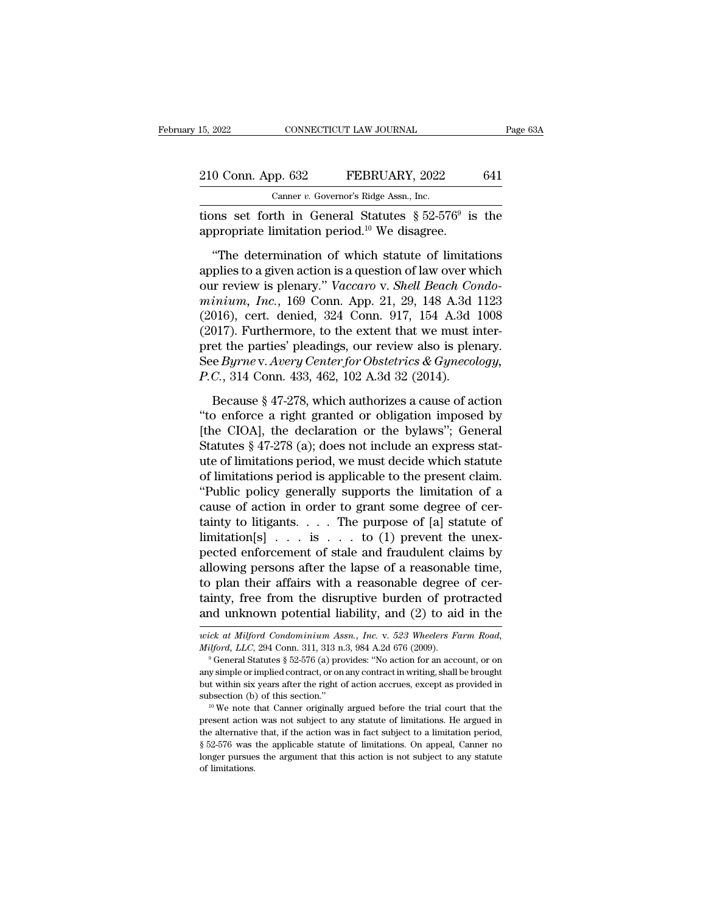| 15, 2022 |                    | CONNECTICUT LAW JOURNAL                                  | Page 63A |
|----------|--------------------|----------------------------------------------------------|----------|
|          | 210 Conn. App. 632 | FEBRUARY, 2022                                           | 641      |
|          |                    | Canner v. Governor's Ridge Assn., Inc.                   |          |
|          |                    | tions set forth in General Statutes $\S 52-576^9$ is the |          |

15, 2022 CONNECTICUT LAW JOURNAL<br>
210 Conn. App. 632 FEBRUARY, 2022 64<br>
Canner v. Governor's Ridge Assn., Inc.<br>
tions set forth in General Statutes  $\S 52-576^9$  is the appropriate limitation period.<sup>10</sup> We disagree. Page 63A<br>641<br>is the 210 Conn. App. 632 FEBRUARY, 2022<br>
Canner v. Governor's Ridge Assn., Inc.<br>
tions set forth in General Statutes § 52-576<sup>9</sup> is<br>
appropriate limitation period.<sup>10</sup> We disagree.<br>
"The determination of which statute of limita

<sup>0</sup> Conn. App. 632 FEBRUARY, 2022 641<br>
Canner *v.* Governor's Ridge Assn., Inc.<br>
ons set forth in General Statutes  $\S 52-576^9$  is the<br>
propriate limitation period.<sup>10</sup> We disagree.<br>
"The determination of which statute of 210 Conn. App. 632 FEBRUARY, 2022 641<br>
Canner v. Governor's Ridge Assn., Inc.<br>
tions set forth in General Statutes § 52-576<sup>9</sup> is the<br>
appropriate limitation period.<sup>10</sup> We disagree.<br>
"The determination of which statute o Canner v. Governor's Ridge Assn., Inc.<br>
tions set forth in General Statutes § 52-576<sup>9</sup> is the<br>
appropriate limitation period.<sup>10</sup> We disagree.<br>
"The determination of which statute of limitations<br>
applies to a given action tions set forth in General Statutes  $\S 52-576^9$  is the<br>appropriate limitation period.<sup>10</sup> We disagree.<br>"The determination of which statute of limitations<br>applies to a given action is a question of law over which<br>our revi appropriate limitation period.<sup>10</sup> We disagree.<br>
"The determination of which statute of limitations<br>
applies to a given action is a question of law over which<br>
our review is plenary." *Vaccaro* v. *Shell Beach Condo-<br>
min* "The determination period." We distigate.<br>
"The determination of which statute of limitations<br>
applies to a given action is a question of law over which<br>
our review is plenary." Vaccaro v. Shell Beach Condo-<br>
minium, Inc. "The determination of which statute of limitations<br>applies to a given action is a question of law over which<br>our review is plenary." Vaccaro v. Shell Beach Condo-<br>minium, Inc., 169 Conn. App. 21, 29, 148 A.3d 1123<br>(2016), applies to a given action is a question of law over which<br>our review is plenary." *Vaccaro* v. *Shell Beach Condo-*<br>*minium, Inc.*, 169 Conn. App. 21, 29, 148 A.3d 1123<br>(2016), cert. denied, 324 Conn. 917, 154 A.3d 1008<br>(2 our review is plenary." *Vaccaro v. Shell Beach Conninium, Inc.*, 169 Conn. App. 21, 29, 148 A.3d (2016), cert. denied, 324 Conn. 917, 154 A.3d (2017). Furthermore, to the extent that we must in pret the parties' pleadings 016), cert. denied, 324 Conn. 917, 154 A.3d 1008<br>017). Furthermore, to the extent that we must inter-<br>et the parties' pleadings, our review also is plenary.<br>e Byrne v. Avery Center for Obstetrics & Gynecology,<br>C., 314 Con (2017). Furthermore, to the extent that we must inter-<br>pret the parties' pleadings, our review also is plenary.<br>See *Byrne* v. Avery Center for Obstetrics & Gynecology,<br>P.C., 314 Conn. 433, 462, 102 A.3d 32 (2014).<br>Becaus

(2011). Talactinotally, to the direction dial we make meat<br>pret the parties' pleadings, our review also is plenary.<br>See Byrne v. Avery Center for Obstetrics & Gynecology,<br>P.C., 314 Conn. 433, 462, 102 A.3d 32 (2014).<br>Beca See *Byrne* v. *Avery Center for Obstetrics & Gynecology,*<br> *P.C.*, 314 Conn. 433, 462, 102 A.3d 32 (2014).<br>
Because § 47-278, which authorizes a cause of action<br>
"to enforce a right granted or obligation imposed by<br>
[the P.C., 314 Conn. 433, 462, 102 A.3d 32 (2014).<br>
Because § 47-278, which authorizes a cause of action<br>
"to enforce a right granted or obligation imposed by<br>
[the CIOA], the declaration or the bylaws"; General<br>
Statutes § 47 Because § 47-278, which authorizes a cause of action<br>"to enforce a right granted or obligation imposed by<br>[the CIOA], the declaration or the bylaws"; General<br>Statutes § 47-278 (a); does not include an express stat-<br>ute of Because § 47-278, which authorizes a cause of action<br>
"to enforce a right granted or obligation imposed by<br>
[the CIOA], the declaration or the bylaws"; General<br>
Statutes § 47-278 (a); does not include an express stat-<br>
ute "to enforce a right granted or obligation imposed by<br>[the CIOA], the declaration or the bylaws"; General<br>Statutes § 47-278 (a); does not include an express stat-<br>ute of limitations period, we must decide which statute<br>of [the CIOA], the declaration or the bylaws"; General<br>Statutes § 47-278 (a); does not include an express stat-<br>ute of limitations period, we must decide which statute<br>of limitations period is applicable to the present claim Statutes § 47-278 (a); does not include an express statute of limitations period, we must decide which statute of limitations period is applicable to the present claim. "Public policy generally supports the limitation of ute of limitations period, we must decide which statute<br>of limitations period is applicable to the present claim.<br>"Public policy generally supports the limitation of a<br>cause of action in order to grant some degree of cer-<br> % of limitations period is applicable to the present claim.<br>
"Public policy generally supports the limitation of a<br>
cause of action in order to grant some degree of cer-<br>
tainty to litigants. . . . The purpose of [a] stat "Public policy generally supports the limitation of a<br>cause of action in order to grant some degree of cer-<br>tainty to litigants. . . . The purpose of [a] statute of<br>limitation[s] . . . is . . . to (1) prevent the unex-<br>pe cause of action in order to grant some degree of certainty to litigants. . . . The purpose of [a] statute of limitation[s] . . . is . . . to (1) prevent the unexpected enforcement of stale and fraudulent claims by allowin tainty to litigants. . . . The purpose of [a] statute of<br>limitation[s] . . . is . . . to (1) prevent the unex-<br>pected enforcement of stale and fraudulent claims by<br>allowing persons after the lapse of a reasonable time,<br>to allowing persons after the lapse of a reasonable time, to plan their affairs with a reasonable degree of certainty, free from the disruptive burden of protracted and unknown potential liability, and (2) to aid in the *wick Milford, LLC*, 294 Conn. 311, 313 n.3, 984 A.2d 676 (2009). The statutes  $\frac{M}{d}$  and  $\frac{M}{d}$  and  $\frac{M}{d}$  condominium *Assn.*, *Inc.* v. 523 *Wheelers Farm Road, Milford, LLC*, 294 Conn. 311, 313 n.3, 984 A.2d 676

and unknown potential liability, and (2) to aid in the wick at Milford Condominium Assn., Inc. v. 523 Wheelers Farm Road, Milford, LLC, 294 Conn. 311, 313 n.3, 984 A.2d 676 (2009).<br>
<sup>9</sup> General Statutes § 52-576 (a) provi wick at Milford Condominium Assn., Inc. v. 523 Wheelers Farm Road,<br>witford, LLC, 294 Conn. 311, 313 n.3, 984 A.2d 676 (2009).<br><sup>9</sup> General Statutes § 52-576 (a) provides: "No action for an account, or on<br>any simple or impl wick at Milford Condominium Assn., Inc. v. 523 Wheelers Farm Road, Milford, LLC, 294 Conn. 311, 313 n.3, 984 A.2d 676 (2009).<br><sup>9</sup> General Statutes § 52-576 (a) provides: "No action for an account, or on any simple or impli <sup>9</sup> General Statutes § 52-576 (a) provides: "No action for an account, or on any simple or implied contract, or on any contract in writing, shall be brought but within six years after the right of action accrues, except a

but within six years after the right of action accrues, except as provided in subsection (b) of this section."<br><sup>10</sup> We note that Canner originally argued before the trial court that the present action was not subject to a any simple of mysers after the right of action accrues, except as provided in subsection (b) of this section."<br><sup>10</sup> We note that Canner originally argued before the trial court that the present action was not subject to an subsection (b) of this section."<br>
<sup>10</sup> We note that Canner originally argued before the trial court that the<br>
present action was not subject to any statute of limitations. He argued in<br>
the alternative that, if the action present action was not subject to any statute of limitations. He argued in the alternative that, if the action was in fact subject to a limitation period,  $\S$  52-576 was the applicable statute of limitations. On appeal, C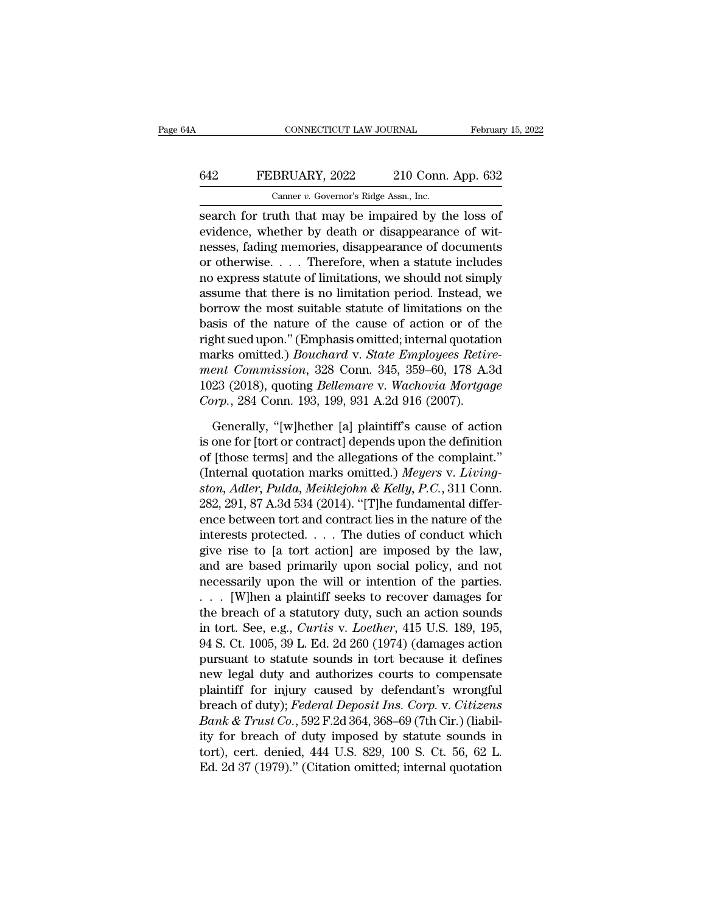## CONNECTICUT LAW JOURNAL February 15, 2022<br>642 FEBRUARY, 2022 210 Conn. App. 632<br>Canner v. Governor's Ridge Assn., Inc. CONNECTICUT LAW JOURNAL Februar<br>
Februar<br>
642 FEBRUARY, 2022 210 Conn. App. 632<br>
Canner *v.* Governor's Ridge Assn., Inc.<br>
search for truth that may be impaired by the loss of

CONNECTICUT LAW JOURNAL February 15, 202<br>
FEBRUARY, 2022 210 Conn. App. 632<br>
Canner v. Governor's Ridge Assn., Inc.<br>
Search for truth that may be impaired by the loss of<br>
evidence, whether by death or disappearance of wit-EVIDENT, 2022 210 Conn. App. 632<br>
Canner v. Governor's Ridge Assn., Inc.<br>
Search for truth that may be impaired by the loss of<br>
evidence, whether by death or disappearance of wit-<br>
nesses, fading memories, disappearance of FEBRUARY, 2022 210 Conn. App. 632<br>
Camer v. Governor's Ridge Assn., Inc.<br>
search for truth that may be impaired by the loss of<br>
evidence, whether by death or disappearance of wit-<br>
nesses, fading memories, disappearance o **EXERUARY, 2022** 210 Conn. App. 632<br>
Canner v. Governor's Ridge Assn., Inc.<br>
search for truth that may be impaired by the loss of<br>
evidence, whether by death or disappearance of wit-<br>
nesses, fading memories, disappearanc Canner v. Governor's Ridge Assn., Inc.<br>
search for truth that may be impaired by the loss of<br>
evidence, whether by death or disappearance of wit-<br>
nesses, fading memories, disappearance of documents<br>
or otherwise.... Ther Example 1. Governor's hage Assn., Inc.<br>
search for truth that may be impaired by the loss of<br>
evidence, whether by death or disappearance of wit-<br>
nesses, fading memories, disappearance of documents<br>
or otherwise.... Ther search for truth that may be impaired by the loss of<br>evidence, whether by death or disappearance of wit-<br>nesses, fading memories, disappearance of documents<br>or otherwise.... Therefore, when a statute includes<br>no express st evidence, whether by death or disappearance of witnesses, fading memories, disappearance of documents<br>or otherwise.... Therefore, when a statute includes<br>no express statute of limitations, we should not simply<br>assume that resses, fading memories, disappearance of documents<br>or otherwise.... Therefore, when a statute includes<br>no express statute of limitations, we should not simply<br>assume that there is no limitation period. Instead, we<br>borrow or otherwise.... Therefore, when a statute includes<br>no express statute of limitations, we should not simply<br>assume that there is no limitation period. Instead, we<br>borrow the most suitable statute of limitations on the<br>basi no express statute of limitations, we should not simply<br>assume that there is no limitation period. Instead, we<br>borrow the most suitable statute of limitations on the<br>basis of the nature of the cause of action or of the<br>rig assume that there is no limitation period. Instead, we<br>borrow the most suitable statute of limitations on the<br>basis of the nature of the cause of action or of the<br>right sued upon." (Emphasis omitted; internal quotation<br>mar borrow the most suitable statute of limitations on the basis of the nature of the cause of action or of the right sued upon." (Emphasis omitted; internal quotationarks omitted.) *Bouchard* v. *State Employees Retir ment Co* ght sued upon." (Emphasis omitted; internal quotation<br>arks omitted.) *Bouchard v. State Employees Retire-*<br>*ent Commission*, 328 Conn. 345, 359–60, 178 A.3d<br>23 (2018), quoting *Bellemare v. Wachovia Mortgage*<br>*prp.*, 284 C marks omitted.) *Bouchard* v. *State Employees Retire-<br>ment Commission*, 328 Conn. 345, 359–60, 178 A.3d<br>1023 (2018), quoting *Bellemare* v. *Wachovia Mortgage*<br>*Corp.*, 284 Conn. 193, 199, 931 A.2d 916 (2007).<br>Generally,

ment Commission, 328 Conn. 345, 359–60, 178 A.3d<br>1023 (2018), quoting *Bellemare* v. Wachovia Mortgage<br>Corp., 284 Conn. 193, 199, 931 A.2d 916 (2007).<br>Generally, "[w]hether [a] plaintiff's cause of action<br>is one for [tort 1023 (2018), quoting *Bellemare* v. *Wachovia Mortgage*<br>Corp., 284 Conn. 193, 199, 931 A.2d 916 (2007).<br>Generally, "[w]hether [a] plaintiff's cause of action<br>is one for [tort or contract] depends upon the definition<br>of [th *Corp.*, 284 Conn. 193, 199, 931 A.2d 916 (2007).<br>
Generally, "[w]hether [a] plaintiff's cause of action<br>
is one for [tort or contract] depends upon the definition<br>
of [those terms] and the allegations of the complaint."<br> Generally, "[w]hether [a] plaintiff's cause of action<br>is one for [tort or contract] depends upon the definition<br>of [those terms] and the allegations of the complaint."<br>(Internal quotation marks omitted.) Meyers v. Living-<br> Generally, "[w]hether [a] plaintiff's cause of action<br>is one for [tort or contract] depends upon the definition<br>of [those terms] and the allegations of the complaint."<br>(Internal quotation marks omitted.) Meyers v. Livingis one for [tort or contract] depends upon the definition<br>of [those terms] and the allegations of the complaint."<br>(Internal quotation marks omitted.) Meyers v. Living-<br>ston, Adler, Pulda, Meiklejohn & Kelly, P.C., 311 Con of [those terms] and the allegations of the complaint."<br>(Internal quotation marks omitted.) Meyers v. Living-<br>ston, Adler, Pulda, Meiklejohn & Kelly, P.C., 311 Conn.<br>282, 291, 87 A.3d 534 (2014). "[T]he fundamental differ (Internal quotation marks omitted.) Meyers v. Living-<br>ston, Adler, Pulda, Meiklejohn & Kelly, P.C., 311 Conn.<br>282, 291, 87 A.3d 534 (2014). "[T]he fundamental differ-<br>ence between tort and contract lies in the nature of t ston, Adler, Pulda, Meiklejohn & Kelly, P.C., 311 Conn.<br>282, 291, 87 A.3d 534 (2014). "[T]he fundamental differ-<br>ence between tort and contract lies in the nature of the<br>interests protected.... The duties of conduct which 282, 291, 87 A.3d 534 (2014). "[T]he fundamental difference between tort and contract lies in the nature of the interests protected. . . . The duties of conduct which give rise to [a tort action] are imposed by the law, a ence between tort and contract lies in the nature of the<br>interests protected. . . . The duties of conduct which<br>give rise to [a tort action] are imposed by the law,<br>and are based primarily upon social policy, and not<br>nece interests protected. . . . The duties of conduct which<br>give rise to [a tort action] are imposed by the law,<br>and are based primarily upon social policy, and not<br>necessarily upon the will or intention of the parties.<br>. . . [ give rise to [a tort action] are imposed by the law,<br>and are based primarily upon social policy, and not<br>necessarily upon the will or intention of the parties.<br> $\ldots$  [W]hen a plaintiff seeks to recover damages for<br>the bre and are based primarily upon social policy, and not<br>necessarily upon the will or intention of the parties.<br> $\ldots$  [W]hen a plaintiff seeks to recover damages for<br>the breach of a statutory duty, such an action sounds<br>in tor necessarily upon the will or intention of the parties.<br>  $\ldots$  [W]hen a plaintiff seeks to recover damages for<br>
the breach of a statutory duty, such an action sounds<br>
in tort. See, e.g., *Curtis v. Loether*, 415 U.S. 189, ... [W]hen a plaintiff seeks to recover damages for<br>the breach of a statutory duty, such an action sounds<br>in tort. See, e.g., *Curtis v. Loether*, 415 U.S. 189, 195,<br>94 S. Ct. 1005, 39 L. Ed. 2d 260 (1974) (damages action the breach of a statutory duty, such an action sounds<br>in tort. See, e.g., *Curtis v. Loether*, 415 U.S. 189, 195,<br>94 S. Ct. 1005, 39 L. Ed. 2d 260 (1974) (damages action<br>pursuant to statute sounds in tort because it define in tort. See, e.g., *Curtis v. Loether*, 415 U.S. 189, 195, 94 S. Ct. 1005, 39 L. Ed. 2d 260 (1974) (damages action<br>pursuant to statute sounds in tort because it defines<br>new legal duty and authorizes courts to compensate<br>p 94 S. Ct. 1005, 39 L. Ed. 2d 260 (1974) (damages action<br>pursuant to statute sounds in tort because it defines<br>new legal duty and authorizes courts to compensate<br>plaintiff for injury caused by defendant's wrongful<br>breach o pursuant to statute sounds in tort because it defines<br>new legal duty and authorizes courts to compensate<br>plaintiff for injury caused by defendant's wrongful<br>breach of duty); *Federal Deposit Ins. Corp.* v. *Citizens*<br>*Bank* new legal duty and authorizes courts to compensate<br>plaintiff for injury caused by defendant's wrongful<br>breach of duty); *Federal Deposit Ins. Corp.* v. *Citizens*<br>*Bank & Trust Co.*, 592 F.2d 364, 368–69 (7th Cir.) (liabil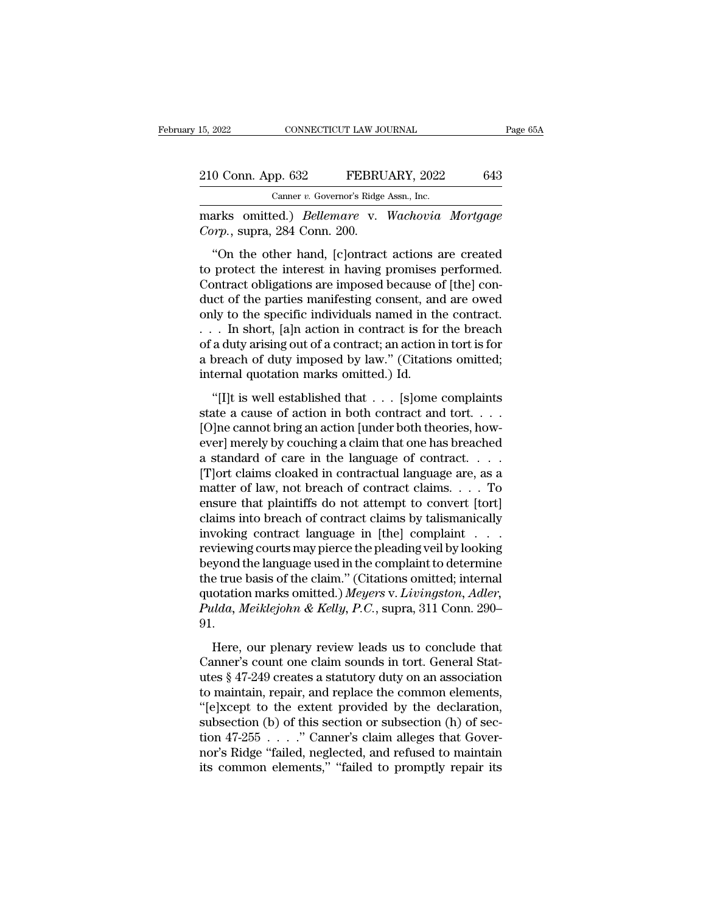## 15, 2022 CONNECTICUT LAW JOURNAL Page 65A<br>
210 Conn. App. 632 FEBRUARY, 2022 643<br>
Canner v. Governor's Ridge Assn., Inc. 15, 2022 CONNECTICUT LAW JOURNAL<br>
210 Conn. App. 632 FEBRUARY, 2022 643<br>
Canner *v.* Governor's Ridge Assn., Inc.<br>
marks omitted.) *Bellemare* v. Wachovia Mortgage

15, 2022 CONNECTICUT LAW JOURNAL Page 65A<br>
210 Conn. App. 632 FEBRUARY, 2022 643<br>
Canner v. Governor's Ridge Assn., Inc.<br>
marks omitted.) *Bellemare* v. *Wachovia Mortgage*<br>
Corp., supra, 284 Conn. 200. <sup>210</sup> Conn. App. 632 FEBRU<br>
<sup>Canner v. Governor's Ridge<br>
marks omitted.) *Bellemare* v.<br> *Corp.*, supra, 284 Conn. 200.<br>
"On the other hand, [c]ontract</sup>

<sup>0</sup> Conn. App. 632 FEBRUARY, 2022 643<br>
<sup>Canner v. Governor's Ridge Assn., Inc.<br>
arks omitted.) *Bellemare* v. *Wachovia Mortgage*<br> *orp.*, supra, 284 Conn. 200.<br>
"On the other hand, [c]ontract actions are created<br>
protect </sup> 210 Conn. App. 632 FEBRUARY, 2022 643<br>
Canner v. Governor's Ridge Assn., Inc.<br>
marks omitted.) *Bellemare* v. *Wachovia Mortgage*<br>
Corp., supra, 284 Conn. 200.<br>
"On the other hand, [c]ontract actions are created<br>
to prote Canner v. Governor's Ridge Assn., Inc.<br>
marks omitted.) *Bellemare* v. *Wachovia Mortgage*<br>
Corp., supra, 284 Conn. 200.<br>
"On the other hand, [c]ontract actions are created<br>
to protect the interest in having promises perf marks omitted.) *Bellemare* v. *Wachovia Mortgage*<br>Corp., supra, 284 Conn. 200.<br>"On the other hand, [c]ontract actions are created<br>to protect the interest in having promises performed.<br>Contract obligations are imposed beca Corp., supra, 284 Conn. 200.<br>
"On the other hand, [c]ontract actions are created<br>
to protect the interest in having promises performed.<br>
Contract obligations are imposed because of [the] con-<br>
duct of the parties manifesti "On the other hand, [c]ontract actions are created<br>to protect the interest in having promises performed.<br>Contract obligations are imposed because of [the] con-<br>duct of the parties manifesting consent, and are owed<br>only to "On the other hand, [c]ontract actions are created<br>to protect the interest in having promises performed.<br>Contract obligations are imposed because of [the] con-<br>duct of the parties manifesting consent, and are owed<br>only to to protect the interest in having promises performed.<br>Contract obligations are imposed because of [the] con-<br>duct of the parties manifesting consent, and are owed<br>only to the specific individuals named in the contract.<br>. . Contract obligations are imposed because c<br>duct of the parties manifesting consent, an<br>only to the specific individuals named in th<br> $\ldots$  In short, [a]n action in contract is for<br>of a duty arising out of a contract; an ac (b) to the specific individuals named in the contract.<br>
In short, [a]n action in contract is for the breach<br>
a duty arising out of a contract; an action in tort is for<br>
breach of duty imposed by law." (Citations omitted;<br> state a cause of action in contract is for the breach<br>of a duty arising out of a contract; an action in tort is for<br>a breach of duty imposed by law." (Citations omitted;<br>internal quotation marks omitted.) Id.<br>"[I]t is wel

For a bring out of a contract is for the breach<br>of a duty arising out of a contract; an action in tort is for<br>a breach of duty imposed by law." (Citations omitted;<br>internal quotation marks omitted.) Id.<br>"[I]t is well esta a breach of duty imposed by law." (Citations omitted;<br>a breach of duty imposed by law." (Citations omitted;<br>internal quotation marks omitted.) Id.<br>"[I]t is well established that  $\dots$  [s]ome complaints<br>state a cause of act a steated of day inposed by idm. (character of day, internal quotation marks omitted.) Id.<br>
"[I]t is well established that  $\ldots$  [s]ome complaints<br>
state a cause of action in both contract and tort.  $\ldots$ <br>
[O]ne cannot br "[I]t is well established that  $\dots$  [s]ome complaints<br>state a cause of action in both contract and tort.  $\dots$ <br>[O]ne cannot bring an action [under both theories, how-<br>ever] merely by couching a claim that one has breached<br> "[I]t is well established that  $\dots$  [s]ome complaints<br>state a cause of action in both contract and tort.  $\dots$ <br>[O]ne cannot bring an action [under both theories, how-<br>ever] merely by couching a claim that one has breached<br> ensure that plaintiffs do not attempt to convert [tort] [O]ne cannot bring an action [under both theories, how-<br>ever] merely by couching a claim that one has breached<br>a standard of care in the language of contract. . . .<br>[T]ort claims cloaked in contractual language are, as a<br> ever] merely by couching a claim that one has breached<br>a standard of care in the language of contract. . . .<br>[T]ort claims cloaked in contractual language are, as a<br>matter of law, not breach of contract claims. . . . To<br>e a standard of care in the language of contract. . . . .<br>[T]ort claims cloaked in contractual language are, as a<br>matter of law, not breach of contract claims. . . . To<br>ensure that plaintiffs do not attempt to convert [tort] [T]ort claims cloaked in contractual language are, as a<br>matter of law, not breach of contract claims. . . . To<br>ensure that plaintiffs do not attempt to convert [tort]<br>claims into breach of contract claims by talismanicall matter of law, not breach of contract claims. . . . . To<br>ensure that plaintiffs do not attempt to convert [tort]<br>claims into breach of contract claims by talismanically<br>invoking contract language in [the] complaint . . . ensure that plaintiffs do not attempt to convert [tort]<br>claims into breach of contract claims by talismanically<br>invoking contract language in [the] complaint . . . .<br>reviewing courts may pierce the pleading veil by looking claims into breach of contract claims by talismanically<br>invoking contract language in [the] complaint . . .<br>reviewing courts may pierce the pleading veil by looking<br>beyond the language used in the complaint to determine<br>th 91. Frame groats may preceduc preading vertey from the system.<br>
Syond the language used in the complaint to determine<br>
true basis of the claim." (Citations omitted; internal<br>
otation marks omitted.) Meyers v. Livingston, Adle beyond are nargingle ased in the complaint to determine<br>the true basis of the claim." (Citations omitted; internal<br>quotation marks omitted.) Meyers v. Livingston, Adler,<br>Pulda, Meiklejohn & Kelly, P.C., supra, 311 Conn. 29

and the article changes of the elastic of the changes with the quotation marks omitted.) Meyers v. Livingston, Adler, Pulda, Meiklejohn & Kelly, P.C., supra, 311 Conn. 290–91.<br>Here, our plenary review leads us to conclude quotation marks omitted.) Region of Euchagoton, Taton, Pulda, Meiklejohn & Kelly, P.C., supra, 311 Conn. 290–<br>91.<br>Here, our plenary review leads us to conclude that<br>Canner's count one claim sounds in tort. General Stat-<br>u The extent provided is to conclude that<br>
Canner's count one claim sounds in tort. General Stat-<br>
terms of 47-249 creates a statutory duty on an association<br>
to maintain, repair, and replace the common elements,<br>
"[e]xcept subsection (b) of the claim sounds in tort. General State<br>Canner's count one claim sounds in tort. General State<br>utes § 47-249 creates a statutory duty on an association<br>to maintain, repair, and replace the common elements Here, our plenary review leads us to conclude that<br>Canner's count one claim sounds in tort. General Stat-<br>utes § 47-249 creates a statutory duty on an association<br>to maintain, repair, and replace the common elements,<br>"[e] Canner's count one claim sounds in tort. General Stat-<br>utes § 47-249 creates a statutory duty on an association<br>to maintain, repair, and replace the common elements,<br>"[e]xcept to the extent provided by the declaration,<br>su utes § 47-249 creates a statutory duty on an association<br>to maintain, repair, and replace the common elements,<br>"[e]xcept to the extent provided by the declaration,<br>subsection (b) of this section or subsection (h) of sec-<br>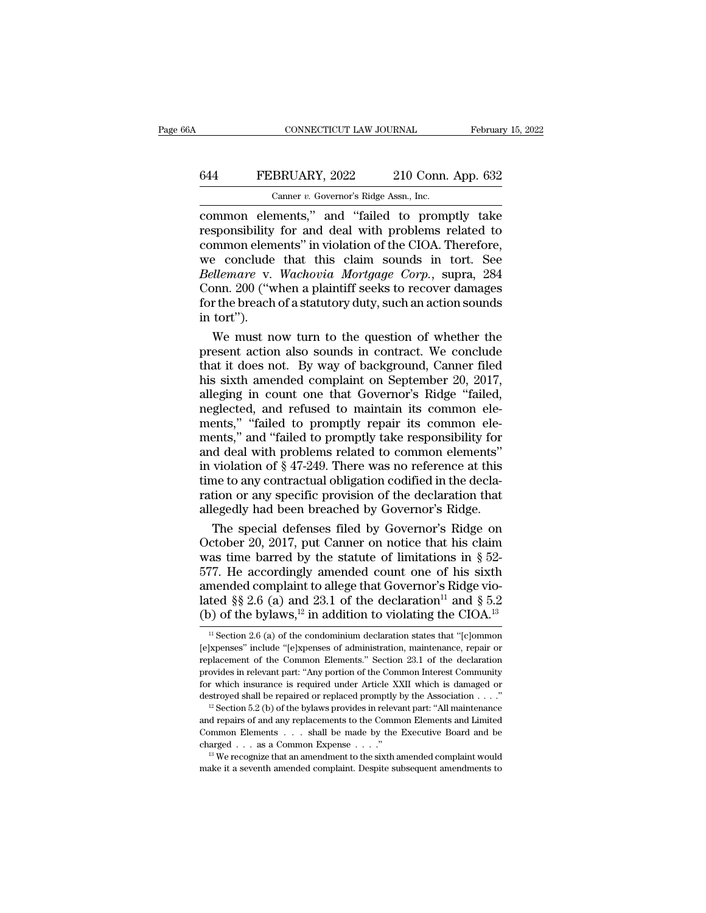# CONNECTICUT LAW JOURNAL February 15, 2022<br>644 FEBRUARY, 2022 210 Conn. App. 632<br>Canner v. Governor's Ridge Assn., Inc.

CONNECTICUT LAW JOURNAL Februar<br>
FEBRUARY, 2022 210 Conn. App. 632<br>
Canner *v.* Governor's Ridge Assn., Inc.<br>
Common elements," and "failed to promptly take CONNECTICUT LAW JOURNAL February 15, 2022<br>
February 15, 2022<br>
Canner v. Governor's Ridge Assn., Inc.<br>
Common elements,'' and ''failed to promptly take<br>
responsibility for and deal with problems related to<br>
common elements' FEBRUARY, 2022 210 Conn. App. 632<br>
Canner v. Governor's Ridge Assn., Inc.<br>
Common elements," and "failed to promptly take<br>
responsibility for and deal with problems related to<br>
common elements" in violation of the CIOA. Th 644 FEBRUARY, 2022 210 Conn. App. 632<br>
Camer v. Governor's Ridge Assn., Inc.<br>
common elements," and "failed to promptly take<br>
responsibility for and deal with problems related to<br>
common elements" in violation of the CIOA EBRUARY, 2022 210 Conn. App. 632<br>
Canner v. Governor's Ridge Assn., Inc.<br>
common elements," and "failed to promptly take<br>
responsibility for and deal with problems related to<br>
common elements" in violation of the CIOA. Th *Canner v. Governor's Ridge Assn., Inc.*<br> **Bellemare** v. *Governor's Ridge Assn., Inc.*<br> **Bellemare** v. **Mortgage Corp.**, supra, 284<br> *Bellemare* v. *Wachovia Mortgage Corp.*, supra, 284<br>
Conn. 200 ("when a plaintiff seeks Canner v. Governor's Ridge Assn., Inc.<br>
common elements," and "failed to promptly take<br>
responsibility for and deal with problems related to<br>
common elements" in violation of the CIOA. Therefore,<br>
we conclude that this cl common elements," and "failed to promptly take<br>responsibility for and deal with problems related to<br>common elements" in violation of the CIOA. Therefore,<br>we conclude that this claim sounds in tort. See<br>*Bellemare* v. *Wach* responsibility<br>
we conclude<br>
we conclude<br> *Bellemare* v.<br>
Conn. 200 ("w<br>
for the breach<br>
in tort").<br>
We must no mmon elements" in violation of the CIOA. Therefore,<br>
e conclude that this claim sounds in tort. See<br> *ullemare* v. *Wachovia Mortgage Corp.*, supra, 284<br>
poin. 200 ("when a plaintiff seeks to recover damages<br>
r the breach we conclude that this claim sounds in tort. See<br> *Bellemare* v. *Wachovia Mortgage Corp.*, supra, 284<br>
Conn. 200 ("when a plaintiff seeks to recover damages<br>
for the breach of a statutory duty, such an action sounds<br>
in t

Bellemare v. Wachovia Mortgage Corp., supra, 284<br>Conn. 200 ("when a plaintiff seeks to recover damages<br>for the breach of a statutory duty, such an action sounds<br>in tort").<br>We must now turn to the question of whether the<br>pr Conn. 200 ("when a plaintiff seeks to recover damages<br>for the breach of a statutory duty, such an action sounds<br>in tort").<br>We must now turn to the question of whether the<br>present action also sounds in contract. We conclude for the breach of a statutory duty, such an action sounds<br>in tort").<br>We must now turn to the question of whether the<br>present action also sounds in contract. We conclude<br>that it does not. By way of background, Canner filed<br> in tort").<br>We must now turn to the question of whether the<br>present action also sounds in contract. We conclude<br>that it does not. By way of background, Camer filed<br>his sixth amended complaint on September 20, 2017,<br>alleging We must now turn to the question of whether the<br>present action also sounds in contract. We conclude<br>that it does not. By way of background, Canner filed<br>his sixth amended complaint on September 20, 2017,<br>alleging in count present action also sounds in contract. We conclude<br>that it does not. By way of background, Canner filed<br>his sixth amended complaint on September 20, 2017,<br>alleging in count one that Governor's Ridge "failed,<br>neglected, an that it does not. By way of background, Canner filed<br>his sixth amended complaint on September 20, 2017,<br>alleging in count one that Governor's Ridge "failed,<br>neglected, and refused to maintain its common ele-<br>ments," "fail his sixth amended complaint on September 20, 2017, alleging in count one that Governor's Ridge "failed, neglected, and refused to maintain its common elements," "failed to promptly repair its common elements," and "failed alleging in count one that Governor's Ridge "failed, neglected, and refused to maintain its common elements," "failed to promptly repair its common elements," and "failed to promptly take responsibility for and deal with p ration or any specific provision of the declaration or any specific provision of  $\S 47-249$ . There was no reference at this time to any contractual obligation codified in the declaration or any specific provision of the de ments," "failed to promptly repair its common elements," and "failed to promptly take responsibility for and deal with problems related to common elements" in violation of § 47-249. There was no reference at this time to a ents," and "failed to promptly take responsibility for<br>d deal with problems related to common elements"<br>violation of § 47-249. There was no reference at this<br>me to any contractual obligation codified in the decla-<br>tion or and deal with problems related to common elements"<br>in violation of § 47-249. There was no reference at this<br>time to any contractual obligation codified in the decla-<br>ration or any specific provision of the declaration tha

in violation of § 47-249. There was no reference at this<br>time to any contractual obligation codified in the decla-<br>ration or any specific provision of the declaration that<br>allegedly had been breached by Governor's Ridge.<br> time to any contractual obligation codified in the declaration or any specific provision of the declaration that allegedly had been breached by Governor's Ridge.<br>The special defenses filed by Governor's Ridge on<br>October 2 ration or any specific provision of the declaration that allegedly had been breached by Governor's Ridge.<br>The special defenses filed by Governor's Ridge on October 20, 2017, put Canner on notice that his claim was time ba allegedly had been breached by Governor's Ridge.<br>The special defenses filed by Governor's Ridge on<br>October 20, 2017, put Canner on notice that his claim<br>was time barred by the statute of limitations in § 52-<br>577. He accor The special defenses filed by Governor's Ridge on<br>October 20, 2017, put Canner on notice that his claim<br>was time barred by the statute of limitations in § 52-<br>577. He accordingly amended count one of his sixth<br>amended com 77. He accordingly amended count one of his sixth<br>mended complaint to allege that Governor's Ridge vio-<br>ted §§ 2.6 (a) and 23.1 of the declaration<sup>11</sup> and § 5.2<br>(b) of the bylaws,<sup>12</sup> in addition to violating the CIOA.<sup>13</sup> amended complaint to allege that Governor's Ridge vio-<br>lated  $\S$ § 2.6 (a) and 23.1 of the declaration<sup>11</sup> and § 5.2<br>(b) of the bylaws,<sup>12</sup> in addition to violating the CIOA.<sup>13</sup><br><sup>11</sup> Section 2.6 (a) of the condominium dec

lated §§ 2.6 (a) and 23.1 of the declaration<sup>11</sup> and § 5.2<br>
(b) of the bylaws,<sup>12</sup> in addition to violating the CIOA.<sup>13</sup><br>
<sup>11</sup> Section 2.6 (a) of the condominium declaration states that "[c]ommon [e]xpenses" include "[e] (b) of the bylaws,<sup>12</sup> in addition to violating the CIOA.<sup>13</sup><br>
<sup>11</sup> Section 2.6 (a) of the condominium declaration states that "[c]ommon<br>
[e]xpenses" include "[e]xpenses of administration, maintenance, repair or<br>
replacem <sup>11</sup> Section 2.6 (a) of the condominium declaration states that "[c]ommon [e]xpenses" include "[e]xpenses of administration, maintenance, repair or replacement of the Common Elements." Section 23.1 of the declaration prov <sup>11</sup> Section 2.6 (a) of the condominium declaration states that "[c]ommon [e]xpenses" include "[e]xpenses of administration, maintenance, repair or replacement of the Common Elements." Section 23.1 of the declaration prov replacement of the Common Elements." Section 23.1 of the declaration provides in relevant part: "Any portion of the Common Interest Community for which insurance is required under Article XXII which is damaged or destroye

provides in relevant part: "Any portion of the Common Interest Community<br>for which insurance is required under Article XXII which is damaged or<br>destroyed shall be repaired or replaced promptly by the Association . . . ."<br> for which insurance is required under Article XXII which is damaged or destroyed shall be repaired or replaced promptly by the Association . . . ."<br><sup>12</sup> Section 5.2 (b) of the bylaws provides in relevant part: "All mainte <sup>12</sup> Section 5.2 (b) of the bylaws provides in relevant part: "All maintenance and repairs of and any replacements to the Common Elements and Limited Common Elements . . . shall be made by the Executive Board and be charg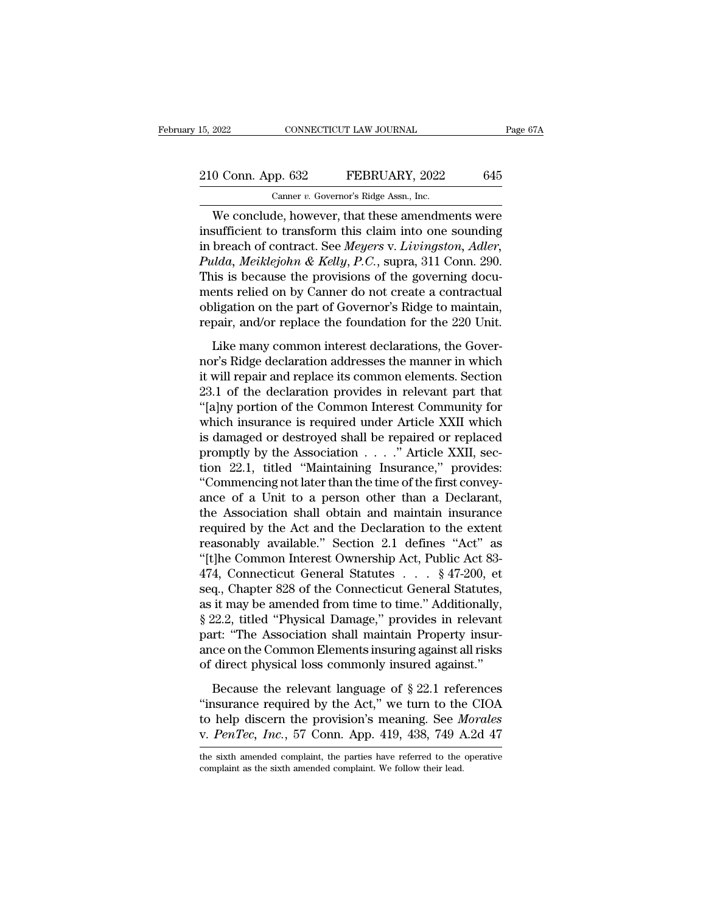### 15, 2022 CONNECTICUT LAW JOURNAL Page 67A<br>
210 Conn. App. 632 FEBRUARY, 2022 645<br>
Canner v. Governor's Ridge Assn., Inc. Canner *v.* Governor's Ridge Assn., Inc.

EXECTIVE CONNECTICUT LAW JOURNAL Page 67A<br>
O Conn. App. 632 FEBRUARY, 2022 645<br>
Canner v. Governor's Ridge Assn., Inc.<br>
We conclude, however, that these amendments were<br>
sufficient to transform this claim into one sounding 210 Conn. App. 632 FEBRUARY, 2022 645<br>
Canner v. Governor's Ridge Assn., Inc.<br>
We conclude, however, that these amendments were<br>
insufficient to transform this claim into one sounding<br>
in breach of contract. See Meyers v. 210 Conn. App. 632 FEBRUARY, 2022 645<br>
Canner v. Governor's Ridge Assn., Inc.<br>
We conclude, however, that these amendments were<br>
insufficient to transform this claim into one sounding<br>
in breach of contract. See *Meyers* v *Pulda, Meiklejohn & Kelly, P.C.*, supra, 311 Connection and Secure 2013 is because the provisions of the governing documents were  $Pulda$ , *Meiklejohn & Kelly, P.C.*, supra, 311 Conn. 290. This is because the provisions of Canner *v.* Governor's Ridge Assn., Inc.<br>
We conclude, however, that these amendments were<br>
insufficient to transform this claim into one sounding<br>
in breach of contract. See *Meyers* v. *Livingston*, *Adler*,<br> *Pulda, Me* We conclude, however, that these amendments were<br>insufficient to transform this claim into one sounding<br>in breach of contract. See *Meyers* v. *Livingston*, *Adler*,<br>*Pulda, Meiklejohn & Kelly, P.C.*, supra, 311 Conn. 290 We conclude, however, that these amendments were<br>insufficient to transform this claim into one sounding<br>in breach of contract. See *Meyers* v. *Livingston*, *Adler*,<br>*Pulda, Meiklejohn & Kelly, P.C.*, supra, 311 Conn. 290. insufficient to transform this claim into one sounding<br>in breach of contract. See *Meyers* v. *Livingston*, *Adler*,<br>*Pulda, Meiklejohn & Kelly, P.C.*, supra, 311 Conn. 290.<br>This is because the provisions of the governing Like many common interest declarations, the Governing docutions is because the provisions of the governing docutions relied on by Canner do not create a contractual ligation on the part of Governor's Ridge to maintain, pa north is is because the provisions of the governing documents relied on by Canner do not create a contractual<br>obligation on the part of Governor's Ridge to maintain,<br>repair, and/or replace the foundation for the 220 Unit.<br>

Final is seculate the problems of the geocrating accurates<br>ments relied on by Canner do not create a contractual<br>obligation on the part of Governor's Ridge to maintain,<br>repair, and/or replace the foundation for the 220 Uni ments reneared on type cannot as not retained a contameonal<br>obligation on the part of Governor's Ridge to maintain,<br>repair, and/or replace the foundation for the 220 Unit.<br>Like many common interest declarations, the Gover-The Common interest declarations, the Governor's Ridge declaration addresses the manner in which<br>it will repair and replace its common elements. Section<br>23.1 of the declaration provides in relevant part that<br>"[a]ny portion Like many common interest declarations, the Governor's Ridge declaration addresses the manner in which<br>it will repair and replace its common elements. Section<br>23.1 of the declaration provides in relevant part that<br>"[a]ny p Like many common interest declarations, the Governor's Ridge declaration addresses the manner in which<br>it will repair and replace its common elements. Section<br>23.1 of the declaration provides in relevant part that<br>"[a]ny nor's Ridge declaration addresses the manner in which<br>it will repair and replace its common elements. Section<br>23.1 of the declaration provides in relevant part that<br>"[a]ny portion of the Common Interest Community for<br>which it will repair and replace its common elements. Section 23.1 of the declaration provides in relevant part that "[a]ny portion of the Common Interest Community for which insurance is required under Article XXII which is dam 23.1 of the declaration provides in relevant part that<br>
"[a]ny portion of the Common Interest Community for<br>
which insurance is required under Article XXII which<br>
is damaged or destroyed shall be repaired or replaced<br>
prom "[a]ny portion of the Common Interest Community for<br>which insurance is required under Article XXII which<br>is damaged or destroyed shall be repaired or replaced<br>promptly by the Association  $\ldots$ ." Article XXII, sec-<br>tion 22 which insurance is required under Article XXII which<br>is damaged or destroyed shall be repaired or replaced<br>promptly by the Association  $\ldots$ ." Article XXII, sec-<br>tion 22.1, titled "Maintaining Insurance," provides:<br>"Comme is damaged or destroyed shall be repaired or replaced<br>promptly by the Association  $\ldots$ ." Article XXII, sec-<br>tion 22.1, titled "Maintaining Insurance," provides:<br>"Commencing not later than the time of the first convey-<br>an promptly by the Association . . . ." Article XXII, section 22.1, titled "Maintaining Insurance," provides:<br>"Commencing not later than the time of the first convey-<br>ance of a Unit to a person other than a Declarant,<br>the As tion 22.1, titled "Maintaining Insurance," provides:<br>
"Commencing not later than the time of the first convey-<br>
ance of a Unit to a person other than a Declarant,<br>
the Association shall obtain and maintain insurance<br>
requ "Commencing not later than the time of the first convey-<br>ance of a Unit to a person other than a Declarant,<br>the Association shall obtain and maintain insurance<br>required by the Act and the Declaration to the extent<br>reasona ance of a Unit to a person other than a Declarant,<br>the Association shall obtain and maintain insurance<br>required by the Act and the Declaration to the extent<br>reasonably available." Section 2.1 defines "Act" as<br>"[t]he Common the Association shall obtain and maintain insurance<br>required by the Act and the Declaration to the extent<br>reasonably available." Section 2.1 defines "Act" as<br>"[t]he Common Interest Ownership Act, Public Act 83-<br>474, Connec required by the Act and the Declaration to the extent<br>reasonably available." Section 2.1 defines "Act" as<br>"[t]he Common Interest Ownership Act, Public Act 83-<br>474, Connecticut General Statutes . . . § 47-200, et<br>seq., Chap reasonably available." Section 2.1 defines "Act" as<br>
"[t]he Common Interest Ownership Act, Public Act 83-<br>
474, Connecticut General Statutes . . . . § 47-200, et<br>
seq., Chapter 828 of the Connecticut General Statutes,<br>
as "[t]he Common Interest Ownership Act, Public Act 83-474, Connecticut General Statutes . . . . § 47-200, et seq., Chapter 828 of the Connecticut General Statutes, as it may be amended from time to time." Additionally, § 22 474, Connecticut General Statutes  $\ldots$  § 47-200, et seq., Chapter 828 of the Connecticut General Statutes, as it may be amended from time to time." Additionally, § 22.2, titled "Physical Damage," provides in relevant par it may be amended from time to time." Additionally,<br>
22.2, titled "Physical Damage," provides in relevant<br>
rt: "The Association shall maintain Property insur-<br>
ce on the Common Elements insuring against all risks<br>
direct  $\frac{1}{8}$  22.2, titled "Physical Damage," provides in relevant<br>part: "The Association shall maintain Property insur-<br>ance on the Common Elements insuring against all risks<br>of direct physical loss commonly insured against.

part: "The Association shall maintain Property insur-<br>part: "The Association shall maintain Property insur-<br>ance on the Common Elements insuring against all risks<br>of direct physical loss commonly insured against."<br>Because ance on the Common Elements insuring against all risks<br>of direct physical loss commonly insured against."<br>Because the relevant language of § 22.1 references<br>"insurance required by the Act," we turn to the CIOA<br>to help disc Because the relevant language of  $\S 22.1$  references<br>"insurance required by the Act," we turn to the CIOA<br>to help discern the provision's meaning. See *Morales*<br>v. *PenTec*, *Inc.*, 57 Conn. App. 419, 438, 749 A.2d 47<br>the v. PenTec, Inc., 57 Conn. App. 419, 438, 749 A.2d 47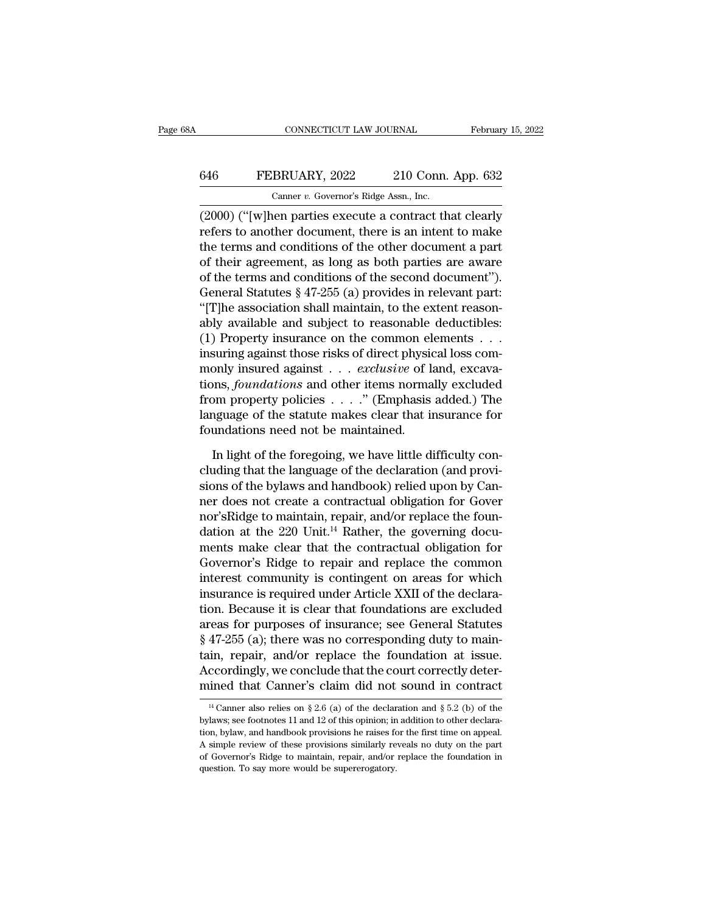## CONNECTICUT LAW JOURNAL February 15, 2022<br>646 FEBRUARY, 2022 210 Conn. App. 632<br>Canner v. Governor's Ridge Assn., Inc. CONNECTICUT LAW JOURNAL Februar<br>
FEBRUARY, 2022 210 Conn. App. 632<br>
Canner *v.* Governor's Ridge Assn., Inc.<br>
(2000) ("[w]hen parties execute a contract that clearly

CONNECTICUT LAW JOURNAL February 15, 2022<br>
February 15, 2022<br>
Canner v. Governor's Ridge Assn., Inc.<br>
(2000) ("[w]hen parties execute a contract that clearly<br>
refers to another document, there is an intent to make<br>
the ter FEBRUARY, 2022 210 Conn. App. 632<br>
Canner v. Governor's Ridge Assn., Inc.<br>
(2000) ("[w]hen parties execute a contract that clearly<br>
refers to another document, there is an intent to make<br>
the terms and conditions of the o 646 FEBRUARY, 2022 210 Conn. App. 632<br>
Camer v. Governor's Ridge Assn., Inc.<br>
(2000) ("[w]hen parties execute a contract that clearly<br>
refers to another document, there is an intent to make<br>
the terms and conditions of th **646** FEBRUARY, 2022 210 Conn. App. 632<br>
Canner v. Governor's Ridge Assn., Inc.<br>
(2000) ("[W]hen parties execute a contract that clearly<br>
refers to another document, there is an intent to make<br>
the terms and conditions of Canner v. Governor's Ridge Assn., Inc.<br>
(2000) ("[W]hen parties execute a contract that clearly<br>
refers to another document, there is an intent to make<br>
the terms and conditions of the other document a part<br>
of their agre Camer *v*. Governor's range assn., inc.<br>
(2000) ("[w]hen parties execute a contract that clearly<br>
refers to another document, there is an intent to make<br>
the terms and conditions of the other document a part<br>
of their agr (2000) ("[w]hen parties execute a contract that clearly<br>refers to another document, there is an intent to make<br>the terms and conditions of the other document a part<br>of their agreement, as long as both parties are aware<br>of refers to another document, there is an intent to make<br>the terms and conditions of the other document a part<br>of their agreement, as long as both parties are aware<br>of the terms and conditions of the second document").<br>Gener the terms and conditions of the other document a part<br>of their agreement, as long as both parties are aware<br>of the terms and conditions of the second document").<br>General Statutes § 47-255 (a) provides in relevant part:<br>"[T % of their agreement, as long as both parties are aware<br>of the terms and conditions of the second document").<br>General Statutes § 47-255 (a) provides in relevant part:<br>"[T]he association shall maintain, to the extent reaso of the terms and conditions of the second document").<br>General Statutes § 47-255 (a) provides in relevant part:<br>"[T]he association shall maintain, to the extent reason-<br>ably available and subject to reasonable deductibles:<br> General Statutes § 47-255 (a) provides in relevant part:<br>
"[T]he association shall maintain, to the extent reason-<br>
ably available and subject to reasonable deductibles:<br>
(1) Property insurance on the common elements . . . "[T]he association shall maintain, to the extent reason-<br>ably available and subject to reasonable deductibles:<br>(1) Property insurance on the common elements . . .<br>insuring against those risks of direct physical loss com-<br> ably available and subject to reasonable deductibles:<br>(1) Property insurance on the common elements . . .<br>insuring against those risks of direct physical loss com-<br>monly insured against . . . *exclusive* of land, excava-<br> (1) Property insurance on the common el<br>insuring against those risks of direct physic<br>monly insured against  $\dots$  *exclusive* of l:<br>tions, *foundations* and other items norma<br>from property policies  $\dots$ ." (Emphasis<br>languag In issured against  $\ldots$  *exclusive* of land, excava-<br>ons, *foundations* and other items normally excluded<br>om property policies  $\ldots$ ." (Emphasis added.) The<br>nguage of the statute makes clear that insurance for<br>undations tions, *foundations* and other items normally excluded<br>from property policies  $\ldots$ ." (Emphasis added.) The<br>language of the statute makes clear that insurance for<br>foundations need not be maintained.<br>In light of the forego

from property policies  $\ldots$ ." (Emphasis added.) The language of the statute makes clear that insurance for foundations need not be maintained.<br>In light of the foregoing, we have little difficulty concluding that the lang language of the statute makes clear that insurance for<br>foundations need not be maintained.<br>In light of the foregoing, we have little difficulty con-<br>cluding that the language of the declaration (and provi-<br>sions of the by foundations need not be maintained.<br>In light of the foregoing, we have little difficulty concluding that the language of the declaration (and provisions of the bylaws and handbook) relied upon by Canner does not create a c In light of the foregoing, we have little difficulty concluding that the language of the declaration (and provisions of the bylaws and handbook) relied upon by Canner does not create a contractual obligation for Governor' In light of the foregoing, we have little difficulty concluding that the language of the declaration (and provisions of the bylaws and handbook) relied upon by Canner does not create a contractual obligation for Gover nor cluding that the language of the declaration (and provisions of the bylaws and handbook) relied upon by Canner does not create a contractual obligation for Gover nor's<br>Ridge to maintain, repair, and/or replace the foundati sions of the bylaws and handbook) relied upon by Canner does not create a contractual obligation for Gover<br>nor'sRidge to maintain, repair, and/or replace the foun-<br>dation at the 220 Unit.<sup>14</sup> Rather, the governing docu-<br>me ner does not create a contractual obligation for Gover<br>nor'sRidge to maintain, repair, and/or replace the foun-<br>dation at the 220 Unit.<sup>14</sup> Rather, the governing docu-<br>ments make clear that the contractual obligation for<br>G nor's<br>Ridge to maintain, repair, and/or replace the foundation at the 220 Unit.<sup>14</sup> Rather, the governing documents make clear that the contractual obligation for<br>Governor's Ridge to repair and replace the common<br>interest dation at the 220 Unit.<sup>14</sup> Rather, the governing documents make clear that the contractual obligation for Governor's Ridge to repair and replace the common interest community is contingent on areas for which insurance is ments make clear that the contractual obligation for<br>Governor's Ridge to repair and replace the common<br>interest community is contingent on areas for which<br>insurance is required under Article XXII of the declara-<br>tion. Beca Governor's Ridge to repair and replace the common<br>interest community is contingent on areas for which<br>insurance is required under Article XXII of the declara-<br>tion. Because it is clear that foundations are excluded<br>areas f interest community is contingent on areas for which<br>insurance is required under Article XXII of the declara-<br>tion. Because it is clear that foundations are excluded<br>areas for purposes of insurance; see General Statutes<br>§ 4 insurance is required under Article XXII of the declara-<br>tion. Because it is clear that foundations are excluded<br>areas for purposes of insurance; see General Statutes<br> $$47-255$  (a); there was no corresponding duty to main 47-255 (a); there was no corresponding duty to main-<br>in, repair, and/or replace the foundation at issue.<br>ccordingly, we conclude that the court correctly deter-<br>ined that Canner's claim did not sound in contract<br> $\frac{14}{1}$ tain, repair, and/or replace the foundation at issue.<br>Accordingly, we conclude that the court correctly deter-<br>mined that Canner's claim did not sound in contract<br> $\frac{14}{1}$ Canner also relies on § 2.6 (a) of the declarati

Accordingly, we conclude that the court correctly deter-<br>mined that Canner's claim did not sound in contract<br> $\frac{14}{4}$ Canner also relies on § 2.6 (a) of the declaration and § 5.2 (b) of the<br>bylaws; see footnotes 11 and 1 mined that Canner's claim did not sound in contract<br>
<sup>14</sup> Canner also relies on § 2.6 (a) of the declaration and § 5.2 (b) of the<br>
bylaws; see footnotes 11 and 12 of this opinion; in addition to other declara-<br>
tion, byla <sup>14</sup> Canner also relies on § 2.6 (a) of the declaration and § 5.2 (b) of the bylaws; see footnotes 11 and 12 of this opinion; in addition to other declaration, bylaw, and handbook provisions he raises for the first time o <sup>14</sup> Canner also relies on § 2.6 (a) of the declar bylaws; see footnotes 11 and 12 of this opinion; in tion, bylaw, and handbook provisions he raises for A simple review of these provisions similarly re of Governor's Ridg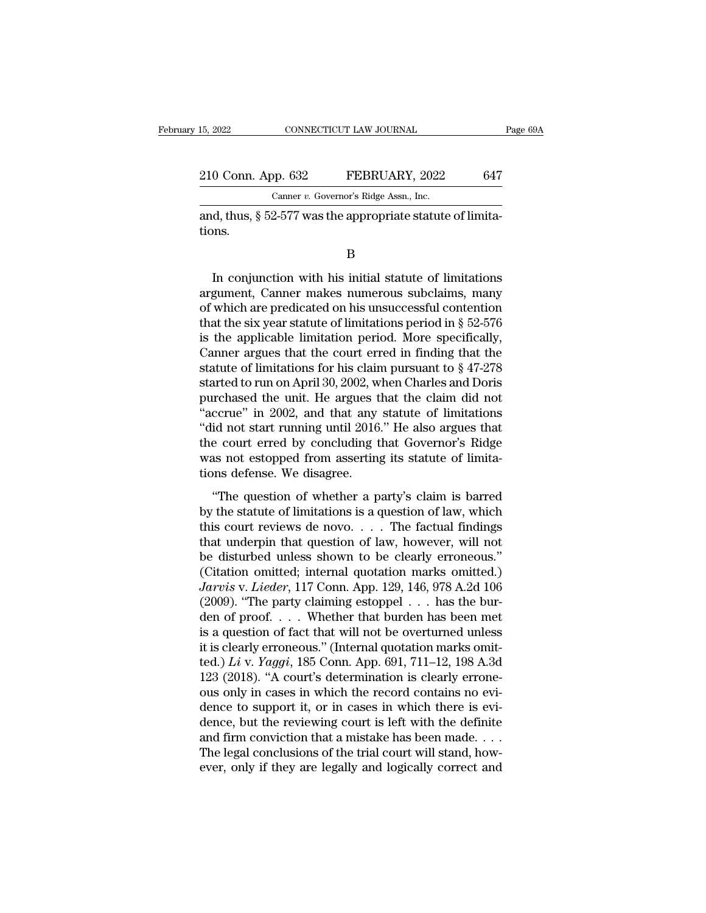15, 2022 CONNECTICUT LAW JOURNAL Page 69A<br>
210 Conn. App. 632 FEBRUARY, 2022 647<br>
Canner v. Governor's Ridge Assn., Inc. Canner *v.* Governor's Ridge Assn., Inc.

and, thus, § 52-577 was the appropriate statute of limit tions. tions.

B

Canner v. Governor's Ridge Assn., Inc.<br>
d, thus, § 52-577 was the appropriate statute of limita-<br>
D<br>
In conjunction with his initial statute of limitations<br>
gument, Canner makes numerous subclaims, many<br>
which are predica Canner *v.* Governor's Ruge Assn., Inc.<br>
and, thus, § 52-577 was the appropriate statute of limitations.<br>
B<br>
In conjunction with his initial statute of limitations<br>
argument, Canner makes numerous subclaims, many<br>
of whic and, thus,  $\S$  52-577 was the appropriate statute of limitations.<br>
B<br>
In conjunction with his initial statute of limitations<br>
argument, Canner makes numerous subclaims, many<br>
of which are predicated on his unsuccessful co B<br>
In conjunction with his initial statute of limitations<br>
argument, Canner makes numerous subclaims, many<br>
of which are predicated on his unsuccessful contention<br>
that the six year statute of limitations period in § 52-57 B<br>
In conjunction with his initial statute of limitations<br>
argument, Canner makes numerous subclaims, many<br>
of which are predicated on his unsuccessful contention<br>
that the six year statute of limitations period. More spe In conjunction with his initial statute of limitations<br>argument, Canner makes numerous subclaims, many<br>of which are predicated on his unsuccessful contention<br>that the six year statute of limitations period in § 52-576<br>is In conjunction with his initial statute of limitations<br>argument, Canner makes numerous subclaims, many<br>of which are predicated on his unsuccessful contention<br>that the six year statute of limitations period in § 52-576<br>is argument, Canner makes numerous subclaims, many<br>of which are predicated on his unsuccessful contention<br>that the six year statute of limitations period in § 52-576<br>is the applicable limitation period. More specifically,<br>Ca of which are predicated on his unsuccessful contention<br>that the six year statute of limitations period in § 52-576<br>is the applicable limitation period. More specifically,<br>Canner argues that the court erred in finding that that the six year statute of limitations period in § 52-576<br>
is the applicable limitation period. More specifically,<br>
Canner argues that the court erred in finding that the<br>
statute of limitations for his claim pursuant t is the applicable limitation period. More specifically,<br>Canner argues that the court erred in finding that the<br>statute of limitations for his claim pursuant to  $§ 47-278$ <br>started to run on April 30, 2002, when Charles and Canner argues that the court erred in finding that the<br>statute of limitations for his claim pursuant to  $\S 47-278$ <br>started to run on April 30, 2002, when Charles and Doris<br>purchased the unit. He argues that the claim did statute of limitations for his claim pursuant to  $\S$  47-278<br>started to run on April 30, 2002, when Charles and Doris<br>purchased the unit. He argues that the claim did not<br>"accrue" in 2002, and that any statute of limitatio started to run on April 30, 2002, w<br>purchased the unit. He argues t<br>"accrue" in 2002, and that any<br>"did not start running until 2016<br>the court erred by concluding t<br>was not estopped from asserting<br>tions defense. We disagre relative and the chain and hot corrue" in 2002, and that any statute of limitations<br>id not start running until 2016." He also argues that<br>e court erred by concluding that Governor's Ridge<br>as not estopped from asserting its did not start running until 2016." He also argues that<br>
the court erred by concluding that Governor's Ridge<br>
was not estopped from asserting its statute of limita-<br>
tions defense. We disagree.<br>
"The question of whether a p

the court erred by concluding that Governor's Ridge<br>was not estopped from asserting its statute of limita-<br>tions defense. We disagree.<br>"The question of whether a party's claim is barred<br>by the statute of limitations is a q was not estopped from asserting its statute of limitations defense. We disagree.<br>
"The question of whether a party's claim is barred<br>
by the statute of limitations is a question of law, which<br>
this court reviews de novo.. The question of whether a party's claim is barred<br>by the statute of limitations is a question of law, which<br>this court reviews de novo.... The factual findings<br>that underpin that question of law, however, will not<br>be dist "The question of whether a party's claim is barred<br>by the statute of limitations is a question of law, which<br>this court reviews de novo.... The factual findings<br>that underpin that question of law, however, will not<br>be dis "The question of whether a party's claim is barred<br>by the statute of limitations is a question of law, which<br>this court reviews de novo. . . . The factual findings<br>that underpin that question of law, however, will not<br>be d by the statute of limitations is a question of law, which<br>this court reviews de novo. . . . The factual findings<br>that underpin that question of law, however, will not<br>be disturbed unless shown to be clearly erroneous."<br>(C this court reviews de novo. . . . The factual findings<br>that underpin that question of law, however, will not<br>be disturbed unless shown to be clearly erroneous."<br>(Citation omitted; internal quotation marks omitted.)<br> $Jarvis$  that underpin that question of law, however, will not<br>be disturbed unless shown to be clearly erroneous."<br>(Citation omitted; internal quotation marks omitted.)<br>Jarvis v. Lieder, 117 Conn. App. 129, 146, 978 A.2d 106<br>(2009 be disturbed unless shown to be clearly erroneous."<br>(Citation omitted; internal quotation marks omitted.)<br>Jarvis v. Lieder, 117 Conn. App. 129, 146, 978 A.2d 106<br>(2009). "The party claiming estoppel . . . has the bur-<br>den (Citation omitted; internal quotation marks omitted.)<br> *Jarvis* v. *Lieder*, 117 Conn. App. 129, 146, 978 A.2d 106<br>
(2009). "The party claiming estoppel . . . has the bur-<br>
den of proof. . . . Whether that burden has been *Jarvis v. Lieder*, 117 Conn. App. 129, 146, 978 A.2d 106 (2009). "The party claiming estoppel . . . has the burden of proof. . . . Whether that burden has been met is a question of fact that will not be overturned unless (2009). "The party claiming estoppel . . . has the burden of proof. . . . Whether that burden has been met<br>is a question of fact that will not be overturned unless<br>it is clearly erroneous." (Internal quotation marks omitden of proof. . . . Whether that burden has been met<br>is a question of fact that will not be overturned unless<br>it is clearly erroneous." (Internal quotation marks omit-<br>ted.) Li v. Yaggi, 185 Conn. App. 691, 711–12, 198 A. is a question of fact that will not be overturned unless<br>it is clearly erroneous." (Internal quotation marks omit-<br>ted.) *Li* v. *Yaggi*, 185 Conn. App. 691, 711–12, 198 A.3d<br>123 (2018). "A court's determination is clearl it is clearly erroneous." (Internal quotation marks omit-<br>ted.) Li v. Yaggi, 185 Conn. App. 691, 711–12, 198 A.3d<br>123 (2018). "A court's determination is clearly errone-<br>ous only in cases in which the record contains no e ted.) *Li* v. *Yaggi*, 185 Conn. App. 691, 711–12, 198 A.3d 123 (2018). "A court's determination is clearly errone-<br>ous only in cases in which the record contains no evi-<br>dence to support it, or in cases in which there is 123 (2018). "A court's determination is clearly errone-<br>ous only in cases in which the record contains no evi-<br>dence to support it, or in cases in which there is evi-<br>dence, but the reviewing court is left with the defini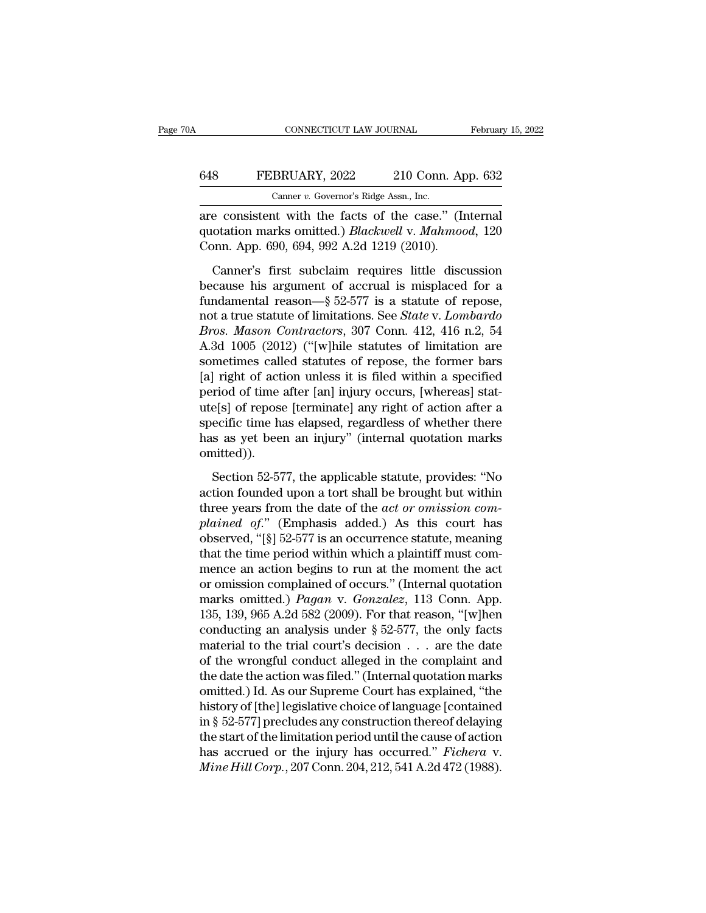## CONNECTICUT LAW JOURNAL February 15, 2022<br>648 FEBRUARY, 2022 210 Conn. App. 632<br>Canner v. Governor's Ridge Assn., Inc. CONNECTICUT LAW JOURNAL Februar<br>
FEBRUARY, 2022 210 Conn. App. 632<br>
Canner *v.* Governor's Ridge Assn., Inc.<br>
are consistent with the facts of the case." (Internal

CONNECTICUT LAW JOURNAL February 15, 20<br>
FEBRUARY, 2022 210 Conn. App. 632<br>
Canner v. Governor's Ridge Assn., Inc.<br>
are consistent with the facts of the case.'' (Internal<br>
quotation marks omitted.) *Blackwell* v. *Mahmood* G48 FEBRUARY, 2022 210 Conn. App. 632<br>Canner v. Governor's Ridge Assn., Inc.<br>are consistent with the facts of the case." (Internal<br>quotation marks omitted.) *Blackwell* v. *Mahmood*, 120<br>Conn. App. 690, 694, 992 A.2d 1219 G48 FEBRUARY, 2022 210 Conn. App. 632<br>
Canner *v.* Governor's Ridge Assn., Inc.<br>
are consistent with the facts of the case." (Internal<br>
quotation marks omitted.) *Blackwell* v. *Mahmood*, 120<br>
Conn. App. 690, 694, 992 A.2d

Canner v. Governor's Ridge Assn., Inc.<br>
are consistent with the facts of the case." (Internal<br>
quotation marks omitted.) *Blackwell* v. *Mahmood*, 120<br>
Conn. App. 690, 694, 992 A.2d 1219 (2010).<br>
Canner's first subclaim r are consistent with the facts of the case." (Internal<br>quotation marks omitted.) *Blackwell* v. Mahmood, 120<br>Conn. App. 690, 694, 992 A.2d 1219 (2010).<br>Canner's first subclaim requires little discussion<br>because his argument notation marks omitted.) *Blackwell v. Mahmood*, 120<br>Conn. App. 690, 694, 992 A.2d 1219 (2010).<br>Canner's first subclaim requires little discussion<br>because his argument of accrual is misplaced for a<br>fundamental reason—§ 52-From. App. 690, 694, 992 A.2d 1219 (2010).<br>
Conn. App. 690, 694, 992 A.2d 1219 (2010).<br>
Canner's first subclaim requires little discussion<br>
because his argument of accrual is misplaced for a<br>
fundamental reason—§ 52-577 is Canner's first subclaim requires little discussion<br>because his argument of accrual is misplaced for a<br>fundamental reason—§ 52-577 is a statute of repose,<br>not a true statute of limitations. See *State v. Lombardo*<br>*Bros. M* Canner's first subclaim requires little discussion<br>because his argument of accrual is misplaced for a<br>fundamental reason—§ 52-577 is a statute of repose,<br>not a true statute of limitations. See *State* v. Lombardo<br>*Bros. M* because his argument of accrual is misplaced for a<br>fundamental reason—§ 52-577 is a statute of repose,<br>not a true statute of limitations. See *State* v. Lombardo<br>*Bros. Mason Contractors*, 307 Conn. 412, 416 n.2, 54<br>A.3d fundamental reason—§ 52-577 is a statute of repose,<br>not a true statute of limitations. See *State* v. Lombardo<br>*Bros. Mason Contractors*, 307 Conn. 412, 416 n.2, 54<br>A.3d 1005 (2012) ("[w]hile statutes of limitation are<br>so not a true statute of limitations. See *State v. Lombardo*<br>*Bros. Mason Contractors*, 307 Conn. 412, 416 n.2, 54<br>A.3d 1005 (2012) ("[w]hile statutes of limitation are<br>sometimes called statutes of repose, the former bars<br>[a *Bros. Mason Contractors*, 307 Conn. 412, 416 n.2, 54<br>A.3d 1005 (2012) ("[w]hile statutes of limitation are<br>sometimes called statutes of repose, the former bars<br>[a] right of action unless it is filed within a specified<br>per A.3d 1005 (2012) ("[w]hile statutes of limitation are<br>sometimes called statutes of repose, the former bars<br>[a] right of action unless it is filed within a specified<br>period of time after [an] injury occurs, [whereas] stat-<br> omitted)). riod of time after [an] injury occurs, [whereas] stat-<br>e[s] of repose [terminate] any right of action after a<br>ecific time has elapsed, regardless of whether there<br>s as yet been an injury" (internal quotation marks<br>aitted)) Let a specific time has elapsed, regardless of whether there has as yet been an injury" (internal quotation marks omitted)).<br>Section 52-577, the applicable statute, provides: "No action founded upon a tort shall be brough

specific time has elapsed, regardless of whether there<br>specific time has elapsed, regardless of whether there<br>has as yet been an injury" (internal quotation marks<br>omitted)).<br>Section 52-577, the applicable statute, provides *p*<br>**planned in the court of the mail of the mail of the mail of the mainted).<br>
Section 52-577, the applicable statute, provides: "No<br>
action founded upon a tort shall be brought but within<br>
three years from the date of th** omitted)).<br>Section 52-577, the applicable statute, provides: "No<br>action founded upon a tort shall be brought but within<br>three years from the date of the *act or omission com-<br>plained of.*" (Emphasis added.) As this court Section 52-577, the applicable statute, provides: "No<br>action founded upon a tort shall be brought but within<br>three years from the date of the *act or omission com-*<br>plained of." (Emphasis added.) As this court has<br>observe Section 52-577, the applicable statute, provides: "No<br>action founded upon a tort shall be brought but within<br>three years from the date of the *act or omission com-*<br>plained of." (Emphasis added.) As this court has<br>observe action founded upon a tort shall be brought but within<br>three years from the date of the *act or omission com-*<br>plained of." (Emphasis added.) As this court has<br>observed, "[§] 52-577 is an occurrence statute, meaning<br>that three years from the date of the *act or omission complained of.*" (Emphasis added.) As this court has observed, "[§] 52-577 is an occurrence statute, meaning that the time period within which a plaintiff must commence an plained of." (Emphasis added.) As this court has<br>observed, "[§] 52-577 is an occurrence statute, meaning<br>that the time period within which a plaintiff must com-<br>mence an action begins to run at the moment the act<br>or omiss observed, "[§] 52-577 is an occurrence statute, meaning<br>that the time period within which a plaintiff must com-<br>mence an action begins to run at the moment the act<br>or omission complained of occurs." (Internal quotation<br>ma that the time period within which a plaintiff must com-<br>mence an action begins to run at the moment the act<br>or omission complained of occurs." (Internal quotation<br>marks omitted.) *Pagan* v. *Gonzalez*, 113 Conn. App.<br>135, mence an action begins to run at the moment the act<br>or omission complained of occurs." (Internal quotation<br>marks omitted.) *Pagan* v. *Gonzalez*, 113 Conn. App.<br>135, 139, 965 A.2d 582 (2009). For that reason, "[w]hen<br>cond or omission complained of occurs." (Internal quotation<br>marks omitted.) *Pagan v. Gonzalez*, 113 Conn. App.<br>135, 139, 965 A.2d 582 (2009). For that reason, "[w]hen<br>conducting an analysis under § 52-577, the only facts<br>mate marks omitted.) *Pagan* v. *Gonzalez*, 113 Conn. App.<br>135, 139, 965 A.2d 582 (2009). For that reason, "[w]hen<br>conducting an analysis under § 52-577, the only facts<br>material to the trial court's decision . . . are the date 135, 139, 965 A.2d 582 (2009). For that reason, "[w]hen<br>conducting an analysis under  $\S$  52-577, the only facts<br>material to the trial court's decision . . . are the date<br>of the wrongful conduct alleged in the complaint an conducting an analysis under  $\S$  52-577, the only facts<br>material to the trial court's decision . . . are the date<br>of the wrongful conduct alleged in the complaint and<br>the date the action was filed." (Internal quotation ma material to the trial court's decision  $\ldots$  are the date<br>of the wrongful conduct alleged in the complaint and<br>the date the action was filed." (Internal quotation marks<br>omitted.) Id. As our Supreme Court has explained, "t of the wrongful conduct alleged in the complaint and<br>the date the action was filed." (Internal quotation marks<br>omitted.) Id. As our Supreme Court has explained, "the<br>history of [the] legislative choice of language [contain the date the action was filed." (Internal quotation marks omitted.) Id. As our Supreme Court has explained, "the history of [the] legislative choice of language [contained in § 52-577] precludes any construction thereof de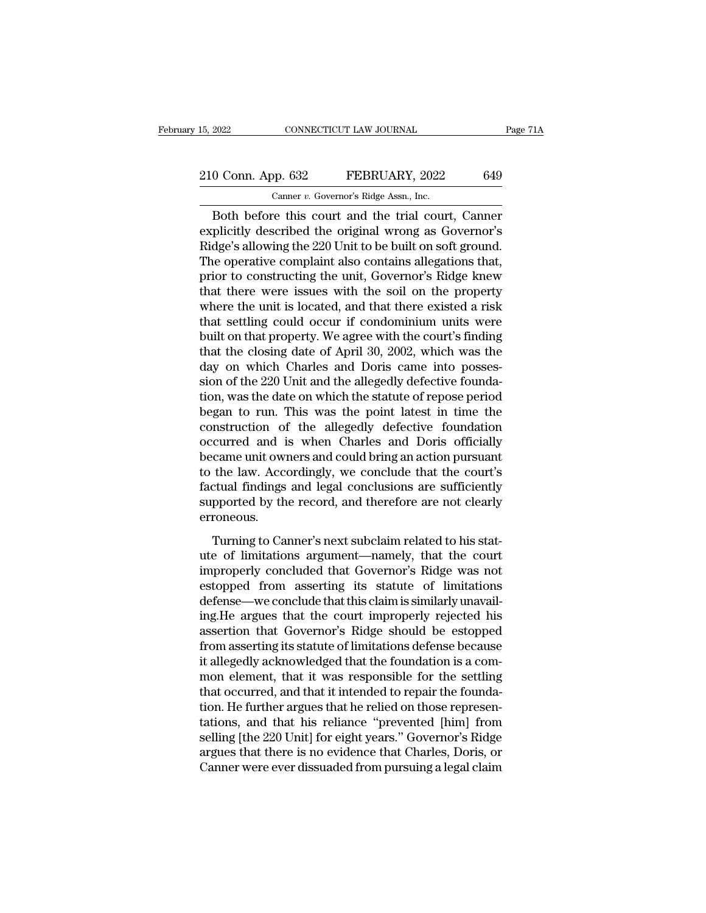# 15, 2022 CONNECTICUT LAW JOURNAL Page 71A<br>
210 Conn. App. 632 FEBRUARY, 2022 649<br>
Canner v. Governor's Ridge Assn., Inc.

15, 2022 CONNECTICUT LAW JOURNAL<br>
210 Conn. App. 632 FEBRUARY, 2022 649<br>
Canner *v.* Governor's Ridge Assn., Inc.<br>
Both before this court and the trial court, Canner EXECTIVE DRIVER THE SURVEY OF THE PAGE 714<br>
O Conn. App. 632 FEBRUARY, 2022 649<br>
Canner v. Governor's Ridge Assn., Inc.<br>
Both before this court and the trial court, Canner<br>
plicitly described the original wrong as Governor 210 Conn. App. 632 FEBRUARY, 2022 649<br>
Canner v. Governor's Ridge Assn., Inc.<br>
Both before this court and the trial court, Canner<br>
explicitly described the original wrong as Governor's<br>
Ridge's allowing the 220 Unit to be 210 Conn. App. 632 FEBRUARY, 2022 649<br>
Canner v. Governor's Ridge Assn., Inc.<br>
Both before this court and the trial court, Canner<br>
explicitly described the original wrong as Governor's<br>
Ridge's allowing the 220 Unit to be 210 Conn. App. 632 FEBRUARY, 2022 649<br>
Canner v. Governor's Ridge Assn., Inc.<br>
Both before this court and the trial court, Canner<br>
explicitly described the original wrong as Governor's<br>
Ridge's allowing the 220 Unit to be Canner v. Governor's Ridge Assn., Inc.<br>
Both before this court and the trial court, Canner<br>
explicitly described the original wrong as Governor's<br>
Ridge's allowing the 220 Unit to be built on soft ground.<br>
The operative co Canner v. Governors Ridge Assn., inc.<br>
Both before this court and the trial court, Canner<br>
explicitly described the original wrong as Governor's<br>
Ridge's allowing the 220 Unit to be built on soft ground.<br>
The operative co Both before this court and the trial court, Canner<br>explicitly described the original wrong as Governor's<br>Ridge's allowing the 220 Unit to be built on soft ground.<br>The operative complaint also contains allegations that,<br>pri explicitly described the original wrong as Governor's<br>Ridge's allowing the 220 Unit to be built on soft ground.<br>The operative complaint also contains allegations that,<br>prior to constructing the unit, Governor's Ridge knew<br> Ridge's allowing the 220 Unit to be built on soft ground.<br>The operative complaint also contains allegations that,<br>prior to constructing the unit, Governor's Ridge knew<br>that there were issues with the soil on the property<br>w The operative complaint also contains allegations that,<br>prior to constructing the unit, Governor's Ridge knew<br>that there were issues with the soil on the property<br>where the unit is located, and that there existed a risk<br>th prior to constructing the unit, Governor's Ridge knew<br>that there were issues with the soil on the property<br>where the unit is located, and that there existed a risk<br>that settling could occur if condominium units were<br>built that there were issues with the soil on the property<br>where the unit is located, and that there existed a risk<br>that settling could occur if condominium units were<br>built on that property. We agree with the court's finding<br>th where the unit is located, and that there existed a risk<br>that settling could occur if condominium units were<br>built on that property. We agree with the court's finding<br>that the closing date of April 30, 2002, which was the<br> that settling could occur if condominium units were<br>built on that property. We agree with the court's finding<br>that the closing date of April 30, 2002, which was the<br>day on which Charles and Doris came into posses-<br>sion of built on that property. We agree with the court's finding<br>that the closing date of April 30, 2002, which was the<br>day on which Charles and Doris came into posses-<br>sion of the 220 Unit and the allegedly defective founda-<br>tio that the closing date of April 30, 2002, which was the<br>day on which Charles and Doris came into posses-<br>sion of the 220 Unit and the allegedly defective founda-<br>tion, was the date on which the statute of repose period<br>bega day on which Charles and Doris came into possession of the 220 Unit and the allegedly defective foundation, was the date on which the statute of repose period began to run. This was the point latest in time the constructio sion of the 220 Unit and the allegedly defective foundation, was the date on which the statute of repose period<br>began to run. This was the point latest in time the<br>construction of the allegedly defective foundation<br>occurre tion, was the date on which the statute of repose period<br>began to run. This was the point latest in time the<br>construction of the allegedly defective foundation<br>occurred and is when Charles and Doris officially<br>became unit began to run. This was the point latest in time the construction of the allegedly defective foundation occurred and is when Charles and Doris officially became unit owners and could bring an action pursuant to the law. Acc erroneous. Example unit owners and could bring an action pursuant<br>the law. Accordingly, we conclude that the court's<br>ctual findings and legal conclusions are sufficiently<br>pported by the record, and therefore are not clearly<br>roneous.<br> became and owners and could sing an action parsame to the law. Accordingly, we conclude that the court's factual findings and legal conclusions are sufficiently supported by the record, and therefore are not clearly errone

factual findings and legal conclusions are sufficiently<br>supported by the record, and therefore are not clearly<br>erroneous.<br>Turning to Canner's next subclaim related to his stat-<br>ute of limitations argument—namely, that the estate manigs and regal concretations are same<br>terms supported by the record, and therefore are not clearly<br>erroneous.<br>Turning to Canner's next subclaim related to his stat-<br>ute of limitations argument—namely, that the cou defeated by the record, and therefore are not elearly<br>erroneous.<br>Turning to Canner's next subclaim related to his stat-<br>ute of limitations argument—namely, that the court<br>improperly concluded that Governor's Ridge was not<br> Turning to Canner's next subclaim related to his stat-<br>ute of limitations argument—namely, that the court<br>improperly concluded that Governor's Ridge was not<br>estopped from asserting its statute of limitations<br>defense—we con Turning to Canner's next subclaim related to his stat-<br>ute of limitations argument—namely, that the court<br>improperly concluded that Governor's Ridge was not<br>estopped from asserting its statute of limitations<br>defense—we con ute of limitations argument—namely, that the court<br>improperly concluded that Governor's Ridge was not<br>estopped from asserting its statute of limitations<br>defense—we conclude that this claim is similarly unavail-<br>ing.He argu improperly concluded that Governor's Ridge was not estopped from asserting its statute of limitations defense—we conclude that this claim is similarly unavailing.<br>He argues that the court improperly rejected his assertion estopped from asserting its statute of limitations<br>defense—we conclude that this claim is similarly unavail-<br>ing.He argues that the court improperly rejected his<br>assertion that Governor's Ridge should be estopped<br>from asse defense—we conclude that this claim is similarly unavailing.<br>He argues that the court improperly rejected his<br>assertion that Governor's Ridge should be estopped<br>from asserting its statute of limitations defense because<br>it ing.He argues that the court improperly rejected his<br>assertion that Governor's Ridge should be estopped<br>from asserting its statute of limitations defense because<br>it allegedly acknowledged that the foundation is a com-<br>mon assertion that Governor's Ridge should be estopped<br>from asserting its statute of limitations defense because<br>it allegedly acknowledged that the foundation is a com-<br>mon element, that it was responsible for the settling<br>tha from asserting its statute of limitations defense because<br>it allegedly acknowledged that the foundation is a com-<br>mon element, that it was responsible for the settling<br>that occurred, and that it intended to repair the foun it allegedly acknowledged that the foundation is a common element, that it was responsible for the settling that occurred, and that it intended to repair the foundation. He further argues that he relied on those representa mon element, that it was responsible for the settling<br>that occurred, and that it intended to repair the founda-<br>tion. He further argues that he relied on those represen-<br>tations, and that his reliance "prevented [him] from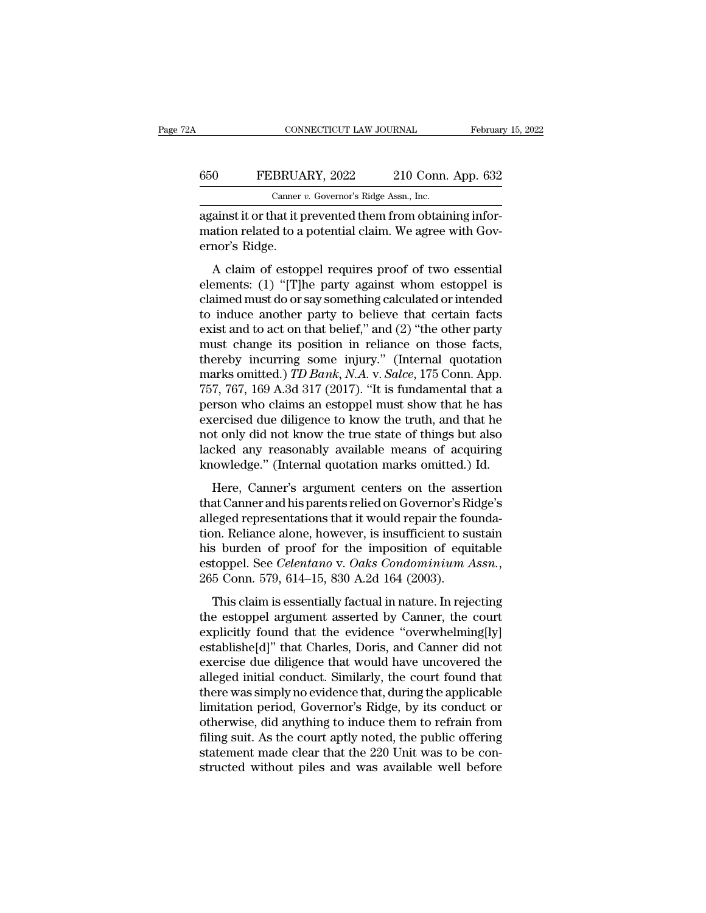### CONNECTICUT LAW JOURNAL February 15, 2022<br>650 FEBRUARY, 2022 210 Conn. App. 632<br>Canner v. Governor's Ridge Assn., Inc. CONNECTICUT LAW JOURNAL<br>BRUARY, 2022 210 Conn.<br>Canner *v.* Governor's Ridge Assn., Inc.<br>hat it prevented them from obtain

CONNECTICUT LAW JOURNAL Februar<br>
650 FEBRUARY, 2022 210 Conn. App. 632<br>
Canner v. Governor's Ridge Assn., Inc.<br>
against it or that it prevented them from obtaining infor-<br>
mation related to a potential claim. We agree with 650 FEBRUARY, 2022 210 Conn. App. 632<br>
Canner v. Governor's Ridge Assn., Inc.<br>
against it or that it prevented them from obtaining infor-<br>
mation related to a potential claim. We agree with Gov-<br>
ernor's Ridge. 650 FEBRUA<br>
Canner<br>
against it or that it p<br>
mation related to a<br>
ernor's Ridge.<br>
A claim of estop  $\frac{1}{2}$  Canner v. Governor's Ridge Assn., Inc.<br>
ainst it or that it prevented them from obtaining infor-<br>
ainst it or that it prevented them from obtaining infor-<br>
ainst it or that it prevented them from obtaining infor

Canner v. Governor's Ridge Assn., Inc.<br>
against it or that it prevented them from obtaining infor-<br>
mation related to a potential claim. We agree with Governor's Ridge.<br>
A claim of estoppel requires proof of two essential against it or that it prevented them from obtaining information related to a potential claim. We agree with Governor's Ridge.<br>A claim of estoppel requires proof of two essential elements: (1) "[T]he party against whom esto against it of that it prevented them noncobranning into<br>mation related to a potential claim. We agree with Gov-<br>ernor's Ridge.<br>A claim of estoppel requires proof of two essential<br>elements: (1) "[T]he party against whom est exist and of estoppel requires proof of two essential<br>elements: (1) "[T]he party against whom estoppel is<br>claimed must do or say something calculated or intended<br>to induce another party to believe that certain facts<br>exist A claim of estoppel requires proof of two essential<br>elements: (1) "[T]he party against whom estoppel is<br>claimed must do or say something calculated or intended<br>to induce another party to believe that certain facts<br>exist a A claim of estoppel requires proof of two essential<br>elements: (1) "[T]he party against whom estoppel is<br>claimed must do or say something calculated or intended<br>to induce another party to believe that certain facts<br>exist a elements: (1) "[T]he party against whom estoppel is<br>claimed must do or say something calculated or intended<br>to induce another party to believe that certain facts<br>exist and to act on that belief," and (2) "the other party<br>m claimed must do or say something calculated or intended<br>to induce another party to believe that certain facts<br>exist and to act on that belief," and (2) "the other party<br>must change its position in reliance on those facts,<br> to induce another party to believe that certain facts<br>exist and to act on that belief," and  $(2)$  "the other party<br>must change its position in reliance on those facts,<br>thereby incurring some injury." (Internal quotation<br>m exist and to act on that belief," and  $(2)$  "the other party<br>must change its position in reliance on those facts,<br>thereby incurring some injury." (Internal quotation<br>marks omitted.) *TD Bank*, *N.A.* v. *Salce*, 175 Conn. must change its position in reliance on those facts,<br>thereby incurring some injury." (Internal quotation<br>marks omitted.) *TD Bank*, *N.A.* v. *Salce*, 175 Conn. App.<br>757, 767, 169 A.3d 317 (2017). "It is fundamental that a thereby incurring some injury." (Internal quotation<br>marks omitted.) *TD Bank*, *N.A.* v. *Salce*, 175 Conn. App.<br>757, 767, 169 A.3d 317 (2017). "It is fundamental that a<br>person who claims an estoppel must show that he has<br> marks omitted.) *TD Bank, N.A.* v. *Salce*, 175 Conn. App.<br>757, 767, 169 A.3d 317 (2017). "It is fundamental that a<br>person who claims an estoppel must show that he has<br>exercised due diligence to know the truth, and that h Here, Canner's argument centers on the assertion<br>at Canner's argument center of things but also<br>cked any reasonably available means of acquiring<br>cowledge." (Internal quotation marks omitted.) Id.<br>Here, Canner's argument ce person who claims an escopper mast show and he has<br>exercised due diligence to know the truth, and that he<br>not only did not know the true state of things but also<br>lacked any reasonably available means of acquiring<br>knowledge

Exercised due dingence to thow the true, that it most only did not know the true state of things but also lacked any reasonably available means of acquiring knowledge." (Internal quotation marks omitted.) Id.<br>Here, Canner' that day reasonably available means of acquiring<br>lacked any reasonably available means of acquiring<br>knowledge." (Internal quotation marks omitted.) Id.<br>Here, Canner's argument centers on the assertion<br>that Canner and his p knowledge." (Internal quotation marks omitted.) Id.<br>
Here, Canner's argument centers on the assertion<br>
that Canner and his parents relied on Governor's Ridge's<br>
alleged representations that it would repair the founda-<br>
ti Here, Canner's argument centers on the assertion<br>that Canner and his parents relied on Governor's Ridge's<br>alleged representations that it would repair the founda-<br>tion. Reliance alone, however, is insufficient to sustain<br>h at canner and its parents rened on covernor 5 range 5<br>eged representations that it would repair the founda-<br>in. Reliance alone, however, is insufficient to sustain<br>s burden of proof for the imposition of equitable<br>toppel. tion. Reliance alone, however, is insufficient to sustain<br>his burden of proof for the imposition of equitable<br>estoppel. See *Celentano* v. Oaks Condominium Assn.,<br>265 Conn. 579, 614–15, 830 A.2d 164 (2003).<br>This claim is e

First tend of proof for the imposition of equitable<br>estoppel. See *Celentano* v. Oaks *Condominium Assn.*,<br>265 Conn. 579, 614–15, 830 A.2d 164 (2003).<br>This claim is essentially factual in nature. In rejecting<br>the estoppel ration of Proset for the Imposition of equations<br>estoppel. See *Celentano* v. Oaks Condominium Assn.,<br>265 Conn. 579, 614–15, 830 A.2d 164 (2003).<br>This claim is essentially factual in nature. In rejecting<br>the estoppel argum 265 Conn. 579, 614–15, 830 A.2d 164 (2003).<br>
This claim is essentially factual in nature. In rejecting<br>
the estoppel argument asserted by Canner, the court<br>
explicitly found that the evidence "overwhelming[ly]<br>
establishe This claim is essentially factual in nature. In rejecting<br>the estoppel argument asserted by Canner, the court<br>explicitly found that the evidence "overwhelming[ly]<br>establishe[d]" that Charles, Doris, and Canner did not<br>exer This claim is essentially factual in nature. In rejecting<br>the estoppel argument asserted by Canner, the court<br>explicitly found that the evidence "overwhelming[ly]<br>establishe[d]" that Charles, Doris, and Canner did not<br>exer the estoppel argument asserted by Canner, the court<br>explicitly found that the evidence "overwhelming[ly]<br>establishe[d]" that Charles, Doris, and Canner did not<br>exercise due diligence that would have uncovered the<br>alleged i explicitly found that the evidence "overwhelming[ly]<br>establishe[d]" that Charles, Doris, and Canner did not<br>exercise due diligence that would have uncovered the<br>alleged initial conduct. Similarly, the court found that<br>ther establishe[d]" that Charles, Doris, and Canner did not<br>exercise due diligence that would have uncovered the<br>alleged initial conduct. Similarly, the court found that<br>there was simply no evidence that, during the applicable<br> exercise due diligence that would have uncovered the alleged initial conduct. Similarly, the court found that<br>there was simply no evidence that, during the applicable<br>limitation period, Governor's Ridge, by its conduct or<br> alleged initial conduct. Similarly, the court found that<br>there was simply no evidence that, during the applicable<br>limitation period, Governor's Ridge, by its conduct or<br>otherwise, did anything to induce them to refrain fro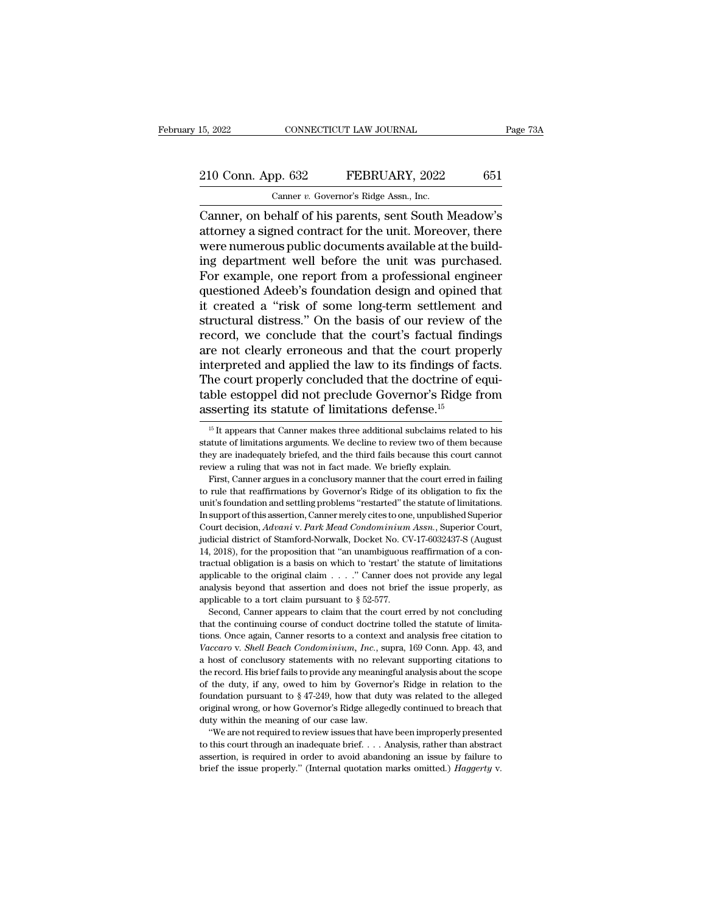## 15, 2022 CONNECTICUT LAW JOURNAL Page 73A<br>
210 Conn. App. 632 FEBRUARY, 2022 651<br>
Canner v. Governor's Ridge Assn., Inc. 15, 2022 CONNECTICUT LAW JOURNAL<br>
210 Conn. App. 632 FEBRUARY, 2022 651<br>
Canner *v.* Governor's Ridge Assn., Inc.<br>
Canner, on behalf of his parents, sent South Meadow's

EREGALE CONNECTICUT LAW JOURNAL Page 73A<br>
210 Conn. App. 632 FEBRUARY, 2022 651<br>
Canner v. Governor's Ridge Assn., Inc.<br>
Canner, on behalf of his parents, sent South Meadow's<br>
attorney a signed contract for the unit. Moreo 210 Conn. App. 632 FEBRUARY, 2022 651<br>
Canner v. Governor's Ridge Assn., Inc.<br>
Canner, on behalf of his parents, sent South Meadow's<br>
attorney a signed contract for the unit. Moreover, there<br>
were numerous public documents 210 Conn. App. 632 FEBRUARY, 2022 651<br>
Canner v. Governor's Ridge Assn., Inc.<br>
Canner, on behalf of his parents, sent South Meadow's<br>
attorney a signed contract for the unit. Moreover, there<br>
were numerous public documents 210 Conn. App. 632 FEBRUARY, 2022 651<br>
Canner v. Governor's Ridge Assn., Inc.<br>
Canner, on behalf of his parents, sent South Meadow's<br>
attorney a signed contract for the unit. Moreover, there<br>
were numerous public document Canner v. Governor's Ridge Assn., Inc.<br>Canner, on behalf of his parents, sent South Meadow's<br>attorney a signed contract for the unit. Moreover, there<br>were numerous public documents available at the build-<br>ing department we Canner v. Governor's Ridge Assn., Inc.<br>Canner, on behalf of his parents, sent South Meadow's<br>attorney a signed contract for the unit. Moreover, there<br>were numerous public documents available at the build-<br>ing department w Canner, on behalf of his parents, sent South Meadow's<br>attorney a signed contract for the unit. Moreover, there<br>were numerous public documents available at the build-<br>ing department well before the unit was purchased.<br>For e attorney a signed contract for the unit. Moreover, there were numerous public documents available at the building department well before the unit was purchased.<br>For example, one report from a professional engineer question were numerous public documents available at the building department well before the unit was purchased.<br>For example, one report from a professional engineer questioned Adeeb's foundation design and opined that it created a ing department well before the unit was purchased.<br>For example, one report from a professional engineer<br>questioned Adeeb's foundation design and opined that<br>it created a "risk of some long-term settlement and<br>structural di For example, one report from a professional engineer<br>questioned Adeeb's foundation design and opined that<br>it created a "risk of some long-term settlement and<br>structural distress." On the basis of our review of the<br>record, questioned Adeeb's foundation design and opined that<br>it created a "risk of some long-term settlement and<br>structural distress." On the basis of our review of the<br>record, we conclude that the court's factual findings<br>are not it created a "risk of some long-term settlement and<br>structural distress." On the basis of our review of the<br>record, we conclude that the court's factual findings<br>are not clearly erroneous and that the court properly<br>interp structural distress." On the basis of our review of record, we conclude that the court's factual find are not clearly erroneous and that the court prop interpreted and applied the law to its findings of factual find the c terpreted and applied the law to its findings of facts.<br>he court properly concluded that the doctrine of equi-<br>ble estoppel did not preclude Governor's Ridge from<br>sserting its statute of limitations defense.<sup>15</sup><br><sup>15</sup> It ap The court properly concluded that the doctrine of equitable estoppel did not preclude Governor's Ridge from asserting its statute of limitations defense.<sup>15</sup><br> $\frac{15 \text{ It appears that Canner makes three additional subclass related to his  
statute of limitations arguments. We decline to review two of them because  
they are independently brief, and the third fails because this court cannot$ 

applicable to the original claim  $\ldots$ . " Canner does not provide any legal analysis beyond that assertion and does not brief the issue properly, as applicable to a tort claim pursuant to  $\S 52-577$ .<br>Second, Canner appear *Vacaro* v are onlying that assertion and does not brief the issue properly, as applicable to a tort claim pursuant to § 52-577. Second, Canner appears to claim that the court erred by not concluding that the continuing co applicable to a tort claim pursuant to  $\S$  52-577.<br>Second, Canner appears to claim that the court erred by not concluding<br>that the continuing course of conduct doctrine tolled the statute of limita-<br>tions. Once again, Can Second, Canner appears to claim that the court erred by not concluding<br>that the continuing course of conduct doctrine tolled the statute of limita-<br>tions. Once again, Canner resorts to a context and analysis free citation that the continuing course of conduct doctrine tolled the statute of limitations. Once again, Canner resorts to a context and analysis free citation to  $Vaccaro$  v. *Shell Beach Condominium, Inc.*, supra, 169 Conn. App. 43, a tions. Once again, Canner resorts to a context and analysis free citation to Vaccaro v. Shell Beach Condominium, Inc., supra, 169 Conn. App. 43, and a host of conclusory statements with no relevant supporting citations to Vaccaro v. Shell Beach Condominium, Inc., supra, 169 Conn. App. 43, and a host of conclusory statements with no relevant supporting citations to the record. His brief fails to provide any meaningful analysis about the sco a host of conclusory statements with no relevant and the mecod. His brief fails to provide any meaning of the duty, if any, owed to him by Governo foundation pursuant to  $\S 47-249$ , how that dut original wrong, or how Gov e record. His brief fails to provide any meaningful analysis about the scope the duty, if any, owed to him by Governor's Ridge in relation to the undation pursuant to  $§ 47-249$ , how that duty was related to the alleged i the record. His brief fails to provide any meaningful analysis about the scope<br>of the duty, if any, owed to him by Governor's Ridge in relation to the<br>foundation pursuant to § 47-249, how that duty was related to the alle original wrong, or how Governor's Ridge allegedly continued to breach that

assertion, in any, or we want to \$47-249, how that duty was related to the alleged original wrong, or how Governor's Ridge allegedly continued to breach that duty within the meaning of our case law. "We are not required t

table estoppel did not preclude Governor's Ridge from<br>asserting its statute of limitations defense.<sup>15</sup><br> $^{15}$  It appears that Camer makes three additional subclaims related to his<br>statute of limitations arguments. We dec **EXECUTE AND ASSEMUTE AND PECTAGE COVETION 5 TEMPLE**<br>asserting its statute of limitations defense.<sup>15</sup><br> $^{15}$  It appears that Canner makes three additional subclaims relate<br>statute of limitations arguments. We decline to <sup>15</sup> It appears that Canner makes three additional subclaims related to his  $^{15}$  It appears that Canner makes three additional subclaims related to his atute of limitations arguments. We decline to review two of them be <sup>15</sup> It appears that Canner makes three additional subclaims related to his statute of limitations arguments. We decline to review two of them because they are inadequately briefed, and the third fails because this court

Extatute of limitations arguments. We decline to review two of them because they are inadequately briefed, and the third fails because this court cannot review a ruling that was not in fact made. We briefly explain. First, Under a manifold the manifold and the third fails because this court cannot review a ruling that was not in fact made. We briefly explain. First, Canner argues in a conclusory manner that the court erred in failing to rul review a ruling that was not in fact made. We briefly explain.<br>
Frist, Canner argues in a conclusory manner that the court erred in failing<br>
to rule that reaffirmations by Governor's Ridge of its obligation to fix the<br>
uni First, Canner argues in a conclusory manner that the court erred in failing to rule that reaffirmations by Governor's Ridge of its obligation to fix the unit's foundation and settling problems "restarted" the statute of li First, Canner argues in a conclusory manner that the court erred in failing<br>to rule that reaffirmations by Governor's Ridge of its obligation to fix the<br>unit's foundation and settling problems "restarted" the statute of l unit's foundation and settling problems "restarted" the statute of limitations.<br>In support of this assertion, Canner merely cites to one, unpublished Superior Court decision,  $Advani$  v.  $Park\ Mead\ Condominium\ Assn$ , Superior Court, judici In support of this assertion, Canner merely cites to one, unpublished Superior Court decision, *Advani* v. *Park Mead Condominium Assn.*, Superior Court, judicial district of Stamford-Norwalk, Docket No. CV-17-6032437-S ( Court decision, *Advani* v. *Park Mead Condominium Assn.*, Superior Court, judicial district of Stamford-Norwalk, Docket No. CV-17-6032437-S (August 14, 2018), for the proposition that "an unambiguous reaffirmation of a c indicial district of Stamford-Norwalk, Docket No. CV<br>
14, 2018), for the proposition that "an unambiguous<br>
tractual obligation is a basis on which to 'restart' the<br>
applicable to the original claim  $\ldots$ . " Canner does<br>
a second, Canner appears to claim that the court erred by not concluding at the control of a concetual obligation is a basis on which to 'restart' the statute of limitations plicable to the original claim  $\ldots$ ." Canner doe Fractual obligation is a basis on which to 'restart' the statute of limitations applicable to the original claim  $\ldots$ ." Canner does not provide any legal analysis beyond that assertion and does not brief the issue proper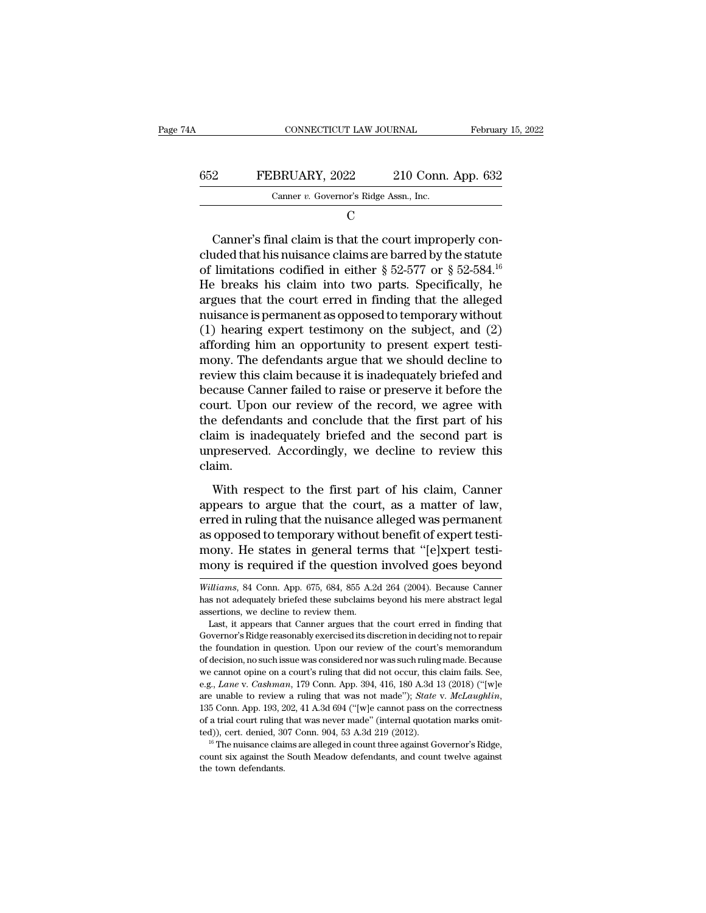| 74A | CONNECTICUT LAW JOURNAL                | February 15, 2022  |
|-----|----------------------------------------|--------------------|
| 652 | FEBRUARY, 2022                         | 210 Conn. App. 632 |
|     | Canner v. Governor's Ridge Assn., Inc. |                    |
|     |                                        |                    |

C<sub>c</sub>

EEBRUARY, 2022 210 Conn. App. 632<br>
Canner v. Governor's Ridge Assn., Inc.<br>
C<br>
Canner's final claim is that the court improperly con-<br>
ded that his nuisance claims are barred by the statute<br>
limitations codified in either 652 FEBRUARY, 2022 210 Conn. App. 632<br>
Canner *v*. Governor's Ridge Assn., Inc.<br>
C<br>
C<br>
Canner's final claim is that the court improperly concluded that his nuisance claims are barred by the statute<br>
of limitations codifie FEBRUARY, 2022 210 Conn. App. 632<br>Canner v. Governor's Ridge Assn., Inc.<br>C<br>Canner's final claim is that the court improperly con-<br>cluded that his nuisance claims are barred by the statute<br>of limitations codified in either He breaks his claim into two parts. Specifically, he C<br>Canner's final claim is that the court improperly con-<br>cluded that his nuisance claims are barred by the statute<br>of limitations codified in either  $\S~52\textrm{-}577$  or  $\S~52\textrm{-}584$ .<sup>16</sup><br>He breaks his claim into two parts Canner's final claim is that the court improperly concluded that his nuisance claims are barred by the statute of limitations codified in either  $\S 52-577$  or  $\S 52-584$ .<sup>16</sup> He breaks his claim into two parts. Specifical Canner's final claim is that the court improperly concluded that his nuisance claims are barred by the statute of limitations codified in either  $\S 52-577$  or  $\S 52-584$ .<sup>16</sup> He breaks his claim into two parts. Specifical cluded that his nuisance claims are barred by the statute<br>of limitations codified in either  $\S 52-577$  or  $\S 52-584$ .<sup>16</sup><br>He breaks his claim into two parts. Specifically, he<br>argues that the court erred in finding that th of limitations codified in either  $\S 52-577$  or  $\S 52-584$ .<sup>16</sup><br>He breaks his claim into two parts. Specifically, he<br>argues that the court erred in finding that the alleged<br>nuisance is permanent as opposed to temporary wi He breaks his claim into two parts. Specifically, he<br>argues that the court erred in finding that the alleged<br>nuisance is permanent as opposed to temporary without<br>(1) hearing expert testimony on the subject, and (2)<br>afford argues that the court erred in finding that the alleged<br>nuisance is permanent as opposed to temporary without<br>(1) hearing expert testimony on the subject, and (2)<br>affording him an opportunity to present expert testi-<br>mony. nuisance is permanent as opposed to temporary without<br>(1) hearing expert testimony on the subject, and (2)<br>affording him an opportunity to present expert testi-<br>mony. The defendants argue that we should decline to<br>review t (1) hearing expert testimony on the subject, and (2) affording him an opportunity to present expert testimony. The defendants argue that we should decline to review this claim because it is inadequately briefed and becaus affording him an opportunity to present expert testi-<br>mony. The defendants argue that we should decline to<br>review this claim because it is inadequately briefed and<br>because Canner failed to raise or preserve it before the<br>c mony. The defendants argue that we should decline to<br>review this claim because it is inadequately briefed and<br>because Canner failed to raise or preserve it before the<br>court. Upon our review of the record, we agree with<br>the claim. East Connect tanks of the record, we agree with<br>urt. Upon our review of the record, we agree with<br>e defendants and conclude that the first part of his<br>im is inadequately briefed and the second part is<br>preserved. Accordingl Fourth-gent out forces are to all the court, we agree that<br>the defendants and conclude that the first part of his<br>claim,<br>unpreserved. Accordingly, we decline to review this<br>claim.<br>With respect to the first part of his clai

erred in and the second part is<br>claim is inadequately briefed and the second part is<br>unpreserved. Accordingly, we decline to review this<br>claim.<br>With respect to the first part of his claim, Canner<br>appears to argue that the and a material proced and are second part is<br>unpreserved. Accordingly, we decline to review this<br>claim.<br>With respect to the first part of his claim, Canner<br>appears to argue that the court, as a matter of law,<br>erred in ruli many with respect to the first part of his claim, Canner<br>appears to argue that the court, as a matter of law,<br>erred in ruling that the nuisance alleged was permanent<br>as opposed to temporary without benefit of expert testi-With respect to the first part of his claim, Canner<br>appears to argue that the court, as a matter of law,<br>erred in ruling that the nuisance alleged was permanent<br>as opposed to temporary without benefit of expert testi-<br>mony erred in ruling that the nuisance alleged was permanent<br>as opposed to temporary without benefit of expert testi-<br>mony. He states in general terms that "[e]xpert testi-<br>mony is required if the question involved goes beyond<br> as opposed to temporary without benefit of expert testi-<br>mony. He states in general terms that "[e]xpert testi-<br>mony is required if the question involved goes beyond<br>*Williams*, 84 Conn. App. 675, 684, 855 A.2d 264 (2004).

mony. He states in general terms that "[e]xpert testi-<br>mony is required if the question involved goes beyond<br>williams, 84 Conn. App. 675, 684, 855 A.2d 264 (2004). Because Canner<br>has not adequately briefed these subclaims mony is required if the question involved goes beyond<br> *Williams*, 84 Conn. App. 675, 684, 855 A.2d 264 (2004). Because Canner<br>
has not adequately briefed these subclaims beyond his mere abstract legal<br>
assertions, we decl

Williams, 84 Conn. App. 675, 684, 855 A.2d 264 (2004). Because Canner has not adequately briefed these subclaims beyond his mere abstract legal assertions, we decline to review them.<br>Last, it appears that Canner argues tha Williams, 84 Conn. App. 675, 684, 855 A.2d 264 (2004). Because Canner has not adequately briefed these subclaims beyond his mere abstract legal assertions, we decline to review them.<br>Last, it appears that Canner argues tha of decision, we decline to review them.<br>
Last, it appears that Canner argues that the court erred in finding that<br>
Governor's Ridge reasonably exercised its discretion in deciding not to repair<br>
the foundation in question. assertions, we decline to review them.<br>
Last, it appears that Canner argues that the court erred in finding that<br>
Governor's Ridge reasonably exercised its discretion in deciding not to repair<br>
the foundation in question. Last, it appears that Canner argues that the court erred in finding that Governor's Ridge reasonably exercised its discretion in deciding not to repair the foundation in question. Upon our review of the court's memorandum Governor's Ridge reasonably exercised its discretion in deciding not to repair<br>the foundation in question. Upon our review of the court's memorandum<br>of decision, no such issue was considered nor was such ruling made. Becau of decision, no such issue was considered nor was such ruling made. Because<br>we cannot opine on a court's ruling that did not occur, this claim fails. See,<br>e.g., *Lane* v. *Cashman*, 179 Conn. App. 394, 416, 180 A.3d 13 (2 we cannot opine on a court's ruling that did not occur, this claim fails. See, e.g., *Lane* v. *Cashman*, 179 Conn. App. 394, 416, 180 A.3d 13 (2018) ("[w]e are unable to review a ruling that was not made"); *State* v. *M* e.g., *Lane* v. *Cashman*, 179 Conn. App. 394, 416, 180 A.3d 13 (2018) ("[w]e are unable to review a ruling that was not made"); *State* v. *McLaughlin*, 135 Conn. App. 193, 202, 41 A.3d 694 ("[w]e cannot pass on the corr 135 Conn. App. 193, 202, 41 A.3d 694 ("[w]e cannot pass on the correctness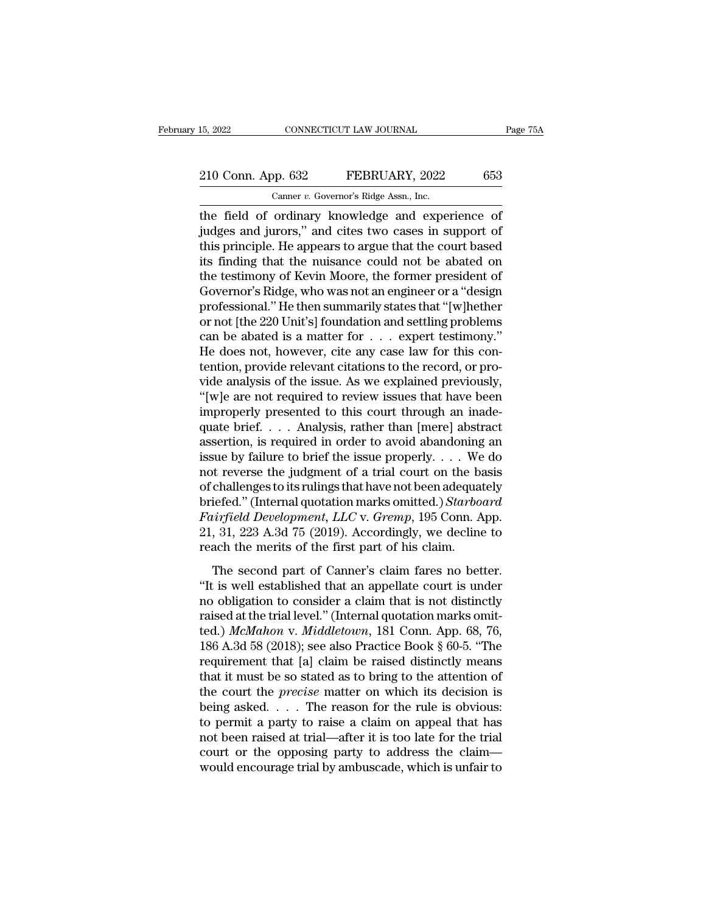#### 15, 2022 CONNECTICUT LAW JOURNAL Page 75A<br>
210 Conn. App. 632 FEBRUARY, 2022 653<br>
Canner v. Governor's Ridge Assn., Inc. CONNECTICUT LAW JOURNAL<br>Dp. 632 FEBRUARY, 2022<br>Canner *v.* Governor's Ridge Assn., Inc.<br>Ordinary knowledge and expe

the field of ordinary knowledge and experience of<br>the field of ordinary knowledge and experience of<br>judges and jurors," and cites two cases in support of<br>this principle. He appears to argue that the court based 210 Conn. App. 632 FEBRUARY, 2022 653<br>
Canner v. Governor's Ridge Assn., Inc.<br>
the field of ordinary knowledge and experience of<br>
judges and jurors,'' and cites two cases in support of<br>
this principle. He appears to argue 210 Conn. App. 632 FEBRUARY, 2022 653<br>
Canner v. Governor's Ridge Assn., Inc.<br>
the field of ordinary knowledge and experience of<br>
judges and jurors," and cites two cases in support of<br>
this principle. He appears to argue 210 Conn. App. 632 FEBRUARY, 2022 653<br>
Canner v. Governor's Ridge Assn., Inc.<br>
the field of ordinary knowledge and experience of<br>
judges and jurors," and cites two cases in support of<br>
this principle. He appears to argue Canner *v*. Governor's Ridge Assn., Inc.<br>
the field of ordinary knowledge and experience of<br>
judges and jurors," and cites two cases in support of<br>
this principle. He appears to argue that the court based<br>
its finding that Camer v. Governor's Ridge Assn., Inc.<br>the field of ordinary knowledge and experience of<br>judges and jurors," and cites two cases in support of<br>this principle. He appears to argue that the court based<br>its finding that the nu the field of ordinary knowledge and experience of<br>judges and jurors," and cites two cases in support of<br>this principle. He appears to argue that the court based<br>its finding that the nuisance could not be abated on<br>the test judges and jurors," and cites two cases in support of<br>this principle. He appears to argue that the court based<br>its finding that the nuisance could not be abated on<br>the testimony of Kevin Moore, the former president of<br>Gove this principle. He appears to argue that the court based<br>its finding that the nuisance could not be abated on<br>the testimony of Kevin Moore, the former president of<br>Governor's Ridge, who was not an engineer or a "design<br>pro its finding that the nuisance could not be abated on<br>the testimony of Kevin Moore, the former president of<br>Governor's Ridge, who was not an engineer or a "design<br>professional." He then summarily states that "[w]hether<br>or the testimony of Kevin Moore, the former president of Governor's Ridge, who was not an engineer or a "design professional." He then summarily states that "[w]hether or not [the 220 Unit's] foundation and settling problems Governor's Ridge, who was not an engineer or a "design<br>professional." He then summarily states that "[w]hether<br>or not [the 220 Unit's] foundation and settling problems<br>can be abated is a matter for  $\ldots$  expert testimony. professional." He then summarily states that "[w]hether<br>or not [the 220 Unit's] foundation and settling problems<br>can be abated is a matter for . . . expert testimony."<br>He does not, however, cite any case law for this con-<br> or not [the 220 Unit's] foundation and settling problems<br>can be abated is a matter for  $\dots$  expert testimony."<br>He does not, however, cite any case law for this con-<br>tention, provide relevant citations to the record, or pr can be abated is a matter for  $\dots$  expert testimony."<br>He does not, however, cite any case law for this contention, provide relevant citations to the record, or pro-<br>vide analysis of the issue. As we explained previously,<br> He does not, however, cite any case law for this contention, provide relevant citations to the record, or provide analysis of the issue. As we explained previously, "[w]e are not required to review issues that have been i tention, provide relevant citations to the record, or provide analysis of the issue. As we explained previously, "[w]e are not required to review issues that have been improperly presented to this court through an inadequ vide analysis of the issue. As we explained previously,<br>"[w]e are not required to review issues that have been<br>improperly presented to this court through an inade-<br>quate brief. . . . Analysis, rather than [mere] abstract<br> "[w]e are not required to review issues that have been<br>improperly presented to this court through an inade-<br>quate brief.... Analysis, rather than [mere] abstract<br>assertion, is required in order to avoid abandoning an<br>issu improperly presented to this court through an inade-<br>quate brief. . . . Analysis, rather than [mere] abstract<br>assertion, is required in order to avoid abandoning an<br>issue by failure to brief the issue properly. . . . We do quate brief. . . . Analysis, rather than [mere] abstract<br>assertion, is required in order to avoid abandoning an<br>issue by failure to brief the issue properly. . . . We do<br>not reverse the judgment of a trial court on the bas assertion, is required in order to avoid abandoning an<br>issue by failure to brief the issue properly. . . . We do<br>not reverse the judgment of a trial court on the basis<br>of challenges to its rulings that have not been adequ issue by failure to brief the issue properly. . . . We<br>not reverse the judgment of a trial court on the ba<br>of challenges to its rulings that have not been adequat<br>briefed." (Internal quotation marks omitted.) *Starboo*<br>*F* The second part of Canner's claim fare second<br>tirfield Development, LLC v. Gremp, 195 Conn. App.<br>5. 31, 223 A.3d 75 (2019). Accordingly, we decline to<br>ach the merits of the first part of his claim.<br>The second part of Canne or chancinges to as rainings and rate for securitive quality,<br>
briefed." (Internal quotation marks omitted.) Starboard<br>
Fairfield Development, LLC v. Gremp, 195 Conn. App.<br>
21, 31, 223 A.3d 75 (2019). Accordingly, we decli

Fairfield Development, LLC v. Gremp, 195 Conn. App.<br>21, 31, 223 A.3d 75 (2019). Accordingly, we decline to<br>reach the merits of the first part of his claim.<br>The second part of Canner's claim fares no better.<br>"It is well es 21, 31, 223 A.3d 75 (2019). Accordingly, we decline to<br>reach the merits of the first part of his claim.<br>The second part of Canner's claim fares no better.<br>"It is well established that an appellate court is under<br>no obliga 21, 31, 22, 183 Thea To (2019). Recordingly, we decline to<br>reach the merits of the first part of his claim.<br>"It is well established that an appellate court is under<br>no obligation to consider a claim that is not distinctly<br> The second part of Canner's claim fares no better.<br>
"It is well established that an appellate court is under<br>
no obligation to consider a claim that is not distinctly<br>
raised at the trial level." (Internal quotation marks The second part of Canner's claim fares no better.<br>
"It is well established that an appellate court is under<br>
no obligation to consider a claim that is not distinctly<br>
raised at the trial level." (Internal quotation marks "It is well established that an appellate court is under<br>no obligation to consider a claim that is not distinctly<br>raised at the trial level." (Internal quotation marks omit-<br>ted.) McMahon v. Middletown, 181 Conn. App. 68, no obligation to consider a claim that is not distinctly<br>raised at the trial level." (Internal quotation marks omit-<br>ted.) McMahon v. Middletown, 181 Conn. App. 68, 76,<br>186 A.3d 58 (2018); see also Practice Book § 60-5. "T raised at the trial level." (Internal quotation marks omit-<br>ted.) McMahon v. Middletown, 181 Conn. App. 68, 76,<br>186 A.3d 58 (2018); see also Practice Book § 60-5. "The<br>requirement that [a] claim be raised distinctly means ted.) McMahon v. Middletown, 181 Conn. App. 68, 76, 186 A.3d 58 (2018); see also Practice Book § 60-5. "The requirement that [a] claim be raised distinctly means that it must be so stated as to bring to the attention of t 186 A.3d 58 (2018); see also Practice Book § 60-5. "The requirement that [a] claim be raised distinctly means that it must be so stated as to bring to the attention of the court the *precise* matter on which its decision requirement that [a] claim be raised distinctly means<br>that it must be so stated as to bring to the attention of<br>the court the *precise* matter on which its decision is<br>being asked. . . . The reason for the rule is obvious that it must be so stated as to bring to the attention of<br>the court the *precise* matter on which its decision is<br>being asked.  $\ldots$ . The reason for the rule is obvious:<br>to permit a party to raise a claim on appeal that h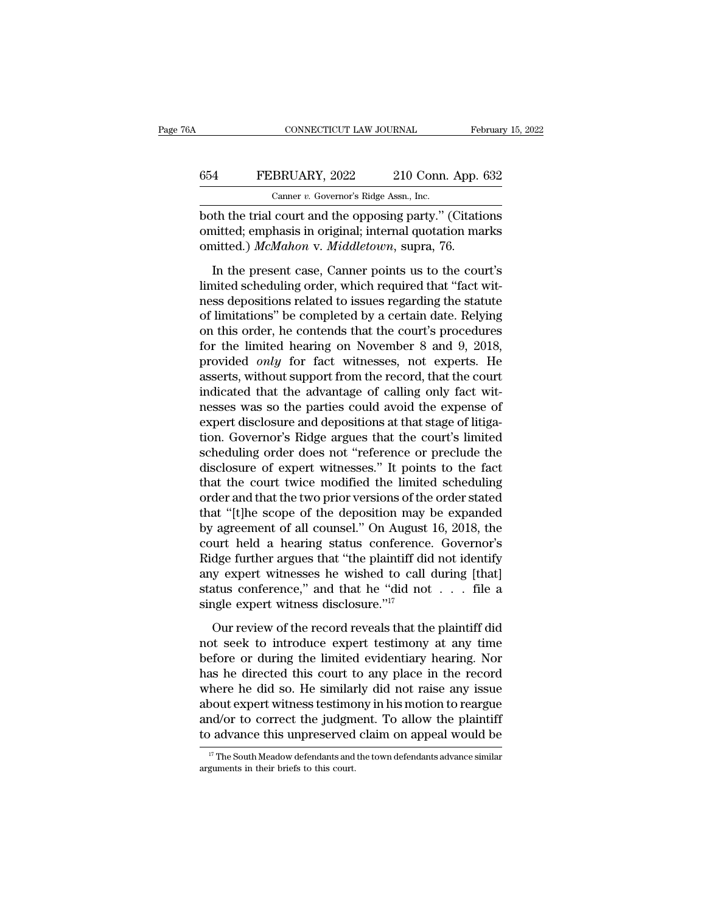## CONNECTICUT LAW JOURNAL February 15, 2022<br>654 FEBRUARY, 2022 210 Conn. App. 632<br>Canner v. Governor's Ridge Assn., Inc. CONNECTICUT LAW JOURNAL Februar<br>
FEBRUARY, 2022 210 Conn. App. 632<br>
Canner *v.* Governor's Ridge Assn., Inc.<br>
both the trial court and the opposing party." (Citations

CONNECTICUT LAW JOURNAL February 15, 2022<br>
FEBRUARY, 2022 210 Conn. App. 632<br>
Canner v. Governor's Ridge Assn., Inc.<br>
both the trial court and the opposing party.'' (Citations<br>
omitted; emphasis in original; internal quota 654 FEBRUARY, 2022 210 Conn. App. 632<br>Canner v. Governor's Ridge Assn., Inc.<br>both the trial court and the opposing party." (Citations<br>omitted; emphasis in original; internal quotation marks<br>omitted.) McMahon v. Middletown, **EBRUARY**, 2022 210 Conn. App.<br>
Canner *v.* Governor's Ridge Assn., Inc.<br>
both the trial court and the opposing party." (Citationitted; emphasis in original; internal quotation ma<br>
omitted.) *McMahon* v. *Middletown*, supr FEBRUARY, 2022 210 Conn. App. 632<br>
Canner v. Governor's Ridge Assn., Inc.<br>
th the trial court and the opposing party." (Citations<br>
nitted; emphasis in original; internal quotation marks<br>
aitted.) McMahon v. Middletown, su

Canner v. Governor's Ridge Assn., Inc.<br>
both the trial court and the opposing party." (Citations<br>
omitted: emphasis in original; internal quotation marks<br>
omitted.) McMahon v. Middletown, supra, 76.<br>
In the present case, both the trial court and the opposing party." (Citations<br>omitted; emphasis in original; internal quotation marks<br>omitted.) McMahon v. Middletown, supra, 76.<br>In the present case, Canner points us to the court's<br>limited sche omitted; emphasis in original; internal quotation marks<br>
omitted.) McMahon v. Middletown, supra, 76.<br>
In the present case, Canner points us to the court's<br>
limited scheduling order, which required that "fact wit-<br>
ness de onitted.) McMahon v. Middletown, supra, 76.<br>
In the present case, Canner points us to the court's<br>
limited scheduling order, which required that "fact wit-<br>
ness depositions related to issues regarding the statute<br>
of lim In the present case, Canner points us to the court's<br>limited scheduling order, which required that "fact wit-<br>ness depositions related to issues regarding the statute<br>of limitations" be completed by a certain date. Relyin In the present case, Canner points us to the court's<br>limited scheduling order, which required that "fact wit-<br>ness depositions related to issues regarding the statute<br>of limitations" be completed by a certain date. Relying limited scheduling order, which required that "fact witness depositions related to issues regarding the statute of limitations" be completed by a certain date. Relying on this order, he contends that the court's procedures ness depositions related to issues regarding the statute<br>of limitations" be completed by a certain date. Relying<br>on this order, he contends that the court's procedures<br>for the limited hearing on November 8 and 9, 2018,<br>pro of limitations" be completed by a certain date. Relying<br>on this order, he contends that the court's procedures<br>for the limited hearing on November 8 and 9, 2018,<br>provided *only* for fact witnesses, not experts. He<br>asserts, on this order, he contends that the court's procedures<br>for the limited hearing on November 8 and 9, 2018,<br>provided *only* for fact witnesses, not experts. He<br>asserts, without support from the record, that the court<br>indicat for the limited hearing on November 8 and 9, 2018,<br>provided *only* for fact witnesses, not experts. He<br>asserts, without support from the record, that the court<br>indicated that the advantage of calling only fact wit-<br>nesses provided *only* for fact witnesses, not experts. He<br>asserts, without support from the record, that the court<br>indicated that the advantage of calling only fact wit-<br>nesses was so the parties could avoid the expense of<br>exper asserts, without support from the record, that the court<br>indicated that the advantage of calling only fact wit-<br>nesses was so the parties could avoid the expense of<br>expert disclosure and depositions at that stage of litiga indicated that the advantage of calling only fact wit-<br>nesses was so the parties could avoid the expense of<br>expert disclosure and depositions at that stage of litiga-<br>tion. Governor's Ridge argues that the court's limited<br> nesses was so the parties could avoid the expense of<br>expert disclosure and depositions at that stage of litiga-<br>tion. Governor's Ridge argues that the court's limited<br>scheduling order does not "reference or preclude the<br>di expert disclosure and depositions at that stage of litigation. Governor's Ridge argues that the court's limited scheduling order does not "reference or preclude the disclosure of expert witnesses." It points to the fact th tion. Governor's Ridge argues that the court's limited<br>scheduling order does not "reference or preclude the<br>disclosure of expert witnesses." It points to the fact<br>that the court twice modified the limited scheduling<br>order scheduling order does not "reference or preclude the<br>disclosure of expert witnesses." It points to the fact<br>that the court twice modified the limited scheduling<br>order and that the two prior versions of the order stated<br>tha disclosure of expert witnesses." It points to the fact<br>that the court twice modified the limited scheduling<br>order and that the two prior versions of the order stated<br>that "[t]he scope of the deposition may be expanded<br>by a that the court twice modified the limited scheduling<br>order and that the two prior versions of the order stated<br>that "[t]he scope of the deposition may be expanded<br>by agreement of all counsel." On August 16, 2018, the<br>cour order and that the two prior versions of the order stated<br>that "[t]he scope of the deposition may be expanded<br>by agreement of all counsel." On August 16, 2018, the<br>court held a hearing status conference. Governor's<br>Ridge f that "[t]he scope of the deposition may be expanded<br>by agreement of all counsel." On August 16, 2018, the<br>court held a hearing status conference. Governor's<br>Ridge further argues that "the plaintiff did not identify<br>any ex durt held a hearing status conference. Governor's<br>dge further argues that "the plaintiff did not identify<br>y expert witnesses he wished to call during [that]<br>atus conference," and that he "did not  $\dots$  file a<br>ngle expert w Fidge further argues that "the plaintiff did not identify<br>any expert witnesses he wished to call during [that]<br>status conference," and that he "did not  $\ldots$  file a<br>single expert witness disclosure."<sup>17</sup><br>Our review of the

before the state or during the wished to call during [that]<br>status conference," and that he "did not  $\ldots$  file a<br>single expert witness disclosure."<sup>17</sup><br>Our review of the record reveals that the plaintiff did<br>not seek to status conference," and that he "did not  $\ldots$  file a<br>single expert witness disclosure."<sup>17</sup><br>Our review of the record reveals that the plaintiff did<br>not seek to introduce expert testimony at any time<br>before or during the single expert witness disclosure."<sup>17</sup><br>Our review of the record reveals that the plaintiff did<br>not seek to introduce expert testimony at any time<br>before or during the limited evidentiary hearing. Nor<br>has he directed this Our review of the record reveals that the plaintiff did<br>not seek to introduce expert testimony at any time<br>before or during the limited evidentiary hearing. Nor<br>has he directed this court to any place in the record<br>where h Our review of the record reveals that the plaintiff did<br>not seek to introduce expert testimony at any time<br>before or during the limited evidentiary hearing. Nor<br>has he directed this court to any place in the record<br>where h not seek to introduce expert testimony at any time<br>before or during the limited evidentiary hearing. Nor<br>has he directed this court to any place in the record<br>where he did so. He similarly did not raise any issue<br>about ex where he did so. He similarly did not raise any issue<br>about expert witness testimony in his motion to reargue<br>and/or to correct the judgment. To allow the plaintiff<br>to advance this unpreserved claim on appeal would be<br> $\frac$ to advance this unpreserved claim on appeal would be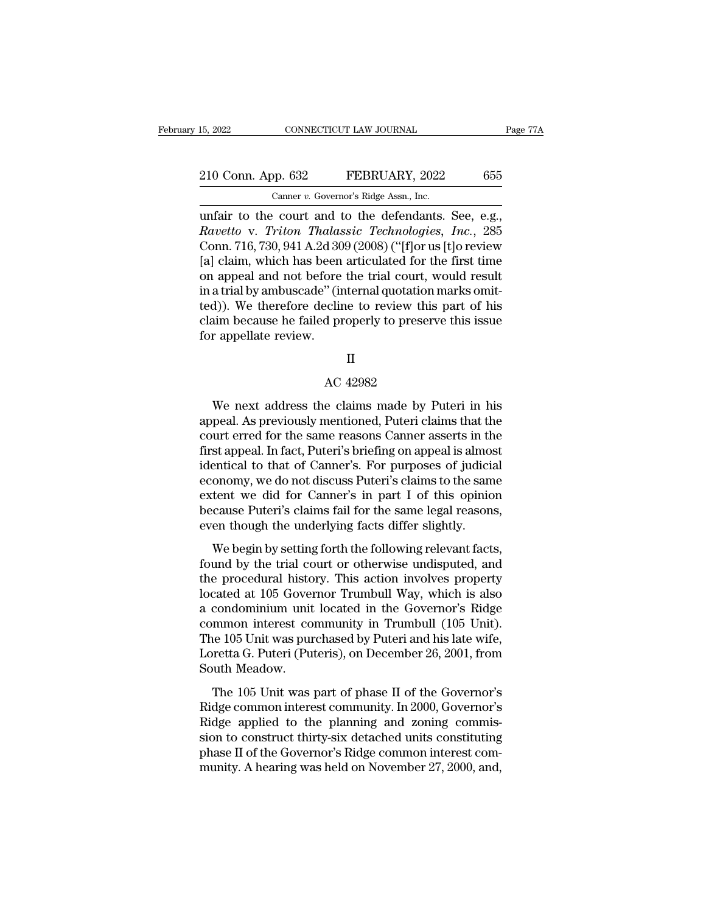15, 2022 CONNECTICUT LAW JOURNAL Page 7<br>
210 Conn. App. 632 FEBRUARY, 2022 655<br>
Canner v. Governor's Ridge Assn., Inc.<br>
unfair to the court and to the defendants. See, e.g.,<br> *Ravetto* v. *Triton Thalassic Technologies, In Ravetto* v. *Rapp.* 632 **PEBRUARY**, 2022 655<br> *Canner v. Governor's Ridge Assn., Inc.*<br> *Ravetto* v. *Triton Thalassic Technologies, Inc.*, 285<br> *Ravetto* v. *Triton Thalassic Technologies, Inc.*, 285<br>
Conn. 716, 730, 941 210 Conn. App. 632 FEBRUARY, 2022 655<br>
Canner v. Governor's Ridge Assn., Inc.<br>
unfair to the court and to the defendants. See, e.g.,<br> *Ravetto* v. *Triton Thalassic Technologies, Inc.*, 285<br>
Conn. 716, 730, 941 A.2d 309 ( 210 Conn. App. 632 FEBRUARY, 2022 655<br>
Canner v. Governor's Ridge Assn., Inc.<br>
unfair to the court and to the defendants. See, e.g.,<br> *Ravetto* v. *Triton Thalassic Technologies, Inc.*, 285<br>
Conn. 716, 730, 941 A.2d 309 ( Canner v. Governor's Ridge Assn., Inc.<br>
unfair to the court and to the defendants. See, e.g.,<br>
Ravetto v. Triton Thalassic Technologies, Inc., 285<br>
Conn. 716, 730, 941 A.2d 309 (2008) ("[f]or us [t]o review<br>
[a] claim, wh Canner v. Governor's Ridge Assn., Inc.<br>
unfair to the court and to the defendants. See, e.g.,<br>
Ravetto v. Triton Thalassic Technologies, Inc., 285<br>
Conn. 716, 730, 941 A.2d 309 (2008) ("[f]or us [t]o review<br>
[a] claim, wh unfair to the court and to the defendants. See, e.g.,<br> *Ravetto* v. *Triton Thalassic Technologies*, *Inc.*, 285<br>
Conn. 716, 730, 941 A.2d 309 (2008) ("[f]or us [t]o review<br>
[a] claim, which has been articulated for the fi Ravetto v. Triton Thalassic Technologies, Inc., 285<br>Conn. 716, 730, 941 A.2d 309 (2008) ("[f]or us [t]o review<br>[a] claim, which has been articulated for the first time<br>on appeal and not before the trial court, would result Conn. 716, 730, 941 A.2d 30<br>[a] claim, which has been<br>on appeal and not before<br>in a trial by ambuscade" (in<br>ted)). We therefore declin<br>claim because he failed pr<br>for appellate review. % (internal quotation)<br>ecline to review this<br>d properly to preser<br>II<br>AC 42982<br>e claims made by 1

#### II

We next address the claims made by Puteri in his<br>peak. As previously mentioned, Puteri claims that the<br>wet are for the same reasons Cannor asserts in the<br>wet error for the same reasons Cannor asserts in the for appellate review.<br>
II<br>
AC 42982<br>
We next address the claims made by Puteri in his<br>
appeal. As previously mentioned, Puteri claims that the<br>
court erred for the same reasons Canner asserts in the<br>
first appeal. In fact Example 18 and the same reasons Canner asserts in this<br>appeal. As previously mentioned, Puteri claims that the<br>court erred for the same reasons Canner asserts in the<br>first appeal. In fact, Puteri's briefing on appeal is al Fig. 2013<br>
Fig. 2013<br>
We next address the claims made by Puteri in his<br>
appeal. As previously mentioned, Puteri claims that the<br>
court erred for the same reasons Canner asserts in the<br>
first appeal. In fact, Puteri's brief AC 42982<br>We next address the claims made by Puteri in his<br>appeal. As previously mentioned, Puteri claims that the<br>court erred for the same reasons Canner asserts in the<br>first appeal. In fact, Puteri's briefing on appeal is We next address the claims made by Puteri in his<br>appeal. As previously mentioned, Puteri claims that the<br>court erred for the same reasons Canner asserts in the<br>first appeal. In fact, Puteri's briefing on appeal is almost<br>i We next address the claims made by Puteri in his<br>appeal. As previously mentioned, Puteri claims that the<br>court erred for the same reasons Canner asserts in the<br>first appeal. In fact, Puteri's briefing on appeal is almost<br>i appeal. As previously mentioned, Puteri claims that the court erred for the same reasons Canner asserts in the first appeal. In fact, Puteri's briefing on appeal is almost identical to that of Canner's. For purposes of jud court erred for the same reasons Canner asserts in the first appeal. In fact, Puteri's briefing on appeal is almosidentical to that of Canner's. For purposes of judicial economy, we do not discuss Puteri's claims to the sa Examplear. In fact, 1 aterts ofteing on appear is amost<br>entical to that of Canner's. For purposes of judicial<br>onomy, we do not discuss Puteri's claims to the same<br>tent we did for Canner's in part I of this opinion<br>cause Pu formed by the trial court of Same Sections of Judeon<br>economy, we do not discuss Puteri's claims to the same<br>extent we did for Canner's in part I of this opinion<br>because Puteri's claims fail for the same legal reasons,<br>even

economy, we do not diseases F dern's claims to die same<br>extent we did for Canner's in part I of this opinion<br>because Puteri's claims fail for the same legal reasons,<br>even though the underlying facts differ slightly.<br>We beg Extern we did for Caliner's in part 1 or this opinion<br>because Puteri's claims fail for the same legal reasons,<br>even though the underlying facts differ slightly.<br>We begin by setting forth the following relevant facts,<br>found because Tuten's claims fail for the same legal reasons,<br>even though the underlying facts differ slightly.<br>We begin by setting forth the following relevant facts,<br>found by the trial court or otherwise undisputed, and<br>the pr We begin by setting forth the following relevant facts,<br>found by the trial court or otherwise undisputed, and<br>the procedural history. This action involves property<br>located at 105 Governor Trumbull Way, which is also<br>a cond We begin by setting forth the following relevant facts,<br>found by the trial court or otherwise undisputed, and<br>the procedural history. This action involves property<br>located at 105 Governor Trumbull Way, which is also<br>a cond found by the trial court or otherwise undisputed, and<br>the procedural history. This action involves property<br>located at 105 Governor Trumbull Way, which is also<br>a condominium unit located in the Governor's Ridge<br>common inte the procedural histo<br>located at 105 Gover<br>a condominium unit<br>common interest co<br>The 105 Unit was pur<br>Loretta G. Puteri (Pu<br>South Meadow.<br>The 105 Unit was condominium unit located in the Governor's Ridge<br>condominium unit located in the Governor's Ridge<br>mmon interest community in Trumbull (105 Unit).<br>le 105 Unit was purchased by Puteri and his late wife,<br>pretta G. Puteri (Put a condominative and focated in the dovernor's range<br>common interest community in Trumbull (105 Unit).<br>The 105 Unit was purchased by Puteri and his late wife,<br>Loretta G. Puteri (Puteris), on December 26, 2001, from<br>South Me

Example 105 Unit was purchased by Puteri and his late wife,<br>The 105 Unit was purchased by Puteri and his late wife,<br>Loretta G. Puteri (Puteris), on December 26, 2001, from<br>South Meadow.<br>The 105 Unit was part of phase II of Fire Too effit was parenased by Taterrand instate whe,<br>Loretta G. Puteri (Puteris), on December 26, 2001, from<br>South Meadow.<br>The 105 Unit was part of phase II of the Governor's<br>Ridge common interest community. In 2000, Gov Bottled C. Platter (Platter), on Becchilder 20, 2001, Hond<br>South Meadow.<br>The 105 Unit was part of phase II of the Governor's<br>Ridge common interest community. In 2000, Governor's<br>Ridge applied to the planning and zoning com The 105 Unit was part of phase II of the Governor's<br>Ridge common interest community. In 2000, Governor's<br>Ridge applied to the planning and zoning commis-<br>sion to construct thirty-six detached units constituting<br>phase II of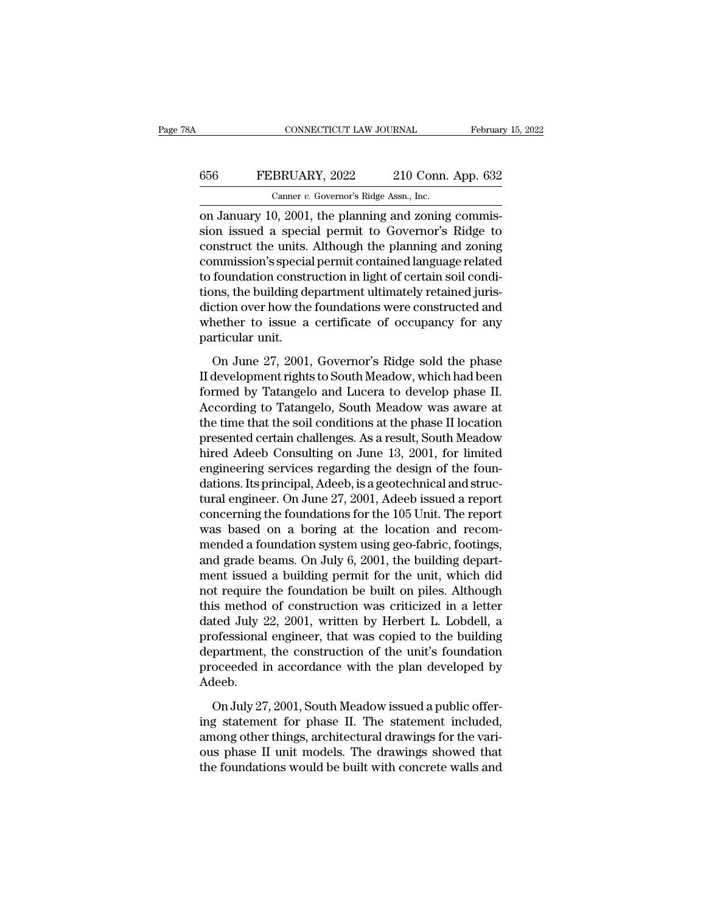## CONNECTICUT LAW JOURNAL February 15, 2022<br>656 FEBRUARY, 2022 210 Conn. App. 632<br>Canner v. Governor's Ridge Assn., Inc. CONNECTICUT LAW JOURNAL Februar<br>
Februar<br>
656 FEBRUARY, 2022 210 Conn. App. 632<br>
Canner *v.* Governor's Ridge Assn., Inc.<br>
on January 10, 2001, the planning and zoning commis-

CONNECTICUT LAW JOURNAL Februar<br>
February 10, 2022 210 Conn. App. 632<br>
Canner v. Governor's Ridge Assn., Inc.<br>
The planning and zoning commis-<br>
Sion issued a special permit to Governor's Ridge to FEBRUARY, 2022 210 Conn. App. 632<br>
Canner v. Governor's Ridge Assn., Inc.<br>
on January 10, 2001, the planning and zoning commis-<br>
sion issued a special permit to Governor's Ridge to<br>
construct the units. Although the planni EBRUARY, 2022 210 Conn. App. 632<br>
Canner v. Governor's Ridge Assn., Inc.<br>
on January 10, 2001, the planning and zoning commis-<br>
sion issued a special permit to Governor's Ridge to<br>
construct the units. Although the planni EBRUARY, 2022 210 Conn. App. 632<br>
Canner v. Governor's Ridge Assn., Inc.<br>
on January 10, 2001, the planning and zoning commis-<br>
sion issued a special permit to Governor's Ridge to<br>
construct the units. Although the planni Canner v. Governor's Ridge Assn., Inc.<br>
on January 10, 2001, the planning and zoning commission issued a special permit to Governor's Ridge to<br>
construct the units. Although the planning and zoning<br>
commission's special p Camer *v.* Governors Ridge Assn., inc.<br>
on January 10, 2001, the planning and zoning commission issued a special permit to Governor's Ridge to<br>
construct the units. Although the planning and zoning<br>
commission's special p on January 10, 2001, the planning and zoning commis-<br>sion issued a special permit to Governor's Ridge to<br>construct the units. Although the planning and zoning<br>commission's special permit contained language related<br>to found sion issued a special permit to Governor's Ridge to<br>construct the units. Although the planning and zoning<br>commission's special permit contained language related<br>to foundation construction in light of certain soil condi-<br>ti construct the units.<br>commission's specia<br>to foundation constr<br>tions, the building de<br>diction over how the<br>whether to issue a<br>particular unit.<br>On June 27, 2001, Foundation construction in light of certain soil condi-<br>foundation construction in light of certain soil condi-<br>priscition over how the foundations were constructed and<br>nether to issue a certificate of occupancy for any<br>rt Films, the building department ultimately retained jurisdiction over how the foundations were constructed and<br>whether to issue a certificate of occupancy for any<br>particular unit.<br>On June 27, 2001, Governor's Ridge sold the

Formed by the foundations were constructed and<br>whether to issue a certificate of occupancy for any<br>particular unit.<br>On June 27, 2001, Governor's Ridge sold the phase<br>II development rights to South Meadow, which had been<br>fo Whether to issue a certificate of occupancy for any<br>particular unit.<br>On June 27, 2001, Governor's Ridge sold the phase<br>II development rights to South Meadow, which had been<br>formed by Tatangelo and Lucera to develop phase I particular unit.<br>
On June 27, 2001, Governor's Ridge sold the phase<br>
II development rights to South Meadow, which had been<br>
formed by Tatangelo and Lucera to develop phase II.<br>
According to Tatangelo, South Meadow was awar on June 27, 2001, Governor's Ridge sold the phase<br>II development rights to South Meadow, which had been<br>formed by Tatangelo and Lucera to develop phase II.<br>According to Tatangelo, South Meadow was aware at<br>the time that th On June 27, 2001, Governor's Ridge sold the phase<br>II development rights to South Meadow, which had been<br>formed by Tatangelo and Lucera to develop phase II.<br>According to Tatangelo, South Meadow was aware at<br>the time that th II development rights to South Meadow, which had been<br>formed by Tatangelo and Lucera to develop phase II.<br>According to Tatangelo, South Meadow was aware at<br>the time that the soil conditions at the phase II location<br>present formed by Tatangelo and Lucera to develop phase II.<br>According to Tatangelo, South Meadow was aware at<br>the time that the soil conditions at the phase II location<br>presented certain challenges. As a result, South Meadow<br>hired According to Tatangelo, South Meadow was aware at<br>the time that the soil conditions at the phase II location<br>presented certain challenges. As a result, South Meadow<br>hired Adeeb Consulting on June 13, 2001, for limited<br>engi the time that the soil conditions at the phase II location<br>presented certain challenges. As a result, South Meadow<br>hired Adeeb Consulting on June 13, 2001, for limited<br>engineering services regarding the design of the founpresented certain challenges. As a result, South Meadow<br>hired Adeeb Consulting on June 13, 2001, for limited<br>engineering services regarding the design of the foun-<br>dations. Its principal, Adeeb, is a geotechnical and struc hired Adeeb Consulting on June 13, 2001, for limited<br>engineering services regarding the design of the foun-<br>dations. Its principal, Adeeb, is a geotechnical and struc-<br>tural engineer. On June 27, 2001, Adeeb issued a repor engineering services regarding the design of the foun-<br>dations. Its principal, Adeeb, is a geotechnical and struc-<br>tural engineer. On June 27, 2001, Adeeb issued a report<br>concerning the foundations for the 105 Unit. The re dations. Its principal, Adeeb, is a geotechnical and structural engineer. On June 27, 2001, Adeeb issued a report<br>concerning the foundations for the 105 Unit. The report<br>was based on a boring at the location and recom-<br>men tural engineer. On June 27, 2001, Adeeb issued a report<br>concerning the foundations for the 105 Unit. The report<br>was based on a boring at the location and recom-<br>mended a foundation system using geo-fabric, footings,<br>and gr concerning the foundations for the 105 Unit. The report<br>was based on a boring at the location and recom-<br>mended a foundation system using geo-fabric, footings,<br>and grade beams. On July 6, 2001, the building depart-<br>ment is was based on a boring at the location and recom-<br>mended a foundation system using geo-fabric, footings,<br>and grade beams. On July 6, 2001, the building depart-<br>ment issued a building permit for the unit, which did<br>not requi mended a foundation system using geo-fabric, footings,<br>and grade beams. On July 6, 2001, the building depart-<br>ment issued a building permit for the unit, which did<br>not require the foundation be built on piles. Although<br>thi and grade beams. On July 6, 2001, the building depart-<br>ment issued a building permit for the unit, which did<br>not require the foundation be built on piles. Although<br>this method of construction was criticized in a letter<br>da ment issued a building permit for the unit, which did<br>not require the foundation be built on piles. Although<br>this method of construction was criticized in a letter<br>dated July 22, 2001, written by Herbert L. Lobdell, a<br>prof Adeeb. ted July 22, 2001, written by Herbert L. Lobdell, a<br>ofessional engineer, that was copied to the building<br>partment, the construction of the unit's foundation<br>oceeded in accordance with the plan developed by<br>leeb.<br>On July 27 professional engineer, that was copied to the building<br>department, the construction of the unit's foundation<br>proceeded in accordance with the plan developed by<br>Adeeb.<br>On July 27, 2001, South Meadow issued a public offer-<br>i

department, the construction of the unit's foundation<br>proceeded in accordance with the plan developed by<br>Adeeb.<br>On July 27, 2001, South Meadow issued a public offer-<br>ing statement for phase II. The statement included,<br>amon proceeded in accordance with the plan developed by<br>Adeeb.<br>On July 27, 2001, South Meadow issued a public offer-<br>ing statement for phase II. The statement included,<br>among other things, architectural drawings for the vari-<br>o Adeeb.<br>
On July 27, 2001, South Meadow issued a public offering<br>
statement for phase II. The statement included,<br>
among other things, architectural drawings for the vari-<br>
ous phase II unit models. The drawings showed that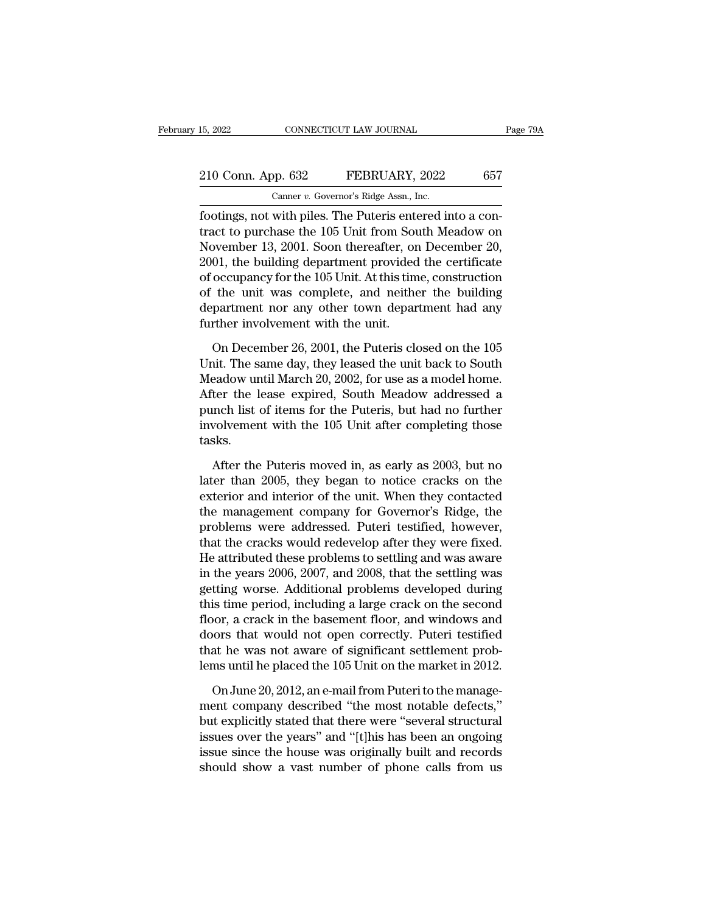For the Sea CONNECTICUT LAW JOURNAL<br>
210 Conn. App. 632 FEBRUARY, 2022 657<br>
Canner v. Governor's Ridge Assn., Inc.<br>
footings, not with piles. The Puteris entered into a con-<br>
tract to purchase the 105 Unit from South Meado 210 Conn. App. 632 FEBRUARY, 2022 657<br>
Canner v. Governor's Ridge Assn., Inc.<br>
footings, not with piles. The Puteris entered into a contract to purchase the 105 Unit from South Meadow on<br>
November 13, 2001. Soon thereafte 210 Conn. App. 632 FEBRUARY, 2022 657<br>
Camer v. Governor's Ridge Assn., Inc.<br>
footings, not with piles. The Puteris entered into a contract to purchase the 105 Unit from South Meadow on<br>
November 13, 2001. Soon thereafter 210 Conn. App. 632 FEBRUARY, 2022 657<br>
Canner v. Governor's Ridge Assn., Inc.<br>
footings, not with piles. The Puteris entered into a contract to purchase the 105 Unit from South Meadow on<br>
November 13, 2001. Soon thereafte Canner v. Governor's Ridge Assn., Inc.<br>
footings, not with piles. The Puteris entered into a con-<br>
tract to purchase the 105 Unit from South Meadow on<br>
November 13, 2001. Soon thereafter, on December 20,<br>
2001, the buildi Camer *v.* Governor's Ridge Assn., inc.<br>
footings, not with piles. The Puteris entered into a con-<br>
tract to purchase the 105 Unit from South Meadow on<br>
November 13, 2001. Soon thereafter, on December 20,<br>
2001, the build footings, not with piles. The Puteris entered into a contract to purchase the 105 Unit from South Meadow on November 13, 2001. Soon thereafter, on December 20, 2001, the building department provided the certificate of occu tract to purchase the 105 Unit from Sot<br>November 13, 2001. Soon thereafter, or<br>2001, the building department provided<br>of occupancy for the 105 Unit. At this tim<br>of the unit was complete, and neithe<br>department nor any other 01, the building department provided the certificate<br>occupancy for the 105 Unit. At this time, construction<br>the unit was complete, and neither the building<br>partment nor any other town department had any<br>ther involvement w of occupancy for the 105 Unit. At this time, construction<br>of the unit was complete, and neither the building<br>department nor any other town department had any<br>further involvement with the unit.<br>On December 26, 2001, the Put

of the unit was complete, and neither the building<br>department nor any other town department had any<br>further involvement with the unit.<br>On December 26, 2001, the Puteris closed on the 105<br>Unit. The same day, they leased the department nor any other town department had any<br>further involvement with the unit.<br>On December 26, 2001, the Puteris closed on the 105<br>Unit. The same day, they leased the unit back to South<br>Meadow until March 20, 2002, fo further involvement with the unit.<br>
On December 26, 2001, the Puteris closed on the 105<br>
Unit. The same day, they leased the unit back to South<br>
Meadow until March 20, 2002, for use as a model home.<br>
After the lease expire On December 26, 2001, the Puteris closed on the 105<br>Unit. The same day, they leased the unit back to South<br>Meadow until March 20, 2002, for use as a model home.<br>After the lease expired, South Meadow addressed a<br>punch list tasks. eadow until March 20, 2002, for use as a model home.<br>
ter the lease expired, South Meadow addressed a<br>
unch list of items for the Puteris, but had no further<br>
volvement with the 105 Unit after completing those<br>
sks.<br>
After After the lease expired, South Meadow addressed a<br>punch list of items for the Puteris, but had no further<br>involvement with the 105 Unit after completing those<br>tasks.<br>After the Puteris moved in, as early as 2003, but no<br>lat

punch list of items for the Puteris, but had no further<br>involvement with the 105 Unit after completing those<br>tasks.<br>After the Puteris moved in, as early as 2003, but no<br>later than 2005, they began to notice cracks on the<br>e involvement with the 105 Unit after completing those<br>tasks.<br>After the Puteris moved in, as early as 2003, but no<br>later than 2005, they began to notice cracks on the<br>exterior and interior of the unit. When they contacted<br>th tasks.<br>
After the Puteris moved in, as early as 2003, but no<br>
later than 2005, they began to notice cracks on the<br>
exterior and interior of the unit. When they contacted<br>
the management company for Governor's Ridge, the<br>
p After the Puteris moved in, as early as 2003, but no<br>later than 2005, they began to notice cracks on the<br>exterior and interior of the unit. When they contacted<br>the management company for Governor's Ridge, the<br>problems were After the Puteris moved in, as early as 2003, but no<br>later than 2005, they began to notice cracks on the<br>exterior and interior of the unit. When they contacted<br>the management company for Governor's Ridge, the<br>problems were later than 2005, they began to notice cracks on the<br>exterior and interior of the unit. When they contacted<br>the management company for Governor's Ridge, the<br>problems were addressed. Puteri testified, however,<br>that the crack exterior and interior of the unit. When they contacted<br>the management company for Governor's Ridge, the<br>problems were addressed. Puteri testified, however,<br>that the cracks would redevelop after they were fixed.<br>He attribut the management company for Governor's Ridge, the<br>problems were addressed. Puteri testified, however,<br>that the cracks would redevelop after they were fixed.<br>He attributed these problems to settling and was aware<br>in the year problems were addressed. Puteri testified, however,<br>that the cracks would redevelop after they were fixed.<br>He attributed these problems to settling and was aware<br>in the years 2006, 2007, and 2008, that the settling was<br>get that the cracks would redevelop after they were fixed.<br>He attributed these problems to settling and was aware<br>in the years 2006, 2007, and 2008, that the settling was<br>getting worse. Additional problems developed during<br>thi He attributed these problems to settling and was aware<br>in the years 2006, 2007, and 2008, that the settling was<br>getting worse. Additional problems developed during<br>this time period, including a large crack on the second<br>fl in the years 2006, 2007, and 2008, that the settling was<br>getting worse. Additional problems developed during<br>this time period, including a large crack on the second<br>floor, a crack in the basement floor, and windows and<br>doo is time period, including a large crack on the second<br>oor, a crack in the basement floor, and windows and<br>oors that would not open correctly. Puteri testified<br>at he was not aware of significant settlement prob-<br>ms until he floor, a crack in the basement floor, and windows and<br>doors that would not open correctly. Puteri testified<br>that he was not aware of significant settlement prob-<br>lems until he placed the 105 Unit on the market in 2012.<br>On

doors that would not open correctly. Puteri testified<br>that he was not aware of significant settlement prob-<br>lems until he placed the 105 Unit on the market in 2012.<br>On June 20, 2012, an e-mail from Puteri to the manage-<br>me that he was not aware of significant settlement prob-<br>lems until he placed the 105 Unit on the market in 2012.<br>On June 20, 2012, an e-mail from Puteri to the manage-<br>ment company described "the most notable defects,"<br>but e lems until he placed the 105 Unit on the market in 2012.<br>On June 20, 2012, an e-mail from Puteri to the manage-<br>ment company described "the most notable defects,"<br>but explicitly stated that there were "several structural<br>i On June 20, 2012, an e-mail from Puteri to the manage-<br>ment company described "the most notable defects,"<br>but explicitly stated that there were "several structural<br>issues over the years" and "[t]his has been an ongoing<br>iss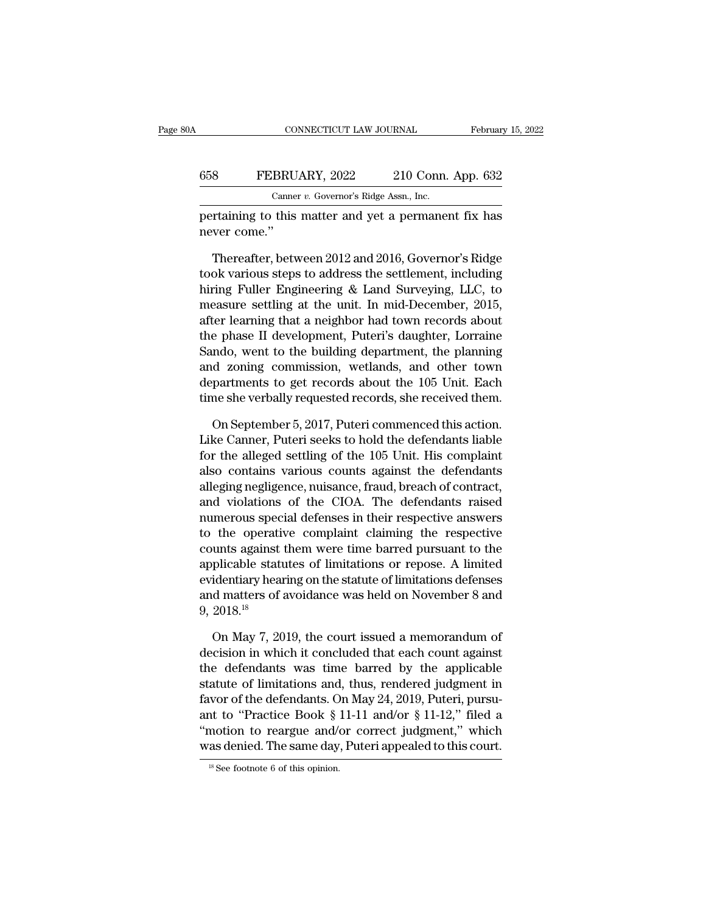#### CONNECTICUT LAW JOURNAL February 15, 2022<br>658 FEBRUARY, 2022 210 Conn. App. 632<br>Canner v. Governor's Ridge Assn., Inc. CONNECTICUT LAW JOURNAL<br>BRUARY, 2022 210 Conn.<br>Canner *v.* Governor's Ridge Assn., Inc.<br>this matter and yet a nermane CONNECTICUT LAW JOURNAL February 15, 2022<br>
FEBRUARY, 2022 210 Conn. App. 632<br>
Canner v. Governor's Ridge Assn., Inc.<br>
pertaining to this matter and yet a permanent fix has<br>
never come." 658 FEBRU<br>
Cannel<br>
pertaining to this<br>
never come.''<br>
Thereafter. bety

FEBRUARY, 2022 210 Conn. App. 632<br>
Canner v. Governor's Ridge Assn., Inc.<br>
Training to this matter and yet a permanent fix has<br>
ver come."<br>
Thereafter, between 2012 and 2016, Governor's Ridge<br>
ok various steps to address t Canner v. Governor's Ridge Assn., Inc.<br>
pertaining to this matter and yet a permanent fix has<br>
never come."<br>
Thereafter, between 2012 and 2016, Governor's Ridge<br>
took various steps to address the settlement, including<br>
hi Canner v. Governor's Ridge Assn., Inc.<br>
pertaining to this matter and yet a permanent fix has<br>
never come."<br>
Thereafter, between 2012 and 2016, Governor's Ridge<br>
took various steps to address the settlement, including<br>
hi pertaining to this matter and yet a permanent fix has<br>never come."<br>Thereafter, between 2012 and 2016, Governor's Ridge<br>took various steps to address the settlement, including<br>hiring Fuller Engineering & Land Surveying, LLC never come."<br>
Thereafter, between 2012 and 2016, Governor's Ridge<br>
took various steps to address the settlement, including<br>
hiring Fuller Engineering & Land Surveying, LLC, to<br>
measure settling at the unit. In mid-December Thereafter, between 2012 and 2016, Governor's Ridge<br>took various steps to address the settlement, including<br>hiring Fuller Engineering & Land Surveying, LLC, to<br>measure settling at the unit. In mid-December, 2015,<br>after lea Thereafter, between 2012 and 2016, Governor's Ridge<br>took various steps to address the settlement, including<br>hiring Fuller Engineering & Land Surveying, LLC, to<br>measure settling at the unit. In mid-December, 2015,<br>after lea took various steps to address the settlement, including<br>hiring Fuller Engineering & Land Surveying, LLC, to<br>measure settling at the unit. In mid-December, 2015,<br>after learning that a neighbor had town records about<br>the pha hiring Fuller Engineering & Land Surveying, LLC, to<br>measure settling at the unit. In mid-December, 2015,<br>after learning that a neighbor had town records about<br>the phase II development, Puteri's daughter, Lorraine<br>Sando, we measure settling at the unit. In mid-December, 2015,<br>after learning that a neighbor had town records about<br>the phase II development, Puteri's daughter, Lorraine<br>Sando, went to the building department, the planning<br>and zoni e phase II development, Puteri's daughter, Lorraine<br>ndo, went to the building department, the planning<br>d zoning commission, wetlands, and other town<br>partments to get records about the 105 Unit. Each<br>ne she verbally request Sando, went to the building department, the planning<br>and zoning commission, wetlands, and other town<br>departments to get records about the 105 Unit. Each<br>time she verbally requested records, she received them.<br>On September

and zoning commission, wetlands, and other town<br>departments to get records about the 105 Unit. Each<br>time she verbally requested records, she received them.<br>On September 5, 2017, Puteri commenced this action.<br>Like Canner, P departments to get records about the 105 Unit. Each<br>time she verbally requested records, she received them.<br>On September 5, 2017, Puteri commenced this action.<br>Like Canner, Puteri seeks to hold the defendants liable<br>for th time she verbally requested records, she received them.<br>
On September 5, 2017, Puteri commenced this action.<br>
Like Canner, Puteri seeks to hold the defendants liable<br>
for the alleged settling of the 105 Unit. His complaint On September 5, 2017, Puteri commenced this action.<br>Like Canner, Puteri seeks to hold the defendants liable<br>for the alleged settling of the 105 Unit. His complaint<br>also contains various counts against the defendants<br>allegi On September 5, 2017, Puteri commenced this action.<br>Like Canner, Puteri seeks to hold the defendants liable<br>for the alleged settling of the 105 Unit. His complaint<br>also contains various counts against the defendants<br>allegi Like Canner, Puteri seeks to hold the defendants liable<br>for the alleged settling of the 105 Unit. His complaint<br>also contains various counts against the defendants<br>alleging negligence, nuisance, fraud, breach of contract,<br> for the alleged settling of the 105 Unit. His complaint<br>also contains various counts against the defendants<br>alleging negligence, nuisance, fraud, breach of contract,<br>and violations of the CIOA. The defendants raised<br>numero also contains various counts against the defendants<br>alleging negligence, nuisance, fraud, breach of contract,<br>and violations of the CIOA. The defendants raised<br>numerous special defenses in their respective answers<br>to the o alleging negligence, nuisance, fraud, breach of contract,<br>and violations of the CIOA. The defendants raised<br>numerous special defenses in their respective answers<br>to the operative complaint claiming the respective<br>counts ag and violations of the CIOA. The defendants raised<br>numerous special defenses in their respective answers<br>to the operative complaint claiming the respective<br>counts against them were time barred pursuant to the<br>applicable sta numerous spec<br>to the operati<br>counts against<br>applicable statt<br>evidentiary hea<br>and matters of<br>9, 2018.<sup>18</sup><br>On Mav 7. 20 unts against them were time barred pursuant to the<br>plicable statutes of limitations or repose. A limited<br>identiary hearing on the statute of limitations defenses<br>d matters of avoidance was held on November 8 and<br>2018.<sup>18</sup><br> applicable statutes of limitations or repose. A limited<br>evidentiary hearing on the statute of limitations defenses<br>and matters of avoidance was held on November 8 and<br>9, 2018.<sup>18</sup><br>On May 7, 2019, the court issued a memoran

evidentiary hearing on the statute of limitations defenses<br>and matters of avoidance was held on November 8 and<br>9, 2018.<sup>18</sup><br>On May 7, 2019, the court issued a memorandum of<br>decision in which it concluded that each count ag and matters of avoidance was held on November 8 and<br>9, 2018.<sup>18</sup><br>On May 7, 2019, the court issued a memorandum of<br>decision in which it concluded that each count against<br>the defendants was time barred by the applicable<br>sta 9, 2018.<sup>18</sup><br>On May 7, 2019, the court issued a memorandum of<br>decision in which it concluded that each count against<br>the defendants was time barred by the applicable<br>statute of limitations and, thus, rendered judgment in<br> On May 7, 2019, the court issued a memorandum of<br>decision in which it concluded that each count against<br>the defendants was time barred by the applicable<br>statute of limitations and, thus, rendered judgment in<br>favor of the On May 7, 2019, the court issued a memorandum of<br>decision in which it concluded that each count against<br>the defendants was time barred by the applicable<br>statute of limitations and, thus, rendered judgment in<br>favor of the decision in which it concluded that each count against<br>the defendants was time barred by the applicable<br>statute of limitations and, thus, rendered judgment in<br>favor of the defendants. On May 24, 2019, Puteri, pursu-<br>ant t favor of the defendants. On May 24, 2019, Puteri, pursu-<br>ant to "Practice Book § 11-11 and/or § 11-12," filed a<br>"motion to reargue and/or correct judgment," which<br>was denied. The same day, Puteri appealed to this court.<br>"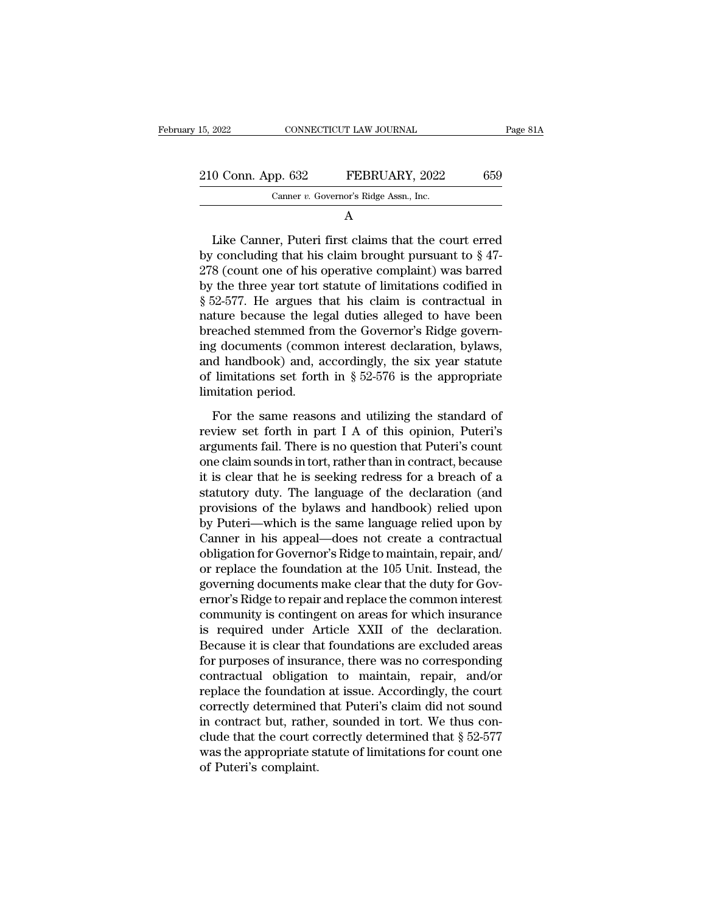A

 $\begin{array}{r} 0 \text{ Conn. App. 632} \ \text{Canner } v. \text{ Governor's Ridge Assn., Inc.} \ \hline \text{A} \end{array}$ <br>Like Canner, Puteri first claims that the court erred concluding that his claim brought pursuant to  $\S~47$ -<br> $\Omega$  (count one of his energive complaint) was barre 210 Conn. App. 632 FEBRUARY, 2022 659<br>
Canner v. Governor's Ridge Assn., Inc.<br>
A<br>
Like Canner, Puteri first claims that the court erred<br>
by concluding that his claim brought pursuant to § 47-<br>
278 (count one of his operat 210 Conn. App. 632 FEBRUARY, 2022 659<br>
Canner v. Governor's Ridge Assn., Inc.<br>
A<br>
Like Canner, Puteri first claims that the court erred<br>
by concluding that his claim brought pursuant to § 47-<br>
278 (count one of his operat Canner v. Governor's Ridge Assn., Inc.<br>
A<br>
Like Canner, Puteri first claims that the court erred<br>
by concluding that his claim brought pursuant to  $\S$  47-<br>
278 (count one of his operative complaint) was barred<br>
by the thr A<br>
Like Canner, Puteri first claims that the court erred<br>
by concluding that his claim brought pursuant to § 47-<br>
278 (count one of his operative complaint) was barred<br>
by the three year tort statute of limitations codifie Like Canner, Puteri first claims that the court erred<br>by concluding that his claim brought pursuant to  $\S$  47-<br>278 (count one of his operative complaint) was barred<br>by the three year tort statute of limitations codified i Like Canner, Puteri first claims that the court erred<br>by concluding that his claim brought pursuant to  $\S$  47-<br>278 (count one of his operative complaint) was barred<br>by the three year tort statute of limitations codified i by concluding that his claim brought pursuant to  $\S$  47-<br>278 (count one of his operative complaint) was barred<br>by the three year tort statute of limitations codified in<br> $\S$  52-577. He argues that his claim is contractual 278 (count one of his operative complaint) was barred<br>by the three year tort statute of limitations codified in<br> $\S 52-577$ . He argues that his claim is contractual in<br>nature because the legal duties alleged to have been<br>b by the three year tort statute of limitations codified in  $\S$  52-577. He argues that his claim is contractual in nature because the legal duties alleged to have been breached stemmed from the Governor's Ridge governing do § 52-577. He argues the leg<br>hature because the leg<br>breached stemmed fro<br>ing documents (comm<br>and handbook) and, a<br>of limitations set fortl<br>limitation period.<br>For the same reasor For the same reasons and utilizing the standard of<br>For the same reasons and accordingly, the six year statute<br>limitations set forth in  $\S$  52-576 is the appropriate<br>initation period.<br>For the same reasons and utilizing the ing documents (common interest declaration, bylaws,<br>and handbook) and, accordingly, the six year statute<br>of limitations set forth in  $\S 52-576$  is the appropriate<br>limitation period.<br>For the same reasons and utilizing the

and handbook) and, accordingly, the six year statute<br>of limitations set forth in § 52-576 is the appropriate<br>limitation period.<br>For the same reasons and utilizing the standard of<br>review set forth in part I A of this opini of limitations set forth in  $\S$  52-576 is the appropriate<br>limitation period.<br>For the same reasons and utilizing the standard of<br>review set forth in part I A of this opinion, Puteri's<br>arguments fail. There is no question t limitation period.<br>
For the same reasons and utilizing the standard of<br>
review set forth in part I A of this opinion, Puteri's<br>
arguments fail. There is no question that Puteri's count<br>
one claim sounds in tort, rather th For the same reasons and utilizing the standard of<br>review set forth in part I A of this opinion, Puteri's<br>arguments fail. There is no question that Puteri's count<br>one claim sounds in tort, rather than in contract, because<br> For the same reasons and utilizing the standard of<br>review set forth in part I A of this opinion, Puteri's<br>arguments fail. There is no question that Puteri's count<br>one claim sounds in tort, rather than in contract, because<br> review set forth in part I A of this opinion, Puteri's<br>arguments fail. There is no question that Puteri's count<br>one claim sounds in tort, rather than in contract, because<br>it is clear that he is seeking redress for a breach arguments fail. There is no question that Puteri's count<br>one claim sounds in tort, rather than in contract, because<br>it is clear that he is seeking redress for a breach of a<br>statutory duty. The language of the declaration ( one claim sounds in tort, rather than in contract, because<br>it is clear that he is seeking redress for a breach of a<br>statutory duty. The language of the declaration (and<br>provisions of the bylaws and handbook) relied upon<br>by it is clear that he is seeking redress for a breach of a<br>statutory duty. The language of the declaration (and<br>provisions of the bylaws and handbook) relied upon<br>by Puteri—which is the same language relied upon by<br>Canner in statutory duty. The language of the declaration (and<br>provisions of the bylaws and handbook) relied upon<br>by Puteri—which is the same language relied upon by<br>Canner in his appeal—does not create a contractual<br>obligation for provisions of the bylaws and handbook) relied upon<br>by Puteri—which is the same language relied upon by<br>Canner in his appeal—does not create a contractual<br>obligation for Governor's Ridge to maintain, repair, and/<br>or replace by Puteri—which is the same language relied upon by<br>Canner in his appeal—does not create a contractual<br>obligation for Governor's Ridge to maintain, repair, and/<br>or replace the foundation at the 105 Unit. Instead, the<br>gover Canner in his appeal—does not create a contractual<br>obligation for Governor's Ridge to maintain, repair, and/<br>or replace the foundation at the 105 Unit. Instead, the<br>governing documents make clear that the duty for Gov-<br>ern obligation for Governor's Ridge to maintain, repair, and/<br>or replace the foundation at the 105 Unit. Instead, the<br>governing documents make clear that the duty for Gov-<br>ernor's Ridge to repair and replace the common interes or replace the foundation at the 105 Unit. Instead, the<br>governing documents make clear that the duty for Gov-<br>ernor's Ridge to repair and replace the common interest<br>community is contingent on areas for which insurance<br>is governing documents make clear that the duty for Governor's Ridge to repair and replace the common interest<br>community is contingent on areas for which insurance<br>is required under Article XXII of the declaration.<br>Because it ernor's Ridge to repair and replace the common interest<br>community is contingent on areas for which insurance<br>is required under Article XXII of the declaration.<br>Because it is clear that foundations are excluded areas<br>for pu community is contingent on areas for which insurance<br>is required under Article XXII of the declaration.<br>Because it is clear that foundations are excluded areas<br>for purposes of insurance, there was no corresponding<br>contrac is required under Article XXII of the declaration.<br>Because it is clear that foundations are excluded areas<br>for purposes of insurance, there was no corresponding<br>contractual obligation to maintain, repair, and/or<br>replace t Because it is clear that foundations are excluded areas<br>for purposes of insurance, there was no corresponding<br>contractual obligation to maintain, repair, and/or<br>replace the foundation at issue. Accordingly, the court<br>corre for purposes of insurance, there was no corresponding<br>contractual obligation to maintain, repair, and/or<br>replace the foundation at issue. Accordingly, the court<br>correctly determined that Puteri's claim did not sound<br>in co contractual obligation<br>replace the foundation<br>correctly determined<br>in contract but, rathe<br>clude that the court c<br>was the appropriate st<br>of Puteri's complaint.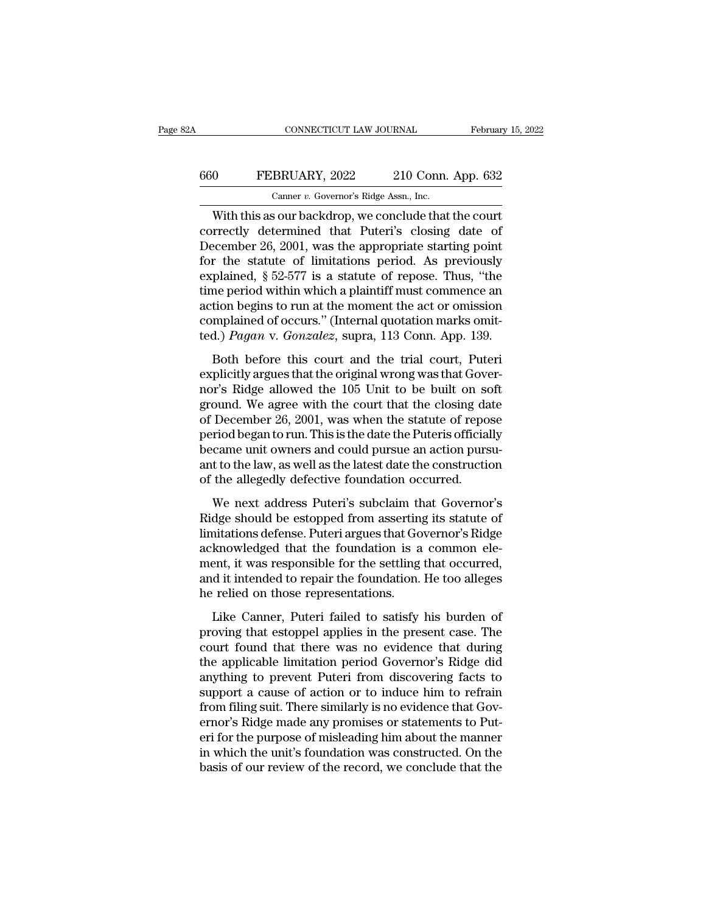## CONNECTICUT LAW JOURNAL February 15, 2022<br>660 FEBRUARY, 2022 210 Conn. App. 632<br>Canner v. Governor's Ridge Assn., Inc. CONNECTICUT LAW JOURNAL Februar<br>
CONNECTICUT LAW JOURNAL Februar<br>
CONNECTICUT LAW JOURNAL Februar<br>
CONNECTICUT LAW JOURNAL Februar<br>
CONNECTICUTE 210 Conn. App. 632<br>
Conner *v.* Governor's Ridge Assn., Inc.<br>
With this as ou

CONNECTICUT LAW JOURNAL February 15, 202<br>
O FEBRUARY, 2022 210 Conn. App. 632<br>
Canner v. Governor's Ridge Assn., Inc.<br>
With this as our backdrop, we conclude that the court<br>
rrectly determined that Puteri's closing date of EBRUARY, 2022 210 Conn. App. 632<br>
Canner v. Governor's Ridge Assn., Inc.<br>
With this as our backdrop, we conclude that the court<br>
correctly determined that Puteri's closing date of<br>
December 26, 2001, was the appropriate st FEBRUARY, 2022 210 Conn. App. 632<br>
Canner v. Governor's Ridge Assn., Inc.<br>
With this as our backdrop, we conclude that the court<br>
correctly determined that Puteri's closing date of<br>
December 26, 2001, was the appropriate FEBRUARY, 2022 210 Conn. App. 632<br>
Canner v. Governor's Ridge Assn., Inc.<br>
With this as our backdrop, we conclude that the court<br>
correctly determined that Puteri's closing date of<br>
December 26, 2001, was the appropriate Canner v. Governor's Ridge Assn., Inc.<br>
With this as our backdrop, we conclude that the court<br>
correctly determined that Puteri's closing date of<br>
December 26, 2001, was the appropriate starting point<br>
for the statute of Canner v. Governor's Ridge Assn., Inc.<br>
With this as our backdrop, we conclude that the court<br>
correctly determined that Puteri's closing date of<br>
December 26, 2001, was the appropriate starting point<br>
for the statute of With this as our backdrop, we conclude that the court<br>correctly determined that Puteri's closing date of<br>December 26, 2001, was the appropriate starting point<br>for the statute of limitations period. As previously<br>explained correctly determined that Puteri's closing date of December 26, 2001, was the appropriate starting point for the statute of limitations period. As previously explained, § 52-577 is a statute of repose. Thus, "the time peri December 26, 2001, was the appropriate starting point<br>for the statute of limitations period. As previously<br>explained, § 52-577 is a statute of repose. Thus, "the<br>time period within which a plaintiff must commence an<br>action plained, § 52-577 is a statute of repose. Thus, "the<br>me period within which a plaintiff must commence an<br>tion begins to run at the moment the act or omission<br>mplained of occurs." (Internal quotation marks omit-<br>d.) *Pagan* explained,  $\frac{1}{3}$   $\frac{1}{2}$   $\frac{1}{2}$  of  $\frac{1}{16}$  at statute of repose. Thus, the time period within which a plaintiff must commence an action begins to run at the moment the act or omission complained of occurs." (I

and period within which a plaintiff mast commented and<br>action begins to run at the moment the act or omission<br>complained of occurs." (Internal quotation marks omit-<br>ted.) *Pagan* v. *Gonzalez*, supra, 113 Conn. App. 139.<br>B complained of occurs." (Internal quotation marks omit-<br>ted.) *Pagan* v. *Gonzalez*, supra, 113 Conn. App. 139.<br>Both before this court and the trial court, Puteri<br>explicitly argues that the original wrong was that Gover-<br>no ted.) *Pagan* v. *Gonzalez*, supra, 113 Conn. App. 139.<br>Both before this court and the trial court, Puteri<br>explicitly argues that the original wrong was that Gover-<br>nor's Ridge allowed the 105 Unit to be built on soft<br>gro began to solutions, supplying the both. The Fig. 2001.<br>Both before this court and the trial court, Puteri<br>explicitly argues that the original wrong was that Gover-<br>nor's Ridge allowed the 105 Unit to be built on soft<br>groun Both before this court and the trial court, Puteri<br>explicitly argues that the original wrong was that Gover-<br>nor's Ridge allowed the 105 Unit to be built on soft<br>ground. We agree with the court that the closing date<br>of Dec explicitly argues that the original wrong was that Governor's Ridge allowed the 105 Unit to be built on soft ground. We agree with the court that the closing date of December 26, 2001, was when the statute of repose period nor's Ridge allowed the 105 Unit to be built on so<br>ground. We agree with the court that the closing da<br>of December 26, 2001, was when the statute of repo<br>period began to run. This is the date the Puteris official<br>became un December 26, 2001, was when the statute of repose<br>riod began to run. This is the date the Puteris officially<br>came unit owners and could pursue an action pursu-<br>t to the law, as well as the latest date the construction<br>the or Becember 26, 2001, was when the statute of repose<br>period began to run. This is the date the Puteris officially<br>became unit owners and could pursue an action pursu-<br>ant to the law, as well as the latest date the construc

became unit owners and could pursue an action pursu-<br>ant to the law, as well as the latest date the construction<br>of the allegedly defective foundation occurred.<br>We next address Puteri's subclaim that Governor's<br>Ridge shoul secular that owners and collar pulsate an action pulsa<br>ant to the law, as well as the latest date the construction<br>of the allegedly defective foundation occurred.<br>We next address Puteri's subclaim that Governor's<br>Ridge sho ment to the taw, as well as the faces date the construction<br>of the allegedly defective foundation occurred.<br>We next address Puteri's subclaim that Governor's<br>Ridge should be estopped from asserting its statute of<br>limitatio We next address Puteri's subclaim that Governor's<br>Ridge should be estopped from asserting its statute of<br>limitations defense. Puteri argues that Governor's Ridge<br>acknowledged that the foundation is a common ele-<br>ment, it w We next address Puteri's subclaim the Ridge should be estopped from asserting<br>limitations defense. Puteri argues that Go<br>acknowledged that the foundation is a<br>ment, it was responsible for the settling<br>and it intended to re Solidary College Should be essepped from asserting to statute of<br>initiations defense. Puteri argues that Governor's Ridge<br>knowledged that the foundation is a common ele-<br>ent, it was responsible for the settling that occurr maturely determed. The maturely acknowledged that the foundation is a common element, it was responsible for the settling that occurred, and it intended to repair the foundation. He too alleges he relied on those represent

ment, it was responsible for the settling that occurred,<br>and it intended to repair the foundation. He too alleges<br>he relied on those representations.<br>Like Canner, Puteri failed to satisfy his burden of<br>proving that estoppe the applicable limit intended be repair the foundation. He too alleges<br>he relied on those representations.<br>Like Canner, Puteri failed to satisfy his burden of<br>proving that estoppel applies in the present case. The<br>court fo and a method of repair are roundation. He too anages<br>he relied on those representations.<br>Like Canner, Puteri failed to satisfy his burden of<br>proving that estoppel applies in the present case. The<br>court found that there was Like Canner, Puteri failed to satisfy his burden of<br>proving that estoppel applies in the present case. The<br>court found that there was no evidence that during<br>the applicable limitation period Governor's Ridge did<br>anything t Like Canner, Puteri failed to satisfy his burden of<br>proving that estoppel applies in the present case. The<br>court found that there was no evidence that during<br>the applicable limitation period Governor's Ridge did<br>anything t proving that estoppel applies in the present case. The court found that there was no evidence that during the applicable limitation period Governor's Ridge did anything to prevent Puteri from discovering facts to support a court found that there was no evidence that during<br>the applicable limitation period Governor's Ridge did<br>anything to prevent Puteri from discovering facts to<br>support a cause of action or to induce him to refrain<br>from filin the applicable limitation period Governor's Ridge did<br>anything to prevent Puteri from discovering facts to<br>support a cause of action or to induce him to refrain<br>from filing suit. There similarly is no evidence that Gov-<br>er anything to prevent Puteri from discovering facts to<br>support a cause of action or to induce him to refrain<br>from filing suit. There similarly is no evidence that Gov-<br>ernor's Ridge made any promises or statements to Put-<br>er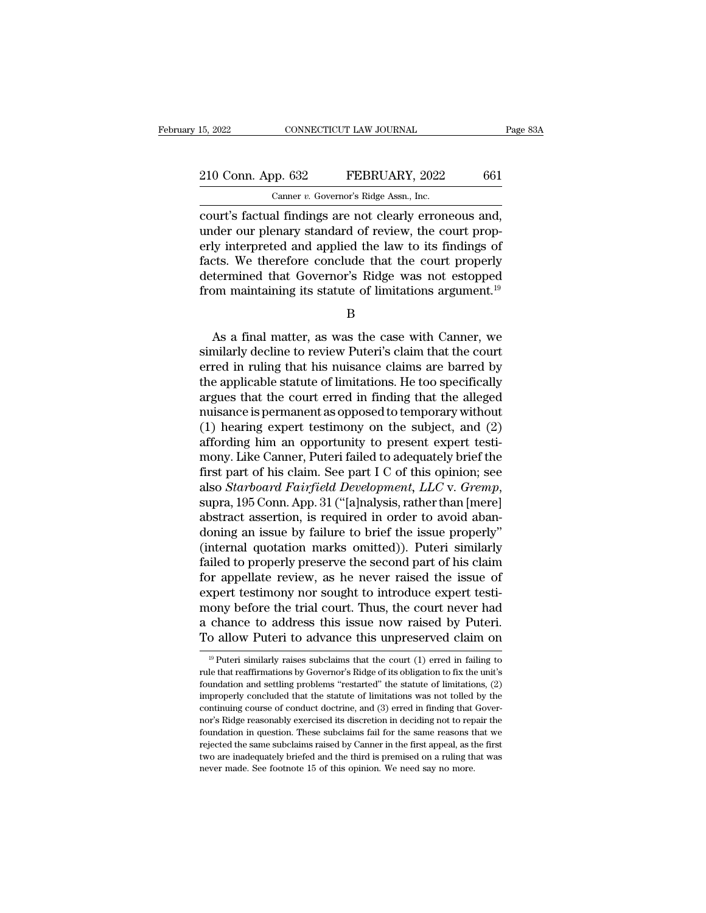## 15, 2022 CONNECTICUT LAW JOURNAL Page 83A<br>
210 Conn. App. 632 FEBRUARY, 2022 661<br>
Canner v. Governor's Ridge Assn., Inc. 15, 2022 CONNECTICUT LAW JOURNAL<br>
210 Conn. App. 632 FEBRUARY, 2022 661<br>
Canner *v.* Governor's Ridge Assn., Inc.<br>
court's factual findings are not clearly erroneous and,

EVALUARY, 2022<br>
COURT 16, 2022<br>
COURT 16, 2022<br>
COURT 16, 2022<br>
COURT 16, 2022<br>
COURT 16, 2027<br>
COURT 16, 2022<br>
COURT 16, 2022<br>
COURT 16, 2022<br>
COURT 16, 2022<br>
COURT 16, 2022<br>
COURT 16, 2022<br>
COURT 16, 2022<br>
COURT 16, 2022 210 Conn. App. 632 FEBRUARY, 2022 661<br>
Canner v. Governor's Ridge Assn., Inc.<br>
court's factual findings are not clearly erroneous and,<br>
under our plenary standard of review, the court prop-<br>
erly interpreted and applied t 210 Conn. App. 632 FEBRUARY, 2022 661<br>
Canner v. Governor's Ridge Assn., Inc.<br>
court's factual findings are not clearly erroneous and,<br>
under our plenary standard of review, the court prop-<br>
erly interpreted and applied t 210 Conn. App. 632 FEBRUARY, 2022 661<br>
Canner v. Governor's Ridge Assn., Inc.<br>
court's factual findings are not clearly erroneous and,<br>
under our plenary standard of review, the court prop-<br>
erly interpreted and applied t Canner v. Governor's Ridge Assn., Inc.<br>
court's factual findings are not clearly erroneous and,<br>
under our plenary standard of review, the court prop-<br>
erly interpreted and applied the law to its findings of<br>
facts. We the Canner v. Governor's Rage Assn., Inc.<br>
court's factual findings are not clearly erroneous and,<br>
under our plenary standard of review, the court prop-<br>
erly interpreted and applied the law to its findings of<br>
facts. We the ly interpreted and applied the law to its findings of<br>
ters. We therefore conclude that the court properly<br>
termined that Governor's Ridge was not estopped<br>
om maintaining its statute of limitations argument.<sup>19</sup><br>
B<br>
As a

B

facts. We therefore conclude that the court properly<br>determined that Governor's Ridge was not estopped<br>from maintaining its statute of limitations argument.<sup>19</sup><br>B<br>As a final matter, as was the case with Canner, we<br>similarl determined that Governor's Ridge was not estopped<br>from maintaining its statute of limitations argument.<sup>19</sup><br>B<br>As a final matter, as was the case with Canner, we<br>similarly decline to review Puteri's claim that the court<br>err from maintaining its statute of limitations argument.<sup>19</sup><br>B<br> $\,$  B<br>As a final matter, as was the case with Canner, we<br>similarly decline to review Puteri's claim that the court<br>erred in ruling that his nuisance claims are B<br>
As a final matter, as was the case with Canner, we<br>
similarly decline to review Puteri's claim that the court<br>
erred in ruling that his nuisance claims are barred by<br>
the applicable statute of limitations. He too speci As a final matter, as was the case with Canner, we<br>similarly decline to review Puteri's claim that the court<br>erred in ruling that his nuisance claims are barred by<br>the applicable statute of limitations. He too specifically As a final matter, as was the case with Canner, we<br>similarly decline to review Puteri's claim that the court<br>erred in ruling that his nuisance claims are barred by<br>the applicable statute of limitations. He too specifically similarly decline to review Puteri's claim that the court<br>erred in ruling that his nuisance claims are barred by<br>the applicable statute of limitations. He too specifically<br>argues that the court erred in finding that the al erred in ruling that his nuisance claims are barred by<br>the applicable statute of limitations. He too specifically<br>argues that the court erred in finding that the alleged<br>nuisance is permanent as opposed to temporary withou the applicable statute of limitations. He too specifically<br>argues that the court erred in finding that the alleged<br>muisance is permanent as opposed to temporary without<br>(1) hearing expert testimony on the subject, and (2)<br> argues that the court erred in finding that the alleged<br>nuisance is permanent as opposed to temporary without<br>(1) hearing expert testimony on the subject, and (2)<br>affording him an opportunity to present expert testi-<br>mony. (1) hearing expert testimony on the subject, and (2) affording him an opportunity to present expert testimony. Like Canner, Puteri failed to adequately brief the first part of his claim. See part I C of this opinion; see affording him an opportunity to present expert testi-<br>mony. Like Canner, Puteri failed to adequately brief the<br>first part of his claim. See part I C of this opinion; see<br>also *Starboard Fairfield Development*, *LLC* v. *Gr* mony. Like Canner, Puteri failed to adequately brief the<br>first part of his claim. See part I C of this opinion; see<br>also *Starboard Fairfield Development*, *LLC* v. *Gremp*,<br>supra, 195 Conn. App. 31 ("[a]nalysis, rather th first part of his claim. See part I C of this opinion; see<br>also *Starboard Fairfield Development*, *LLC* v. *Gremp*,<br>supra, 195 Conn. App. 31 ("[a]nalysis, rather than [mere]<br>abstract assertion, is required in order to avo also *Starboard Fairfield Development*, *LLC* v. *Gremp*,<br>supra, 195 Conn. App. 31 ("[a]nalysis, rather than [mere]<br>abstract assertion, is required in order to avoid aban-<br>doning an issue by failure to brief the issue prop supra, 195 Conn. App. 31 ("[a]nalysis, rather than [mere]<br>abstract assertion, is required in order to avoid aban-<br>doning an issue by failure to brief the issue properly"<br>(internal quotation marks omitted)). Puteri similarl abstract assertion, is required in order to avoid aban-<br>doning an issue by failure to brief the issue properly"<br>(internal quotation marks omitted)). Puteri similarly<br>failed to properly preserve the second part of his claim doning an issue by failure to brief the issue properly"<br>(internal quotation marks omitted)). Puteri similarly<br>failed to properly preserve the second part of his claim<br>for appellate review, as he never raised the issue of<br>e (internal quotation marks omitted)). Puteri similarly<br>failed to properly preserve the second part of his claim<br>for appellate review, as he never raised the issue of<br>expert testimony nor sought to introduce expert testi-<br>m Example expert testimony nor sought to introduce expert testimony before the trial court. Thus, the court never had a chance to address this issue now raised by Puteri. To allow Puteri to advance this unpreserved claim on mony before the trial court. Thus, the court never had<br>a chance to address this issue now raised by Puteri.<br>To allow Puteri to advance this unpreserved claim on<br><sup>19</sup> Puteri similarly raises subclaims that the court (1) err

a chance to address this issue now raised by Puteri.<br>To allow Puteri to advance this unpreserved claim on<br> $\frac{19}{19}$ Puteri similarly raises subclaims that the court (1) erred in failing to<br>rule that reaffirmations by Gov To allow Puteri to advance this unpreserved claim on<br>
<sup>19</sup> Puteri similarly raises subclaims that the court (1) erred in failing to<br>
rule that reaffirmations by Governor's Ridge of its obligation to fix the unit's<br>
founda rule that reaffirmations by Governor's Ridge of its obligation to fix the unit's foundation and settling problems "restarted" the statute of limitations, (2) improperly concluded that the statute of limitations was not tol <sup>19</sup> Puteri similarly raises subclaims that the court (1) erred in failing to rule that reaffirmations by Governor's Ridge of its obligation to fix the unit's foundation and settling problems "restarted" the statute of li Foundation and settling problems "restarted" the statute of limitations, (2) improperly concluded that the statute of limitations was not tolled by the continuing course of conduct doctrine, and (3) erred in finding that G foundation and settling problems "restarted" the statute of limitations, (2) improperly concluded that the statute of limitations was not tolled by the continuing course of conduct doctrine, and (3) erred in finding that improperly concluded that the statute of limitations was not tolled by the continuing course of conduct doctrine, and (3) erred in finding that Gover-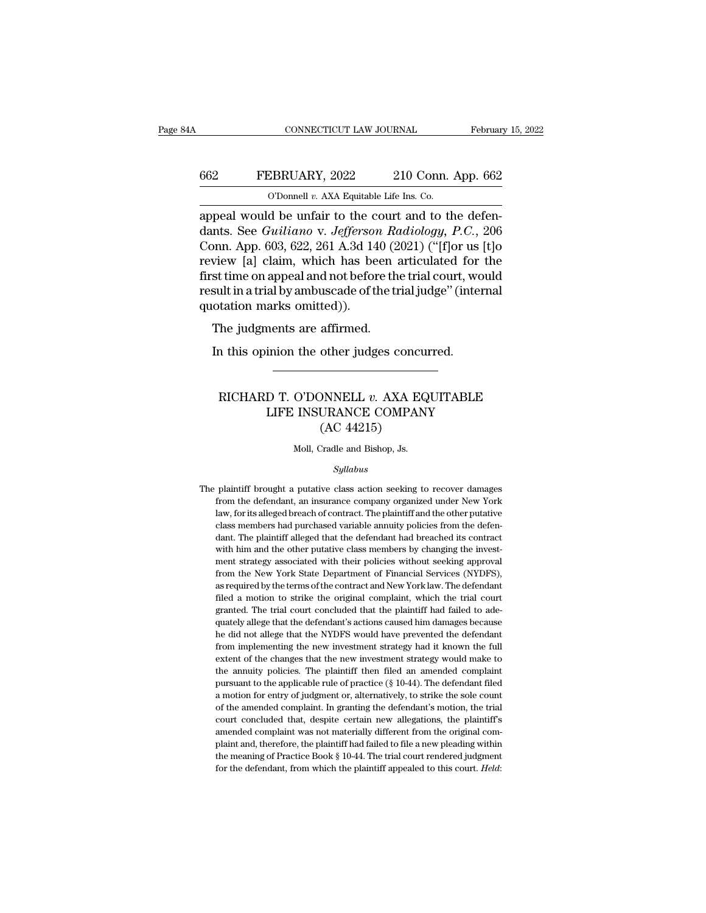#### CONNECTICUT LAW JOURNAL February 15, 2022<br>662 FEBRUARY, 2022 210 Conn. App. 662<br>0'Donnell v. AXA Equitable Life Ins. Co. CONNECTICUT LAW JOURNAL Februar<br>FEBRUARY, 2022 210 Conn. App. 662<br>O'Donnell *v.* AXA Equitable Life Ins. Co.

CONNECTICUT LAW JOURNAL February 15, 2022<br>662 FEBRUARY, 2022 210 Conn. App. 662<br>0 Oponnell v. AXA Equitable Life Ins. Co.<br>appeal would be unfair to the court and to the defen-<br>dants. See *Guiliano* v. *Jefferson Radiology,* FEBRUARY, 2022 210 Conn. App. 662<br>
<sup>O'Donnell v. AXA Equitable Life Ins. Co.<br>
appeal would be unfair to the court and to the defendants. See *Guiliano* v. *Jefferson Radiology, P.C.*, 206<br>
Conn. App. 603, 622, 261 A.3d 140</sup> FEBRUARY, 2022 210 Conn. App. 662<br>
O'Donnell v. AXA Equitable Life Ins. Co.<br>
appeal would be unfair to the court and to the defendants. See *Guiliano* v. *Jefferson Radiology*, *P.C.*, 206<br>
Conn. App. 603, 622, 261 A.3d 1 FEBRUARY, 2022 210 Conn. App. 662<br>
O'Donnell v. AXA Equitable Life Ins. Co.<br>
appeal would be unfair to the court and to the defendants. See *Guiliano* v. *Jefferson Radiology*, *P.C.*, 206<br>
Conn. App. 603, 622, 261 A.3d 1 First time of a XXA Equitable Life Ins. Co.<br>appeal would be unfair to the court and to the defendants. See *Guiliano* v. *Jefferson Radiology*, *P.C.*, 206<br>Conn. App. 603, 622, 261 A.3d 140 (2021) ("[f]or us [t]o<br>review [ The UP of the court and to the defendants. See *Guiliano* v. *Jefferson Radiology*, *P.C.*, 206 Conn. App. 603, 622, 261 A.3d 140 (2021) ("[f]or us [t]o review [a] claim, which has been articulated for the first time on a appeal would be unfair to the c<br>dants. See *Guiliano* v. *Jeffersor*<br>Conn. App. 603, 622, 261 A.3d 14<br>review [a] claim, which has be<br>first time on appeal and not befor<br>result in a trial by ambuscade of tl<br>quotation marks o The judgments are affirmed.<br>The judgments are affirmed.<br>The judgments are affirmed.<br>The judgments are affirmed.<br>In this opinion the other judges c view [a] claim, which has been articulated for st time on appeal and not before the trial court, we sult in a trial by ambuscade of the trial judge" (interortation marks omitted)).<br>The judgments are affirmed.<br>In this opini

#### tation marks omitted)).<br>
The judgments are affirmed.<br>
a this opinion the other judges concurred.<br>
RICHARD T. O'DONNELL *v*. AXA EQUITABLE<br>
LIFE INSURANCE COMPANY<br>
(AC 44215) nents are affirmed.<br>
inion the other judges concurred.<br>
D T. O'DONNELL v. AXA EQUITABLE<br>
LIFE INSURANCE COMPANY<br>
(AC 44215) (AC 44215) RICHARD T. O'DONNELL  $v$ . AXA EQUITABLE<br>LIFE INSURANCE COMPANY<br>(AC 44215)<br>Moll, Cradle and Bishop, Js.

#### *Syllabus*

 $(AC 44215)$ <br>Moll, Cradle and Bishop, Js.<br>Syllabus<br>The plaintiff brought a putative class action seeking to recover damages<br>from the defendant, an insurance company organized under New York Moll, Cradle and Bishop, Js.<br>Syllabus<br>plaintiff brought a putative class action seeking to recover damages<br>from the defendant, an insurance company organized under New York<br>law, for its alleged breach of contract. The plai Moll, Cradle and Bishop, Js.<br>
Syllabus<br>
plaintiff brought a putative class action seeking to recover damages<br>
from the defendant, an insurance company organized under New York<br>
law, for its alleged breach of contract. The Syllabus<br>plaintiff brought a putative class action seeking to recover damages<br>from the defendant, an insurance company organized under New York<br>law, for its alleged breach of contract. The plaintiff and the other putative<br> Syllabus<br>plaintiff brought a putative class action seeking to recover damages<br>from the defendant, an insurance company organized under New York<br>law, for its alleged breach of contract. The plaintiff and the other putative<br> plaintiff brought a putative class action seeking to recover damages<br>from the defendant, an insurance company organized under New York<br>law, for its alleged breach of contract. The plaintiff and the other putative<br>class mem From the defendant, an insurance company organized under New York law, for its alleged breach of contract. The plaintiff and the other putative class members had purchased variable annuity policies from the defendant. The From the State Department of Financial Services (NYDFS), as required by the terms of the Department of the plaintiff and the other putative class members had purchased variable annuity policies from the defendant. The plai class members had purchased variable annuity policies from the defendant. The plaintiff alleged that the defendant had breached its contract with him and the other putative class members by changing the investment strategy dant. The plaintiff alleged that the defendant had breached its contract with him and the other putative class members by changing the investment strategy associated with their policies without seeking approval from the Ne dant. The plaintiff alleged that the defendant had breached its contract with him and the other putative class members by changing the investment strategy associated with their policies without seeking approval from the Ne ment strategy associated with their policies without seeking approval<br>from the New York State Department of Financial Services (NYDFS),<br>as required by the terms of the contract and New York law. The defendant<br>filed a motio from the New York State Department of Financial Services (NYDFS), as required by the terms of the contract and New York law. The defendant filed a motion to strike the original complaint, which the trial court granted. The as required by the terms of the contract and New York law. The defendant filed a motion to strike the original complaint, which the trial court granted. The trial court concluded that the plaintiff had failed to adequately filed a motion to strike the original complaint, which the trial court granted. The trial court concluded that the plaintiff had failed to adequately allege that the defendant's actions caused him damages because he did no granted. The trial court concluded that the plaintiff had failed to ade-<br>quately allege that the defendant's actions caused him damages because<br>he did not allege that the NYDFS would have prevented the defendant<br>from imple quately allege that the defendant's actions caused him damages because<br>he did not allege that the NYDFS would have prevented the defendant<br>from implementing the new investment strategy had it known the full<br>extent of the c he did not allege that the NYDFS would have prevented the defendant<br>from implementing the new investment strategy had it known the full<br>extent of the changes that the new investment strategy would make to<br>the annuity polic from implementing the new investment strategy had it known the full extent of the changes that the new investment strategy would make to the annuity policies. The plaintiff then filed an amended complaint pursuant to the extent of the changes that the new investment strategy would make to<br>the annuity policies. The plaintiff then filed an amended complaint<br>pursuant to the applicable rule of practice ( $\S$  10-44). The defendant filed<br>a motio extent of the changes that the new investment strategy would make to the annuity policies. The plaintiff then filed an amended complaint pursuant to the applicable rule of practice ( $\S$  10-44). The defendant filed a motio pursuant to the applicable rule of practice (§ 10-44). The defendant filed a motion for entry of judgment or, alternatively, to strike the sole count of the amended complaint. In granting the defendant's motion, the trial a motion for entry of judgment or, alternatively, to strike the sole count<br>of the amended complaint. In granting the defendant's motion, the trial<br>court concluded that, despite certain new allegations, the plaintiff's<br>amen of the amended complaint. In granting the defendant's motion, the trial court concluded that, despite certain new allegations, the plaintiff's amended complaint was not materially different from the original complaint and,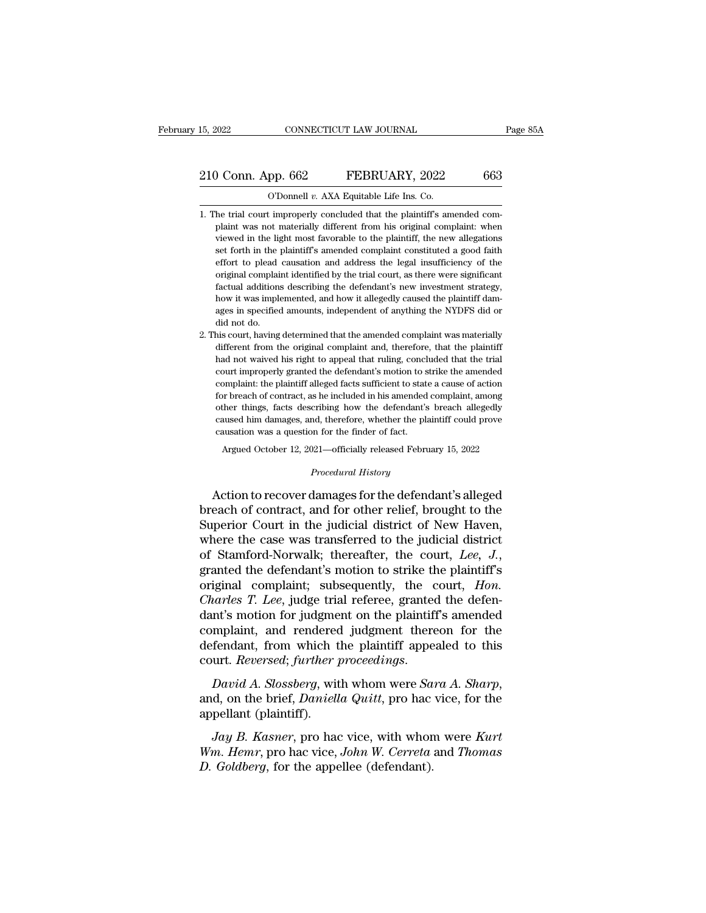#### 15, 2022 CONNECTICUT LAW JOURNAL Page 85A<br>
210 Conn. App. 662 FEBRUARY, 2022 663<br>
O'Donnell v. AXA Equitable Life Ins. Co. CONNECTICUT LAW JOURNAL<br>
pp. 662 FEBRUARY, 2022<br>
O'Donnell *v.* AXA Equitable Life Ins. Co.<br>
t improperly concluded that the plaintiff's am

- 210 Conn. App. 662 FEBRUARY, 2022 663<br>
0'Donnell v. AXA Equitable Life Ins. Co.<br>
1. The trial court improperly concluded that the plaintiff's amended com-<br>
plaint was not materially different from his original complaint: w plant Compact of the U.A.X.A Equitable Life Ins. Co.<br>
be trial court improperly concluded that the plaintiff's amended complaint was not materially different from his original complaint: when viewed in the light most favo viewed in the plaintiff's amended complaint was not materially different from his original complaint. When we wed in the light most favorable to the plaintiff, the new allegations set forth in the plaintiff's amended compl The constant of the plaintiff's amended complaint was not materially different from his original complaint: when viewed in the light most favorable to the plaintiff, the new allegations set forth in the plaintiff's amended O'Donnell  $v$ . AXA Equitable Life Ins. Co.<br>
he trial court improperly concluded that the plaintiff's amended com-<br>
plaint was not materially different from his original complaint: when<br>
viewed in the light most favorable he trial court improperly concluded that the plaintiff's amended complaint was not materially different from his original complaint: when viewed in the light most favorable to the plaintiff, the new allegations set forth i Factual additions describing the defendant's new investment was not materially different from his original complaint: when viewed in the light most favorable to the plaintiff, the new allegations set forth in the plaintiff planet with the light most favorable to the plaintiff, the new allegations set forth in the plaintiff's amended complaint constituted a good faith effort to plead causation and address the legal insufficiency of the origin ages in specified amounts, independent of anything the NYDFS did not does the Mysclandian among the original complaint identified by the trial court, as there were significant factual additions describing the defendant's n effort to plead<br>original complai<br>factual additions<br>how it was impleages in specified<br>did not do.<br>his court, having original complaint identified by the trial court, as there were significant factual additions describing the defendant's new investment strategy, how it was implemented, and how it allegedly caused the plaintiff damages in factual additions describing the defendant's new investment strategy, how it was implemented, and how it allegedly caused the plaintiff damages in specified amounts, independent of anything the NYDFS did or did not do.<br>his
- had not waived his rightermined with allegedly caused the plaintiff damages in specified amounts, independent of anything the NYDFS did or did not do.<br>his court, having determined that the amended complaint was materially ages in specified amounts, independent of anything the NYDFS did or<br>did not do.<br>did not do.<br>different from the original complaint and, therefore, that the plaintiff<br>had not waived his right to appeal that ruling, concluded did not do.<br>did not do.<br>his court, having determined that the amended complaint was materially<br>different from the original complaint and, therefore, that the plaintiff<br>had not waived his right to appeal that ruling, conclu his court, having determined that the amended complaint was materially different from the original complaint and, therefore, that the plaintiff had not waived his right to appeal that ruling, concluded that the trial court different from the original complaint and, therefore, that the plaintiff<br>had not waived his right to appeal that ruling, concluded that the trial<br>court improperly granted the defendant's motion to strike the amended<br>compla and not waived his right to appeal that ruling, concluded that the trial court improperly granted the defendant's motion to strike the amended complaint: the plaintiff alleged facts sufficient to state a cause of action fo caust improperly granted the defendant's motion to somplaint: the plaintiff alleged facts sufficient to state for breach of contract, as he included in his amended other things, facts describing how the defendant's caused mplaint: the plaintiff alleged facts sufficient to state a cause of action<br>or breach of contract, as he included in his amended complaint, among<br>ther things, facts describing how the defendant's breach allegedly<br>aused him cribing how the defendant's **l**<br>*Procedural American State Space Space Space Space Space Space Space Space Space Space Space Space Space Space Space Space Space Space Space Space Space Space Space Space Space Space Space S* other things, facts describing how the defendant's breach allegedly<br>caused him damages, and, therefore, whether the plaintiff could prove<br>causation was a question for the finder of fact.<br>Argued October 12, 2021—officially

caused him damages, and, therefore, whether the plaintiff could prove<br>causation was a question for the finder of fact.<br>Argued October 12, 2021—officially released February 15, 2022<br>*Procedural History*<br>Action to recover da causation was a question for the finder of fact.<br>
Argued October 12, 2021—officially released February 15, 2022<br>  $Precedural History$ <br>
Action to recover damages for the defendant's alleged<br>
breach of contract, and for other relief, bro Argued October 12, 2021—officially released February 15, 2022<br> *Procedural History*<br>
Action to recover damages for the defendant's alleged<br>
breach of contract, and for other relief, brought to the<br>
Superior Court in the ju *Procedural History*<br>
Action to recover damages for the defendant's alleged<br>
breach of contract, and for other relief, brought to the<br>
Superior Court in the judicial district of New Haven,<br>
where the case was transferred t Action to recover damages for the defendant's alleged<br>breach of contract, and for other relief, brought to the<br>Superior Court in the judicial district of New Haven,<br>where the case was transferred to the judicial district<br>o breach of contract, and for other relief, brought to the Superior Court in the judicial district of New Haven, where the case was transferred to the judicial district of Stamford-Norwalk; thereafter, the court, *Lee*, *J.* Superior Court in the judicial district of New Haven,<br>where the case was transferred to the judicial district<br>of Stamford-Norwalk; thereafter, the court, *Lee, J.*,<br>granted the defendant's motion to strike the plaintiff's where the case was transferred to the judicial district<br>of Stamford-Norwalk; thereafter, the court, *Lee*, *J.*,<br>granted the defendant's motion to strike the plaintiff's<br>original complaint; subsequently, the court, *Hon.* of Stamford-Norwalk; thereafter, the court, *Lee*, *J.*, granted the defendant's motion to strike the plaintiff's original complaint; subsequently, the court, *Hon. Charles T. Lee*, judge trial referee, granted the defen granted the defendant's motion to strike the plaintiff's<br>original complaint; subsequently, the court, *Hon.*<br>*Charles T. Lee*, judge trial referee, granted the defen-<br>dant's motion for judgment on the plaintiff's amended<br>c data is modern for jadgme<br>complaint, and rendered<br>defendant, from which t<br>court. *Reversed*; further p<br>David A. Slossberg, wit<br>and, on the brief, Daniell<br>appellant (plaintiff).<br>Jay B. Kasner, pro had

*Jay B. Kasner, proceedings.*<br>*Javid A. Slossberg, with whom were <i>Sara A. Sharp,*<br>*David A. Slossberg, with whom were <i>Sara A. Sharp,*<br>*d, on the brief, Daniella Quitt, pro hac vice, for the*<br>*Jay B. Kasner, pro hac vice, Court. Reversed; further proceedings.*<br> *David A. Slossberg,* with whom were *Sara A. Sharp*,<br>
and, on the brief, *Daniella Quitt*, pro hac vice, for the<br>
appellant (plaintiff).<br> *Jay B. Kasner*, pro hac vice, with whom w *David A. Slossberg*, with whom were *Sa* and, on the brief, *Daniella Quitt*, pro hac appellant (plaintiff).<br>*Jay B. Kasner*, pro hac vice, with whon *Wm. Hemr*, pro hac vice, *John W. Cerreta D. Goldberg*, for the appe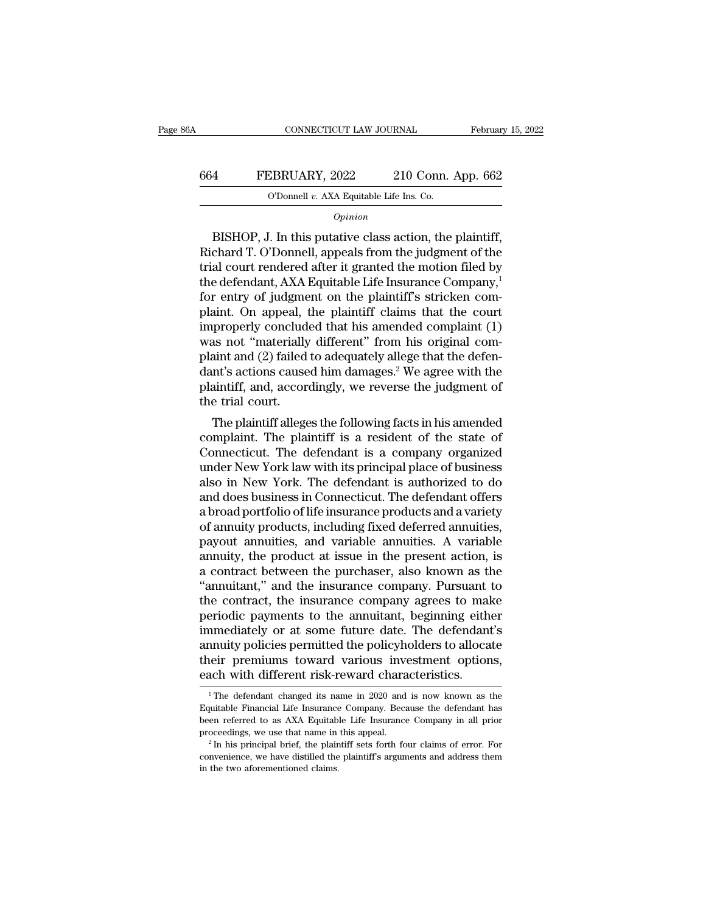#### CONNECTICUT LAW JOURNAL February 15, 2022<br>664 FEBRUARY, 2022 210 Conn. App. 662<br>0'Donnell v. AXA Equitable Life Ins. Co. CONNECTICUT LAW JOURNAL Februar<br>FEBRUARY, 2022 210 Conn. App. 662<br>O'Donnell *v.* AXA Equitable Life Ins. Co.

#### *Opinion*

FEBRUARY, 2022 210 Conn. App. 662<br>
O'Donnell v. AXA Equitable Life Ins. Co.<br>
Opinion<br>
BISHOP, J. In this putative class action, the plaintiff,<br>
chard T. O'Donnell, appeals from the judgment of the FEBRUARY, 2022 210 Conn. App. 662<br>
O'Donnell v. AXA Equitable Life Ins. Co.<br>
Opinion<br>
BISHOP, J. In this putative class action, the plaintiff,<br>
Richard T. O'Donnell, appeals from the judgment of the<br>
trial court rendered 664 FEBRUARY, 2022 210 Conn. App. 662<br>
O'Donnell v. AXA Equitable Life Ins. Co.<br>
Opinion<br>
BISHOP, J. In this putative class action, the plaintiff,<br>
Richard T. O'Donnell, appeals from the judgment of the<br>
trial court rende O'Donnell v. AXA Equitable Life Ins. Co.<br>  $Opinion$ <br>
BISHOP, J. In this putative class action, the plaintiff,<br>
Richard T. O'Donnell, appeals from the judgment of the<br>
trial court rendered after it granted the motion filed by<br>  $o$ <sub>pinion</sub><br>BISHOP, J. In this putative class action, the plaintiff,<br>Richard T. O'Donnell, appeals from the judgment of the<br>trial court rendered after it granted the motion filed by<br>the defendant, AXA Equitable Life Insur *opmon*<br>BISHOP, J. In this putative class action, the plaintiff,<br>Richard T. O'Donnell, appeals from the judgment of the<br>trial court rendered after it granted the motion filed by<br>the defendant, AXA Equitable Life Insurance BISHOP, J. In this putative class action, the plaintiff,<br>Richard T. O'Donnell, appeals from the judgment of the<br>trial court rendered after it granted the motion filed by<br>the defendant, AXA Equitable Life Insurance Company Richard T. O'Donnell, appeals from the judgment of the<br>trial court rendered after it granted the motion filed by<br>the defendant, AXA Equitable Life Insurance Company,<sup>1</sup><br>for entry of judgment on the plaintiff's stricken com trial court rendered after it granted the motion filed by<br>the defendant, AXA Equitable Life Insurance Company,<sup>1</sup><br>for entry of judgment on the plaintiff's stricken com-<br>plaint. On appeal, the plaintiff claims that the cour the defendant, AXA Equitable Life Insurance Company,<sup>1</sup><br>for entry of judgment on the plaintiff's stricken com-<br>plaint. On appeal, the plaintiff claims that the court<br>improperly concluded that his amended complaint (1)<br>was for entry of judgment on the plaintiff's stricken complaint. On appeal, the plaintiff claims that the court improperly concluded that his amended complaint (1) was not "materially different" from his original complaint and plaint. On appeal, improperly conclud<br>was not "materially<br>plaint and (2) failed<br>dant's actions cause<br>plaintiff, and, accor<br>the trial court.<br>The plaintiff allege properly concluded that his amended complaint (1)<br>as not "materially different" from his original com-<br>aint and (2) failed to adequately allege that the defen-<br>nt's actions caused him damages.<sup>2</sup> We agree with the<br>aintiff, was not "materially different" from his original complaint and (2) failed to adequately allege that the defendant's actions caused him damages.<sup>2</sup> We agree with the plaintiff, and, accordingly, we reverse the judgment of t

plaint and ( $2$ ) laned to adequately allege that the defendant's actions caused him damages.<sup>2</sup> We agree with the plaintiff, and, accordingly, we reverse the judgment of the trial court.<br>The plaintiff alleges the followin dant s actions caused film damages.<br>
plaintiff, and, accordingly, we reverse the judgment of<br>
the trial court.<br>
The plaintiff alleges the following facts in his amended<br>
complaint. The plaintiff is a resident of the state plantiff, and, accordingly, we reverse the judgment of<br>the trial court.<br>The plaintiff alleges the following facts in his amended<br>complaint. The plaintiff is a resident of the state of<br>Connecticut. The defendant is a compan The plaintiff alleges the following facts in his amended<br>complaint. The plaintiff is a resident of the state of<br>Connecticut. The defendant is a company organized<br>under New York law with its principal place of business<br>also The plaintiff alleges the following facts in his amended<br>complaint. The plaintiff is a resident of the state of<br>Connecticut. The defendant is a company organized<br>under New York law with its principal place of business<br>also complaint. The plaintiff is a resident of the state of Connecticut. The defendant is a company organized under New York law with its principal place of business also in New York. The defendant is authorized to do and does Connecticut. The defendant is a company organized<br>under New York law with its principal place of business<br>also in New York. The defendant is authorized to do<br>and does business in Connecticut. The defendant offers<br>a broad p under New York law with its principal place of business<br>also in New York. The defendant is authorized to do<br>and does business in Connecticut. The defendant offers<br>a broad portfolio of life insurance products and a variety<br> also in New York. The defendant is authorized to do<br>and does business in Connecticut. The defendant offers<br>a broad portfolio of life insurance products and a variety<br>of annuity products, including fixed deferred annuities, and does business in Connecticut. The defendant offers<br>a broad portfolio of life insurance products and a variety<br>of annuity products, including fixed deferred annuities,<br>payout annuities, and variable annuities. A variabl a broad portfolio of life insurance products and a variety<br>of annuity products, including fixed deferred annuities,<br>payout annuities, and variable annuities. A variable<br>annuity, the product at issue in the present action, of annuity products, including fixed deferred annuities,<br>payout annuities, and variable annuities. A variable<br>annuity, the product at issue in the present action, is<br>a contract between the purchaser, also known as the<br>"ann payout annuities, and variable annuities. A variable annuity, the product at issue in the present action, is<br>a contract between the purchaser, also known as the<br>"annuitant," and the insurance company. Pursuant to<br>the contr annuity, the product at issue in the present action, is<br>a contract between the purchaser, also known as the<br>"annuitant," and the insurance company. Pursuant to<br>the contract, the insurance company agrees to make<br>periodic pa a contract between the purchaser, also known as the "annuitant," and the insurance company. Pursuant to the contract, the insurance company agrees to make periodic payments to the annuitant, beginning either immediately or "annuitant," and the insurance company. Pursuant<br>the contract, the insurance company agrees to mal<br>periodic payments to the annuitant, beginning eith<br>immediately or at some future date. The defendant<br>annuity policies perm nmediately or at some future date. The defendant's<br>
nuity policies permitted the policyholders to allocate<br>
neir premiums toward various investment options,<br>
ach with different risk-reward characteristics.<br>
<sup>1</sup>The defendan annuity policies permitted the policyholders to allocate<br>their premiums toward various investment options,<br>each with different risk-reward characteristics.<br><sup>1</sup>The defendant changed its name in 2020 and is now known as the<br>

their premiums toward various investment options,<br>each with different risk-reward characteristics.<br>The defendant changed its name in 2020 and is now known as the<br>Equitable Financial Life Insurance Company. Because the defe each with different risk-reward characteristics.<br>
<sup>1</sup>The defendant changed its name in 2020 and is now known as the Equitable Financial Life Insurance Company. Because the defendant has been referred to as AXA Equitable Li <sup>1</sup> The defendant changed its name in 2020 and is now known as the Equitable Financial Life Insurance Company. Because the defendant has been referred to as AXA Equitable Life Insurance Company in all prior proceedings, w Equitable Financial Life Insurance Company. Because the defendant has been referred to as AXA Equitable Life Insurance Company in all prior proceedings, we use that name in this appeal.<br><sup>2</sup> In his principal brief, the pla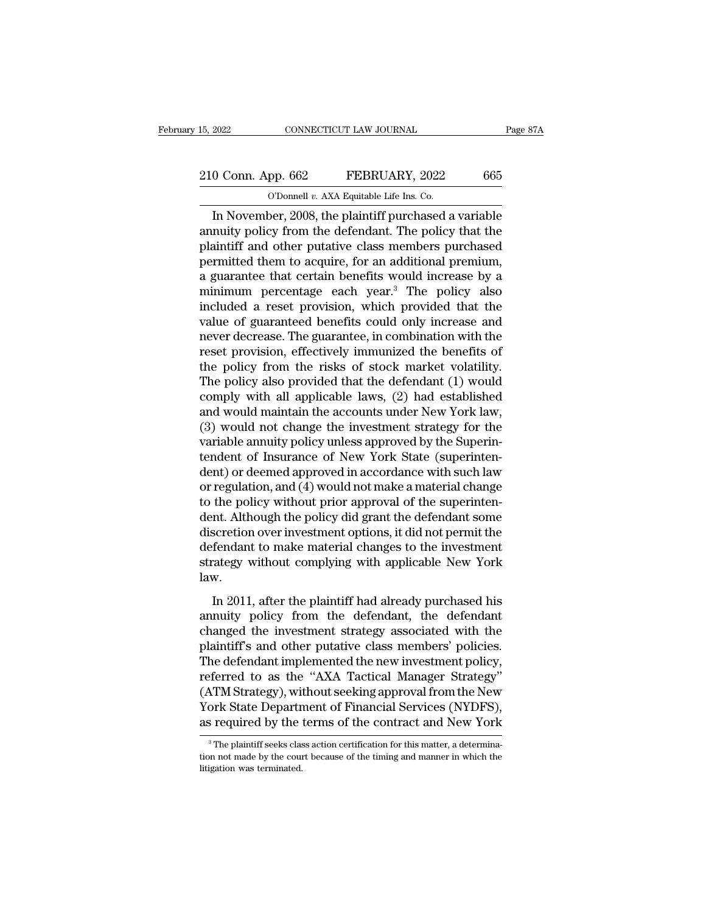## 15, 2022 CONNECTICUT LAW JOURNAL Page 87A<br>
210 Conn. App. 662 FEBRUARY, 2022 665<br>
O'Donnell v. AXA Equitable Life Ins. Co. 15, 2022 CONNECTICUT LAW JOURNAL<br>
210 Conn. App. 662 FEBRUARY, 2022 665<br>
O'Donnell *v.* AXA Equitable Life Ins. Co.<br>
In November, 2008, the plaintiff purchased a variable

EXECTIVE 2002 2022<br>
In November, 2008, the plaintiff purchased a variable<br>
Divideo a variable purchased a variable<br>
Divideo purchased a variable<br>
Divideo purchased a variable<br>
Divideo purchased a variable<br>
Divideo purchase 210 Conn. App. 662 FEBRUARY, 2022 665<br>
O'Donnell v. AXA Equitable Life Ins. Co.<br>
In November, 2008, the plaintiff purchased a variable<br>
annuity policy from the defendant. The policy that the<br>
plaintiff and other putative c 210 Conn. App. 662 FEBRUARY, 2022 665<br>
O'Donnell v. AXA Equitable Life Ins. Co.<br>
In November, 2008, the plaintiff purchased a variable<br>
annuity policy from the defendant. The policy that the<br>
plaintiff and other putative 210 Conn. App. 662 FEBRUARY, 2022 665<br>
O'Donnell v. AXA Equitable Life Ins. Co.<br>
In November, 2008, the plaintiff purchased a variable<br>
annuity policy from the defendant. The policy that the<br>
plaintiff and other putative CONDUCT THE CONSECT TO THE CONSECT OF THE CONSECT OF THE CONSECT OF THE NUMBER AND NOVEMBER AND MULTIPLE THAT AND plaintiff and other putative class members purchased permitted them to acquire, for an additional premium, The November, 2008, the plaintiff purchased a variable<br>annuity policy from the defendant. The policy that the<br>plaintiff and other putative class members purchased<br>permitted them to acquire, for an additional premium,<br>a gu In November, 2008, the plaintiff purchased a variable<br>annuity policy from the defendant. The policy that the<br>plaintiff and other putative class members purchased<br>permitted them to acquire, for an additional premium,<br>a gua annuity policy from the defendant. The policy that the<br>plaintiff and other putative class members purchased<br>permitted them to acquire, for an additional premium,<br>a guarantee that certain benefits would increase by a<br>minimu plaintiff and other putative class members purchased<br>permitted them to acquire, for an additional premium,<br>a guarantee that certain benefits would increase by a<br>minimum percentage each year.<sup>3</sup> The policy also<br>included a r permitted them to acquire, for an additional premium,<br>a guarantee that certain benefits would increase by a<br>minimum percentage each year.<sup>3</sup> The policy also<br>included a reset provision, which provided that the<br>value of guar a guarantee that certain benefits would increase by a<br>minimum percentage each year.<sup>3</sup> The policy also<br>included a reset provision, which provided that the<br>value of guaranteed benefits could only increase and<br>never decrease minimum percentage each year.<sup>3</sup> The policy also<br>included a reset provision, which provided that the<br>value of guaranteed benefits could only increase and<br>never decrease. The guarantee, in combination with the<br>reset provisi included a reset provision, which provided that the<br>value of guaranteed benefits could only increase and<br>never decrease. The guarantee, in combination with the<br>reset provision, effectively immunized the benefits of<br>the pol value of guaranteed benefits could only increase and<br>never decrease. The guarantee, in combination with the<br>reset provision, effectively immunized the benefits of<br>the policy from the risks of stock market volatility.<br>The p never decrease. The guarantee, in combination with the<br>reset provision, effectively immunized the benefits of<br>the policy from the risks of stock market volatility.<br>The policy also provided that the defendant (1) would<br>comp reset provision, effectively immunized the benefits of<br>the policy from the risks of stock market volatility.<br>The policy also provided that the defendant (1) would<br>comply with all applicable laws, (2) had established<br>and wo the policy from the risks of stock market volatility.<br>The policy also provided that the defendant (1) would<br>comply with all applicable laws, (2) had established<br>and would maintain the accounts under New York law,<br>(3) woul The policy also provided that the defendant (1) would<br>comply with all applicable laws, (2) had established<br>and would maintain the accounts under New York law,<br>(3) would not change the investment strategy for the<br>variable a comply with all applicable laws, (2) had established<br>and would maintain the accounts under New York law,<br>(3) would not change the investment strategy for the<br>variable annuity policy unless approved by the Superinten-<br>tende and would maintain the accounts under New York law,<br>(3) would not change the investment strategy for the<br>variable annuity policy unless approved by the Superin-<br>tendent of Insurance of New York State (superinten-<br>dent) or (3) would not change the investment strategy for the variable annuity policy unless approved by the Superintendent of Insurance of New York State (superintendent) or deemed approved in accordance with such law or regulati variable annuity policy unless approved by the Superintendent of Insurance of New York State (superintendent) or deemed approved in accordance with such law<br>or regulation, and (4) would not make a material change<br>to the po tendent of Insurance of New York State (superinten-<br>dent) or deemed approved in accordance with such law<br>or regulation, and (4) would not make a material change<br>to the policy without prior approval of the superinten-<br>dent. dent) or deemed approved in accordance with such law<br>or regulation, and (4) would not make a material change<br>to the policy without prior approval of the superinten-<br>dent. Although the policy did grant the defendant some<br>di law. In 2011, after the plaintiff had already purchased his<br>nucleon over investment options, it did not permit the<br>fendant to make material changes to the investment<br>rategy without complying with applicable New York<br>w.<br>In 2011, discretion over investment options, it did not permit the<br>defendant to make material changes to the investment<br>strategy without complying with applicable New York<br>law.<br>In 2011, after the plaintiff had already purchased his

defendant to make material changes to the investment<br>defendant to make material changes to the investment<br>strategy without complying with applicable New York<br>law.<br>In 2011, after the plaintiff had already purchased his<br>annu strategy without complying with applicable New York<br>law.<br>In 2011, after the plaintiff had already purchased his<br>annuity policy from the defendant, the defendant<br>changed the investment strategy associated with the<br>plaintiff Iaw.<br>In 2011, after the plaintiff had already purchased his<br>annuity policy from the defendant, the defendant<br>changed the investment strategy associated with the<br>plaintiff's and other putative class members' policies.<br>The d In 2011, after the plaintiff had already purchased his<br>annuity policy from the defendant, the defendant<br>changed the investment strategy associated with the<br>plaintiff's and other putative class members' policies.<br>The defend In 2011, after the plaintiff had already purchased his<br>annuity policy from the defendant, the defendant<br>changed the investment strategy associated with the<br>plaintiff's and other putative class members' policies.<br>The defend annuity policy from the defendant, the defendant<br>changed the investment strategy associated with the<br>plaintiff's and other putative class members' policies.<br>The defendant implemented the new investment policy,<br>referred to changed the investment strategy associated with the<br>plaintiff's and other putative class members' policies.<br>The defendant implemented the new investment policy,<br>referred to as the "AXA Tactical Manager Strategy"<br>(ATM Strat 3 The plaintiff seeks class action certification for the New ork State Department of Financial Services (NYDFS), seequired by the terms of the contract and New York<sup>3</sup> The plaintiff seeks class action certification for thi (ATM Strategy), without seeking approval from the New York State Department of Financial Services (NYDFS), as required by the terms of the contract and New York  $\frac{3}{10}$ The plaintiff seeks class action certification for

York State Depart<br>as required by the<br> $\frac{3}{\sqrt{1-\frac{1}{2}}}$  The plaintiff seeks class<br>tion not made by the coulitigation was terminated.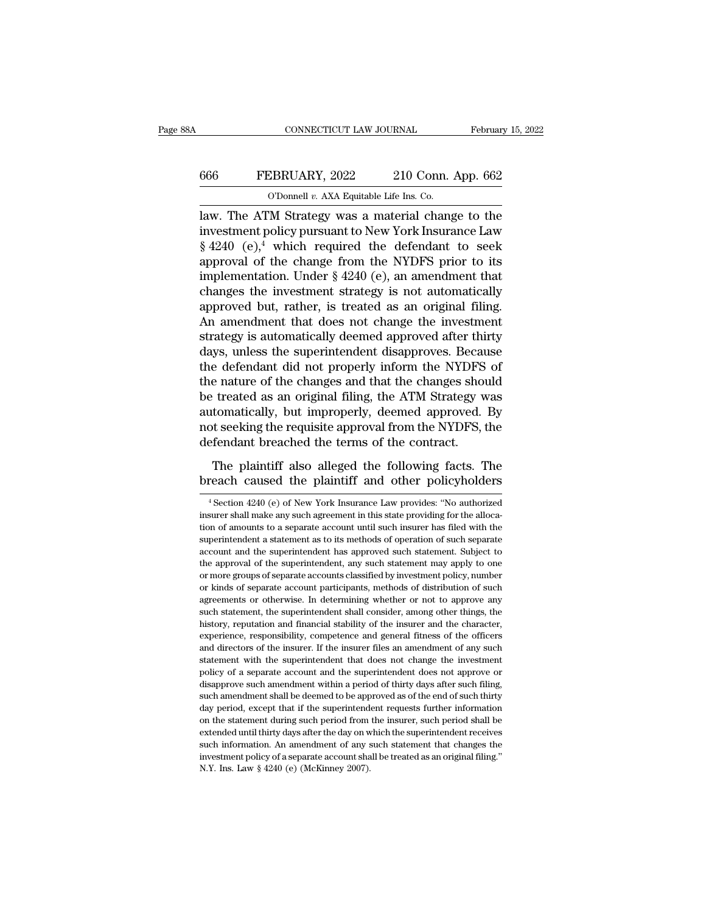## CONNECTICUT LAW JOURNAL February 15, 2022<br>666 FEBRUARY, 2022 210 Conn. App. 662<br>0'Donnell v. AXA Equitable Life Ins. Co. CONNECTICUT LAW JOURNAL Februar<br>
Februar<br>
666 FEBRUARY, 2022 210 Conn. App. 662<br>
O'Donnell *v.* AXA Equitable Life Ins. Co.<br>
law. The ATM Strategy was a material change to the

CONNECTICUT LAW JOURNAL February 15, 2022<br>
FEBRUARY, 2022 210 Conn. App. 662<br>
O'Donnell v. AXA Equitable Life Ins. Co.<br>
Law. The ATM Strategy was a material change to the<br>
investment policy pursuant to New York Insurance FEBRUARY, 2022 210 Conn. App. 662<br>
C'Donnell v. AXA Equitable Life Ins. Co.<br>
law. The ATM Strategy was a material change to the<br>
investment policy pursuant to New York Insurance Law<br>  $\S 4240$  (e),<sup>4</sup> which required the de EBRUARY, 2022 210 Conn. App. 662<br>
O'Donnell v. AXA Equitable Life Ins. Co.<br>
law. The ATM Strategy was a material change to the<br>
investment policy pursuant to New York Insurance Law<br>
§ 4240 (e),<sup>4</sup> which required the defen 666 FEBRUARY, 2022 210 Conn. App. 662<br>
0'Donnell v. AXA Equitable Life Ins. Co.<br>
law. The ATM Strategy was a material change to the<br>
investment policy pursuant to New York Insurance Law<br>
§ 4240 (e),<sup>4</sup> which required the CD CD CONDECTATE CONSUMING THE CONSUMING THE CONSUMING THE CONSUMING THE INTERNATIONAL STATE STATE STATE STATE STATE STATE STATE STATE STATE STATE STATE STATE STATE STATE STATE STATE STATE STATE STATE STATE STATE STATE ST Change iv. Axa Equitable Life ins. Co.<br>
law. The ATM Strategy was a material change to the<br>
investment policy pursuant to New York Insurance Law<br>
§ 4240 (e),<sup>4</sup> which required the defendant to seek<br>
approval of the change law. The ATM Strategy was a material change to the<br>investment policy pursuant to New York Insurance Law<br> $\S$  4240 (e),<sup>4</sup> which required the defendant to seek<br>approval of the change from the NYDFS prior to its<br>implementati investment policy pursuant to New York Insurance Law  $\S$  4240 (e),<sup>4</sup> which required the defendant to seek approval of the change from the NYDFS prior to its implementation. Under  $\S$  4240 (e), an amendment that changes t  $\S$  4240 (e),<sup>4</sup> which required the defendant to seek<br>approval of the change from the NYDFS prior to its<br>implementation. Under  $\S$  4240 (e), an amendment that<br>changes the investment strategy is not automatically<br>approved approval of the change from the NYDFS prior to its<br>implementation. Under  $\S$  4240 (e), an amendment that<br>changes the investment strategy is not automatically<br>approved but, rather, is treated as an original filing.<br>An amen implementation. Under  $\S$  4240 (e), an amendment that<br>changes the investment strategy is not automatically<br>approved but, rather, is treated as an original filing.<br>An amendment that does not change the investment<br>strategy changes the investment strategy is not automatically<br>approved but, rather, is treated as an original filing.<br>An amendment that does not change the investment<br>strategy is automatically deemed approved after thirty<br>days, unl approved but, rather, is treated as an original filing.<br>An amendment that does not change the investment<br>strategy is automatically deemed approved after thirty<br>days, unless the superintendent disapproves. Because<br>the defen An amendment that does not change the investment<br>strategy is automatically deemed approved after thirty<br>days, unless the superintendent disapproves. Because<br>the defendant did not properly inform the NYDFS of<br>the nature of strategy is automatically deemed approved after thirty<br>days, unless the superintendent disapproves. Because<br>the defendant did not properly inform the NYDFS of<br>the nature of the changes and that the changes should<br>be treate days, unless the superintendent disapproves. Becauthe defendant did not properly inform the NYDFS the nature of the changes and that the changes shouse treated as an original filing, the ATM Strategy we automatically, but Experience and that the following and that the changes should<br>
treated as an original filing, the ATM Strategy was<br>
tomatically, but improperly, deemed approved. By<br>
it seeking the requisite approval from the NYDFS, the<br>
f the final of the changes and that the endaptive be treated as an original filing, the ATM Strategy was automatically, but improperly, deemed approved. By not seeking the requisite approval from the NYDFS, the defendant bre

## efendant breached the terms of the contract.<br>The plaintiff also alleged the following facts. The<br>reach caused the plaintiff and other policyholders<br><sup>4</sup>Section 4240 (e) of New York Insurance Law provides: "No authorized<br>sur

The plaintiff also alleged the following facts. The<br>breach caused the plaintiff and other policyholders<br><sup>4</sup> Section 4240 (e) of New York Insurance Law provides: "No authorized<br>insurer shall make any such agreement in this The plaintiff also alleged the following facts. The breach caused the plaintiff and other policyholders  $\frac{4 \text{Section } 4240 \text{ (e) of New York Insurance Law provides: "No authorized insurance shall make any such agreement in this state providing for the allocation of amounts to a separate account until such insurer has filed with the superintendent a statement as to its methods of operation of such separate$ Superior Caused the plaintiff and other policyholders<br>
<sup>4</sup> Section 4240 (e) of New York Insurance Law provides: "No authorized<br>
insurer shall make any such agreement in this state providing for the alloca-<br>
tion of amounts Fractical Causeu Life plantificant during policyholders<br>  $^{4}$  Section 4240 (e) of New York Insurance Law provides: "No authorized<br>
insurer shall make any such agreement in this state providing for the alloca-<br>
tion of am <sup>4</sup> Section 4240 (e) of New York Insurance Law provides: "No authorized insurer shall make any such agreement in this state providing for the allocation of amounts to a separate account until such insurer has filed with t insurer shall make any such agreement in this state providing for the allocation of amounts to a separate account until such insurer has filed with the superintendent a statement as to its methods of operation of such sepa more contracted as separate account until such insurer has filed with the superintendent a statement as to its methods of operation of such separate account and the superintendent has approved such statement. Subject to th superintendent a statement as to its methods of operation of such separate account and the superintendent has approved such statement. Subject to the approval of the superintendent, any such statement may apply to one or m such statement statement statement, any such statement. Subject to the approval of the superintendent, any such statement may apply to one or more groups of separate accounts classified by investment policy, number or kind the approval of the superintendent, any such statement may apply to one or more groups of separate accounts classified by investment policy, number or kinds of separate account participants, methods of distribution of such experience, responsibility, competence, responsibility, competence, response or more groups of separate account participants, methods of distribution of such agreements or otherwise. In determining whether or not to approv or kinds of separate account participants, methods of distribution of such agreements or otherwise. In determining whether or not to approve any such statement, the superintendent shall consider, among other things, the hi statements or otherwise. In determining whether or not to approve any such statement, the superintendent shall consider, among other things, the history, reputation and financial stability of the insurer and the character, such statement, the superintendent shall consider, among other things, the history, reputation and financial stability of the insurer and the character, experience, responsibility, competence and general fitness of the off history, reputation and financial stability of the insurer and the character, experience, responsibility, competence and general fitness of the officers and directors of the insurer. If the insurer files an amendment of an experience, responsibility, competence and general fitness of the officers and directors of the insurer. If the insurer files an amendment of any such statement with the superintendent that does not change the investment p and directors of the insurer. If the insurer files an amendment of any such statement with the superintendent that does not change the investment policy of a separate account and the superintendent does not approve or disa statement with the superintendent that does not change the investment<br>policy of a separate account and the superintendent does not approve or<br>disapprove such amendment within a period of thirty days after such filing,<br>such statement with the superintendent that does not change the investment policy of a separate account and the superintendent does not approve or disapprove such amendment within a period of thirty days after such filing, such Follow such amendment within a period of thirty days after such filing, such amendment shall be deemed to be approved as of the end of such thirty day period, except that if the superintendent requests further information such amendment shall be deemed to be approved as of the end of such thirty day period, except that if the superintendent requests further information on the statement during such period from the insurer, such period shall day period, except that if the superintendent requests further information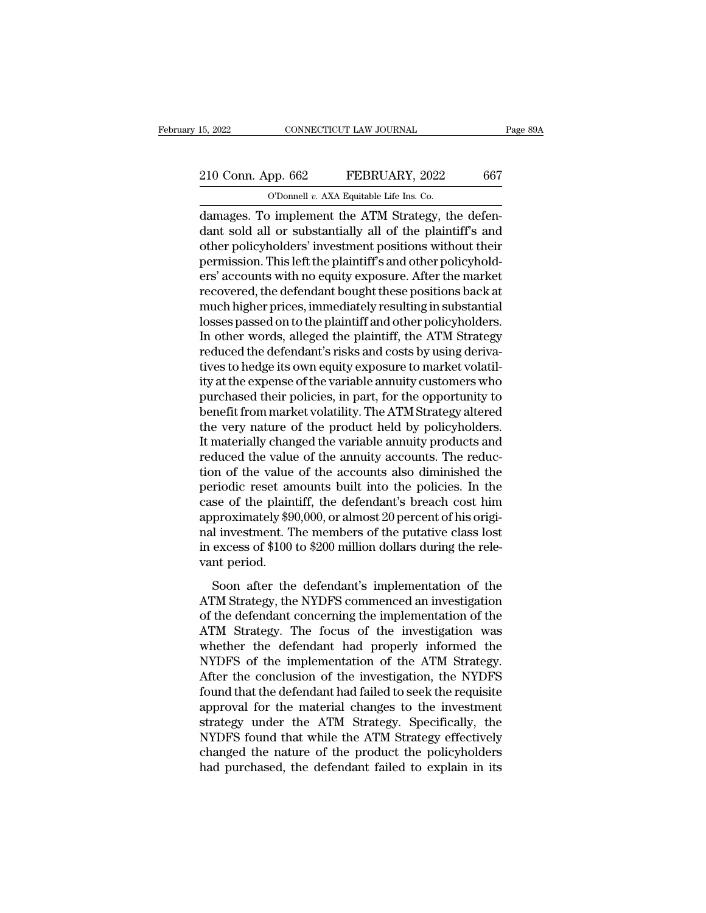# 15, 2022 CONNECTICUT LAW JOURNAL Page 89A<br>
210 Conn. App. 662 FEBRUARY, 2022 667<br>
210 Connel v. AXA Equitable Life Ins. Co.

15, 2022 CONNECTICUT LAW JOURNAL<br>
210 Conn. App. 662 FEBRUARY, 2022 667<br>
O'Donnell *v.* AXA Equitable Life Ins. Co.<br>
damages. To implement the ATM Strategy, the defen-15, 2022 CONNECTICUT LAW JOURNAL<br>
210 Conn. App. 662 FEBRUARY, 2022 667<br>
0'Donnell v. AXA Equitable Life Ins. Co.<br>
damages. To implement the ATM Strategy, the defen-<br>
damages. To implement the ATM Strategy, the defen-<br>
dan 210 Conn. App. 662 FEBRUARY, 2022 667<br>
CDonnell v. AXA Equitable Life Ins. Co.<br>
damages. To implement the ATM Strategy, the defendant sold all or substantially all of the plaintiff's and other policyholders' investment pos 210 Conn. App. 662 FEBRUARY, 2022 667<br>
O'Donnell v. AXA Equitable Life Ins. Co.<br>
damages. To implement the ATM Strategy, the defendant sold all or substantially all of the plaintiff's and<br>
other policyholders' investment 210 Conn. App. 662 FEBRUARY, 2022 667<br>
O'Donnell v. AXA Equitable Life Ins. Co.<br>
damages. To implement the ATM Strategy, the defendant sold all or substantially all of the plaintiff's and<br>
other policyholders' investment CODOMBED *R*. AXA Equitable Life Ins. Co.<br>
damages. To implement the ATM Strategy, the defendant sold all or substantially all of the plaintiff's and other policyholders' investment positions without their permission. This Former v. AXA Equitable Life Ins. Co.<br>
damages. To implement the ATM Strategy, the defendant sold all or substantially all of the plaintiff's and<br>
other policyholders' investment positions without their<br>
permission. This damages. To implement the ATM Strategy, the defendant sold all or substantially all of the plaintiff's and other policyholders' investment positions without their permission. This left the plaintiff's and other policyholde dant sold all or substantially all of the plaintiff's and<br>other policyholders' investment positions without their<br>permission. This left the plaintiff's and other policyhold-<br>ers' accounts with no equity exposure. After the other policyholders' investment positions without their<br>permission. This left the plaintiff's and other policyhold-<br>ers' accounts with no equity exposure. After the market<br>recovered, the defendant bought these positions ba permission. This left the plaintiff's and other policyholders' accounts with no equity exposure. After the market<br>recovered, the defendant bought these positions back at<br>much higher prices, immediately resulting in substan ers' accounts with no equity exposure. After the market<br>recovered, the defendant bought these positions back at<br>much higher prices, immediately resulting in substantial<br>losses passed on to the plaintiff and other policyhol recovered, the defendant bought these positions back at<br>much higher prices, immediately resulting in substantial<br>losses passed on to the plaintiff and other policyholders.<br>In other words, alleged the plaintiff, the ATM Str much higher prices, immediately resulting in substantial<br>losses passed on to the plaintiff and other policyholders.<br>In other words, alleged the plaintiff, the ATM Strategy<br>reduced the defendant's risks and costs by using d losses passed on to the plaintiff and other policyholders.<br>In other words, alleged the plaintiff, the ATM Strategy<br>reduced the defendant's risks and costs by using deriva-<br>tives to hedge its own equity exposure to market v In other words, alleged the plaintiff, the ATM Strategy<br>reduced the defendant's risks and costs by using deriva-<br>tives to hedge its own equity exposure to market volatil-<br>ity at the expense of the variable annuity customer reduced the defendant's risks and costs by using derivatives to hedge its own equity exposure to market volatility at the expense of the variable annuity customers who purchased their policies, in part, for the opportunity tives to hedge its own equity exposure to market volatility at the expense of the variable annuity customers who purchased their policies, in part, for the opportunity to benefit from market volatility. The ATM Strategy al ity at the expense of the variable annuity customers who<br>purchased their policies, in part, for the opportunity to<br>benefit from market volatility. The ATM Strategy altered<br>the very nature of the product held by policyholde purchased their policies, in part, for the opportunity to<br>benefit from market volatility. The ATM Strategy altered<br>the very nature of the product held by policyholders.<br>It materially changed the variable annuity products a benefit from market volatility. The ATM Strategy altered<br>the very nature of the product held by policyholders.<br>It materially changed the variable annuity products and<br>reduced the value of the annuity accounts. The reduc-<br>t the very nature of the product held by policyholders.<br>It materially changed the variable annuity products and<br>reduced the value of the annuity accounts. The reduc-<br>tion of the value of the accounts also diminished the<br>peri It materially changed the variable annuity products and<br>reduced the value of the annuity accounts. The reduc-<br>tion of the value of the accounts also diminished the<br>periodic reset amounts built into the policies. In the<br>cas reduced the value of the annuity accounts. The reduction of the value of the accounts also diminished the periodic reset amounts built into the policies. In the case of the plaintiff, the defendant's breach cost him approx tion of the value<br>periodic reset an<br>case of the plain<br>approximately \$9<br>nal investment. T<br>in excess of \$100<br>vant period.<br>Soon after the Soon after the defendant's burnton of the process. The description of the plaintiff, the defendant's breach cost him<br>proximately \$90,000, or almost 20 percent of his origi-<br>l investment. The members of the putative class l Ease of the plantari, are determined b breach cost rain<br>approximately \$90,000, or almost 20 percent of his original<br>investment. The members of the putative class lost<br>in excess of \$100 to \$200 million dollars during the re

reprominately  $\phi \phi$ ,  $\phi \phi$ , or all ansulate percent of this original investment. The members of the putative class lost<br>in excess of \$100 to \$200 million dollars during the rele-<br>vant period.<br>Soon after the defendant's i And investment. The members of are parameter enass fost<br>in excess of \$100 to \$200 million dollars during the rele-<br>vant period.<br>Soon after the defendant's implementation of the<br>ATM Strategy, the NYDFS commenced an investi want period.<br>
Soon after the defendant's implementation of the<br>
ATM Strategy, the NYDFS commenced an investigation<br>
of the defendant concerning the implementation of the<br>
ATM Strategy. The focus of the investigation was<br>
w Nata person.<br>
Soon after the defendant's implementation of the<br>
ATM Strategy, the NYDFS commenced an investigation<br>
of the defendant concerning the implementation of the<br>
ATM Strategy. The focus of the investigation was<br>
w Soon after the defendant's implementation of the<br>ATM Strategy, the NYDFS commenced an investigation<br>of the defendant concerning the implementation of the<br>ATM Strategy. The focus of the investigation was<br>whether the defenda ATM Strategy, the NYDFS commenced an investigation<br>of the defendant concerning the implementation of the<br>ATM Strategy. The focus of the investigation was<br>whether the defendant had properly informed the<br>NYDFS of the impleme of the defendant concerning the implementation of the<br>ATM Strategy. The focus of the investigation was<br>whether the defendant had properly informed the<br>NYDFS of the implementation of the ATM Strategy.<br>After the conclusion o ATM Strategy. The focus of the investigation was<br>whether the defendant had properly informed the<br>NYDFS of the implementation of the ATM Strategy.<br>After the conclusion of the investigation, the NYDFS<br>found that the defendan whether the defendant had properly informed the<br>NYDFS of the implementation of the ATM Strategy.<br>After the conclusion of the investigation, the NYDFS<br>found that the defendant had failed to seek the requisite<br>approval for t NYDFS of the implementation of the ATM Strategy.<br>After the conclusion of the investigation, the NYDFS<br>found that the defendant had failed to seek the requisite<br>approval for the material changes to the investment<br>strategy u After the conclusion of the investigation, the NYDFS<br>found that the defendant had failed to seek the requisite<br>approval for the material changes to the investment<br>strategy under the ATM Strategy. Specifically, the<br>NYDFS fo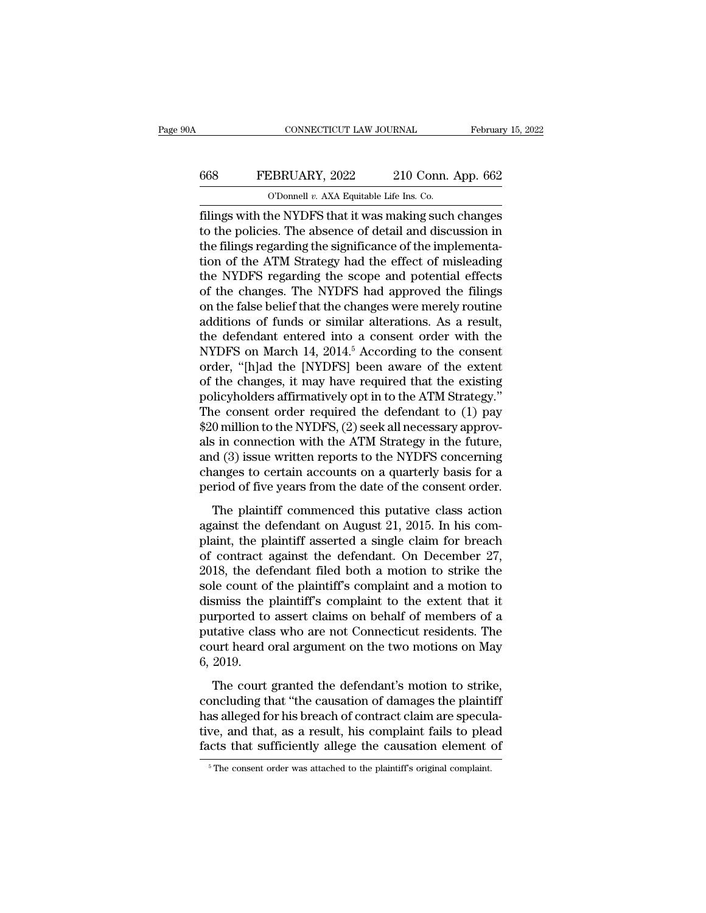#### CONNECTICUT LAW JOURNAL February 15, 2022<br>668 FEBRUARY, 2022 210 Conn. App. 662<br>0'Donnell v. AXA Equitable Life Ins. Co. CONNECTICUT LAW JOURNAL Februar<br>FEBRUARY, 2022 210 Conn. App. 662<br>O'Donnell *v.* AXA Equitable Life Ins. Co.

FEBRUARY, 2022 210 Conn. App. 662<br>
FEBRUARY, 2022 210 Conn. App. 662<br>
O'Donnell v. AXA Equitable Life Ins. Co.<br>
Filings with the NYDFS that it was making such changes<br>
to the policies. The absence of detail and discussion FEBRUARY, 2022 210 Conn. App. 662<br>
O'Donnell v. AXA Equitable Life Ins. Co.<br>
filings with the NYDFS that it was making such changes<br>
to the policies. The absence of detail and discussion in<br>
the filings regarding the signi 668 FEBRUARY, 2022 210 Conn. App. 662<br>
O'Donnell v. AXA Equitable Life Ins. Co.<br>
Things with the NYDFS that it was making such changes<br>
to the policies. The absence of detail and discussion in<br>
the filings regarding the s FEBRUARY, 2022 210 Conn. App. 662<br>
O'Donnell v. AXA Equitable Life Ins. Co.<br>
filings with the NYDFS that it was making such changes<br>
to the policies. The absence of detail and discussion in<br>
the filings regarding the sign CD CD CONTERT THE COLLECT OF THE CONSERVANT OF CONTENTS (CO.<br>
Things with the NYDFS that it was making such changes<br>
to the policies. The absence of detail and discussion in<br>
the filings regarding the significance of the i Filings with the NYDFS that it was making such changes<br>to the policies. The absence of detail and discussion in<br>the filings regarding the significance of the implementa-<br>tion of the ATM Strategy had the effect of misleadi filings with the NYDFS that it was making such changes<br>to the policies. The absence of detail and discussion in<br>the filings regarding the significance of the implementa-<br>tion of the ATM Strategy had the effect of misleadin to the policies. The absence of detail and discussion in<br>the filings regarding the significance of the implementa-<br>tion of the ATM Strategy had the effect of misleading<br>the NYDFS regarding the scope and potential effects<br> the filings regarding the significance of the implementation of the ATM Strategy had the effect of misleading<br>the NYDFS regarding the scope and potential effects<br>of the changes. The NYDFS had approved the filings<br>on the fa tion of the ATM Strategy had the effect of misleading<br>the NYDFS regarding the scope and potential effects<br>of the changes. The NYDFS had approved the filings<br>on the false belief that the changes were merely routine<br>addition the NYDFS regarding the scope and potential effects<br>of the changes. The NYDFS had approved the filings<br>on the false belief that the changes were merely routine<br>additions of funds or similar alterations. As a result,<br>the de of the changes. The NYDFS had approved the filings<br>on the false belief that the changes were merely routine<br>additions of funds or similar alterations. As a result,<br>the defendant entered into a consent order with the<br>NYDFS on the false belief that the changes were merely routine<br>additions of funds or similar alterations. As a result,<br>the defendant entered into a consent order with the<br>NYDFS on March 14, 2014.<sup>5</sup> According to the consent<br>orde additions of funds or similar alterations. As a result,<br>the defendant entered into a consent order with the<br>NYDFS on March 14, 2014.<sup>5</sup> According to the consent<br>order, "[h]ad the [NYDFS] been aware of the extent<br>of the cha the defendant entered into a consent order with the<br>NYDFS on March 14, 2014.<sup>5</sup> According to the consent<br>order, "[h]ad the [NYDFS] been aware of the extent<br>of the changes, it may have required that the existing<br>policyholde NYDFS on March 14, 2014.<sup>5</sup> According to the consent<br>order, "[h]ad the [NYDFS] been aware of the extent<br>of the changes, it may have required that the existing<br>policyholders affirmatively opt in to the ATM Strategy."<br>The co order, "[h]ad the [NYDFS] been aware of the extent<br>of the changes, it may have required that the existing<br>policyholders affirmatively opt in to the ATM Strategy."<br>The consent order required the defendant to (1) pay<br>\$20 mil of the changes, it may have required that the existing<br>policyholders affirmatively opt in to the ATM Strategy."<br>The consent order required the defendant to (1) pay<br>\$20 million to the NYDFS, (2) seek all necessary approv-<br>a policyholders affirmatively opt in to the ATM Strategy."<br>The consent order required the defendant to (1) pay<br>\$20 million to the NYDFS, (2) seek all necessary approv-<br>als in connection with the ATM Strategy in the future,<br>a of consent order required are detendant to  $(1)$  pay 0 million to the NYDFS,  $(2)$  seek all necessary approvis in connection with the ATM Strategy in the future, d  $(3)$  issue written reports to the NYDFS concerning anges Also minism to the FFLE  $S$ , (2) seen an increasing approvals in connection with the ATM Strategy in the future, and (3) issue written reports to the NYDFS concerning changes to certain accounts on a quarterly basis for a

and (3) issue written reports to the NYDFS concerning<br>changes to certain accounts on a quarterly basis for a<br>period of five years from the date of the consent order.<br>The plaintiff commenced this putative class action<br>again changes to certain accounts on a quarterly basis for a<br>period of five years from the date of the consent order.<br>The plaintiff commenced this putative class action<br>against the defendant on August 21, 2015. In his com-<br>plai period of five years from the date of the consent order.<br>The plaintiff commenced this putative class action<br>against the defendant on August 21, 2015. In his com-<br>plaint, the plaintiff asserted a single claim for breach<br>of The plaintiff commenced this putative class action<br>against the defendant on August 21, 2015. In his com-<br>plaint, the plaintiff asserted a single claim for breach<br>of contract against the defendant. On December 27,<br>2018, the The plaintiff commenced this putative class action<br>against the defendant on August 21, 2015. In his com-<br>plaint, the plaintiff asserted a single claim for breach<br>of contract against the defendant. On December 27,<br>2018, the against the defendant on August 21, 2015. In his complaint, the plaintiff asserted a single claim for breach<br>of contract against the defendant. On December 27,<br>2018, the defendant filed both a motion to strike the<br>sole cou plaint, the plaintiff asserted a single claim for breach<br>of contract against the defendant. On December 27,<br>2018, the defendant filed both a motion to strike the<br>sole count of the plaintiff's complaint and a motion to<br>dism of contract against the defendant. On December 27,<br>2018, the defendant filed both a motion to strike the<br>sole count of the plaintiff's complaint and a motion to<br>dismiss the plaintiff's complaint to the extent that it<br>purpo 2018, the desided count of dismiss the purported to putative class<br>for the purported to putative class<br>court heard of  $6, 2019$ .<br>The court The count of the plaintiff's complaint and a motion to<br>smiss the plaintiff's complaint to the extent that it<br>traported to assert claims on behalf of members of a<br>tative class who are not Connecticut residents. The<br>urt hear concluding that the causation of damages the plaintiff phase of a putative class who are not Connecticut residents. The court heard oral argument on the two motions on May 6, 2019.<br>The court granted the defendant's motion

purported to assert ename on senant of members of a<br>putative class who are not Connecticut residents. The<br>court heard oral argument on the two motions on May<br>6, 2019.<br>The court granted the defendant's motion to strike,<br>con parally class who are not connected relations. The<br>court heard oral argument on the two motions on May<br>6, 2019.<br>The court granted the defendant's motion to strike,<br>concluding that "the causation of damages the plaintiff<br>ha 6, 2019.<br>The court granted the defendant's motion to strike,<br>concluding that "the causation of damages the plaintiff<br>has alleged for his breach of contract claim are specula-<br>tive, and that, as a result, his complaint fai concluding that "the causation of damages the plaintiff<br>has alleged for his breach of contract claim are specula-<br>tive, and that, as a result, his complaint fails to plead<br>facts that sufficiently allege the causation elem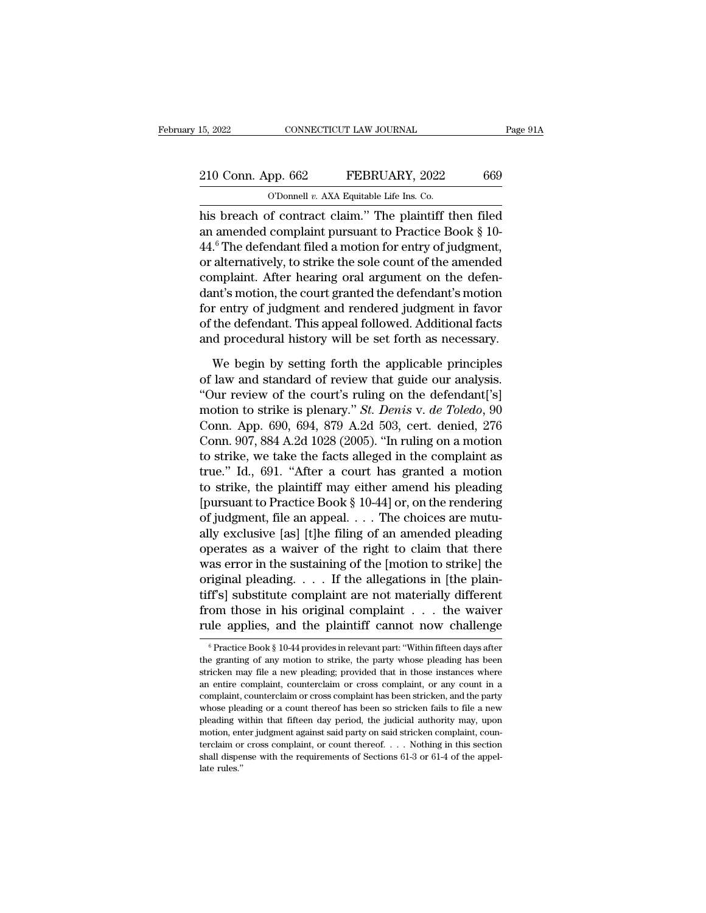## 15, 2022 CONNECTICUT LAW JOURNAL Page 91A<br>
210 Conn. App. 662 FEBRUARY, 2022 669<br>
O'Donnell v. AXA Equitable Life Ins. Co. 15, 2022 CONNECTICUT LAW JOURNAL<br>
210 Conn. App. 662 FEBRUARY, 2022 669<br>
O'Donnell *v.* AXA Equitable Life Ins. Co.<br>
his breach of contract claim." The plaintiff then filed

15, 2022 CONNECTICUT LAW JOURNAL Page 91A<br>
210 Conn. App. 662 FEBRUARY, 2022 669<br>
0'Donnell v. AXA Equitable Life Ins. Co.<br>
his breach of contract claim.'' The plaintiff then filed<br>
an amended complaint pursuant to Practic 210 Conn. App. 662 FEBRUARY, 2022 669<br>
O'Donnell v. AXA Equitable Life Ins. Co.<br>
his breach of contract claim." The plaintiff then filed<br>
an amended complaint pursuant to Practice Book § 10-<br>
44.<sup>6</sup> The defendant filed a 210 Conn. App. 662 FEBRUARY, 2022 669<br>
O'Donnell v. AXA Equitable Life Ins. Co.<br>
his breach of contract claim." The plaintiff then filed<br>
an amended complaint pursuant to Practice Book § 10-<br>
44.<sup>6</sup> The defendant filed a 210 Conn. App. 662 FEBRUARY, 2022 669<br>
O'Donnell v. AXA Equitable Life Ins. Co.<br>
his breach of contract claim." The plaintiff then filed<br>
an amended complaint pursuant to Practice Book  $\S$  10-<br>
44.<sup>6</sup> The defendant filed Complete Life Ins. Co.<br>
obtaint the Life Ins. Co.<br>
his breach of contract claim." The plaintiff then filed<br>
an amended complaint pursuant to Practice Book § 10-<br>
44.<sup>6</sup> The defendant filed a motion for entry of judgment,<br> definite the matrix contract claim." The plaintiff then filed<br>an amended complaint pursuant to Practice Book § 10-<br>44.<sup>6</sup> The defendant filed a motion for entry of judgment,<br>or alternatively, to strike the sole count of t his breach of contract claim." The plaintiff then filed<br>an amended complaint pursuant to Practice Book § 10-<br>44.<sup>6</sup> The defendant filed a motion for entry of judgment,<br>or alternatively, to strike the sole count of the amen an amended complaint pursuant to Practice Book § 10-<br>44.<sup>6</sup> The defendant filed a motion for entry of judgment,<br>or alternatively, to strike the sole count of the amended<br>complaint. After hearing oral argument on the defen-44.° The defendant filed a motion for entry of judgment,<br>or alternatively, to strike the sole count of the amended<br>complaint. After hearing oral argument on the defen-<br>dant's motion, the court granted the defendant's motio mplaint. After hearing oral argument on the defen-<br>nt's motion, the court granted the defendant's motion<br>r entry of judgment and rendered judgment in favor<br>the defendant. This appeal followed. Additional facts<br>d procedural dant's motion, the court granted the defendant's motion<br>for entry of judgment and rendered judgment in favor<br>of the defendant. This appeal followed. Additional facts<br>and procedural history will be set forth as necessary.<br>W

for entry of judgment and rendered judgment in favor<br>
of the defendant. This appeal followed. Additional facts<br>
and procedural history will be set forth as necessary.<br>
We begin by setting forth the applicable principles<br> of the defendant. This appeal followed. Additional facts<br>and procedural history will be set forth as necessary.<br>We begin by setting forth the applicable principles<br>of law and standard of review that guide our analysis.<br>"Ou and procedural history will be set forth as necessary.<br>We begin by setting forth the applicable principles<br>of law and standard of review that guide our analysis.<br>"Our review of the court's ruling on the defendant['s]<br>motio We begin by setting forth the applicable principles<br>of law and standard of review that guide our analysis.<br>"Our review of the court's ruling on the defendant['s]<br>motion to strike is plenary." *St. Denis* v. *de Toledo*, 90 We begin by setting forth the applicable principles<br>of law and standard of review that guide our analysis.<br>"Our review of the court's ruling on the defendant['s]<br>motion to strike is plenary." *St. Denis v. de Toledo*, 90<br> of law and standard of review that guide our analysis.<br>
"Our review of the court's ruling on the defendant['s]<br>
motion to strike is plenary." *St. Denis v. de Toledo*, 90<br>
Conn. App. 690, 694, 879 A.2d 503, cert. denied, "Our review of the court's ruling on the defendant['s]<br>motion to strike is plenary." *St. Denis v. de Toledo*, 90<br>Conn. App. 690, 694, 879 A.2d 503, cert. denied, 276<br>Conn. 907, 884 A.2d 1028 (2005). "In ruling on a motio motion to strike is plenary." *St. Denis v. de Toledo*, 90<br>Conn. App. 690, 694, 879 A.2d 503, cert. denied, 276<br>Conn. 907, 884 A.2d 1028 (2005). "In ruling on a motion<br>to strike, we take the facts alleged in the complaint Conn. App. 690, 694, 879 A.2d 503, cert. denied, 276<br>Conn. 907, 884 A.2d 1028 (2005). "In ruling on a motion<br>to strike, we take the facts alleged in the complaint as<br>true." Id., 691. "After a court has granted a motion<br>to Conn. 907, 884 A.2d 1028 (2005). "In ruling on a motion<br>to strike, we take the facts alleged in the complaint as<br>true." Id., 691. "After a court has granted a motion<br>to strike, the plaintiff may either amend his pleading<br> to strike, we take the facts alleged in the complaint as<br>true." Id., 691. "After a court has granted a motion<br>to strike, the plaintiff may either amend his pleading<br>[pursuant to Practice Book § 10-44] or, on the rendering true." Id., 691. "After a court has granted a motion<br>to strike, the plaintiff may either amend his pleading<br>[pursuant to Practice Book § 10-44] or, on the rendering<br>of judgment, file an appeal. . . . The choices are mututo strike, the plaintiff may either amend his pleading<br>[pursuant to Practice Book § 10-44] or, on the rendering<br>of judgment, file an appeal. . . . The choices are mutu-<br>ally exclusive [as] [t]he filing of an amended plead [pursuant to Practice Book § 10-44] or, on the rendering<br>of judgment, file an appeal. . . . The choices are mutu-<br>ally exclusive [as] [t]he filing of an amended pleading<br>operates as a waiver of the right to claim that the of judgment, file an appeal. . . . The choices are mutually exclusive [as] [t]he filing of an amended pleading<br>operates as a waiver of the right to claim that there<br>was error in the sustaining of the [motion to strike] the ally exclusive [as] [t]he filing of an amended pleading<br>operates as a waiver of the right to claim that there<br>was error in the sustaining of the [motion to strike] the<br>original pleading.... If the allegations in [the plai original pleading. . . . If the allegations in [the plain-<br>tiff's] substitute complaint are not materially different<br>from those in his original complaint . . . the waiver<br>rule applies, and the plaintiff cannot now challen tiff's] substitute complaint are not materially different<br>from those in his original complaint . . . the waiver<br>rule applies, and the plaintiff cannot now challenge<br> $\frac{1}{\pi}$ <br> $\frac{1}{\pi}$ <br> $\frac{1}{\pi}$  Practice Book § 10-44 p

from those in his original complaint . . . the waiver<br>rule applies, and the plaintiff cannot now challenge<br> $\frac{1}{\pi}$ <br> $\frac{1}{\pi}$ <br> $\frac{1}{\pi}$ <br> $\frac{1}{\pi}$   $\frac{1}{\pi}$   $\frac{1}{\pi}$   $\frac{1}{\pi}$   $\frac{1}{\pi}$   $\frac{1}{\pi}$   $\frac{1}{\pi}$   $\frac{$ rule applies, and the plaintiff cannot now challenge<br>  $\overline{\text{``Practice Book § 10-44} \text{ provides in relevant part: ``Within fifteen days after}}$ <br>
the granting of any motion to strike, the party whose pleading has been<br>
stricken may file a new pleading; provided that in those in The depthes, and the plantificantly flow changed as  $\frac{1}{2}$  or creating of any motion to strike, the party whose pleading has been stricken may file a new pleading; provided that in those instances where an entire compla <sup>6</sup> Practice Book § 10-44 provides in relevant part: "Within fifteen days after the granting of any motion to strike, the party whose pleading has been stricken may file a new pleading; provided that in those instances wh the granting of any motion to strike, the party whose pleading has been stricken may file a new pleading; provided that in those instances where an entire complaint, counterclaim or cross complaint, or any count in a compl stricken may file a new pleading; provided that in those instances where<br>an entire complaint, counterclaim or cross complaint, or any count in a<br>complaint, counterclaim or cross complaint has been stricken, and the party<br> an entire complaint, counterclaim or cross complaint, or any count in a complaint, counterclaim or cross complaint has been stricken, and the party whose pleading or a count thereof has been so stricken fails to file a ne complaint, counterclaim or cross complaint has been stricken, and the party whose pleading or a count thereof has been so stricken fails to file a new pleading within that fifteen day period, the judicial authority may, u whose pleading or a count thereof has been so stricken fails to file a new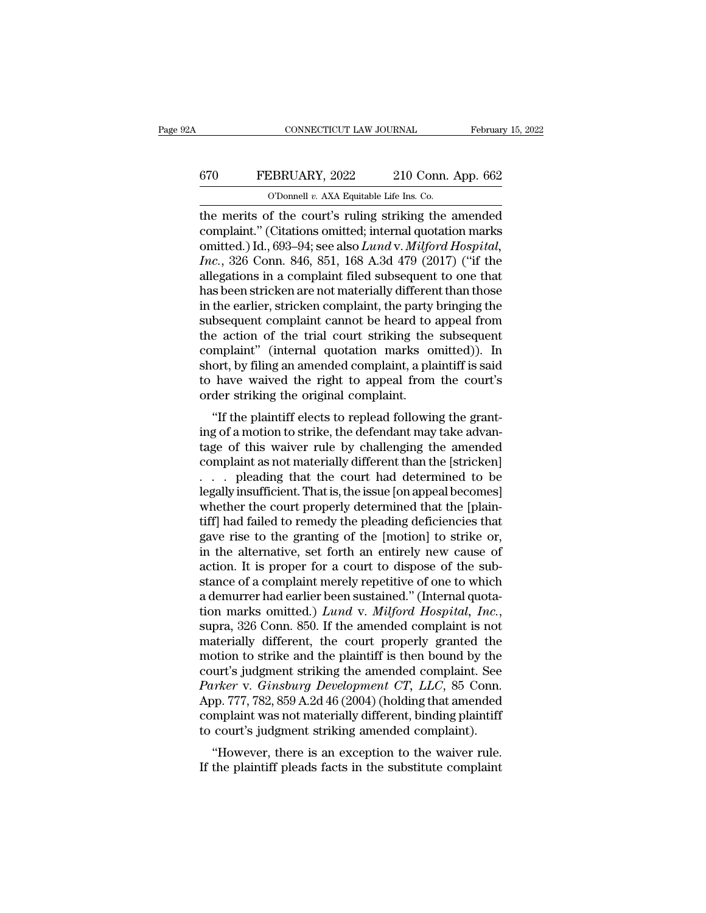## CONNECTICUT LAW JOURNAL February 15, 2022<br>
FEBRUARY, 2022 210 Conn. App. 662<br>
O'Donnell v. AXA Equitable Life Ins. Co. CONNECTICUT LAW JOURNAL Februar<br>
670 FEBRUARY, 2022 210 Conn. App. 662<br>
<sup>O'Donnell *v.* AXA Equitable Life Ins. Co.<br>
the merits of the court's ruling striking the amended</sup>

CONNECTICUT LAW JOURNAL February 15, 2022<br>
FEBRUARY, 2022 210 Conn. App. 662<br>
O'Donnell v. AXA Equitable Life Ins. Co.<br>
the merits of the court's ruling striking the amended<br>
complaint." (Citations omitted; internal quotat 670 FEBRUARY, 2022 210 Conn. App. 662<br>
<sup>O'Donnell v. AXA Equitable Life Ins. Co.</sup><br>
the merits of the court's ruling striking the amended<br>
complaint." (Citations omitted; internal quotation marks<br>
omitted.) Id., 693–94; see 670 FEBRUARY, 2022 210 Conn. App. 662<br>
<sup>O'Donnell v. AXA Equitable Life Ins. Co.<br>
the merits of the court's ruling striking the amended<br>
complaint." (Citations omitted; internal quotation marks<br>
omitted.) Id., 693–94; see </sup> *Inc.* FEBRUARY, 2022 210 Conn. App. 662<br> *Inc.* The merits of the court's ruling striking the amended<br>
complaint." (Citations omitted; internal quotation marks<br>
omitted.) Id., 693–94; see also *Lund v. Milford Hospital*,<br> CD CORRECT TO SURVEY THE CONSUMPT OF THE CONSUMPT OF THE CONSUMITY OF THE MET ON THE MORE COMPLAINT." (Citations omitted; internal quotation marks omitted.) Id., 693–94; see also *Lund v. Milford Hospital*, *Inc.*, 326 Co The merits of the court's ruling striking the amended<br>complaint." (Citations omitted; internal quotation marks<br>omitted.) Id., 693–94; see also *Lund v. Milford Hospital*,<br>*Inc.*, 326 Conn. 846, 851, 168 A.3d 479 (2017) (" the merits of the court's ruling striking the amended<br>complaint." (Citations omitted; internal quotation marks<br>omitted.) Id., 693–94; see also *Lund v. Milford Hospital*,<br>*Inc.*, 326 Conn. 846, 851, 168 A.3d 479 (2017) ("i complaint." (Citations omitted; internal quotation marks<br>omitted.) Id., 693–94; see also *Lund v. Milford Hospital*,<br>*Inc.*, 326 Conn. 846, 851, 168 A.3d 479 (2017) ("if the<br>allegations in a complaint filed subsequent to o omitted.) Id., 693–94; see also *Lund* v. *Milford Hospital,*<br>*Inc.*, 326 Conn. 846, 851, 168 A.3d 479 (2017) ("if the<br>allegations in a complaint filed subsequent to one that<br>has been stricken are not materially different Inc., 326 Conn. 846, 851, 168 A.3d 479 (2017) ("if the allegations in a complaint filed subsequent to one that has been stricken are not materially different than those in the earlier, stricken complaint, the party bringin allegations in a complaint filed subsequent to one that<br>has been stricken are not materially different than those<br>in the earlier, stricken complaint, the party bringing the<br>subsequent complaint cannot be heard to appeal fr has been stricken are not materially different than those<br>in the earlier, stricken complaint, the party bringing the<br>subsequent complaint cannot be heard to appeal from<br>the action of the trial court striking the subsequent in the earlier, stricken complaint, the party<br>subsequent complaint cannot be heard to<br>the action of the trial court striking the<br>complaint" (internal quotation marks or<br>short, by filing an amended complaint, a pla<br>to have besequent complaint cannot be heard to appear from<br>
e action of the trial court striking the subsequent<br>
mplaint" (internal quotation marks omitted)). In<br>
ort, by filing an amended complaint, a plaintiff is said<br>
have waiv In the action of the that court striking the subsequent<br>complaint" (internal quotation marks omitted)). In<br>short, by filing an amended complaint, a plaintiff is said<br>to have waived the right to appeal from the court's<br>orde

Example of the main dividable matrix of the right to appeal from the court's<br>order striking the original complaint.<br>"If the plaintiff elects to replead following the grant-<br>ing of a motion to strike, the defendant may take short, by lilling an antended complaint, a plaintin is said<br>to have waived the right to appeal from the court's<br>order striking the original complaint.<br>"If the plaintiff elects to replead following the grant-<br>ing of a moti to have waved the right to appear from the court's<br>order striking the original complaint.<br>"If the plaintiff elects to replead following the grant-<br>ing of a motion to strike, the defendant may take advan-<br>tage of this waive "If the plaintiff elects to replead following the grant-<br>ing of a motion to strike, the defendant may take advan-<br>tage of this waiver rule by challenging the amended<br>complaint as not materially different than the [stricken "If the plaintiff elects to replead following the granting of a motion to strike, the defendant may take advantage of this waiver rule by challenging the amended complaint as not materially different than the [stricken] ing of a motion to strike, the defendant may take advantage of this waiver rule by challenging the amended<br>complaint as not materially different than the [stricken]<br>. . . pleading that the court had determined to be<br>legall tage of this waiver rule by challenging the amended<br>complaint as not materially different than the [stricken]<br> $\ldots$  pleading that the court had determined to be<br>legally insufficient. That is, the issue [on appeal becomes] complaint as not materially different than the [stricken]<br>  $\ldots$  pleading that the court had determined to be<br>
legally insufficient. That is, the issue [on appeal becomes]<br>
whether the court properly determined that the [ ... pleading that the court had determined to be<br>legally insufficient. That is, the issue [on appeal becomes]<br>whether the court properly determined that the [plain-<br>tiff] had failed to remedy the pleading deficiencies that legally insufficient. That is, the issue [on appeal becomes]<br>whether the court properly determined that the [plain-<br>tiff] had failed to remedy the pleading deficiencies that<br>gave rise to the granting of the [motion] to str whether the court properly determined that the [plaintiff] had failed to remedy the pleading deficiencies that gave rise to the granting of the [motion] to strike or, in the alternative, set forth an entirely new cause of tiff] had failed to remedy the pleading deficiencies that<br>gave rise to the granting of the [motion] to strike or,<br>in the alternative, set forth an entirely new cause of<br>action. It is proper for a court to dispose of the su in the alternative, set forth an entirely new cause of action. It is proper for a court to dispose of the substance of a complaint merely repetitive of one to which a demurrer had earlier been sustained." (Internal quotat action. It is proper for a court to dispose of the substance of a complaint merely repetitive of one to which<br>a demurrer had earlier been sustained." (Internal quota-<br>tion marks omitted.) *Lund v. Milford Hospital, Inc.*, stance of a complaint merely repetitive of one to which<br>a demurrer had earlier been sustained." (Internal quota-<br>tion marks omitted.) *Lund* v. *Milford Hospital*, *Inc.*,<br>supra, 326 Conn. 850. If the amended complaint is *a* demurrer had earlier been sustained." (Internal quotation marks omitted.) *Lund v. Milford Hospital, Inc.*, supra, 326 Conn. 850. If the amended complaint is not materially different, the court properly granted the mot tion marks omitted.) *Lund v. Milford Hospital, Inc.*,<br>supra, 326 Conn. 850. If the amended complaint is not<br>materially different, the court properly granted the<br>motion to strike and the plaintiff is then bound by the<br>cour supra, 326 Conn. 850. If the amended complaint is not<br>materially different, the court properly granted the<br>motion to strike and the plaintiff is then bound by the<br>court's judgment striking the amended complaint. See<br>Parker materially different, the court properly granted the<br>motion to strike and the plaintiff is then bound by the<br>court's judgment striking the amended complaint. See<br>Parker v. Ginsburg Development CT, LLC, 85 Conn.<br>App. 777, buon to strike and the plantiff is then bound by the<br>urt's judgment striking the amended complaint. See<br>*irker* v. *Ginsburg Development CT*, *LLC*, 85 Conn.<br>pp. 777, 782, 859 A.2d 46 (2004) (holding that amended<br>mplaint w Court's judgment striking the alternated complaint. See<br>Parker v. Ginsburg Development CT, LLC, 85 Conn.<br>App. 777, 782, 859 A.2d 46 (2004) (holding that amended<br>complaint was not materially different, binding plaintiff<br>to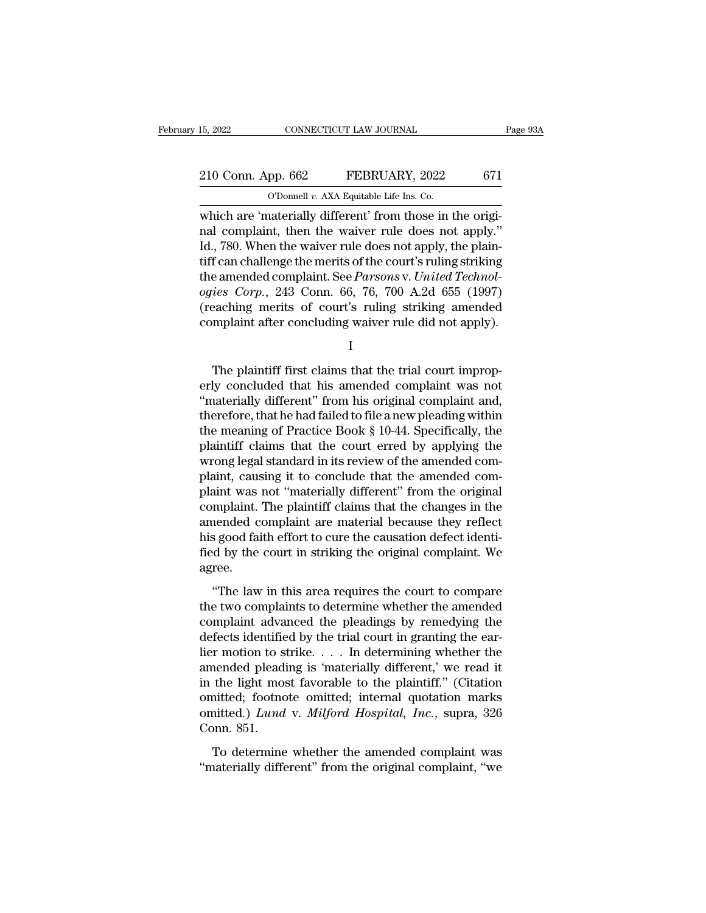## 15, 2022 CONNECTICUT LAW JOURNAL Page 93A<br>
210 Conn. App. 662 FEBRUARY, 2022 671<br>
210 Connel v. AXA Equitable Life Ins. Co. 15, 2022 CONNECTICUT LAW JOURNAL<br>
210 Conn. App. 662 FEBRUARY, 2022 671<br>
O'Donnell *v.* AXA Equitable Life Ins. Co.<br>
which are 'materially different' from those in the origi-

EMBED 15, 2022<br>
210 Conn. App. 662 FEBRUARY, 2022 671<br>
210 Conn. App. 662 FEBRUARY, 2022 671<br>
20 O'Donnell v. AXA Equitable Life Ins. Co.<br>
20 Which are 'materially different' from those in the origi-<br>
21 780 When the waive 210 Conn. App. 662 FEBRUARY, 2022 671<br>
C'Donnell v. AXA Equitable Life Ins. Co.<br>
which are 'materially different' from those in the original complaint, then the waiver rule does not apply.''<br>
Id., 780. When the waiver rul 210 Conn. App. 662 FEBRUARY, 2022 671<br>
O'Donnell v. AXA Equitable Life Ins. Co.<br>
which are 'materially different' from those in the original complaint, then the waiver rule does not apply."<br>
Id., 780. When the waiver rule 210 Conn. App. 662 FEBRUARY, 2022 671<br>
O'Donnell v. AXA Equitable Life Ins. Co.<br>
which are 'materially different' from those in the original complaint, then the waiver rule does not apply."<br>
Id., 780. When the waiver rule COD THE AND THE CONSECT TO THE CONSECT TO THE CONSECT THAT CONDUCT THE CONSECTING COMPLISION IS NOT THE CONSECT THAT CAN CONSECT THE AMERICAN CONSECT THE AMERICAN CONSECT THE AMERICAN COMPLISION CONSECT THE AMERICAN COMPLI *ODonnel v. AXA Equitable Lite ins. Co.*<br>
which are 'materially different' from those in the original complaint, then the waiver rule does not apply."<br>
Id., 780. When the waiver rule does not apply, the plain-<br>
tiff can ch which are 'materially different' from those in the original complaint, then the waiver rule does not apply."<br>Id., 780. When the waiver rule does not apply, the plain-<br>tiff can challenge the merits of the court's ruling str nal complaint, then the waiver rule does not apply."<br>Id., 780. When the waiver rule does not apply, the plain-<br>tiff can challenge the merits of the court's ruling striking<br>the amended complaint. See *Parsons* v. *United T* e amended complaint. See Parsons v. United Technolies Corp., 243 Conn. 66, 76, 700 A.2d 655 (1997)<br>eaching merits of court's ruling striking amended<br>mplaint after concluding waiver rule did not apply).<br>I<br>The plaintiff firs

I

ogies Corp., 243 Conn. 66, 76, 700 A.2d 655 (1997)<br>
(reaching merits of court's ruling striking amended<br>
complaint after concluding waiver rule did not apply).<br>  $I$ <br>
The plaintiff first claims that the trial court improp-(reaching merits of court's ruling striking amended<br>
complaint after concluding waiver rule did not apply).<br>  $I$ <br>
The plaintiff first claims that the trial court improp-<br>
erly concluded that his amended complaint was not<br> complaint after concluding waiver rule did not apply).<br>
I<br>
The plaintiff first claims that the trial court improperly concluded that his amended complaint was not<br>
"materially different" from his original complaint and,<br> I<br>I<br>The plaintiff first claims that the trial court improp-<br>erly concluded that his amended complaint was not<br>"materially different" from his original complaint and,<br>therefore, that he had failed to file a new pleading wit The plaintiff first claims that the trial court improperly concluded that his amended complaint was not "materially different" from his original complaint and, therefore, that he had failed to file a new pleading within th The plaintiff first claims that the trial court improperly concluded that his amended complaint was not "materially different" from his original complaint and, therefore, that he had failed to file a new pleading within th erly concluded that his amended complaint was not<br>"materially different" from his original complaint and,<br>therefore, that he had failed to file a new pleading within<br>the meaning of Practice Book § 10-44. Specifically, the<br> "materially different" from his original complaint and,<br>therefore, that he had failed to file a new pleading within<br>the meaning of Practice Book § 10-44. Specifically, the<br>plaintiff claims that the court erred by applying therefore, that he had failed to file a new pleading within<br>the meaning of Practice Book § 10-44. Specifically, the<br>plaintiff claims that the court erred by applying the<br>wrong legal standard in its review of the amended co the meaning of Practice Book  $\S$  10-44. Specifically, the plaintiff claims that the court erred by applying the wrong legal standard in its review of the amended complaint, causing it to conclude that the amended complain plaintiff claims that the court erred by applying the wrong legal standard in its review of the amended complaint, causing it to conclude that the amended complaint was not "materially different" from the original complain wrong legal standard in its review of the amended complaint, causing it to conclude that the amended complaint was not "materially different" from the original complaint. The plaintiff claims that the changes in the amende agree. mplaint. The plaintiff claims that the changes in the<br>
nended complaint are material because they reflect<br>
s good faith effort to cure the causation defect identi-<br>
d by the court in striking the original complaint. We<br>
re Example and complaint are material because they reflect<br>his good faith effort to cure the causation defect identi-<br>fied by the court in striking the original complaint. We<br>agree.<br>"The law in this area requires the court to

miss good faith effort to cure the causation defect identi-<br>fied by the court in striking the original complaint. We<br>agree.<br>"The law in this area requires the court to compare<br>the two complaints to determine whether the am defects identified by the court in striking the original complaint. We agree.<br>
"The law in this area requires the court to compare<br>
the two complaints to determine whether the amended<br>
complaint advanced the pleadings by r lier motion to strike. The state of the court of compare<br>the two complaints to determine whether the amended<br>complaint advanced the pleadings by remedying the<br>defects identified by the trial court in granting the ear-<br>lier "The law in this area requires the court to compare<br>the two complaints to determine whether the amended<br>complaint advanced the pleadings by remedying the<br>defects identified by the trial court in granting the ear-<br>lier mot "The law in this area requires the court to compare<br>the two complaints to determine whether the amended<br>complaint advanced the pleadings by remedying the<br>defects identified by the trial court in granting the ear-<br>lier mot the two complaints to determine whether the amended<br>complaint advanced the pleadings by remedying the<br>defects identified by the trial court in granting the ear-<br>lier motion to strike.... In determining whether the<br>amended complaint advanced the pleadings by remedying the<br>defects identified by the trial court in granting the ear-<br>lier motion to strike. . . . In determining whether the<br>amended pleading is 'materially different,' we read it<br>in defects identifie<br>lier motion to s<br>amended pleadi<br>in the light mos<br>omitted; footnc<br>omitted.) Lund<br>Conn. 851.<br>To determine nended pleading is 'materially different,' we read it<br>the light most favorable to the plaintiff." (Citation<br>nitted; footnote omitted; internal quotation marks<br>nitted.) Lund v. Milford Hospital, Inc., supra, 326<br>pnn. 851.<br>T in the light most favorable to the plaintiff." (Citation<br>
omitted; footnote omitted; internal quotation marks<br>
omitted.) Lund v. Milford Hospital, Inc., supra, 326<br>
Conn. 851.<br>
To determine whether the amended complaint wa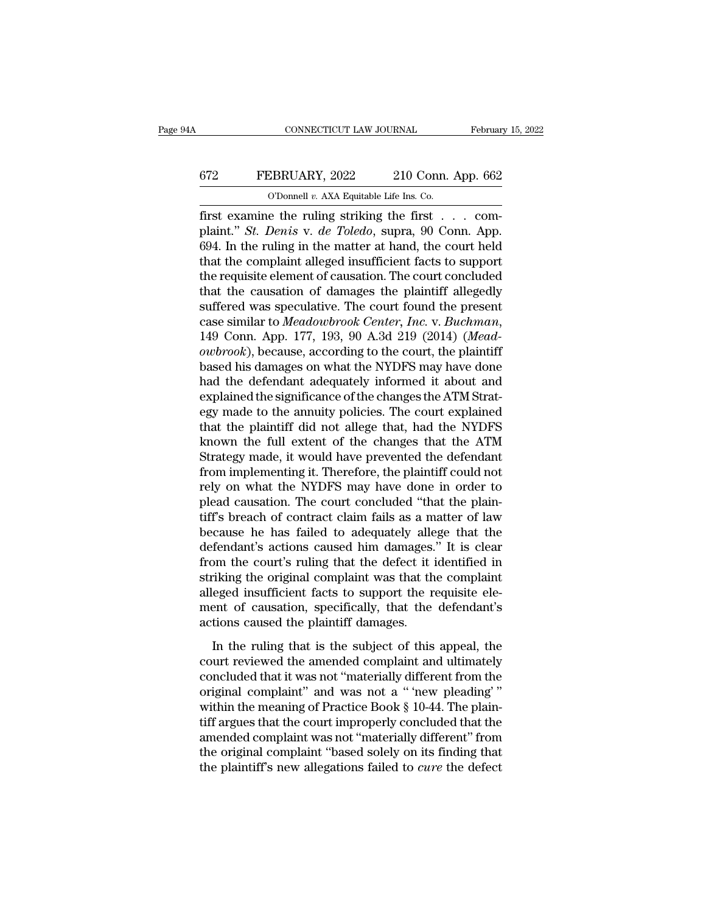#### CONNECTICUT LAW JOURNAL February 15, 2022<br>672 FEBRUARY, 2022 210 Conn. App. 662<br>0'Donnell v. AXA Equitable Life Ins. Co. CONNECTICUT LAW JOURNAL Februar<br>FEBRUARY, 2022 210 Conn. App. 662<br>O'Donnell *v.* AXA Equitable Life Ins. Co.

February 15, 2022<br>
FEBRUARY, 2022 210 Conn. App. 662<br>
O'Donnell v. AXA Equitable Life Ins. Co.<br>
first examine the ruling striking the first . . . com-<br>
plaint." *St. Denis* v. *de Toledo*, supra, 90 Conn. App. 694. In the FEBRUARY, 2022 210 Conn. App. 662<br>
<sup>O'Donnell v. AXA Equitable Life Ins. Co.<br>
first examine the ruling striking the first . . . complaint." *St. Denis* v. *de Toledo*, supra, 90 Conn. App. 694. In the ruling in the matter </sup> 672 FEBRUARY, 2022 210 Conn. App. 662<br>
O'Donnell v. AXA Equitable Life Ins. Co.<br>
first examine the ruling striking the first . . . complaint." *St. Denis* v. *de Toledo*, supra, 90 Conn. App. 694. In the ruling in the mat FEBRUARY, 2022 210 Conn. App. 662<br>
O'Donnell v. AXA Equitable Life Ins. Co.<br>
first examine the ruling striking the first . . . complaint." *St. Denis* v. *de Toledo*, supra, 90 Conn. App.<br>
694. In the ruling in the matter CD CD CONDETERT CONSERVANCE CONSERVANCE CONSERVED THE CONSERVANCE (The requisite the ruling in the matter at hand, the court held that the complaint alleged insufficient facts to support the requisite element of causation That the causation of the causar orbit that the complaint." St. Denis v. de Toledo, supra, 90 Conn. App.<br>694. In the ruling in the matter at hand, the court held<br>that the complaint alleged insufficient facts to support<br>th first examine the ruling striking the first  $\ldots$  complaint." *St. Denis* v. *de Toledo*, supra, 90 Conn. App. 694. In the ruling in the matter at hand, the court held that the complaint alleged insufficient facts to supp plaint." *St. Denis* v. *de Toledo*, supra, 90 Conn. App.<br>694. In the ruling in the matter at hand, the court held<br>that the complaint alleged insufficient facts to support<br>the requisite element of causation. The court conc that the complaint alleged insufficient facts to support<br>the requisite element of causation. The court concluded<br>that the causation of damages the plaintiff allegedly<br>suffered was speculative. The court found the present<br>c the requisite element of causation. The court concluded<br>that the causation of damages the plaintiff allegedly<br>suffered was speculative. The court found the present<br>case similar to Meadowbrook Center, Inc. v. Buchman,<br>149 C that the causation of damages the plaintiff allegedly<br>suffered was speculative. The court found the present<br>case similar to *Meadowbrook Center*, *Inc.* v. *Buchman*,<br>149 Conn. App. 177, 193, 90 A.3d 219 (2014) (*Mead-*<br>*o* suffered was speculative. The court found the present case similar to *Meadowbrook Center*, *Inc.* v. *Buchman*, 149 Conn. App. 177, 193, 90 A.3d 219 (2014) (*Meadowbrook*), because, according to the court, the plaintiff b case similar to *Meadowbrook Center*, *Inc.* v. *Buchman*, 149 Conn. App. 177, 193, 90 A.3d 219 (2014) (*Meadowbrook*), because, according to the court, the plaintiff based his damages on what the NYDFS may have done had t 149 Conn. App. 177, 193, 90 A.3d 219 (2014) (*Mead-owbrook*), because, according to the court, the plaintiff based his damages on what the NYDFS may have done had the defendant adequately informed it about and explained t owbrook), because, according to the court, the plaintiff<br>based his damages on what the NYDFS may have done<br>had the defendant adequately informed it about and<br>explained the significance of the changes the ATM Strat-<br>egy mad based his damages on what the NYDFS may have done<br>had the defendant adequately informed it about and<br>explained the significance of the changes the ATM Strat-<br>egy made to the annuity policies. The court explained<br>that the p had the defendant adequately informed it about and<br>explained the significance of the changes the ATM Strat-<br>egy made to the annuity policies. The court explained<br>that the plaintiff did not allege that, had the NYDFS<br>known explained the significance of the changes the ATM Strat-<br>egy made to the annuity policies. The court explained<br>that the plaintiff did not allege that, had the NYDFS<br>known the full extent of the changes that the ATM<br>Strateg egy made to the annuity policies. The court explained<br>that the plaintiff did not allege that, had the NYDFS<br>known the full extent of the changes that the ATM<br>Strategy made, it would have prevented the defendant<br>from implem that the plaintiff did not allege that, had the NYDFS<br>known the full extent of the changes that the ATM<br>Strategy made, it would have prevented the defendant<br>from implementing it. Therefore, the plaintiff could not<br>rely on known the full extent of the changes that the ATM<br>Strategy made, it would have prevented the defendant<br>from implementing it. Therefore, the plaintiff could not<br>rely on what the NYDFS may have done in order to<br>plead causati Strategy made, it would have prevented the defendant<br>from implementing it. Therefore, the plaintiff could not<br>rely on what the NYDFS may have done in order to<br>plead causation. The court concluded "that the plain-<br>tiff's br from implementing it. Therefore, the plaintiff could not<br>rely on what the NYDFS may have done in order to<br>plead causation. The court concluded "that the plain-<br>tiff's breach of contract claim fails as a matter of law<br>becau rely on what the NYDFS may have done in order to<br>plead causation. The court concluded "that the plain-<br>tiff's breach of contract claim fails as a matter of law<br>because he has failed to adequately allege that the<br>defendant' plead causation. The court concluded "that the plaintiff's breach of contract claim fails as a matter of law because he has failed to adequately allege that the defendant's actions caused him damages." It is clear from the tiff's breach of contract claim fails as a matter of law<br>because he has failed to adequately allege that the<br>defendant's actions caused him damages." It is clear<br>from the court's ruling that the defect it identified in<br>str because he has failed to adequately alle<br>defendant's actions caused him damages.<br>from the court's ruling that the defect it is<br>striking the original complaint was that th<br>alleged insufficient facts to support the r<br>ment of In the routr's ruling that the defect it identified in<br>
in the court's ruling that the defect it identified in<br>
riking the original complaint was that the complaint<br>
eged insufficient facts to support the requisite ele-<br>
e court are courts raining and the defects in definition in<br>striking the original complaint was that the complaint<br>alleged insufficient facts to support the requisite ele-<br>ment of causation, specifically, that the defendant'

concluded insufficient facts to support the requisite element of causation, specifically, that the defendant's<br>actions caused the plaintiff damages.<br>In the ruling that is the subject of this appeal, the<br>court reviewed the and a '' '' '' and a '' '' '' '' and a '' '' '' '' and a '' '' '' actions caused the plaintiff damages.<br>
In the ruling that is the subject of this appeal, the court reviewed the amended complaint and ultimately concluded t means of causation, specifically, and the deformance actions caused the plaintiff damages.<br>In the ruling that is the subject of this appeal, the court reviewed the amended complaint and ultimately concluded that it was not In the ruling that is the subject of this appeal, the<br>court reviewed the amended complaint and ultimately<br>concluded that it was not "materially different from the<br>original complaint" and was not a " 'new pleading'"<br>within In the ruling that is the subject of this appeal, the<br>court reviewed the amended complaint and ultimately<br>concluded that it was not "materially different from the<br>original complaint" and was not a "'new pleading""<br>within court reviewed the amended complaint and ultimately<br>concluded that it was not "materially different from the<br>original complaint" and was not a "'new pleading'"<br>within the meaning of Practice Book  $\S$  10-44. The plain-<br>tif concluded that it was not "materially different from the original complaint" and was not a "'new pleading'" within the meaning of Practice Book § 10-44. The plaintiff argues that the court improperly concluded that the ame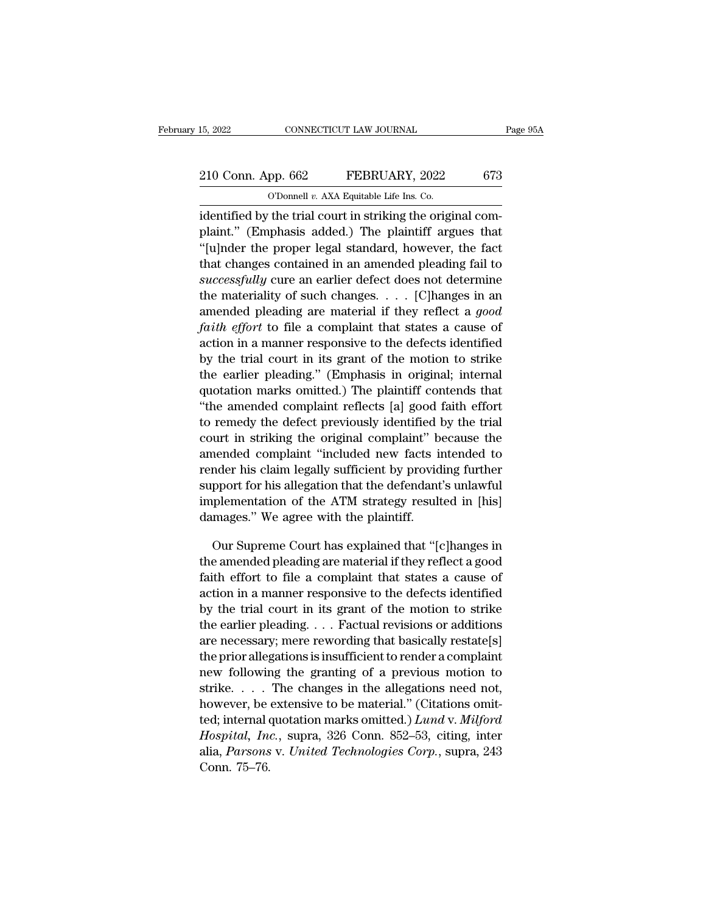## 15, 2022 CONNECTICUT LAW JOURNAL Page 95A<br>
210 Conn. App. 662 FEBRUARY, 2022 673<br>
210 Connel v. AXA Equitable Life Ins. Co. 15, 2022 CONNECTICUT LAW JOURNAL<br>
210 Conn. App. 662 FEBRUARY, 2022 673<br>
O'Donnell *v.* AXA Equitable Life Ins. Co.<br>
identified by the trial court in striking the original com-

15, 2022 CONNECTICUT LAW JOURNAL<br>
210 Conn. App. 662 FEBRUARY, 2022 673<br>
0'Donnell v. AXA Equitable Life Ins. Co.<br>
identified by the trial court in striking the original com-<br>
plaint." (Emphasis added.) The plaintiff argue 210 Conn. App. 662 FEBRUARY, 2022 673<br>
O'Donnell v. AXA Equitable Life Ins. Co.<br>
identified by the trial court in striking the original complaint." (Emphasis added.) The plaintiff argues that<br>
"[u]nder the proper legal st 210 Conn. App. 662 FEBRUARY, 2022 673<br>
O'Donnell v. AXA Equitable Life Ins. Co.<br>
identified by the trial court in striking the original complaint." (Emphasis added.) The plaintiff argues that<br>
"[u]nder the proper legal st 210 Conn. App. 662 FEBRUARY, 2022 673<br>
C'Donnell v. AXA Equitable Life Ins. Co.<br>
identified by the trial court in striking the original complaint." (Emphasis added.) The plaintiff argues that<br>
"[u]nder the proper legal st <sup>O'Donnell v. AXA Equitable Life Ins. Co.<br>
identified by the trial court in striking the original com-<br>
plaint." (Emphasis added.) The plaintiff argues that<br>
"[u]nder the proper legal standard, however, the fact<br>
that chan</sup> identified by the trial court in striking the original complaint." (Emphasis added.) The plaintiff argues that<br>"[u]nder the proper legal standard, however, the fact<br>that changes contained in an amended pleading fail to<br>suc dentified by the trial court in striking the original com-<br>plaint." (Emphasis added.) The plaintiff argues that<br>"[u]nder the proper legal standard, however, the fact<br>that changes contained in an amended pleading fail to<br>su plaint. (Emphasis added.) The plaintiff argues that<br>
"[u]nder the proper legal standard, however, the fact<br>
that changes contained in an amended pleading fail to<br> *successfully* cure an earlier defect does not determine<br>
t [u]nder the proper legal standard, however, the lact<br>that changes contained in an amended pleading fail to<br>successfully cure an earlier defect does not determine<br>the materiality of such changes.... [C]hanges in an<br>amended that changes contained in an amended pleading rall to successfully cure an earlier defect does not determine the materiality of such changes. . . . [C] hanges in an amended pleading are material if they reflect a good fai successyany cure an earner defect does not determine<br>the materiality of such changes.... [C] hanges in an<br>amended pleading are material if they reflect a good<br>faith effort to file a complaint that states a cause of<br>action the materiality of such changes.  $\ldots$  [C] hanges in an amended pleading are material if they reflect a *good* faith effort to file a complaint that states a cause of action in a manner responsive to the defects identifie amended pleading are material if they reflect a *good*<br>
faith effort to file a complaint that states a cause of<br>
action in a manner responsive to the defects identified<br>
by the trial court in its grant of the motion to st faith effort to the a complaint that states a cause of<br>action in a manner responsive to the defects identified<br>by the trial court in its grant of the motion to strike<br>the earlier pleading." (Emphasis in original; internal<br> action in a manner responsive to the defects identified<br>by the trial court in its grant of the motion to strike<br>the earlier pleading." (Emphasis in original; internal<br>quotation marks omitted.) The plaintiff contends that<br>" by the trial court in its grant of the motion to strike<br>the earlier pleading." (Emphasis in original; internal<br>quotation marks omitted.) The plaintiff contends that<br>"the amended complaint reflects [a] good faith effort<br>to render preading. (Emphasis in original; internal<br>quotation marks omitted.) The plaintiff contends that<br>"the amended complaint reflects [a] good faith effort<br>to remedy the defect previously identified by the trial<br>court in quotation marks omitted.) The plaintiff contends that<br>"the amended complaint reflects [a] good faith effort<br>to remedy the defect previously identified by the trial<br>court in striking the original complaint" because the<br>amen implementation of the plaintified by the trial<br>court in striking the original complaint" because the<br>amended complaint "included new facts intended to<br>render his claim legally sufficient by providing further<br>support for hi to remedy the defect previously identified by the trial<br>court in striking the original complaint" because the<br>amended complaint "included new facts intended to<br>render his claim legally sufficient by providing further<br>suppo nended complaint "included new facts intended to<br>nder his claim legally sufficient by providing further<br>pport for his allegation that the defendant's unlawful<br>plementation of the ATM strategy resulted in [his]<br>mages." We a render his claim legally sufficient by providing further<br>support for his allegation that the defendant's unlawful<br>implementation of the ATM strategy resulted in [his]<br>damages." We agree with the plaintiff.<br>Our Supreme Cour

support for his allegation that the defendant's unlawful<br>implementation of the ATM strategy resulted in [his]<br>damages." We agree with the plaintiff.<br>Our Supreme Court has explained that "[c]hanges in<br>the amended pleading a implementation of the ATM strategy resulted in [his]<br>damages." We agree with the plaintiff.<br>Our Supreme Court has explained that "[c]hanges in<br>the amended pleading are material if they reflect a good<br>faith effort to file a damages." We agree with the plaintiff.<br>
Our Supreme Court has explained that "[c]hanges in<br>
the amended pleading are material if they reflect a good<br>
faith effort to file a complaint that states a cause of<br>
action in a man Our Supreme Court has explained that "[c]hanges in<br>the amended pleading are material if they reflect a good<br>faith effort to file a complaint that states a cause of<br>action in a manner responsive to the defects identified<br>by Our supreme Court has explained that [c]nanges in<br>the amended pleading are material if they reflect a good<br>faith effort to file a complaint that states a cause of<br>action in a manner responsive to the defects identified<br>by the allegations is insufficient to render a complaint<br>faith effort to file a complaint that states a cause of<br>action in a manner responsive to the defects identified<br>by the trial court in its grant of the motion to strike<br> nextrained in a manner responsive to the defects identified<br>by the trial court in its grant of the motion to strike<br>the earlier pleading.... Factual revisions or additions<br>are necessary; mere rewording that basically rest action in a manner responsive to the defects identified<br>by the trial court in its grant of the motion to strike<br>the earlier pleading.... Factual revisions or additions<br>are necessary; mere rewording that basically restate[ by the trial court in its grant of the motion to strike<br>the earlier pleading.... Factual revisions or additions<br>are necessary; mere rewording that basically restate[s]<br>the prior allegations is insufficient to render a com the earner pleading. . . . . Factual revisions or additions<br>are necessary; mere rewording that basically restate[s]<br>the prior allegations is insufficient to render a complaint<br>new following the granting of a previous motio are necessary; mere rewording that basically restate[8]<br>the prior allegations is insufficient to render a complaint<br>new following the granting of a previous motion to<br>strike....The changes in the allegations need not,<br>howe the prior allegations is insulficient to render a complaint<br>new following the granting of a previous motion to<br>strike.... The changes in the allegations need not,<br>however, be extensive to be material." (Citations omit-<br>ted new Ionown<br>strike....<br>however, be<br>ted; internal *d<br>Hospital, Ina*<br>alia, *Parsons*<br>Conn. 75–76.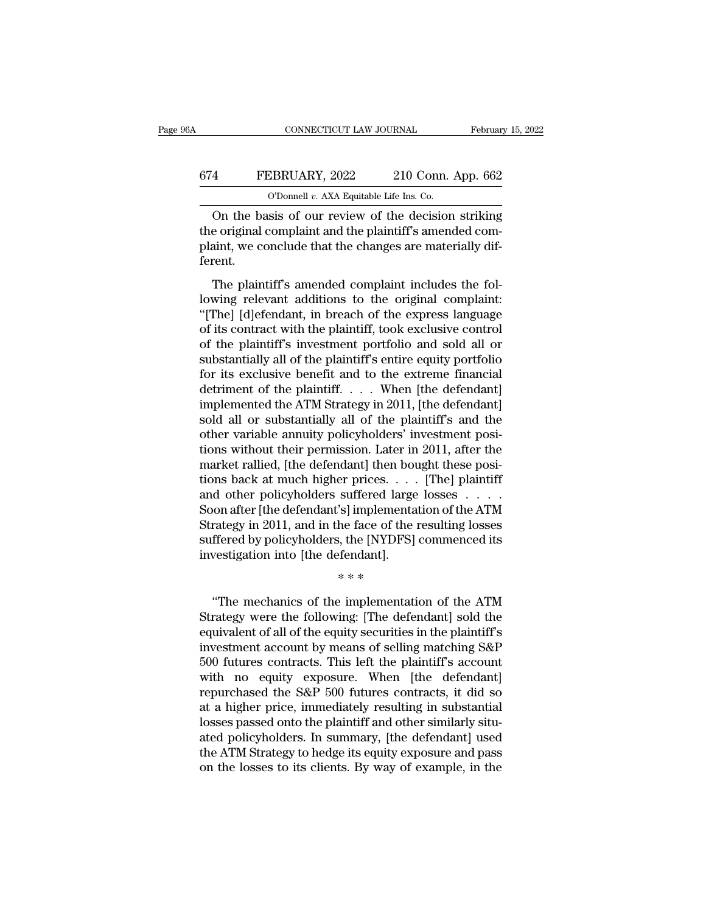## CONNECTICUT LAW JOURNAL February 15, 2022<br>674 FEBRUARY, 2022 210 Conn. App. 662<br>0'Donnell v. AXA Equitable Life Ins. Co. CONNECTICUT LAW JOURNAL Februar<br>
4 FEBRUARY, 2022 210 Conn. App. 662<br>
O'Donnell *v.* AXA Equitable Life Ins. Co.<br>
On the basis of our review of the decision striking

CONNECTICUT LAW JOURNAL February 15, 2022<br>
FEBRUARY, 2022 210 Conn. App. 662<br>
O'Donnell v. AXA Equitable Life Ins. Co.<br>
On the basis of our review of the decision striking<br>
e original complaint and the plaintiff's amended 674 FEBRUARY, 2022 210 Conn. App. 662<br>
0'Donnell v. AXA Equitable Life Ins. Co.<br>
On the basis of our review of the decision striking<br>
the original complaint and the plaintiff's amended com-<br>
plaint, we conclude that the ch FEBRUARY, 2022 210 Conn. App. 662<br>
O'Donnell v. AXA Equitable Life Ins. Co.<br>
On the basis of our review of the decision striking<br>
the original complaint and the plaintiff's amended com-<br>
plaint, we conclude that the chang ferent. O'Donnell  $v$ . AXA Equitable Life Ins. Co.<br>
On the basis of our review of the decision striking<br>
e original complaint and the plaintiff's amended com-<br>
aint, we conclude that the changes are materially dif-<br>
rent.<br>
The pl On the basis of our review of the decision striking<br>the original complaint and the plaintiff's amended com-<br>plaint, we conclude that the changes are materially dif-<br>ferent.<br>The plaintiff's amended complaint includes the fo

On the basis of our fevrew of the thesison striking<br>the original complaint and the plaintiff's amended com-<br>plaint, we conclude that the changes are materially dif-<br>ferent.<br>The plaintiff's amended complaint includes the fo of the original complaint and are plaintiff is antended complaint, we conclude that the changes are materially different.<br>The plaintiff's amended complaint includes the following relevant additions to the original complain plaint, we conclude that the enanges are matching different.<br>
The plaintiff's amended complaint includes the fol-<br>
lowing relevant additions to the original complaint:<br>
"[The] [d]efendant, in breach of the express language The plaintiff's amended complaint includes the fol-<br>lowing relevant additions to the original complaint:<br>"[The] [d]efendant, in breach of the express language<br>of its contract with the plaintiff, took exclusive control<br>of t The plaintiff's amended complaint includes the following relevant additions to the original complaint:<br>"[The] [d]efendant, in breach of the express language<br>of its contract with the plaintiff, took exclusive control<br>of th lowing relevant additions to the original complaint:<br>"[The] [d]efendant, in breach of the express language<br>of its contract with the plaintiff, took exclusive control<br>of the plaintiff's investment portfolio and sold all or<br> "[The] [d]efendant, in breach of the express language<br>of its contract with the plaintiff, took exclusive control<br>of the plaintiff's investment portfolio and sold all or<br>substantially all of the plaintiff's entire equity p of its contract with the plaintiff, took exclusive control<br>of the plaintiff's investment portfolio and sold all or<br>substantially all of the plaintiff's entire equity portfolio<br>for its exclusive benefit and to the extreme f of the plaintiff's investment portfolio and sold all or<br>substantially all of the plaintiff's entire equity portfolio<br>for its exclusive benefit and to the extreme financial<br>detriment of the plaintiff. . . . When [the defend substantially all of the plaintiff's entire equity portfolio<br>for its exclusive benefit and to the extreme financial<br>detriment of the plaintiff. . . . When [the defendant]<br>implemented the ATM Strategy in 2011, [the defendan for its exclusive benefit and to the extreme financial<br>detriment of the plaintiff. . . . When [the defendant]<br>implemented the ATM Strategy in 2011, [the defendant]<br>sold all or substantially all of the plaintiff's and the<br> detriment of the plaintiff. . . . When [the defendant]<br>implemented the ATM Strategy in 2011, [the defendant]<br>sold all or substantially all of the plaintiff's and the<br>other variable annuity policyholders' investment posi-<br>t implemented the ATM Strategy in 2011, [the defendant]<br>sold all or substantially all of the plaintiff's and the<br>other variable annuity policyholders' investment posi-<br>tions without their permission. Later in 2011, after the sold all or substantially all of the plaintiff's and the<br>other variable annuity policyholders' investment posi-<br>tions without their permission. Later in 2011, after the<br>market rallied, [the defendant] then bought these pos other variable annuity policyholders' investment posi-<br>tions without their permission. Later in 2011, after the<br>market rallied, [the defendant] then bought these posi-<br>tions back at much higher prices. . . . . [The] plaint tions without their permission. Later in 2011, after the market rallied, [the defendant] then bought these positions back at much higher prices. . . . . [The] plaintiff and other policyholders suffered large losses . . . market rallied, [the defendant] then bot<br>tions back at much higher prices. . . .<br>and other policyholders suffered large<br>Soon after [the defendant's] implementa<br>Strategy in 2011, and in the face of the<br>suffered by policyho of prees.<br>suffered large<br>'s] implementa<br>he face of the<br>i, the [NYDFS]<br>fendant].<br>\* \* \* on after [the defendant's] implementation of the ATM<br>
rategy in 2011, and in the face of the resulting losses<br>
ffered by policyholders, the [NYDFS] commenced its<br>
vestigation into [the defendant].<br>
\*\*\*<br>
"The mechanics of t

Strategy in 2011, and in the face of the resulting losses<br>suffered by policyholders, the [NYDFS] commenced its<br>investigation into [the defendant].<br> $**$ <br> $**$ <br>"The mechanics of the implementation of the ATM<br>Strategy were the suffered by policyholders, the [NYDFS] commenced its<br>investigation into [the defendant].<br>\*\*\*<br>"The mechanics of the implementation of the ATM<br>Strategy were the following: [The defendant] sold the<br>equivalent of all of the eq investigation into [the defendant].<br>
\*\*\*<br>
"The mechanics of the implementation of the ATM<br>
Strategy were the following: [The defendant] sold the<br>
equivalent of all of the equity securities in the plaintiff's<br>
investment ac <sup>\*</sup>\*\*<br>
"The mechanics of the implementation of the ATM<br>
Strategy were the following: [The defendant] sold the<br>
equivalent of all of the equity securities in the plaintiff's<br>
investment account by means of selling matching "The mechanics of the implementation of the ATM<br>Strategy were the following: [The defendant] sold the<br>equivalent of all of the equity securities in the plaintiff's<br>investment account by means of selling matching S&P<br>500 fu "The mechanics of the implementation of the ATM<br>Strategy were the following: [The defendant] sold the<br>equivalent of all of the equity securities in the plaintiff's<br>investment account by means of selling matching S&P<br>500 fu Strategy were the following: [The defendant] sold the<br>equivalent of all of the equity securities in the plaintiff's<br>investment account by means of selling matching S&P<br>500 futures contracts. This left the plaintiff's accou equivalent of all of the equity securities in the plaintiff's<br>investment account by means of selling matching S&P<br>500 futures contracts. This left the plaintiff's account<br>with no equity exposure. When [the defendant]<br>repur investment account by means of selling matching S&P<br>500 futures contracts. This left the plaintiff's account<br>with no equity exposure. When [the defendant]<br>repurchased the S&P 500 futures contracts, it did so<br>at a higher pr 500 futures contracts. This left the plaintiff's account<br>with no equity exposure. When [the defendant]<br>repurchased the S&P 500 futures contracts, it did so<br>at a higher price, immediately resulting in substantial<br>losses pas with no equity exposure. When [the defendant]<br>repurchased the S&P 500 futures contracts, it did so<br>at a higher price, immediately resulting in substantial<br>losses passed onto the plaintiff and other similarly situ-<br>ated pol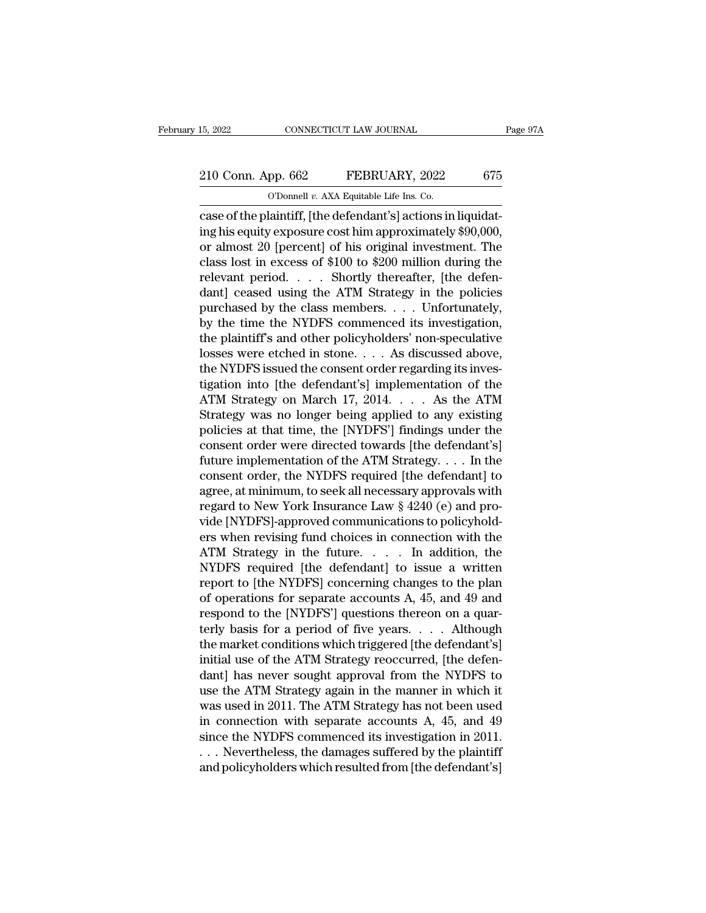# 15, 2022 CONNECTICUT LAW JOURNAL Page 97A<br>
210 Conn. App. 662 FEBRUARY, 2022 675<br>
210 Conn. App. 662 FEBRUARY, 2022 675

15, 2022 CONNECTICUT LAW JOURNAL<br>
210 Conn. App. 662 FEBRUARY, 2022 675<br>
O'Donnell *v.* AXA Equitable Life Ins. Co.<br>
case of the plaintiff, [the defendant's] actions in liquidatconnectricut LAW JOURNAL<br>
210 Conn. App. 662 FEBRUARY, 2022 675<br>
0 Donnell v. AXA Equitable Life Ins. Co.<br>
case of the plaintiff, [the defendant's] actions in liquidat-<br>
ing his equity exposure cost him approximately \$90,0 210 Conn. App. 662 FEBRUARY, 2022 675<br>
CDonnell v. AXA Equitable Life Ins. Co.<br>
case of the plaintiff, [the defendant's] actions in liquidating his equity exposure cost him approximately \$90,000,<br>
or almost 20 [percent] o 210 Conn. App. 662 FEBRUARY, 2022 675<br>
O'Donnell v. AXA Equitable Life Ins. Co.<br>
case of the plaintiff, [the defendant's] actions in liquidat-<br>
ing his equity exposure cost him approximately \$90,000,<br>
or almost 20 [percen 210 Conn. App. 662 FEBRUARY, 2022 675<br>
CDOMELL v. AXA Equitable Life Ins. Co.<br>
Case of the plaintiff, [the defendant's] actions in liquidating his equity exposure cost him approximately \$90,000,<br>
or almost 20 [percent] of C COD TO THE VALUATE CONSIDENT CONSIDENT CONSIDENT CONSIDENT CASE of the plaintiff, [the defendant's] actions in liquidating his equity exposure cost him approximately \$90,000, or almost 20 [percent] of his original inves d bolomen v. AxA Equitable Life ins. Co.<br>
case of the plaintiff, [the defendant's] actions in liquidat-<br>
ing his equity exposure cost him approximately \$90,000,<br>
or almost 20 [percent] of his original investment. The<br>
cla case of the plaintiff, [the defendant's] actions in liquidating his equity exposure cost him approximately \$90,000, or almost 20 [percent] of his original investment. The class lost in excess of \$100 to \$200 million durin ing his equity exposure cost him approximately \$90,000,<br>or almost 20 [percent] of his original investment. The<br>class lost in excess of \$100 to \$200 million during the<br>relevant period. . . . . Shortly thereafter, [the defe or almost 20 [percent] of his original investment. The<br>class lost in excess of \$100 to \$200 million during the<br>relevant period. . . . Shortly thereafter, [the defen-<br>dant] ceased using the ATM Strategy in the policies<br>purc class lost in excess of \$100 to \$200 million during the<br>relevant period. . . . . Shortly thereafter, [the defen-<br>dant] ceased using the ATM Strategy in the policies<br>purchased by the class members. . . . Unfortunately,<br>by relevant period. . . . Shortly thereafter, [the defendant] ceased using the ATM Strategy in the policies<br>purchased by the class members. . . . Unfortunately,<br>by the time the NYDFS commenced its investigation,<br>the plaintif dant] ceased using the ATM Strategy in the policies<br>purchased by the class members. . . . Unfortunately,<br>by the time the NYDFS commenced its investigation,<br>the plaintiff's and other policyholders' non-speculative<br>losses we purchased by the class members. . . . Unfortunately,<br>by the time the NYDFS commenced its investigation,<br>the plaintiff's and other policyholders' non-speculative<br>losses were etched in stone. . . . As discussed above,<br>the NY by the time the NYDFS commenced its investigation,<br>the plaintiff's and other policyholders' non-speculative<br>losses were etched in stone.... As discussed above,<br>the NYDFS issued the consent order regarding its inves-<br>tigati the plaintiff's and other policyholders' non-speculative<br>losses were etched in stone. . . . As discussed above,<br>the NYDFS issued the consent order regarding its inves-<br>tigation into [the defendant's] implementation of the losses were etched in stone. . . . As discussed above,<br>the NYDFS issued the consent order regarding its inves-<br>tigation into [the defendant's] implementation of the<br>ATM Strategy on March 17, 2014. . . . . As the ATM<br>Strat the NYDFS issued the consent order regarding its inves-<br>tigation into [the defendant's] implementation of the<br>ATM Strategy on March 17, 2014. . . . As the ATM<br>Strategy was no longer being applied to any existing<br>policies tigation into [the defendant's] implementation of the<br>ATM Strategy on March 17, 2014. . . . . As the ATM<br>Strategy was no longer being applied to any existing<br>policies at that time, the [NYDFS'] findings under the<br>consent ATM Strategy on March 17, 2014. . . . . As the ATM<br>Strategy was no longer being applied to any existing<br>policies at that time, the [NYDFS'] findings under the<br>consent order were directed towards [the defendant's]<br>future i Strategy was no longer being applied to any existing<br>policies at that time, the [NYDFS'] findings under the<br>consent order were directed towards [the defendant's]<br>future implementation of the ATM Strategy. . . . . In the<br>c policies at that time, the [NYDFS'] findings under the<br>consent order were directed towards [the defendant's]<br>future implementation of the ATM Strategy. . . . In the<br>consent order, the NYDFS required [the defendant] to<br>agre consent order were directed towards [the defendant's]<br>future implementation of the ATM Strategy. . . . In the<br>consent order, the NYDFS required [the defendant] to<br>agree, at minimum, to seek all necessary approvals with<br>reg future implementation of the ATM Strategy. . . . . In the<br>consent order, the NYDFS required [the defendant] to<br>agree, at minimum, to seek all necessary approvals with<br>regard to New York Insurance Law § 4240 (e) and pro-<br>v consent order, the NYDFS required [the defendant] to<br>agree, at minimum, to seek all necessary approvals with<br>regard to New York Insurance Law § 4240 (e) and pro-<br>vide [NYDFS]-approved communications to policyhold-<br>ers whe agree, at minimum, to seek all necessary approvals with<br>regard to New York Insurance Law § 4240 (e) and pro-<br>vide [NYDFS]-approved communications to policyhold-<br>ers when revising fund choices in connection with the<br>ATM Str regard to New York Insurance Law § 4240 (e) and pro-<br>vide [NYDFS]-approved communications to policyhold-<br>ers when revising fund choices in connection with the<br>ATM Strategy in the future..... In addition, the<br>NYDFS required vide [NYDFS]-approved communications to policyhold-<br>ers when revising fund choices in connection with the<br>ATM Strategy in the future. . . . . In addition, the<br>NYDFS required [the defendant] to issue a written<br>report to [th ers when revising fund choices in connection with the<br>ATM Strategy in the future. . . . . In addition, the<br>NYDFS required [the defendant] to issue a written<br>report to [the NYDFS] concerning changes to the plan<br>of operatio ATM Strategy in the future. . . . . In addition, the<br>NYDFS required [the defendant] to issue a written<br>report to [the NYDFS] concerning changes to the plan<br>of operations for separate accounts A, 45, and 49 and<br>respond to NYDFS required [the defendant] to issue a written<br>report to [the NYDFS] concerning changes to the plan<br>of operations for separate accounts A, 45, and 49 and<br>respond to the [NYDFS'] questions thereon on a quar-<br>terly basis report to [the NYDFS] concerning changes to the plan<br>of operations for separate accounts A, 45, and 49 and<br>respond to the [NYDFS'] questions thereon on a quar-<br>terly basis for a period of five years.... Although<br>the market of operations for separate accounts A, 45, and 49 and<br>respond to the [NYDFS'] questions thereon on a quar-<br>terly basis for a period of five years. . . . Although<br>the market conditions which triggered [the defendant's]<br>ini respond to the [NYDFS'] questions thereon on a quar-<br>terly basis for a period of five years. . . . Although<br>the market conditions which triggered [the defendant's]<br>initial use of the ATM Strategy reoccurred, [the defen-<br>da terly basis for a period of five years. . . . . Although<br>the market conditions which triggered [the defendant's]<br>initial use of the ATM Strategy reoccurred, [the defen-<br>dant] has never sought approval from the NYDFS to<br>us the market conditions which triggered [the defendant's]<br>initial use of the ATM Strategy reoccurred, [the defen-<br>dant] has never sought approval from the NYDFS to<br>use the ATM Strategy again in the manner in which it<br>was use initial use of the ATM Strategy reoccurred, [the defendant] has never sought approval from the NYDFS to use the ATM Strategy again in the manner in which it was used in 2011. The ATM Strategy has not been used in connectio dant] has never sought approval from the NYDFS to<br>use the ATM Strategy again in the manner in which it<br>was used in 2011. The ATM Strategy has not been used<br>in connection with separate accounts A, 45, and 49<br>since the NYDFS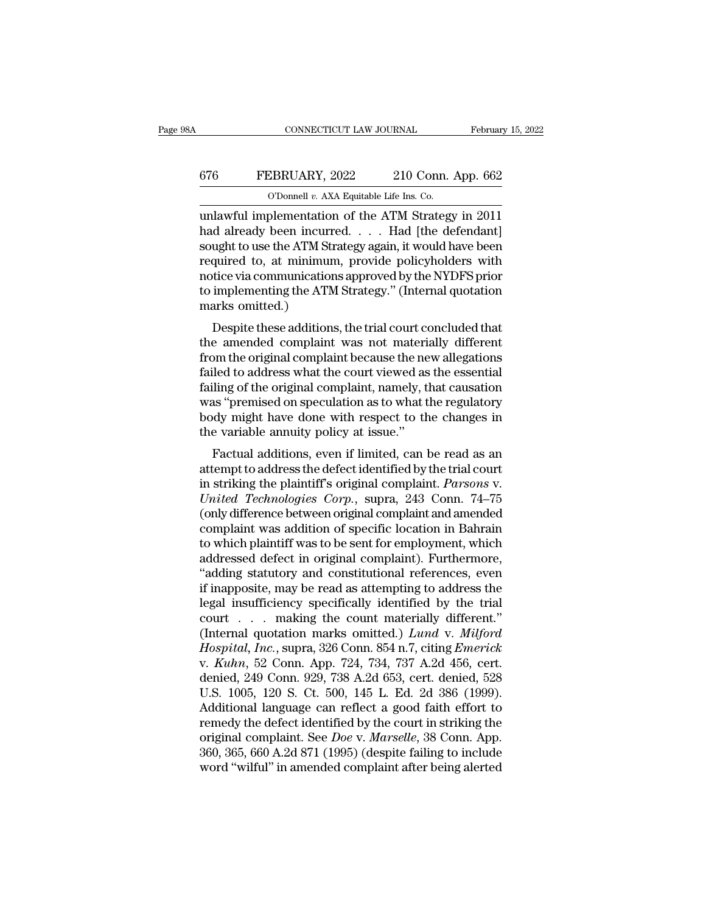## CONNECTICUT LAW JOURNAL February 15, 2022<br>676 FEBRUARY, 2022 210 Conn. App. 662<br>0'Donnell v. AXA Equitable Life Ins. Co. CONNECTICUT LAW JOURNAL Februar<br>
676 FEBRUARY, 2022 210 Conn. App. 662<br>
<sup>O'Donnell *v.* AXA Equitable Life Ins. Co.<br>
unlawful implementation of the ATM Strategy in 2011</sup>

CONNECTICUT LAW JOURNAL February 15, 2022<br>
FEBRUARY, 2022 210 Conn. App. 662<br>
O'Donnell v. AXA Equitable Life Ins. Co.<br>
unlawful implementation of the ATM Strategy in 2011<br>
had already been incurred. . . . . Had [the defen 676 FEBRUARY, 2022 210 Conn. App. 662<br>
0'Donnell v. AXA Equitable Life Ins. Co.<br>
unlawful implementation of the ATM Strategy in 2011<br>
had already been incurred. . . . . Had [the defendant]<br>
sought to use the ATM Strategy a sought to use the ATM Strategy again, it would have been FEBRUARY, 2022 210 Conn. App. 662<br>
O'Donnell v. AXA Equitable Life Ins. Co.<br>
unlawful implementation of the ATM Strategy in 2011<br>
had already been incurred. . . . Had [the defendant]<br>
sought to use the ATM Strategy again, THENCERT, 1991–1992 CORET FIFT OF CORRECT TO THE CONDUCT OF A THE CONDUCTED AND MODEL IN A SURVEY IN 2011 and already been incurred. . . . . Had [the defendant] sought to use the ATM Strategy again, it would have been req The UPD of the ATM Strategy in 2011<br>
unlawful implementation of the ATM Strategy in 2011<br>
had already been incurred. . . . . Had [the defendant]<br>
sought to use the ATM Strategy again, it would have been<br>
required to, at m unlawful implementation<br>had already been incurr<br>sought to use the ATM St.<br>required to, at minimur<br>notice via communication<br>to implementing the ATM<br>marks omitted.)<br>Despite these addition  $\alpha$  aneady been incurred.  $\ldots$  . That [the defendant]<br>ught to use the ATM Strategy again, it would have been<br>quired to, at minimum, provide policyholders with<br>tice via communications approved by the NYDFS prior<br>implemen sought to use the ATM strategy again, it would have been<br>required to, at minimum, provide policyholders with<br>notice via communications approved by the NYDFS prior<br>to implementing the ATM Strategy." (Internal quotation<br>mark

from the original complementing the NYDFS prior<br>to implementing the ATM Strategy." (Internal quotation<br>marks omitted.)<br>Despite these additions, the trial court concluded that<br>the amended complaint was not materially differ factor and communications approved by the NTDF5 prior<br>to implementing the ATM Strategy." (Internal quotation<br>marks omitted.)<br>Despite these additions, the trial court concluded that<br>the amended complaint was not materially for inplementing the ATM strategy. (Internal quotation<br>marks omitted.)<br>Despite these additions, the trial court concluded that<br>the amended complaint was not materially different<br>from the original complaint because the new Despite these additions, the trial court concluded that<br>the amended complaint was not materially different<br>from the original complaint because the new allegations<br>failed to address what the court viewed as the essential<br>fa Despite these additions, the trial court concluded that<br>the amended complaint was not materially different<br>from the original complaint because the new allegations<br>failed to address what the court viewed as the essential<br>fa the amended complaint was not materifrom the original complaint because the ne failed to address what the court viewed as failing of the original complaint, namely, the was "premised on speculation as to what the body migh Factual additions, even if limited, can be read as an<br>term is a straight and the court viewed as the essential<br>ling of the original complaint, namely, that causation<br>as "premised on speculation as to what the regulatory<br>dy failing of the original complaint, namely, that causation<br>was "premised on speculation as to what the regulatory<br>body might have done with respect to the changes in<br>the variable annuity policy at issue."<br>Factual additions

raining of the original complaint, hamely, that causation<br>was "premised on speculation as to what the regulatory<br>body might have done with respect to the changes in<br>the variable annuity policy at issue."<br>Factual additions, *Was* premised on speculation as to what the regulatory<br>body might have done with respect to the changes in<br>the variable annuity policy at issue."<br>Factual additions, even if limited, can be read as an<br>attempt to address th body filght have dole with respect to the changes in<br>the variable annuity policy at issue."<br>Factual additions, even if limited, can be read as an<br>attempt to address the defect identified by the trial court<br>in striking the the variable annuity policy at issue.<br>
Factual additions, even if limited, can be read as an<br>
attempt to address the defect identified by the trial court<br>
in striking the plaintiff's original complaint. Parsons v.<br>
United Factual additions, even if limited, can be read as an<br>attempt to address the defect identified by the trial court<br>in striking the plaintiff's original complaint. Parsons v.<br>United Technologies Corp., supra, 243 Conn. 74–75 attempt to address the defect identified by the trial court<br>in striking the plaintiff's original complaint. Parsons v.<br>United Technologies Corp., supra, 243 Conn. 74–75<br>(only difference between original complaint and amend in striking the plaintiff's original complaint. *Parsons* v.<br>
United Technologies Corp., supra, 243 Conn. 74–75<br>
(only difference between original complaint and amended<br>
complaint was addition of specific location in Bahra United Technologies Corp., supra, 243 Conn. 74–75<br>
(only difference between original complaint and amended<br>
complaint was addition of specific location in Bahrain<br>
to which plaintiff was to be sent for employment, which<br>
a (only difference between original complaint and amended<br>complaint was addition of specific location in Bahrain<br>to which plaintiff was to be sent for employment, which<br>addressed defect in original complaint). Furthermore,<br> complaint was addition of specific location in Bahrain<br>to which plaintiff was to be sent for employment, which<br>addressed defect in original complaint). Furthermore,<br>"adding statutory and constitutional references, even<br>if to which plaintiff was to be sent for employment, which<br>addressed defect in original complaint). Furthermore,<br>"adding statutory and constitutional references, even<br>if inapposite, may be read as attempting to address the<br>le addressed defect in original complaint). Furthermore,<br>
"adding statutory and constitutional references, even<br>
if inapposite, may be read as attempting to address the<br>
legal insufficiency specifically identified by the tria "adding statutory and constitutional references, even<br>if inapposite, may be read as attempting to address the<br>legal insufficiency specifically identified by the trial<br>court . . . making the count materially different."<br>(In if inapposite, may be read as attempting to address the<br>legal insufficiency specifically identified by the trial<br>court . . . . making the count materially different."<br>(Internal quotation marks omitted.) *Lund v. Milford*<br> legal insufficiency specifically identified by the trial<br>court . . . making the count materially different."<br>(Internal quotation marks omitted.) *Lund v. Milford*<br>*Hospital, Inc.*, supra, 326 Conn. 854 n.7, citing *Emerick* court . . . . making the count materially different."<br>(Internal quotation marks omitted.)  $Lund$  v. Milford<br>Hospital, Inc., supra, 326 Conn. 854 n.7, citing Emerick<br>v. Kuhn, 52 Conn. App. 724, 734, 737 A.2d 456, cert.<br>denie (Internal quotation marks omitted.) Lund v. Milford<br>Hospital, Inc., supra, 326 Conn. 854 n.7, citing Emerick<br>v. Kuhn, 52 Conn. App. 724, 734, 737 A.2d 456, cert.<br>denied, 249 Conn. 929, 738 A.2d 653, cert. denied, 528<br>U.S. Hospital, Inc., supra, 326 Conn. 854 n.7, citing *Emerick* v. *Kuhn*, 52 Conn. App. 724, 734, 737 A.2d 456, cert. denied, 249 Conn. 929, 738 A.2d 653, cert. denied, 528 U.S. 1005, 120 S. Ct. 500, 145 L. Ed. 2d 386 (1999). v. *Kuhn*, 52 Conn. App. 724, 734, 737 A.2d 456, cert.<br>denied, 249 Conn. 929, 738 A.2d 653, cert. denied, 528<br>U.S. 1005, 120 S. Ct. 500, 145 L. Ed. 2d 386 (1999).<br>Additional language can reflect a good faith effort to<br>reme denied, 249 Conn. 929, 738 A.2d 653, cert. denied, 528<br>U.S. 1005, 120 S. Ct. 500, 145 L. Ed. 2d 386 (1999).<br>Additional language can reflect a good faith effort to<br>remedy the defect identified by the court in striking the<br>o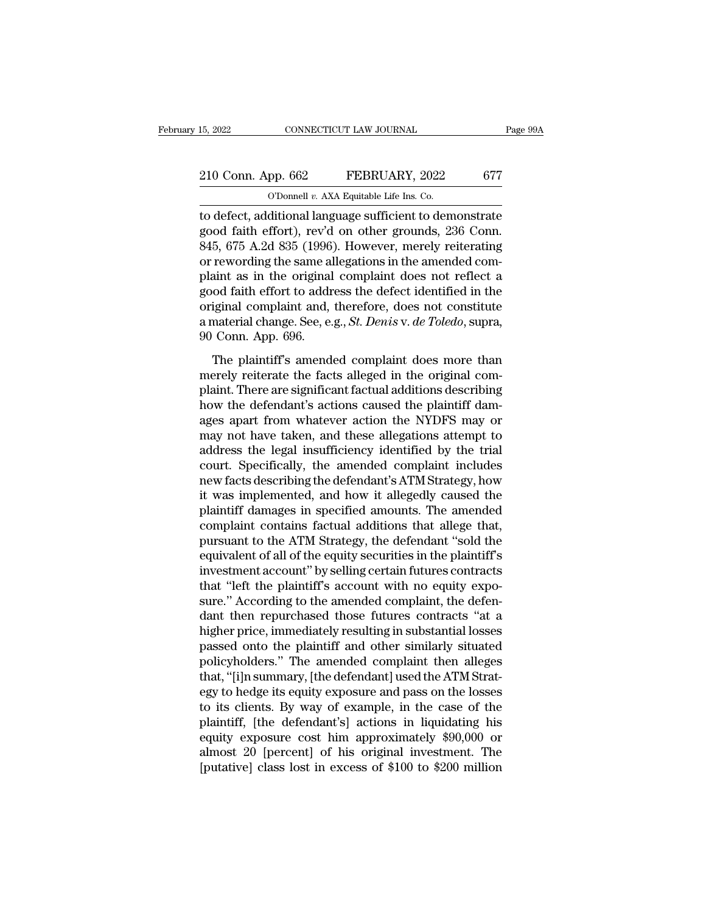# 15, 2022 CONNECTICUT LAW JOURNAL Page 99A<br>
210 Conn. App. 662 FEBRUARY, 2022 677<br>
O'Donnell v. AXA Equitable Life Ins. Co.

15, 2022 CONNECTICUT LAW JOURNAL<br>
210 Conn. App. 662 FEBRUARY, 2022 677<br>
O'Donnell *v.* AXA Equitable Life Ins. Co.<br>
to defect, additional language sufficient to demonstrate 15, 2022 CONNECTICUT LAW JOURNAL Page 99A<br>
210 Conn. App. 662 FEBRUARY, 2022 677<br>
0'Donnell v. AXA Equitable Life Ins. Co.<br>
to defect, additional language sufficient to demonstrate<br>
good faith effort), rev'd on other groun 210 Conn. App. 662 FEBRUARY, 2022 677<br>
C'Donnell v. AXA Equitable Life Ins. Co.<br>
to defect, additional language sufficient to demonstrate<br>
good faith effort), rev'd on other grounds, 236 Conn.<br>
845, 675 A.2d 835 (1996). Ho 210 Conn. App. 662 FEBRUARY, 2022 677<br>
O'Donnell v. AXA Equitable Life Ins. Co.<br>
to defect, additional language sufficient to demonstrate<br>
good faith effort), rev'd on other grounds, 236 Conn.<br>
845, 675 A.2d 835 (1996). H 210 Conn. App. 662 FEBRUARY, 2022 677<br>
O'Donnell v. AXA Equitable Life Ins. Co.<br>
to defect, additional language sufficient to demonstrate<br>
good faith effort), rev'd on other grounds, 236 Conn.<br>
845, 675 A.2d 835 (1996). H plant as in the original complaint and therefore does not constitute original complaint and therefore, does not constrate and find complaint does not reflect a good faith effort to address the defect identified in the ori Thomas v. AxA Equitable Life ins. Co.<br>
to defect, additional language sufficient to demonstrate<br>
good faith effort), rev'd on other grounds, 236 Conn.<br>
845, 675 A.2d 835 (1996). However, merely reiterating<br>
or rewording t to defect, additional language sufficient to demonstrate<br>good faith effort), rev'd on other grounds, 236 Conn.<br>845, 675 A.2d 835 (1996). However, merely reiterating<br>or rewording the same allegations in the amended com-<br>pla good faith effort), rev'd on other grounds, 236 Conn.<br>845, 675 A.2d 835 (1996). However, merely reiterating<br>or rewording the same allegations in the amended com-<br>plaint as in the original complaint does not reflect a<br>good 845, 675 A.2d 835 (1996)<br>or rewording the same al<br>plaint as in the original<br>good faith effort to addr<br>original complaint and,<br>a material change. See, e.<br>90 Conn. App. 696.<br>The plaintiff's amend The plaintiff's amended complaint does not reflect a<br>The plannic and faith effort to address the defect identified in the<br>iginal complaint and, therefore, does not constitute<br>material change. See, e.g., *St. Denis* v. *de* plant as in the original complaint does not fenced a<br>good faith effort to address the defect identified in the<br>original complaint and, therefore, does not constitute<br>a material change. See, e.g., *St. Denis v. de Toledo*,

plant and the states are detect definited in the original complaint and, therefore, does not constitute a material change. See, e.g., *St. Denis v. de Toledo*, supra, 90 Conn. App. 696.<br>The plaintiff's amended complaint do a material change. See, e.g., *St. Denis v. de Toledo*, supra, 90 Conn. App. 696.<br>The plaintiff's amended complaint does more than merely reiterate the facts alleged in the original complaint. There are significant factual a matched change: see, e.g., *st. Londo i. ac* Totato, sapid,<br>90 Conn. App. 696.<br>The plaintiff's amended complaint does more than<br>merely reiterate the facts alleged in the original com-<br>plaint. There are significant fact The plaintiff's amended complaint does more than<br>merely reiterate the facts alleged in the original com-<br>plaint. There are significant factual additions describing<br>how the defendant's actions caused the plaintiff dam-<br>ages The plaintiff's amended complaint does more than<br>merely reiterate the facts alleged in the original com-<br>plaint. There are significant factual additions describing<br>how the defendant's actions caused the plaintiff dam-<br>ages merely reiterate the facts alleged in the original complaint. There are significant factual additions describing<br>how the defendant's actions caused the plaintiff dam-<br>ages apart from whatever action the NYDFS may or<br>may no plaint. There are significant factual additions describing<br>how the defendant's actions caused the plaintiff dam-<br>ages apart from whatever action the NYDFS may or<br>may not have taken, and these allegations attempt to<br>address how the defendant's actions caused the plaintiff dam-<br>ages apart from whatever action the NYDFS may or<br>may not have taken, and these allegations attempt to<br>address the legal insufficiency identified by the trial<br>court. Spe ages apart from whatever action the NYDFS may or<br>may not have taken, and these allegations attempt to<br>address the legal insufficiency identified by the trial<br>court. Specifically, the amended complaint includes<br>new facts de may not have taken, and these allegations attempt to<br>address the legal insufficiency identified by the trial<br>court. Specifically, the amended complaint includes<br>new facts describing the defendant's ATM Strategy, how<br>it was address the legal insufficiency identified by the trial<br>court. Specifically, the amended complaint includes<br>new facts describing the defendant's ATM Strategy, how<br>it was implemented, and how it allegedly caused the<br>plainti court. Specifically, the amended complaint includes<br>new facts describing the defendant's ATM Strategy, how<br>it was implemented, and how it allegedly caused the<br>plaintiff damages in specified amounts. The amended<br>complaint c new facts describing the defendant's ATM Strategy, how<br>it was implemented, and how it allegedly caused the<br>plaintiff damages in specified amounts. The amended<br>complaint contains factual additions that allege that,<br>pursuant it was implemented, and how it allegedly caused the plaintiff damages in specified amounts. The amended complaint contains factual additions that allege that, pursuant to the ATM Strategy, the defendant "sold the equivalen plaintiff damages in specified amounts. The amended<br>complaint contains factual additions that allege that,<br>pursuant to the ATM Strategy, the defendant "sold the<br>equivalent of all of the equity securities in the plaintiff's complaint contains factual additions that allege that,<br>pursuant to the ATM Strategy, the defendant "sold the<br>equivalent of all of the equity securities in the plaintiff's<br>investment account" by selling certain futures cont pursuant to the ATM Strategy, the defendant "sold the equivalent of all of the equity securities in the plaintiff's investment account" by selling certain futures contracts that "left the plaintiff's account with no equity equivalent of all of the equity securities in the plaintiff's<br>investment account" by selling certain futures contracts<br>that "left the plaintiff's account with no equity expo-<br>sure." According to the amended complaint, the investment account" by selling certain futures contracts<br>that "left the plaintiff's account with no equity expo-<br>sure." According to the amended complaint, the defen-<br>dant then repurchased those futures contracts "at a<br>hig that "left the plaintiff's account with no equity exposure." According to the amended complaint, the defendant then repurchased those futures contracts "at a higher price, immediately resulting in substantial losses passed sure." According to the amended complaint, the defen-<br>dant then repurchased those futures contracts "at a<br>higher price, immediately resulting in substantial losses<br>passed onto the plaintiff and other similarly situated<br>pol dant then repurchased those futures contracts "at a<br>higher price, immediately resulting in substantial losses<br>passed onto the plaintiff and other similarly situated<br>policyholders." The amended complaint then alleges<br>that, higher price, immediately resulting in substantial losses<br>passed onto the plaintiff and other similarly situated<br>policyholders." The amended complaint then alleges<br>that, "[i]n summary, [the defendant] used the ATM Strat-<br>e passed onto the plaintiff and other similarly situated<br>policyholders." The amended complaint then alleges<br>that, "[i]n summary, [the defendant] used the ATM Strat-<br>egy to hedge its equity exposure and pass on the losses<br>to policyholders." The amended complaint then alleges<br>that, "[i]n summary, [the defendant] used the ATM Strat-<br>egy to hedge its equity exposure and pass on the losses<br>to its clients. By way of example, in the case of the<br>plai that, "[i]n summary, [the defendant] used the ATM Strategy to hedge its equity exposure and pass on the losses<br>to its clients. By way of example, in the case of the<br>plaintiff, [the defendant's] actions in liquidating his<br>e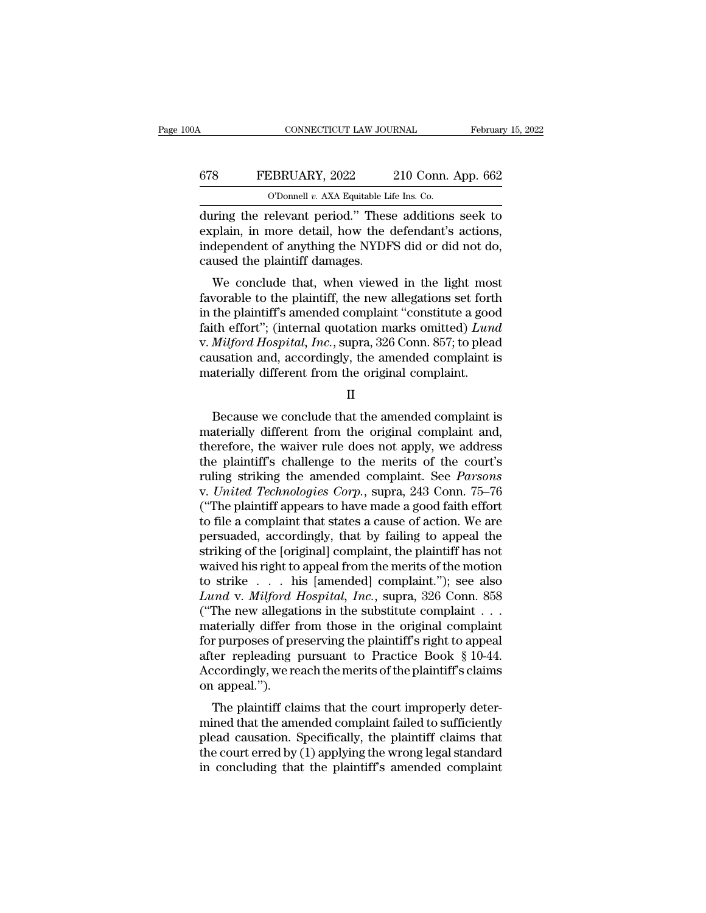## CONNECTICUT LAW JOURNAL February 15, 2022<br>678 FEBRUARY, 2022 210 Conn. App. 662<br>0'Donnell v. AXA Equitable Life Ins. Co. CONNECTICUT LAW JOURNAL Februar<br>
678 FEBRUARY, 2022 210 Conn. App. 662<br>
O'Donnell *v.* AXA Equitable Life Ins. Co.<br>
during the relevant period." These additions seek to

CONNECTICUT LAW JOURNAL February 15, 2022<br>
FEBRUARY, 2022 210 Conn. App. 662<br>
O'Donnell v. AXA Equitable Life Ins. Co.<br>
during the relevant period.'' These additions seek to<br>
explain, in more detail, how the defendant's ac EXPRUARY, 2022 210 Conn. App. 662<br>
C'Donnell v. AXA Equitable Life Ins. Co.<br>
during the relevant period." These additions seek to<br>
explain, in more detail, how the defendant's actions,<br>
independent of anything the NYDFS di FEBRUARY, 2022 210 Conn. App. 662<br>
O'Donnell v. AXA Equitable Life Ins. Co.<br>
during the relevant period." These additions seek to<br>
explain, in more detail, how the defendant's actions,<br>
independent of anything the NYDFS d 678 FEBRUARY, 2022 210 Conn. App. 662<br>  $\overline{O}$  Connell v. AXA Equitable Life Ins. Co.<br>
during the relevant period." These additions seek to<br>
explain, in more detail, how the defendant's actions,<br>
independent of anything O'Donnell v. AXA Equitable Life Ins. Co.<br>
uring the relevant period." These additions seek to<br>
plain, in more detail, how the defendant's actions,<br>
dependent of anything the NYDFS did or did not do,<br>
used the plaintiff da during the relevant period." These additions seek to<br>explain, in more detail, how the defendant's actions,<br>independent of anything the NYDFS did or did not do,<br>caused the plaintiff damages.<br>We conclude that, when viewed in

during the relevant period. These additions seek to<br>explain, in more detail, how the defendant's actions,<br>independent of anything the NYDFS did or did not do,<br>caused the plaintiff damages.<br>We conclude that, when viewed in Explain, in note detail, now the detendant's actions,<br>independent of anything the NYDFS did or did not do,<br>caused the plaintiff damages.<br>We conclude that, when viewed in the light most<br>favorable to the plaintiff, the new a malaylend Hospital, When viewed in the light most<br>caused the plaintiff damages.<br>We conclude that, when viewed in the light most<br>favorable to the plaintiff, the new allegations set forth<br>in the plaintiff's amended complaint We conclude that, when viewed in the light most favorable to the plaintiff, the new allegations set forth in the plaintiff's amended complaint "constitute a good faith effort"; (internal quotation marks omitted)  $Lund$  v. We conclude that, when viewed in the light most<br>favorable to the plaintiff, the new allegations set fortl<br>in the plaintiff's amended complaint "constitute a good<br>faith effort"; (internal quotation marks omitted)  $Lun$ <br>v. ith effort"; (internal quotation marks omitted)  $Lund$ <br>  $Milford Hospital, Inc., supra, 326 Conn. 857; to head$ <br>
usation and, accordingly, the amended complaint is<br>
aterially different from the original complaint.<br>
II<br>
Because we conclude that the amende

II

v. *Milford Hospital, Inc.*, supra, 326 Conn. 857; to plead<br>causation and, accordingly, the amended complaint is<br>materially different from the original complaint.<br> $II$ <br>Because we conclude that the amended complaint is<br>mate causation and, accordingly, the amended complaint is<br>
materially different from the original complaint.<br>
II<br>
Because we conclude that the amended complaint is<br>
materially different from the original complaint and,<br>
therefo materially different from the original complaint.<br>
II<br>
Because we conclude that the amended complaint is<br>
materially different from the original complaint and,<br>
therefore, the waiver rule does not apply, we address<br>
the p II<br>Because we conclude that the amended complaint is<br>materially different from the original complaint and,<br>therefore, the waiver rule does not apply, we address<br>the plaintiff's challenge to the merits of the court's<br>ruling Because we conclude that the amended complaint is<br>materially different from the original complaint and,<br>therefore, the waiver rule does not apply, we address<br>the plaintiff's challenge to the merits of the court's<br>ruling st Because we conclude that the amended complaint is<br>materially different from the original complaint and,<br>therefore, the waiver rule does not apply, we address<br>the plaintiff's challenge to the merits of the court's<br>ruling st materially different from the original complaint and,<br>therefore, the waiver rule does not apply, we address<br>the plaintiff's challenge to the merits of the court's<br>ruling striking the amended complaint. See *Parsons*<br>v. Uni therefore, the waiver rule does not apply, we address<br>the plaintiff's challenge to the merits of the court's<br>ruling striking the amended complaint. See *Parsons*<br>v. United Technologies Corp., supra, 243 Conn. 75–76<br>("The p the plaintiff's challenge to the merits of the court's<br>ruling striking the amended complaint. See *Parsons*<br>v. United Technologies Corp., supra, 243 Conn. 75–76<br>("The plaintiff appears to have made a good faith effort<br>to f ruling striking the amended complaint. See *Parsons*<br>v. United Technologies Corp., supra, 243 Conn. 75–76<br>("The plaintiff appears to have made a good faith effort<br>to file a complaint that states a cause of action. We are<br> v. United Technologies Corp., supra, 243 Conn. 75–76<br>("The plaintiff appears to have made a good faith effort<br>to file a complaint that states a cause of action. We are<br>persuaded, accordingly, that by failing to appeal the<br> ("The plaintiff appears to have made a good faith effort<br>to file a complaint that states a cause of action. We are<br>persuaded, accordingly, that by failing to appeal the<br>striking of the [original] complaint, the plaintiff h to file a complaint that states a cause of action. We are persuaded, accordingly, that by failing to appeal the striking of the [original] complaint, the plaintiff has not waived his right to appeal from the merits of the persuaded, accordingly, that by failing to appeal the<br>striking of the [original] complaint, the plaintiff has not<br>waived his right to appeal from the merits of the motion<br>to strike  $\ldots$  his [amended] complaint."); see al striking of the [original] complaint, the plaintiff has not<br>waived his right to appeal from the merits of the motion<br>to strike . . . . his [amended] complaint."); see also<br>Lund v. Milford Hospital, Inc., supra, 326 Conn. waived his right to appeal from the merits of the motion<br>to strike . . . his [amended] complaint."); see also<br>Lund v. Milford Hospital, Inc., supra, 326 Conn. 858<br>("The new allegations in the substitute complaint . . .<br>ma to strike  $\ldots$  his [amended] complaint."); see also *Lund v. Milford Hospital, Inc.*, supra, 326 Conn. 858 ("The new allegations in the substitute complaint  $\ldots$  materially differ from those in the original complaint fo Lund v. Milford 1<br>("The new allegatif<br>materially differ f<br>for purposes of preafter repleading<br>Accordingly, we re<br>on appeal.").<br>The plaintiff cla The new anegations in the substitute complaint  $\cdot \cdot$ <br>aterially differ from those in the original complaint<br>r purposes of preserving the plaintiff's right to appeal<br>ter-repleading pursuant to Practice Book § 10-44.<br>cordin materially differ from those in the original complaint<br>for purposes of preserving the plaintiff's right to appeal<br>after repleading pursuant to Practice Book § 10-44.<br>Accordingly, we reach the merits of the plaintiff's cla

For purposes of preserving the plaintiff s right to appear<br>after repleading pursuant to Practice Book § 10-44.<br>Accordingly, we reach the merits of the plaintiff's claims<br>on appeal.").<br>The plaintiff claims that the court i after repreading pursuant to Tractice Book § 10-44.<br>Accordingly, we reach the merits of the plaintiff's claims<br>on appeal.").<br>The plaintiff claims that the court improperly deter-<br>mined that the amended complaint failed to Fraction appeal.").<br>The plaintiff claims that the court improperly deter-<br>mined that the amended complaint failed to sufficiently<br>plead causation. Specifically, the plaintiff claims that<br>the court erred by (1) applying the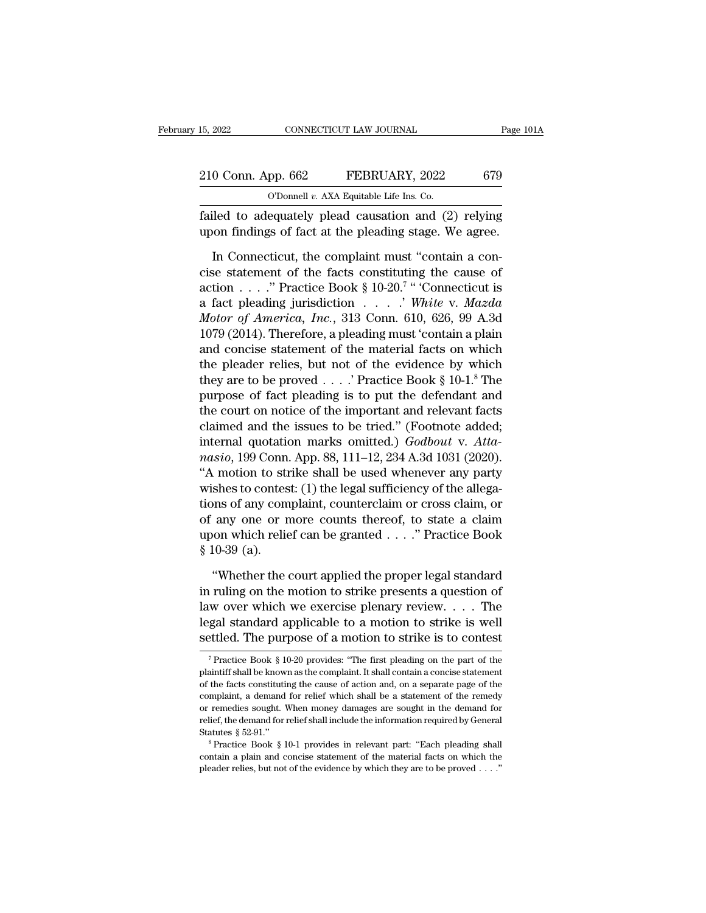| 15, 2022           | CONNECTICUT LAW JOURNAL                              | Page 101A |
|--------------------|------------------------------------------------------|-----------|
| 210 Conn. App. 662 | FEBRUARY, 2022                                       | 679       |
|                    | O'Donnell $v$ . AXA Equitable Life Ins. Co.          |           |
|                    | failed to adequately plead causation and (2) relying |           |

Failed to adequately plead causation and (2) relying to findings of fact at the pleading stage. We agree. 210 Conn. App. 662 FEBRUARY, 2022 679<br>
O'Donnell v. AXA Equitable Life Ins. Co.<br>
failed to adequately plead causation and (2) relying<br>
upon findings of fact at the pleading stage. We agree.<br>
In Connecticut, the complaint m

0 Conn. App. 662 FEBRUARY, 2022 679<br>
0 Donnell v. AXA Equitable Life Ins. Co.<br>
11ed to adequately plead causation and (2) relying<br>
12. The complaint must  $\alpha$  agree.<br>
12. In Connecticut, the complaint must "contain a con-<br> COMI. App. 002 PEDROART, 2022 079<br>
C'Donnell v. AXA Equitable Life Ins. Co.<br>
failed to adequately plead causation and (2) relying<br>
upon findings of fact at the pleading stage. We agree.<br>
In Connecticut, the complaint must O'Donnell v. AXA Equitable Life Ins. Co.<br>
failed to adequately plead causation and (2) relying<br>
upon findings of fact at the pleading stage. We agree.<br>
In Connecticut, the complaint must "contain a con-<br>
cise statement of s. Co.<br>
and (2) relying<br>
stage. We agree.<br>
: "contain a con-<br>
"Connecticut is<br>
White v. Mazda<br>
10. 696. 00. A 2d failed to adequately plead causation and (2) relying<br>upon findings of fact at the pleading stage. We agree.<br>In Connecticut, the complaint must "contain a con-<br>cise statement of the facts constituting the cause of<br>action . *Motor of America, Inc.*, 313 Connection a plain<br> *Motor of the facts constituting the cause of*<br> *America, Inc.*, 313 Conn. 610, 626, 99 A.3d<br> *Andror of America, Inc.*, 313 Conn. 610, 626, 99 A.3d<br> *Motor of America, Inc* In Connecticut, the complaint must "contain a concise statement of the facts constituting the cause of action . . . . " Practice Book § 10-20.<sup>7</sup> " Connecticut is a fact pleading jurisdiction . . . . " White v. Mazda Moto In Connecticut, the complaint must "contain a concise statement of the facts constituting the cause of action . . . . " Practice Book § 10-20.<sup>7</sup> " Connecticut is a fact pleading jurisdiction . . . . " White v. Mazda Moto cise statement of the facts constituting the cause of<br>action . . . . " Practice Book § 10-20.<sup>7</sup> " Connecticut is<br>a fact pleading jurisdiction . . . . " White v. Mazda<br>Motor of America, Inc., 313 Conn. 610, 626, 99 A.3d<br>1 action . . . ." Practice Book § 10-20." "Connecticut is<br>a fact pleading jurisdiction . . . . .' White v. Mazda<br>Motor of America, Inc., 313 Conn. 610, 626, 99 A.3d<br>1079 (2014). Therefore, a pleading must 'contain a plain<br>a a fact pleading jurisdiction  $\ldots$   $\ldots$  *White v. Mazda Motor of America, Inc.*, 313 Conn. 610, 626, 99 A.3d 1079 (2014). Therefore, a pleading must 'contain a plain and concise statement of the material facts on which t Motor of America, Inc., 313 Conn. 610, 626, 99 A.3d<br>1079 (2014). Therefore, a pleading must 'contain a plain<br>and concise statement of the material facts on which<br>the pleader relies, but not of the evidence by which<br>they a 1079 (2014). Therefore, a pleading must 'contain a plain<br>and concise statement of the material facts on which<br>the pleader relies, but not of the evidence by which<br>they are to be proved . . . . ' Practice Book § 10-1.<sup>8</sup> T and concise statement of the material facts on which<br>the pleader relies, but not of the evidence by which<br>they are to be proved . . . .' Practice Book § 10-1.<sup>8</sup> The<br>purpose of fact pleading is to put the defendant and<br>the the pleader relies, but not of the evidence by which<br>they are to be proved . . . . ' Practice Book § 10-1.<sup>8</sup> The<br>purpose of fact pleading is to put the defendant and<br>the court on notice of the important and relevant facts they are to be proved . . . . ' Practice Book § 10-1.° The<br>purpose of fact pleading is to put the defendant and<br>the court on notice of the important and relevant facts<br>claimed and the issues to be tried." (Footnote added; purpose of fact pleading is to put the defendant and<br>the court on notice of the important and relevant facts<br>claimed and the issues to be tried." (Footnote added;<br>internal quotation marks omitted.) *Godbout* v. Atta-<br>*nasi* the court on notice of the important and relevant facts<br>claimed and the issues to be tried." (Footnote added;<br>internal quotation marks omitted.) *Godbout* v. Atta-<br>masio, 199 Conn. App. 88, 111–12, 234 A.3d 1031 (2020).<br>"A claimed and the issues to be tried." (Footnote added;<br>internal quotation marks omitted.)  $Godbout$  v. Atta-<br>*nasio*, 199 Conn. App. 88, 111–12, 234 A.3d 1031 (2020).<br>"A motion to strike shall be used whenever any party<br>wishes internal quotation marks omitted.)  $Godbout$  v. Atta-<br>*nasio*, 199 Conn. App. 88, 111–12, 234 A.3d 1031 (2020).<br>"A motion to strike shall be used whenever any party<br>wishes to contest: (1) the legal sufficiency of the allega-<br> *nasio*, 199 Conn. App. 88, 111–12, 234 A.3d 1031 (2020).<br>
"A motion to strike shall be used whenever any party<br>
wishes to contest: (1) the legal sufficiency of the allega-<br>
tions of any complaint, counterclaim or cross c shes to contest: (1) the legal sufficiency of the allega-<br>
ons of any complaint, counterclaim or cross claim, or<br>
any one or more counts thereof, to state a claim<br>
on which relief can be granted . . . . " Practice Book<br> tions of any complaint, counterclaim or cross claim, or<br>of any one or more counts thereof, to state a claim<br>upon which relief can be granted  $\dots$ ." Practice Book<br>§ 10-39 (a).<br>"Whether the court applied the proper legal st

of any one or more counts thereof, to state a claim<br>upon which relief can be granted . . . ." Practice Book<br>§ 10-39 (a).<br>"Whether the court applied the proper legal standard<br>in ruling on the motion to strike presents a qu upon which relief can be granted . . . ." Practice Book<br>
§ 10-39 (a).<br>
"Whether the court applied the proper legal standard<br>
in ruling on the motion to strike presents a question of<br>
law over which we exercise plenary revi § 10-39 (a).<br>
"Whether the court applied the proper legal standard<br>
in ruling on the motion to strike presents a question of<br>
law over which we exercise plenary review. . . . The<br>
legal standard applicable to a motion to Truing on the motion to strike presents a question of w over which we exercise plenary review. . . . The gal standard applicable to a motion to strike is well ettled. The purpose of a motion to strike is to contest  $\frac{1}{$ law over which we exercise plenary review. . . . . The legal standard applicable to a motion to strike is well settled. The purpose of a motion to strike is to contest  $\frac{1}{\pi}$  Practice Book § 10-20 provides: "The first

legal standard applicable to a motion to strike is well<br>settled. The purpose of a motion to strike is to contest<br> $\frac{1}{\sqrt{2}}$ <br> $\frac{1}{\sqrt{2}}$   $\frac{1}{\sqrt{2}}$   $\frac{1}{\sqrt{2}}$   $\frac{1}{\sqrt{2}}$   $\frac{1}{\sqrt{2}}$   $\frac{1}{\sqrt{2}}$   $\frac{1}{\sqrt{2}}$   $\frac{$ settled. The purpose of a motion to strike is to contest<br>
<sup>7</sup> Practice Book § 10-20 provides: "The first pleading on the part of the<br>
plaintiff shall be known as the complaint. It shall contain a concise statement<br>
of the Figure 1. The purpose of a filotion to strike is to contest<br>
<sup>7</sup> Practice Book § 10-20 provides: "The first pleading on the part of the<br>
plaintiff shall be known as the complaint. It shall contain a concise statement<br>
of <sup>7</sup> Practice Book § 10-20 provides: "The first pleading on the part of the plaintiff shall be known as the complaint. It shall contain a concise statement of the facts constituting the cause of action and, on a separate p plaintiff shall be known as the complaint. It shall contain a concise statement<br>of the facts constituting the cause of action and, on a separate page of the<br>complaint, a demand for relief which shall be a statement of the complaint, a demand for relief which shall be a statement of the remedy<br>or remedies sought. When money damages are sought in the demand for<br>relief, the demand for relief shall include the information required by General<br>S complaint, a demand for relief which shall be a statement of the remedy<br>or remedies sought. When money damages are sought in the demand for<br>relief, the demand for relief shall include the information required by General<br>S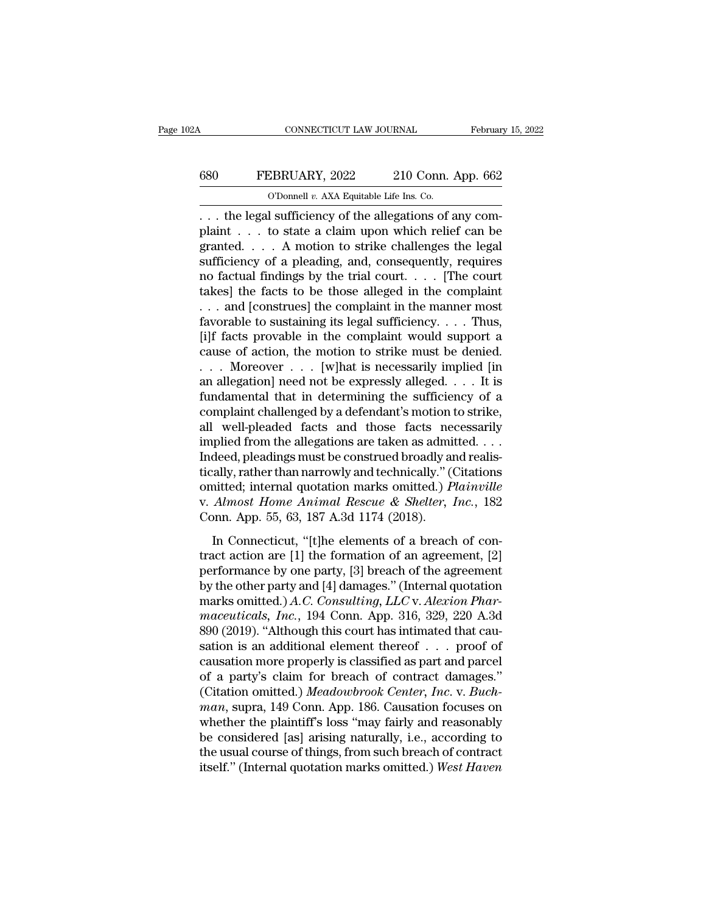## CONNECTICUT LAW JOURNAL February 15, 2022<br>680 FEBRUARY, 2022 210 Conn. App. 662<br>0'Donnell v. AXA Equitable Life Ins. Co. CONNECTICUT LAW JOURNAL Februar<br>
680 FEBRUARY, 2022 210 Conn. App. 662<br>
O'Donnell *v.* AXA Equitable Life Ins. Co.<br>
... the legal sufficiency of the allegations of any com-

CONNECTICUT LAW JOURNAL Februar<br>
680 FEBRUARY, 2022 210 Conn. App. 662<br>
0'Donnell v. AXA Equitable Life Ins. Co.<br>
... the legal sufficiency of the allegations of any com-<br>
plaint ... to state a claim upon which relief can FEBRUARY, 2022 210 Conn. App. 662<br>
O'Donnell v. AXA Equitable Life Ins. Co.<br>
... the legal sufficiency of the allegations of any complaint ... to state a claim upon which relief can be granted.... A motion to strike chall 680 FEBRUARY, 2022 210 Conn. App. 662<br>
O'Donnell v. AXA Equitable Life Ins. Co.<br>
... the legal sufficiency of the allegations of any complaint ... to state a claim upon which relief can be granted. ... A motion to strike Summary, 2022 210 Conn. App. 662<br>
The Commentary of a pleading and consequently, i.e. the legal sufficiency of the allegations of any complaint . . . to state a claim upon which relief can be granted. . . . A motion to st The contract of the allegations of any complaint  $\ldots$  the legal sufficiency of the allegations of any complaint  $\ldots$  to state a claim upon which relief can be granted.  $\ldots$  A motion to strike challenges the legal suffi O Donnel *v.* AXA Equitable Life ins. Co.<br>
... the legal sufficiency of the allegations of any complaint ... to state a claim upon which relief can be granted. ... A motion to strike challenges the legal sufficiency of a . . . the legal sufficiency of the allegations of any complaint . . . to state a claim upon which relief can be granted. . . . A motion to strike challenges the legal sufficiency of a pleading, and, consequently, requires plaint . . . to state a claim upon which relief can be granted. . . . A motion to strike challenges the legal sufficiency of a pleading, and, consequently, requires no factual findings by the trial court. . . . [The court granted. . . . . A motion to strike challenges the legal<br>sufficiency of a pleading, and, consequently, requires<br>no factual findings by the trial court. . . . [The court<br>takes] the facts to be those alleged in the complain sufficiency of a pleading, and, consequently, requires<br>no factual findings by the trial court. . . . [The court<br>takes] the facts to be those alleged in the complaint<br>. . . and [construes] the complaint in the manner most<br> no factual findings by the trial court. . . . . [The court takes] the facts to be those alleged in the complaint . . . and [construes] the complaint in the manner most favorable to sustaining its legal sufficiency. . . . takes] the facts to be those alleged in the complaint<br>
... and [construes] the complaint in the manner most<br>
favorable to sustaining its legal sufficiency.... Thus,<br>
[i]f facts provable in the complaint would support a<br>
c ... and [construes] the complaint in the manner most<br>favorable to sustaining its legal sufficiency.... Thus,<br>[i]f facts provable in the complaint would support a<br>cause of action, the motion to strike must be denied.<br>... M favorable to sustaining its legal sufficiency. . . . Thus,<br>[i]f facts provable in the complaint would support a<br>cause of action, the motion to strike must be denied.<br>. . . Moreover . . . [w]hat is necessarily implied [in<br> [i]f facts provable in the complaint would support a<br>cause of action, the motion to strike must be denied.<br>... Moreover ... [w]hat is necessarily implied [in<br>an allegation] need not be expressly alleged.... It is<br>fundamen cause of action, the motion to strike must be denied.<br>
. . . Moreover . . . [w]hat is necessarily implied [in<br>
an allegation] need not be expressly alleged. . . . It is<br>
fundamental that in determining the sufficiency of . . . Moreover . . . . [w]hat is necessarily implied [in an allegation] need not be expressly alleged. . . . It is fundamental that in determining the sufficiency of a complaint challenged by a defendant's motion to strik an allegation] need not be expressly alleged. . . . . It is<br>fundamental that in determining the sufficiency of a<br>complaint challenged by a defendant's motion to strike,<br>all well-pleaded facts and those facts necessarily<br>i fundamental that in determining the sufficiency of a<br>complaint challenged by a defendant's motion to strike,<br>all well-pleaded facts and those facts necessarily<br>implied from the allegations are taken as admitted....<br>Indeed, complaint challenged by a defendant's motion to strike,<br>all well-pleaded facts and those facts necessarily<br>implied from the allegations are taken as admitted. . . .<br>Indeed, pleadings must be construed broadly and realis-<br>t all well-pleaded facts and those facts ne<br>implied from the allegations are taken as admi<br>Indeed, pleadings must be construed broadly at<br>itically, rather than narrowly and technically." ((<br>omitted; internal quotation marks deed, pleadings must be construed broadly and realisally, rather than narrowly and technically." (Citations initted; internal quotation marks omitted.) *Plainville Almost Home Animal Rescue & Shelter, Inc.*, 182 pp. 55, tracta, preasury and technically." (Citations<br>tically, rather than narrowly and technically." (Citations<br>omitted; internal quotation marks omitted.) *Plainville*<br>v. Almost Home Animal Rescue & Shelter, Inc., 182<br>Conn. App

performance by one party, [3] breach of the agreement<br>by Almost Home Animal Rescue & Shelter, Inc., 182<br>Conn. App. 55, 63, 187 A.3d 1174 (2018).<br>In Connecticut, "[t]he elements of a breach of con-<br>tract action are [1] the v. Almost Home Animal Rescue & Shelter, Inc., 182<br>Conn. App. 55, 63, 187 A.3d 1174 (2018).<br>In Connecticut, "[t]he elements of a breach of con-<br>tract action are [1] the formation of an agreement, [2]<br>performance by one par marks omit and the seated a sheater, the., 182<br>
Conn. App. 55, 63, 187 A.3d 1174 (2018).<br>
In Connecticut, "[t]he elements of a breach of con-<br>
tract action are [1] the formation of an agreement, [2]<br>
performance by one par In Connecticut, "[t]he elements of a breach of con-<br>tract action are [1] the formation of an agreement, [2]<br>performance by one party, [3] breach of the agreement<br>by the other party and [4] damages." (Internal quotation<br>mar In Connecticut, "[t]he elements of a breach of con-<br>tract action are [1] the formation of an agreement, [2]<br>performance by one party, [3] breach of the agreement<br>by the other party and [4] damages." (Internal quotation<br>ma tract action are [1] the formation of an agreement, [2]<br>performance by one party, [3] breach of the agreement<br>by the other party and [4] damages." (Internal quotation<br>marks omitted.)  $A.C.$  Consulting,  $LLC$  v. Alexion Phar performance by one party, [3] breach of the agreement<br>by the other party and [4] damages." (Internal quotation<br>marks omitted.)  $A.C.$  Consulting,  $LLC$  v. Alexion Phar-<br>maceuticals, Inc., 194 Conn. App. 316, 329, 220 A.3d<br>8 by the other party and [4] damages." (Internal quotation<br>marks omitted.)  $A.C.$  Consulting,  $LLC$  v. Alexion Phar-<br>maceuticals, Inc., 194 Conn. App. 316, 329, 220 A.3d<br>890 (2019). "Although this court has intimated that cau marks omitted.) *A.C. Consulting, LLC* v. *Alexion Pharmaceuticals, Inc.*, 194 Conn. App. 316, 329, 220 A.3d 890 (2019). "Although this court has intimated that causation is an additional element thereof . . . proof of cau *maceuticals, Inc.*, 194 Conn. App. 316, 329, 220 A.3d<br>890 (2019). "Although this court has intimated that causation is an additional element thereof . . . proof of<br>causation more properly is classified as part and parcel<br> 890 (2019). "Although this court has intimated that causation is an additional element thereof . . . proof of causation more properly is classified as part and parcel of a party's claim for breach of contract damages." (C sation is an additional element thereof  $\ldots$  proof of causation more properly is classified as part and parcel<br>of a party's claim for breach of contract damages."<br>(Citation omitted.) *Meadowbrook Center*, *Inc.* v. *Buch* causation more properly is classified as part and parcel<br>of a party's claim for breach of contract damages."<br>(Citation omitted.) *Meadowbrook Center*, *Inc.* v. *Buch-<br>man*, supra, 149 Conn. App. 186. Causation focuses on<br> of a party's claim for breach of contract damages."<br>(Citation omitted.) *Meadowbrook Center*, *Inc.* v. *Buchman*, supra, 149 Conn. App. 186. Causation focuses on whether the plaintiff's loss "may fairly and reasonably be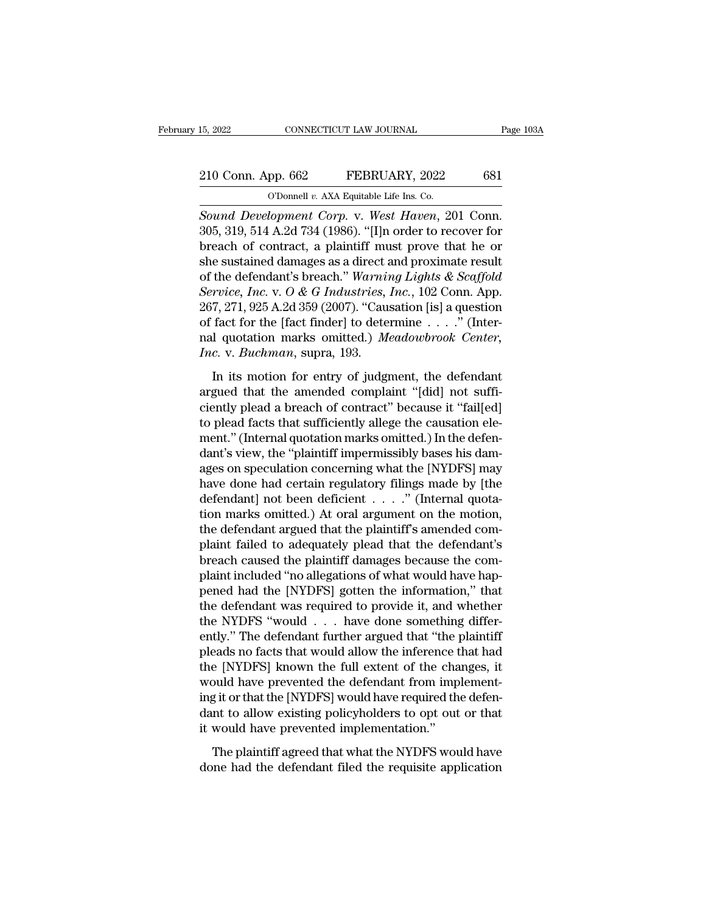# 15, 2022 CONNECTICUT LAW JOURNAL Page 103A<br>210 Conn. App. 662 FEBRUARY, 2022 681<br>O'Donnell v. AXA Equitable Life Ins. Co.

15, 2022 CONNECTICUT LAW JOURNAL<br>
210 Conn. App. 662 FEBRUARY, 2022 681<br>
O'Donnell *v.* AXA Equitable Life Ins. Co.<br>
Sound Development Corp. v. West Haven, 201 Conn. <sup>15, 2022</sup> CONNECTICUT LAW JOURNAL<br>
<sup>210</sup> Conn. App. 662 FEBRUARY, 2022 681<br>
<sup>O'Donnell v. AXA Equitable Life Ins. Co.<br> *Sound Development Corp.* v. *West Haven*, 201 Conn.<br>
305, 319, 514 A.2d 734 (1986). "[I]n order to re</sup> 210 Conn. App. 662 FEBRUARY, 2022 681<br>
O'Donnell v. AXA Equitable Life Ins. Co.<br>
Sound Development Corp. v. West Haven, 201 Conn.<br>
305, 319, 514 A.2d 734 (1986). "[I]n order to recover for<br>
breach of contract, a plaintiff 210 Conn. App. 662 FEBRUARY, 2022 681<br>
O'Donnell v. AXA Equitable Life Ins. Co.<br>
Sound Development Corp. v. West Haven, 201 Conn.<br>
305, 319, 514 A.2d 734 (1986). "[I]n order to recover for<br>
breach of contract, a plaintiff 210 Conn. App. 662 FEBRUARY, 2022 681<br>
O'Donnell v. AXA Equitable Life Ins. Co.<br>
Sound Development Corp. v. West Haven, 201 Conn.<br>
305, 319, 514 A.2d 734 (1986). "[I]n order to recover for<br>
breach of contract, a plaintiff CODOMEL *v.* AXA Equitable Life Ins. Co.<br>
Sound Development Corp. v. West Haven, 201 Conn.<br>
305, 319, 514 A.2d 734 (1986). "[I]n order to recover for<br>
breach of contract, a plaintiff must prove that he or<br>
she sustained da **Sound Development Corp. v. West Haven, 201 Conn.**<br> **Sound Development Corp. v. West Haven, 201 Conn.**<br>
305, 319, 514 A.2d 734 (1986). "[I]n order to recover for<br>
breach of contract, a plaintiff must prove that he or<br>
she Sound Development Corp. v. West Haven, 201 Conn.<br>305, 319, 514 A.2d 734 (1986). "[I]n order to recover for<br>breach of contract, a plaintiff must prove that he or<br>she sustained damages as a direct and proximate result<br>of the 305, 319, 514 A.2d 734 (1986). "[I]n order to recover for<br>breach of contract, a plaintiff must prove that he or<br>she sustained damages as a direct and proximate result<br>of the defendant's breach." Warning Lights & Scaffold<br> breach of contract, a plaintiff must prove that he or<br>she sustained damages as a direct and proximate result<br>of the defendant's breach." *Warning Lights & Scaffold*<br>Service, Inc. v. O & G Industries, Inc., 102 Conn. App.<br>2 *Incerty* She sustained damages as a direct and of the defendant's breach." Warnin Service, Inc. v. O & G Industries, 267, 271, 925 A.2d 359 (2007). "Cause of fact for the [fact finder] to dete nal quotation marks omitted. *Theory and Set G Industries, Inc.*, 102 Conn. App.<br>
7, 271, 925 A.2d 359 (2007). "Causation [is] a question<br>
fact for the [fact finder] to determine . . . ." (Inter-<br>
1 quotation marks omitted.) *Meadowbrook Center*,<br> *c* 267, 271, 925 A.2d 359 (2007). "Causation [is] a question<br>of fact for the [fact finder] to determine  $\ldots$ ." (Inter-<br>nal quotation marks omitted.) *Meadowbrook Center*,<br>*Inc.* v. *Buchman*, supra, 193.<br>In its motion for e

ciently plead a breach of fact for the [fact finder] to determine  $\ldots$ ." (Inter-<br>nal quotation marks omitted.) *Meadowbrook Center*,<br>*Inc.* v. *Buchman*, supra, 193.<br>In its motion for entry of judgment, the defendant<br>arg nal quotation marks omitted.) Meadowbrook Center,<br>Inc. v. Buchman, supra, 193.<br>In its motion for entry of judgment, the defendant<br>argued that the amended complaint "[did] not suffi-<br>ciently plead a breach of contract" beca Inc. v. Buchman, supra, 193.<br>
In its motion for entry of judgment, the defendant<br>
argued that the amended complaint "[did] not suffi-<br>
ciently plead a breach of contract" because it "fail[ed]<br>
to plead facts that sufficien In its motion for entry of judgment, the defendant<br>argued that the amended complaint "[did] not suffi-<br>ciently plead a breach of contract" because it "fail[ed]<br>to plead facts that sufficiently allege the causation ele-<br>men In its motion for entry of judgment, the defendant<br>argued that the amended complaint "[did] not suffi-<br>ciently plead a breach of contract" because it "fail[ed]<br>to plead facts that sufficiently allege the causation ele-<br>men argued that the amended complaint "[did] not suffi-<br>ciently plead a breach of contract" because it "fail[ed]<br>to plead facts that sufficiently allege the causation ele-<br>ment." (Internal quotation marks omitted.) In the def ciently plead a breach of contract" because it "fail[ed]<br>to plead facts that sufficiently allege the causation ele-<br>ment." (Internal quotation marks omitted.) In the defen-<br>dant's view, the "plaintiff impermissibly bases to plead facts that sufficiently allege the causation element." (Internal quotation marks omitted.) In the defendant's view, the "plaintiff impermissibly bases his damages on speculation concerning what the [NYDFS] may hav ment." (Internal quotation marks omitted.) In the defendant's view, the "plaintiff impermissibly bases his damages on speculation concerning what the [NYDFS] may have done had certain regulatory filings made by [the defend dant's view, the "plaintiff impermissibly bases his damages on speculation concerning what the [NYDFS] may<br>have done had certain regulatory filings made by [the<br>defendant] not been deficient . . . . . " (Internal quota-<br>ti ages on speculation concerning what the [NYDFS] may<br>have done had certain regulatory filings made by [the<br>defendant] not been deficient  $\dots$ . " (Internal quota-<br>tion marks omitted.) At oral argument on the motion,<br>the def have done had certain regulatory filings made by [the defendant] not been deficient  $\ldots$  . . . ." (Internal quotation marks omitted.) At oral argument on the motion, the defendant argued that the plaintiff's amended comp defendant] not been deficient . . . . ." (Internal quotation marks omitted.) At oral argument on the motion,<br>the defendant argued that the plaintiff's amended com-<br>plaint failed to adequately plead that the defendant's<br>bre tion marks omitted.) At oral argument on the motion,<br>the defendant argued that the plaintiff's amended com-<br>plaint failed to adequately plead that the defendant's<br>breach caused the plaintiff damages because the com-<br>plaint the defendant argued that the plaintiff's amended complaint failed to adequately plead that the defendant's breach caused the plaintiff damages because the complaint included "no allegations of what would have happened had plaint failed to adequately plead that the defendant's<br>breach caused the plaintiff damages because the com-<br>plaint included "no allegations of what would have hap-<br>pened had the [NYDFS] gotten the information," that<br>the de breach caused the plaintiff damages because the complaint included "no allegations of what would have happened had the [NYDFS] gotten the information," that the defendant was required to provide it, and whether the NYDFS " plaint included "no allegations of what would have hap-<br>pened had the [NYDFS] gotten the information," that<br>the defendant was required to provide it, and whether<br>the NYDFS "would . . . have done something differ-<br>ently." T pened had the [NYDFS] gotten the information," that<br>the defendant was required to provide it, and whether<br>the NYDFS "would . . . have done something differ-<br>ently." The defendant further argued that "the plaintiff<br>pleads n the defendant was required to provide it, and whether<br>the NYDFS "would . . . have done something differ-<br>ently." The defendant further argued that "the plaintiff<br>pleads no facts that would allow the inference that had<br>the the NYDFS "would . . . have done something differently." The defendant further argued that "the plaintiff pleads no facts that would allow the inference that had the [NYDFS] known the full extent of the changes, it would h ently." The defendant further argued that "the pleads no facts that would allow the inference the [NYDFS] known the full extent of the cha would have prevented the defendant from imp ing it or that the [NYDFS] would have r e [NYDFS] known the full extent of the changes, it<br>buld have prevented the defendant from implement-<br>git or that the [NYDFS] would have required the defen-<br>nt to allow existing policyholders to opt out or that<br>would have p would have prevented the defendant from implement-<br>ing it or that the [NYDFS] would have required the defen-<br>dant to allow existing policyholders to opt out or that<br>it would have prevented implementation."<br>The plaintiff ag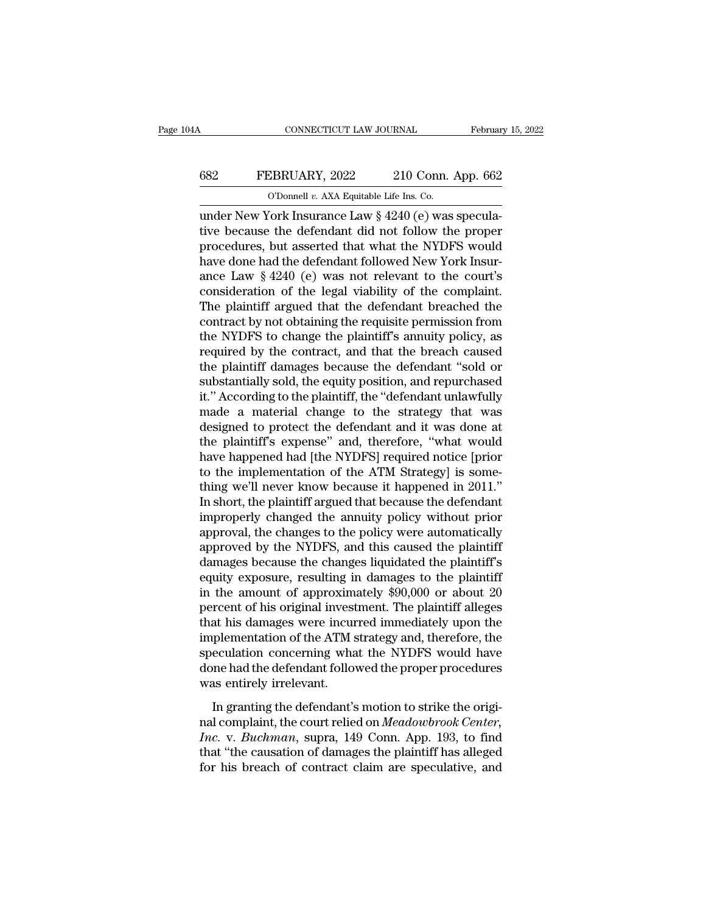## CONNECTICUT LAW JOURNAL February 15, 2022<br>682 FEBRUARY, 2022 210 Conn. App. 662<br>0'Donnell v. AXA Equitable Life Ins. Co. CONNECTICUT LAW JOURNAL Februar<br>
682 FEBRUARY, 2022 210 Conn. App. 662<br>
<sup>O'Donnell *v.* AXA Equitable Life Ins. Co.<br>
under New York Insurance Law § 4240 (e) was specula-</sup>

CONNECTICUT LAW JOURNAL Februar<br>
FEBRUARY, 2022 210 Conn. App. 662<br>
0'Donnell v. AXA Equitable Life Ins. Co.<br>
under New York Insurance Law § 4240 (e) was specula-<br>
tive because the defendant did not follow the proper FEBRUARY, 2022 210 Conn. App. 662<br>
0'Donnell v. AXA Equitable Life Ins. Co.<br>
under New York Insurance Law § 4240 (e) was speculative because the defendant did not follow the proper<br>
procedures, but asserted that what the N FEBRUARY, 2022 210 Conn. App. 662<br>
O'Donnell v. AXA Equitable Life Ins. Co.<br>
under New York Insurance Law § 4240 (e) was specula-<br>
tive because the defendant did not follow the proper<br>
procedures, but asserted that what t FEBRUARY, 2022 210 Conn. App. 662<br>
O'Donnell v. AXA Equitable Life Ins. Co.<br>
under New York Insurance Law  $\S$  4240 (e) was specula-<br>
tive because the defendant did not follow the proper<br>
procedures, but asserted that what COD CONDET UP A XA Equitable Life Ins. Co.<br>
under New York Insurance Law § 4240 (e) was specula-<br>
tive because the defendant did not follow the proper<br>
procedures, but asserted that what the NYDFS would<br>
have done had the Consider New York Insurance Law  $\S$  4240 (e) was speculative because the defendant did not follow the proper procedures, but asserted that what the NYDFS would have done had the defendant followed New York Insurance Law under New York Insurance Law § 4240 (e) was speculative because the defendant did not follow the proper<br>procedures, but asserted that what the NYDFS would<br>have done had the defendant followed New York Insur-<br>ance Law § 424 tive because the defendant did not follow the proper<br>procedures, but asserted that what the NYDFS would<br>have done had the defendant followed New York Insur-<br>ance Law § 4240 (e) was not relevant to the court's<br>consideration procedures, but asserted that what the NYDFS would<br>have done had the defendant followed New York Insur-<br>ance Law § 4240 (e) was not relevant to the court's<br>consideration of the legal viability of the complaint.<br>The plainti have done had the defendant followed New York Insur-<br>ance Law § 4240 (e) was not relevant to the court's<br>consideration of the legal viability of the complaint.<br>The plaintiff argued that the defendant breached the<br>contract ance Law § 4240 (e) was not relevant to the court's<br>consideration of the legal viability of the complaint.<br>The plaintiff argued that the defendant breached the<br>contract by not obtaining the requisite permission from<br>the NY consideration of the legal viability of the complaint.<br>The plaintiff argued that the defendant breached the<br>contract by not obtaining the requisite permission from<br>the NYDFS to change the plaintiff's annuity policy, as<br>req The plaintiff argued that the defendant breached the contract by not obtaining the requisite permission from the NYDFS to change the plaintiff's annuity policy, as required by the contract, and that the breach caused the p contract by not obtaining the requisite permission from<br>the NYDFS to change the plaintiff's annuity policy, as<br>required by the contract, and that the breach caused<br>the plaintiff damages because the defendant "sold or<br>subst the NYDFS to change the plaintiff's annuity policy, as<br>required by the contract, and that the breach caused<br>the plaintiff damages because the defendant "sold or<br>substantially sold, the equity position, and repurchased<br>it." required by the contract, and that the breach caused<br>the plaintiff damages because the defendant "sold or<br>substantially sold, the equity position, and repurchased<br>it." According to the plaintiff, the "defendant unlawfully<br> the plaintiff damages because the defendant "sold or<br>substantially sold, the equity position, and repurchased<br>it." According to the plaintiff, the "defendant unlawfully<br>made a material change to the strategy that was<br>desig substantially sold, the equity position, and repurchased<br>it." According to the plaintiff, the "defendant unlawfully<br>made a material change to the strategy that was<br>designed to protect the defendant and it was done at<br>the p it." According to the plaintiff, the "defendant unlawfully<br>made a material change to the strategy that was<br>designed to protect the defendant and it was done at<br>the plaintiff's expense" and, therefore, "what would<br>have happ made a material change to the strategy that was<br>designed to protect the defendant and it was done at<br>the plaintiff's expense" and, therefore, "what would<br>have happened had [the NYDFS] required notice [prior<br>to the implemen designed to protect the defendant and it was done at<br>the plaintiff's expense" and, therefore, "what would<br>have happened had [the NYDFS] required notice [prior<br>to the implementation of the ATM Strategy] is some-<br>thing we'll the plaintiff's expense" and, therefore, "what would<br>have happened had [the NYDFS] required notice [prior<br>to the implementation of the ATM Strategy] is some-<br>thing we'll never know because it happened in 2011."<br>In short, t have happened had [the NYDFS] required notice [prior<br>to the implementation of the ATM Strategy] is some-<br>thing we'll never know because it happened in 2011."<br>In short, the plaintiff argued that because the defendant<br>improp to the implementation of the ATM Strategy] is some-<br>thing we'll never know because it happened in 2011."<br>In short, the plaintiff argued that because the defendant<br>improperly changed the annuity policy without prior<br>approva thing we'll never know because it happened in 2011."<br>In short, the plaintiff argued that because the defendant<br>improperly changed the annuity policy without prior<br>approval, the changes to the policy were automatically<br>appr In short, the plaintiff argued that because the defendant<br>improperly changed the annuity policy without prior<br>approval, the changes to the policy were automatically<br>approved by the NYDFS, and this caused the plaintiff<br>dama improperly changed the annuity policy without prior<br>approval, the changes to the policy were automatically<br>approved by the NYDFS, and this caused the plaintiff<br>damages because the changes liquidated the plaintiff<br>equity ex approval, the changes to the policy were automatically<br>approved by the NYDFS, and this caused the plaintiff<br>damages because the changes liquidated the plaintiff's<br>equity exposure, resulting in damages to the plaintiff<br>in t approved by the NYDFS, and this caused the plaintiff<br>damages because the changes liquidated the plaintiff's<br>equity exposure, resulting in damages to the plaintiff<br>in the amount of approximately \$90,000 or about 20<br>percent damages because the changes liquidated the plaintiff's<br>equity exposure, resulting in damages to the plaintiff<br>in the amount of approximately \$90,000 or about 20<br>percent of his original investment. The plaintiff alleges<br>tha equity exposure, resulting in damages to the plaintiff<br>in the amount of approximately \$90,000 or about 20<br>percent of his original investment. The plaintiff alleges<br>that his damages were incurred immediately upon the<br>implem in the amount of approxim<br>percent of his original invest<br>that his damages were incur<br>implementation of the ATM s<br>speculation concerning wha<br>done had the defendant follow<br>was entirely irrelevant.<br>In granting the defendant's In granting the defendant is more incurred in the planner and his damages were incurred immediately upon the plementation of the ATM strategy and, therefore, the eculation concerning what the NYDFS would have the origi-<br>In implementation of the ATM strategy and, therefore, the<br>speculation concerning what the NYDFS would have<br>done had the defendant followed the proper procedures<br>was entirely irrelevant.<br>In granting the defendant's motion to s

*Insperimentation of the HTM strategy and, distancer, the*<br>speculation concerning what the NYDFS would have<br>done had the defendant followed the proper procedures<br>was entirely irrelevant.<br>In granting the defendant's motion done had the defendant followed the proper procedures<br>
was entirely irrelevant.<br>
In granting the defendant's motion to strike the original<br>
complaint, the court relied on Meadowbrook Center,<br>
Inc. v. Buchman, supra, 149 Co was entirely irrelevant.<br>
In granting the defendant's motion to strike the original complaint, the court relied on *Meadowbrook Center*,<br> *Inc.* v. *Buchman*, supra, 149 Conn. App. 193, to find<br>
that "the causation of dama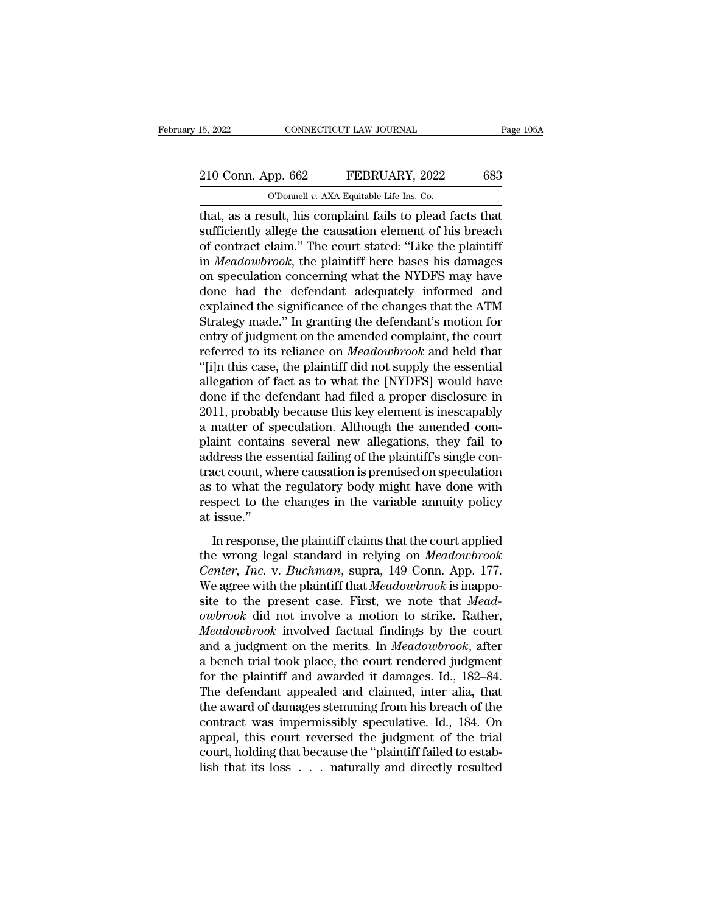## 15, 2022 CONNECTICUT LAW JOURNAL Page 105A<br>
210 Conn. App. 662 FEBRUARY, 2022 683<br>
O'Donnell v. AXA Equitable Life Ins. Co. 15, 2022 CONNECTICUT LAW JOURNAL<br>
210 Conn. App. 662 FEBRUARY, 2022 683<br>
O'Donnell *v.* AXA Equitable Life Ins. Co.<br>
that, as a result, his complaint fails to plead facts that

the 15, 2022 CONNECTICUT LAW JOURNAL Page 105.<br>
210 Conn. App. 662 FEBRUARY, 2022 683<br>
0'Donnell v. AXA Equitable Life Ins. Co.<br>
that, as a result, his complaint fails to plead facts that<br>
sufficiently allege the causation 210 Conn. App. 662 FEBRUARY, 2022 683<br>
C'Donnell v. AXA Equitable Life Ins. Co.<br>
that, as a result, his complaint fails to plead facts that<br>
sufficiently allege the causation element of his breach<br>
of contract claim." The 210 Conn. App. 662 FEBRUARY, 2022 683<br>
O'Donnell v. AXA Equitable Life Ins. Co.<br>
that, as a result, his complaint fails to plead facts that<br>
sufficiently allege the causation element of his breach<br>
of contract claim.'' Th 210 Conn. App. 662 FEBRUARY, 2022 683<br>
O'Donnell v. AXA Equitable Life Ins. Co.<br>
that, as a result, his complaint fails to plead facts that<br>
sufficiently allege the causation element of his breach<br>
of contract claim." The o'Donnell v. AXA Equitable Life Ins. Co.<br>
that, as a result, his complaint fails to plead facts that<br>
sufficiently allege the causation element of his breach<br>
of contract claim." The court stated: "Like the plaintiff<br>
in The definition of the defendant's motion for<br>Strategy in an example in the defendant sufficiently allege the causation element of his breach<br>of contract claim." The court stated: "Like the plaintiff<br>in *Meadowbrook*, the that, as a result, his complaint fails to plead facts that<br>sufficiently allege the causation element of his breach<br>of contract claim." The court stated: "Like the plaintiff<br>in *Meadowbrook*, the plaintiff here bases his da sufficiently allege the causation element of his breach<br>of contract claim." The court stated: "Like the plaintiff<br>in *Meadowbrook*, the plaintiff here bases his damages<br>on speculation concerning what the NYDFS may have<br>don of contract claim." The court stated: "Like the plaintiff<br>in *Meadowbrook*, the plaintiff here bases his damages<br>on speculation concerning what the NYDFS may have<br>done had the defendant adequately informed and<br>explained th in *Meadowbrook*, the plaintiff here bases his damages<br>on speculation concerning what the NYDFS may have<br>done had the defendant adequately informed and<br>explained the significance of the changes that the ATM<br>Strategy made." on speculation concerning what the NYDFS may have<br>done had the defendant adequately informed and<br>explained the significance of the changes that the ATM<br>Strategy made." In granting the defendant's motion for<br>entry of judgme done had the defendant adequately informed and<br>explained the significance of the changes that the ATM<br>Strategy made." In granting the defendant's motion for<br>entry of judgment on the amended complaint, the court<br>referred to explained the significance of the changes that the ATM<br>Strategy made." In granting the defendant's motion for<br>entry of judgment on the amended complaint, the court<br>referred to its reliance on *Meadowbrook* and held that<br>"[ Strategy made." In granting the defendant's motion for<br>entry of judgment on the amended complaint, the court<br>referred to its reliance on *Meadowbrook* and held that<br>"[i]n this case, the plaintiff did not supply the essenti entry of judgment on the amended complaint, the court<br>referred to its reliance on *Meadowbrook* and held that<br>"[i]n this case, the plaintiff did not supply the essential<br>allegation of fact as to what the [NYDFS] would have referred to its reliance on *Meadowbrook* and held that<br>"[i]n this case, the plaintiff did not supply the essential<br>allegation of fact as to what the [NYDFS] would have<br>done if the defendant had filed a proper disclosure i "[i]n this case, the plaintiff did not supply the essential<br>allegation of fact as to what the [NYDFS] would have<br>done if the defendant had filed a proper disclosure in<br>2011, probably because this key element is inescapably allegation of fact as to what the [NYDFS] would have<br>done if the defendant had filed a proper disclosure in<br>2011, probably because this key element is inescapably<br>a matter of speculation. Although the amended com-<br>plaint c done if the defendant had filed a proper disclosure in 2011, probably because this key element is inescapably a matter of speculation. Although the amended complaint contains several new allegations, they fail to address t 2011, probably because this key element is inescapably<br>a matter of speculation. Although the amended com-<br>plaint contains several new allegations, they fail to<br>address the essential failing of the plaintiff's single con-<br>t a matter of splaint contain<br>address the es<br>tract count, wl<br>as to what the<br>respect to the<br>at issue.''<br>In response dress the essential failing of the plaintiff's single con-<br>act count, where causation is premised on speculation<br>to what the regulatory body might have done with<br>spect to the changes in the variable annuity policy<br>issue." tract count, where causation is premised on speculation<br>as to what the regulatory body might have done with<br>respect to the changes in the variable annuity policy<br>at issue."<br>In response, the plaintiff claims that the court

*Center, Where existed the presentation*<br>as to what the regulatory body might have done with<br>respect to the changes in the variable annuity policy<br>at issue."<br>In response, the plaintiff claims that the court applied<br>the wro as to what the regalatory body highle have done what<br>respect to the changes in the variable annuity policy<br>at issue."<br>In response, the plaintiff claims that the court applied<br>the wrong legal standard in relying on *Meadowb* statissue."<br>In response, the plaintiff claims that the court applied<br>the wrong legal standard in relying on *Meadowbrook*<br>Center, Inc. v. Buchman, supra, 149 Conn. App. 177.<br>We agree with the plaintiff that *Meadowbrook* i In response, the plaintiff claims that the court applied<br>the wrong legal standard in relying on *Meadowbrook*<br>*Center, Inc. v. Buchman*, supra, 149 Conn. App. 177.<br>We agree with the plaintiff that *Meadowbrook* is inappo-<br> In response, the plaintiff claims that the court applied<br>the wrong legal standard in relying on *Meadowbrook*<br>Center, Inc. v. Buchman, supra, 149 Conn. App. 177.<br>We agree with the plaintiff that *Meadowbrook* is inappo-<br>si the wrong legal standard in relying on *Meadowbrook*<br>Center, Inc. v. Buchman, supra, 149 Conn. App. 177.<br>We agree with the plaintiff that *Meadowbrook* is inappo-<br>site to the present case. First, we note that *Meadowbrook* Center, Inc. v. Buchman, supra, 149 Conn. App. 177.<br>We agree with the plaintiff that Meadowbrook is inapposite to the present case. First, we note that Meadowbrook did not involve a motion to strike. Rather, Meadowbrook in We agree with the plaintiff that *Meadowbrook* is inapposite to the present case. First, we note that *Meadowbrook* did not involve a motion to strike. Rather, *Meadowbrook* involved factual findings by the court and a jud site to the present case. First, we note that *Mead-*<br>owbrook did not involve a motion to strike. Rather,<br>*Meadowbrook* involved factual findings by the court<br>and a judgment on the merits. In *Meadowbrook*, after<br>a bench t owbrook did not involve a motion to strike. Rather,<br>Meadowbrook involved factual findings by the court<br>and a judgment on the merits. In Meadowbrook, after<br>a bench trial took place, the court rendered judgment<br>for the plain Meadowbrook involved factual findings by the court<br>and a judgment on the merits. In Meadowbrook, after<br>a bench trial took place, the court rendered judgment<br>for the plaintiff and awarded it damages. Id., 182–84.<br>The defend and a judgment on the merits. In *Meadowbrook*, after<br>a bench trial took place, the court rendered judgment<br>for the plaintiff and awarded it damages. Id., 182–84.<br>The defendant appealed and claimed, inter alia, that<br>the aw a bench trial took place, the court rendered judgment<br>for the plaintiff and awarded it damages. Id., 182–84.<br>The defendant appealed and claimed, inter alia, that<br>the award of damages stemming from his breach of the<br>contrac for the plaintiff and awarded it damages. Id., 182–84.<br>The defendant appealed and claimed, inter alia, that<br>the award of damages stemming from his breach of the<br>contract was impermissibly speculative. Id., 184. On<br>appeal,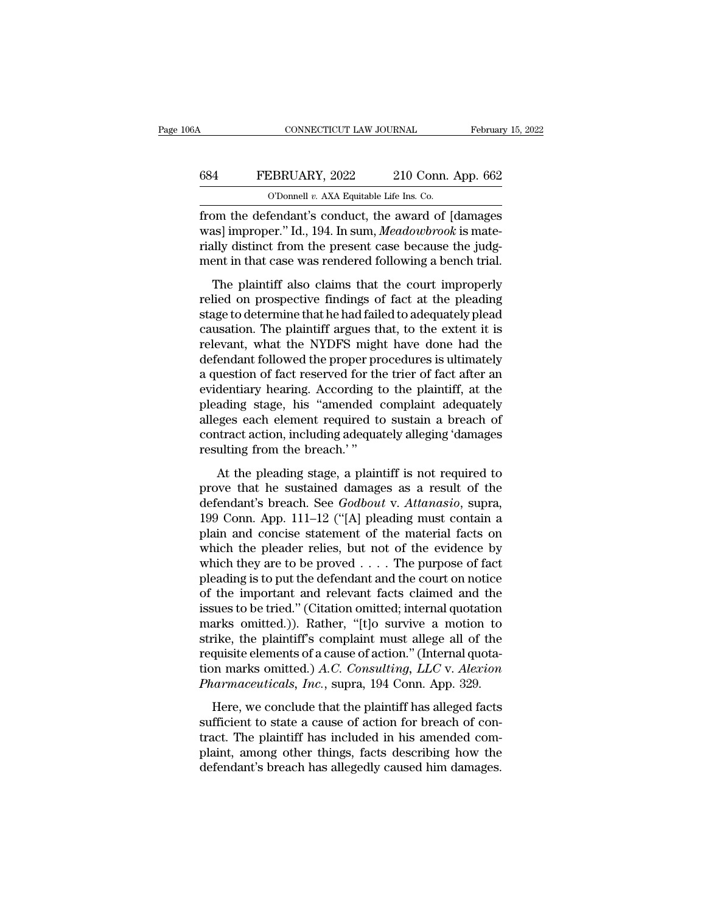## CONNECTICUT LAW JOURNAL February 15, 2022<br>684 FEBRUARY, 2022 210 Conn. App. 662<br>0'Donnell v. AXA Equitable Life Ins. Co. CONNECTICUT LAW JOURNAL Februar<br>
684 FEBRUARY, 2022 210 Conn. App. 662<br>
<sup>O'Donnell *v.* AXA Equitable Life Ins. Co.<br>
from the defendant's conduct, the award of [damages]</sup>

February 15, 2022<br>
FEBRUARY, 2022 210 Conn. App. 662<br>
O'Donnell v. AXA Equitable Life Ins. Co.<br>
from the defendant's conduct, the award of [damages<br>
was] improper." Id., 194. In sum, Meadowbrook is mate-<br>
rially distinct f EBRUARY, 2022 210 Conn. App. 662<br>
<sup>O'Donnell v.</sup> AXA Equitable Life Ins. Co.<br>
from the defendant's conduct, the award of [damages<br>
was] improper.'' Id., 194. In sum, *Meadowbrook* is mate-<br>
rially distinct from the present 684 FEBRUARY, 2022 210 Conn. App. 662<br>
0'Donnell v. AXA Equitable Life Ins. Co.<br>
from the defendant's conduct, the award of [damages was] improper." Id., 194. In sum, Meadowbrook is materially distinct from the present cas 684 FEBRUARY, 2022 210 Conn. App. 662<br>
0'Donnell v. AXA Equitable Life Ins. Co.<br>
from the defendant's conduct, the award of [damages<br>
was] improper." Id., 194. In sum, Meadowbrook is mate-<br>
rially distinct from the present O'Donnell v. AXA Equitable Life Ins. Co.<br>
om the defendant's conduct, the award of [damages<br>
as] improper." Id., 194. In sum, *Meadowbrook* is mate-<br>
ally distinct from the present case because the judg-<br>
ent in that case from the defendant's conduct, the award of [damages was] improper." Id., 194. In sum, *Meadowbrook* is mate-<br>rially distinct from the present case because the judg-<br>ment in that case was rendered following a bench trial.<br>T

From the determine is conduct, the award of plantinges<br>was] improper." Id., 194. In sum, *Meadowbrook* is mate-<br>rially distinct from the present case because the judg-<br>ment in that case was rendered following a bench trial mally distinct from the present case because the judg-<br>ment in that case was rendered following a bench trial.<br>The plaintiff also claims that the court improperly<br>relied on prospective findings of fact at the pleading<br>stag riany distinct from the present case occalise the judgement in that case was rendered following a bench trial.<br>The plaintiff also claims that the court improperly relied on prospective findings of fact at the pleading stag The plaintiff also claims that the court improperly<br>relied on prospective findings of fact at the pleading<br>stage to determine that he had failed to adequately plead<br>causation. The plaintiff argues that, to the extent it is The plaintiff also claims that the court improperly<br>relied on prospective findings of fact at the pleading<br>stage to determine that he had failed to adequately plead<br>causation. The plaintiff argues that, to the extent it is relied on prospective findings of fact at the pleading<br>stage to determine that he had failed to adequately plead<br>causation. The plaintiff argues that, to the extent it is<br>relevant, what the NYDFS might have done had the<br>de stage to determine that he had failed to adequately plead<br>causation. The plaintiff argues that, to the extent it is<br>relevant, what the NYDFS might have done had the<br>defendant followed the proper procedures is ultimately<br>a causation. The plaintiff argues that, to the extent it is<br>relevant, what the NYDFS might have done had the<br>defendant followed the proper procedures is ultimately<br>a question of fact reserved for the trier of fact after an<br>e relevant, what the NYDFS might have done had the<br>defendant followed the proper procedures is ultimately<br>a question of fact reserved for the trier of fact after an<br>evidentiary hearing. According to the plaintiff, at the<br>ple defendant followed the proper pro<br>a question of fact reserved for th<br>evidentiary hearing. According t<br>pleading stage, his "amended c<br>alleges each element required to<br>contract action, including adequa<br>resulting from the bre dentiary hearing. According to the plaintiff, at the ading stage, his "amended complaint adequately gges each element required to sustain a breach of tract action, including adequately alleging 'damages ulting from the bre pleading stage, his "amended complaint adequately<br>alleges each element required to sustain a breach of<br>contract action, including adequately alleging 'damages<br>resulting from the breach.'"<br>At the pleading stage, a plaintif

degree ach element required to sustain a breach of<br>contract action, including adequately alleging 'damages<br>resulting from the breach.'"<br>At the pleading stage, a plaintiff is not required to<br>prove that he sustained damages emetrical conditions, including adequately alleging 'damages<br>
resulting from the breach.'"<br>
At the pleading stage, a plaintiff is not required to<br>
prove that he sustained damages as a result of the<br>
defendant's breach. See positing from the breach.'"<br>
At the pleading stage, a plaintiff is not required to<br>
prove that he sustained damages as a result of the<br>
defendant's breach. See *Godbout* v. Attanasio, supra,<br>
199 Conn. App. 111–12 ("[A] p At the pleading stage, a plaintiff is not required to<br>prove that he sustained damages as a result of the<br>defendant's breach. See *Godbout v. Attanasio*, supra,<br>199 Conn. App. 111–12 ("[A] pleading must contain a<br>plain and At the pleading stage, a plaintiff is not required to<br>prove that he sustained damages as a result of the<br>defendant's breach. See *Godbout* v. Attanasio, supra,<br>199 Conn. App. 111–12 ("[A] pleading must contain a<br>plain and prove that he sustained damages as a result of the<br>defendant's breach. See *Godbout* v. Attanasio, supra,<br>199 Conn. App. 111–12 ("[A] pleading must contain a<br>plain and concise statement of the material facts on<br>which the defendant's breach. See *Godbout* v. Attanasio, supra, 199 Conn. App. 111–12 ("[A] pleading must contain a plain and concise statement of the material facts on which the pleader relies, but not of the evidence by which th 199 Conn. App. 111–12 ("[A] pleading must contain a<br>plain and concise statement of the material facts on<br>which the pleader relies, but not of the evidence by<br>which they are to be proved . . . . The purpose of fact<br>pleadin plain and concise statement of the material facts on<br>which the pleader relies, but not of the evidence by<br>which they are to be proved  $\ldots$ . The purpose of fact<br>pleading is to put the defendant and the court on notice<br>of which the pleader relies, but not of the evidence by<br>which they are to be proved . . . . The purpose of fact<br>pleading is to put the defendant and the court on notice<br>of the important and relevant facts claimed and the<br>iss which they are to be proved  $\dots$ . The purpose of fact pleading is to put the defendant and the court on notice of the important and relevant facts claimed and the issues to be tried.'' (Citation omitted; internal quotatio pleading is to put the defendant and the court on notice<br>of the important and relevant facts claimed and the<br>issues to be tried." (Citation omitted; internal quotation<br>marks omitted.)). Rather, "[t]o survive a motion to<br>st of the important and relevant facts claimed and the issues to be tried." (Citation omitted; internal quotation marks omitted.)). Rather, "[t]o survive a motion to strike, the plaintiff's complaint must allege all of the re arks omitted.)). Rather, "[t]o survive a motion to<br>arks omitted.)). Rather, "[t]o survive a motion to<br>rike, the plaintiff's complaint must allege all of the<br>quisite elements of a cause of action." (Internal quota-<br>n marks strike, the plaintiff's complaint must allege all of the<br>requisite elements of a cause of action." (Internal quota-<br>tion marks omitted.) A.C. Consulting, LLC v. Alexion<br>Pharmaceuticals, Inc., supra, 194 Conn. App. 329.<br>Her

tract. The plaintiff is complement mass andge an oralized requisite elements of a cause of action." (Internal quotation marks omitted.) A.C. Consulting, LLC v. Alexion Pharmaceuticals, Inc., supra, 194 Conn. App. 329.<br>Here plastic crements of a cause of action. (Internal quotation marks omitted.) A.C. Consulting, LLC v. Alexion Pharmaceuticals, Inc., supra, 194 Conn. App. 329.<br>Here, we conclude that the plaintiff has alleged facts sufficient Pharmaceuticals, Inc., supra, 194 Conn. App. 329.<br>Here, we conclude that the plaintiff has alleged facts<br>sufficient to state a cause of action for breach of con-<br>tract. The plaintiff has included in his amended com-<br>plaint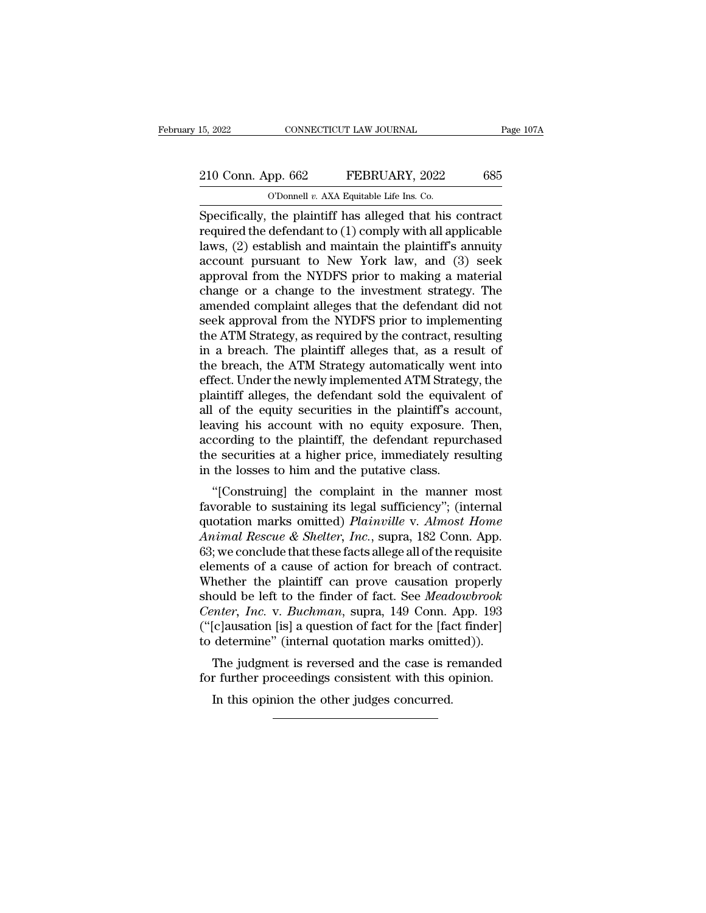# 15, 2022 CONNECTICUT LAW JOURNAL Page 107A<br>
210 Conn. App. 662 FEBRUARY, 2022 685<br>
O'Donnell v. AXA Equitable Life Ins. Co.

15, 2022 CONNECTICUT LAW JOURNAL<br>
210 Conn. App. 662 FEBRUARY, 2022 685<br>
O'Donnell *v.* AXA Equitable Life Ins. Co.<br>
Specifically, the plaintiff has alleged that his contract Specifically, the plaintiff has alleged that his contract<br>laws (210 Conn. App. 662 FEBRUARY, 2022 685 O'Donnell v. AXA Equitable Life Ins. Co.<br>Specifically, the plaintiff has alleged that his contract<br>required the defendan 210 Conn. App. 662 FEBRUARY, 2022 685<br>
O'Donnell v. AXA Equitable Life Ins. Co.<br>
Specifically, the plaintiff has alleged that his contract<br>
required the defendant to (1) comply with all applicable<br>
laws, (2) establish and 210 Conn. App. 662 FEBRUARY, 2022 685<br>
O'Donnell v. AXA Equitable Life Ins. Co.<br>
Specifically, the plaintiff has alleged that his contract<br>
required the defendant to (1) comply with all applicable<br>
laws, (2) establish and 210 Conn. App. 662 FEBRUARY, 2022 685<br>
O'Donnell v. AXA Equitable Life Ins. Co.<br>
Specifically, the plaintiff has alleged that his contract<br>
required the defendant to  $(1)$  comply with all applicable<br>
laws,  $(2)$  establish COMM PFF CO2 1122102111, 2022<br>
COMM PFF CO2 1122102111, 2022<br>
Specifically, the plaintiff has alleged that his contract<br>
required the defendant to (1) comply with all applicable<br>
laws, (2) establish and maintain the plain Change in a change of a change of a change of a change of a change of a change of a change of a change of a change to the investment strategy. The amended complaint alleges that the defendant did not sook approval from th Specifically, the plaintiff has alleged that his contract<br>required the defendant to (1) comply with all applicable<br>laws, (2) establish and maintain the plaintiff's annuity<br>account pursuant to New York law, and (3) seek<br>app required the defendant to (1) comply with all applicable<br>laws, (2) establish and maintain the plaintiff's annuity<br>account pursuant to New York law, and (3) seek<br>approval from the NYDFS prior to making a material<br>change or laws, (2) establish and maintain the plaintiff's annuity<br>account pursuant to New York law, and (3) seek<br>approval from the NYDFS prior to making a material<br>change or a change to the investment strategy. The<br>amended complain account pursuant to New York law, and (3) seek<br>approval from the NYDFS prior to making a material<br>change or a change to the investment strategy. The<br>amended complaint alleges that the defendant did not<br>seek approval from t approval from the NYDFS prior to making a material<br>change or a change to the investment strategy. The<br>amended complaint alleges that the defendant did not<br>seek approval from the NYDFS prior to implementing<br>the ATM Strategy change or a change to the investment strategy. The<br>amended complaint alleges that the defendant did not<br>seek approval from the NYDFS prior to implementing<br>the ATM Strategy, as required by the contract, resulting<br>in a breac amended complaint alleges that the defendant did not<br>seek approval from the NYDFS prior to implementing<br>the ATM Strategy, as required by the contract, resulting<br>in a breach. The plaintiff alleges that, as a result of<br>the b seek approval from the NYDFS prior to implementing<br>the ATM Strategy, as required by the contract, resulting<br>in a breach. The plaintiff alleges that, as a result of<br>the breach, the ATM Strategy automatically went into<br>effec the ATM Strategy, as required by the contract, resulting<br>in a breach. The plaintiff alleges that, as a result of<br>the breach, the ATM Strategy automatically went into<br>effect. Under the newly implemented ATM Strategy, the<br>pl in a breach. The plaintiff alleges that, as a result of<br>the breach, the ATM Strategy automatically went into<br>effect. Under the newly implemented ATM Strategy, the<br>plaintiff alleges, the defendant sold the equivalent of<br>all the breach, the ATM Strategy automatically went into<br>effect. Under the newly implemented ATM Strategy, the<br>plaintiff alleges, the defendant sold the equivalent of<br>all of the equity securities in the plaintiff's account,<br>le effect. Under the newly implemented ATM Strateg<br>plaintiff alleges, the defendant sold the equival<br>all of the equity securities in the plaintiff's acc<br>leaving his account with no equity exposure.<br>according to the plaintiff, of the equity securities in the plaintiff's account,<br>
wing his account with no equity exposure. Then,<br>
cording to the plaintiff, the defendant repurchased<br>
e securities at a higher price, immediately resulting<br>
the losses an of the equity securities in the plantiff s account,<br>leaving his account with no equity exposure. Then,<br>according to the plaintiff, the defendant repurchased<br>the securities at a higher price, immediately resulting<br>in the

reaving ins account with no equity exposure. Then,<br>according to the plaintiff, the defendant repurchased<br>the securities at a higher price, immediately resulting<br>in the losses to him and the putative class.<br>"[Construing] th *Animal Rescue & Shelter, Inc.*, supra, 182 Conn. App.<br> *Animal Rescurition and the putative class.*<br> *Animal Rescue & Shelter, Inc.*, supra, 182 Conn. App.<br> *Animal Rescue & Shelter, Inc.*, supra, 182 Conn. App.<br> *Animal* in the losses to him and the putative class.<br>
"[Construing] the complaint in the manner most<br>
favorable to sustaining its legal sufficiency"; (internal<br>
quotation marks omitted) *Plainville v. Almost Home*<br> *Animal Rescue* In the losses to finit and the putative class.<br>
"[Construing] the complaint in the manner most<br>
favorable to sustaining its legal sufficiency"; (internal<br>
quotation marks omitted) *Plainville* v. Almost Home<br>
Animal Rescu "[Construing] the complaint in the manner most<br>favorable to sustaining its legal sufficiency"; (internal<br>quotation marks omitted) *Plainville v. Almost Home*<br>*Animal Rescue & Shelter, Inc.*, supra, 182 Conn. App.<br>63; we c favorable to sustaining its legal sufficiency"; (internal<br>quotation marks omitted) *Plainville* v. *Almost Home*<br>*Animal Rescue & Shelter*, *Inc.*, supra, 182 Conn. App.<br>63; we conclude that these facts allege all of the r quotation marks omitted) *Plainville v. Almost Home*<br>*Animal Rescue & Shelter, Inc.,* supra, 182 Conn. App.<br>63; we conclude that these facts allege all of the requisite<br>elements of a cause of action for breach of contract. Animal Rescue & Shelter, Inc., supra, 182 Conn. App.<br>63; we conclude that these facts allege all of the requisite<br>elements of a cause of action for breach of contract.<br>Whether the plaintiff can prove causation properly<br>sh 63; we conclude that these facts allege all of the requisite<br>elements of a cause of action for breach of contract.<br>Whether the plaintiff can prove causation properly<br>should be left to the finder of fact. See *Meadowbrook* Entents of a cause of action for breach of contract.<br>
hether the plaintiff can prove causation properly<br>
ould be left to the finder of fact. See *Meadowbrook*<br> *mter*, *Inc.* v. *Buchman*, supra, 149 Conn. App. 193<br>
[c]aus whether the plantificant prove causation property<br>should be left to the finder of fact. See *Meadowbrook*<br>*Center, Inc.* v. *Buchman*, supra, 149 Conn. App. 193<br>("[c]ausation [is] a question of fact for the [fact finder]<br>t meter, Inc. v. Buchman, supra, 149 Conn.<br>
[c]ausation [is] a question of fact for the [fact determine" (internal quotation marks omit<br>
The judgment is reversed and the case is represent with this concurred.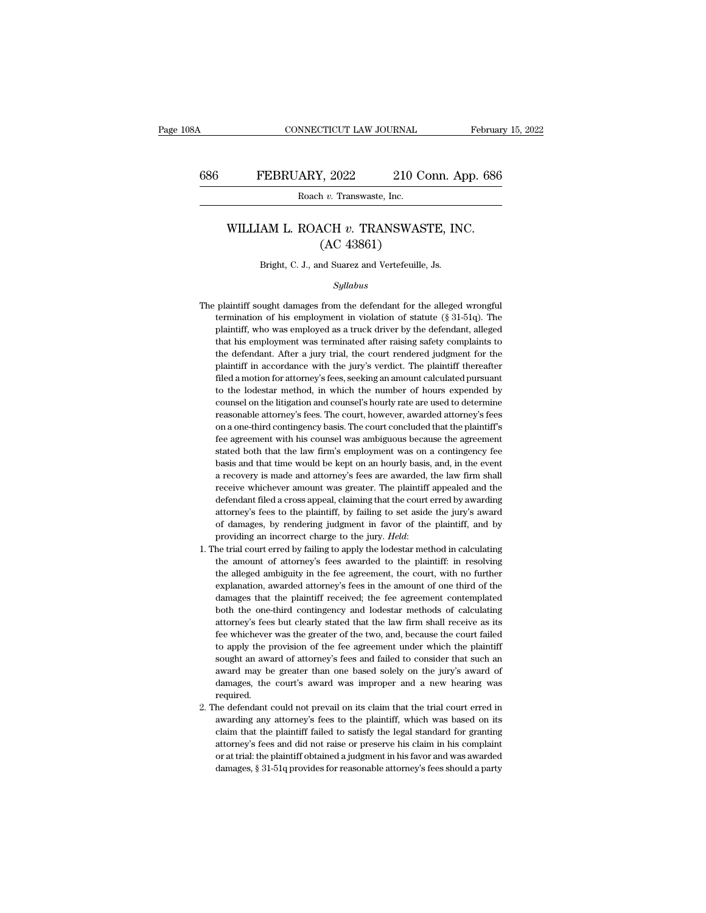#### FEBRUARY, 2022 210 Conn. App. 686<br>Roach *v.* Transwaste, Inc.<br>WILLIAM L. ROACH *v.* TRANSWASTE, INC. (AC 43861)  $(2022)$  210 C<br>  $(2022)$  210 C<br>  $(202)$ <br>  $(202)$ <br>  $(202)$ <br>  $(202)$ <br>  $(202)$ <br>  $(202)$ <br>  $(202)$ <br>  $(202)$ <br>  $(202)$ <br>  $(202)$ <br>  $(202)$ <br>  $(202)$ <br>  $(202)$ <br>  $(202)$ <br>  $(202)$ <br>  $(202)$ <br>  $(202)$ <br>  $(202)$ <br>  $(202)$ <br>  $(202)$ <br>  $(202)$ <br> Boach v. Transwaste, Inc.<br>
WILLIAM L. ROACH v. TRANSWASTE, INC.<br>
(AC 43861)<br>
Bright, C. J., and Suarez and Vertefeuille, Js.

#### *Syllabus*

- $(AC 43861)$ <br>Bright, C. J., and Suarez and Vertefeuille, Js.<br> $Syllabus$ <br>The plaintiff sought damages from the defendant for the alleged wrongful<br>termination of his employment in violation of statute (§ 31-51q). The Bright, C. J., and Suarez and Vertefeuille, Js.<br>Syllabus<br>plaintiff sought damages from the defendant for the alleged wrongful<br>termination of his employment in violation of statute (§ 31-51q). The<br>plaintiff, who was employe Bright, C. J., and Suarez and Vertefeuille, Js.<br>
Syllabus<br>
plaintiff sought damages from the defendant for the alleged wrongful<br>
termination of his employment in violation of statute (§ 31-51q). The<br>
plaintiff, who was emp  $Syllabus$ <br>plaintiff sought damages from the defendant for the alleged wrongful<br>termination of his employment in violation of statute  $(\S 31-51q)$ . The<br>plaintiff, who was employed as a truck driver by the defendant, alleged<br>t sylabors<br>plaintiff sought damages from the defendant for the alleged wrongful<br>termination of his employment in violation of statute  $(\S 31-51q)$ . The<br>plaintiff, who was employed as a truck driver by the defendant, alleged plaintiff sought damages from the defendant for the alleged wrongful termination of his employment in violation of statute  $(\S 31-51q)$ . The plaintiff, who was employed as a truck driver by the defendant, alleged that his fermination of his employment in violation of statute ( $\S$  31-51q). The plaintiff, who was employed as a truck driver by the defendant, alleged that his employment was terminated after raising safety complaints to the def plaintiff, who was employed as a truck driver by the defendant, alleged that his employment was terminated after raising safety complaints to the defendant. After a jury trial, the court rendered judgment for the plaintiff that his employment was terminated after raising safety complaints to the defendant. After a jury trial, the court rendered judgment for the plaintiff in accordance with the jury's verdict. The plaintiff thereafter filed a the defendant. After a jury trial, the court rendered judgment for the plaintiff in accordance with the jury's verdict. The plaintiff thereafter filed a motion for attorney's fees, seeking an amount calculated pursuant to plaintiff in accordance with the jury's verdict. The plaintiff thereafter filed a motion for attorney's fees, seeking an amount calculated pursuant to the lodestar method, in which the number of hours expended by counsel o filed a motion for attorney's fees, seeking an amount calculated pursuant to the lodestar method, in which the number of hours expended by counsel on the litigation and counsel's hourly rate are used to determine reasonabl to the lodestar method, in which the number of hours expended by counsel on the litigation and counsel's hourly rate are used to determine reasonable attorney's fees. The court, however, awarded attorney's fees on a one-th counsel on the litigation and counsel's hourly rate are used to determine<br>reasonable attorney's fees. The court, however, awarded attorney's fees<br>on a one-third contingency basis. The court concluded that the plaintiff's<br>f stated both that the law firm's employment was on a contingency fee<br>basis and that time would be kept on an hourly basis, and, in the event<br>a recovery is made and attorney's fees are awarded, the law firm shall<br>receive whi on a one-third contingency basis. The court concluded that the plaintiff's fee agreement with his counsel was ambiguous because the agreement stated both that the law firm's employment was on a contingency fee basis and th fee agreement with his counsel was ambiguous because the agreement stated both that the law firm's employment was on a contingency fee basis and that time would be kept on an hourly basis, and, in the event a recovery is m stated both that the law firm's employment was on a contingency fee<br>basis and that time would be kept on an hourly basis, and, in the event<br>a recovery is made and attorney's fees are awarded, the law firm shall<br>receive whi basis and that time would be kept on an hourly basis, and, in the event<br>a recovery is made and attorney's fees are awarded, the law firm shall<br>receive whichever amount was greater. The plaintiff appealed and the<br>defendant a recovery is made and attorney's fees are awarded, the law firm shall receive whichever amount was greater. The plaintiff appealed and the defendant filed a cross appeal, claiming that the court erred by awarding attorney defendant filed a cross appeal, claiming that the court erred by awarding attorney's fees to the plaintiff, by failing to set aside the jury's award of damages, by rendering judgment in favor of the plaintiff, and by provi
- attorney's fees to the plaintiff, by failing to set aside the jury's award<br>of damages, by rendering judgment in favor of the plaintiff, and by<br>providing an incorrect charge to the jury. *Held*:<br>1. The trial court erred by of damages, by rendering judgment in favor of the plaintiff, and by<br>providing an incorrect charge to the jury. *Held*:<br>he trial court erred by failing to apply the lodestar method in calculating<br>the amount of attorney's fe providing an incorrect charge to the jury. *Held*:<br>he trial court erred by failing to apply the lodestar method in calculating<br>the amount of attorney's fees awarded to the plaintiff: in resolving<br>the alleged ambiguity in t he trial court erred by failing to apply the lodestar method in calculating the amount of attorney's fees awarded to the plaintiff: in resolving the alleged ambiguity in the fee agreement, the court, with no further explan the amount of attorney's fees awarded to the plaintiff: in resolving<br>the alleged ambiguity in the fee agreement, the court, with no further<br>explanation, awarded attorney's fees in the amount of one third of the<br>damages tha the alleged ambiguity in the fee agreement, the court, with no further explanation, awarded attorney's fees in the amount of one third of the damages that the plaintiff received; the fee agreement contemplated both the one explanation, awarded attorney's fees in the amount of one third of the damages that the plaintiff received; the fee agreement contemplated both the one-third contingency and lodestar methods of calculating attorney's fees damages that the plaintiff received; the fee agreement contemplated both the one-third contingency and lodestar methods of calculating attorney's fees but clearly stated that the law firm shall receive as its fee whichever both the one-third contingency and lodestar methods of calculating attorney's fees but clearly stated that the law firm shall receive as its fee whichever was the greater of the two, and, because the court failed to apply attorney's fees but clearly stated that the law firm shall receive as its<br>fee whichever was the greater of the two, and, because the court failed<br>to apply the provision of the fee agreement under which the plaintiff<br>sought required. to apply the provision of the fee agreement under which the plaintiff<br>sought an award of attorney's fees and failed to consider that such an<br>award may be greater than one based solely on the jury's award of<br>damages, the co sought an award of attorney's fees and failed to consider that such an award may be greater than one based solely on the jury's award of damages, the court's award was improper and a new hearing was required.<br>he defendant
- award may be greater than one based solely on the jury's award of damages, the court's award was improper and a new hearing was required.<br>He defendant could not prevail on its claim that the trial court erred in awarding a damages, the court's award was improper and a new hearing was required.<br>he defendant could not prevail on its claim that the trial court erred in<br>awarding any attorney's fees to the plaintiff, which was based on its<br>claim required.<br>
he defendant could not prevail on its claim that the trial court erred in<br>
awarding any attorney's fees to the plaintiff, which was based on its<br>
claim that the plaintiff failed to satisfy the legal standard for he defendant could not prevail on its claim that the trial court erred in awarding any attorney's fees to the plaintiff, which was based on its claim that the plaintiff failed to satisfy the legal standard for granting att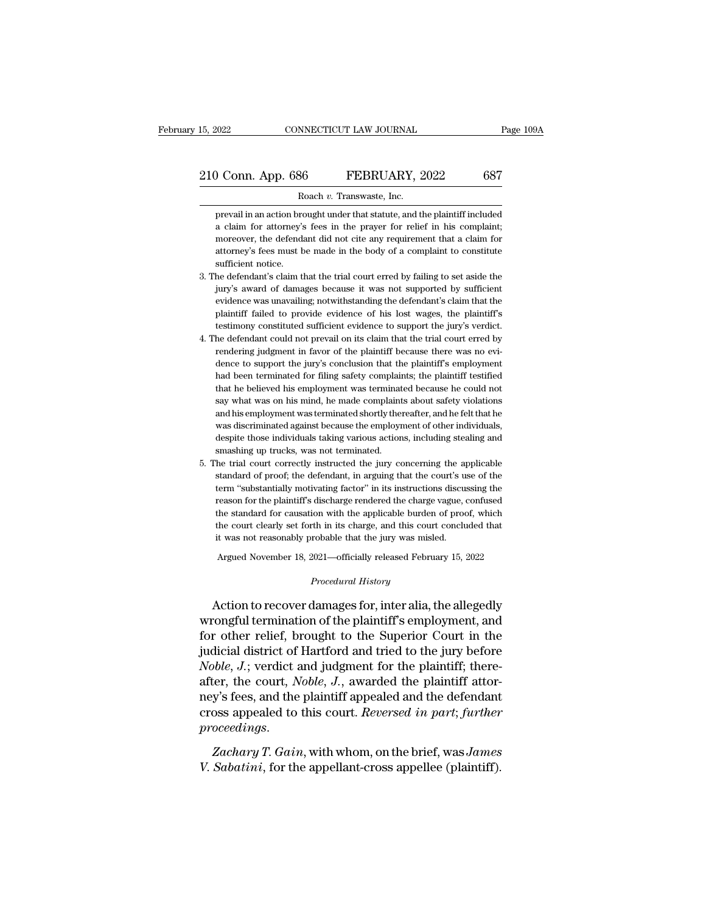9 Conn. App. 686 FEBRUARY, 2022 687<br>
Roach v. Transwaste, Inc.<br>
prevail in an action brought under that statute, and the plaintiff included<br>
a claim for attorney's fees in the prayer for relief in his complaint; a comparison of the prediction of the prediction of the prevail in an action brought under that statute, and the plaintiff included a claim for attorney's fees in the prayer for relief in his complaint; moreover, the defen moreover, the defendant did not cite any requirement that a claim for attorney's fees in the prayer for relief in his complaint;<br>not cover, the defendant did not cite any requirement that a claim for attorney's fees must b Roach v. Transwaste, Inc.<br>
prevail in an action brought under that statute, and the plaintiff included<br>
a claim for attorney's fees in the prayer for relief in his complaint;<br>
moreover, the defendant did not cite any requi R<br>prevail in an action bra<br>a claim for attorney's<br>moreover, the defendat<br>attorney's fees must b<br>sufficient notice.<br>he defendant's claim t prevail in an action brought under that statute, and the plaintiff included<br>a claim for attorney's fees in the prayer for relief in his complaint;<br>moreover, the defendant did not cite any requirement that a claim for<br>attor a claim for attorney's fees in the prayer for relief in his complaint;<br>moreover, the defendant did not cite any requirement that a claim for<br>attorney's fees must be made in the body of a complaint to constitute<br>sufficient

- moreover, the defendant did not cite any requirement that a claim for attorney's fees must be made in the body of a complaint to constitute sufficient notice.<br>he defendant's claim that the trial court erred by failing to s attorney's fees must be made in the body of a complaint to constitute sufficient notice.<br>he defendant's claim that the trial court erred by failing to set aside the<br>jury's award of damages because it was not supported by s sufficient notice.<br>he defendant's claim that the trial court erred by failing to set aside the<br>jury's award of damages because it was not supported by sufficient<br>evidence was unavailing; notwithstanding the defendant's cla 3. The defendant's claim that the trial court erred by failing to set aside the<br>jury's award of damages because it was not supported by sufficient<br>evidence was unavailing; notwithstanding the defendant's claim that the<br>pl jury's award of damages because it was not supported by sufficient evidence was unavailing; notwithstanding the defendant's claim that the plaintiff's testimony constituted sufficient evidence to support the jury's verdict
- evidence was unavailing; notwithstanding the defendant's claim that the plaintiff's testimony constituted sufficient evidence to support the jury's verdict. The defendant could not prevail on its claim that the trial court plaintiff failed to provide evidence of his lost wages, the plaintiff's<br>testimony constituted sufficient evidence to support the jury's verdict.<br>he defendant could not prevail on its claim that the trial court erred by<br>ren testimony constituted sufficient evidence to support the jury's verdict.<br>he defendant could not prevail on its claim that the trial court erred by<br>rendering judgment in favor of the plaintiff because there was no evi-<br>denc he defendant could not prevail on its claim that the trial court erred by rendering judgment in favor of the plaintiff because there was no evidence to support the jury's conclusion that the plaintiff's employment had been rendering judgment in favor of the plaintiff because there was no evidence to support the jury's conclusion that the plaintiff's employment had been terminated for filing safety complaints; the plaintiff testified that he dence to support the jury's conclusion that the plaintiff's employment had been terminated for filing safety complaints; the plaintiff testified that he believed his employment was terminated because he could not say what had been terminated for filing safety complaints; the plaintiff testified that he believed his employment was terminated because he could not say what was on his mind, he made complaints about safety violations and his emp that he believed his employment was terminated say what was on his mind, he made complaint and his employment was terminated shortly the was discriminated against because the employn despite those individuals taking variou 5. Say what was on his mind, he made complaints about safety violations<br>and his employment was terminated shortly thereafter, and he felt that he<br>was discriminated against because the employment of other individuals,<br>despi and his employment was terminated shortly thereafter, and he felt that he<br>was discriminated against because the employment of other individuals,<br>despite those individuals taking various actions, including stealing and<br>smas
- was discriminated against because the employment of other individuals, despite those individuals taking various actions, including stealing and smashing up trucks, was not terminated.<br>The trial court correctly instructed t despite those individuals taking various actions, including stealing and<br>smashing up trucks, was not terminated.<br>he trial court correctly instructed the jury concerning the applicable<br>standard of proof; the defendant, in a smashing up trucks, was not terminated.<br>
the trial court correctly instructed the jury concerning the applicable<br>
standard of proof; the defendant, in arguing that the court's use of the<br>
term "substantially motivating fac the trial court correctly instructed the jury concerning the applicable standard of proof; the defendant, in arguing that the court's use of the term "substantially motivating factor" in its instructions discussing the rea standard of proof; the defendant, in arguing that the court's use of the term "substantially motivating factor" in its instructions discussing the reason for the plaintiff's discharge rendered the charge vague, confused t Fram "substantially motivating factor" in its instructions discussing the reason for the plaintiff's discharge rendered the charge vague, confused the standard for causation with the applicable burden of proof, which the c it was not reasonably probable that the jury was misled.<br> *Argued November 18, 2021—officially released February 15, 2022*<br> *Procedural History*<br> **Action to recover damages for, inter alia, the allegedly** the standard for causation with the applicable burden of proof, which<br>the court clearly set forth in its charge, and this court concluded that<br>it was not reasonably probable that the jury was misled.<br>Argued November 18, 20

the court clearly set forth in its charge, and this court concluded that<br>it was not reasonably probable that the jury was misled.<br>Argued November 18, 2021—officially released February 15, 2022<br>*Procedural History*<br>**Action** For other relief, brought to the Superior Court in the<br>main of the Superior of the Superior Court in the<br>divideo of the Superior Court in the<br>judicial district of Hartford and tried to the jury before<br>Moble, Ly variet and Argued November 18, 2021—officially released February 15, 2022<br>
Procedural History<br>
Action to recover damages for, inter alia, the allegedly<br>
wrongful termination of the plaintiff's employment, and<br>
for other relief, broug *Procedural History*<br>
Action to recover damages for, inter alia, the allegedly<br>
wrongful termination of the plaintiff's employment, and<br>
for other relief, brought to the Superior Court in the<br>
judicial district of Hartford Action to recover damages for, inter alia, the allegedly<br>wrongful termination of the plaintiff's employment, and<br>for other relief, brought to the Superior Court in the<br>judicial district of Hartford and tried to the jury be Action to recover damages for, inter alia, the allegedly<br>wrongful termination of the plaintiff's employment, and<br>for other relief, brought to the Superior Court in the<br>judicial district of Hartford and tried to the jury be wrongful termination of the plaintiff's employment, and<br>for other relief, brought to the Superior Court in the<br>judicial district of Hartford and tried to the jury before<br>*Noble*, *J*.; verdict and judgment for the plaintif *proble, J.*; verdict and judgment for the plaintiff; thereafter, the court, *Noble, J.*, awarded the plaintiff attorney's fees, and the plaintiff appealed and the defendant cross appealed to this court. *Reversed in part;* after, the court, *Noble*, *J*., awarded the plaintiff attor-<br>ney's fees, and the plaintiff appealed and the defendant<br>cross appealed to this court. *Reversed in part*; *further*<br>proceedings.<br>Zachary T. Gain, with whom, on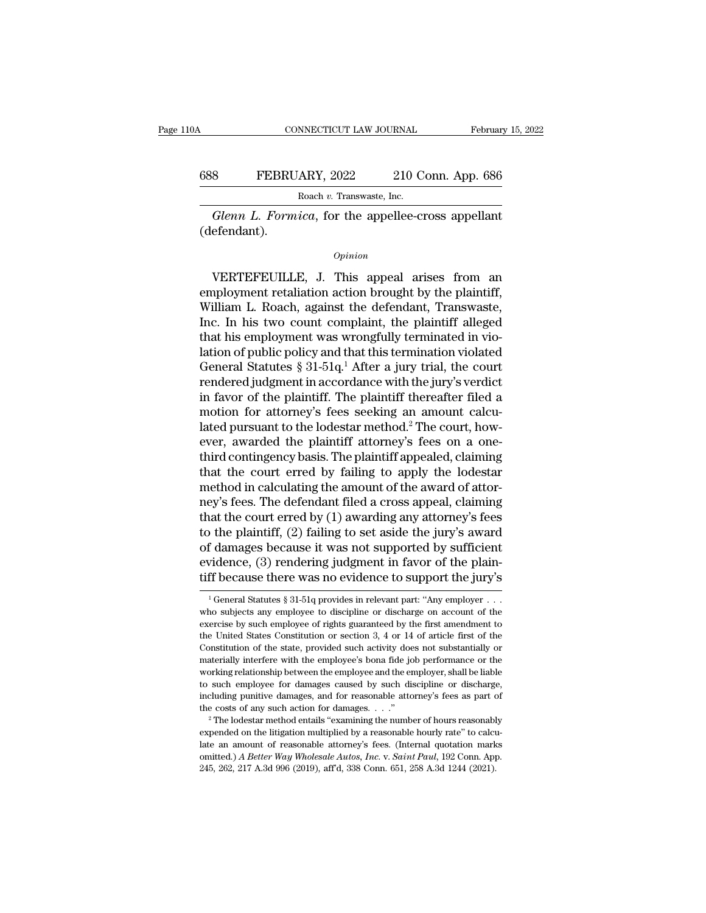#### CONNECTICUT LAW JOURNAL February 15, 2022<br>688 FEBRUARY, 2022 210 Conn. App. 686<br>Roach v. Transwaste, Inc. NNECTICUT LAW JOURNAL<br>ARY, 2022 210 C<br>Roach *v.* Transwaste, Inc.<br>*ica* for the appellee-c *GONNECTICUT LAW JOURNAL* February 15, 2022<br> **Glenn L. Formica**, for the appellee-cross appellant<br>
Fendant).

(defendant).

*Opinion*

Roach v. Transwaste, Inc.<br>
Glenn L. Formica, for the appellee-cross appellant<br>
efendant).<br>
Opinion<br>
VERTEFEUILLE, J. This appeal arises from an<br>
uployment retaliation action brought by the plaintiff,<br>
illiam L. Booch again Example 19 and the appeller cross appellant<br>
(defendant).<br>
Opinion<br>
VERTEFEUILLE, J. This appeal arises from an<br>
employment retaliation action brought by the plaintiff,<br>
William L. Roach, against the defendant, Transwaste, Glenn L. Formica, for the appellee-cross appellant<br>
(defendant).<br>  $\qquad$ <br>  $\qquad$  VERTEFEUILLE, J. This appeal arises from an<br>
employment retaliation action brought by the plaintiff,<br>
William L. Roach, against the defendant, Opinion<br>
Opinion<br>
VERTEFEUILLE, J. This appeal arises from an<br>
employment retaliation action brought by the plaintiff,<br>
William L. Roach, against the defendant, Transwaste,<br>
Inc. In his two count complaint, the plaintiff a *Opinion*<br>
VERTEFEUILLE, J. This appeal arises from an<br>
employment retaliation action brought by the plaintiff,<br>
William L. Roach, against the defendant, Transwaste,<br>
Inc. In his two count complaint, the plaintiff alleged EXTEFEUILLE, J. This appeal arises from an employment retaliation action brought by the plaintiff, William L. Roach, against the defendant, Transwaste, Inc. In his two count complaint, the plaintiff alleged that his emplo VERTEFEUILLE, J. This appeal arises from an employment retaliation action brought by the plaintiff, William L. Roach, against the defendant, Transwaste, Inc. In his two count complaint, the plaintiff alleged that his empl employment retaliation action brought by the plaintiff,<br>William L. Roach, against the defendant, Transwaste,<br>Inc. In his two count complaint, the plaintiff alleged<br>that his employment was wrongfully terminated in vio-<br>lati William L. Roach, against the defendant, Transwaste,<br>Inc. In his two count complaint, the plaintiff alleged<br>that his employment was wrongfully terminated in vio-<br>lation of public policy and that this termination violated<br>G Inc. In his two count complaint, the plaintiff alleged<br>that his employment was wrongfully terminated in vio-<br>lation of public policy and that this termination violated<br>General Statutes § 31-51q.<sup>1</sup> After a jury trial, the that his employment was wrongfully terminated in violation of public policy and that this termination violated<br>General Statutes § 31-51q.<sup>1</sup> After a jury trial, the court<br>rendered judgment in accordance with the jury's ver lation of public policy and that this termination violated<br>General Statutes  $\S 31-51q$ .<sup>1</sup> After a jury trial, the court<br>rendered judgment in accordance with the jury's verdict<br>in favor of the plaintiff. The plaintiff the General Statutes § 31-51q.<sup>1</sup> After a jury trial, the court<br>rendered judgment in accordance with the jury's verdict<br>in favor of the plaintiff. The plaintiff thereafter filed a<br>motion for attorney's fees seeking an amount rendered judgment in accordance with the jury's verdict<br>in favor of the plaintiff. The plaintiff thereafter filed a<br>motion for attorney's fees seeking an amount calcu-<br>lated pursuant to the lodestar method.<sup>2</sup> The court, h in favor of the plaintiff. The plaintiff thereafter filed a<br>motion for attorney's fees seeking an amount calcu-<br>lated pursuant to the lodestar method.<sup>2</sup> The court, how-<br>ever, awarded the plaintiff attorney's fees on a on motion for attorney's fees seeking an amount calculated pursuant to the lodestar method.<sup>2</sup> The court, however, awarded the plaintiff attorney's fees on a one-<br>third contingency basis. The plaintiff appealed, claiming that lated pursuant to the lodestar method.<sup>2</sup> The court, how-<br>ever, awarded the plaintiff attorney's fees on a one-<br>third contingency basis. The plaintiff appealed, claiming<br>that the court erred by failing to apply the lodesta ever, awarded the plaintiff attorney's fees on a one-<br>third contingency basis. The plaintiff appealed, claiming<br>that the court erred by failing to apply the lodestar<br>method in calculating the amount of the award of attor-<br> third contingency basis. The plaintiff appealed, claiming<br>that the court erred by failing to apply the lodestar<br>method in calculating the amount of the award of attor-<br>ney's fees. The defendant filed a cross appeal, claimi that the court erred by failing to apply the lodestar<br>method in calculating the amount of the award of attor-<br>ney's fees. The defendant filed a cross appeal, claiming<br>that the court erred by (1) awarding any attorney's fee method in calculating the amount of the award of attor-<br>ney's fees. The defendant filed a cross appeal, claiming<br>that the court erred by (1) awarding any attorney's fees<br>to the plaintiff, (2) failing to set aside the jury 1 General Statutes § 31-51q provides in relevant part: "Any employer ..."<br>
The decause there was no evidence to support the plain-<br>  $\frac{1}{1}$  General Statutes § 31-51q provides in relevant part: "Any employer ..."<br>
The de of damages because it was not supported by sufficient<br>evidence, (3) rendering judgment in favor of the plain-<br>tiff because there was no evidence to support the jury's<br> $\frac{1}{1}$ General Statutes § 31-51q provides in relevan

evidence, (3) rendering judgment in favor of the plain-<br>tiff because there was no evidence to support the jury's<br> $\frac{1}{1}$ General Statutes § 31-51q provides in relevant part: "Any employer ...<br>who subjects any employee to tiff because there was no evidence to support the jury's<br>  $\frac{1}{1}$  General Statutes § 31-51q provides in relevant part: "Any employer . . .<br>
who subjects any employee to discipline or discharge on account of the<br>
exercis tiff because there was no evidence to support the jury's<br>  $\frac{1}{1}$  General Statutes § 31-51q provides in relevant part: "Any employer ...<br>
who subjects any employee to discipline or discharge on account of the<br>
exercise <sup>1</sup> General Statutes § 31-51q provides in relevant part: "Any employer  $\ldots$  who subjects any employee to discipline or discharge on account of the exercise by such employee of rights guaranteed by the first amendment to who subjects any employee to discipline or discharge on account of the exercise by such employee to discipline or discharge on account of the exercise by such employee of rights guaranteed by the first amendment to the Uni exercise by such employee of rights guaranteed by the first amendment to the United States Constitution or section 3, 4 or 14 of article first of the Constitution of the state, provided such activity does not substantially the United States Constitution or section 3, 4 or 14 of article first of the Constitution of the state, provided such activity does not substantially or materially interfere with the employee's bona fide job performance or Constitution of the state, provided such activity does not substantially or materially interfere with the employee's bona fide job performance or the working relationship between the employee and the employer, shall be li working relationship between the employee and the employer, shall be liable<br>to such employee for damages caused by such discipline or discharge,<br>including punitive damages, and for reasonable attorney's fees as part of<br>th

It is such among the amount of reasonable attorney's fees as part of the costs of any such action for damages.  $\ldots$ "<br>
<sup>2</sup> The lodestar method entails "examining the number of hours reasonably expended on the litigation m including punitive damages, and for reasonable attorney's fees as part of<br>the costs of any such action for damages. . . ."<br><sup>2</sup> The lodestar method entails "examining the number of hours reasonably<br>expended on the litigatio 245, 262, 217 A.3d 996 (2019), aff'd, 338 Conn. 651, 258 A.3d 1244 (2021).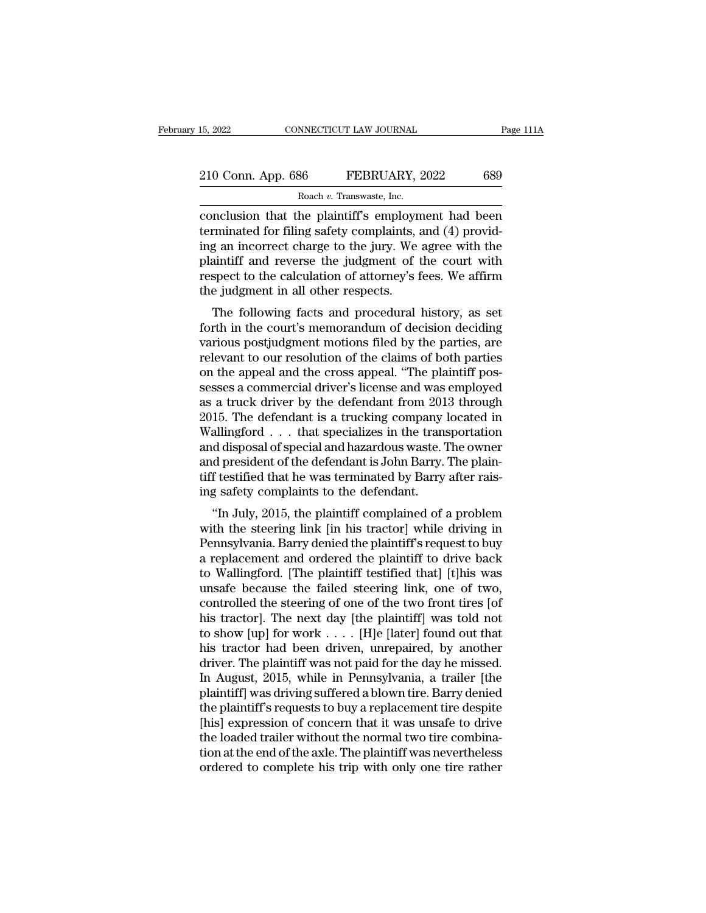## 15, 2022 CONNECTICUT LAW JOURNAL Page 111A<br>
210 Conn. App. 686 FEBRUARY, 2022 689<br>
Roach v. Transwaste, Inc. 15, 2022 CONNECTICUT LAW JOURNAL<br>
210 Conn. App. 686 FEBRUARY, 2022 689<br>
Roach *v.* Transwaste, Inc.<br>
conclusion that the plaintiff's employment had been

connectricut LAW JOURNAL Page 111A<br>
210 Conn. App. 686 FEBRUARY, 2022 689<br>
Roach v. Transwaste, Inc.<br>
conclusion that the plaintiff's employment had been<br>
terminated for filing safety complaints, and (4) provid-<br>
ing an in 210 Conn. App. 686 FEBRUARY, 2022 689<br>
Roach v. Transwaste, Inc.<br>
conclusion that the plaintiff's employment had been<br>
terminated for filing safety complaints, and (4) provid-<br>
ing an incorrect charge to the jury. We agre 210 Conn. App. 686 FEBRUARY, 2022 689<br>
Roach v. Transwaste, Inc.<br>
conclusion that the plaintiff's employment had been<br>
terminated for filing safety complaints, and (4) provid-<br>
ing an incorrect charge to the jury. We agre 210 Conn. App. 686 FEBRUARY, 2022 689<br>
Roach v. Transwaste, Inc.<br>
conclusion that the plaintiff's employment had been<br>
terminated for filing safety complaints, and (4) provid-<br>
ing an incorrect charge to the jury. We agre Roach *v*. Transwaste, Inc.<br>
conclusion that the plaintiff's employment had been<br>
terminated for filing safety complaints, and (4) provid-<br>
ing an incorrect charge to the jury. We agree with the<br>
plaintiff and reverse the Roach v. Transwaste, Inc.<br>
conclusion that the plaintiff's employn<br>
terminated for filing safety complaints, a<br>
ing an incorrect charge to the jury. We<br>
plaintiff and reverse the judgment of t<br>
respect to the calculation o minated for filing safety complaints, and (4) provided an incorrect charge to the jury. We agree with the aintiff and reverse the judgment of the court with spect to the calculation of attorney's fees. We affirm e judgment Forthinated for filing safety complaints, and  $(4)$  providing an incorrect charge to the jury. We agree with the plaintiff and reverse the judgment of the court with respect to the calculation of attorney's fees. We affir

ing an incorrect charge to the jury. We agree while the<br>plaintiff and reverse the judgment of the court with<br>respect to the calculation of attorney's fees. We affirm<br>the judgment in all other respects.<br>The following facts plantificant and reverse the judgment of the court with<br>respect to the calculation of attorney's fees. We affirm<br>the judgment in all other respects.<br>The following facts and procedural history, as set<br>forth in the court's m respect to the calculation of attorney's fees. We affirm<br>the judgment in all other respects.<br>The following facts and procedural history, as set<br>forth in the court's memorandum of decision deciding<br>various postjudgment moti The following facts and procedural history, as set<br>forth in the court's memorandum of decision deciding<br>various postjudgment motions filed by the parties, are<br>relevant to our resolution of the claims of both parties<br>on the The following facts and procedural history, as set<br>forth in the court's memorandum of decision deciding<br>various postjudgment motions filed by the parties, are<br>relevant to our resolution of the claims of both parties<br>on the forth in the court's memorandum of decision deciding<br>various postjudgment motions filed by the parties, are<br>relevant to our resolution of the claims of both parties<br>on the appeal and the cross appeal. "The plaintiff pos-<br>s various postjudgment motions filed by the parties, are<br>relevant to our resolution of the claims of both parties<br>on the appeal and the cross appeal. "The plaintiff pos-<br>sesses a commercial driver's license and was employed<br> relevant to our resolution of the claims of both parties<br>on the appeal and the cross appeal. "The plaintiff pos-<br>sesses a commercial driver's license and was employed<br>as a truck driver by the defendant from 2013 through<br>20 on the appeal and the cross appeal. "The plaintiff possesses a commercial driver's license and was employed as a truck driver by the defendant from 2013 through 2015. The defendant is a trucking company located in Wallingf sesses a commercial driver's license and was employed<br>as a truck driver by the defendant from 2013 through<br>2015. The defendant is a trucking company located in<br>Wallingford . . . that specializes in the transportation<br>and d as a truck driver by the defendant from 201<br>2015. The defendant is a trucking company<br>Wallingford . . . that specializes in the trans<br>and disposal of special and hazardous waste. I<br>and president of the defendant is John Ba 15. The defendant is a trucking company located in<br>allingford . . . that specializes in the transportation<br>d disposal of special and hazardous waste. The owner<br>d president of the defendant is John Barry. The plain-<br>f testi wannigotu  $\ldots$  that spectanzes in the transportation<br>and disposal of special and hazardous waste. The owner<br>and president of the defendant is John Barry. The plain-<br>tiff testified that he was terminated by Barry after ra

and usposal of special and hazardous waste. The owner<br>and president of the defendant is John Barry. The plain-<br>tiff testified that he was terminated by Barry after rais-<br>ing safety complaints to the defendant.<br>"In July, 20 and president of the defendant is solid barry. The plant-<br>tiff testified that he was terminated by Barry after rais-<br>ing safety complaints to the defendant.<br>"In July, 2015, the plaintiff complained of a problem<br>with the st the usual term was definited by Barry after raising safety complaints to the defendant.<br>
"In July, 2015, the plaintiff complained of a problem<br>
with the steering link [in his tractor] while driving in<br>
Pennsylvania. Barry "In July, 2015, the plaintiff complained of a problem<br>with the steering link [in his tractor] while driving in<br>Pennsylvania. Barry denied the plaintiff's request to buy<br>a replacement and ordered the plaintiff to drive back "In July, 2015, the plaintiff complained of a problem<br>with the steering link [in his tractor] while driving in<br>Pennsylvania. Barry denied the plaintiff's request to buy<br>a replacement and ordered the plaintiff to drive bac with the steering link [in his tractor] while driving in Pennsylvania. Barry denied the plaintiff's request to buy<br>a replacement and ordered the plaintiff to drive back<br>to Wallingford. [The plaintiff testified that] [t]hi Pennsylvania. Barry denied the plaintiff's request to buy<br>a replacement and ordered the plaintiff to drive back<br>to Wallingford. [The plaintiff testified that] [t]his was<br>unsafe because the failed steering link, one of two, a replacement and ordered the plaintiff to drive back<br>to Wallingford. [The plaintiff testified that] [t]his was<br>unsafe because the failed steering link, one of two,<br>controlled the steering of one of the two front tires [of to Wallingford. [The plaintiff testified that] [t]his was<br>unsafe because the failed steering link, one of two,<br>controlled the steering of one of the two front tires [of<br>his tractor]. The next day [the plaintiff] was told n unsafe because the failed steering link, one of two,<br>controlled the steering of one of the two front tires [of<br>his tractor]. The next day [the plaintiff] was told not<br>to show [up] for work  $\dots$  [H]e [later] found out that controlled the steering of one of the two front tires [of<br>his tractor]. The next day [the plaintiff] was told not<br>to show [up] for work . . . . [H]e [later] found out that<br>his tractor had been driven, unrepaired, by anoth his tractor]. The next day [the plaintiff] was told not<br>to show [up] for work  $\dots$  [H]e [later] found out that<br>his tractor had been driven, unrepaired, by another<br>driver. The plaintiff was not paid for the day he missed.<br> to show [up] for work . . . . . [H]e [later] found out that<br>his tractor had been driven, unrepaired, by another<br>driver. The plaintiff was not paid for the day he missed.<br>In August, 2015, while in Pennsylvania, a trailer [ his tractor had been driven, unrepaired, by another<br>driver. The plaintiff was not paid for the day he missed.<br>In August, 2015, while in Pennsylvania, a trailer [the<br>plaintiff] was driving suffered a blown tire. Barry denie driver. The plaintiff was not paid for the day he missed.<br>In August, 2015, while in Pennsylvania, a trailer [the<br>plaintiff] was driving suffered a blown tire. Barry denied<br>the plaintiff's requests to buy a replacement tire In August, 2015, while in Pennsylvania, a trailer [the plaintiff] was driving suffered a blown tire. Barry denied the plaintiff's requests to buy a replacement tire despite [his] expression of concern that it was unsafe to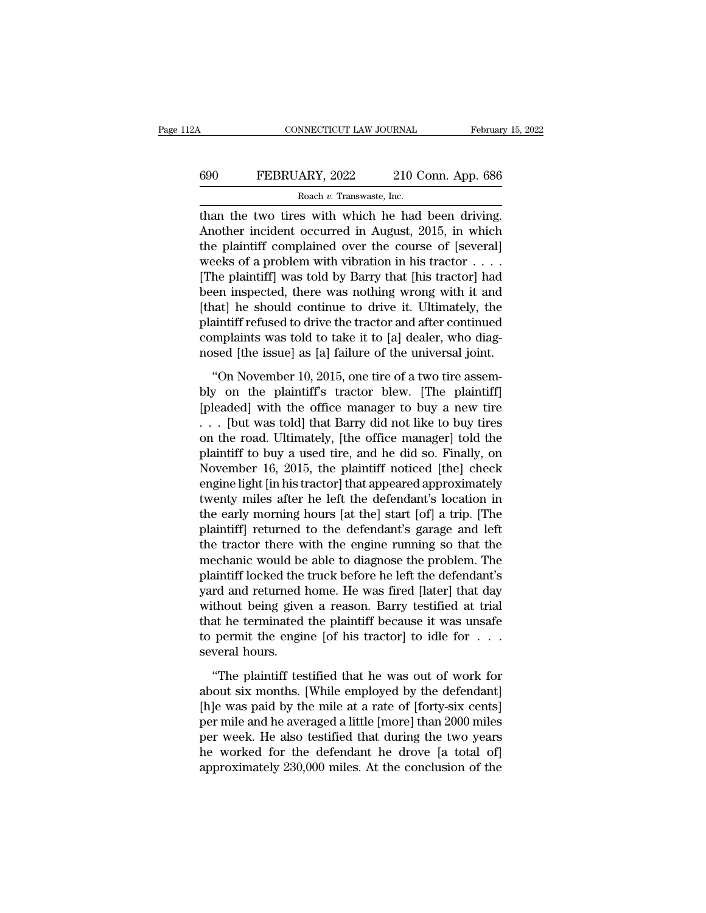## CONNECTICUT LAW JOURNAL February 15, 2022<br>690 FEBRUARY, 2022 210 Conn. App. 686<br>Roach v. Transwaste, Inc. ROM MECTICUT LAW JOURNAL<br>ARY, 2022 210 C<br>Roach *v.* Transwaste, Inc.<br>San With which he had

CONNECTICUT LAW JOURNAL February 15, 2<br>
690 FEBRUARY, 2022 210 Conn. App. 686<br>
Roach v. Transwaste, Inc.<br>
than the two tires with which he had been driving.<br>
Another incident occurred in August, 2015, in which<br>
the plainti FEBRUARY, 2022 210 Conn. App. 686<br>
Roach v. Transwaste, Inc.<br>
than the two tires with which he had been driving.<br>
Another incident occurred in August, 2015, in which<br>
the plaintiff complained over the course of [several]<br> FEBRUARY, 2022 210 Conn. App. 686<br>
Roach v. Transwaste, Inc.<br>
than the two tires with which he had been driving.<br>
Another incident occurred in August, 2015, in which<br>
the plaintiff complained over the course of [several]<br> FEBRUARY, 2022 210 Conn. App. 686<br>
Roach v. Transwaste, Inc.<br>
than the two tires with which he had been driving.<br>
Another incident occurred in August, 2015, in which<br>
the plaintiff complained over the course of [several]<br> Roach v. Transwaste, Inc.<br>
The plant of the plaintiff complained over the course of [several]<br>
the plaintiff complained over the course of [several]<br>
weeks of a problem with vibration in his tractor . . . .<br>
[The plaintiff **Example 18 Follow** in Franswasse, inc.<br>
than the two tires with which he had been driving.<br>
Another incident occurred in August, 2015, in which<br>
the plaintiff complained over the course of [several]<br>
weeks of a problem w than the two tires with which he had been driving.<br>Another incident occurred in August, 2015, in which<br>the plaintiff complained over the course of [several]<br>weeks of a problem with vibration in his tractor  $\dots$ <br>[The plain Another incident occurred in August, 2015, in which<br>the plaintiff complained over the course of [several]<br>weeks of a problem with vibration in his tractor  $\dots$ <br>[The plaintiff] was told by Barry that [his tractor] had<br>been the plaintiff complained over the course of [several]<br>weeks of a problem with vibration in his tractor  $\dots$ <br>[The plaintiff] was told by Barry that [his tractor] had<br>been inspected, there was nothing wrong with it and<br>[tha weeks of a problem with vibration in his tractor  $\ldots$ .<br>[The plaintiff] was told by Barry that [his tractor] had<br>been inspected, there was nothing wrong with it and<br>[that] he should continue to drive it. Ultimately, the<br>p [The plaintiff] was told by Barry that [his tractor] had<br>been inspected, there was nothing wrong with it and<br>[that] he should continue to drive it. Ultimately, the<br>plaintiff refused to drive the tractor and after continued Final he should continue to drive it. Ultimately, the plaintiff refused to drive the tractor and after continued complaints was told to take it to [a] dealer, who diagnosed [the issue] as [a] failure of the universal joint

plaintiff refused to drive the tractor and after continued<br>complaints was told to take it to [a] dealer, who diag-<br>nosed [the issue] as [a] failure of the universal joint.<br>"On November 10, 2015, one tire of a two tire ass complaints was told to take it to [a] dealer, who diag-<br>nosed [the issue] as [a] failure of the universal joint.<br>"On November 10, 2015, one tire of a two tire assem-<br>bly on the plaintiff's tractor blew. [The plaintiff]<br>[p nosed [the issue] as [a] failure of the universal joint.<br>
"On November 10, 2015, one tire of a two tire assem-<br>
bly on the plaintiff's tractor blew. [The plaintiff]<br>
[pleaded] with the office manager to buy a new tire<br>  $\d$ "On November 10, 2015, one tire of a two tire assem-<br>bly on the plaintiff's tractor blew. [The plaintiff]<br>[pleaded] with the office manager to buy a new tire<br> $\ldots$  [but was told] that Barry did not like to buy tires<br>on th "On November 10, 2015, one tire of a two tire assem-<br>bly on the plaintiff's tractor blew. [The plaintiff]<br>[pleaded] with the office manager to buy a new tire<br> $\ldots$  [but was told] that Barry did not like to buy tires<br>on th bly on the plaintiff's tractor blew. [The plaintiff]<br>[pleaded] with the office manager to buy a new tire<br>... [but was told] that Barry did not like to buy tires<br>on the road. Ultimately, [the office manager] told the<br>plain [pleaded] with the office manager to buy a new tire<br>
. . . [but was told] that Barry did not like to buy tires<br>
on the road. Ultimately, [the office manager] told the<br>
plaintiff to buy a used tire, and he did so. Finally, . . . [but was told] that Barry did not like to buy tires<br>on the road. Ultimately, [the office manager] told the<br>plaintiff to buy a used tire, and he did so. Finally, on<br>November 16, 2015, the plaintiff noticed [the] check on the road. Ultimately, [the office manager] told the<br>plaintiff to buy a used tire, and he did so. Finally, on<br>November 16, 2015, the plaintiff noticed [the] check<br>engine light [in his tractor] that appeared approximately plaintiff to buy a used tire, and he did so. Finally, on<br>November 16, 2015, the plaintiff noticed [the] check<br>engine light [in his tractor] that appeared approximately<br>twenty miles after he left the defendant's location in November 16, 2015, the plaintiff noticed [the] check<br>engine light [in his tractor] that appeared approximately<br>twenty miles after he left the defendant's location in<br>the early morning hours [at the] start [of] a trip. [The engine light [in his tractor] that appeared approximately<br>twenty miles after he left the defendant's location in<br>the early morning hours [at the] start [of] a trip. [The<br>plaintiff] returned to the defendant's garage and le twenty miles after he left the defendant's location in<br>the early morning hours [at the] start [of] a trip. [The<br>plaintiff] returned to the defendant's garage and left<br>the tractor there with the engine running so that the<br>m the early morning hours [at the] start [of] a trip. [The<br>plaintiff] returned to the defendant's garage and left<br>the tractor there with the engine running so that the<br>mechanic would be able to diagnose the problem. The<br>plai plaintiff] returned to the defendant's garage and left<br>the tractor there with the engine running so that the<br>mechanic would be able to diagnose the problem. The<br>plaintiff locked the truck before he left the defendant's<br>yar the tractor there with the engine running so that the mechanic would be able to diagnose the problem. The plaintiff locked the truck before he left the defendant's yard and returned home. He was fired [later] that day with mechanic would be<br>plaintiff locked the<br>yard and returned l<br>without being give<br>that he terminated<br>to permit the engin<br>several hours.<br>"The plaintiff tes rd and returned home. He was fired [later] that day<br>thout being given a reason. Barry testified at trial<br>at he terminated the plaintiff because it was unsafe<br>permit the engine [of his tractor] to idle for . . .<br>weral hours without being given a reason. Barry testified at trial<br>that he terminated the plaintiff because it was unsafe<br>to permit the engine [of his tractor] to idle for  $\dots$ <br>several hours.<br>"The plaintiff testified that he was out

that he terminated the plaintiff because it was unsafe<br>to permit the engine [of his tractor] to idle for  $\dots$ <br>several hours.<br>"The plaintiff testified that he was out of work for<br>about six months. [While employed by the de to permit the engine [of his tractor] to idle for  $\ldots$  several hours.<br>
"The plaintiff testified that he was out of work for<br>
about six months. [While employed by the defendant]<br>
[h]e was paid by the mile at a rate of [fo several hours.<br>
"The plaintiff testified that he was out of work for<br>
about six months. [While employed by the defendant]<br>
[h]e was paid by the mile at a rate of [forty-six cents]<br>
per mile and he averaged a little [more] "The plaintiff testified that he was out of work for about six months. [While employed by the defendant] [h]e was paid by the mile at a rate of [forty-six cents] per mile and he averaged a little [more] than 2000 miles per "The plaintiff testified that he was out of work for about six months. [While employed by the defendant] [h]e was paid by the mile at a rate of [forty-six cents] per mile and he averaged a little [more] than 2000 miles per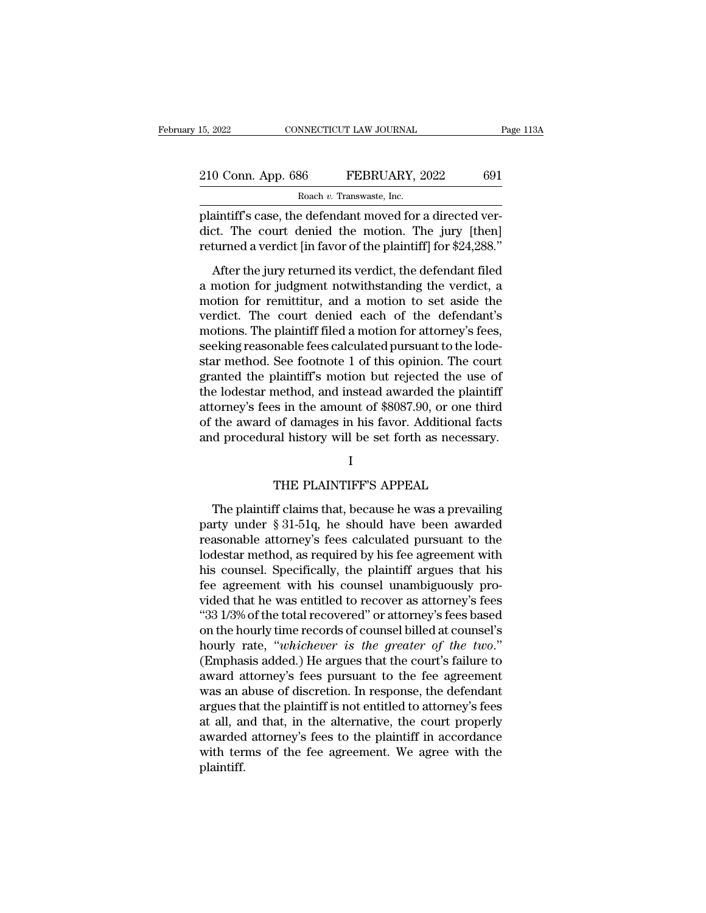| 15, 2022<br>CONNECTICUT LAW JOURNAL |                                                          | Page 113A |  |
|-------------------------------------|----------------------------------------------------------|-----------|--|
| 210 Conn. App. 686                  | FEBRUARY, 2022                                           | 691       |  |
|                                     | Roach v. Transwaste, Inc.                                |           |  |
|                                     | plaintiff's case the defendant moved for a directed ver- |           |  |

15, 2022 CONNECTICUT LAW JOURNAL<br>
210 Conn. App. 686 FEBRUARY, 2022 691<br>
Roach v. Transwaste, Inc.<br>
plaintiff's case, the defendant moved for a directed ver-<br>
dict. The court denied the motion. The jury [then] 210 Conn. App. 686 FEBRUARY, 2022 691<br>Roach v. Transwaste, Inc.<br>plaintiff's case, the defendant moved for a directed verdict. The court denied the motion. The jury [then]<br>returned a verdict [in favor of the plaintiff] for 210 Conn. App. 686 FEBRUARY, 2022 691<br>
Roach v. Transwaste, Inc.<br>
plaintiff's case, the defendant moved for a directed verdict. The court denied the motion. The jury [then]<br>
returned a verdict [in favor of the plaintiff] After the jury returned its verdict, the defendant filed

Roach v. Transwaste, Inc.<br>
plaintiff's case, the defendant moved for a directed ver-<br>
dict. The court denied the motion. The jury [then]<br>
returned a verdict [in favor of the plaintiff] for \$24,288."<br>
After the jury return plaintiff's case, the defendant moved for a directed verdict. The court denied the motion. The jury [then]<br>returned a verdict [in favor of the plaintiff] for \$24,288."<br>After the jury returned its verdict, the defendant fil plantaries case, are determined the motion. The jury [then]<br>returned a verdict [in favor of the plaintiff] for \$24,288."<br>After the jury returned its verdict, the defendant filed<br>a motion for judgment notwithstanding the ve motions. The board actrical and interfall in favor of the plaintiff] for \$24,288."<br>
After the jury returned its verdict, the defendant filed<br>
a motion for judgment notwithstanding the verdict, a<br>
motion for remittitur, and returned a verdict [in favor of the plaintiff] for \$24,288."<br>After the jury returned its verdict, the defendant filed<br>a motion for judgment notwithstanding the verdict, a<br>motion for remittitur, and a motion to set aside th After the jury returned its verdict, the defendant filed<br>a motion for judgment notwithstanding the verdict, a<br>motion for remittitur, and a motion to set aside the<br>verdict. The court denied each of the defendant's<br>motions. a motion for judgment notwithstanding the verdict, a<br>motion for remittitur, and a motion to set aside the<br>verdict. The court denied each of the defendant's<br>motions. The plaintiff filed a motion for attorney's fees,<br>seeking motion for remittitur, and a motion to set aside the<br>verdict. The court denied each of the defendant's<br>motions. The plaintiff filed a motion for attorney's fees,<br>seeking reasonable fees calculated pursuant to the lode-<br>sta verdict. The court denied each of the defendant's<br>motions. The plaintiff filed a motion for attorney's fees,<br>seeking reasonable fees calculated pursuant to the lode-<br>star method. See footnote 1 of this opinion. The court<br>g motions. The plaintiff filed a motion for attorney's fees,<br>seeking reasonable fees calculated pursuant to the lode-<br>star method. See footnote 1 of this opinion. The court<br>granted the plaintiff's motion but rejected the use seeking reasonable fees calculated pursuant to the lode-<br>star method. See footnote 1 of this opinion. The court<br>granted the plaintiff's motion but rejected the use of<br>the lodestar method, and instead awarded the plaintiff<br> method, and instead awarded the plaint:<br>
is in the amount of \$8087.90, or one this<br>
of damages in his favor. Additional fact<br>
cal history will be set forth as necessar;<br>
I<br>
THE PLAINTIFF'S APPEAL<br>
of claims that, because h

## I

the award of damages in his favor. Additional facts<br>
d procedural history will be set forth as necessary.<br>
I<br>
THE PLAINTIFF'S APPEAL<br>
The plaintiff claims that, because he was a prevailing<br>
rty under § 31-51q, he should ha and procedural history will be set forth as necessary.<br>
I<br>
THE PLAINTIFF'S APPEAL<br>
The plaintiff claims that, because he was a prevailing<br>
party under § 31-51q, he should have been awarded<br>
reasonable attorney's fees calcu I<br>
THE PLAINTIFF'S APPEAL<br>
The plaintiff claims that, because he was a prevailing<br>
party under § 31-51q, he should have been awarded<br>
reasonable attorney's fees calculated pursuant to the<br>
lodestar method, as required by h l<br>
THE PLAINTIFF'S APPEAL<br>
The plaintiff claims that, because he was a prevailing<br>
party under § 31-51q, he should have been awarded<br>
reasonable attorney's fees calculated pursuant to the<br>
lodestar method, as required by h THE PLAINTIFF'S APPEAL<br>The plaintiff claims that, because he was a prevailing<br>party under § 31-51q, he should have been awarded<br>reasonable attorney's fees calculated pursuant to the<br>lodestar method, as required by his fee The plaintiff claims that, because he was a prevailing<br>party under § 31-51q, he should have been awarded<br>reasonable attorney's fees calculated pursuant to the<br>lodestar method, as required by his fee agreement with<br>his cou The plaintiff claims that, because he was a prevailing<br>party under § 31-51q, he should have been awarded<br>reasonable attorney's fees calculated pursuant to the<br>lodestar method, as required by his fee agreement with<br>his cou party under § 31-51q, he should have been awarded<br>reasonable attorney's fees calculated pursuant to the<br>lodestar method, as required by his fee agreement with<br>his counsel. Specifically, the plaintiff argues that his<br>fee ag reasonable attorney's fees calculated pursuant to the<br>lodestar method, as required by his fee agreement with<br>his counsel. Specifically, the plaintiff argues that his<br>fee agreement with his counsel unambiguously pro-<br>vided lodestar method, as required by his fee agreement with<br>his counsel. Specifically, the plaintiff argues that his<br>fee agreement with his counsel unambiguously pro-<br>vided that he was entitled to recover as attorney's fees<br>"33 his counsel. Specifically, the plaintiff argues that his<br>fee agreement with his counsel unambiguously pro-<br>vided that he was entitled to recover as attorney's fees<br>"33 1/3% of the total recovered" or attorney's fees based<br> fee agreement with his counsel unambiguously pro-<br>vided that he was entitled to recover as attorney's fees<br>"33 1/3% of the total recovered" or attorney's fees based<br>on the hourly time records of counsel billed at counsel's vided that he was entitled to recover as attorney's fees<br>
"33 1/3% of the total recovered" or attorney's fees based<br>
on the hourly time records of counsel billed at counsel's<br>
hourly rate, "whichever is the greater of the " $33\,1/3\%$  of the total recovered" or attorney's fees based<br>on the hourly time records of counsel billed at counsel's<br>hourly rate, "whichever is the greater of the two."<br>(Emphasis added.) He argues that the court's fail on the hourly time records of counsel billed at counsel's<br>
hourly rate, "whichever is the greater of the two."<br>
(Emphasis added.) He argues that the court's failure to<br>
award attorney's fees pursuant to the fee agreement<br> hourly rate, "whichever is the greater of the two."<br>(Emphasis added.) He argues that the court's failure to<br>award attorney's fees pursuant to the fee agreement<br>was an abuse of discretion. In response, the defendant<br>argues (Emphasis added.) He argues that the court's failure to award attorney's fees pursuant to the fee agreement was an abuse of discretion. In response, the defendant argues that the plaintiff is not entitled to attorney's fee plaintiff.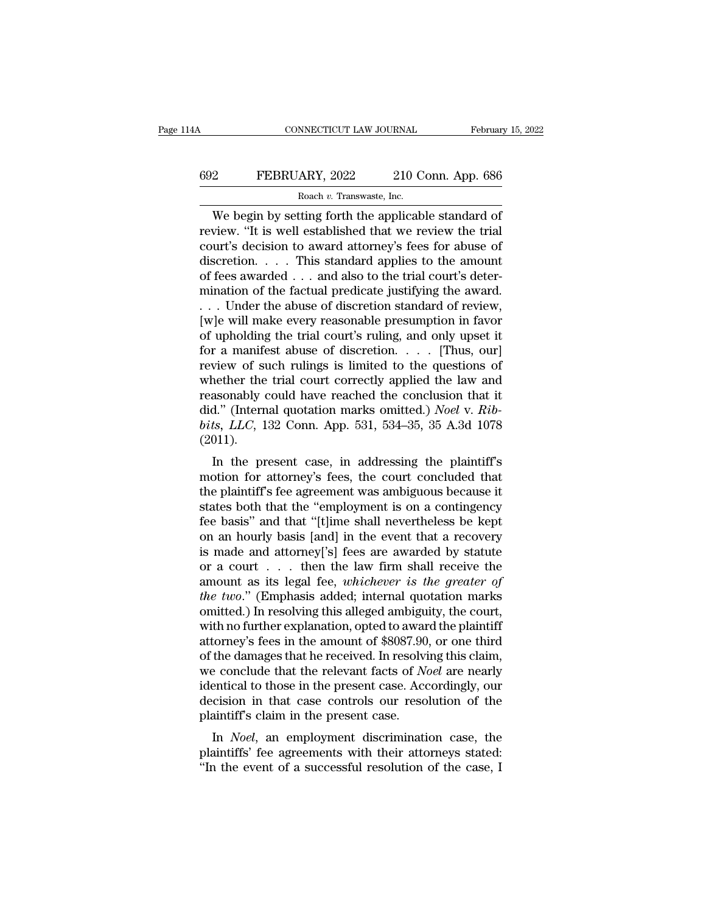## CONNECTICUT LAW JOURNAL February 15, 2022<br>692 FEBRUARY, 2022 210 Conn. App. 686<br>Roach v. Transwaste, Inc. NNECTICUT LAW JOURNAL<br>ARY, 2022 210 C<br>Roach *v.* Transwaste, Inc.<br>Iting forth the annlicab

CONNECTICUT LAW JOURNAL February 15, 202<br>
PEBRUARY, 2022 210 Conn. App. 686<br>
Roach v. Transwaste, Inc.<br>
We begin by setting forth the applicable standard of<br>
view. "It is well established that we review the trial<br>
wr's doc FEBRUARY, 2022 210 Conn. App. 686<br>
Roach v. Transwaste, Inc.<br>
We begin by setting forth the applicable standard of<br>
review. "It is well established that we review the trial<br>
court's decision to award attorney's fees for a EGRUARY, 2022 210 Conn. App. 686<br>
Roach v. Transwaste, Inc.<br>
We begin by setting forth the applicable standard of<br>
review. "It is well established that we review the trial<br>
court's decision to award attorney's fees for ab FEBRUARY, 2022 210 Conn. App. 686<br>
Roach v. Transwaste, Inc.<br>
We begin by setting forth the applicable standard of<br>
review. "It is well established that we review the trial<br>
court's decision to award attorney's fees for a Roach v. Transwaste, Inc.<br>
We begin by setting forth the applicable standard of<br>
review. "It is well established that we review the trial<br>
court's decision to award attorney's fees for abuse of<br>
discretion. . . . This sta Example 10. Transwaste, Inc.<br>
We begin by setting forth the applicable standard of<br>
review. "It is well established that we review the trial<br>
court's decision to award attorney's fees for abuse of<br>
discretion. . . . . Thi We begin by setting forth the applicable standard of<br>review. "It is well established that we review the trial<br>court's decision to award attorney's fees for abuse of<br>discretion. . . . . This standard applies to the amount<br> review. "It is well established that we review the trial<br>court's decision to award attorney's fees for abuse of<br>discretion. . . . This standard applies to the amount<br>of fees awarded . . . and also to the trial court's dete court's decision to award attorney's fees for abuse of discretion. . . . . This standard applies to the amount of fees awarded . . . and also to the trial court's determination of the factual predicate justifying the awar discretion. . . . . This standard applies to the amount<br>of fees awarded . . . and also to the trial court's deter-<br>mination of the factual predicate justifying the award.<br>. . . Under the abuse of discretion standard of rev of fees awarded . . . and also to the trial court's deter-<br>mination of the factual predicate justifying the award.<br>. . . Under the abuse of discretion standard of review,<br>[w]e will make every reasonable presumption in favo mination of the factual predicate justifying the award.<br>
... Under the abuse of discretion standard of review,<br>
[w]e will make every reasonable presumption in favor<br>
of upholding the trial court's ruling, and only upset i ... Under the abuse of discretion standard of review,<br>[w]e will make every reasonable presumption in favor<br>of upholding the trial court's ruling, and only upset it<br>for a manifest abuse of discretion.... [Thus, our]<br>review [w]e will make every reasonable presumption in favor<br>of upholding the trial court's ruling, and only upset it<br>for a manifest abuse of discretion. . . . . [Thus, our]<br>review of such rulings is limited to the questions of<br>wh of upholding the trial court's ruling, and only upset it<br>for a manifest abuse of discretion. . . . . [Thus, our]<br>review of such rulings is limited to the questions of<br>whether the trial court correctly applied the law and<br>r (2011). Fraction Such Tullings is influed to the questions of<br>
nether the trial court correctly applied the law and<br>
assonably could have reached the conclusion that it<br>
d." (Internal quotation marks omitted.) *Noel* v. *Rib-*<br>
ts whether the that court correctly applied the raw and<br>reasonably could have reached the conclusion that it<br>did." (Internal quotation marks omitted.) *Noel v. Rib-<br>bits, LLC*, 132 Conn. App. 531, 534–35, 35 A.3d 1078<br>(2011)

teasonably could have reached the conclusion that it<br>did." (Internal quotation marks omitted.) *Noel v. Rib-*<br>bits, *LLC*, 132 Conn. App. 531, 534–35, 35 A.3d 1078<br>(2011).<br>In the present case, in addressing the plaintiff' ond. (Internal quotation marks omitted.) *Noet V. Ktobits, LLC*, 132 Conn. App. 531, 534–35, 35 A.3d 1078 (2011).<br>
In the present case, in addressing the plaintiff's<br>
motion for attorney's fees, the court concluded that<br> feed by the present case, in addressing the plaintiff's motion for attorney's fees, the court concluded that the plaintiff's fee agreement was ambiguous because it states both that the "employment is on a contingency fee (2011).<br>
In the present case, in addressing the plaintiff's<br>
motion for attorney's fees, the court concluded that<br>
the plaintiff's fee agreement was ambiguous because it<br>
states both that the "employment is on a contingen In the present case, in addressing the plaintiff's<br>motion for attorney's fees, the court concluded that<br>the plaintiff's fee agreement was ambiguous because it<br>states both that the "employment is on a contingency<br>fee basis motion for attorney's fees, the court concluded that<br>the plaintiff's fee agreement was ambiguous because it<br>states both that the "employment is on a contingency<br>fee basis" and that "[t]ime shall nevertheless be kept<br>on an the plaintiff's fee agreement was ambiguous because it<br>states both that the "employment is on a contingency<br>fee basis" and that "[t]ime shall nevertheless be kept<br>on an hourly basis [and] in the event that a recovery<br>is ma states both that the "employment is on a contingency<br>fee basis" and that "[t]ime shall nevertheless be kept<br>on an hourly basis [and] in the event that a recovery<br>is made and attorney['s] fees are awarded by statute<br>or a co fee basis" and that "[t]ime shall nevertheless be kept<br>on an hourly basis [and] in the event that a recovery<br>is made and attorney['s] fees are awarded by statute<br>or a court . . . then the law firm shall receive the<br>amount on an hourly basis [and] in the event that a recovery<br>is made and attorney['s] fees are awarded by statute<br>or a court . . . then the law firm shall receive the<br>amount as its legal fee, *whichever is the greater of*<br>the tw is made and attorney['s] fees are awarded by statute<br>or a court . . . then the law firm shall receive the<br>amount as its legal fee, *whichever is the greater of*<br>the two." (Emphasis added; internal quotation marks<br>omitted. or a court  $\ldots$  then the law firm shall receive the<br>amount as its legal fee, *whichever is the greater of*<br>*the two.*" (Emphasis added; internal quotation marks<br>omitted.) In resolving this alleged ambiguity, the court,<br>w amount as its legal fee, *whichever is the greater of*<br>*the two.*" (Emphasis added; internal quotation marks<br>omitted.) In resolving this alleged ambiguity, the court,<br>with no further explanation, opted to award the plaint the two." (Emphasis added; internal quotation marks<br>omitted.) In resolving this alleged ambiguity, the court,<br>with no further explanation, opted to award the plaintiff<br>attorney's fees in the amount of \$8087.90, or one thir omitted.) In resolving this alleged ambiguity, the court,<br>with no further explanation, opted to award the plaintiff<br>attorney's fees in the amount of \$8087.90, or one third<br>of the damages that he received. In resolving this with no further explanation, opted to aware<br>attorney's fees in the amount of \$8087.90<br>of the damages that he received. In resolvi<br>we conclude that the relevant facts of N<br>identical to those in the present case. Acc<br>decisio In *Noel*, an employment discrimination case, the antiffs' discrimination case. Accordingly, our cision in that case controls our resolution of the aintiff's claim in the present case. Accordingly, our cision in that case be use danges that he received. In resolving this claim, we conclude that the relevant facts of *Noel* are nearly identical to those in the present case. Accordingly, our decision in that case controls our resolution of th We conclude that the relevant facts of *Noet* are hearly identical to those in the present case. Accordingly, our decision in that case controls our resolution of the plaintiff's claim in the present case.<br>In *Noel*, an em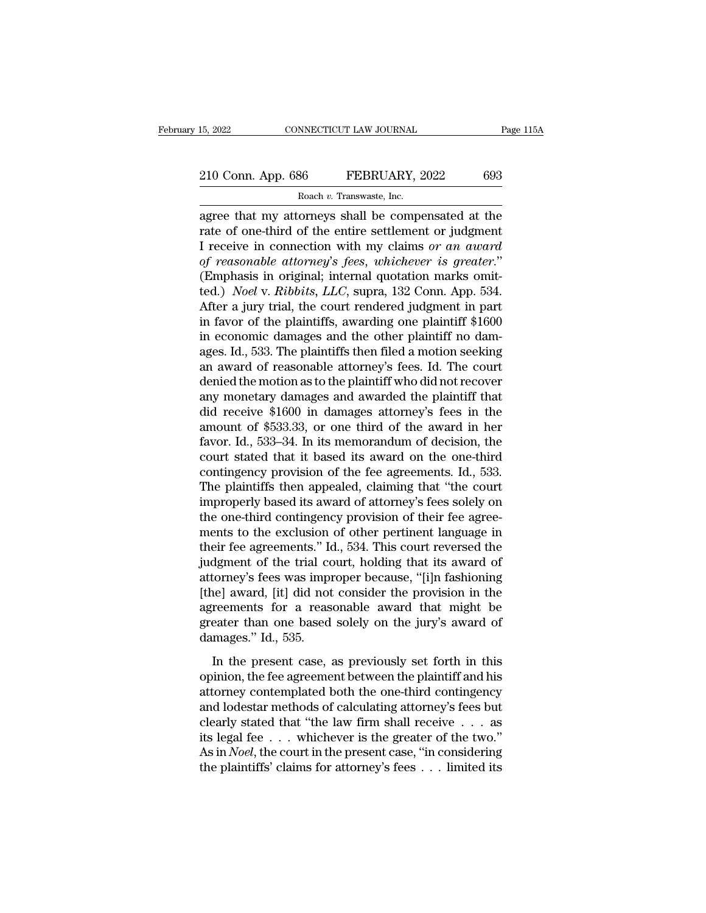## 15, 2022 CONNECTICUT LAW JOURNAL Page 115A<br>
210 Conn. App. 686 FEBRUARY, 2022 693<br>
Roach v. Transwaste, Inc. RECTICUT LAW JOURNAL<br>**Roach v. Transwaste, Inc.**<br>Transwaste, Inc.<br>Orneys shall be compe

15, 2022 CONNECTICUT LAW JOURNAL Page 115A<br>
210 Conn. App. 686 FEBRUARY, 2022 693<br>
Roach v. Transwaste, Inc.<br>
agree that my attorneys shall be compensated at the<br>
rate of one-third of the entire settlement or judgment<br>
I r 210 Conn. App. 686 FEBRUARY, 2022 693<br>Roach v. Transwaste, Inc.<br>agree that my attorneys shall be compensated at the<br>rate of one-third of the entire settlement or judgment<br>I receive in connection with my claims or an award 210 Conn. App. 686 FEBRUARY, 2022 693<br>
Roach v. Transwaste, Inc.<br>
agree that my attorneys shall be compensated at the<br>
rate of one-third of the entire settlement or judgment<br>
I receive in connection with my claims *or an a Comm. App. 686* **FEBRUARY**, 2022 693<br> *Roach v. Transwaste, Inc.*<br> *of reasonable attorneys* shall be compensated at the rate of one-third of the entire settlement or judgment<br>
I receive in connection with my claims or an Roach v. Transwaste, Inc.<br>
Roach v. Transwaste, Inc.<br>
agree that my attorneys shall be compensated at the<br>
rate of one-third of the entire settlement or judgment<br>
I receive in connection with my claims or an award<br>
of rea Roach *v.* Transwaste, Inc.<br>
agree that my attorneys shall be compensated at the<br>
rate of one-third of the entire settlement or judgment<br>
I receive in connection with my claims or an award<br>
of reasonable attorney's fees, w agree that my attorneys shall be compensated at the<br>rate of one-third of the entire settlement or judgment<br>I receive in connection with my claims *or an award*<br>of reasonable attorney's fees, whichever is greater."<br>(Emphasi rate of one-third of the entire settlement or judgment<br>I receive in connection with my claims *or an award*<br>of *reasonable attorney's fees, whichever is greater.*"<br>(Emphasis in original; internal quotation marks omit-<br>ted. I receive in connection with my claims or an award<br>of reasonable attorney's fees, whichever is greater."<br>(Emphasis in original; internal quotation marks omit-<br>ted.) *Noel* v. *Ribbits*, *LLC*, supra, 132 Conn. App. 534.<br>Af of reasonable attorney's fees, whichever is greater."<br>(Emphasis in original; internal quotation marks omit-<br>ted.) *Noel* v. *Ribbits*, *LLC*, supra, 132 Conn. App. 534.<br>After a jury trial, the court rendered judgment in pa (Emphasis in original; internal quotation marks omitted.) *Noel v. Ribbits, LLC*, supra, 132 Conn. App. 534.<br>After a jury trial, the court rendered judgment in part<br>in favor of the plaintiffs, awarding one plaintiff  $$160$ ted.) *Noel v. Ribbits, LLC,* supra, 132 Conn. App. 534.<br>After a jury trial, the court rendered judgment in part<br>in favor of the plaintiffs, awarding one plaintiff \$1600<br>in economic damages and the other plaintiff no dam-<br> After a jury trial, the court rendered judgment in part<br>in favor of the plaintiffs, awarding one plaintiff  $$1600$ <br>in economic damages and the other plaintiff no dam-<br>ages. Id., 533. The plaintiffs then filed a motion see in favor of the plaintiffs, awarding one plaintiff  $$1600$ <br>in economic damages and the other plaintiff no dam-<br>ages. Id., 533. The plaintiffs then filed a motion seeking<br>an award of reasonable attorney's fees. Id. The cou in economic damages and the other plaintiff no damages. Id., 533. The plaintiffs then filed a motion seeking<br>an award of reasonable attorney's fees. Id. The court<br>denied the motion as to the plaintiff who did not recover<br>a ages. Id., 533. The plaintiffs then filed a motion seeking<br>an award of reasonable attorney's fees. Id. The court<br>denied the motion as to the plaintiff who did not recover<br>any monetary damages and awarded the plaintiff that an award of reasonable attorney's fees. Id. The court<br>denied the motion as to the plaintiff who did not recover<br>any monetary damages and awarded the plaintiff that<br>did receive \$1600 in damages attorney's fees in the<br>amount denied the motion as to the plaintiff who did not recover<br>any monetary damages and awarded the plaintiff that<br>did receive \$1600 in damages attorney's fees in the<br>amount of \$533.33, or one third of the award in her<br>favor. I any monetary damages and awarded the plaintiff that<br>
did receive \$1600 in damages attorney's fees in the<br>
amount of \$533.33, or one third of the award in her<br>
favor. Id., 533–34. In its memorandum of decision, the<br>
court s did receive \$1600 in damages attorney's fees in the<br>amount of \$533.33, or one third of the award in her<br>favor. Id., 533–34. In its memorandum of decision, the<br>court stated that it based its award on the one-third<br>contingen amount of \$533.33, or one third of the award in her favor. Id., 533–34. In its memorandum of decision, the court stated that it based its award on the one-third contingency provision of the fee agreements. Id., 533. The pl favor. Id., 533–34. In its memorandum of decision, the<br>court stated that it based its award on the one-third<br>contingency provision of the fee agreements. Id., 533.<br>The plaintiffs then appealed, claiming that "the court<br>imp court stated that it based its award on the one-third contingency provision of the fee agreements. Id., 533. The plaintiffs then appealed, claiming that "the court improperly based its award of attorney's fees solely on th contingency provision of the fee agreements. Id., 533.<br>The plaintiffs then appealed, claiming that "the court<br>improperly based its award of attorney's fees solely on<br>the one-third contingency provision of their fee agree-<br> The plaintiffs then appealed, claiming that "the court<br>improperly based its award of attorney's fees solely on<br>the one-third contingency provision of their fee agree-<br>ments to the exclusion of other pertinent language in<br>t improperly based its award of attorney's fees solely on<br>the one-third contingency provision of their fee agree-<br>ments to the exclusion of other pertinent language in<br>their fee agreements." Id., 534. This court reversed the the one-third contingency provision of their fee agreements to the exclusion of other pertinent language in their fee agreements." Id., 534. This court reversed the judgment of the trial court, holding that its award of at ments to the exclusion of other pertinent language in<br>their fee agreements." Id., 534. This court reversed the<br>judgment of the trial court, holding that its award of<br>attorney's fees was improper because, "[i]n fashioning<br>[ their fee agreements." Ic<br>judgment of the trial co<br>attorney's fees was impl<br>[the] award, [it] did not<br>agreements for a reas<br>greater than one based<br>damages." Id., 535.<br>In the present case, a In the present case, as previously set forth in this temperature of the provision in the reements for a reasonable award that might be eater than one based solely on the jury's award of mages." Id., 535.<br>In the present cas once and interest of a reasonable award that might be agreements for a reasonable award that might be greater than one based solely on the jury's award of damages." Id., 535.<br>In the present case, as previously set forth in

production are provided in the distribution and agreements for a reasonable award that might be greater than one based solely on the jury's award of damages." Id., 535.<br>In the present case, as previously set forth in this and lodest than one based solely on the jury's award of<br>damages." Id., 535.<br>In the present case, as previously set forth in this<br>opinion, the fee agreement between the plaintiff and his<br>attorney contemplated both the onedamages." Id., 535.<br>
In the present case, as previously set forth in this<br>
opinion, the fee agreement between the plaintiff and his<br>
attorney contemplated both the one-third contingency<br>
and lodestar methods of calculatin In the present case, as previously set forth in this<br>opinion, the fee agreement between the plaintiff and his<br>attorney contemplated both the one-third contingency<br>and lodestar methods of calculating attorney's fees but<br>cl In the present case, as previously set forth in this<br>opinion, the fee agreement between the plaintiff and his<br>attorney contemplated both the one-third contingency<br>and lodestar methods of calculating attorney's fees but<br>cl opinion, the fee agreement between the plaintiff and his<br>attorney contemplated both the one-third contingency<br>and lodestar methods of calculating attorney's fees but<br>clearly stated that "the law firm shall receive  $\dots$  as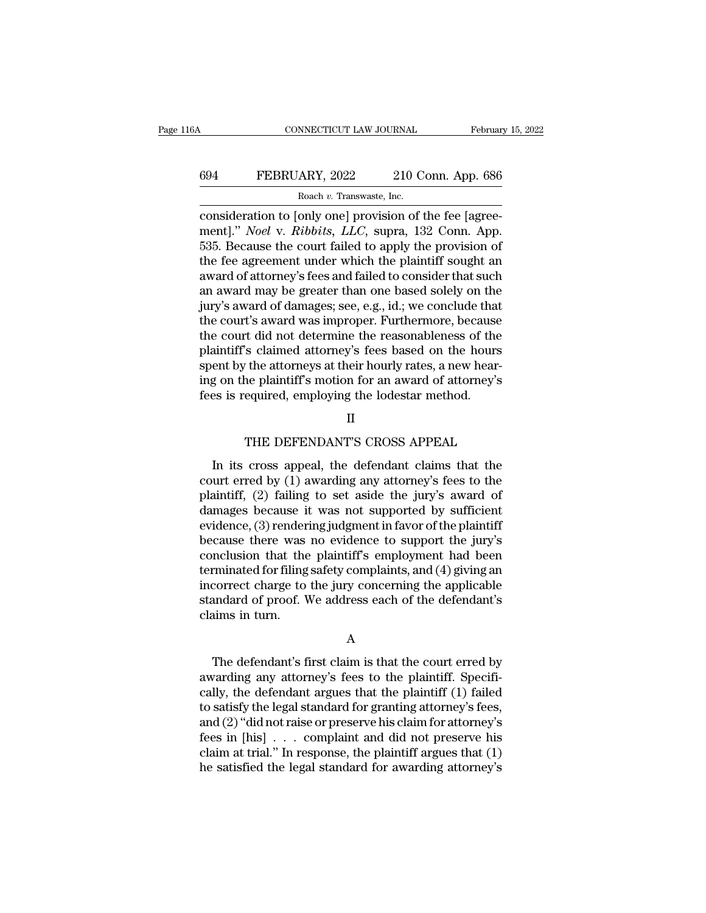## CONNECTICUT LAW JOURNAL February 15, 2022<br>694 FEBRUARY, 2022 210 Conn. App. 686<br>Roach v. Transwaste, Inc. NNECTICUT LAW JOURNAL<br>ARY, 2022 210 C<br>Roach *v.* Transwaste, Inc.<br>only onel provision of 1

Page 116A CONNECTICUT LAW JOURNAL February 15, 2022<br>694 FEBRUARY, 2022 210 Conn. App. 686<br>Roach v. Transwaste, Inc.<br>consideration to [only one] provision of the fee [agree-<br>ment]." *Noel* v. *Ribbits*, *LLC*, supra, 132 Co FEBRUARY, 2022 210 Conn. App. 686<br>
Roach v. Transwaste, Inc.<br>
consideration to [only one] provision of the fee [agreement]." *Noel* v. *Ribbits, LLC*, supra, 132 Conn. App.<br>
535. Because the court failed to apply the provi 534 FEBRUARY, 2022 210 Conn. App. 686<br>  $\frac{\text{Roach } v. \text{ Transwaste, Inc.}}{\text{consideration to [only one] provision of the fee [agree-  
ment]." *Noel v. Ribbits, LLC*, supra, 132 Conn. App. 535. Because the court failed to apply the provision of the fee agreement under which the plaintiff sought an award of~tternov's foes and failed to consider that such$ FEBRUARY, 2022 210 Conn. App. 686<br>
Roach v. Transwaste, Inc.<br>
consideration to [only one] provision of the fee [agreement]." *Noel* v. *Ribbits*, *LLC*, supra, 132 Conn. App.<br>
535. Because the court failed to apply the pr FREED TRESPACE TO SOME TYPE SEE AND ROAD ROAD ROAD TRINSVALUES. THE CONSIDERATION CONSIDERATION ISSUED TO A SUPER SUPER SUPER SUPER SUPER SUPER SUPER SUPER SUPER SUPER SUPER SUPER SUPER SUPER THAT SUCH A SUPER THAT SUCH A Roach v. Transwaste, Inc.<br>
consideration to [only one] provision of the fee [agree-<br>
ment]." *Noel* v. *Ribbits*, *LLC*, supra, 132 Conn. App.<br>
535. Because the court failed to apply the provision of<br>
the fee agreement un consideration to [only one] provision of the fee [agreement]." *Noel v. Ribbits, LLC*, supra, 132 Conn. App.<br>535. Because the court failed to apply the provision of<br>the fee agreement under which the plaintiff sought an<br>awa ment]." *Noel v. Ribbits, LLC*, supra, 132 Conn. App.<br>535. Because the court failed to apply the provision of<br>the fee agreement under which the plaintiff sought an<br>award of attorney's fees and failed to consider that such<br> 535. Because the court failed to apply the provision of<br>the fee agreement under which the plaintiff sought an<br>award of attorney's fees and failed to consider that such<br>an award may be greater than one based solely on the<br>j the fee agreement under which the plaintiff sought an award of attorney's fees and failed to consider that such<br>an award may be greater than one based solely on the<br>jury's award of damages; see, e.g., id.; we conclude that award of attorney's fees and failed to consider that such<br>an award may be greater than one based solely on the<br>jury's award of damages; see, e.g., id.; we conclude that<br>the court's award was improper. Furthermore, because<br> an award may be greater than one based solely on the<br>jury's award of damages; see, e.g., id.; we conclude that<br>the court's award was improper. Furthermore, because<br>the court did not determine the reasonableness of the<br>plai jury's award of damages; see, e.g., id.; we conclude that<br>the court's award was improper. Furthermore, because<br>the court did not determine the reasonableness of the<br>plaintiff's claimed attorney's fees based on the hours<br>sp So claimed attorney's fees based on the hours<br>The attorneys at their hourly rates, a new hear-<br>ne plaintiff's motion for an award of attorney's<br>equired, employing the lodestar method.<br>II<br>THE DEFENDANT'S CROSS APPEAL<br>cross

## II

In the plaintiff's motion for an award of attorney's<br>g on the plaintiff's motion for an award of attorney's<br>sis required, employing the lodestar method.<br>II<br>THE DEFENDANT'S CROSS APPEAL<br>In its cross appeal, the defendant cl red by (1) awarding the lodestar method.<br>
II<br>
THE DEFENDANT'S CROSS APPEAL<br>
In its cross appeal, the defendant claims that the<br>
court erred by (1) awarding any attorney's fees to the<br>
plaintiff, (2) failing to set aside th FOR 2014-00,  $\text{Lipel}_2$  are concern increased.<br>
II<br>
THE DEFENDANT'S CROSS APPEAL<br>
In its cross appeal, the defendant claims that the<br>
court erred by (1) awarding any attorney's fees to the<br>
plaintiff, (2) failing to set a II<br>THE DEFENDANT'S CROSS APPEAL<br>In its cross appeal, the defendant claims that the<br>court erred by (1) awarding any attorney's fees to the<br>plaintiff, (2) failing to set aside the jury's award of<br>damages because it was not s THE DEFENDANT'S CROSS APPEAL<br>In its cross appeal, the defendant claims that the<br>court erred by (1) awarding any attorney's fees to the<br>plaintiff, (2) failing to set aside the jury's award of<br>damages because it was not supp In the pair probable in the different claims that the<br>court erred by (1) awarding any attorney's fees to the<br>plaintiff, (2) failing to set aside the jury's award of<br>damages because it was not supported by sufficient<br>evide In its cross appeal, the defendant claims that the<br>court erred by (1) awarding any attorney's fees to the<br>plaintiff, (2) failing to set aside the jury's award of<br>damages because it was not supported by sufficient<br>evidence court erred by (1) awarding any attorney's fees to the plaintiff, (2) failing to set aside the jury's award of damages because it was not supported by sufficient evidence, (3) rendering judgment in favor of the plaintiff b plaintiff, (2) failing to set aside the jury's award of<br>damages because it was not supported by sufficient<br>evidence, (3) rendering judgment in favor of the plaintiff<br>because there was no evidence to support the jury's<br>conc damages because it was not supported by sufficient<br>evidence, (3) rendering judgment in favor of the plaintiff<br>because there was no evidence to support the jury's<br>conclusion that the plaintiff's employment had been<br>terminat evidence, (3) render<br>because there was<br>conclusion that the<br>terminated for filing<br>incorrect charge to<br>standard of proof. V<br>claims in turn. minated for filing safety complaints, and (4) giving an<br>correct charge to the jury concerning the applicable<br>andard of proof. We address each of the defendant's<br>aims in turn.<br>A<br>The defendant's first claim is that the court

## A

incorrect charge to the jury concerning the applicable<br>standard of proof. We address each of the defendant's<br>claims in turn.<br>A<br>The defendant's first claim is that the court erred by<br>awarding any attorney's fees to the plai standard of proof. We address each of the defendant's<br>claims in turn.<br>A<br>The defendant's first claim is that the court erred by<br>awarding any attorney's fees to the plaintiff. Specifi-<br>cally, the defendant argues that the pl daims in turn.<br>
A<br>
The defendant's first claim is that the court erred by<br>
awarding any attorney's fees to the plaintiff. Specifi-<br>
cally, the defendant argues that the plaintiff (1) failed<br>
to satisfy the legal standard f A<br>
The defendant's first claim is that the court erred by<br>
awarding any attorney's fees to the plaintiff. Specifi-<br>
cally, the defendant argues that the plaintiff (1) failed<br>
to satisfy the legal standard for granting atto The defendant's first claim is that the court erred by<br>awarding any attorney's fees to the plaintiff. Specifi-<br>cally, the defendant argues that the plaintiff (1) failed<br>to satisfy the legal standard for granting attorney' The defendant's first claim is that the court erred by<br>awarding any attorney's fees to the plaintiff. Specifi-<br>cally, the defendant argues that the plaintiff (1) failed<br>to satisfy the legal standard for granting attorney' awarding any attorney's fees to the plaintiff. Specifically, the defendant argues that the plaintiff (1) failed to satisfy the legal standard for granting attorney's fees, and (2) "did not raise or preserve his claim for a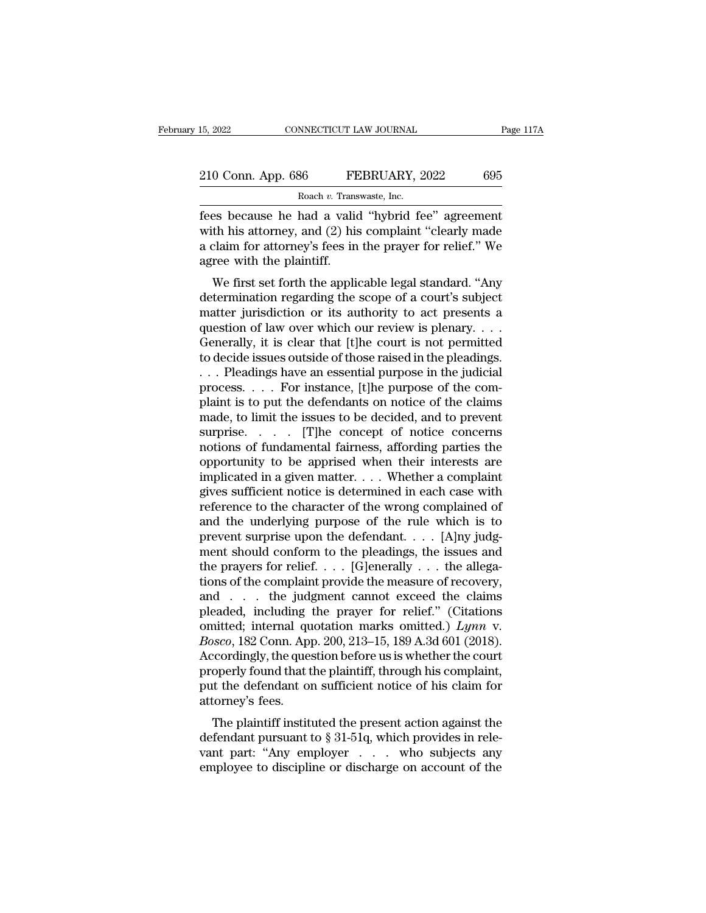| 15, 2022           | CONNECTICUT LAW JOURNAL                            | Page 117A |
|--------------------|----------------------------------------------------|-----------|
| 210 Conn. App. 686 | FEBRUARY, 2022                                     | 695       |
|                    | Roach v. Transwaste, Inc.                          |           |
|                    | fees hecause he had a valid "hybrid fee" agreement |           |

Fees because he had a valid "hybrid fee" agreement<br>
a claim for attorney, and (2) his complaint "clearly made<br>
a claim for attorney's foos in the prover for polic<sup>e</sup>. We 210 Conn. App. 686 FEBRUARY, 2022 695<br>Roach v. Transwaste, Inc.<br>Fees because he had a valid "hybrid fee" agreement<br>with his attorney, and (2) his complaint "clearly made<br>a claim for attorney's fees in the prayer for relief 210 Conn. App. 686 FEBRUARY, 2022 695<br>
Roach v. Transwaste, Inc.<br>
Fees because he had a valid "hybrid fee" agreement<br>
with his attorney, and (2) his complaint "clearly made<br>
a claim for attorney's fees in the prayer for r 210 Conn. App. 686 FE<br>
Roach *v*. Trans<br>
fees because he had a valid<br>
with his attorney, and (2) his<br>
a claim for attorney's fees in<br>
agree with the plaintiff.<br>
We first set forth the applic Roach  $v$ . Transwaste, Inc.<br>
es because he had a valid "hybrid fee" agreement<br>
th his attorney, and (2) his complaint "clearly made<br>
claim for attorney's fees in the prayer for relief." We<br>
ree with the plaintiff.<br>
We fir determination regarding the subject of a court's subject to a claim for attorney's fees in the prayer for relief." We agree with the plaintiff.<br>We first set forth the applicable legal standard. "Any determination regarding

rees because he had a vand hybrid lee agreement<br>with his attorney, and (2) his complaint "clearly made<br>a claim for attorney's fees in the prayer for relief." We<br>agree with the plaintiff.<br>We first set forth the applicable l with its attorney, and  $(2)$  its complaint clearly made<br>a claim for attorney's fees in the prayer for relief." We<br>agree with the plaintiff.<br>We first set forth the applicable legal standard. "Any<br>determination regarding th a claim for attorney's rees in the prayer for rener. We<br>agree with the plaintiff.<br>We first set forth the applicable legal standard. "Any<br>determination regarding the scope of a court's subject<br>matter jurisdiction or its aut We first set forth the applicable legal standard. "Any<br>determination regarding the scope of a court's subject<br>matter jurisdiction or its authority to act presents a<br>question of law over which our review is plenary. . . .<br>G We first set forth the applicable legal standard. "Any<br>determination regarding the scope of a court's subject<br>matter jurisdiction or its authority to act presents a<br>question of law over which our review is plenary....<br>Gen determination regarding the scope of a court's subject<br>matter jurisdiction or its authority to act presents a<br>question of law over which our review is plenary. . . .<br>Generally, it is clear that [t]he court is not permitted matter jurisdiction or its authority to act presents a<br>question of law over which our review is plenary....<br>Generally, it is clear that [t]he court is not permitted<br>to decide issues outside of those raised in the pleading question of law over which our review is plenary. . . .<br>Generally, it is clear that [t]he court is not permitted<br>to decide issues outside of those raised in the pleadings.<br>. . . Pleadings have an essential purpose in the Generally, it is clear that [t]he court is not permitted<br>to decide issues outside of those raised in the pleadings.<br>. . . . Pleadings have an essential purpose in the judicial<br>process. . . . . For instance, [t]he purpose to decide issues outside of those raised in the pleadings.<br>
... Pleadings have an essential purpose in the judicial<br>
process. ... For instance, [t]he purpose of the com-<br>
plaint is to put the defendants on notice of the c ... Pleadings have an essential purpose in the judicial<br>process.... For instance, [t]he purpose of the com-<br>plaint is to put the defendants on notice of the claims<br>made, to limit the issues to be decided, and to prevent<br>s implicated in a given matter. . . . Whether a complaint plaint is to put the defendants on notice of the claims<br>made, to limit the issues to be decided, and to prevent<br>surprise..... [T]he concept of notice concerns<br>notions of fundamental fairness, affording parties the<br>opportun made, to limit the issues to be decided, and to prevent<br>surprise.  $\ldots$  [T]he concept of notice concerns<br>notions of fundamental fairness, affording parties the<br>opportunity to be apprised when their interests are<br>implicate surprise. . . . . [T]he concept of notice concerns<br>notions of fundamental fairness, affording parties the<br>opportunity to be apprised when their interests are<br>implicated in a given matter. . . . Whether a complaint<br>gives s notions of fundamental fairness, affording parties the<br>opportunity to be apprised when their interests are<br>implicated in a given matter....Whether a complaint<br>gives sufficient notice is determined in each case with<br>refere opportunity to be apprised when their interests are<br>implicated in a given matter. . . . Whether a complaint<br>gives sufficient notice is determined in each case with<br>reference to the character of the wrong complained of<br>and implicated in a given matter. . . . Whether a complaint<br>gives sufficient notice is determined in each case with<br>reference to the character of the wrong complained of<br>and the underlying purpose of the rule which is to<br>prev gives sufficient notice is determined in each case with<br>reference to the character of the wrong complained of<br>and the underlying purpose of the rule which is to<br>prevent surprise upon the defendant. . . . [A]ny judg-<br>ment reference to the character of the wrong complained of<br>and the underlying purpose of the rule which is to<br>prevent surprise upon the defendant. . . . [A]ny judg-<br>ment should conform to the pleadings, the issues and<br>the pray and the underlying purpose of the rule which is to<br>prevent surprise upon the defendant. . . . [A]ny judg-<br>ment should conform to the pleadings, the issues and<br>the prayers for relief. . . . [G]enerally . . . the allega-<br>ti prevent surprise upon the defendant. . . . [A]ny judg-<br>ment should conform to the pleadings, the issues and<br>the prayers for relief. . . . [G]enerally . . . the allega-<br>tions of the complaint provide the measure of recover ment should conform to the pleadings, the issues and<br>the prayers for relief. . . . [G]enerally . . . the allega-<br>tions of the complaint provide the measure of recovery,<br>and . . . the judgment cannot exceed the claims<br>plead the prayers for relief. . . . [G]enerally . . . the allegations of the complaint provide the measure of recovery, and . . . the judgment cannot exceed the claims pleaded, including the prayer for relief." (Citations omitt tions of the complaint provide the measure of recovery,<br>and . . . the judgment cannot exceed the claims<br>pleaded, including the prayer for relief." (Citations<br>omitted; internal quotation marks omitted.)  $Lymv$ .<br>Bosco, 182 C and . . . the judgment cannot exceed the claims<br>pleaded, including the prayer for relief." (Citations<br>omitted; internal quotation marks omitted.)  $Lymn$  v.<br> $Bosco$ , 182 Conn. App. 200, 213–15, 189 A.3d 601 (2018).<br>Accordingl pleaded, including<br>
omitted; internal qu<br> *Bosco*, 182 Conn. App<br>
Accordingly, the ques<br>
properly found that t<br>
put the defendant on<br>
attorney's fees.<br>
The plaintiff institu Finded, internal quotation marks onlited.) *Eginn* v.<br>
ssco, 182 Conn. App. 200, 213–15, 189 A.3d 601 (2018).<br>
cordingly, the question before us is whether the court<br>
operly found that the plaintiff, through his complaint  $\mu$  and  $\mu$  and  $\mu$  and  $\mu$  and  $\mu$  and  $\mu$  and  $\mu$  and  $\mu$  and  $\mu$  and  $\mu$  are controverly found that the plaintiff, through his complaint, put the defendant on sufficient notice of his claim for attorney's fee

Accordingly, the question before us is whether the court<br>properly found that the plaintiff, through his complaint,<br>put the defendant on sufficient notice of his claim for<br>attorney's fees.<br>The plaintiff instituted the prese properly found that the plantiff, through his complaint,<br>put the defendant on sufficient notice of his claim for<br>attorney's fees.<br>The plaintiff instituted the present action against the<br>defendant pursuant to § 31-51q, whic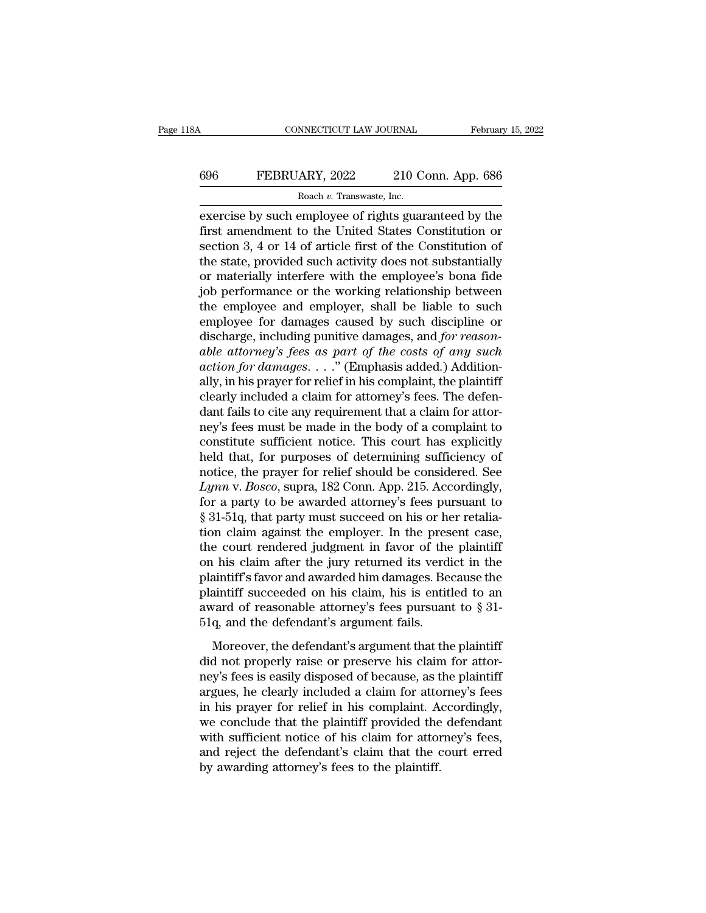## CONNECTICUT LAW JOURNAL February 15, 2022<br>696 FEBRUARY, 2022 210 Conn. App. 686<br>Roach v. Transwaste, Inc. ROM MECTICUT LAW JOURNAL<br>ARY, 2022 210 C<br>Roach *v.* Transwaste, Inc.<br>Proployee of rights guar

EXECTIVE CONNECTICUT LAW JOURNAL February 15, 2022<br>
FEBRUARY, 2022 210 Conn. App. 686<br>
Roach v. Transwaste, Inc.<br>
EXECTISE by such employee of rights guaranteed by the<br>
first amendment to the United States Constitution or<br> FEBRUARY, 2022 210 Conn. App. 686<br>
Roach v. Transwaste, Inc.<br>
exercise by such employee of rights guaranteed by the<br>
first amendment to the United States Constitution or<br>
section 3, 4 or 14 of article first of the Constit Section 3, 4 or 14 of article first of the complexes's here  $\frac{\text{Roach } v. \text{ Transwaste, Inc.}}{4 \text{ of the United States Constitution or section 3, 4 or 14 of article first of the Constitution of the state, provided such activity does not substantially or matching in the following example.}$ FEBRUARY, 2022 210 Conn. App. 686<br>
Roach v. Transwaste, Inc.<br>
exercise by such employee of rights guaranteed by the<br>
first amendment to the United States Constitution or<br>
section 3, 4 or 14 of article first of the Constit Roach *v*. Transwaste, Inc.<br>
exercise by such employee of rights guaranteed by the<br>
first amendment to the United States Constitution or<br>
section 3, 4 or 14 of article first of the Constitution of<br>
the state, provided suc  $\frac{\text{Koach } v. \text{ Transwaste, Inc.}}{\text{exercise by such employee of rights guaranteed by the first amendment to the United States Constitution or section 3, 4 or 14 of article first of the Constitution of the state, provided such activity does not substantially or materially interfere with the employee's bona fide job performance or the working relationship between the employee and employer, shall be liable to such employee for damages caused by such discipline or$ exercise by such employee of rights guaranteed by the<br>first amendment to the United States Constitution or<br>section 3, 4 or 14 of article first of the Constitution of<br>the state, provided such activity does not substantially first amendment to the United States Constitution or<br>section 3, 4 or 14 of article first of the Constitution of<br>the state, provided such activity does not substantially<br>or materially interfere with the employee's bona fide section 3, 4 or 14 of article first of the Constitution of<br>the state, provided such activity does not substantially<br>or materially interfere with the employee's bona fide<br>job performance or the working relationship between<br> the state, provided such activity does not substantially<br>or materially interfere with the employee's bona fide<br>job performance or the working relationship between<br>the employee and employer, shall be liable to such<br>employee or materially interfere with the employee's bona fide<br>job performance or the working relationship between<br>the employee and employer, shall be liable to such<br>employee for damages caused by such discipline or<br>discharge, incl job performance or the working relationship between<br>the employee and employer, shall be liable to such<br>employee for damages caused by such discipline or<br>discharge, including punitive damages, and *for reason-*<br>able attorne the employee and employer, shall be liable to such<br>employee for damages caused by such discipline or<br>discharge, including punitive damages, and *for reason-*<br>able attorney's fees as part of the costs of any such<br>action fo employee for damages caused by such discipline or<br>discharge, including punitive damages, and *for reason-*<br>able attorney's fees as part of the costs of any such<br>action for damages...." (Emphasis added.) Addition-<br>ally, in discharge, including punitive damages, and *for reasonable attorney's fees as part of the costs of any such* action *for damages....*" (Emphasis added.) Additionally, in his prayer for relief in his complaint, the plainti able attorney's fees as part of the costs of any such<br>action for damages. . . ." (Emphasis added.) Addition-<br>ally, in his prayer for relief in his complaint, the plaintiff<br>clearly included a claim for attorney's fees. The action for damages.  $\dots$  " (Emphasis added.) Additionally, in his prayer for relief in his complaint, the plaintiff clearly included a claim for attorney's fees. The defendant fails to cite any requirement that a claim fo ally, in his prayer for relief in his complaint, the plaintiff<br>clearly included a claim for attorney's fees. The defen-<br>dant fails to cite any requirement that a claim for attor-<br>ney's fees must be made in the body of a co clearly included a claim for attorney's fees. The defen-<br>dant fails to cite any requirement that a claim for attor-<br>ney's fees must be made in the body of a complaint to<br>constitute sufficient notice. This court has explici dant fails to cite any requirement that a claim for attor-<br>ney's fees must be made in the body of a complaint to<br>constitute sufficient notice. This court has explicitly<br>held that, for purposes of determining sufficiency o ney's fees must be made in the body of a complaint to constitute sufficient notice. This court has explicitly held that, for purposes of determining sufficiency of notice, the prayer for relief should be considered. See *L* constitute sufficient notice. This court has explicitly<br>held that, for purposes of determining sufficiency of<br>notice, the prayer for relief should be considered. See<br>Lynn v. Bosco, supra, 182 Conn. App. 215. Accordingly,<br>f held that, for purposes of determining sufficiency of<br>notice, the prayer for relief should be considered. See<br>Lynn v. Bosco, supra, 182 Conn. App. 215. Accordingly,<br>for a party to be awarded attorney's fees pursuant to<br>§ 3 notice, the prayer for relief should be considered. See  $Lymn$  v. *Bosco*, supra, 182 Conn. App. 215. Accordingly, for a party to be awarded attorney's fees pursuant to § 31-51q, that party must succeed on his or her retal Lynn v. Bosco, supra, 182 Conn. App. 215. Accordingly,<br>for a party to be awarded attorney's fees pursuant to<br>§ 31-51q, that party must succeed on his or her retalia-<br>tion claim against the employer. In the present case,<br>t for a party to be awarded attorney's fees pursuant to  $\S 31-51q$ , that party must succeed on his or her retaliation claim against the employer. In the present case, the court rendered judgment in favor of the plaintiff on  $\S$  31-51q, that party must succeed on his or her retaliation claim against the employer. In the present case, the court rendered judgment in favor of the plaintiff on his claim after the jury returned its verdict in the tion claim against the employer. In the pres<br>the court rendered judgment in favor of the<br>on his claim after the jury returned its verdi<br>plaintiff's favor and awarded him damages. Be<br>plaintiff succeeded on his claim, his is This claim after the jury returned its verdict in the aintiff's favor and awarded him damages. Because the aintiff succeeded on his claim, his is entitled to an vard of reasonable attorney's fees pursuant to  $\S 31-q$ , and be plaintiff's favor and awarded him damages. Because the plaintiff's favor and awarded him damages. Because the plaintiff succeeded on his claim, his is entitled to an award of reasonable attorney's fees pursuant to  $\S 3$ 

plaintiff succeeded on his claim, his is entitled to an<br>award of reasonable attorney's fees pursuant to § 31-<br>51q, and the defendant's argument fails.<br>Moreover, the defendant's argument that the plaintiff<br>did not properly award of reasonable attorney's fees pursuant to  $\S$  31-<br>51q, and the defendant's argument fails.<br>Moreover, the defendant's argument that the plaintiff<br>did not properly raise or preserve his claim for attor-<br>ney's fees is in the defendant's argument fails.<br>
Moreover, the defendant's argument fails.<br>
Moreover, the defendant's argument that the plaintiff<br>
did not properly raise or preserve his claim for attor-<br>
ney's fees is easily disposed o Moreover, the defendant's argument that the plaintiff<br>did not properly raise or preserve his claim for attor-<br>ney's fees is easily disposed of because, as the plaintiff<br>argues, he clearly included a claim for attorney's fe Moreover, the defendant's argument that the plaintiff<br>did not properly raise or preserve his claim for attor-<br>ney's fees is easily disposed of because, as the plaintiff<br>argues, he clearly included a claim for attorney's fe did not properly raise or preserve his claim for attor-<br>ney's fees is easily disposed of because, as the plaintiff<br>argues, he clearly included a claim for attorney's fees<br>in his prayer for relief in his complaint. Accordin ney's fees is easily disposed of because, as t<br>argues, he clearly included a claim for atto<br>in his prayer for relief in his complaint. A<br>we conclude that the plaintiff provided the<br>with sufficient notice of his claim for a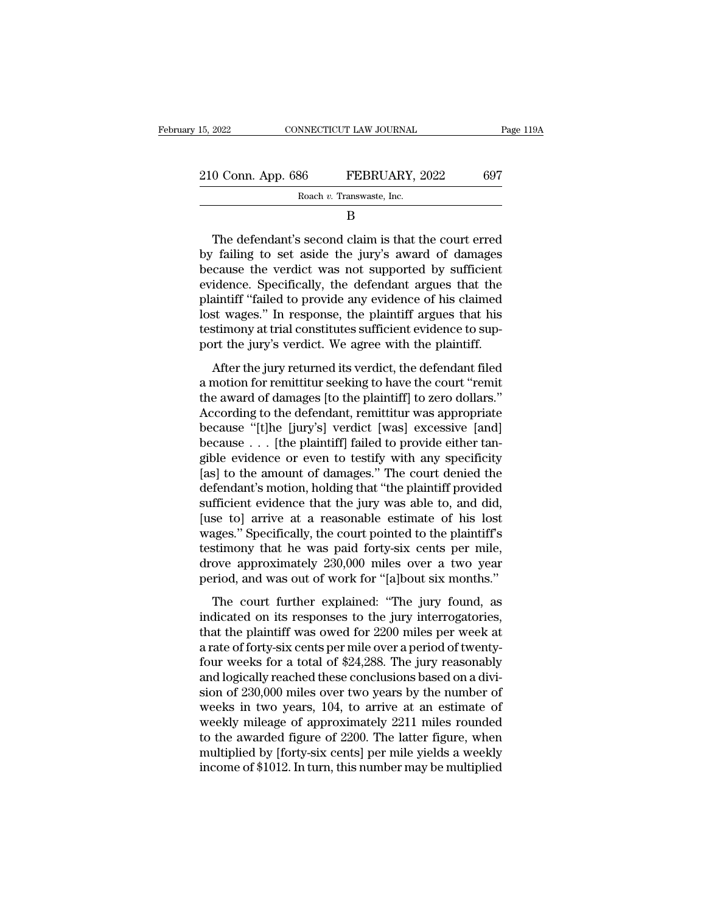| 15, 2022<br>CONNECTICUT LAW JOURNAL |                           | Page 119A |
|-------------------------------------|---------------------------|-----------|
| 210 Conn. App. 686                  | FEBRUARY, 2022            | 697       |
|                                     | Roach v. Transwaste, Inc. |           |
|                                     |                           |           |

B

 $\begin{array}{r} 0 \text{ Conn. App. 686} \hspace{1.5cm} \text{FEBRUARY, 2022} \hspace{1.5cm} 697 \ \text{Roach } v. \text{ Transwaste, Inc.} \ \hline \text{B} \ \text{The defendant's second claim is that the court erred} \ \text{failing to set aside the jury's award of damages} \ \text{causch} \text{or} \text{surface} \ \text{the} \text{variable} \ \text{wss not supported by sufficient} \end{array}$ 210 Conn. App. 686 FEBRUARY, 2022 697<br>
Roach v. Transwaste, Inc.<br>
B<br>
The defendant's second claim is that the court erred<br>
by failing to set aside the jury's award of damages<br>
because the verdict was not supported by suff 210 Conn. App. 686 FEBRUARY, 2022 697<br>
Roach v. Transwaste, Inc.<br>
B<br>
The defendant's second claim is that the court erred<br>
by failing to set aside the jury's award of damages<br>
because the verdict was not supported by suff Roach v. Transwaste, Inc.<br>
B<br>
The defendant's second claim is that the court erred<br>
by failing to set aside the jury's award of damages<br>
because the verdict was not supported by sufficient<br>
evidence. Specifically, the defe B<br>
B<br>
The defendant's second claim is that the court erred<br>
by failing to set aside the jury's award of damages<br>
because the verdict was not supported by sufficient<br>
evidence. Specifically, the defendant argues that the<br>
p The defendant's second claim is that the court erred<br>by failing to set aside the jury's award of damages<br>because the verdict was not supported by sufficient<br>evidence. Specifically, the defendant argues that the<br>plaintiff " The defendant's second claim is that the court erred<br>by failing to set aside the jury's award of damages<br>because the verdict was not supported by sufficient<br>evidence. Specifically, the defendant argues that the<br>plaintiff " by failing to set aside the jury's award of damages<br>because the verdict was not supported by sufficient<br>evidence. Specifically, the defendant argues that the<br>plaintiff "failed to provide any evidence of his claimed<br>lost wa Eduase are verdict was not supported by sumerent<br>idence. Specifically, the defendant argues that the<br>aintiff "failed to provide any evidence of his claimed<br>st wages." In response, the plaintiff argues that his<br>stimony at t plaintiff "failed to provide any evidence of his claimed<br>lost wages." In response, the plaintiff argues that his<br>testimony at trial constitutes sufficient evidence to sup-<br>port the jury's verdict. We agree with the plainti

plantative and the plantiff argues that his<br>lost wages." In response, the plaintiff argues that his<br>testimony at trial constitutes sufficient evidence to sup-<br>port the jury's verdict. We agree with the plaintiff.<br>After the According to the plainting and the plainting testimony at trial constitutes sufficient evidence to support the jury's verdict. We agree with the plaintiff.<br>After the jury returned its verdict, the defendant filed<br>a motion because of the jury's verdict. We agree with the plaintiff.<br>
After the jury returned its verdict, the defendant filed<br>
a motion for remittitur seeking to have the court "remit<br>
the award of damages [to the plaintiff] to z because in the plant of demages . The plant of the plant of the award of damages [to the plaintiff] to zero dollars."<br>According to the defendant, remittitur was appropriate<br>because "[t]he [jury's] verdict [was] excessive [ After the jury returned its verdict, the defendant filed<br>a motion for remittitur seeking to have the court "remit<br>the award of damages [to the plaintiff] to zero dollars."<br>According to the defendant, remittitur was appropr a motion for remittitur seeking to have the court "remit<br>the award of damages [to the plaintiff] to zero dollars."<br>According to the defendant, remittitur was appropriate<br>because "[t]he [jury's] verdict [was] excessive [and the award of damages [to the plaintiff] to zero dollars."<br>According to the defendant, remittitur was appropriate<br>because "[t]he [jury's] verdict [was] excessive [and]<br>because . . . [the plaintiff] failed to provide either According to the defendant, remittitur was appropriate<br>because "[t]he [jury's] verdict [was] excessive [and]<br>because . . . [the plaintiff] failed to provide either tan-<br>gible evidence or even to testify with any specifici because "[t]he [jury's] verdict [was] excessive [and]<br>because . . . [the plaintiff] failed to provide either tan-<br>gible evidence or even to testify with any specificity<br>[as] to the amount of damages." The court denied the because . . . [the plaintiff] failed to provide either tangible evidence or even to testify with any specificity [as] to the amount of damages." The court denied the defendant's motion, holding that "the plaintiff provide gible evidence or even to testify with any specificity<br>[as] to the amount of damages." The court denied the<br>defendant's motion, holding that "the plaintiff provided<br>sufficient evidence that the jury was able to, and did,<br>[ [as] to the amount of damages." The court denied the defendant's motion, holding that "the plaintiff provided sufficient evidence that the jury was able to, and did, [use to] arrive at a reasonable estimate of his lost wag defendant's motion, holding that "the plaintiff provided<br>sufficient evidence that the jury was able to, and did,<br>[use to] arrive at a reasonable estimate of his lost<br>wages." Specifically, the court pointed to the plaintiff meters evidence and are jary was able to, and and,<br>se to] arrive at a reasonable estimate of his lost<br>ages." Specifically, the court pointed to the plaintiff's<br>stimony that he was paid forty-six cents per mile,<br>ove approxi Figure 1.1 The court pointed to the plaintiff's<br>testimony that he was paid forty-six cents per mile,<br>drove approximately 230,000 miles over a two year<br>period, and was out of work for "[a]bout six months."<br>The court further

testimony that he was paid forty-six cents per mile,<br>drove approximately 230,000 miles over a two year<br>period, and was out of work for "[a]bout six months."<br>The court further explained: "The jury found, as<br>indicated on it drove approximately 230,000 miles over a two year<br>period, and was out of work for "[a]bout six months."<br>The court further explained: "The jury found, as<br>indicated on its responses to the jury interrogatories,<br>that the plai for a total of work for "[a]bout six months."<br>The court further explained: "The jury found, as<br>indicated on its responses to the jury interrogatories,<br>that the plaintiff was owed for 2200 miles per week at<br>a rate of forty The court further explained: "The jury found, as<br>indicated on its responses to the jury interrogatories,<br>that the plaintiff was owed for 2200 miles per week at<br>a rate of forty-six cents per mile over a period of twenty-<br>f The court further explained: "The jury found, as<br>indicated on its responses to the jury interrogatories,<br>that the plaintiff was owed for 2200 miles per week at<br>a rate of forty-six cents per mile over a period of twenty-<br>f indicated on its responses to the jury interrogatories,<br>that the plaintiff was owed for 2200 miles per week at<br>a rate of forty-six cents per mile over a period of twenty-<br>four weeks for a total of \$24,288. The jury reasona that the plaintiff was owed for 2200 miles per week at<br>a rate of forty-six cents per mile over a period of twenty-<br>four weeks for a total of \$24,288. The jury reasonably<br>and logically reached these conclusions based on a d a rate of forty-six cents per mile over a period of twenty-<br>four weeks for a total of \$24,288. The jury reasonably<br>and logically reached these conclusions based on a divi-<br>sion of 230,000 miles over two years by the number four weeks for a total of \$24,288. The jury reasonably<br>and logically reached these conclusions based on a divi-<br>sion of 230,000 miles over two years by the number of<br>weeks in two years, 104, to arrive at an estimate of<br>wee and logically reached these conclusions based on a division of 230,000 miles over two years by the number of weeks in two years, 104, to arrive at an estimate of weekly mileage of approximately 2211 miles rounded to the aw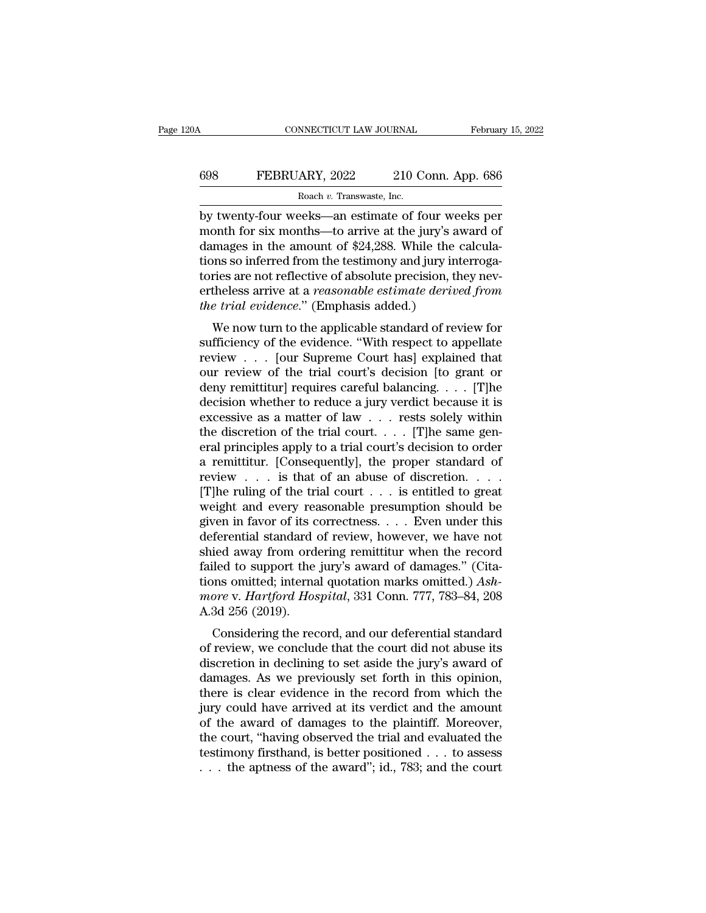## CONNECTICUT LAW JOURNAL February 15, 2022<br>698 FEBRUARY, 2022 210 Conn. App. 686<br>Roach v. Transwaste, Inc. ROBIT NET LAW JOURNAL<br>ARY, 2022 210 C<br>Roach *v.* Transwaste, Inc.<br>Peks—an estimate of fo

CONNECTICUT LAW JOURNAL February 15, 2022<br>
FEBRUARY, 2022 210 Conn. App. 686<br>
Roach v. Transwaste, Inc.<br>
by twenty-four weeks—an estimate of four weeks per<br>
month for six months—to arrive at the jury's award of<br>
damages in EBRUARY, 2022 210 Conn. App. 686<br>
Roach v. Transwaste, Inc.<br>
by twenty-four weeks—an estimate of four weeks per<br>
month for six months—to arrive at the jury's award of<br>
damages in the amount of \$24,288. While the calcula-<br> EXEMPLARY, 2022 210 Conn. App. 686<br>
Roach v. Transwaste, Inc.<br>
by twenty-four weeks—an estimate of four weeks per<br>
month for six months—to arrive at the jury's award of<br>
damages in the amount of \$24,288. While the calcula FEBRUARY, 2022 210 Conn. App. 686<br>
Roach v. Transwaste, Inc.<br>
by twenty-four weeks—an estimate of four weeks per<br>
month for six months—to arrive at the jury's award of<br>
damages in the amount of \$24,288. While the calcula-Roach v. Transwaste, Inc.<br>
By twenty-four weeks—an estimate of four weeks per<br>
month for six months—to arrive at the jury's award of<br>
damages in the amount of \$24,288. While the calcula-<br>
tions so inferred from the testim Roach v. Transwaste, Inc.<br>by twenty-four weeks—an estimate of four weeks per<br>month for six months—to arrive at the jury's award of<br>damages in the amount of \$24,288. While the calcula-<br>tions so inferred from the testimony a by twenty-four weeks—an estimate of four we<br>month for six months—to arrive at the jury's a<br>damages in the amount of \$24,288. While the<br>tions so inferred from the testimony and jury in<br>tories are not reflective of absolute Shift for six fiontifs—to arrive at the jury's award of<br>mages in the amount of \$24,288. While the calcula-<br>prices are not reflective of absolute precision, they nev-<br>theless arrive at a *reasonable estimate derived from*<br>e damages in the amount of  $\Phi$ 24,288. While the calculations so inferred from the testimony and jury interrogatories are not reflective of absolute precision, they nevertheless arrive at a *reasonable estimate derived from* 

tories are not reflective of absolute precision, they nevertheless arrive at a *reasonable estimate derived from*<br>*the trial evidence.*" (Emphasis added.)<br>We now turn to the applicable standard of review for<br>sufficiency o to the safe not reflective of absolute precision, they hevertheless arrive at a *reasonable estimate derived from*<br>the trial evidence." (Emphasis added.)<br>We now turn to the applicable standard of review for<br>sufficiency of dentices antive at a reasonable estimate derived from<br>the trial evidence." (Emphasis added.)<br>We now turn to the applicable standard of review for<br>sufficiency of the evidence. "With respect to appellate<br>review . . . [our S We now turn to the applicable standard of review for<br>sufficiency of the evidence. "With respect to appellate<br>review  $\dots$  [our Supreme Court has] explained that<br>our review of the trial court's decision [to grant or<br>deny re We now turn to the applicable standard of review for<br>sufficiency of the evidence. "With respect to appellate<br>review . . . [our Supreme Court has] explained that<br>our review of the trial court's decision [to grant or<br>deny r sufficiency of the evidence. "With respect to appellate review . . . [our Supreme Court has] explained that our review of the trial court's decision [to grant or deny remittitur] requires careful balancing. . . . [T]he de review . . . [our Supreme Court has] explained that<br>our review of the trial court's decision [to grant or<br>deny remittitur] requires careful balancing. . . . [T]he<br>decision whether to reduce a jury verdict because it is<br>ex our review of the trial court's decision [to grant or<br>deny remittitur] requires careful balancing. . . . [T]he<br>decision whether to reduce a jury verdict because it is<br>excessive as a matter of law . . . rests solely within deny remittitur] requires careful balancing. . . . [T]he<br>decision whether to reduce a jury verdict because it is<br>excessive as a matter of law . . . rests solely within<br>the discretion of the trial court. . . . [T]he same g decision whether to reduce a jury verdict because it is<br>excessive as a matter of law . . . rests solely within<br>the discretion of the trial court . . . . [T]he same gen-<br>eral principles apply to a trial court's decision to excessive as a matter of law . . . rests solely within<br>the discretion of the trial court. . . . [T]he same gen-<br>eral principles apply to a trial court's decision to order<br>a remittitur. [Consequently], the proper standard the discretion of the trial court. . . . . [T]he same general principles apply to a trial court's decision to order<br>a remittitur. [Consequently], the proper standard of<br>review . . . is that of an abuse of discretion. . . eral principles apply to a trial court's decision to order<br>a remittitur. [Consequently], the proper standard of<br>review . . . is that of an abuse of discretion. . . .<br>[T]he ruling of the trial court . . . is entitled to gr a remittitur. [Consequently], the proper standard of<br>review . . . is that of an abuse of discretion. . . .<br>[T]he ruling of the trial court . . . is entitled to great<br>weight and every reasonable presumption should be<br>given failed to support the jury's award of damages.'' (Cita-[T]he ruling of the trial court . . . is entitled to great weight and every reasonable presumption should be given in favor of its correctness. . . . Even under this deferential standard of review, however, we have not shi weight and every reasonable presumption should be<br>given in favor of its correctness. . . . Even under this<br>deferential standard of review, however, we have not<br>shied away from ordering remittitur when the record<br>failed to given in favor of its c<br>deferential standard<br>shied away from ord<br>failed to support the<br>tions omitted; interna<br>more v. Hartford Hos<br>A.3d 256 (2019).<br>Considering the rec referring standard of Fevrew, however, we have not<br>ied away from ordering remittitur when the record<br>iled to support the jury's award of damages." (Cita-<br>ons omitted; internal quotation marks omitted.) Ash-<br>ore v. Hartford sined away from ordering remutual when the record<br>failed to support the jury's award of damages." (Cita-<br>tions omitted; internal quotation marks omitted.)  $Ash-$ <br>*more* v. *Hartford Hospital*, 331 Conn. 777, 783–84, 208<br>A.

railed to support the jury's award of dantages. (Cha-<br>tions omitted; internal quotation marks omitted.) Ash-<br>more v. Hartford Hospital, 331 Conn. 777, 783–84, 208<br>A.3d 256 (2019).<br>Considering the record, and our deferentia more v. *Hartford Hospital*, 331 Conn. 777, 783–84, 208<br>A.3d 256 (2019).<br>Considering the record, and our deferential standard<br>of review, we conclude that the court did not abuse its<br>discretion in declining to set aside the more v. *Hartjora Hosptaa*, 351 Colui. 777, 783–84, 208<br>A.3d 256 (2019).<br>Considering the record, and our deferential standard<br>of review, we conclude that the court did not abuse its<br>discretion in declining to set aside the A.5d 250 (2019).<br>Considering the record, and our deferential standard<br>of review, we conclude that the court did not abuse its<br>discretion in declining to set aside the jury's award of<br>damages. As we previously set forth in Considering the record, and our deferential standard<br>of review, we conclude that the court did not abuse its<br>discretion in declining to set aside the jury's award of<br>damages. As we previously set forth in this opinion,<br>the of review, we conclude that the court did not abuse its<br>discretion in declining to set aside the jury's award of<br>damages. As we previously set forth in this opinion,<br>there is clear evidence in the record from which the<br>ju discretion in declining to set aside the jury's award of damages. As we previously set forth in this opinion, there is clear evidence in the record from which the jury could have arrived at its verdict and the amount of t damages. As we previously set forth in this opinion, there is clear evidence in the record from which the jury could have arrived at its verdict and the amount of the award of damages to the plaintiff. Moreover, the court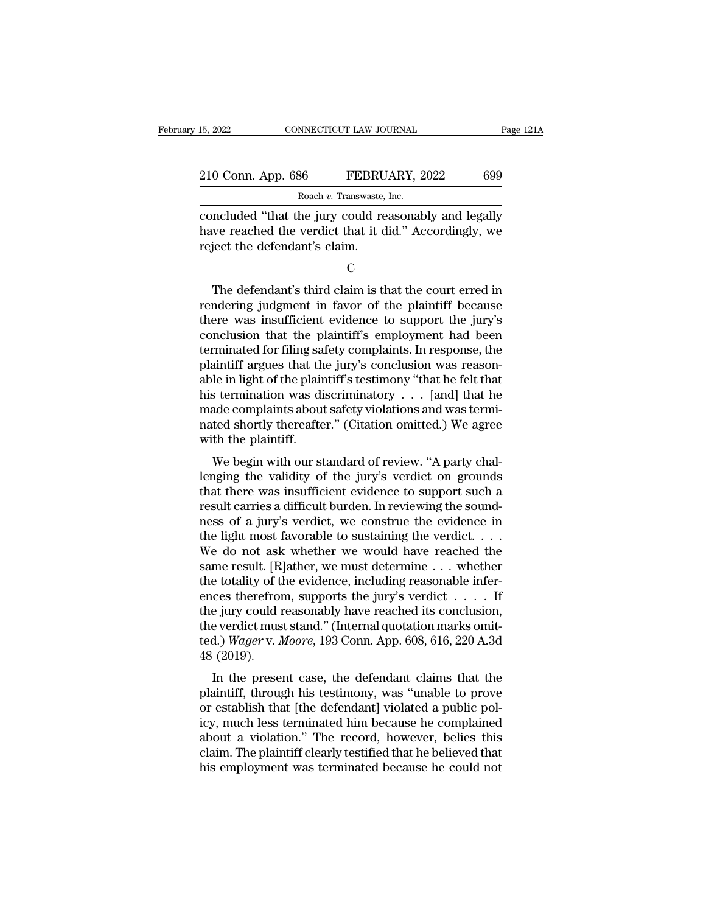| 15, 2022<br>CONNECTICUT LAW JOURNAL |                                                       | Page 121A |  |
|-------------------------------------|-------------------------------------------------------|-----------|--|
| 210 Conn. App. 686                  | FEBRUARY, 2022                                        | 699       |  |
|                                     | Roach v. Transwaste, Inc.                             |           |  |
|                                     | concluded "that the jury could reasonably and legally |           |  |

EXECUTE 15, 2022<br>
CONNECTICUT LAW JOURNAL Page 121A<br>
210 Conn. App. 686 FEBRUARY, 2022 699<br>
Roach v. Transwaste, Inc.<br>
concluded "that the jury could reasonably and legally<br>
have reached the verdict that it did." According 210 Conn. App. 686 FEBRUARY, 2022 699<br>Roach v. Transwaste, Inc.<br>Concluded "that the jury could reasonably and legally<br>have reached the verdict that it did." Accordingly, we<br>reject the defendant's claim. 210 Conn. App. 686 FEBRU<br>
Roach v. Transwaste,<br>
concluded "that the jury could re<br>
have reached the verdict that it d<br>
reject the defendant's claim.  $\frac{1}{2}$  Roach v. Transwaste, Inc.<br>
Included "that the jury could reasonably and legally<br>
we reached the verdict that it did." Accordingly, we<br>
ject the defendant's claim.<br>
C<br>
The defendant's third claim is that the cour

C<sub>c</sub>

concluded "that the jury could reasonably and legally<br>have reached the verdict that it did." Accordingly, we<br>reject the defendant's claim.<br>C<br>The defendant's third claim is that the court erred in<br>rendering judgment in favo have reached the verdict that it did." Accordingly, we<br>reject the defendant's claim.<br>C<br>The defendant's third claim is that the court erred in<br>rendering judgment in favor of the plaintiff because<br>there was insufficient evid reject the defendant's claim.<br>
C<br>
The defendant's third claim is that the court erred in<br>
rendering judgment in favor of the plaintiff because<br>
there was insufficient evidence to support the jury's<br>
conclusion that the pla C<br>
The defendant's third claim is that the court erred in<br>
rendering judgment in favor of the plaintiff because<br>
there was insufficient evidence to support the jury's<br>
conclusion that the plaintiff's employment had been<br>
t The defendant's third claim is that the court erred in<br>rendering judgment in favor of the plaintiff because<br>there was insufficient evidence to support the jury's<br>conclusion that the plaintiff's employment had been<br>terminat The defendant's third claim is that the court erred in rendering judgment in favor of the plaintiff because<br>there was insufficient evidence to support the jury's<br>conclusion that the plaintiff's employment had been<br>termina rendering judgment in favor of the plaintiff because<br>there was insufficient evidence to support the jury's<br>conclusion that the plaintiff's employment had been<br>terminated for filing safety complaints. In response, the<br>plai there was insufficient evidence to support the jury's conclusion that the plaintiff's employment had been terminated for filing safety complaints. In response, the plaintiff argues that the jury's conclusion was reasonable conclusion that the plaintiff's employment had been<br>terminated for filing safety complaints. In response, the<br>plaintiff argues that the jury's conclusion was reason-<br>able in light of the plaintiff's testimony "that he felt terminated for filing sa<br>plaintiff argues that th<br>able in light of the plain<br>his termination was di<br>made complaints about<br>nated shortly thereafte<br>with the plaintiff.<br>We begin with our st Maintin argues that the jury's conclusion was reason-<br>le in light of the plaintiff's testimony "that he felt that<br>is termination was discriminatory . . . [and] that he<br>ade complaints about safety violations and was termi-<br> able in light of the plantific stestmony that he felt that<br>his termination was discriminatory . . . [and] that he<br>made complaints about safety violations and was termi-<br>nated shortly thereafter." (Citation omitted.) We agr

that the complaints about safety violations and was terminated shortly thereafter." (Citation omitted.) We agree with the plaintiff.<br>We begin with our standard of review. "A party challenging the validity of the jury's ve result carries about safety violations and was terminated shortly thereafter." (Citation omitted.) We agree with the plaintiff.<br>We begin with our standard of review. "A party challenging the validity of the jury's verdict nated shortly thereafter. (Chation officient, we agree<br>with the plaintiff.<br>We begin with our standard of review. "A party chal-<br>lenging the validity of the jury's verdict on grounds<br>that there was insufficient evidence to We begin with our standard of review. "A party challenging the validity of the jury's verdict on grounds that there was insufficient evidence to support such a result carries a difficult burden. In reviewing the soundness We begin with our standard of review. "A party challenging the validity of the jury's verdict on grounds<br>that there was insufficient evidence to support such a<br>result carries a difficult burden. In reviewing the sound-<br>ne lenging the validity of the jury's verdict on grounds<br>that there was insufficient evidence to support such a<br>result carries a difficult burden. In reviewing the sound-<br>ness of a jury's verdict, we construe the evidence in that there was insufficient evidence to support such a<br>result carries a difficult burden. In reviewing the sound-<br>ness of a jury's verdict, we construe the evidence in<br>the light most favorable to sustaining the verdict. . result carries a difficult burden. In reviewing the sound-<br>ness of a jury's verdict, we construe the evidence in<br>the light most favorable to sustaining the verdict. . . .<br>We do not ask whether we would have reached the<br>sa ness of a jury's verdict, we construe the evidence in<br>the light most favorable to sustaining the verdict. . . .<br>We do not ask whether we would have reached the<br>same result. [R]ather, we must determine . . . whether<br>the to the light most favorable to sustaining the verdict. . . . We do not ask whether we would have reached the same result. [R]ather, we must determine . . . whether the totality of the evidence, including reasonable inference We do not ask whether we would have reached the<br>same result. [R]ather, we must determine . . . whether<br>the totality of the evidence, including reasonable infer-<br>ences therefrom, supports the jury's verdict . . . . . If<br>the same result. [R<br>the totality of t<br>ences therefrom<br>the jury could in<br>the verdict mus<br>ted.) *Wager* v. *l*<br>48 (2019).<br>In the prese In the present case, the defendant claims that the antiff, through his testimony, was "unable to prove extablish that the defendant claims that the antiff, through his testimony, was "unable to prove extablish that the de the jury could reasonably have reached its conclusion,<br>the verdict must stand." (Internal quotation marks omit-<br>ted.) *Wager v. Moore*, 193 Conn. App. 608, 616, 220 A.3d<br>48 (2019).<br>In the present case, the defendant claim

the yary colla reasonably have reached its conclusion,<br>the verdict must stand." (Internal quotation marks omit-<br>ted.) *Wager v. Moore*, 193 Conn. App. 608, 616, 220 A.3d<br>48 (2019).<br>In the present case, the defendant claims ted.) *Wager v. Moore*, 193 Conn. App. 608, 616, 220 A.3d<br>48 (2019).<br>In the present case, the defendant claims that the<br>plaintiff, through his testimony, was "unable to prove<br>or establish that [the defendant] violated a pu deal.) wager v. moore, 135 Conn. App. 000, 010, 220 A.5d<br>48 (2019).<br>In the present case, the defendant claims that the<br>plaintiff, through his testimony, was "unable to prove<br>or establish that [the defendant] violated a pub Fo (2019).<br>In the present case, the defendant claims that the<br>plaintiff, through his testimony, was "unable to prove<br>or establish that [the defendant] violated a public pol-<br>icy, much less terminated him because he complai In the present case, the defendant claims that the plaintiff, through his testimony, was "unable to prove or establish that [the defendant] violated a public policy, much less terminated him because he complained about a v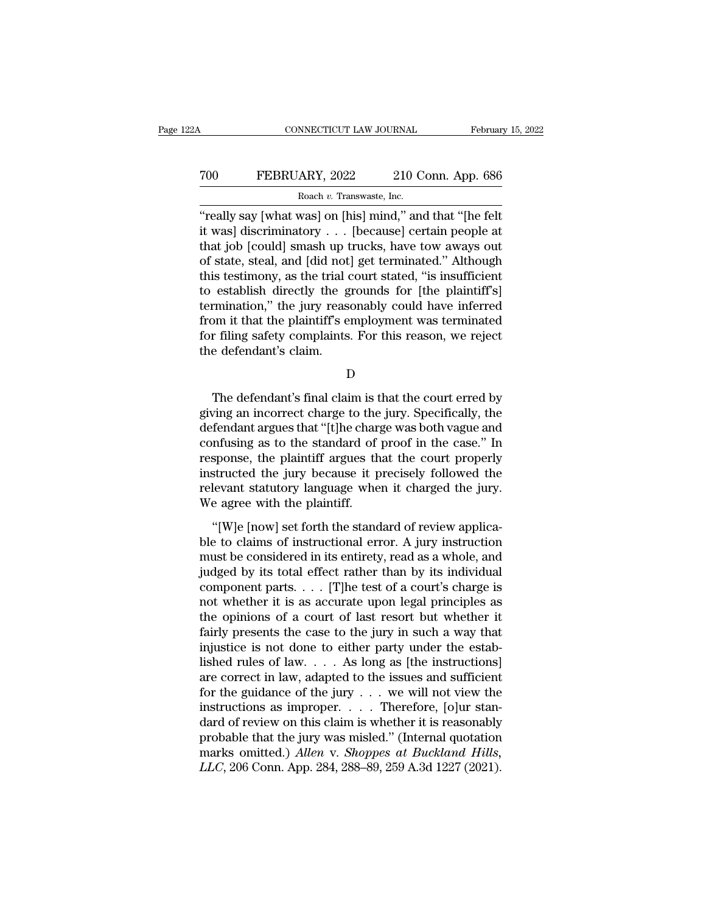## CONNECTICUT LAW JOURNAL February 15, 2022<br>
T00 FEBRUARY, 2022 210 Conn. App. 686<br>
Roach v. Transwaste, Inc. NNECTICUT LAW JOURNAL<br>ARY, 2022 210 C<br>Roach *v.* Transwaste, Inc.<br>wasl on [his] mind " and

CONNECTICUT LAW JOURNAL February 15, 202<br>
TOO FEBRUARY, 2022 210 Conn. App. 686<br>
Roach v. Transwaste, Inc.<br>
"really say [what was] on [his] mind," and that "[he felt<br>
it was] discriminatory . . . [because] certain people a FEBRUARY, 2022 210 Conn. App. 686<br>
Roach v. Transwaste, Inc.<br>
"really say [what was] on [his] mind," and that "[he felt<br>
it was] discriminatory . . . [because] certain people at<br>
that job [could] smash up trucks, have tow To really say [What Was] on [his] mind," and that "[he felt<br>
"really say [what was] on [his] mind," and that "[he felt<br>
it was] discriminatory . . . [because] certain people at<br>
that job [could] smash up trucks, have tow To really say [what was] on [his] mind," and that "[he felt]<br>"really say [what was] on [his] mind," and that "[he felt]<br>it was] discriminatory . . . [because] certain people at<br>that job [could] smash up trucks, have tow a Roach v. Transwaste, Inc.<br>
"really say [what was] on [his] mind," and that "[he felt<br>
it was] discriminatory . . . [because] certain people at<br>
that job [could] smash up trucks, have tow aways out<br>
of state, steal, and [d  $\frac{1}{2}$  Roach v. Transwaste, Inc.<br>
"really say [what was] on [his] mind," and that "[he felt<br>
it was] discriminatory . . . [because] certain people at<br>
that job [could] smash up trucks, have tow aways out<br>
of state, ste "really say [what was] on [his] mind," and that "[he felt<br>it was] discriminatory . . . [because] certain people at<br>that job [could] smash up trucks, have tow aways out<br>of state, steal, and [did not] get terminated." Altho it was] discriminatory . . . [because] certain people at<br>that job [could] smash up trucks, have tow aways out<br>of state, steal, and [did not] get terminated." Although<br>this testimony, as the trial court stated, "is insuffic that job [could] smash up trucks, have tow aways out<br>of state, steal, and [did not] get terminated." Although<br>this testimony, as the trial court stated, "is insufficient<br>to establish directly the grounds for [the plaintiff of state, steal, and [did not]<br>this testimony, as the trial of<br>to establish directly the g<br>termination," the jury rease<br>from it that the plaintiff's e<br>for filing safety complaints<br>the defendant's claim. mination," the jury reasonably could have inferred<br>
om it that the plaintiff's employment was terminated<br>
r filing safety complaints. For this reason, we reject<br>
e defendant's claim.<br>
D<br>
The defendant's final claim is that

D<sub>D</sub>

from it that the plaintiff's employment was terminated<br>for filing safety complaints. For this reason, we reject<br>the defendant's claim.<br>D<br>The defendant's final claim is that the court erred by<br>giving an incorrect charge to for filing safety complaints. For this reason, we reject<br>the defendant's claim.<br>D<br>The defendant's final claim is that the court erred by<br>giving an incorrect charge to the jury. Specifically, the<br>defendant argues that "[t]h D<br>D<br>The defendant's final claim is that the court erred by<br>giving an incorrect charge to the jury. Specifically, the<br>defendant argues that "[t]he charge was both vague and<br>confusing as to the standard of proof in the case. D<br>
The defendant's final claim is that the court erred by<br>
giving an incorrect charge to the jury. Specifically, the<br>
defendant argues that "[t]he charge was both vague and<br>
confusing as to the standard of proof in the cas The defendant's final claim is that the court erred by<br>giving an incorrect charge to the jury. Specifically, the<br>defendant argues that "[t]he charge was both vague and<br>confusing as to the standard of proof in the case." In The defendant's final claim is that the court erred by<br>giving an incorrect charge to the jury. Specifically, the<br>defendant argues that "[t]he charge was both vague and<br>confusing as to the standard of proof in the case." In giving an incorrect charge to the<br>defendant argues that "[t]he charge<br>confusing as to the standard of<br>response, the plaintiff argues th<br>instructed the jury because it p<br>relevant statutory language whe<br>We agree with the pla The standard digited that the court vagde and<br>
infusing as to the standard of proof in the case." In<br>
sponse, the plaintiff argues that the court properly<br>
structed the jury because it precisely followed the<br>
levant statut ble to claims of instructed the jury because it precisely followed the<br>relevant statutory language when it charged the jury.<br>We agree with the plaintiff.<br>"[W]e [now] set forth the standard of review applica-<br>ble to claims

response, are plantally algebra and the court property<br>instructed the jury because it precisely followed the<br>relevant statutory language when it charged the jury.<br>We agree with the plaintiff.<br>"[W]e [now] set forth the stan moducted the jary because to precisely followed the<br>relevant statutory language when it charged the jury.<br>We agree with the plaintiff.<br>"[W]e [now] set forth the standard of review applica-<br>ble to claims of instructional e We agree with the plaintiff.<br>We agree with the plaintiff.<br>"[W]e [now] set forth the standard of review applica-<br>ble to claims of instructional error. A jury instruction<br>must be considered in its entirety, read as a whole, "[W]e [now] set forth the standard of review applica-<br>ble to claims of instructional error. A jury instruction<br>must be considered in its entirety, read as a whole, and<br>judged by its total effect rather than by its individ "[W]e [now] set forth the standard of review applica-<br>ble to claims of instructional error. A jury instruction<br>must be considered in its entirety, read as a whole, and<br>judged by its total effect rather than by its individ ble to claims of instructional error. A jury instruction<br>must be considered in its entirety, read as a whole, and<br>judged by its total effect rather than by its individual<br>component parts. . . . [T]he test of a court's cha must be considered in its entirety, read as a whole, and judged by its total effect rather than by its individual component parts. . . . [T]he test of a court's charge is not whether it is as accurate upon legal principle judged by its total effect rather than by its individual<br>component parts. . . . [T]he test of a court's charge is<br>not whether it is as accurate upon legal principles as<br>the opinions of a court of last resort but whether i component parts. . . . [T]he test of a court's charge is<br>not whether it is as accurate upon legal principles as<br>the opinions of a court of last resort but whether it<br>fairly presents the case to the jury in such a way that not whether it is as accurate upon legal principles as<br>the opinions of a court of last resort but whether it<br>fairly presents the case to the jury in such a way that<br>injustice is not done to either party under the estab-<br>l the opinions of a court of last resort but whether it<br>fairly presents the case to the jury in such a way that<br>injustice is not done to either party under the estab-<br>lished rules of law. . . . As long as [the instructions] fairly presents the case to the jury in such a way that<br>injustice is not done to either party under the estab-<br>lished rules of law. . . . As long as [the instructions]<br>are correct in law, adapted to the issues and suffici injustice is not done to either party under the established rules of law.... As long as [the instructions]<br>are correct in law, adapted to the issues and sufficient<br>for the guidance of the jury ... we will not view the<br>ins lished rules of law.  $\ldots$  As long as [the instructions]<br>are correct in law, adapted to the issues and sufficient<br>for the guidance of the jury  $\ldots$  we will not view the<br>instructions as improper.  $\ldots$  Therefore, [o]ur st are correct in law, adapted to the issues and sufficient<br>for the guidance of the jury . . . we will not view the<br>instructions as improper. . . . Therefore, [o]ur stan-<br>dard of review on this claim is whether it is reasonab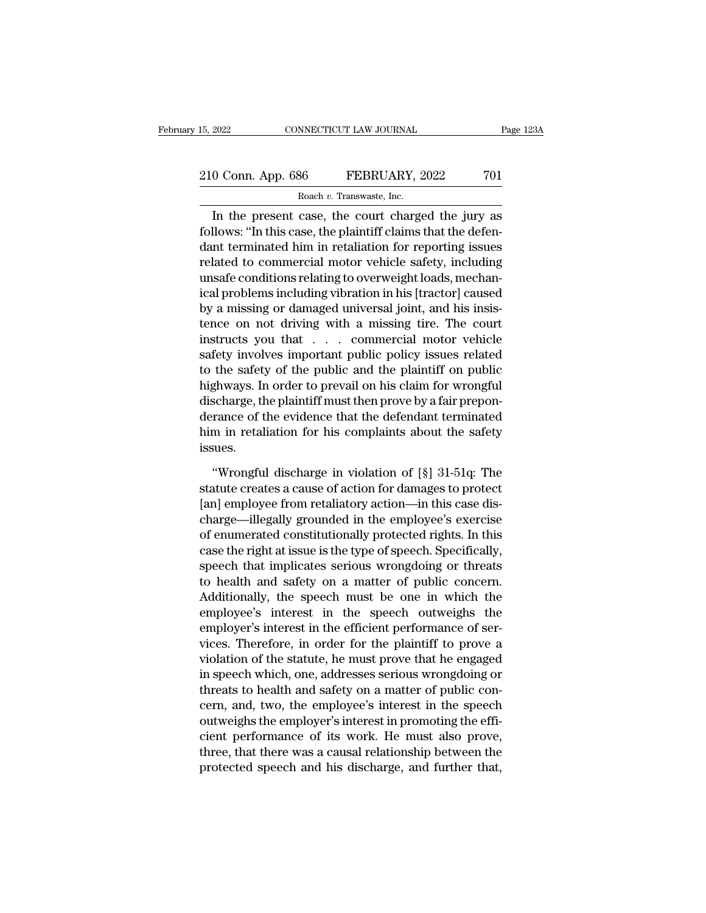CONNECTICUT LAW JOURNAL Page 123A<br>
0 Conn. App. 686 FEBRUARY, 2022 701<br>
Roach v. Transwaste, Inc.<br>
In the present case, the court charged the jury as<br>
Ilows: "In this case, the plaintiff claims that the defen-<br>
nt terminat 210 Conn. App. 686 FEBRUARY, 2022 701<br>
Roach v. Transwaste, Inc.<br>
In the present case, the court charged the jury as<br>
follows: "In this case, the plaintiff claims that the defen-<br>
dant terminated him in retaliation for re 210 Conn. App. 686 FEBRUARY, 2022 701<br>
Roach v. Transwaste, Inc.<br>
In the present case, the court charged the jury as<br>
follows: "In this case, the plaintiff claims that the defen-<br>
dant terminated him in retaliation for re 210 Conn. App. 686 FEBRUARY, 2022 701<br>
Roach v. Transwaste, Inc.<br>
In the present case, the court charged the jury as<br>
follows: "In this case, the plaintiff claims that the defen-<br>
dant terminated him in retaliation for re Roach v. Transwaste, Inc.<br>
In the present case, the court charged the jury as<br>
follows: "In this case, the plaintiff claims that the defen-<br>
dant terminated him in retaliation for reporting issues<br>
related to commercial m ical *i.* Haiswasse, inc.<br>
In the present case, the court charged the jury as<br>
follows: "In this case, the plaintiff claims that the defen-<br>
dant terminated him in retaliation for reporting issues<br>
related to commercial mo In the present case, the court charged the jury as<br>follows: "In this case, the plaintiff claims that the defen-<br>dant terminated him in retaliation for reporting issues<br>related to commercial motor vehicle safety, including<br> follows: "In this case, the plaintiff claims that the defen-<br>dant terminated him in retaliation for reporting issues<br>related to commercial motor vehicle safety, including<br>unsafe conditions relating to overweight loads, mec dant terminated him in retaliation for reporting issues<br>related to commercial motor vehicle safety, including<br>unsafe conditions relating to overweight loads, mechan-<br>ical problems including vibration in his [tractor] cause related to commercial motor vehicle safety, including<br>unsafe conditions relating to overweight loads, mechan-<br>ical problems including vibration in his [tractor] caused<br>by a missing or damaged universal joint, and his insis unsafe conditions relating to overweight loads, mechanical problems including vibration in his [tractor] caused<br>by a missing or damaged universal joint, and his insistence on not driving with a missing tire. The court<br>inst ical problems including vibration in his [tractor] caused<br>by a missing or damaged universal joint, and his insis-<br>tence on not driving with a missing tire. The court<br>instructs you that . . . . commercial motor vehicle<br>safe by a missing or damaged universal joint, and his insistence on not driving with a missing tire. The court instructs you that . . . . commercial motor vehicle safety involves important public policy issues related to the sa tence on not driving with a missing tire. The court<br>instructs you that . . . commercial motor vehicle<br>safety involves important public policy issues related<br>to the safety of the public and the plaintiff on public<br>highways. instructs you that . . . . commercial motor vehicle<br>safety involves important public policy issues related<br>to the safety of the public and the plaintiff on public<br>highways. In order to prevail on his claim for wrongful<br>dis issues. Exploration is claim for wrongful<br>
Scharge, the plaintiff must then prove by a fair prepon-<br>
France of the evidence that the defendant terminated<br>
Im in retaliation for his complaints about the safety<br>
sues.<br>
"Wrongful dis discharge, the plaintiff must then prove by a fair preponderance of the evidence that the defendant terminated<br>him in retaliation for his complaints about the safety<br>issues.<br>"Wrongful discharge in violation of [§] 31-51q:

derance of the evidence that the defendant terminated<br>him in retaliation for his complaints about the safety<br>issues.<br>"Wrongful discharge in violation of [§] 31-51q: The<br>statute creates a cause of action for damages to prot him in retaliation for his complaints about the safety<br>issues.<br>
"Wrongful discharge in violation of [§] 31-51q: The<br>statute creates a cause of action for damages to protect<br>
[an] employee from retaliatory action—in this ca issues.<br>
"Wrongful discharge in violation of  $[\S]$  31-51q: The<br>
statute creates a cause of action for damages to protect<br>
[an] employee from retaliatory action—in this case dis-<br>
charge—illegally grounded in the employee' "Wrongful discharge in violation of  $[\S]$  31-51q: The<br>statute creates a cause of action for damages to protect<br>[an] employee from retaliatory action—in this case dis-<br>charge—illegally grounded in the employee's exercise<br>o "Wrongful discharge in violation of  $[\S]$  31-51q: The<br>statute creates a cause of action for damages to protect<br>[an] employee from retaliatory action—in this case dis-<br>charge—illegally grounded in the employee's exercise<br>o statute creates a cause of action for damages to protect<br>[an] employee from retaliatory action—in this case dis-<br>charge—illegally grounded in the employee's exercise<br>of enumerated constitutionally protected rights. In this [an] employee from retaliatory action—in this case dis-<br>charge—illegally grounded in the employee's exercise<br>of enumerated constitutionally protected rights. In this<br>case the right at issue is the type of speech. Specifica charge—illegally grounded in the employee's exercise<br>of enumerated constitutionally protected rights. In this<br>case the right at issue is the type of speech. Specifically,<br>speech that implicates serious wrongdoing or threat of enumerated constitutionally protected rights. In this<br>case the right at issue is the type of speech. Specifically,<br>speech that implicates serious wrongdoing or threats<br>to health and safety on a matter of public concern. case the right at issue is the type of speech. Specifically,<br>speech that implicates serious wrongdoing or threats<br>to health and safety on a matter of public concern.<br>Additionally, the speech must be one in which the<br>employ speech that implicates serious wrongdoing or threats<br>to health and safety on a matter of public concern.<br>Additionally, the speech must be one in which the<br>employee's interest in the speech outweighs the<br>employer's interest to health and safety on a matter of public concern.<br>Additionally, the speech must be one in which the<br>employee's interest in the speech outweighs the<br>employer's interest in the efficient performance of ser-<br>vices. Therefor Additionally, the speech must be one in which the<br>employee's interest in the speech outweighs the<br>employer's interest in the efficient performance of ser-<br>vices. Therefore, in order for the plaintiff to prove a<br>violation o employee's interest in the speech outweighs the<br>employer's interest in the efficient performance of ser-<br>vices. Therefore, in order for the plaintiff to prove a<br>violation of the statute, he must prove that he engaged<br>in sp employer's interest in the efficient performance of services. Therefore, in order for the plaintiff to prove a<br>violation of the statute, he must prove that he engaged<br>in speech which, one, addresses serious wrongdoing or<br>t vices. Therefore, in order for the plaintiff to prove a<br>violation of the statute, he must prove that he engaged<br>in speech which, one, addresses serious wrongdoing or<br>threats to health and safety on a matter of public con-<br> violation of the statute, he must prove that he engaged<br>in speech which, one, addresses serious wrongdoing or<br>threats to health and safety on a matter of public con-<br>cern, and, two, the employee's interest in the speech<br>ou in speech which, one, addresses serious wrongdoing or<br>threats to health and safety on a matter of public con-<br>cern, and, two, the employee's interest in the speech<br>outweighs the employer's interest in promoting the effi-<br>c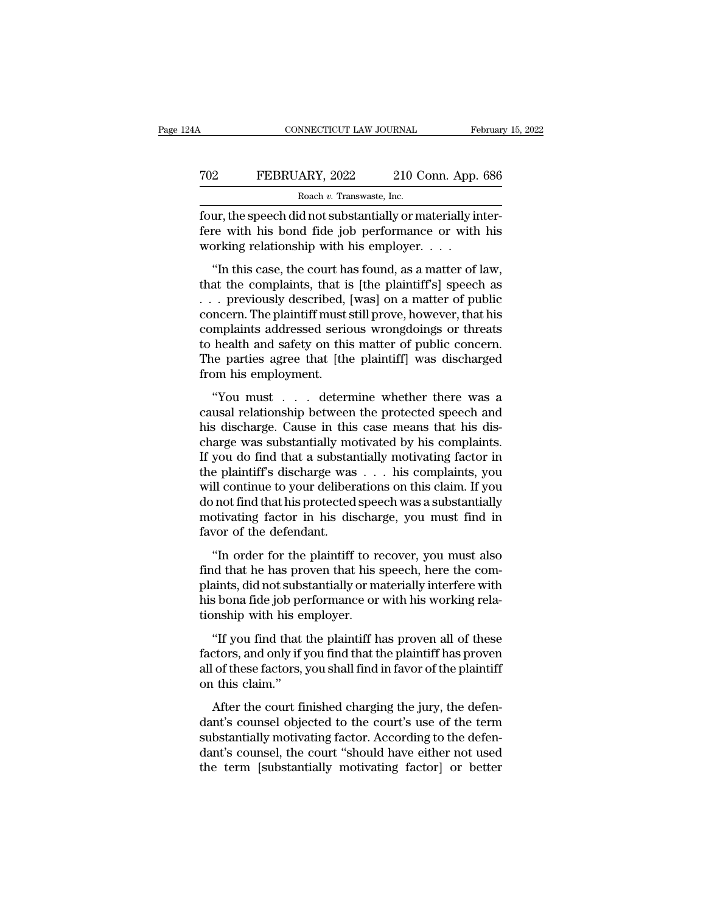## CONNECTICUT LAW JOURNAL February 15, 2022<br> **FEBRUARY**, 2022 210 Conn. App. 686<br>
Roach v. Transwaste, Inc. NNECTICUT LAW JOURNAL<br>ARY, 2022 210 C<br>Roach v. Transwaste, Inc.<br>d not substantially or m

Februar<br>
Februar<br>
FOURTHERT CONNECTICUT LAW JOURNAL<br>
Februar<br>
FOURTHERT CONNECTICUT LAW JOURNAL<br>
FOURTHERT PROBAGATE:<br>
FOURTHERT CONNECTICUT CONNECTICUT CONNECTICUT CONNECTICUT CONNECTICLE<br>
FOURTHERT CONNECTICUT CONNECTICU FEBRUARY, 2022 210 Conn. App. 686<br>Roach v. Transwaste, Inc.<br>four, the speech did not substantially or materially inter-<br>fere with his bond fide job performance or with his<br>working relationship with his employer. . . . To relationship with his court and the control of the speech did not substantially or materially in fere with his bond fide job performance or with working relationship with his employer. . . . . . . . . . . . . . . . . . <sup>2</sup><br>
<sup>Roach *v*. Transwaste, Inc.<br> **EXECUARY, 2022** 210 Conn. App. 686<br> **EXECUARY, 2022** 210 Conn. App. 686<br> **EXECUARY, 2022** 210 Conn. App. 686<br> **EXECUARY, EXECUARY AS FOUND IS EXECUARY AS FOUND FOR THE VALUATION OF PUBL</sup>** 

France Resember 1983. Inc.<br>
four, the speech did not substantially or materially inter-<br>
fere with his bond fide job performance or with his<br>
working relationship with his employer. . . .<br>
"In this case, the court has fou From the speech did not substantially or materially inter-<br>fere with his bond fide job performance or with his<br>working relationship with his employer.  $\dots$ <br>"In this case, the court has found, as a matter of law,<br>that the Formation and fide job performance or with his<br>working relationship with his employer. . . .<br>"In this case, the court has found, as a matter of law,<br>that the complaints, that is [the plaintiff's] speech as<br>. . . previously working relationship with his employer.  $\dots$ <br>
"In this case, the court has found, as a matter of law,<br>
that the complaints, that is [the plaintiff's] speech as<br>  $\dots$  previously described, [was] on a matter of public<br>
conc "In this case, the court has found, as a matter of law,<br>that the complaints, that is [the plaintiff's] speech as<br> $\dots$  previously described, [was] on a matter of public<br>concern. The plaintiff must still prove, however, tha "In this case, the court has found, as a matter of law,<br>that the complaints, that is [the plaintiff's] speech as<br> $\dots$  previously described, [was] on a matter of public<br>concern. The plaintiff must still prove, however, tha that the complaints, that is<br>
... previously described,<br>
concern. The plaintiff must s<br>
complaints addressed seric<br>
to health and safety on this<br>
The parties agree that [the<br>
from his employment.<br>
"You must ... detern The plaintiff must still prove, however, that his<br>
melantist addressed serious wrongdoings or threats<br>
health and safety on this matter of public concern.<br>
ie parties agree that [the plaintiff] was discharged<br>
om his emplo concern: The plantari mast sum prove, however, that has<br>complaints addressed serious wrongdoings or threats<br>to health and safety on this matter of public concern.<br>The parties agree that [the plaintiff] was discharged<br>from

to health and safety on this matter of public concern.<br>The parties agree that [the plaintiff] was discharged<br>from his employment.<br>"You must . . . determine whether there was a<br>causal relationship between the protected spee charge was substantially motivated by his complement.<br>
The parties agree that [the plaintiff] was discharged<br>
from his employment.<br>
"You must . . . determine whether there was a<br>
causal relationship between the protected s Inc parties agree and [the planting] was disentaged<br>from his employment.<br>"You must . . . determine whether there was a<br>causal relationship between the protected speech and<br>his discharge. Cause in this case means that his d The plant is displayment.<br>
"You must . . . determine whether there was a<br>
causal relationship between the protected speech and<br>
his discharge. Cause in this case means that his dis-<br>
charge was substantially motivated by "You must . . . determine whether there was a<br>causal relationship between the protected speech and<br>his discharge. Cause in this case means that his dis-<br>charge was substantially motivated by his complaints.<br>If you do find causal relationship between the protected speech and<br>his discharge. Cause in this case means that his dis-<br>charge was substantially motivated by his complaints.<br>If you do find that a substantially motivating factor in<br>the his discharge. Cause in this case means that his discharge was substantially motivated by his complaints.<br>If you do find that a substantially motivating factor in<br>the plaintiff's discharge was . . . his complaints, you<br>wil charge was substantially mound if you do find that a substant<br>the plaintiff's discharge was<br>will continue to your deliber<br>do not find that his protected<br>motivating factor in his dis<br>favor of the defendant.<br>"In order for th e plaintiff's discharge was . . . his complaints, you<br>
Il continue to your deliberations on this claim. If you<br>
in order find that his protected speech was a substantially<br>
otivating factor in his discharge, you must find find that his visible was  $\cdot \cdot \cdot$  in such a complaints, you<br>will continue to your deliberations on this claim. If you<br>do not find that his protected speech was a substantially<br>motivating factor in his discharge, you must

with containte to your democrations on this claim. If you<br>do not find that his protected speech was a substantially<br>motivating factor in his discharge, you must find in<br>favor of the defendant.<br>"In order for the plaintiff t his discharge, you must find in favor of the defendant.<br>
"In order for the plaintiff to recover, you must also<br>
find that he has proven that his speech, here the com-<br>
plaints, did not substantially or materially interfere favor of the defendant.<br>
"In order for the plaintiff to refind that he has proven that his s<br>
plaints, did not substantially or mathemore.<br>
his bona fide job performance or<br>
tionship with his employer.<br>
"If you find that t "In order for the plaintiff to recover, you must also<br>d that he has proven that his speech, here the com-<br>aints, did not substantially or materially interfere with<br>s bona fide job performance or with his working rela-<br>onsh In order for are plaintin to recover, you mats also<br>find that he has proven that his speech, here the com-<br>plaints, did not substantially or materially interfere with<br>his bona fide job performance or with his working rela-

ma that he has proven that his specen, here the complaints, did not substantially or materially interfere with his bona fide job performance or with his working relationship with his employer.<br>"If you find that the plainti plants, an hot subsider<br>his bona fide job pe<br>tionship with his er<br>"If you find that<br>factors, and only if y<br>all of these factors, ;<br>on this claim."<br>After the court fi After the court finished charging the jury, the defenctions, and only if you find that the plaintiff has proven of these factors, you shall find in favor of the plaintiff  $\pm$  this claim."<br>After the court finished chargin "If you find that the plaintiff has proven all of these factors, and only if you find that the plaintiff has proven<br>all of these factors, you shall find in favor of the plaintiff<br>on this claim."<br>After the court finished ch

If you find that the plaintin has proven an or these<br>factors, and only if you find that the plaintiff has proven<br>all of these factors, you shall find in favor of the plaintiff<br>on this claim."<br>After the court finished charg dated is, and only if you find that the plaintiff has proven<br>all of these factors, you shall find in favor of the plaintiff<br>on this claim."<br>After the court finished charging the jury, the defen-<br>dant's counsel objected to and of alcohes, you shall the term of the plant.<br>
on this claim."<br>
After the court finished charging the jury, the defen-<br>
dant's counsel objected to the court's use of the term<br>
substantially motivating factor and the def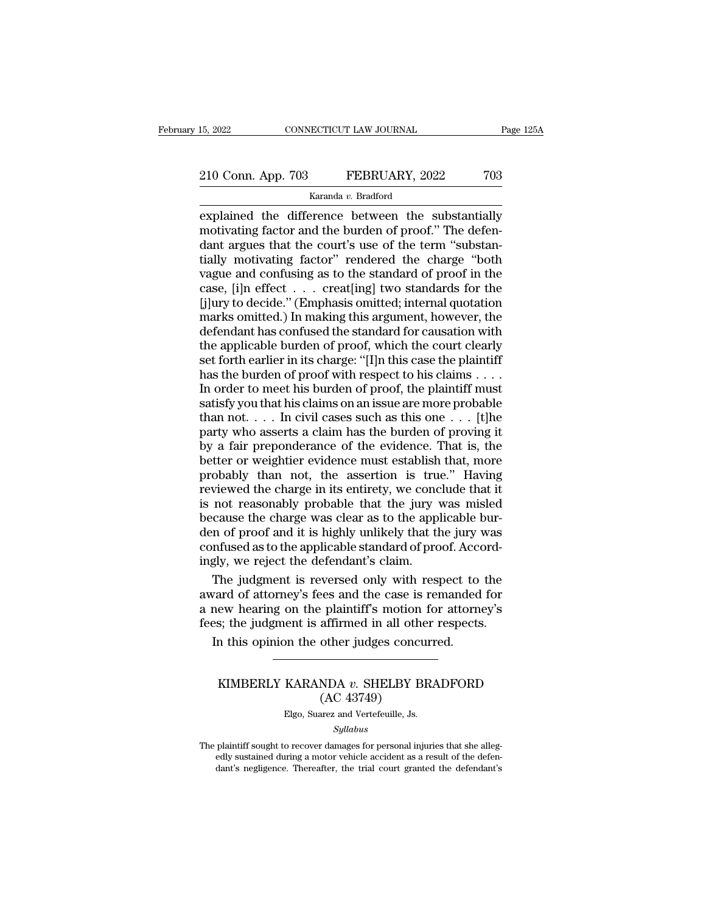# 15, 2022 CONNECTICUT LAW JOURNAL Page 125A<br>210 Conn. App. 703 FEBRUARY, 2022 703<br>Karanda v. Bradford

Karanda *v.* Bradford

EXECTE 15, 2022 2 210 Conn. App. 703 FEBRUARY, 2022 703<br>
Karanda v. Bradford<br>
EXPlained the difference between the substantially<br>
motivating factor and the burden of proof." The defendant argues that the court's use of the 210 Conn. App. 703 FEBRUARY, 2022 703<br>Karanda v. Bradford<br>explained the difference between the substantially<br>motivating factor and the burden of proof.'' The defen-<br>dant argues that the court's use of the term "substan-<br>t 210 Conn. App. 703 FEBRUARY, 2022 703<br>  $\frac{\text{Karanda } v. \text{ Bradford}}{\text{explained the difference between the substantially motivating factor and the burden of proof." The defendant argues that the court's use of the term "substantially motivating factor" rendered the charge "both was used in the standard of proof in the$ 210 Conn. App. 703 FEBRUARY, 2022 703<br>  $\frac{1}{2}$  Karanda v. Bradford<br>
explained the difference between the substantially<br>
motivating factor and the burden of proof." The defen-<br>
dant argues that the court's use of the ter Example and confusing as the standard of proof." The defendant argues that the court's use of the term "substantially motivating factor and the burden of proof." The defendant argues that the court's use of the term "subs Karanda v. Bradford<br>
explained the difference between the substantially<br>
motivating factor and the burden of proof." The defen-<br>
dant argues that the court's use of the term "substan-<br>
tially motivating factor" rendered t explained the difference between the substantially<br>motivating factor and the burden of proof." The defen-<br>dant argues that the court's use of the term "substan-<br>tially motivating factor" rendered the charge "both<br>vague and motivating factor and the burden of proof." The defendant argues that the court's use of the term "substantially motivating factor" rendered the charge "both vague and confusing as to the standard of proof in the case, [i] dant argues that the court's use of the term "substantially motivating factor" rendered the charge "both vague and confusing as to the standard of proof in the case, [i]n effect . . . creat[ing] two standards for the [j]ur tially motivating factor" rendered the charge "both<br>vague and confusing as to the standard of proof in the<br>case, [i]n effect  $\dots$  creat[ing] two standards for the<br>[j]ury to decide." (Emphasis omitted; internal quotation<br>m vague and confusing as to the standard of proof in the case, [i]n effect  $\ldots$  creat[ing] two standards for the [j]ury to decide." (Emphasis omitted; internal quotation marks omitted.) In making this argument, however, th case, [i]n effect  $\ldots$  creat[ing] two standards for the [j]ury to decide." (Emphasis omitted; internal quotation marks omitted.) In making this argument, however, the defendant has confused the standard for causation wit [j]ury to decide." (Emphasis omitted; internal quotation<br>marks omitted.) In making this argument, however, the<br>defendant has confused the standard for causation with<br>the applicable burden of proof, which the court clearly<br> marks omitted.) In making this argument, however, the defendant has confused the standard for causation with the applicable burden of proof, which the court clearly set forth earlier in its charge: "[I]n this case the pla defendant has confused the standard for causation with<br>the applicable burden of proof, which the court clearly<br>set forth earlier in its charge: "[I]n this case the plaintiff<br>has the burden of proof with respect to his clai the applicable burden of proof, which the court clearly<br>set forth earlier in its charge: "[I]n this case the plaintiff<br>has the burden of proof with respect to his claims . . . .<br>In order to meet his burden of proof, the p set forth earlier in its charge: "[I]n this case the plaintiff<br>has the burden of proof with respect to his claims . . . .<br>In order to meet his burden of proof, the plaintiff must<br>satisfy you that his claims on an issue ar has the burden of proof with respect to his claims . . . . In order to meet his burden of proof, the plaintiff must<br>satisfy you that his claims on an issue are more probable<br>than not. . . . In civil cases such as this one In order to meet his burden of proof, the plaintiff must<br>satisfy you that his claims on an issue are more probable<br>than not. . . . In civil cases such as this one . . . [t]he<br>party who asserts a claim has the burden of pr satisfy you that his claims on an issue are more probable<br>than not.... In civil cases such as this one  $\ldots$  [t]he<br>party who asserts a claim has the burden of proving it<br>by a fair preponderance of the evidence. That is, t than not. . . . In civil cases such as this one . . . [t]he<br>party who asserts a claim has the burden of proving it<br>by a fair preponderance of the evidence. That is, the<br>better or weightier evidence must establish that, mo party who asserts a claim has the burden of proving it<br>by a fair preponderance of the evidence. That is, the<br>better or weightier evidence must establish that, more<br>probably than not, the assertion is true." Having<br>reviewed by a fair preponderance of the evidence. That is, the<br>better or weightier evidence must establish that, more<br>probably than not, the assertion is true." Having<br>reviewed the charge in its entirety, we conclude that it<br>is not better or weightier evidence must establish that, more<br>probably than not, the assertion is true." Having<br>reviewed the charge in its entirety, we conclude that it<br>is not reasonably probable that the jury was misled<br>because probably than not, the assertion is true<br>reviewed the charge in its entirety, we conce<br>is not reasonably probable that the jury v<br>because the charge was clear as to the appl<br>den of proof and it is highly unlikely that the<br> viewed the charge in its entirety, we conclude that it<br>not reasonably probable that the jury was misled<br>cause the charge was clear as to the applicable bur-<br>n of proof and it is highly unlikely that the jury was<br>nfused as is not reasonably probable that the jury was misled<br>because the charge was clear as to the applicable bur-<br>den of proof and it is highly unlikely that the jury was<br>confused as to the applicable standard of proof. Accord-<br>i because the charge was clear as to the applicable bur-<br>den of proof and it is highly unlikely that the jury was<br>confused as to the applicable standard of proof. Accord-<br>ingly, we reject the defendant's claim.<br>The judgment

den of proof and it is highly unlikely that the jury was confused as to the applicable standard of proof. Accordingly, we reject the defendant's claim.<br>The judgment is reversed only with respect to the award of attorney's In this opinion the other judges concurred.<br>In the judgment is reversed only with respect to vard of attorney's fees and the case is remanded<br>new hearing on the plaintiff's motion for attornes; the judgment is affirmed in ard of attorney's fees and the case is remanded for<br>ew hearing on the plaintiff's motion for attorney's<br>s; the judgment is affirmed in all other respects.<br>In this opinion the other judges concurred.<br>AC 43749)<br>Else Sueres a (According to plaintiff's motion<br>affirmed in all other<br>other judges concured<br>NDA v. SHELBY BI<br>(AC 43749)<br>arez and Vertefeuille, Js.

## KARANDA v. SHELBY BRA<br>(AC 43749)<br>Elgo, Suarez and Vertefeuille, Js.<br>Syllabus

## *Syllabus*

KIMBERLY KARANDA  $v$ . SHELBY BRADFORD<br>
(AC 43749)<br>
Elgo, Suarez and Vertefeuille, Js.<br>
Syllabus<br>
The plaintiff sought to recover damages for personal injuries that she alleg-<br>
edly sustained during a motor vehicle acciden (AC  $43749$ )<br>Elgo, Suarez and Vertefeuille, Js.<br>*Syllabus*<br>plaintiff sought to recover damages for personal injuries that she alleg-<br>edly sustained during a motor vehicle accident as a result of the defen-<br>dant's negligen  $(AC 45145)$ <br>Elgo, Suarez and Vertefeuille, Js.<br>Syllabus<br>plaintiff sought to recover damages for personal injuries that she alleg-<br>edly sustained during a motor vehicle accident as a result of the defendant's<br>negligence. T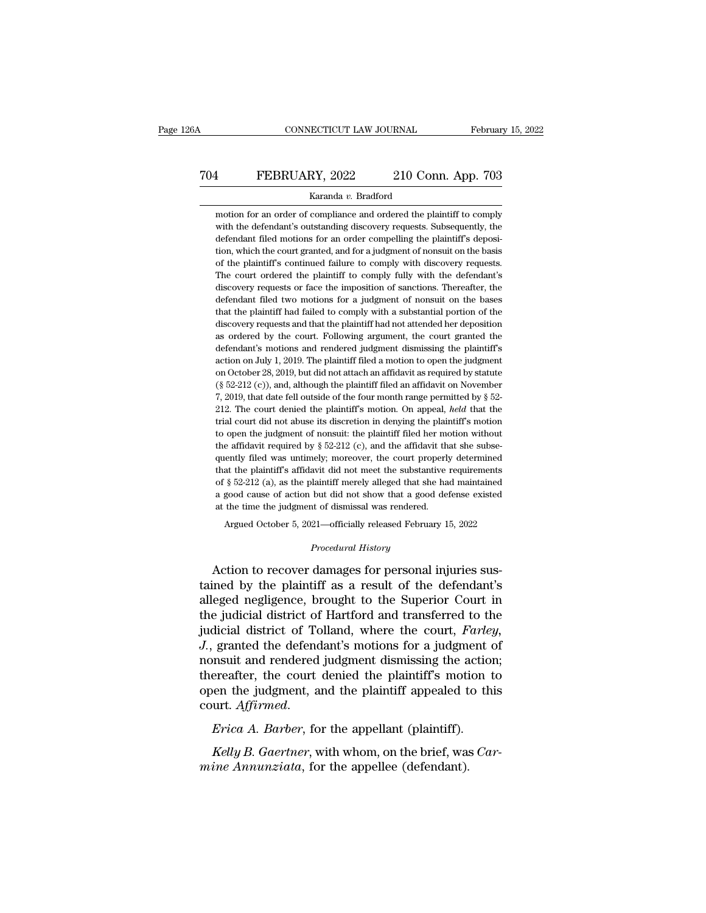# CONNECTICUT LAW JOURNAL February 15, 2022<br>
704 FEBRUARY, 2022 210 Conn. App. 703<br>
Karanda v. Bradford

## Karanda *v.* Bradford

FEBRUARY, 2022 210 Conn. App. 703<br>Karanda v. Bradford<br>motion for an order of compliance and ordered the plaintiff to comply<br>with the defendant's outstanding discovery requests. Subsequently, the FEBRUARY, 2022 210 Conn. App. 703<br>Karanda v. Bradford<br>motion for an order of compliance and ordered the plaintiff to comply<br>with the defendant's outstanding discovery requests. Subsequently, the<br>defendant filed motions for TO4 FEBRUARY, 2022 210 Conn. App. 703<br>
Karanda v. Bradford<br>
motion for an order of compliance and ordered the plaintiff to comply<br>
with the defendant's outstanding discovery requests. Subsequently, the<br>
defendant filed mo Karanda v. Bradford<br>
motion for an order of compliance and ordered the plaintiff to comply<br>
with the defendant's outstanding discovery requests. Subsequently, the<br>
defendant filed motions for an order compelling the plaint Karanda v. Bradford<br>
motion for an order of compliance and ordered the plaintiff to comply<br>
with the defendant's outstanding discovery requests. Subsequently, the<br>
defendant filed motions for an order compelling the plaint motion for an order of compliance and ordered the plaintiff to comply<br>with the defendant's outstanding discovery requests. Subsequently, the<br>defendant filed motions for an order compelling the plaintiff's deposi-<br>tion, whi with the defendant's outstanding discovery requests. Subsequently, the defendant filed motions for an order compelling the plaintiff's deposition, which the court granted, and for a judgment of nonsuit on the basis of the defendant filed motions for an order compelling the plaintiff's deposition, which the court granted, and for a judgment of nonsuit on the basis of the plaintiff's continued failure to comply with discovery requests. The co tion, which the court granted, and for a judgment of nonsuit on the basis<br>of the plaintiff's continued failure to comply with discovery requests.<br>The court ordered the plaintiff to comply fully with the defendant's<br>discove of the plaintiff's continued failure to comply with discovery requests.<br>The court ordered the plaintiff to comply fully with the defendant's<br>discovery requests or face the imposition of sanctions. Thereafter, the<br>defendant The court ordered the plaintiff to comply fully with the defendant's discovery requests or face the imposition of sanctions. Thereafter, the defendant filed two motions for a judgment of nonsuit on the bases that the plain discovery requests or face the imposition of sanctions. Thereafter, the defendant filed two motions for a judgment of nonsuit on the bases that the plaintiff had failed to comply with a substantial portion of the discovery defendant filed two motions for a judgment of nonsuit on the bases<br>that the plaintiff had failed to comply with a substantial portion of the<br>discovery requests and that the plaintiff had not attended her deposition<br>as orde that the plaintiff had failed to comply with a substantial portion of the discovery requests and that the plaintiff had not attended her deposition as ordered by the court. Following argument, the court granted the defenda discovery requests and that the plaintiff had not attended her deposition<br>as ordered by the court. Following argument, the court granted the<br>defendant's motions and rendered judgment dismissing the plaintiff's<br>action on J as ordered by the court. Following argument, the court granted the defendant's motions and rendered judgment dismissing the plaintiff's action on July 1, 2019. The plaintiff filed a motion to open the judgment on October defendant's motions and rendered judgment dismissing the plaintiff's<br>action on July 1, 2019. The plaintiff filed a motion to open the judgment<br>on October 28, 2019, but did not attach an affidavit as required by statute<br> $(\S$ action on July 1, 2019. The plaintiff filed a motion to open the judgment<br>on October 28, 2019, but did not attach an affidavit as required by statute<br>(§ 52-212 (c)), and, although the plaintiff filed an affidavit on Novem on October 28, 2019, but did not attach an affidavit as required by statute (§ 52-212 (c)), and, although the plaintiff filed an affidavit on November 7, 2019, that date fell outside of the four month range permitted by § (§ 52-212 (c)), and, although the plaintiff filed an affidavit on November 7, 2019, that date fell outside of the four month range permitted by § 52-212. The court denied the plaintiff's motion. On appeal, *held* that the 7, 2019, that date fell outside of the four month range permitted by § 52-<br>212. The court denied the plaintiff's motion. On appeal, *held* that the<br>trial court did not abuse its discretion in denying the plaintiff's motio 212. The court denied the plaintiff's motion. On appeal, *held* that the trial court did not abuse its discretion in denying the plaintiff's motion to open the judgment of nonsuit: the plaintiff filed her motion without t trial court did not abuse its discretion in denying the plaintiff's motion<br>to open the judgment of nonsuit: the plaintiff filed her motion without<br>the affidavit required by  $\S 52-212$  (c), and the affidavit that she subse to open the judgment of nonsuit: the plaintiff filed her motion without<br>the affidavit required by  $\S 52-212$  (c), and the affidavit that she subse-<br>quently filed was untimely; moreover, the court properly determined<br>that the affidavit required by  $\S$  52-212 (c), and the affidavit th quently filed was untimely; moreover, the court properl; that the plaintiff's affidavit did not meet the substantive of  $\S$  52-212 (a), as the plaintiff merel ently filed was untimely; moreover, the court properly determined<br>at the plaintiff's affidavit did not meet the substantive requirements<br>§ 52-212 (a), as the plaintiff merely alleged that she had maintained<br>good cause of a *Procedural History* alleged that she<br>but did not show that a good<br>t of dismissal was rendered.<br>21—officially released Februar<br>*Procedural History* % of § 52-212 (a), as the plaintiff merely alleged that she had maintained<br>a good cause of action but did not show that a good defense existed<br>at the time the judgment of dismissal was rendered.<br>Argued October 5, 2021—off

a good cause of action but did not show that a good defense existed<br>at the time the judgment of dismissal was rendered.<br>Argued October 5, 2021—officially released February 15, 2022<br>*Procedural History*<br>Action to recover da at the time the judgment of dismissal was rendered.<br>
Argued October 5, 2021—officially released February 15, 2022<br>
Procedural History<br>
Action to recover damages for personal injuries sus-<br>
tained by the plaintiff as a resu Argued October 5, 2021—officially released February 15, 2022<br> *Procedural History*<br>
Action to recover damages for personal injuries sus-<br>
tained by the plaintiff as a result of the defendant's<br>
alleged negligence, brought Frocedural History<br>Action to recover damages for personal injuries sus-<br>tained by the plaintiff as a result of the defendant's<br>alleged negligence, brought to the Superior Court in<br>the judicial district of Hartford and tran *J.*, granted the defendant's motions for a judgment of Action to recover damages for personal injuries sus-<br>tained by the plaintiff as a result of the defendant's<br>alleged negligence, brought to the Superior Court in<br>the judicial district of Tolland, where the court, *Farley*,<br> tained by the plaintiff as a result of the defendant's<br>alleged negligence, brought to the Superior Court in<br>the judicial district of Hartford and transferred to the<br>judicial district of Tolland, where the court, *Farley*,<br> alleged negligence, brought to the Superior Court in<br>the judicial district of Hartford and transferred to the<br>judicial district of Tolland, where the court, *Farley*,<br>J., granted the defendant's motions for a judgment of<br>n *J.*, granted the defendant's motions for a judgment on in a find and rendered judgment dismissing the actio thereafter, the court denied the plaintiff's motion open the judgment, and the plaintiff appealed to the court. *Kelly B. Gaertner, with whom, on the brief, was Car-<br><i>Kelly B. Gaertner*, for the appellant (plaintiff's motion to this urt. *Affirmed.*<br>*Erica A. Barber*, for the appellant (plaintiff).<br>*Kelly B. Gaertner*, with whom, on *m* thereafter, the court denied the plaintiff's motionen the judgment, and the plaintiff appealed to court. Affirmed.<br> *Erica A. Barber*, for the appellant (plaintiff).<br> *Kelly B. Gaertner*, with whom, on the brief, was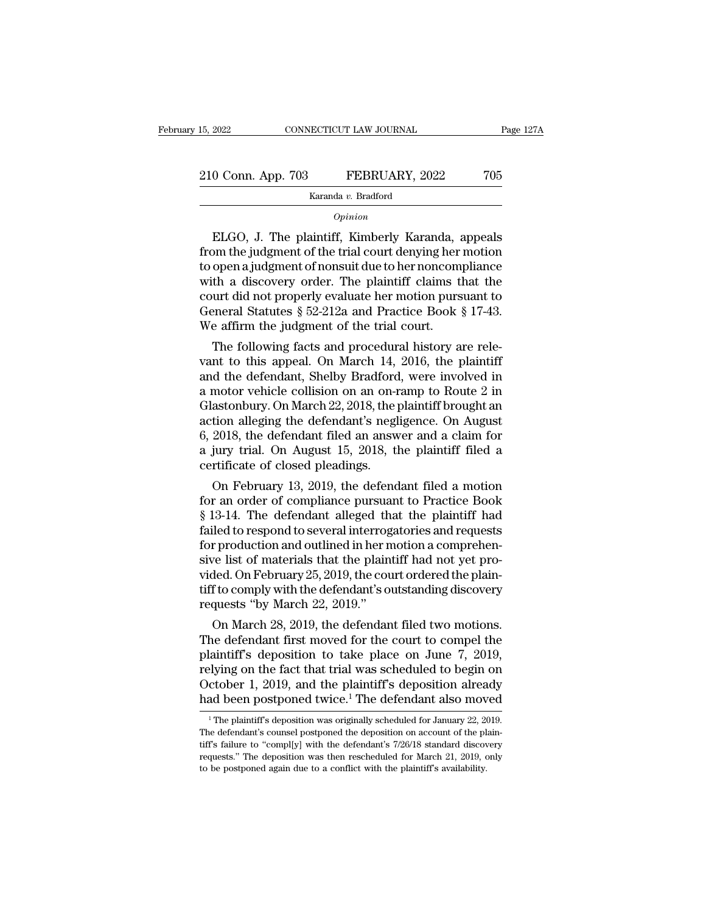Karanda *v.* Bradford

## *Opinion*

 $\begin{array}{r} 0 \text{ Conn. App. 703} \qquad \qquad \text{FEBRUARY, 2022} \qquad \qquad \text{705} \ \text{Karanda } v. \text{ Bradford} \ \text{Option} \ \text{ELGO, J. The plaintiff, Kimberly Karanda, appeals} \text{om the judgment of the trial court denying her motion} \text{open a judgment of nonsuit due to berroncomplinance} \end{array}$ 210 Conn. App. 703 FEBRUARY, 2022 705<br>
Karanda v. Bradford<br> *Opinion*<br>
ELGO, J. The plaintiff, Kimberly Karanda, appeals<br>
from the judgment of the trial court denying her motion<br>
to open a judgment of nonsuit due to her n 210 Conn. App. 703 FEBRUARY, 2022 705<br>  $\frac{1}{2}$  Karanda v. Bradford<br>  $\frac{1}{2}$  Chinan<br>
ELGO, J. The plaintiff, Kimberly Karanda, appeals<br>
from the judgment of the trial court denying her motion<br>
to open a judgment of non ELGO, J. The plaintiff, Kimberly Karanda, appeals<br>
from the judgment of the trial court denying her motion<br>
to open a judgment of nonsuit due to her noncompliance<br>
with a discovery order. The plaintiff claims that the<br>
co  $\sigma_{pinion}$ <br>ELGO, J. The plaintiff, Kimberly Karanda, appeals<br>from the judgment of the trial court denying her motion<br>to open a judgment of nonsuit due to her noncompliance<br>with a discovery order. The plaintiff claims that t  $\alpha$ <br>ELGO, J. The plaintiff, Kimberly Karanda, appeals<br>from the judgment of the trial court denying her motion<br>to open a judgment of nonsuit due to her noncompliance<br>with a discovery order. The plaintiff claims that the<br>c ELGO, J. The plaintiff, Kimberly Karanda, afrom the judgment of the trial court denying her to open a judgment of nonsuit due to her noncom with a discovery order. The plaintiff claims to court did not properly evaluate he or the judgment of the trial court denying her motion<br>open a judgment of nonsuit due to her noncompliance<br>th a discovery order. The plaintiff claims that the<br>urt did not properly evaluate her motion pursuant to<br>eneral Stat to open a judgment of nonsult due to her noncompliance<br>with a discovery order. The plaintiff claims that the<br>court did not properly evaluate her motion pursuant to<br>General Statutes  $\S~52-212a$  and Practice Book  $\S~17-43$ .

with a discovery order. The plaintiff claims that the<br>court did not properly evaluate her motion pursuant to<br>General Statutes § 52-212a and Practice Book § 17-43.<br>We affirm the judgment of the trial court.<br>The following f court did not properly evaluate her motion pursuant to<br>General Statutes § 52-212a and Practice Book § 17-43.<br>We affirm the judgment of the trial court.<br>The following facts and procedural history are rele-<br>vant to this app General Statutes § 52-212a and Practice Book § 17-43.<br>We affirm the judgment of the trial court.<br>The following facts and procedural history are rele-<br>vant to this appeal. On March 14, 2016, the plaintiff<br>and the defendant, We affirm the judgment of the trial court.<br>
The following facts and procedural history are rele-<br>
vant to this appeal. On March 14, 2016, the plaintiff<br>
and the defendant, Shelby Bradford, were involved in<br>
a motor vehicle The following facts and procedural history are relevant to this appeal. On March 14, 2016, the plaintiff and the defendant, Shelby Bradford, were involved in a motor vehicle collision on an on-ramp to Route 2 in Glastonbur vant to this appeal. On March 14, 2016, the plaintiff<br>and the defendant, Shelby Bradford, were involved in<br>a motor vehicle collision on an on-ramp to Route 2 in<br>Glastonbury. On March 22, 2018, the plaintiff brought an<br>acti and the defendant, Shelby Bradford<br>a motor vehicle collision on an on-r<br>Glastonbury. On March 22, 2018, the p<br>action alleging the defendant's negl<br>6, 2018, the defendant filed an answ<br>a jury trial. On August 15, 2018, tl<br>c motor venicle collision on an on-ramp to Route 2 in<br>astonbury. On March 22, 2018, the plaintiff brought an<br>tion alleging the defendant's negligence. On August<br>2018, the defendant filed an answer and a claim for<br>jury trial Glastonbury. On March 22, 2018, the plaintiff brought an<br>action alleging the defendant's negligence. On August<br>6, 2018, the defendant filed an answer and a claim for<br>a jury trial. On August 15, 2018, the plaintiff filed a<br>

action alleging the defendant s negligence. On August 6, 2018, the defendant filed an answer and a claim for<br>a jury trial. On August 15, 2018, the plaintiff filed a<br>certificate of closed pleadings.<br>On February 13, 2019, th o, 2018, the defendant filed an answer and a claim for<br>a jury trial. On August 15, 2018, the plaintiff filed a<br>certificate of closed pleadings.<br>On February 13, 2019, the defendant filed a motion<br>for an order of compliance a jury trial. On August 15, 2018, the plaintiff lied a<br>certificate of closed pleadings.<br>On February 13, 2019, the defendant filed a motion<br>for an order of compliance pursuant to Practice Book<br>§ 13-14. The defendant alleged certificate of closed pleadings.<br>
On February 13, 2019, the defendant filed a motion<br>
for an order of compliance pursuant to Practice Book<br>
§ 13-14. The defendant alleged that the plaintiff had<br>
failed to respond to severa On February 13, 2019, the defendant filed a motion<br>for an order of compliance pursuant to Practice Book<br>§ 13-14. The defendant alleged that the plaintiff had<br>failed to respond to several interrogatories and requests<br>for p for an order of compliance pursuant to Practice Book<br>§ 13-14. The defendant alleged that the plaintiff had<br>failed to respond to several interrogatories and requests<br>for production and outlined in her motion a comprehen-<br>si § 13-14. The defendant alleged th<br>failed to respond to several interrog<br>for production and outlined in her n<br>sive list of materials that the plain<br>vided. On February 25, 2019, the cou<br>tiff to comply with the defendant's o<br> ded to respond to several interrogatories and requests<br>r production and outlined in her motion a comprehen-<br>re list of materials that the plaintiff had not yet pro-<br>ded. On February 25, 2019, the court ordered the plain-<br>f For production and outlined in her motion a comprenensive list of materials that the plaintiff had not yet provided. On February 25, 2019, the court ordered the plaintiff to comply with the defendant's outstanding discover

sive list of materials that the plaintiff had not yet provided. On February 25, 2019, the court ordered the plaintiff to comply with the defendant's outstanding discovery requests "by March 22, 2019."<br>On March 28, 2019, th vided. On February 25, 2019, the court ordered the plain-<br>tiff to comply with the defendant's outstanding discovery<br>requests "by March 22, 2019."<br>On March 28, 2019, the defendant filed two motions.<br>The defendant first move turn to comply with the defendant s outstanding discovery<br>requests "by March 22, 2019."<br>On March 28, 2019, the defendant filed two motions.<br>The defendant first moved for the court to compel the<br>plaintiff's deposition to ta requests by March 22, 2019.<br>
On March 28, 2019, the defendant filed two motions.<br>
The defendant first moved for the court to compel the<br>
plaintiff's deposition to take place on June 7, 2019,<br>
relying on the fact that tria laintiff's deposition to take place on June 7, 2019,<br>elying on the fact that trial was scheduled to begin on<br>ctober 1, 2019, and the plaintiff's deposition already<br>ad been postponed twice.<sup>1</sup> The defendant also moved<br><sup>1</sup>Th relying on the fact that trial was scheduled to begin on<br>October 1, 2019, and the plaintiff's deposition already<br>had been postponed twice.<sup>1</sup> The defendant also moved<br><sup>1</sup>The plaintiff's deposition was originally scheduled

October 1, 2019, and the plaintiff's deposition already<br>had been postponed twice.<sup>1</sup> The defendant also moved<br> $1$ <sup>1</sup> The plaintiff's deposition was originally scheduled for January 22, 2019.<br>The defendant's counsel postpo had been postponed twice.<sup>1</sup> The defendant also moved<br><sup>1</sup> The plaintiff's deposition was originally scheduled for January 22, 2019.<br>The defendant's counsel postponed the deposition on account of the plaintiff's failure to <sup>1</sup> The plaintiff's deposition was originally scheduled for January 22, 2019.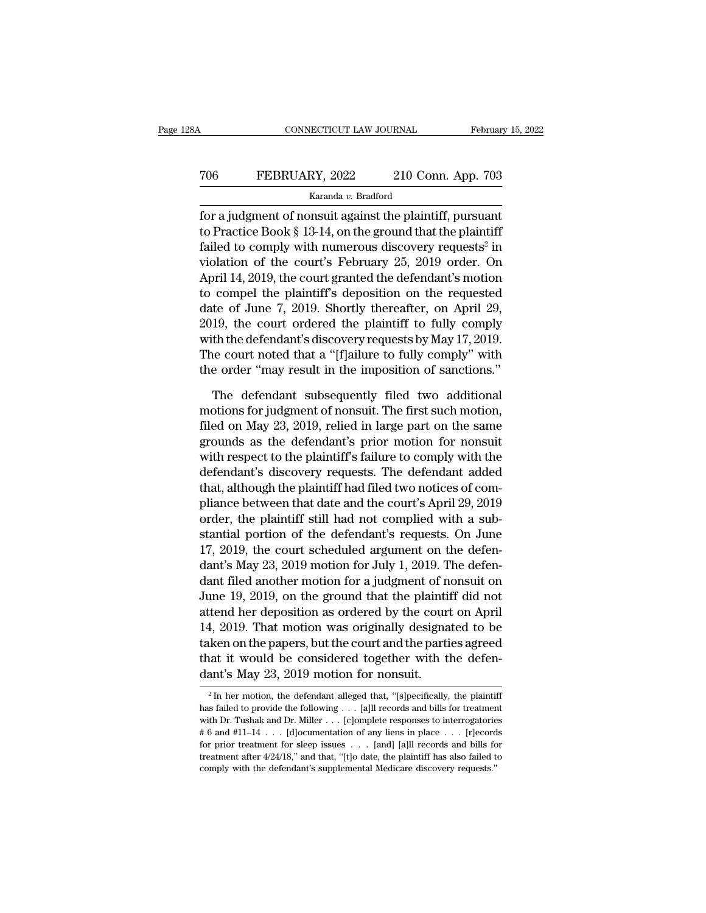# CONNECTICUT LAW JOURNAL February 15, 2022<br>
706 FEBRUARY, 2022 210 Conn. App. 703<br>
Karanda v. Bradford

## Karanda *v.* Bradford

February 15, 202<br>
FEBRUARY, 2022 210 Conn. App. 703<br>
Karanda v. Bradford<br>
for a judgment of nonsuit against the plaintiff, pursuant<br>
to Practice Book § 13-14, on the ground that the plaintiff<br>
foiled to comply with numerou To Practice Book § 13-14, on the ground that the plaintiff<br>
Fractice Book § 13-14, on the ground that the plaintiff<br>
Failed to comply with numerous discovery requests<sup>2</sup> in<br>
The ground that the plaintiff<br>
The ground that FEBRUARY, 2022 210 Conn. App. 703<br>
Karanda v. Bradford<br>
for a judgment of nonsuit against the plaintiff, pursuant<br>
to Practice Book § 13-14, on the ground that the plaintiff<br>
failed to comply with numerous discovery reque failed to comply with numerous discovery requests<sup>2</sup> in TO6 FEBRUARY, 2022 210 Conn. App. 703<br>
Karanda v. Bradford<br>
for a judgment of nonsuit against the plaintiff, pursuant<br>
to Practice Book § 13-14, on the ground that the plaintiff<br>
failed to comply with numerous discovery r Example 2. Bradford<br>
April 14, 2019, the ground that the plaintiff, pursuant<br>
to Practice Book § 13-14, on the ground that the plaintiff<br>
failed to comply with numerous discovery requests<sup>2</sup> in<br>
violation of the court's F Example 1 and the plaintiff, pursuant<br>for a judgment of nonsuit against the plaintiff, pursuant<br>to Practice Book § 13-14, on the ground that the plaintiff<br>failed to comply with numerous discovery requests<sup>2</sup> in<br>violation for a judgment of nonsuit against the plaintiff, pursuant<br>to Practice Book § 13-14, on the ground that the plaintiff<br>failed to comply with numerous discovery requests<sup>2</sup> in<br>violation of the court's February 25, 2019 order to Practice Book § 13-14, on the ground that the plaintiff<br>failed to comply with numerous discovery requests<sup>2</sup> in<br>violation of the court's February 25, 2019 order. On<br>April 14, 2019, the court granted the defendant's moti failed to comply with numerous discovery requests<sup>2</sup> in<br>violation of the court's February 25, 2019 order. On<br>April 14, 2019, the court granted the defendant's motion<br>to compel the plaintiff's deposition on the requested<br>da violation of the court's February 25, 2019 order. On<br>April 14, 2019, the court granted the defendant's motion<br>to compel the plaintiff's deposition on the requested<br>date of June 7, 2019. Shortly thereafter, on April 29,<br>201 April 14, 2019, the court granted the defendant's motion<br>to compel the plaintiff's deposition on the requested<br>date of June 7, 2019. Shortly thereafter, on April 29,<br>2019, the court ordered the plaintiff to fully comply<br>wi te of June 7, 2019. Shortly thereafter, on April 29,<br>19, the court ordered the plaintiff to fully comply<br>th the defendant's discovery requests by May 17, 2019.<br>ne court noted that a "[f]ailure to fully comply" with<br>e orde 2019, the court ordered the plaintiff to fully comply<br>with the defendant's discovery requests by May 17, 2019.<br>The court noted that a "[f]ailure to fully comply" with<br>the order "may result in the imposition of sanctions."<br>

with the defendant's discovery requests by May 17, 2019.<br>The court noted that a "[f]ailure to fully comply" with<br>the order "may result in the imposition of sanctions."<br>The defendant subsequently filed two additional<br>motion The court noted that a "[f]ailure to fully comply" with<br>the order "may result in the imposition of sanctions."<br>The defendant subsequently filed two additional<br>motions for judgment of nonsuit. The first such motion,<br>filed o the order "may result in the imposition of sanctions."<br>The defendant subsequently filed two additional<br>motions for judgment of nonsuit. The first such motion,<br>filed on May 23, 2019, relied in large part on the same<br>grounds The defendant subsequently filed two additional<br>motions for judgment of nonsuit. The first such motion,<br>filed on May 23, 2019, relied in large part on the same<br>grounds as the defendant's prior motion for nonsuit<br>with respe The defendant subsequently filed two additional<br>motions for judgment of nonsuit. The first such motion,<br>filed on May 23, 2019, relied in large part on the same<br>grounds as the defendant's prior motion for nonsuit<br>with respe motions for judgment of nonsuit. The first such motion,<br>filed on May 23, 2019, relied in large part on the same<br>grounds as the defendant's prior motion for nonsuit<br>with respect to the plaintiff's failure to comply with the filed on May 23, 2019, relied in large part on the same<br>grounds as the defendant's prior motion for nonsuit<br>with respect to the plaintiff's failure to comply with the<br>defendant's discovery requests. The defendant added<br>tha grounds as the defendant's prior motion for nonsuit<br>with respect to the plaintiff's failure to comply with the<br>defendant's discovery requests. The defendant added<br>that, although the plaintiff had filed two notices of com-<br> with respect to the plaintiff's failure to comply with the<br>defendant's discovery requests. The defendant added<br>that, although the plaintiff had filed two notices of com-<br>pliance between that date and the court's April 29, defendant's discovery requests. The defendant added<br>that, although the plaintiff had filed two notices of com-<br>pliance between that date and the court's April 29, 2019<br>order, the plaintiff still had not complied with a sub that, although the plaintiff had filed two notices of compliance between that date and the court's April 29, 2019<br>order, the plaintiff still had not complied with a substantial portion of the defendant's requests. On June<br> pliance between that date and the court's April 29, 2019<br>order, the plaintiff still had not complied with a sub-<br>stantial portion of the defendant's requests. On June<br>17, 2019, the court scheduled argument on the defen-<br>da order, the plaintiff still had not complied with a substantial portion of the defendant's requests. On June 17, 2019, the court scheduled argument on the defendant's May 23, 2019 motion for July 1, 2019. The defendant file stantial portion of the defendant's requests. On June<br>17, 2019, the court scheduled argument on the defen-<br>dant's May 23, 2019 motion for July 1, 2019. The defen-<br>dant filed another motion for a judgment of nonsuit on<br>June 17, 2019, the court scheduled argument on the defendant's May 23, 2019 motion for July 1, 2019. The defendant filed another motion for a judgment of nonsuit on June 19, 2019, on the ground that the plaintiff did not atten dant's May 23, 2019 motion for July 1, 2019. The defen-<br>dant filed another motion for a judgment of nonsuit on<br>June 19, 2019, on the ground that the plaintiff did not<br>attend her deposition as ordered by the court on April<br> dant filed another motion for a judgment of n<br>June 19, 2019, on the ground that the plainti-<br>attend her deposition as ordered by the court<br>14, 2019. That motion was originally designa<br>taken on the papers, but the court an 2 119. That motion was originally designated to be<br>iden on the papers, but the court and the parties agreed<br>aat it would be considered together with the defen-<br>ant's May 23, 2019 motion for nonsuit.<br> $\frac{1}{2}$  In her motio taken on the papers, but the court and the parties agreed<br>that it would be considered together with the defen-<br>dant's May 23, 2019 motion for nonsuit.<br> $\frac{1}{2}$  In her motion, the defendant alleged that, "[s]pecifically,

that it would be considered together with the defen-<br>dant's May 23, 2019 motion for nonsuit.<br> $\frac{1}{2}$  In her motion, the defendant alleged that, "[s]pecifically, the plaintiff<br>has failed to provide the following . . . [a dant's May 23, 2019 motion for nonsuit.<br>
<sup>2</sup> In her motion, the defendant alleged that, "[s]pecifically, the plaintiff<br>
has failed to provide the following . . . [a]ll records and bills for treatment<br>
with Dr. Tushak and For prior treatment for sleep issues ... [and] [a]ll records and bills for treatment with Dr. Tushak and Dr. Miller ... [c]omplete responses to interrogatories  $\#$  6 and  $\#11-14$  ... [d] locumentation of any liens in pl <sup>2</sup> In her motion, the defendant alleged that, "[s]pecifically, the plaintiff has failed to provide the following . . . [a]ll records and bills for treatment with Dr. Tushak and Dr. Miller . . . [c]omplete responses to in has failed to provide the following . . . [a]<br/>ll records and bills for treatment with Dr. Tushak and Dr. Miller . . . [c]<br/>omplete responses to interrogatories # 6 and #11–14 . . . [d]<br/>ocumentation of any liens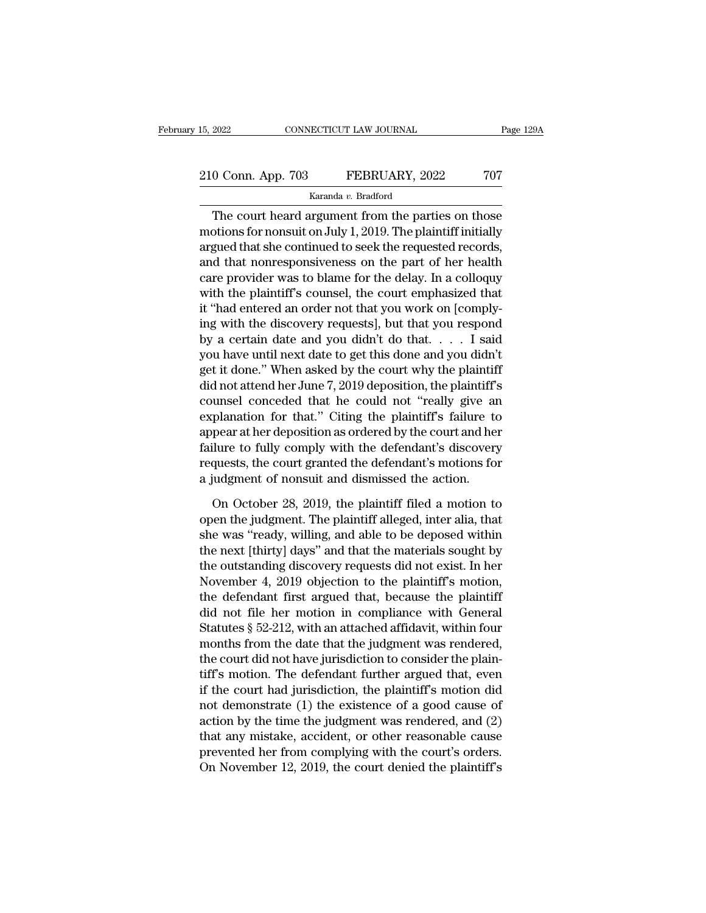# 15, 2022 CONNECTICUT LAW JOURNAL Page 129A<br>210 Conn. App. 703 FEBRUARY, 2022 707<br>Karanda v. Bradford

## Karanda *v.* Bradford

CONNECTICUT LAW JOURNAL Page 129A<br>
0 Conn. App. 703 FEBRUARY, 2022 707<br>
Karanda v. Bradford<br>
The court heard argument from the parties on those<br>
potions for nonsuit on July 1, 2019. The plaintiff initially<br>
grad that she s 210 Conn. App. 703 FEBRUARY, 2022 707<br>Karanda v. Bradford<br>The court heard argument from the parties on those<br>motions for nonsuit on July 1, 2019. The plaintiff initially<br>argued that she continued to seek the requested rec argued that she continued to seek the requested records, 210 Conn. App. 703 FEBRUARY, 2022 707<br>
Karanda v. Bradford<br>
The court heard argument from the parties on those<br>
motions for nonsuit on July 1, 2019. The plaintiff initially<br>
argued that she continued to seek the requested Example *Raranda v. Bradford*<br>
The court heard argument from the parties on those<br>
motions for nonsuit on July 1, 2019. The plaintiff initially<br>
argued that she continued to seek the requested records,<br>
and that nonrespon Ratama *b*. Braanda<br>
The court heard argument from the parties on those<br>
motions for nonsuit on July 1, 2019. The plaintiff initially<br>
argued that she continued to seek the requested records,<br>
and that nonresponsiveness on The court heard argument from the parties on those<br>motions for nonsuit on July 1, 2019. The plaintiff initially<br>argued that she continued to seek the requested records,<br>and that nonresponsiveness on the part of her health<br> motions for nonsuit on July 1, 2019. The plaintiff initially<br>argued that she continued to seek the requested records,<br>and that nonresponsiveness on the part of her health<br>care provider was to blame for the delay. In a coll argued that she continued to seek the requested records,<br>and that nonresponsiveness on the part of her health<br>care provider was to blame for the delay. In a colloquy<br>with the plaintiff's counsel, the court emphasized that<br> and that nonresponsiveness on the part of her health<br>care provider was to blame for the delay. In a colloquy<br>with the plaintiff's counsel, the court emphasized that<br>it "had entered an order not that you work on [comply-<br>i care provider was to blame for the delay. In a colloquy<br>with the plaintiff's counsel, the court emphasized that<br>it "had entered an order not that you work on [comply-<br>ing with the discovery requests], but that you respond<br> with the plaintiff's counsel, the court emphasized that<br>it "had entered an order not that you work on [comply-<br>ing with the discovery requests], but that you respond<br>by a certain date and you didn't do that. . . . . I said it "had entered an order not that you work on [comply-<br>ing with the discovery requests], but that you respond<br>by a certain date and you didn't do that. . . . I said<br>you have until next date to get this done and you didn't<br> ing with the discovery requests], but that you respond<br>by a certain date and you didn't do that.... I said<br>you have until next date to get this done and you didn't<br>get it done." When asked by the court why the plaintiff<br>d by a certain date and you didn't do that..... I said<br>you have until next date to get this done and you didn't<br>get it done." When asked by the court why the plaintiff<br>did not attend her June 7, 2019 deposition, the plaintif you have until next date to get this done and you didn't<br>get it done." When asked by the court why the plaintiff<br>did not attend her June 7, 2019 deposition, the plaintiff's<br>counsel conceded that he could not "really give a get it done." When asked by the court why the plaintiff<br>did not attend her June 7, 2019 deposition, the plaintiff's<br>counsel conceded that he could not "really give an<br>explanation for that." Citing the plaintiff's failure t did not attend her June  $7,2019$  deposition, the plaintiff's<br>counsel conceded that he could not "really give are<br>explanation for that." Citing the plaintiff's failure to<br>appear at her deposition as ordered by the court an planation for that." Citing the plaintiff's failure to<br>pear at her deposition as ordered by the court and her<br>ilure to fully comply with the defendant's discovery<br>quests, the court granted the defendant's motions for<br>indep appear at her deposition as ordered by the court and her failure to fully comply with the defendant's discovery requests, the court granted the defendant's motions for a judgment of nonsuit and dismissed the action.<br>On Oct

failure to fully comply with the defendant's discovery<br>requests, the court granted the defendant's motions for<br>a judgment of nonsuit and dismissed the action.<br>On October 28, 2019, the plaintiff filed a motion to<br>open the j requests, the court granted the defendant's motions for<br>a judgment of nonsuit and dismissed the action.<br>On October 28, 2019, the plaintiff filed a motion to<br>open the judgment. The plaintiff alleged, inter alia, that<br>she wa a judgment of nonsuit and dismissed the action.<br>
On October 28, 2019, the plaintiff filed a motion to<br>
open the judgment. The plaintiff alleged, inter alia, that<br>
she was "ready, willing, and able to be deposed within<br>
the On October 28, 2019, the plaintiff filed a motion to<br>open the judgment. The plaintiff alleged, inter alia, that<br>she was "ready, willing, and able to be deposed within<br>the next [thirty] days" and that the materials sought b On October 28, 2019, the plaintiff filed a motion to<br>open the judgment. The plaintiff alleged, inter alia, that<br>she was "ready, willing, and able to be deposed within<br>the next [thirty] days" and that the materials sought open the judgment. The plaintiff alleged, inter alia, that<br>she was "ready, willing, and able to be deposed within<br>the next [thirty] days" and that the materials sought by<br>the outstanding discovery requests did not exist. I she was "ready, willing, and able to be deposed within<br>the next [thirty] days" and that the materials sought by<br>the outstanding discovery requests did not exist. In her<br>November 4, 2019 objection to the plaintiff's motion, the next [thirty] days" and that the materials sought by<br>the outstanding discovery requests did not exist. In her<br>November 4, 2019 objection to the plaintiff's motion,<br>the defendant first argued that, because the plaintiff the outstanding discovery requests did not exist. In her<br>November 4, 2019 objection to the plaintiff's motion,<br>the defendant first argued that, because the plaintiff<br>did not file her motion in compliance with General<br>Statu November 4, 2019 objection to the plaintiff's motion,<br>the defendant first argued that, because the plaintiff<br>did not file her motion in compliance with General<br>Statutes § 52-212, with an attached affidavit, within four<br>mo the defendant first argued that, because the plaintiff<br>did not file her motion in compliance with General<br>Statutes § 52-212, with an attached affidavit, within four<br>months from the date that the judgment was rendered,<br>the did not file her motion in compliance with General<br>Statutes § 52-212, with an attached affidavit, within four<br>months from the date that the judgment was rendered,<br>the court did not have jurisdiction to consider the plain-Statutes § 52-212, with an attached affidavit, within four<br>months from the date that the judgment was rendered,<br>the court did not have jurisdiction to consider the plain-<br>tiff's motion. The defendant further argued that, months from the date that the judgment was rendered,<br>the court did not have jurisdiction to consider the plain-<br>tiff's motion. The defendant further argued that, even<br>if the court had jurisdiction, the plaintiff's motion d the court did not have jurisdiction to consider the plain-<br>tiff's motion. The defendant further argued that, even<br>if the court had jurisdiction, the plaintiff's motion did<br>not demonstrate (1) the existence of a good cause tiff's motion. The defendant further argued that, even<br>if the court had jurisdiction, the plaintiff's motion did<br>not demonstrate (1) the existence of a good cause of<br>action by the time the judgment was rendered, and (2)<br>th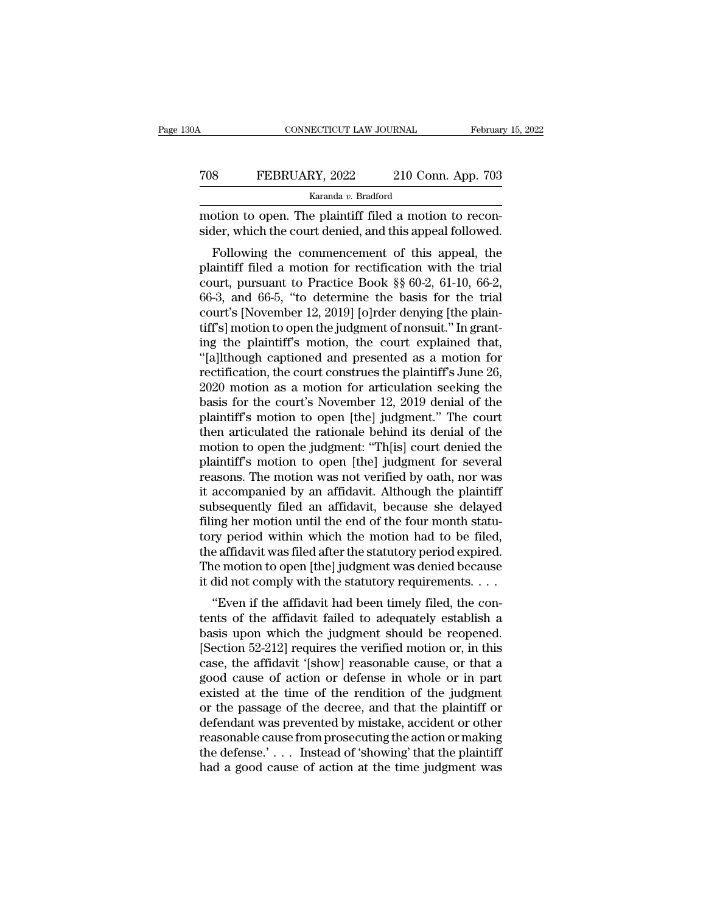| 0A  | CONNECTICUT LAW JOURNAL |                    | February 15, 2022 |
|-----|-------------------------|--------------------|-------------------|
| 708 | FEBRUARY, 2022          | 210 Conn. App. 703 |                   |
|     | Karanda v. Bradford     |                    |                   |

CONNECTICUT LAW JOURNAL Februar<br>
TOS FEBRUARY, 2022 210 Conn. App. 703<br>
Karanda v. Bradford<br>
motion to open. The plaintiff filed a motion to recon-<br>
sider, which the court denied, and this appeal followed. TOS FEBRUARY, 2022 210 Conn. App. 703<br>
Karanda v. Bradford<br>
motion to open. The plaintiff filed a motion to reconsider, which the court denied, and this appeal followed.<br>
Following the commencement of this appeal, the

FEBRUARY, 2022 210 Conn. App. 703<br>
Karanda v. Bradford<br>
potion to open. The plaintiff filed a motion to recon-<br>
der, which the court denied, and this appeal followed.<br>
Following the commencement of this appeal, the<br>
ainti FEBRUARY, 2022 210 Conn. App. 703<br>
Karanda v. Bradford<br>
motion to open. The plaintiff filed a motion to reconsider, which the court denied, and this appeal followed.<br>
Following the commencement of this appeal, the plainti Example  $\frac{Karanda v. \text{ Bradford}}{m \cdot m}$ <br>
Example  $\frac{m \cdot m}{m}$  and  $\frac{m \cdot m}{m}$  and this appeal followed.<br>
Following the commencement of this appeal, the<br>
plaintiff filed a motion for rectification with the trial<br>
court, pursuant to motion to open. The plaintiff filed a motion to reconsider, which the court denied, and this appeal followed.<br>Following the commencement of this appeal, the plaintiff filed a motion for rectification with the trial court, motion to open. The plaintiff med a motion to reconsider, which the court denied, and this appeal followed.<br>Following the commencement of this appeal, the plaintiff filed a motion for rectification with the trial court, p sider, which the court defined, and this appear followed.<br>Following the commencement of this appeal, the<br>plaintiff filed a motion for rectification with the trial<br>court, pursuant to Practice Book §§ 60-2, 61-10, 66-2,<br>66-3 Following the commencement of this appeal, the plaintiff filed a motion for rectification with the trial court, pursuant to Practice Book  $\S$  60-2, 61-10, 66-2, 66-3, and 66-5, "to determine the basis for the trial court' plaintiff filed a motion for rectification with the trial<br>
court, pursuant to Practice Book §§ 60-2, 61-10, 66-2,<br>
66-3, and 66-5, "to determine the basis for the trial<br>
court's [November 12, 2019] [o]rder denying [the pla court, pursuant to Practice Book  $\S$  60-2, 61-10, 66-2, 66-3, and 66-5, "to determine the basis for the trial court's [November 12, 2019] [o]rder denying [the plaintiff's] motion to open the judgment of nonsuit." In grant 66-3, and 66-5, "to determine the basis for the trial<br>court's [November 12, 2019] [o]rder denying [the plain-<br>tiff's] motion to open the judgment of nonsuit." In grant-<br>ing the plaintiff's motion, the court explained that court's [November 12, 2019] [o]rder denying [the plaintiff's] motion to open the judgment of nonsuit." In grant-<br>ing the plaintiff's motion, the court explained that,<br>"[a]lthough captioned and presented as a motion for<br>rec tiff's] motion to open the judgment of nonsuit." In grant-<br>ing the plaintiff's motion, the court explained that,<br>"[a]lthough captioned and presented as a motion for<br>rectification, the court construes the plaintiff's June 2 ing the plaintiff's motion, the court explained that,<br>"[a]lthough captioned and presented as a motion for<br>rectification, the court construes the plaintiff's June 26,<br>2020 motion as a motion for articulation seeking the<br>bas "[a]lthough captioned and presented as a motion for<br>rectification, the court construes the plaintiff's June 26,<br>2020 motion as a motion for articulation seeking the<br>basis for the court's November 12, 2019 denial of the<br>pla rectification, the court construes the plaintiff's June 26,<br>2020 motion as a motion for articulation seeking the<br>basis for the court's November 12, 2019 denial of the<br>plaintiff's motion to open [the] judgment." The court<br>t 2020 motion as a motion for articulation seeking the<br>basis for the court's November 12, 2019 denial of the<br>plaintiff's motion to open [the] judgment." The court<br>then articulated the rationale behind its denial of the<br>motio basis for the court's November 12, 2019 denial of the<br>plaintiff's motion to open [the] judgment." The court<br>then articulated the rationale behind its denial of the<br>motion to open the judgment: "Th[is] court denied the<br>plai plaintiff's motion to open [the] judgment." The court<br>then articulated the rationale behind its denial of the<br>motion to open the judgment: "Th[is] court denied the<br>plaintiff's motion to open [the] judgment for several<br>reas then articulated the rationale behind its denial of the<br>motion to open the judgment: "Th[is] court denied the<br>plaintiff's motion to open [the] judgment for several<br>reasons. The motion was not verified by oath, nor was<br>it a motion to open the judgment: "Th[is] court denied the plaintiff's motion to open [the] judgment for several reasons. The motion was not verified by oath, nor was it accompanied by an affidavit. Although the plaintiff subse plaintiff's motion to open [the] judgment for several<br>reasons. The motion was not verified by oath, nor was<br>it accompanied by an affidavit. Although the plaintiff<br>subsequently filed an affidavit, because she delayed<br>filing reasons. The motion was not verified by oath, nor was<br>it accompanied by an affidavit. Although the plaintiff<br>subsequently filed an affidavit, because she delayed<br>filing her motion until the end of the four month statu-<br>tor it accompanied by an affidavit. Although the plaintiff<br>subsequently filed an affidavit, because she delayed<br>filing her motion until the end of the four month statu-<br>tory period within which the motion had to be filed,<br>the beequently filed an amdavit, because she delayed<br>
ing her motion until the end of the four month statu-<br>
ry period within which the motion had to be filed,<br>
e affidavit was filed after the statutory period expired.<br>
le mot the affidavit was filed after the statutory period within which the motion had to be filed, the affidavit was filed after the statutory period expired. The motion to open [the] judgment was denied because it did not comply

basis upon which the induotion had to be fired,<br>the affidavit was filed after the statutory period expired.<br>The motion to open [the] judgment was denied because<br>it did not comply with the statutory requirements....<br>"Even i the amdavit was fied after the statutory period expired.<br>The motion to open [the] judgment was denied because<br>it did not comply with the statutory requirements. . . .<br>"Even if the affidavit had been timely filed, the con-<br> The motion to open [the] judgment was defined because<br>it did not comply with the statutory requirements....<br>"Even if the affidavit failed to adequately establish a<br>basis upon which the judgment should be reopened.<br>[Sectio It did not comply with the statutory requirements.  $\ldots$ <br>
"Even if the affidavit failed to adequately establish a<br>
basis upon which the judgment should be reopened.<br>
[Section 52-212] requires the verified motion or, in th "Even if the affidavit had been timely filed, the contents of the affidavit failed to adequately establish a basis upon which the judgment should be reopened.<br>[Section 52-212] requires the verified motion or, in this case tents of the affidavit failed to adequately establish a<br>basis upon which the judgment should be reopened.<br>[Section 52-212] requires the verified motion or, in this<br>case, the affidavit '[show] reasonable cause, or that a<br>go basis upon which the judgment should be reopened.<br>[Section 52-212] requires the verified motion or, in this<br>case, the affidavit '[show] reasonable cause, or that a<br>good cause of action or defense in whole or in part<br>existe [Section 52-212] requires the verified motion or, in this case, the affidavit '[show] reasonable cause, or that a good cause of action or defense in whole or in part existed at the time of the rendition of the judgment or case, the affidavit '[show] reasonable cause, or that a good cause of action or defense in whole or in part existed at the time of the rendition of the judgment or the passage of the decree, and that the plaintiff or defen good cause of action or defense in whole or in part existed at the time of the rendition of the judgment or the passage of the decree, and that the plaintiff or defendant was prevented by mistake, accident or other reasona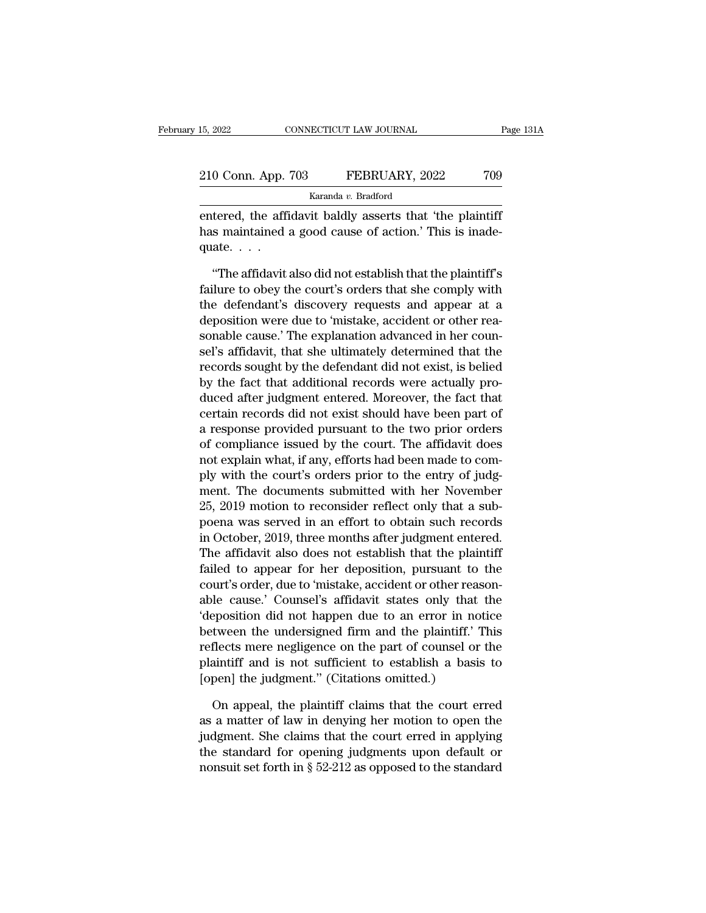| 15, 2022           | CONNECTICUT LAW JOURNAL | Page 131A |
|--------------------|-------------------------|-----------|
| 210 Conn. App. 703 | FEBRUARY, 2022          | 709       |
|                    | Karanda v. Bradford     |           |

EN 15, 2022 CONNECTICUT LAW JOURNAL Page 131/<br>
210 Conn. App. 703 FEBRUARY, 2022 709<br>
Karanda v. Bradford<br>
entered, the affidavit baldly asserts that 'the plaintiff<br>
has maintained a good cause of action.' This is inade-210 Conn. App. 703 FEBRUARY, 2022 709<br>Karanda v. Bradford<br>entered, the affidavit baldly asserts that 'the plaintiff<br>has maintained a good cause of action.' This is inade-<br>quate....  $\frac{210 \text{ Conn. App.}}{\text{entered, the affid} \cdot \text{quate.}}$ EXECUTE:  $\frac{1}{2022}$  100<br>
Karanda v. Bradford<br>
tered, the affidavit baldly asserts that 'the plaintiff'<br>
s maintained a good cause of action.' This is inade-<br>
ate....<br>
"The affidavit also did not establish that the plain

Faranda v. Bradford<br>
entered, the affidavit baldly asserts that 'the plaintiff<br>
has maintained a good cause of action.' This is inade-<br>
quate....<br>
"The affidavit also did not establish that the plaintiff's<br>
failure to obe entered, the affidavit baldly asserts that 'the plaintiff<br>has maintained a good cause of action.' This is inade-<br>quate.  $\dots$ <br>"The affidavit also did not establish that the plaintiff's<br>failure to obey the court's orders th has maintained a good cause of action.' This is inadequate. . . .<br>"The affidavit also did not establish that the plaintiff's failure to obey the court's orders that she comply with the defendant's discovery requests and a quate....<br>"The affidavit also did not establish that the plaintiff's<br>failure to obey the court's orders that she comply with<br>the defendant's discovery requests and appear at a<br>deposition were due to 'mistake, accident or o "The affidavit also did not establish that the plaintiff's<br>failure to obey the court's orders that she comply with<br>the defendant's discovery requests and appear at a<br>deposition were due to 'mistake, accident or other rea-<br> "The affidavit also did not establish that the plaintiff's<br>failure to obey the court's orders that she comply with<br>the defendant's discovery requests and appear at a<br>deposition were due to 'mistake, accident or other rea-<br> failure to obey the court's orders that she comply with<br>the defendant's discovery requests and appear at a<br>deposition were due to 'mistake, accident or other rea-<br>sonable cause.' The explanation advanced in her coun-<br>sel's the defendant's discovery requests and appear at a<br>deposition were due to 'mistake, accident or other rea-<br>sonable cause.' The explanation advanced in her coun-<br>sel's affidavit, that she ultimately determined that the<br>reco deposition were due to 'mistake, accident or other reasonable cause.' The explanation advanced in her counsel's affidavit, that she ultimately determined that the records sought by the defendant did not exist, is belied by sonable cause.' The explanation advanced in her counsel's affidavit, that she ultimately determined that the records sought by the defendant did not exist, is belied by the fact that additional records were actually produc sel's affidavit, that she ultimately determined that the<br>records sought by the defendant did not exist, is belied<br>by the fact that additional records were actually pro-<br>duced after judgment entered. Moreover, the fact that records sought by the defendant did not exist, is belied<br>by the fact that additional records were actually pro-<br>duced after judgment entered. Moreover, the fact that<br>certain records did not exist should have been part of<br>a by the fact that additional records were actually produced after judgment entered. Moreover, the fact that certain records did not exist should have been part of a response provided pursuant to the two prior orders of comp duced after judgment entered. Moreover, the fact that<br>certain records did not exist should have been part of<br>a response provided pursuant to the two prior orders<br>of compliance issued by the court. The affidavit does<br>not ex certain records did not exist should have been part of<br>a response provided pursuant to the two prior orders<br>of compliance issued by the court. The affidavit does<br>not explain what, if any, efforts had been made to com-<br>ply a response provided pursuant to the two prior orders<br>of compliance issued by the court. The affidavit does<br>not explain what, if any, efforts had been made to com-<br>ply with the court's orders prior to the entry of judg-<br>men of compliance issued by the court. The affidavit does<br>not explain what, if any, efforts had been made to com-<br>ply with the court's orders prior to the entry of judg-<br>ment. The documents submitted with her November<br>25, 2019 not explain what, if any, efforts had been made to comply with the court's orders prior to the entry of judgment. The documents submitted with her November 25, 2019 motion to reconsider reflect only that a subpoena was ser ply with the court's orders prior to the entry of judgment. The documents submitted with her November<br>25, 2019 motion to reconsider reflect only that a sub-<br>poena was served in an effort to obtain such records<br>in October, ment. The documents submitted with her November<br>25, 2019 motion to reconsider reflect only that a sub-<br>poena was served in an effort to obtain such records<br>in October, 2019, three months after judgment entered.<br>The affidav 25, 2019 motion to reconsider reflect only that a sub-<br>poena was served in an effort to obtain such records<br>in October, 2019, three months after judgment entered.<br>The affidavit also does not establish that the plaintiff<br>fa poena was served in an effort to obtain such records<br>
in October, 2019, three months after judgment entered.<br>
The affidavit also does not establish that the plaintiff<br>
failed to appear for her deposition, pursuant to the<br> In October, 2019, three months after judgment entered.<br>The affidavit also does not establish that the plaintiff<br>failed to appear for her deposition, pursuant to the<br>court's order, due to 'mistake, accident or other reason-The affidavit also does not establish that the plaintiff<br>failed to appear for her deposition, pursuant to the<br>court's order, due to 'mistake, accident or other reason-<br>able cause.' Counsel's affidavit states only that the<br> failed to appear for her deposition, pursuant to the<br>court's order, due to 'mistake, accident or other reason-<br>able cause.' Counsel's affidavit states only that the<br>'deposition did not happen due to an error in notice<br>betw court's order, due to 'mistake, accident or other rease,<br>able cause.' Counsel's affidavit states only that<br>'deposition did not happen due to an error in no<br>between the undersigned firm and the plaintiff.'<br>'reflects mere ne eposition did not happen due to an error in notice<br>tween the undersigned firm and the plaintiff.' This<br>flects mere negligence on the part of counsel or the<br>aintiff and is not sufficient to establish a basis to<br>pen] the jud between the undersigned firm and the plaintiff.' This<br>reflects mere negligence on the part of counsel or the<br>plaintiff and is not sufficient to establish a basis to<br>[open] the judgment." (Citations omitted.)<br>On appeal, the

reflects mere negligence on the part of counsel or the<br>plaintiff and is not sufficient to establish a basis to<br>[open] the judgment." (Citations omitted.)<br>On appeal, the plaintiff claims that the court erred<br>as a matter of plaintiff and is not sufficient to establish a basis to<br>[open] the judgment." (Citations omitted.)<br>On appeal, the plaintiff claims that the court erred<br>as a matter of law in denying her motion to open the<br>judgment. She cla [open] the judgment." (Citations omitted.)<br>On appeal, the plaintiff claims that the court erred<br>as a matter of law in denying her motion to open the<br>judgment. She claims that the court erred in applying<br>the standard for o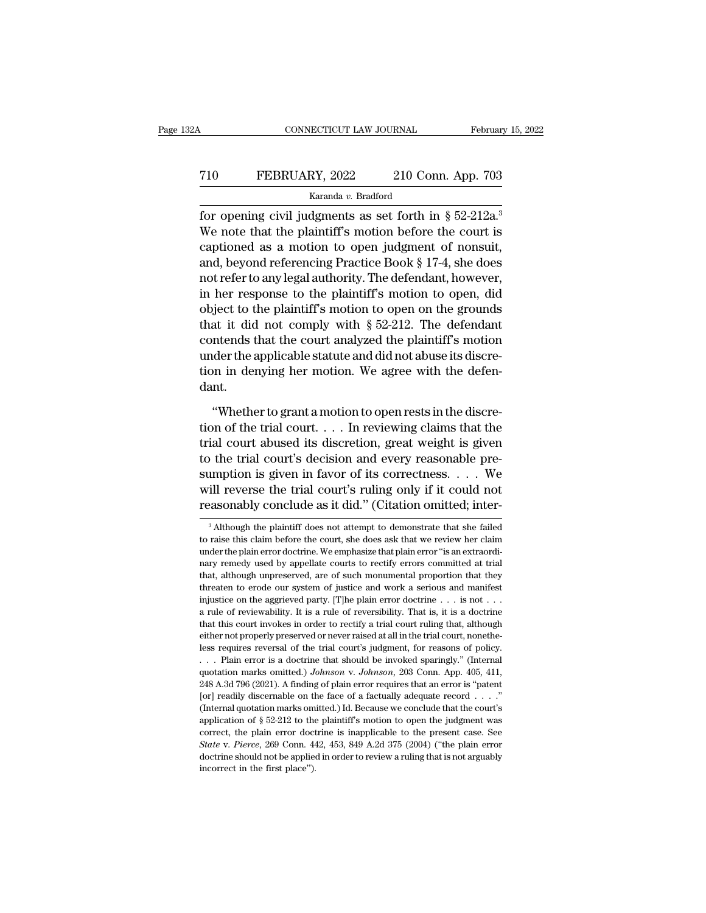## CONNECTICUT LAW JOURNAL February 15, 2022<br>
T10 FEBRUARY, 2022 210 Conn. App. 703<br>
Karanda v. Bradford Karanda *v.* Bradford

February 15, 202<br>
FEBRUARY, 2022 210 Conn. App. 703<br>
Karanda v. Bradford<br>
for opening civil judgments as set forth in § 52-212a.<sup>3</sup><br>
We note that the plaintiff's motion before the court is<br>
continued as a motion to open ju The Term of the Paul Conner of the plaintiff's motion before the court is<br>
The plaintiff's motion before the court is<br>
the plaintiff's motion before the court is<br>
the plaintiff's motion before the court is<br>
captioned as a T10 FEBRUARY, 2022 210 Conn. App. 703<br>
Karanda v. Bradford<br>
for opening civil judgments as set forth in § 52-212a.<sup>3</sup><br>
We note that the plaintiff's motion before the court is<br>
captioned as a motion to open judgment of non T10 FEBRUARY, 2022 210 Conn. App. 703<br>
Karanda v. Bradford<br>
for opening civil judgments as set forth in § 52-212a.<sup>3</sup><br>
We note that the plaintiff's motion before the court is<br>
captioned as a motion to open judgment of non Example 2. Bradford<br>
for opening civil judgments as set forth in § 52-212a.<sup>3</sup><br>
We note that the plaintiff's motion before the court is<br>
captioned as a motion to open judgment of nonsuit,<br>
and, beyond referencing Practice is a set forth in § 52-212a.<sup>3</sup><br>
We note that the plaintiff's motion before the court is<br>
captioned as a motion to open judgment of nonsuit,<br>
and, beyond referencing Practice Book § 17-4, she does<br>
not refer to any legal for opening civil judgments as set forth in § 52-212a.<sup>3</sup><br>We note that the plaintiff's motion before the court is<br>captioned as a motion to open judgment of nonsuit,<br>and, beyond referencing Practice Book § 17-4, she does<br>n We note that the plaintif's motion before the court is<br>captioned as a motion to open judgment of nonsuit,<br>and, beyond referencing Practice Book § 17-4, she does<br>not refer to any legal authority. The defendant, however,<br>in captioned as a motion to open judgment of nonsuit,<br>and, beyond referencing Practice Book § 17-4, she does<br>not refer to any legal authority. The defendant, however,<br>in her response to the plaintiff's motion to open, did<br>obj and, beyond referencing Practice Book § 17-4, she does<br>not refer to any legal authority. The defendant, however,<br>in her response to the plaintiff's motion to open, did<br>object to the plaintiff's motion to open on the groun not refer to any legal authority. The defendant, however,<br>in her response to the plaintiff's motion to open, did<br>object to the plaintiff's motion to open on the grounds<br>that it did not comply with  $\S 52-212$ . The defendan dant. at it did not comply with § 52-212. The defendant<br>
Intends that the court analyzed the plaintiff's motion<br>
der the applicable statute and did not abuse its discre-<br>
in denying her motion. We agree with the defen-<br>
Int.<br>
" contends that the court analyzed the plaintiff's motion<br>under the applicable statute and did not abuse its discre-<br>tion in denying her motion. We agree with the defen-<br>dant.<br>"Whether to grant a motion to open rests in the

under the applicable statute and did not abuse its discretion in denying her motion. We agree with the defendant.<br>
"Whether to grant a motion to open rests in the discretion of the trial court.... In reviewing claims that tion in denying her motion. We agree with the defendant.<br>
"Whether to grant a motion to open rests in the discretion of the trial court.... In reviewing claims that the trial court abused its discretion, great weight is g dant.<br>
"Whether to grant a motion to open rests in the discretion of the trial court.... In reviewing claims that the<br>
trial court abused its discretion, great weight is given<br>
to the trial court's decision and every reas "Whether to grant a motion to open rests in the discretion of the trial court.... In reviewing claims that the trial court abused its discretion, great weight is given to the trial court's decision and every reasonable pr "Whether to grant a motion to open rests in the discretion of the trial court.... In reviewing claims that the trial court abused its discretion, great weight is given to the trial court's decision and every reasonable pr to the trial court's decision and every reasonable pre-<br>sumption is given in favor of its correctness.  $\dots$  We<br>will reverse the trial court's ruling only if it could not<br>reasonably conclude as it did." (Citation omitted; sumption is given in favor of its correctness. . . . . We<br>will reverse the trial court's ruling only if it could not<br>reasonably conclude as it did." (Citation omitted; inter-<br> $\frac{3}{100}$  Although the plaintiff does not at

will reverse the trial court's ruling only if it could not<br>reasonably conclude as it did." (Citation omitted; inter-<br><sup>3</sup> Although the plaintiff does not attempt to demonstrate that she failed<br>to raise this claim before the reasonably conclude as it did." (Citation omitted; inter-<br><sup>3</sup> Although the plaintiff does not attempt to demonstrate that she failed<br>to raise this claim before the court, she does ask that we review her claim<br>under the pl <sup>3</sup> Although the plaintiff does not attempt to demonstrate that she failed to raise this claim before the court, she does ask that we review her claim under the plain error doctrine. We emphasize that plain error "is an e <sup>3</sup> Although the plaintiff does not attempt to demonstrate that she failed to raise this claim before the court, she does ask that we review her claim under the plain error doctrine. We emphasize that plain error "is an e to raise this claim before the court, she does ask that we review her claim under the plain error doctrine. We emphasize that plain error "is an extraordinary remedy used by appellate courts to rectify errors committed at a rule of reviewability. It is a rule of reversibility. That is, it is a restracted that althat, although unpreserved, are of such monumental proportion that they threaten to erode our system of justice and work a serious that that this courts of performance in the courts to rectify errors committed at trial that, although unpreserved, are of such monumental proportion that they threaten to erode our system of justice and work a serious an hare not properly used by appellate courts to rectify errors committed at trial that, although unpreserved, are of such monumental proportion that they threaten to erode our system of justice and work a serious and manife less real of every sign of justice and work a serious and manifest<br>injustice on the aggrieved party. [T]he plain error doctrine  $\ldots$  is not  $\ldots$ <br>a rule of reviewability. It is a rule of reversibility. That is, it is a d injustice on the aggrieved party. [T] the plain error doctrine  $\ldots$  is not  $\ldots$  a rule of reviewability. It is a rule of reversibility. That is, it is a doctrine that this court invokes in order to rectify a trial court a rule of reviewability. It is a rule of reversibility. That is, it is a doctrine that this court invokes in order to rectify a trial court ruling that, although either not properly preserved or never raised at all in the that this court invokes in order to rectify a trial court ruling that, although either not properly preserved or never raised at all in the trial court, nonetheless requires reversal of the trial court's judgment, for rea either not properly preserved or never raised at all in the trial court, nonetheless requires reversal of the trial court's judgment, for reasons of policy.<br>
. . . Plain error is a doctrine that should be invoked sparingl East requires reversal of the trial court's judgment, for reasons of policy.<br>
... Plain error is a doctrine that should be invoked sparingly." (Internal quotation marks omitted.) Johnson v. Johnson, 203 Conn. App. 405, 41 about Plain error is a doctrine that should be invoked sparingly." (Internal quotation marks omitted.) *Johnson* v. *Johnson*, 203 Conn. App. 405, 411, 248 A.3d 796 (2021). A finding of plain error requires that an error correct, the plain error doctrine is inapplicable to the present case. See State v. Pierce, 269 Conn. 442, 453, 849 A.2d 375 (2004) ("the plain error" is "patent" for J readily discernable on the face of a factually adequ quotation marks omitted.) *Johnson* v. *Johnson*, 203 Conn. App. 405, 411, 248 A.3d 796 (2021). A finding of plain error requires that an error is "patent [or] readily discernable on the face of a factually adequate recor Lot preadily discernable on the face of a factually adequate record  $\ldots$ ."<br>(Internal quotation marks omitted.) Id. Because we conclude that the court's<br>application of § 52-212 to the plaintiff's motion to open the judgme (Internal quotation marks omitted.) Id. Because we conclude that the court's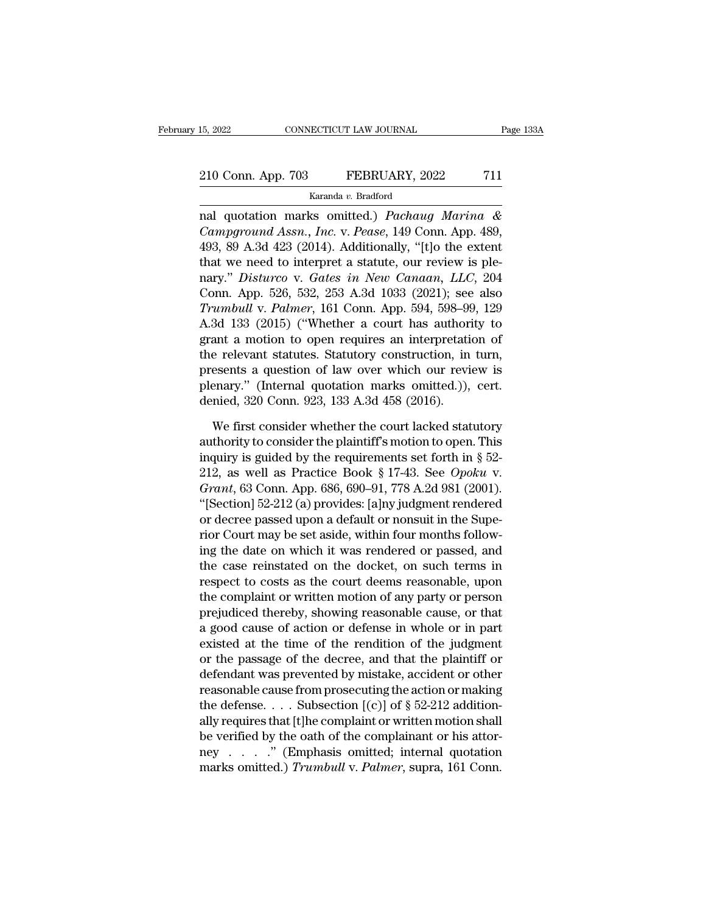# 15, 2022 CONNECTICUT LAW JOURNAL Page 133A<br>210 Conn. App. 703 FEBRUARY, 2022 711<br>Karanda v. Bradford

Karanda *v.* Bradford

nal quotation marks omitted.) *Pachaug Marina &*<br> *Campground Assn., Inc.* v. *Pease, 149 Conn. App. 489,*<br>
402 20 4 24 422 (2014) Additionally "the the extent" *Campground Assn., Inc.* v. *Pease, 149 Conn. App.* 39 A.3d 423 (2014). Additionally, "[t]o the extent that we need to internet a statute our review is also 210 Conn. App. 703 FEBRUARY, 2022 711<br>
Karanda v. Bradford<br>
mal quotation marks omitted.) *Pachaug Marina &*<br> *Campground Assn., Inc.* v. *Pease,* 149 Conn. App. 489,<br>
493, 89 A.3d 423 (2014). Additionally, "[t]o the exte 210 Conn. App. 703 FEBRUARY, 2022 711<br>
Karanda v. Bradford<br>
nal quotation marks omitted.) *Pachaug Marina &*<br> *Campground Assn., Inc.* v. *Pease,* 149 Conn. App. 489,<br>
493, 89 A.3d 423 (2014). Additionally, "[t]o the exte Karanda v. Bradford<br>
nal quotation marks omitted.) *Pachaug Marina &*<br> *Campground Assn., Inc.* v. *Pease*, 149 Conn. App. 489,<br>
493, 89 A.3d 423 (2014). Additionally, "[t]o the extent<br>
that we need to interpret a statute, radiua v. Bradiota<br>
mal quotation marks omitted.) *Pachaug Marina &*<br> *Campground Assn., Inc. v. Pease,* 149 Conn. App. 489,<br>
493, 89 A.3d 423 (2014). Additionally, "[t]o the extent<br>
that we need to interpret a statute, ou real quotation marks omitted.) *Pachaug Marina &*<br> *Campground Assn., Inc. v. Pease,* 149 Conn. App. 489,<br>
493, 89 A.3d 423 (2014). Additionally, "[t]o the extent<br>
that we need to interpret a statute, our review is ple-<br>
n Campground Assn., Inc. v. Pease, 149 Conn. App. 489, 493, 89 A.3d 423 (2014). Additionally, "[t]o the extent that we need to interpret a statute, our review is plenary." *Disturco* v. *Gates in New Canaan*, *LLC*, 204 Con 493, 89 A.3d 423 (2014). Additionally, "[t]o the extent<br>that we need to interpret a statute, our review is ple-<br>nary." *Disturco* v. *Gates in New Canaan*, *LLC*, 204<br>Conn. App. 526, 532, 253 A.3d 1033 (2021); see also<br>*T* that we need to interpret a statute, our review is ple-<br>nary." *Disturco* v. *Gates in New Canaan*, *LLC*, 204<br>Conn. App. 526, 532, 253 A.3d 1033 (2021); see also<br>*Trumbull* v. *Palmer*, 161 Conn. App. 594, 598–99, 129<br>A.3 nary." Disturco v. Gates in New Canaan, LLC, 204<br>Conn. App. 526, 532, 253 A.3d 1033 (2021); see also<br>Trumbull v. Palmer, 161 Conn. App. 594, 598–99, 129<br>A.3d 133 (2015) ("Whether a court has authority to<br>grant a motion to Conn. App. 526, 532, 253 A.3d 1033 (2021); see also<br>Trumbull v. Palmer, 161 Conn. App. 594, 598–99, 129<br>A.3d 133 (2015) ("Whether a court has authority to<br>grant a motion to open requires an interpretation of<br>the relevant s Trumbull v. Palmer, 161 Conn. App. 594, 598–99<br>A.3d 133 (2015) ("Whether a court has authori<br>grant a motion to open requires an interpretatie<br>the relevant statutes. Statutory construction, in<br>presents a question of law ove ant a motion to open requires an interpretation of<br>e relevant statutes. Statutory construction, in turn,<br>esents a question of law over which our review is<br>enary." (Internal quotation marks omitted.)), cert.<br>mied, 320 Conn. the relevant statutes. Statutory construction, in turn,<br>presents a question of law over which our review is<br>plenary." (Internal quotation marks omitted.)), cert.<br>denied, 320 Conn. 923, 133 A.3d 458 (2016).<br>We first consid

presents a question of law over which our review is<br>plenary." (Internal quotation marks omitted.)), cert.<br>denied, 320 Conn. 923, 133 A.3d 458 (2016).<br>We first consider whether the court lacked statutory<br>authority to consi plenary." (Internal quotation marks omitted.)), cert.<br>denied, 320 Conn. 923, 133 A.3d 458 (2016).<br>We first consider whether the court lacked statutory<br>authority to consider the plaintiff's motion to open. This<br>inquiry is g denied, 320 Conn. 923, 133 A.3d 458 (2016).<br> *We first consider whether the court lacked statutory*<br>
authority to consider the plaintiff's motion to open. This<br>
inquiry is guided by the requirements set forth in § 52-<br>
212 We first consider whether the court lacked statutory<br>authority to consider the plaintiff's motion to open. This<br>inquiry is guided by the requirements set forth in § 52-<br>212, as well as Practice Book § 17-43. See *Opoku* v We first consider whether the court lacked statutory<br>authority to consider the plaintiff's motion to open. This<br>inquiry is guided by the requirements set forth in § 52-<br>212, as well as Practice Book § 17-43. See Opoku v.<br> authority to consider the plaintiff's motion to open. This<br>inquiry is guided by the requirements set forth in § 52-<br>212, as well as Practice Book § 17-43. See Opoku v.<br>Grant, 63 Conn. App. 686, 690–91, 778 A.2d 981 (2001). inguiry is guided by the requirements set forth in  $\S$  52-<br>212, as well as Practice Book  $\S$  17-43. See Opoku v.<br>Grant, 63 Conn. App. 686, 690–91, 778 A.2d 981 (2001).<br>"[Section] 52-212 (a) provides: [a]ny judgment render 212, as well as Practice Book § 17-43. See *Opoku v.*<br> *Grant*, 63 Conn. App. 686, 690–91, 778 A.2d 981 (2001).<br>
"[Section] 52-212 (a) provides: [a]ny judgment rendered<br>
or decree passed upon a default or nonsuit in the S Grant, 63 Conn. App. 686, 690–91, 778 A.2d 981 (2001).<br>
"[Section] 52-212 (a) provides: [a]ny judgment rendered<br>
or decree passed upon a default or nonsuit in the Supe-<br>
rior Court may be set aside, within four months fol "[Section] 52-212 (a) provides: [a]ny judgment rendered<br>or decree passed upon a default or nonsuit in the Supe-<br>rior Court may be set aside, within four months follow-<br>ing the date on which it was rendered or passed, and<br>t or decree passed upon a default or nonsuit in the Superior Court may be set aside, within four months following the date on which it was rendered or passed, and the case reinstated on the docket, on such terms in respect t rior Court may be set aside, within four months following the date on which it was rendered or passed, and the case reinstated on the docket, on such terms in respect to costs as the court deems reasonable, upon the compla ing the date on which it was rendered or passed, and<br>the case reinstated on the docket, on such terms in<br>respect to costs as the court deems reasonable, upon<br>the complaint or written motion of any party or person<br>prejudice the case reinstated on the docket, on such terms in<br>respect to costs as the court deems reasonable, upon<br>the complaint or written motion of any party or person<br>prejudiced thereby, showing reasonable cause, or that<br>a good c respect to costs as the court deems reasonable, upon<br>the complaint or written motion of any party or person<br>prejudiced thereby, showing reasonable cause, or that<br>a good cause of action or defense in whole or in part<br>exist the complaint or written motion of any party or person<br>prejudiced thereby, showing reasonable cause, or that<br>a good cause of action or defense in whole or in part<br>existed at the time of the rendition of the judgment<br>or th prejudiced thereby, showing reasonable cause, or that<br>a good cause of action or defense in whole or in part<br>existed at the time of the rendition of the judgment<br>or the passage of the decree, and that the plaintiff or<br>defe a good cause of action or defense in whole or in part<br>existed at the time of the rendition of the judgment<br>or the passage of the decree, and that the plaintiff or<br>defendant was prevented by mistake, accident or other<br>reas existed at the time of the rendition of the judgment<br>or the passage of the decree, and that the plaintiff or<br>defendant was prevented by mistake, accident or other<br>reasonable cause from prosecuting the action or making<br>the or the passage of the decree, and that the plaintiff or<br>defendant was prevented by mistake, accident or other<br>reasonable cause from prosecuting the action or making<br>the defense.... Subsection [(c)] of § 52-212 addition-<br>a defendant was prevented by mistake, accident or other<br>reasonable cause from prosecuting the action or making<br>the defense. . . . Subsection [(c)] of § 52-212 addition-<br>ally requires that [t]he complaint or written motion sh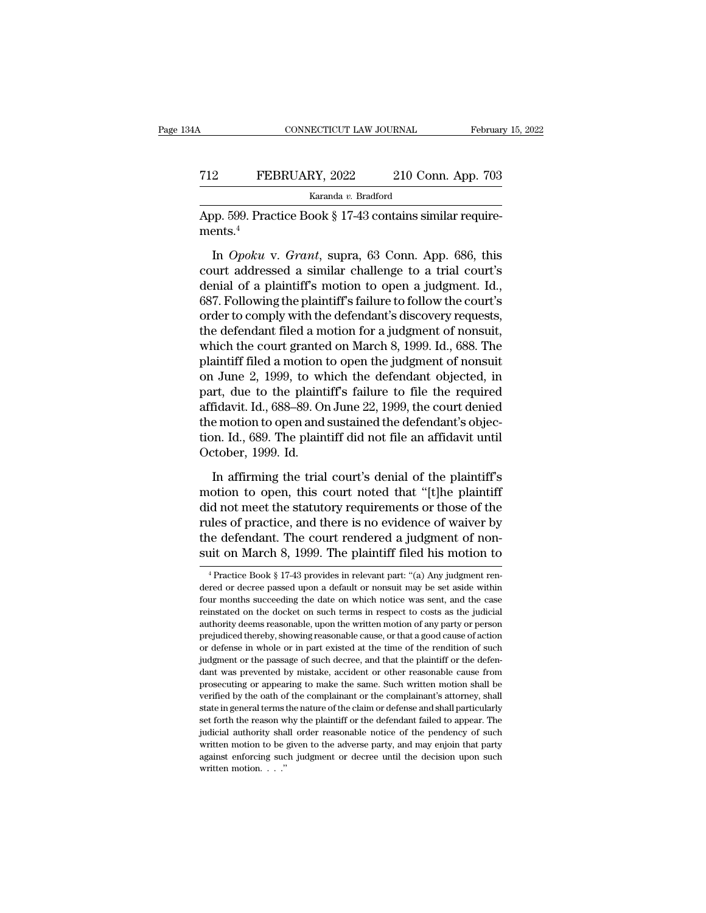## CONNECTICUT LAW JOURNAL February 15, 2022<br> **FEBRUARY**, 2022 210 Conn. App. 703<br>
Karanda v. Bradford Karanda *v.* Bradford

CONNECTICUT LAW JOURNAL Februar<br>
T12 FEBRUARY, 2022 210 Conn. App. 703<br>
Karanda v. Bradford<br>
App. 599. Practice Book § 17-43 contains similar requirements.<sup>4</sup> ments.<sup>4</sup>

FEBRUARY, 2022 210 Conn. App. 703<br>
Karanda v. Bradford<br>
Dp. 599. Practice Book § 17-43 contains similar require-<br>
ents.<sup>4</sup><br>
In *Opoku* v. *Grant*, supra, 63 Conn. App. 686, this<br>
urt addressed a similar challenge to a tria FEBRUARY, 2022 210 Conn. App. 703<br>
Karanda v. Bradford<br>
App. 599. Practice Book § 17-43 contains similar requirements.<sup>4</sup><br>
In *Opoku* v. *Grant*, supra, 63 Conn. App. 686, this<br>
court addressed a similar challenge to a tr  $\epsilon$  a planning Karanda v. Bradford<br>App. 599. Practice Book § 17-43 contains similar requirements.<sup>4</sup><br>In *Opoku* v. *Grant*, supra, 63 Conn. App. 686, this<br>court addressed a similar challenge to a trial court's<br>denial of App. 599. Practice Book § 17-43 contains similar requirements.<sup>4</sup><br>In *Opoku* v. *Grant*, supra, 63 Conn. App. 686, this<br>court addressed a similar challenge to a trial court's<br>denial of a plaintiff's motion to open a judgm ments.<sup>4</sup><br>In *Opoku* v. *Grant*, supra, 63 Conn. App. 686, this<br>court addressed a similar challenge to a trial court's<br>denial of a plaintiff's motion to open a judgment. Id.,<br>687. Following the plaintiff's failure to foll In Opoku v. Grant, supra, 63 Conn. App. 686, this<br>court addressed a similar challenge to a trial court's<br>denial of a plaintiff's motion to open a judgment. Id.,<br>687. Following the plaintiff's failure to follow the court's In *Opoku* v. *Grant*, supra, 63 Conn. App. 686, this<br>court addressed a similar challenge to a trial court's<br>denial of a plaintiff's motion to open a judgment. Id.,<br>687. Following the plaintiff's failure to follow the cour court addressed a similar challenge to a trial court's<br>denial of a plaintiff's motion to open a judgment. Id.,<br>687. Following the plaintiff's failure to follow the court's<br>order to comply with the defendant's discovery req denial of a plaintiff's motion to open a judgment. Id.,<br>687. Following the plaintiff's failure to follow the court's<br>order to comply with the defendant's discovery requests,<br>the defendant filed a motion for a judgment of n 687. Following the plaintiff's failure to follow the court's<br>order to comply with the defendant's discovery requests,<br>the defendant filed a motion for a judgment of nonsuit,<br>which the court granted on March 8, 1999. Id., 6 order to comply with the defendant's discovery requests,<br>the defendant filed a motion for a judgment of nonsuit,<br>which the court granted on March 8, 1999. Id., 688. The<br>plaintiff filed a motion to open the judgment of nons the defendant filed a motion for a judgment of nonsuit,<br>which the court granted on March 8, 1999. Id., 688. The<br>plaintiff filed a motion to open the judgment of nonsuit<br>on June 2, 1999, to which the defendant objected, in<br> which the court granted on March 8, 1999. Id., 688. The plaintiff filed a motion to open the judgment of nonsuit on June 2, 1999, to which the defendant objected, in part, due to the plaintiff's failure to file the require plaintiff filed a motion ton June 2, 1999, to wh<br>part, due to the plaint<br>affidavit. Id., 688–89. Or<br>the motion to open and<br>tion. Id., 689. The plain<br>October, 1999. Id.<br>In affirming the trial In a first complete the plaintiff's failure to file the required fidavit. Id., 688–89. On June 22, 1999, the court denied e motion to open and sustained the defendant's objection. Id., 689. The plaintiff did not file an a affidavit. Id., 688–89. On June 22, 1999, the court denied<br>the motion to open and sustained the defendant's objec-<br>tion. Id., 689. The plaintiff did not file an affidavit until<br>October, 1999. Id.<br>In affirming the trial cou

the motion to open and sustained the defendant's objection. Id., 689. The plaintiff did not file an affidavit until<br>October, 1999. Id.<br>In affirming the trial court's denial of the plaintiff's<br>motion to open, this court not tion. Id., 689. The plaintiff did not file an affidavit until<br>October, 1999. Id.<br>In affirming the trial court's denial of the plaintiff's<br>motion to open, this court noted that "[t]he plaintiff<br>did not meet the statutory r October, 1999. Id.<br>In affirming the trial court's denial of the plaintiff's<br>motion to open, this court noted that "[t]he plaintiff<br>did not meet the statutory requirements or those of the<br>rules of practice, and there is no In affirming the trial court's denial of the plaintiff's<br>motion to open, this court noted that "[t]he plaintiff<br>did not meet the statutory requirements or those of the<br>rules of practice, and there is no evidence of waiver de not meet the statutory requirements or those of the less of practice, and there is no evidence of waiver by the defendant. The court rendered a judgment of non-<br>int on March 8, 1999. The plaintiff filed his motion to  $\$ rules of practice, and there is no evidence of waiver by<br>the defendant. The court rendered a judgment of non-<br>suit on March 8, 1999. The plaintiff filed his motion to<br> $\frac{4}{1}$ Practice Book § 17-43 provides in relevant pa

the defendant. The court rendered a judgment of non-<br>suit on March 8, 1999. The plaintiff filed his motion to<br> $\frac{4 \text{ Practice Book} \text{ } \$1743 \text{ provides in relevant part: } (\text{a}) \text{ Any judgment re-} }{4 \text{Practice passed upon a default or nonsuit may be set aside within}}$ <br>four months succeeding the date on which notice suit on March 8, 1999. The plaintiff filed his motion to<br>
<sup>4</sup> Practice Book § 17-43 provides in relevant part: "(a) Any judgment rendered or decree passed upon a default or nonsuit may be set aside within<br>
four months suc Figure 11 Match of 1999. The plantificant med his motion to<br>
<sup>4</sup> Practice Book § 17-43 provides in relevant part: "(a) Any judgment rendered or decree passed upon a default or nonsuit may be set aside within<br>
four months <sup>4</sup> Practice Book § 17-43 provides in relevant part: "(a) Any judgment rendered or decree passed upon a default or nonsuit may be set aside within four months succeeding the date on which notice was sent, and the case rei dered or decree passed upon a default or nonsuit may be set aside within four months succeeding the date on which notice was sent, and the case reinstated on the docket on such terms in respect to costs as the judicial aut or defense in whole or in part existed at the time of the rendition of such judgment or the passage of such decree, and that the plaintiff or the defendant was prevented by mistake, accident or other reasonable cause from reinstated on the docket on such terms in respect to costs as the judicial authority deems reasonable, upon the written motion of any party or person prejudiced thereby, showing reasonable cause, or that a good cause of ac authority deems reasonable, upon the written motion of any party or person prejudiced thereby, showing reasonable cause, or that a good cause of action or defense in whole or in part existed at the time of the rendition of prosecuting or appearing to make the same. Such written motion shall be verified by the oath of the complainant or the complainant's attorney, shall state in general terms the nature of the claim or defense and shall parti predefinition in part existed at the time of the rendition of such produces in whole or in part existed at the time of the rendition of such judgment or the passage of such decree, and that the plaintiff or the defendant w independent or the passage of such decree, and that the plaintiff or the defendant was prevented by mistake, accident or other reasonable cause from prosecuting or appearing to make the same. Such written motion shall be v judicial authority shall order reasonable cause from<br>prosecuting or appearing to make the same. Such written motion shall be<br>verified by the oath of the complainant or the complainant's attorney, shall<br>state in general ter are more through a provided by the same. Such written motion shall be verified by the oath of the complainant or the complainant's attorney, shall state in general terms the nature of the claim or defense and shall particu presented by the oath of the complainant or the complainant's attorney, shall state in general terms the nature of the claim or defense and shall particularly set forth the reason why the plaintiff or the defendant failed state in general terms the nature of the claim or defense and shall particularly set forth the reason why the plaintiff or the defendant failed to appear. The judicial authority shall order reasonable notice of the penden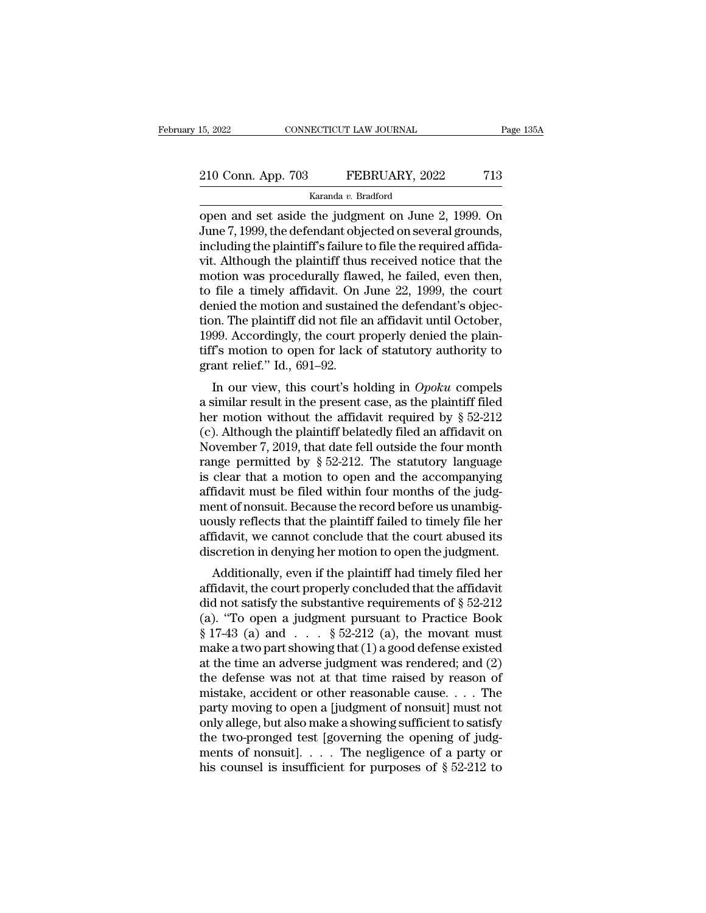# 15, 2022 CONNECTICUT LAW JOURNAL Page 135A<br>210 Conn. App. 703 FEBRUARY, 2022 713<br>Karanda v. Bradford

Karanda *v.* Bradford

15, 2022 CONNECTICUT LAW JOURNAL Page 135A<br>
210 Conn. App. 703 FEBRUARY, 2022 713<br>
Karanda v. Bradford<br>
Open and set aside the judgment on June 2, 1999. On<br>
June 7, 1999, the defendant objected on several grounds,<br>
includi 210 Conn. App. 703 FEBRUARY, 2022 713<br>
Karanda v. Bradford<br>
Open and set aside the judgment on June 2, 1999. On<br>
June 7, 1999, the defendant objected on several grounds,<br>
including the plaintiff's failure to file the requ 210 Conn. App. 703 FEBRUARY, 2022 713<br>  $\frac{\text{Karanda } v. \text{ Bradford}}{2}$ <br>
open and set aside the judgment on June 2, 1999. On<br>
June 7, 1999, the defendant objected on several grounds,<br>
including the plaintiff's failure to file the re 210 Conn. App. 703 FEBRUARY, 2022 713<br>
Karanda v. Bradford<br>
open and set aside the judgment on June 2, 1999. On<br>
June 7, 1999, the defendant objected on several grounds,<br>
including the plaintiff's failure to file the requ Example 1 Excessive,  $\frac{1}{2}$  and  $\frac{1}{2}$  and  $\frac{1}{2}$  and  $\frac{1}{2}$  are  $\frac{1}{2}$  and  $\frac{1}{2}$  and  $\frac{1}{2}$  and  $\frac{1}{2}$  and  $\frac{1}{2}$  and  $\frac{1}{2}$  and  $\frac{1}{2}$  are defendant objected on several grounds, includi karanda v. Bradford<br>
open and set aside the judgment on June 2, 1999. On<br>
June 7, 1999, the defendant objected on several grounds,<br>
including the plaintiff's failure to file the required affida-<br>
vit. Although the plainti open and set aside the judgment on June 2, 1999. On<br>June 7, 1999, the defendant objected on several grounds,<br>including the plaintiff's failure to file the required affida-<br>vit. Although the plaintiff thus received notice t June 7, 1999, the defendant objected on several grounds,<br>including the plaintiff's failure to file the required affida-<br>vit. Although the plaintiff thus received notice that the<br>motion was procedurally flawed, he failed, e including the plaintiff's failure to file the required affidavit. Although the plaintiff thus received notice that the motion was procedurally flawed, he failed, even then, to file a timely affidavit. On June 22, 1999, the vit. Although the plaintiff thus received notice that the<br>motion was procedurally flawed, he failed, even then,<br>to file a timely affidavit. On June 22, 1999, the court<br>denied the motion and sustained the defendant's objecmotion was procedurally flaw<br>to file a timely affidavit. On<br>denied the motion and sustain<br>tion. The plaintiff did not file a<br>1999. Accordingly, the court p<br>tiff's motion to open for lack<br>grant relief.'' Id., 691–92.<br>In our In a timely amuavit. On suite 22, 1999, the court<br>mied the motion and sustained the defendant's objector.<br>The plaintiff did not file an affidavit until October,<br>99. Accordingly, the court properly denied the plain-<br>f's mot defined the motion and sustained the defendant s objection. The plaintiff did not file an affidavit until October, 1999. Accordingly, the court properly denied the plaintiff's motion to open for lack of statutory authorit

1999. Accordingly, the court properly denied the plain-<br>tiff's motion to open for lack of statutory authority to<br>grant relief." Id., 691–92.<br>In our view, this court's holding in *Opoku* compels<br>a similar result in the pre 1999. Accordingly, the court property defined the plant-<br>tiff's motion to open for lack of statutory authority to<br>grant relief." Id., 691–92.<br>In our view, this court's holding in *Opoku* compels<br>a similar result in the pr In s motion to open for fack of statutory authority to<br>grant relief." Id., 691–92.<br>In our view, this court's holding in *Opoku* compels<br>a similar result in the present case, as the plaintiff filed<br>her motion without the a grant rener. Tu., 091–92.<br>
In our view, this court's holding in *Opoku* compels<br>
a similar result in the present case, as the plaintiff filed<br>
her motion without the affidavit required by § 52-212<br>
(c). Although the plain In our view, this court's holding in *Opoku* compels<br>a similar result in the present case, as the plaintiff filed<br>her motion without the affidavit required by  $\S$  52-212<br>(c). Although the plaintiff belatedly filed an affi a similar result in the present case, as the plaintiff filed<br>her motion without the affidavit required by  $\S$  52-212<br>(c). Although the plaintiff belatedly filed an affidavit on<br>November 7, 2019, that date fell outside the her motion without the affidavit required by  $\S$  52-212 (c). Although the plaintiff belatedly filed an affidavit on November 7, 2019, that date fell outside the four month range permitted by  $\S$  52-212. The statutory lang (c). Although the plaintiff belatedly filed an affidavit on<br>November 7, 2019, that date fell outside the four month<br>range permitted by  $\S$  52-212. The statutory language<br>is clear that a motion to open and the accompanying November 7, 2019, that date fell outside the four month<br>range permitted by  $\S$  52-212. The statutory language<br>is clear that a motion to open and the accompanying<br>affidavit must be filed within four months of the judg-<br>men range permitted by  $\S$  52-212. The statutory language<br>is clear that a motion to open and the accompanying<br>affidavit must be filed within four months of the judg-<br>ment of nonsuit. Because the record before us unambig-<br>uous Clear that a motion to open and the accompanying<br>fidavit must be filed within four months of the judg-<br>ent of nonsuit. Because the record before us unambig-<br>usly reflects that the plaintiff failed to timely file her<br>fidav amuavit must be med within four months of the judgement of nonsuit. Because the record before us unambig-<br>uously reflects that the plaintiff failed to timely file her<br>affidavit, we cannot conclude that the court abused it

ment of honsult. Because the record before us unambig-<br>uously reflects that the plaintiff failed to timely file her<br>affidavit, we cannot conclude that the court abused its<br>discretion in denying her motion to open the judg dously reflects that the plaintiff rafied to thirely life field<br>affidavit, we cannot conclude that the court abused its<br>discretion in denying her motion to open the judgment.<br>Additionally, even if the plaintiff had timely discretion in denying her motion to open the judgment.<br>
Additionally, even if the plaintiff had timely filed her<br>
affidavit, the court properly concluded that the affidavit<br>
did not satisfy the substantive requirements of Make a two part showing that the plaintiff had timely filed her affidavit, the court properly concluded that the affidavit did not satisfy the substantive requirements of  $\S 52-212$  (a). "To open a judgment pursuant to Pr Additionally, even if the plaintiff had timely filed her<br>affidavit, the court properly concluded that the affidavit<br>did not satisfy the substantive requirements of § 52-212<br>(a). "To open a judgment pursuant to Practice Bo affidavit, the court properly concluded that the affidavit<br>did not satisfy the substantive requirements of  $\S$  52-212<br>(a). "To open a judgment pursuant to Practice Book<br> $\S$  17-43 (a) and . . .  $\S$  52-212 (a), the movant m did not satisfy the substantive requirements of  $\S$  52-212<br>(a). "To open a judgment pursuant to Practice Book<br> $\S$  17-43 (a) and . . .  $\S$  52-212 (a), the movant must<br>make a two part showing that (1) a good defense existed (a). "To open a judgment pursuant to Practice Book § 17-43 (a) and . . . . § 52-212 (a), the movant must make a two part showing that (1) a good defense existed at the time an adverse judgment was rendered; and (2) the de § 17-43 (a) and . . . § 52-212 (a), the movant must<br>make a two part showing that (1) a good defense existed<br>at the time an adverse judgment was rendered; and (2)<br>the defense was not at that time raised by reason of<br>mistak make a two part showing that (1) a good defense existed<br>at the time an adverse judgment was rendered; and (2)<br>the defense was not at that time raised by reason of<br>mistake, accident or other reasonable cause. . . . The<br>par at the time an adverse judgment was rendered; and  $(2)$ <br>the defense was not at that time raised by reason of<br>mistake, accident or other reasonable cause. . . . The<br>party moving to open a [judgment of nonsuit] must not<br>onl the defense was not at that time raised by reason of mistake, accident or other reasonable cause. . . . The party moving to open a [judgment of nonsuit] must not only allege, but also make a showing sufficient to satisfy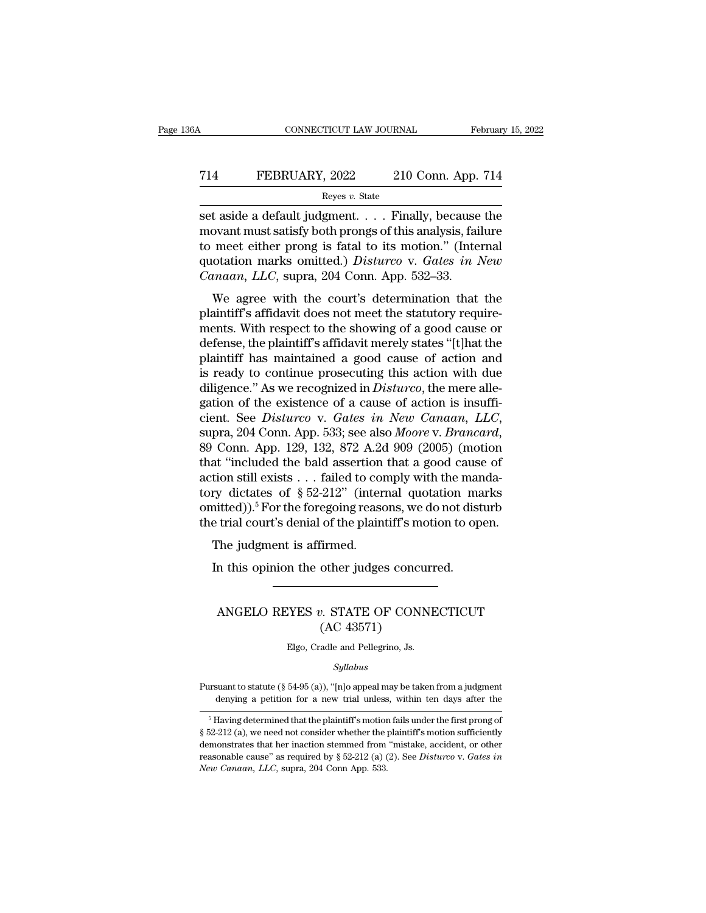# CONNECTICUT LAW JOURNAL February 15, 2022<br>
714 FEBRUARY, 2022 210 Conn. App. 714<br>
Reyes v. State

Reyes *v.* State

SER CONNECTICUT LAW JOURNAL February 15, 2022<br>
Set aside a default judgment. . . . . Finally, because the<br>
set aside a default judgment. . . . . Finally, because the<br>
movant must satisfy both prongs of this analysis, failu T14 FEBRUARY, 2022 210 Conn. App. 714<br>
Reyes v. State<br>
set aside a default judgment. . . . Finally, because the<br>
movant must satisfy both prongs of this analysis, failure<br>
to meet either prong is fatal to its motion." (In T14 FEBRUARY, 2022 210 Conn. App. 714<br>
Reyes v. State<br>
Set aside a default judgment.... Finally, because the<br>
movant must satisfy both prongs of this analysis, failure<br>
to meet either prong is fatal to its motion." (Inter T14 FEBRUARY, 2022 210 Conn. App. 714<br>
Reyes v. State<br>
Set aside a default judgment. . . . Finally, because the<br>
movant must satisfy both prongs of this analysis, failure<br>
to meet either prong is fatal to its motion." (Int *Reyes v. State*<br> *Reyes v. State*<br> *Canaan, Berges v. State*<br>
movant must satisfy both prongs of this analysis, fail<br>
to meet either prong is fatal to its motion." (Interproduction marks omitted.) *Distureo v. Gates in l* t aside a default judgment. . . . . Finally, because the<br>ovant must satisfy both prongs of this analysis, failure<br>meet either prong is fatal to its motion." (Internal<br>otation marks omitted.) *Disturco* v. *Gates in New*<br>m set aside a default judgment. . . . . Thiany, because the<br>movant must satisfy both prongs of this analysis, failure<br>to meet either prong is fatal to its motion." (Internal<br>quotation marks omitted.) *Disturco* v. *Gates in* 

movant must satisfy both prongs or this analysis, randic<br>to meet either prong is fatal to its motion." (Internal<br>quotation marks omitted.) *Disturco* v. *Gates in New*<br>*Canaan*, *LLC*, supra, 204 Conn. App. 532–33.<br>We agre to meet entier prong is ratar to its motion. (Internation<br>quotation marks omitted.) *Disturco* v. *Gates in New*<br>*Canaan, LLC*, supra, 204 Conn. App. 532–33.<br>We agree with the court's determination that the<br>plaintiff's aff Canaan, LLC, supra, 204 Conn. App. 532–33.<br>We agree with the court's determination that the<br>plaintiff's affidavit does not meet the statutory require-<br>ments. With respect to the showing of a good cause or<br>defense, the pla We agree with the court's determination that the plaintiff's affidavit does not meet the statutory requirements. With respect to the showing of a good cause or defense, the plaintiff's affidavit merely states "[t] hat the We agree with the court's determination that the plaintiff's affidavit does not meet the statutory requirements. With respect to the showing of a good cause or defense, the plaintiff's affidavit merely states "[t]hat the p plaintiff's affidavit does not meet the statutory requirements. With respect to the showing of a good cause or<br>defense, the plaintiff's affidavit merely states "[t]hat the<br>plaintiff has maintained a good cause of action an ments. With respect to the showing of a good cause or<br>defense, the plaintiff's affidavit merely states "[t]hat the<br>plaintiff has maintained a good cause of action and<br>is ready to continue prosecuting this action with due<br>d is ready to continue prosecuting this action with due<br>
diligence." As we recognized in *Disturco*, the mere alle-<br>
gation of the existence of a cause of action is insuffi-<br>
cient. See *Disturco* v. *Gates in New Canaan*, diligence." As we recognized in *Disturco*, the mere allegation of the existence of a cause of action is insufficient. See *Disturco* v. *Gates in New Canaan*, *LLC*, supra, 204 Conn. App. 533; see also *Moore* v. *Branca* gation of the existence of a cause of action is insufficient. See *Disturco* v. *Gates in New Canaan*, *LLC*, supra, 204 Conn. App. 533; see also *Moore* v. *Brancard*, 89 Conn. App. 129, 132, 872 A.2d 909 (2005) (motion cient. See *Disturco* v. *Gates in New Canaan*, *LLC*,<br>supra, 204 Conn. App. 533; see also *Moore* v. *Brancard*,<br>89 Conn. App. 129, 132, 872 A.2d 909 (2005) (motion<br>that "included the bald assertion that a good cause of<br>a supra, 204 Conn. App. 533; see also *Moore v. Brancard*, 89 Conn. App. 129, 132, 872 A.2d 909 (2005) (motion that "included the bald assertion that a good cause of action still exists . . . failed to comply with the mandat Command Spigman and the bald assertion<br>at "included the bald assertion<br>tion still exists . . . failed to con-<br>ry dictates of  $\S~52-212"$  (inter-<br>nitted)).<sup>5</sup> For the foregoing reasertial court's denial of the plain<br>The ju In this opinion the other judges concurred.<br>In this opinion of  $\S 52-212$ " (internal quotation mainited)).<sup>5</sup> For the foregoing reasons, we do not disterminate the other indicator of the plaintiff's motion to op The judgm

## trial court's denial of the plaintiff's motion to open.<br>The judgment is affirmed.<br>In this opinion the other judges concurred.<br>ANGELO REYES *v*. STATE OF CONNECTICUT (AC 43571) firmed.<br>
other judges concu<br>
2. STATE OF CONN<br>
(AC 43571)<br>
<sub>radle and Pellegrino, Js.</sub> ANGELO REYES  $v$ . STATE OF CONNECTICUT<br>(AC 43571)<br>Elgo, Cradle and Pellegrino, Js.

*Syllabus*

(AC 43571)<br>Elgo, Cradle and Pellegrino, Js.<br>Syllabus<br>Pursuant to statute (§ 54-95 (a)), "[n]o appeal may be taken from a judgment<br>denying a petition for a new trial unless, within ten days after the Elgo, Cradle and Pellegrino, Js.<br>Syllabus<br>suant to statute (§ 54-95 (a)), "[n]o appeal may be taken from a judgment<br>denying a petition for a new trial unless, within ten days after the<br>Having determined that the plaintiff

 $Syllabus$ <br>
syllabus<br>
syllabus<br>
denying a petition for a new trial unless, within ten days after the<br>
shaving determined that the plaintiff's motion fails under the first prong of<br>  $52-212$  (a), we need not consider whether th *Syllabus*<br>
Pursuant to statute (§ 54-95 (a)), "[n]o appeal may be taken from a judgment<br>
denying a petition for a new trial unless, within ten days after the<br>
<sup>5</sup> Having determined that the plaintiff's motion fails under Pursuant to statute (§ 54-95 (a)), "[n]o appeal may be taken from a judgment<br>denying a petition for a new trial unless, within ten days after the<br> $\frac{1}{10}$  flaving determined that the plaintiff's motion fails under the f Fursuant to statute (§ 54-95 (a)), [n]o appear may be taken from a judgment<br>denying a petition for a new trial unless, within ten days after the<br> $\frac{1}{\sqrt{5}}$  Having determined that the plaintiff's motion fails under the f denying a petition for a new trial unless<br>
<sup>5</sup> Having determined that the plaintiff's motion<br>
§ 52-212 (a), we need not consider whether the p<br>
demonstrates that her inaction stemmed from<br>
reasonable cause" as required by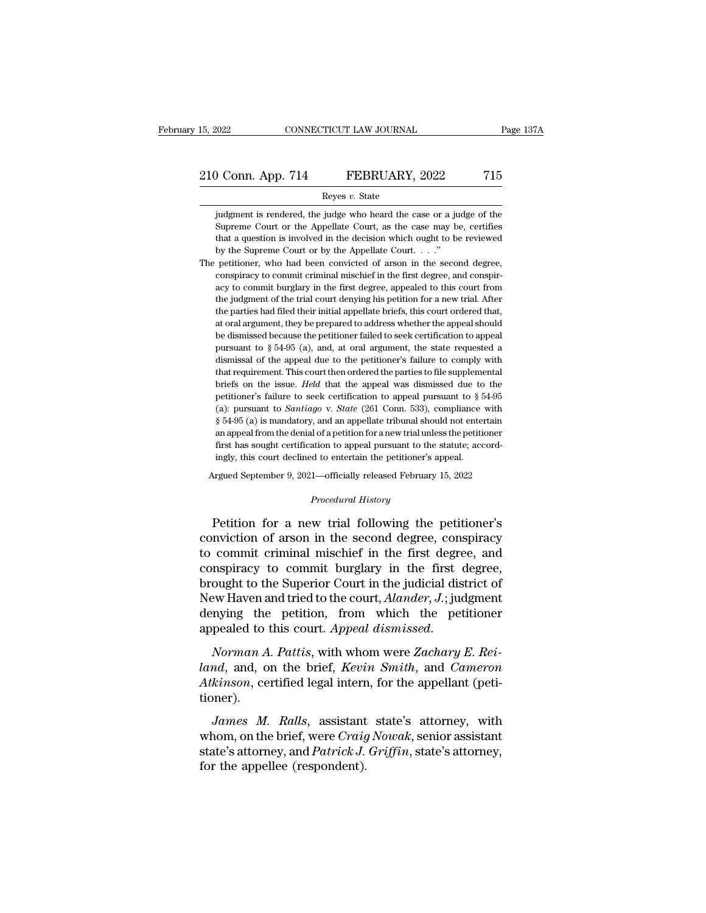Reyes *v.* State

(a) Conn. App. 714 FEBRUARY, 2022 715<br>
Reyes v. State<br>
(b) Reyes v. State<br>
(b) Supreme Court or the Appellate Court, as the case may be, certifies Conn. App. 714 FEBRUARY, 2022 715<br>Reyes v. State<br>judgment is rendered, the judge who heard the case or a judge of the<br>Supreme Court or the Appellate Court, as the case may be, certifies<br>that a question is involved in the **that a question is involved in the decision is involved in the decision which ought to be reviewed** by the Supreme Court or the Appellate Court, as the case may be, certifies that a question is involved in the decision w Reyes v. State<br>
indgment is rendered, the judge who heard the case or a ju<br>
Supreme Court or the Appellate Court, as the case may b<br>
that a question is involved in the decision which ought to be<br>
by the Supreme Court or by Reyes  $v$ . State<br>
judgment is rendered, the judge who heard the case or a judge of the<br>
Supreme Court or the Appellate Court, as the case may be, certifies<br>
that a question is involved in the decision which ought to be re judgment is rendered, the judge who heard the case or a judge of the Supreme Court or the Appellate Court, as the case may be, certifies that a question is involved in the decision which ought to be reviewed by the Supreme

Supreme Court or the Appellate Court, as the case may be, certifies that a question is involved in the decision which ought to be reviewed by the Supreme Court or by the Appellate Court. . . ."<br>petitioner, who had been co that a question is involved in the decision which ought to be reviewed by the Supreme Court or by the Appellate Court.  $\ldots$ ."<br>petitioner, who had been convicted of arson in the second degree, conspiracy to commit crimina by the Supreme Court or by the Appellate Court. . . . "<br>petitioner, who had been convicted of arson in the second degree,<br>conspiracy to commit criminal mischief in the first degree, and conspir-<br>acy to commit burglary in t petitioner, who had been convicted of arson in the second degree, conspiracy to commit criminal mischief in the first degree, and conspiracy to commit burglary in the first degree, appealed to this court from the judgment beconspiracy to commit criminal mischief in the first degree, and conspiracy to commit burglary in the first degree, appealed to this court from the judgment of the trial court denying his petition for a new trial. After extraction to say to commit burglary in the first degree, appealed to this court from<br>the judgment of the trial court denying his petition for a new trial. After<br>the parties had filed their initial appellate briefs, this the judgment of the trial court denying his petition for a new trial. After the judgment of the trial court denying his petition for a new trial. After the parties had filed their initial appellate briefs, this court orde the parties had filed their initial appellate briefs, this court ordered that, at oral argument, they be prepared to address whether the appeal should be dismissed because the petitioner failed to seek certification to ap at oral argument, they be prepared to address whether the appeal should<br>be dismissed because the petitioner failed to seek certification to appeal<br>pursuant to  $\S 54-95$  (a), and, at oral argument, the state requested a<br>di be dismissed because the petitioner failed to seek certification to appeal pursuant to § 54-95 (a), and, at oral argument, the state requested a dismissal of the appeal due to the petitioner's failure to comply with that pursuant to *§* 54-95 (a), and, at oral argument, the state requested a dismissal of the appeal due to the petitioner's failure to comply with that requirement. This court then ordered the parties to file supplemental brie dismissal of the appeal due to the petitioner's failure to comply with that requirement. This court then ordered the parties to file supplemental briefs on the issue. *Held* that the appeal was dismissed due to the petiti that requirement. This court then ordered the parties to file supplemental briefs on the issue. *Held* that the appeal was dismissed due to the petitioner's failure to seek certification to appeal pursuant to  $\S 54-95$  (a briefs on the issue. *Held* that the appeal was dismissed due to the petitioner's failure to seek certification to appeal pursuant to  $\S 54-95$  (a): pursuant to *Santiago* v. *State* (261 Conn. 533), compliance with  $\S 54$ petitioner's failure to seek certification to appeal pursuant to  $\S$  f (a): pursuant to *Santiago v. State* (261 Conn. 533), compliance  $\S$  54-95 (a) is mandatory, and an appellate tribunal should not entertain appeal fro (a): pursuant to *Santiago* v. *State* (261 Conn. 533), compliance with  $\S 54-95$  (a) is mandatory, and an appellate tribunal should not entertain an appeal from the denial of a petition for a new trial unless the petitio *Properition for a new trial unleation to appeal pursuant to the distinction differently denoted the petitioner's*<br>*Procedural History*<br>*Procedural History* 

an appeal from the denial of a petition for a new trial unless the petitioner<br>first has sought certification to appeal pursuant to the statute; accord-<br>ingly, this court declined to entertain the petitioner's appeal.<br>
Argu first has sought certification to appeal pursuant to the statute; accordingly, this court declined to entertain the petitioner's appeal.<br>Argued September 9, 2021—officially released February 15, 2022<br>*Procedural History*<br>P Ingly, this court declined to entertain the pethologer s appeal.<br>
Argued September 9, 2021—officially released February 15, 2022<br>
Procedural History<br>
Petition for a new trial following the petitioner's<br>
conviction of arson Argued September 9, 2021—officially released February 15, 2022<br>
Procedural History<br>
Petition for a new trial following the petitioner's<br>
conviction of arson in the second degree, conspiracy<br>
to commit criminal mischief in *Procedural History*<br>
Petition for a new trial following the petitioner's<br>
conviction of arson in the second degree, conspiracy<br>
to commit criminal mischief in the first degree, and<br>
conspiracy to commit burglary in the fi Petition for a new trial following the petitioner's<br>conviction of arson in the second degree, conspiracy<br>to commit criminal mischief in the first degree, and<br>conspiracy to commit burglary in the first degree,<br>brought to th Petition for a new trial following the petitioner's<br>conviction of arson in the second degree, conspiracy<br>to commit criminal mischief in the first degree, and<br>conspiracy to commit burglary in the first degree,<br>brought to th conviction of arson in the second degree, conspiracy<br>to commit criminal mischief in the first degree, and<br>conspiracy to commit burglary in the first degree,<br>brought to the Superior Court in the judicial district of<br>New Hav *landon* to the Superior Court in the judicial district of New Haven and tried to the court, *Alander*, *J*.; judgment denying the petition, from which the petitioner appealed to this court. *Appeal dismissed.*<br> *Norman A.* 

*Atem and tried to the court, Alander, J.*; judgment denying the petition, from which the petitioner appealed to this court. *Appeal dismissed.*<br>*Norman A. Pattis, with whom were Zachary E. Reiland, and, on the brief, Kevi* tioner). pealed to this court. Appeal dismissed.<br> *Norman A. Pattis*, with whom were Zachary E. Rei-<br> *nd*, and, on the brief, *Kevin Smith*, and *Cameron*<br> *kinson*, certified legal intern, for the appellant (peti-<br> *James M. Rall* Norman A. Pattis, with whom were Zachary E. Rei-<br>land, and, on the brief, Kevin Smith, and Cameron<br>Atkinson, certified legal intern, for the appellant (peti-<br>tioner).<br>James M. Ralls, assistant state's attorney, with<br>whom,

Froman II. Fatto, what whom were *zactuary E. Revinand*, and, on the brief, *Kevin Smith*, and *Cameron Atkinson*, certified legal intern, for the appellant (petitioner).<br>James M. Ralls, assistant state's attorney, with wh *Atkinson*, certified legal interreducing the appellee (respondent).<br>*James M. Ralls*, assistant whom, on the brief, were *Craig* state's attorney, and *Patrick J.* for the appellee (respondent).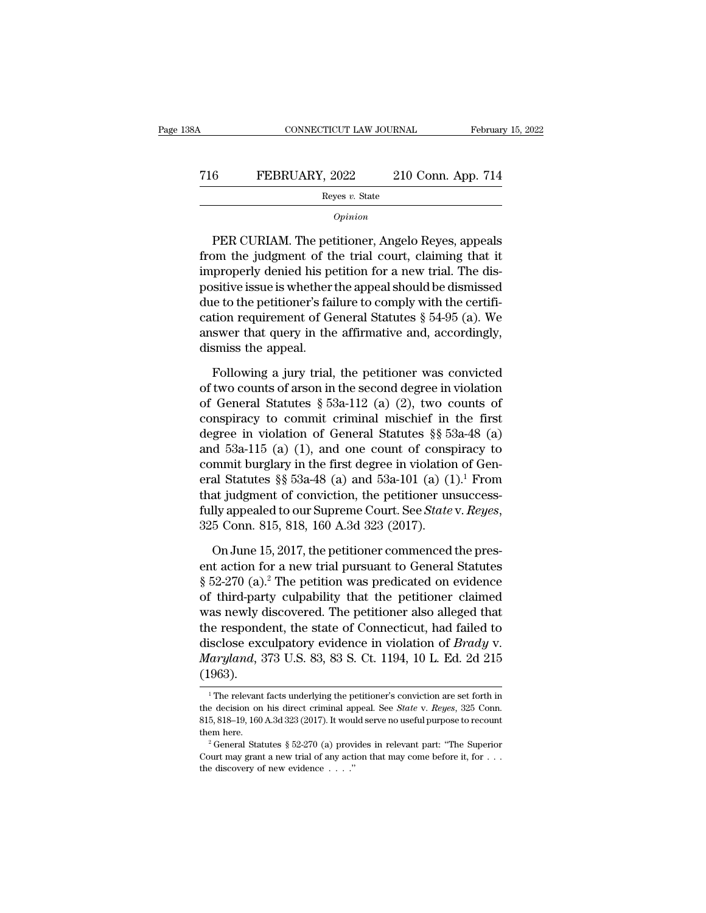# CONNECTICUT LAW JOURNAL February 15, 2022<br>
716 FEBRUARY, 2022 210 Conn. App. 714<br>
Reyes v. State

Reyes *v.* State *Opinion*

FEBRUARY, 2022 210 Conn. App. 714<br>
Reyes v. State<br>
Opinion<br>
PER CURIAM. The petitioner, Angelo Reyes, appeals<br>
pm the judgment of the trial court, claiming that it FEBRUARY, 2022 210 Conn. App. 714<br>
Reyes v. State<br>
Opinion<br>
PER CURIAM. The petitioner, Angelo Reyes, appeals<br>
from the judgment of the trial court, claiming that it<br>
improperly denied his petition for a new trial. The di FEBRUART,  $2022$  210 CONI. App. 714<br>
Reyes v. State<br>  $\frac{1}{2}$   $\frac{1}{2}$   $\frac{1}{2}$   $\frac{1}{2}$   $\frac{1}{2}$   $\frac{1}{2}$   $\frac{1}{2}$   $\frac{1}{2}$   $\frac{1}{2}$   $\frac{1}{2}$   $\frac{1}{2}$   $\frac{1}{2}$   $\frac{1}{2}$   $\frac{1}{2}$   $\frac{1}{2}$   $\frac{1}{2}$   $\frac{1}{2}$ Reyes v. State<br>
opinion<br>
PER CURIAM. The petitioner, Angelo Reyes, appeals<br>
from the judgment of the trial court, claiming that it<br>
improperly denied his petition for a new trial. The dis-<br>
positive issue is whether the a  $o$ <br>
Depends to the petitioner, Angelo Reyes, appeals<br>
from the judgment of the trial court, claiming that it<br>
improperly denied his petition for a new trial. The dis-<br>
positive issue is whether the appeal should be dismi PER CURIAM. The petitioner, Angelo Reyes, appeals<br>from the judgment of the trial court, claiming that it<br>improperly denied his petition for a new trial. The dis-<br>positive issue is whether the appeal should be dismissed<br>du PER CURIAM. The petitioner, Angelo Reyes, appeals<br>from the judgment of the trial court, claiming that it<br>improperly denied his petition for a new trial. The dis-<br>positive issue is whether the appeal should be dismissed<br>due from the judgment of the<br>improperly denied his pe<br>positive issue is whether<br>due to the petitioner's fai<br>cation requirement of Ge<br>answer that query in the<br>dismiss the appeal.<br>Following a jury trial, sitive issue is whether the appeal should be dismissed<br>the to the petitioner's failure to comply with the certifi-<br>tion requirement of General Statutes § 54-95 (a). We<br>swer that query in the affirmative and, accordingly,<br> due to the petitioner's failure to comply with the certification requirement of General Statutes  $\S$  54-95 (a). We<br>answer that query in the affirmative and, accordingly,<br>dismiss the appeal.<br>Following a jury trial, the pet

cation requirement of General Statutes § 54-95 (a). We<br>answer that query in the affirmative and, accordingly,<br>dismiss the appeal.<br>Following a jury trial, the petitioner was convicted<br>of two counts of arson in the second d answer that query in the affirmative and, accordingly,<br>dismiss the appeal.<br>Following a jury trial, the petitioner was convicted<br>of two counts of arson in the second degree in violation<br>of General Statutes § 53a-112 (a) (2 dismiss the appeal.<br>
Following a jury trial, the petitioner was convicted<br>
of two counts of arson in the second degree in violation<br>
of General Statutes §§ 53a-112 (a) (2), two counts of<br>
conspiracy to commit criminal mis Following a jury trial, the petitioner was convicted<br>of two counts of arson in the second degree in violation<br>of General Statutes § 53a-112 (a) (2), two counts of<br>conspiracy to commit criminal mischief in the first<br>degree Following a jury trial, the petitioner was convicted<br>of two counts of arson in the second degree in violation<br>of General Statutes § 53a-112 (a) (2), two counts of<br>conspiracy to commit criminal mischief in the first<br>degree of two counts of arson in the second degree in violation<br>of General Statutes § 53a-112 (a) (2), two counts of<br>conspiracy to commit criminal mischief in the first<br>degree in violation of General Statutes §§ 53a-48 (a)<br>and 5 of General Statutes § 53a-112 (a) (2), two counts of<br>conspiracy to commit criminal mischief in the first<br>degree in violation of General Statutes §§ 53a-48 (a)<br>and 53a-115 (a) (1), and one count of conspiracy to<br>commit bur conspiracy to commit criminal mischief in the first<br>degree in violation of General Statutes §§ 53a-48 (a)<br>and 53a-115 (a) (1), and one count of conspiracy to<br>commit burglary in the first degree in violation of Gen-<br>eral St mmit burglary in the first degree in violation of Gen-<br>al Statutes §§ 53a-48 (a) and 53a-101 (a) (1).<sup>1</sup> From<br>at judgment of conviction, the petitioner unsuccess-<br>lly appealed to our Supreme Court. See *State* v. *Reyes*, eral Statutes §§ 53a-48 (a) and 53a-101 (a)  $(1)^1$  From<br>that judgment of conviction, the petitioner unsuccess-<br>fully appealed to our Supreme Court. See *State* v. *Reyes*,<br>325 Conn. 815, 818, 160 A.3d 323  $(2017)$ .<br>On Jun

that judgment of conviction, the petitioner unsuccess-<br>fully appealed to our Supreme Court. See *State* v. *Reyes*,<br>325 Conn. 815, 818, 160 A.3d 323 (2017).<br>On June 15, 2017, the petitioner commenced the pres-<br>ent action f fully appealed to our Supreme Court. See *State* v. *Reyes*,<br>325 Conn. 815, 818, 160 A.3d 323 (2017).<br>On June 15, 2017, the petitioner commenced the pres-<br>ent action for a new trial pursuant to General Statutes<br>§ 52-270 (a 325 Conn. 815, 818, 160 A.3d 323 (2017).<br>
On June 15, 2017, the petitioner commenced the present action for a new trial pursuant to General Statutes<br>
§ 52-270 (a).<sup>2</sup> The petition was predicated on evidence<br>
of third-part On June 15, 2017, the petitioner commenced the present action for a new trial pursuant to General Statutes  $\S$  52-270 (a).<sup>2</sup> The petition was predicated on evidence of third-party culpability that the petitioner claimed On June 15, 2017, the petitioner commenced the pres-<br>ent action for a new trial pursuant to General Statutes<br>§ 52-270 (a).<sup>2</sup> The petition was predicated on evidence<br>of third-party culpability that the petitioner claimed<br>w ent action for a new trial pursuant to General Statutes § 52-270 (a).<sup>2</sup> The petition was predicated on evidence of third-party culpability that the petitioner claimed was newly discovered. The petitioner also alleged that (1963). 1 The relevant facts underlying the petitioner's conviction of *Brady* v.<br>
1 The relevant facts underlying the petitioner's conviction are set forth in<br>
1 The relevant facts underlying the petitioner's conviction are set disclose exculpatory evidence in violation of *Brady* v.<br> *Maryland*, 373 U.S. 83, 83 S. Ct. 1194, 10 L. Ed. 2d 215<br>
<sup>1</sup>The relevant facts underlying the petitioner's conviction are set forth in<br>
the decision on his direct

*Maryland*, 373 U.S. 83, 83 S. Ct. 1194, 10 L. Ed. 2d 215 (1963).<br>
<sup>1</sup>The relevant facts underlying the petitioner's conviction are set forth in the decision on his direct criminal appeal. See *State* v. *Reyes*, 325 Conn (1963).<br>
<sup>1</sup> The relevant facts underlying the petitioner's conviction are set forth in<br>
the decision on his direct criminal appeal. See *State* v. *Reyes*, 325 Conn.<br>
815, 818–19, 160 A.3d 323 (2017). It would serve no u <sup>1</sup> The relevant facts underlying the petitioner's conviction are set forth in the decision on his direct criminal appeal. See *State* v. *Reyes*, 325 Conn. 815, 818–19, 160 A.3d 323 (2017). It would serve no useful purpo the decision on his direct criminal appeal. See *State* v. *Reyes*, 325 Conn. 815, 818–19, 160 A.3d 323 (2017). It would serve no useful purpose to recount them here.<br><sup>2</sup> General Statutes § 52-270 (a) provides in relevant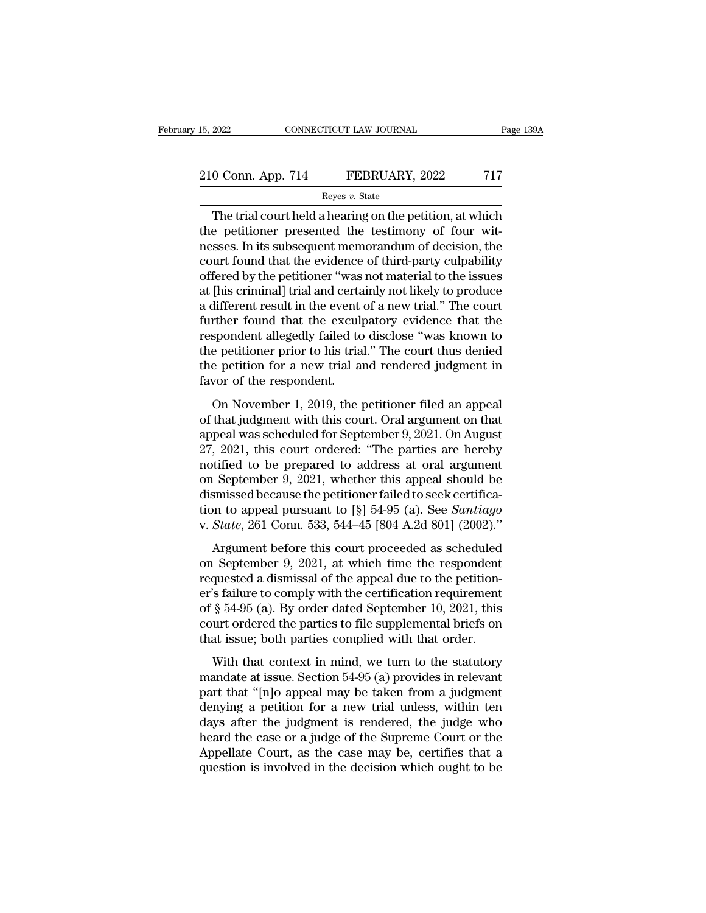# 15, 2022 CONNECTICUT LAW JOURNAL Page 139A<br>210 Conn. App. 714 FEBRUARY, 2022 717<br>Reyes v. State

## Reyes *v.* State

The trial court held a hearing on the petition, at which<br>
The trial court held a hearing on the petition, at which<br>
The trial court held a hearing on the petition, at which<br>
the petitioner presented the testimony of four w 210 Conn. App. 714 FEBRUARY, 2022 717<br>
Reyes v. State<br>
The trial court held a hearing on the petition, at which<br>
the petitioner presented the testimony of four wit-<br>
nesses. In its subsequent memorandum of decision, the<br> 210 Conn. App. 714 FEBRUARY, 2022 717<br>
Reyes v. State<br>
The trial court held a hearing on the petition, at which<br>
the petitioner presented the testimony of four wit-<br>
nesses. In its subsequent memorandum of decision, the<br> 210 Conn. App. 714 FEBRUARY, 2022 717<br>
Reyes v. State<br>
The trial court held a hearing on the petition, at which<br>
the petitioner presented the testimony of four wit-<br>
nesses. In its subsequent memorandum of decision, the<br> Reyes v. State<br>
The trial court held a hearing on the petition, at which<br>
the petitioner presented the testimony of four wit-<br>
nesses. In its subsequent memorandum of decision, the<br>
court found that the evidence of third-p Ergs  $v$ . State<br>The trial court held a hearing on the petition, at which<br>the petitioner presented the testimony of four wit-<br>nesses. In its subsequent memorandum of decision, the<br>court found that the evidence of third-par The trial court held a hearing on the petition, at which<br>the petitioner presented the testimony of four wit-<br>nesses. In its subsequent memorandum of decision, the<br>court found that the evidence of third-party culpability<br>of the petitioner presented the testimony of four wit-<br>nesses. In its subsequent memorandum of decision, the<br>court found that the evidence of third-party culpability<br>offered by the petitioner "was not material to the issues<br>a nesses. In its subsequent memorandum of decision, the<br>court found that the evidence of third-party culpability<br>offered by the petitioner "was not material to the issues<br>at [his criminal] trial and certainly not likely to p court found that the evidence of third-party culpability<br>offered by the petitioner "was not material to the issues<br>at [his criminal] trial and certainly not likely to produce<br>a different result in the event of a new trial. offered by the petitioner "was not material to the issues<br>at [his criminal] trial and certainly not likely to produce<br>a different result in the event of a new trial." The court<br>further found that the exculpatory evidence t at [his criminal] trial and certa<br>a different result in the event<br>further found that the excul<sub>l</sub><br>respondent allegedly failed to<br>the petitioner prior to his tria<br>the petition for a new trial as<br>favor of the respondent.<br>On merent resaid in the excited and the world. The estimate of the the spondent allegedly failed to disclose "was known to be petitioner prior to his trial." The court thus denied be petition for a new trial and rendered judg rander found and the encalptubry extended that the respondent allegedly failed to disclose "was known to the petitioner prior to his trial." The court thus denied the petition for a new trial and rendered judgment in favor

respondent and geally randed to absence that into the strip of the petitioner prior to his trial." The court thus denied the petition for a new trial and rendered judgment in favor of the respondent.<br>On November 1, 2019, t the petition for a new trial and rendered judgment in<br>favor of the respondent.<br>On November 1, 2019, the petitioner filed an appeal<br>of that judgment with this court. Oral argument on that<br>appeal was scheduled for September notice perform for a field that the relation of the respondent.<br>
On November 1, 2019, the petitioner filed an appeal<br>
of that judgment with this court. Oral argument on that<br>
appeal was scheduled for September 9, 2021. On On November 1, 2019, the petitioner filed an appeal<br>of that judgment with this court. Oral argument on that<br>appeal was scheduled for September 9, 2021. On August<br>27, 2021, this court ordered: "The parties are hereby<br>notif On November 1, 2019, the petitioner filed an appeal<br>of that judgment with this court. Oral argument on that<br>appeal was scheduled for September 9, 2021. On August<br>27, 2021, this court ordered: "The parties are hereby<br>notif of that judgment with this court. Oral argument on that<br>appeal was scheduled for September 9, 2021. On August<br>27, 2021, this court ordered: "The parties are hereby<br>notified to be prepared to address at oral argument<br>on Sep appeal was scheduled for September 9, 2021. On August 27, 2021, this court ordered: "The parties are hereby notified to be prepared to address at oral argument on September 9, 2021, whether this appeal should be dismissed Argument before this court proceeded as scheduled<br>algorithment before the petitioner failed to seek certifica-<br>ann to appeal pursuant to [§] 54-95 (a). See *Santiago*<br>*State*, 261 Conn. 533, 544-45 [804 A.2d 801] (2002)." on September 9, 2021, whether this appeal should be<br>dismissed because the petitioner failed to seek certifica-<br>tion to appeal pursuant to  $\begin{bmatrix} 8 \end{bmatrix}$  54-95 (a). See *Santiago*<br>v. *State*, 261 Conn. 533, 544-45 [804 A

dismissed because the petitioner failed to seek certification to appeal pursuant to [§] 54-95 (a). See *Santiago* v. *State*, 261 Conn. 533, 544-45 [804 A.2d 801] (2002)."<br>Argument before this court proceeded as scheduled dishibised because are perficient rance to been certified<br>tion to appeal pursuant to  $[\S]$  54-95 (a). See *Santiago*<br>v. *State*, 261 Conn. 533, 544-45 [804 A.2d 801] (2002)."<br>Argument before this court proceeded as schedu of solid by application to  $\frac{1}{3}$  or  $\frac{1}{2}$  (c). See Bandago <br>v. *State*, 261 Conn. 533, 544–45 [804 A.2d 801] (2002)."<br>Argument before this court proceeded as scheduled<br>on September 9, 2021, at which time the respo court of State, 201 collar, 300, 311 To [00111.2d 001] (2002).<br>Argument before this court proceeded as scheduled<br>on September 9, 2021, at which time the respondent<br>requested a dismissal of the appeal due to the petition-<br> Argument before this court proceeded as scheduled<br>on September 9, 2021, at which time the respondent<br>requested a dismissal of the appeal due to the petition-<br>er's failure to comply with the certification requirement<br>of  $\S$ quested a dismissal of the appeal due to the petition-<br>
Specification requirement<br>  $\S$  54-95 (a). By order dated September 10, 2021, this<br>
urt ordered the parties to file supplemental briefs on<br>
at issue; both parties com explosive a distinguion of the application requirement<br>of § 54-95 (a). By order dated September 10, 2021, this<br>court ordered the parties to file supplemental briefs on<br>that issue; both parties complied with that order.<br>Wi

of § 54-95 (a). By order dated September 10, 2021, this court ordered the parties to file supplemental briefs on that issue; both parties complied with that order.<br>With that context in mind, we turn to the statutory manda denying a petition for a new trial unless, with the case of the case of a new trial unless of the statutory<br>mandate at issue. Section 54-95 (a) provides in relevant<br>part that "[n]o appeal may be taken from a judgment<br>deny that issue; both parties complied with that order.<br>With that context in mind, we turn to the statutory<br>mandate at issue. Section 54-95 (a) provides in relevant<br>part that "[n]o appeal may be taken from a judgment<br>denying a With that context in mind, we turn to the statutory<br>mandate at issue. Section 54-95 (a) provides in relevant<br>part that "[n]o appeal may be taken from a judgment<br>denying a petition for a new trial unless, within ten<br>days af With that context in mind, we turn to the statutory<br>mandate at issue. Section 54-95 (a) provides in relevant<br>part that "[n]o appeal may be taken from a judgment<br>denying a petition for a new trial unless, within ten<br>days af mandate at issue. Section 54-95 (a) provides in relevant<br>part that "[n]o appeal may be taken from a judgment<br>denying a petition for a new trial unless, within ten<br>days after the judgment is rendered, the judge who<br>heard th